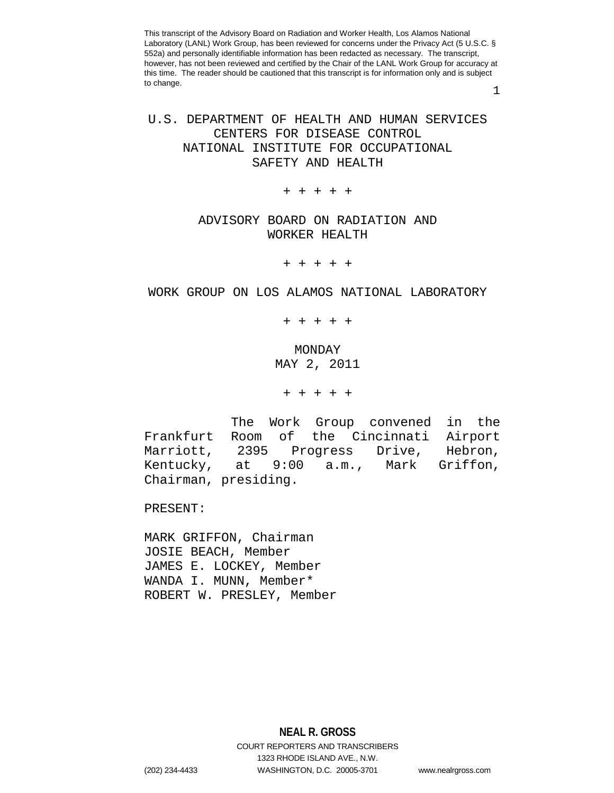1

# U.S. DEPARTMENT OF HEALTH AND HUMAN SERVICES CENTERS FOR DISEASE CONTROL NATIONAL INSTITUTE FOR OCCUPATIONAL SAFETY AND HEALTH

+ + + + +

# ADVISORY BOARD ON RADIATION AND WORKER HEALTH

+ + + + +

# WORK GROUP ON LOS ALAMOS NATIONAL LABORATORY

+ + + + +

MONDAY MAY 2, 2011

+ + + + +

The Work Group convened in the<br>Frankfurt Room of the Cincinnati Airport Frankfurt Room of the Cincinnati Airport Progress Drive, Hebron,<br>9:00 a.m., Mark Griffon, Kentucky, at 9:00 a.m., Mark Griffon, Chairman, presiding.

PRESENT:

MARK GRIFFON, Chairman JOSIE BEACH, Member JAMES E. LOCKEY, Member WANDA I. MUNN, Member\* ROBERT W. PRESLEY, Member

**NEAL R. GROSS** COURT REPORTERS AND TRANSCRIBERS 1323 RHODE ISLAND AVE., N.W. (202) 234-4433 WASHINGTON, D.C. 20005-3701 www.nealrgross.com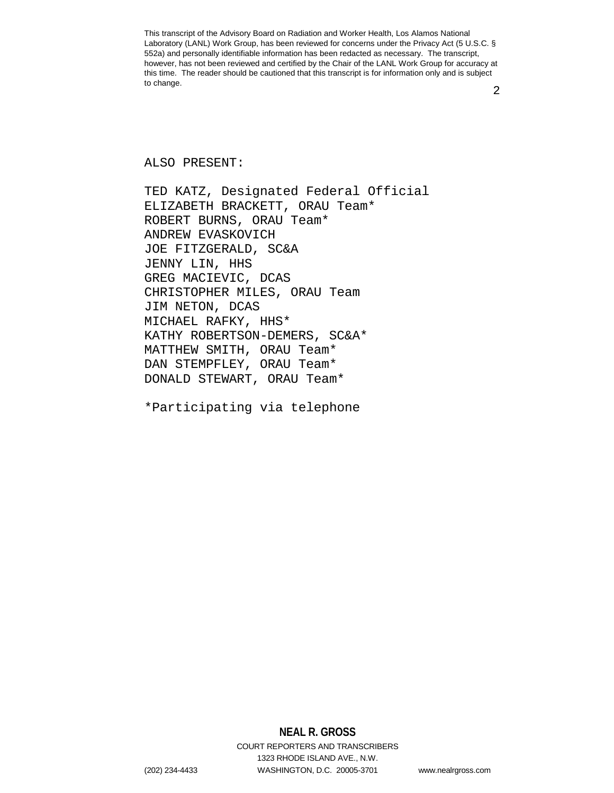2

### ALSO PRESENT:

TED KATZ, Designated Federal Official ELIZABETH BRACKETT, ORAU Team\* ROBERT BURNS, ORAU Team\* ANDREW EVASKOVICH JOE FITZGERALD, SC&A JENNY LIN, HHS GREG MACIEVIC, DCAS CHRISTOPHER MILES, ORAU Team JIM NETON, DCAS MICHAEL RAFKY, HHS\* KATHY ROBERTSON-DEMERS, SC&A\* MATTHEW SMITH, ORAU Team\* DAN STEMPFLEY, ORAU Team\* DONALD STEWART, ORAU Team\*

\*Participating via telephone

**NEAL R. GROSS** COURT REPORTERS AND TRANSCRIBERS 1323 RHODE ISLAND AVE., N.W.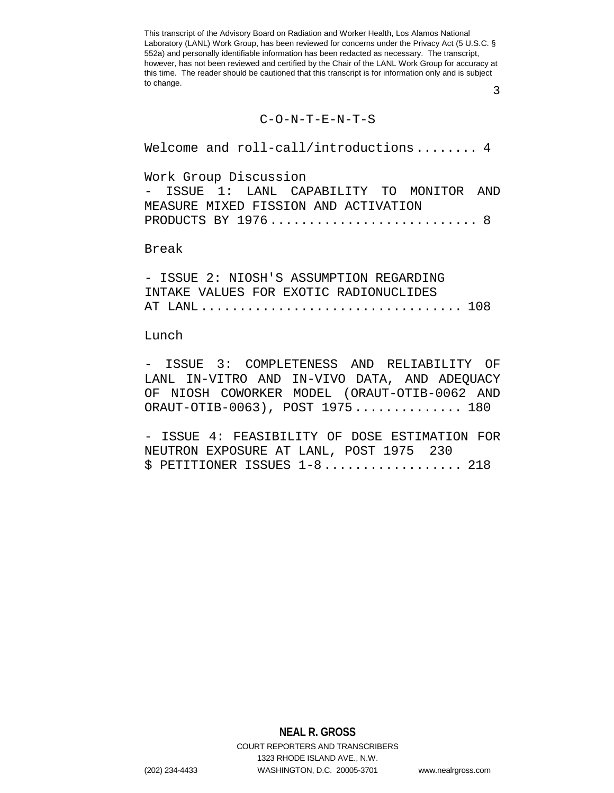3

#### C-O-N-T-E-N-T-S

Welcome and roll-call/introductions........ 4

Work Group Discussion

- ISSUE 1: LANL CAPABILITY TO MONITOR AND MEASURE MIXED FISSION AND ACTIVATION PRODUCTS BY 1976................................... 8

### Break

|  |  |  | - ISSUE 2: NIOSH'S ASSUMPTION REGARDING |  |
|--|--|--|-----------------------------------------|--|
|  |  |  | INTAKE VALUES FOR EXOTIC RADIONUCLIDES  |  |
|  |  |  |                                         |  |

### Lunch

- ISSUE 3: COMPLETENESS AND RELIABILITY OF LANL IN-VITRO AND IN-VIVO DATA, AND ADEQUACY OF NIOSH COWORKER MODEL (ORAUT-OTIB-0062 AND ORAUT-OTIB-0063), POST 1975.............. 180

- ISSUE 4: FEASIBILITY OF DOSE ESTIMATION FOR NEUTRON EXPOSURE AT LANL, POST 1975 230  $$$  PETITIONER ISSUES  $1-8$ ......................... 218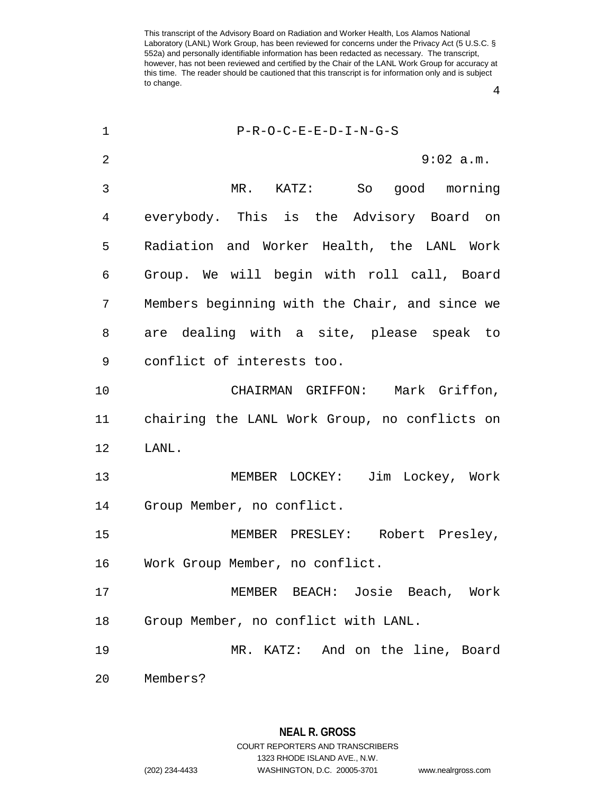1 P-R-O-C-E-E-D-I-N-G-S 2 9:02 a.m. 3 MR. KATZ: So good morning 4 everybody. This is the Advisory Board on 5 Radiation and Worker Health, the LANL Work 6 Group. We will begin with roll call, Board 7 Members beginning with the Chair, and since we 8 are dealing with a site, please speak to 9 conflict of interests too. 10 CHAIRMAN GRIFFON: Mark Griffon, 11 chairing the LANL Work Group, no conflicts on 12 LANL. 13 MEMBER LOCKEY: Jim Lockey, Work 14 Group Member, no conflict. 15 MEMBER PRESLEY: Robert Presley, 16 Work Group Member, no conflict. 17 MEMBER BEACH: Josie Beach, Work 18 Group Member, no conflict with LANL. 19 MR. KATZ: And on the line, Board 20 Members?

> **NEAL R. GROSS** COURT REPORTERS AND TRANSCRIBERS 1323 RHODE ISLAND AVE., N.W. (202) 234-4433 WASHINGTON, D.C. 20005-3701 www.nealrgross.com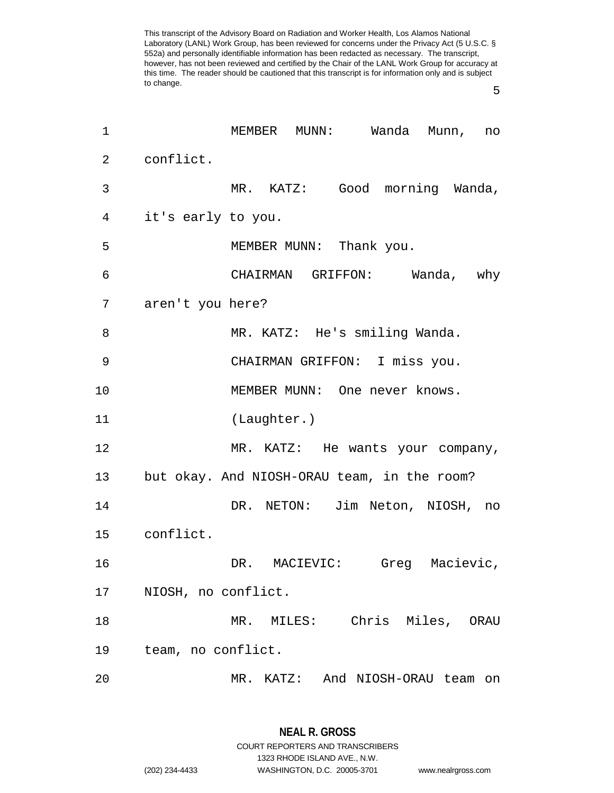5

| 1  | MEMBER MUNN: Wanda Munn,<br>no              |
|----|---------------------------------------------|
| 2  | conflict.                                   |
| 3  | MR. KATZ: Good morning Wanda,               |
| 4  | it's early to you.                          |
| 5  | MEMBER MUNN: Thank you.                     |
| 6  | CHAIRMAN GRIFFON: Wanda, why                |
| 7  | aren't you here?                            |
| 8  | MR. KATZ: He's smiling Wanda.               |
| 9  | CHAIRMAN GRIFFON: I miss you.               |
| 10 | MEMBER MUNN: One never knows.               |
| 11 | (Laughter.)                                 |
| 12 | MR. KATZ: He wants your company,            |
| 13 | but okay. And NIOSH-ORAU team, in the room? |
| 14 | DR. NETON: Jim Neton, NIOSH, no             |
| 15 | conflict.                                   |
| 16 | DR. MACIEVIC: Greg Macievic,                |
| 17 | NIOSH, no conflict.                         |
| 18 | Chris Miles, ORAU<br>MR. MILES:             |
| 19 | team, no conflict.                          |
| 20 | MR. KATZ: And NIOSH-ORAU team on            |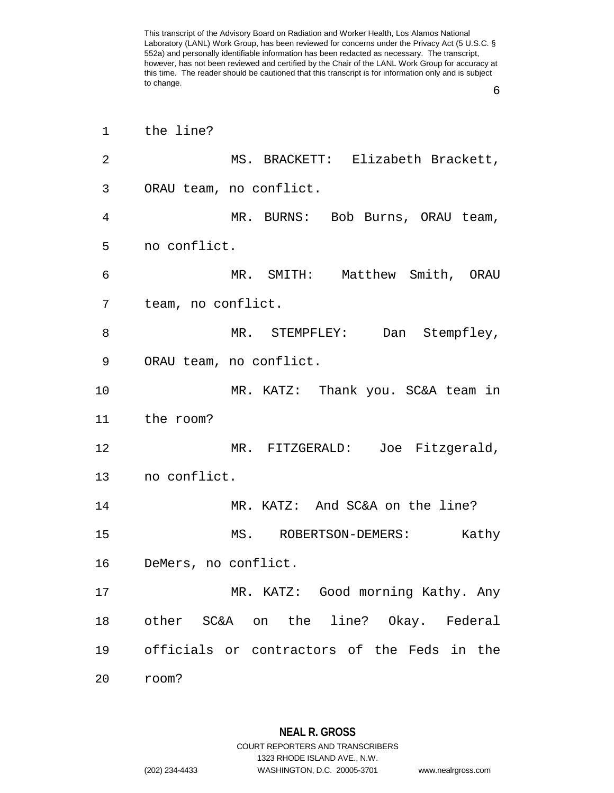6

| 1  | the line?                                   |
|----|---------------------------------------------|
| 2  | MS. BRACKETT: Elizabeth Brackett,           |
| 3  | ORAU team, no conflict.                     |
| 4  | MR. BURNS: Bob Burns, ORAU team,            |
| 5  | no conflict.                                |
| 6  | MR. SMITH: Matthew Smith, ORAU              |
| 7  | team, no conflict.                          |
| 8  | MR. STEMPFLEY: Dan Stempfley,               |
| 9  | ORAU team, no conflict.                     |
| 10 | MR. KATZ: Thank you. SC&A team in           |
| 11 | the room?                                   |
| 12 | MR. FITZGERALD: Joe Fitzgerald,             |
| 13 | no conflict.                                |
| 14 | MR. KATZ: And SC&A on the line?             |
| 15 | MS. ROBERTSON-DEMERS:<br>Kathy              |
| 16 | DeMers, no conflict.                        |
| 17 | MR. KATZ: Good morning Kathy. Any           |
| 18 | other SC&A on the line? Okay. Federal       |
| 19 | officials or contractors of the Feds in the |
| 20 | room?                                       |

**NEAL R. GROSS** COURT REPORTERS AND TRANSCRIBERS 1323 RHODE ISLAND AVE., N.W.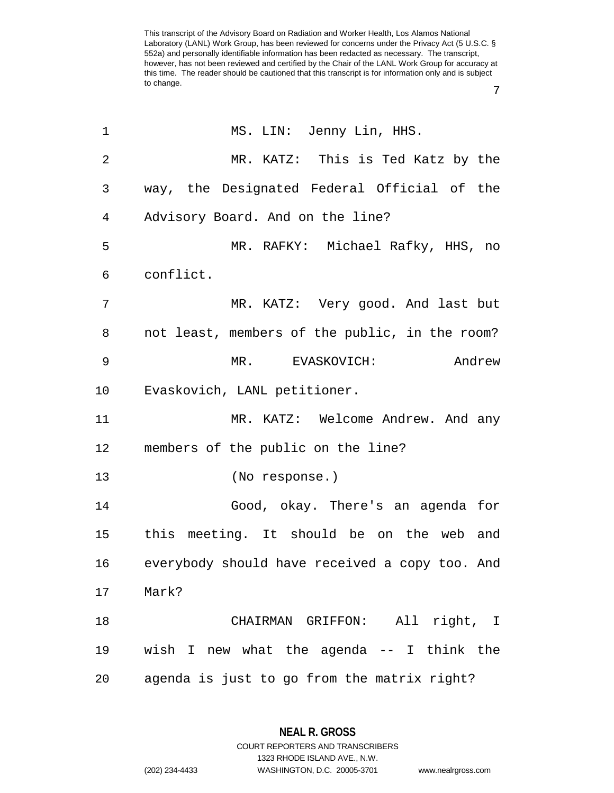| 1              | MS. LIN: Jenny Lin, HHS.                       |
|----------------|------------------------------------------------|
| $\overline{2}$ | MR. KATZ: This is Ted Katz by the              |
| 3              | way, the Designated Federal Official of the    |
| 4              | Advisory Board. And on the line?               |
| 5              | MR. RAFKY: Michael Rafky, HHS, no              |
| 6              | conflict.                                      |
| 7              | MR. KATZ: Very good. And last but              |
| 8              | not least, members of the public, in the room? |
| 9              | Andrew<br>MR. EVASKOVICH:                      |
| 10             | Evaskovich, LANL petitioner.                   |
| 11             | MR. KATZ: Welcome Andrew. And any              |
| 12             | members of the public on the line?             |
| 13             | (No response.)                                 |
| 14             | Good, okay. There's an agenda for              |
| 15             | this meeting. It should be on the web and      |
| 16             | everybody should have received a copy too. And |
| 17             | Mark?                                          |
| 18             | CHAIRMAN GRIFFON: All right, I                 |
| 19             | wish I new what the agenda -- I think the      |
| 20             | agenda is just to go from the matrix right?    |

**NEAL R. GROSS** COURT REPORTERS AND TRANSCRIBERS

1323 RHODE ISLAND AVE., N.W.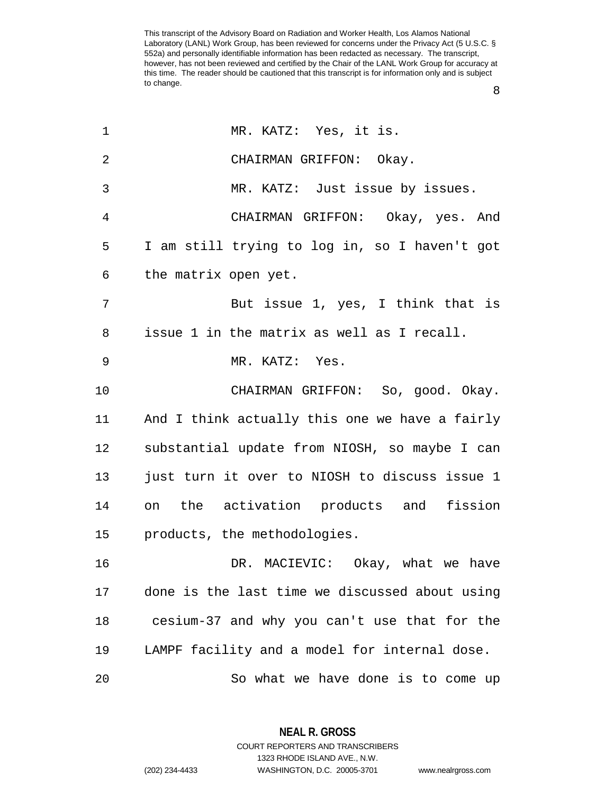| 1              | MR. KATZ: Yes, it is.                          |
|----------------|------------------------------------------------|
| $\overline{2}$ | CHAIRMAN GRIFFON: Okay.                        |
| 3              | MR. KATZ: Just issue by issues.                |
| 4              | CHAIRMAN GRIFFON: Okay, yes. And               |
| 5              | I am still trying to log in, so I haven't got  |
| 6              | the matrix open yet.                           |
| 7              | But issue 1, yes, I think that is              |
| 8              | issue 1 in the matrix as well as I recall.     |
| $\mathsf 9$    | MR. KATZ: Yes.                                 |
| 10             | CHAIRMAN GRIFFON: So, good. Okay.              |
| 11             | And I think actually this one we have a fairly |
| 12             | substantial update from NIOSH, so maybe I can  |
| 13             | just turn it over to NIOSH to discuss issue 1  |
| 14             | on the activation products and fission         |
| 15             | products, the methodologies.                   |
| 16             | DR. MACIEVIC: Okay, what we have               |
| 17             | done is the last time we discussed about using |
| 18             | cesium-37 and why you can't use that for the   |
| 19             | LAMPF facility and a model for internal dose.  |
| 20             | So what we have done is to come up             |

**NEAL R. GROSS** COURT REPORTERS AND TRANSCRIBERS

1323 RHODE ISLAND AVE., N.W.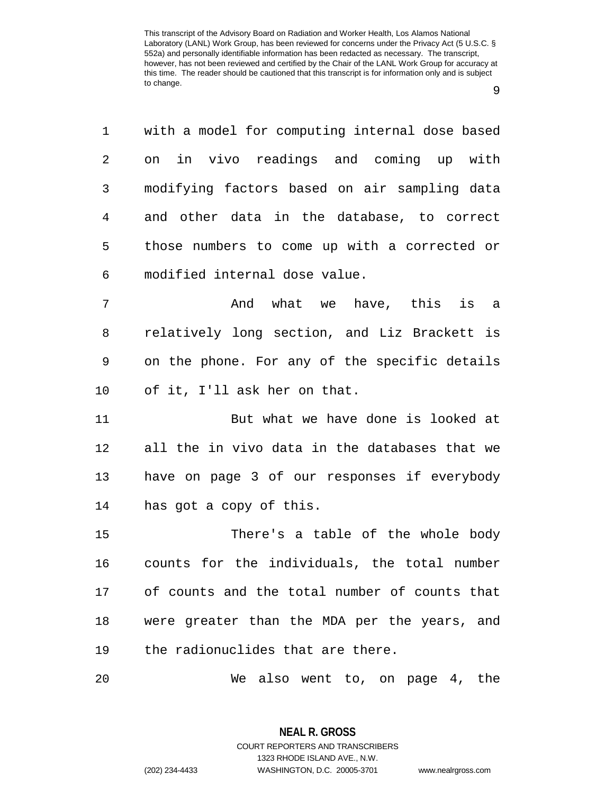1 with a model for computing internal dose based 2 on in vivo readings and coming up with 3 modifying factors based on air sampling data 4 and other data in the database, to correct 5 those numbers to come up with a corrected or 6 modified internal dose value. 7 And what we have, this is a 8 relatively long section, and Liz Brackett is 9 on the phone. For any of the specific details 10 of it, I'll ask her on that. 11 But what we have done is looked at 12 all the in vivo data in the databases that we 13 have on page 3 of our responses if everybody 14 has got a copy of this. 15 There's a table of the whole body 16 counts for the individuals, the total number 17 of counts and the total number of counts that

19 the radionuclides that are there.

20 We also went to, on page 4, the

18 were greater than the MDA per the years, and

**NEAL R. GROSS** COURT REPORTERS AND TRANSCRIBERS 1323 RHODE ISLAND AVE., N.W. (202) 234-4433 WASHINGTON, D.C. 20005-3701 www.nealrgross.com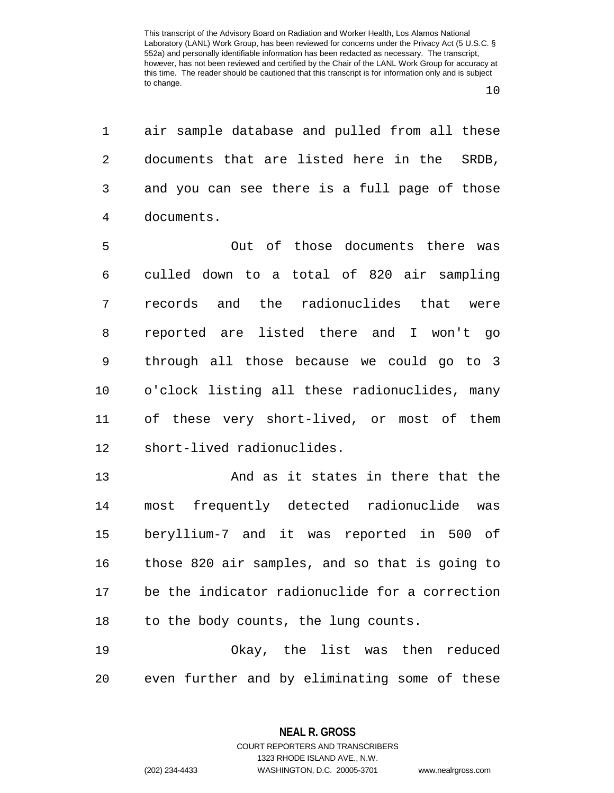1 air sample database and pulled from all these 2 documents that are listed here in the SRDB, 3 and you can see there is a full page of those 4 documents.

5 Out of those documents there was 6 culled down to a total of 820 air sampling 7 records and the radionuclides that were 8 reported are listed there and I won't go 9 through all those because we could go to 3 10 o'clock listing all these radionuclides, many 11 of these very short-lived, or most of them 12 short-lived radionuclides.

13 And as it states in there that the 14 most frequently detected radionuclide was 15 beryllium-7 and it was reported in 500 of 16 those 820 air samples, and so that is going to 17 be the indicator radionuclide for a correction 18 to the body counts, the lung counts.

19 Okay, the list was then reduced 20 even further and by eliminating some of these

> **NEAL R. GROSS** COURT REPORTERS AND TRANSCRIBERS

> > 1323 RHODE ISLAND AVE., N.W.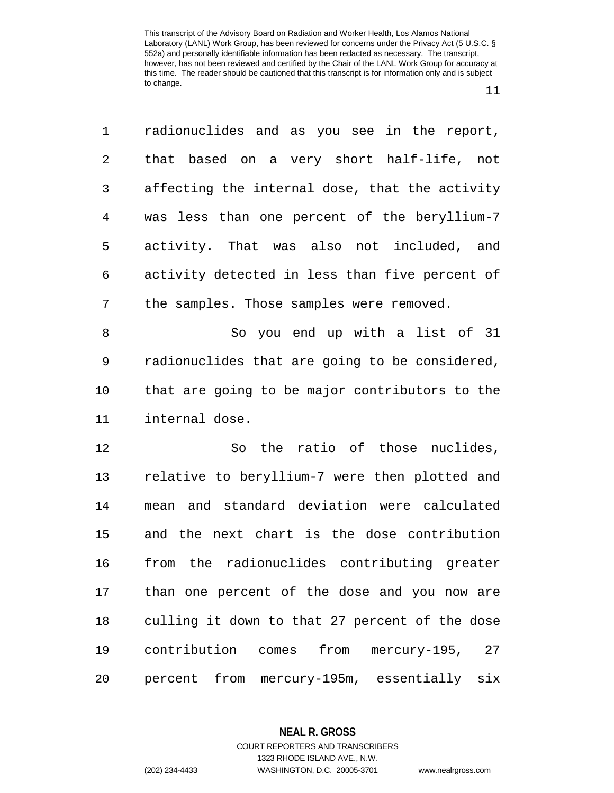11

1 radionuclides and as you see in the report, 2 that based on a very short half-life, not 3 affecting the internal dose, that the activity 4 was less than one percent of the beryllium-7 5 activity. That was also not included, and 6 activity detected in less than five percent of 7 the samples. Those samples were removed. 8 So you end up with a list of 31 9 radionuclides that are going to be considered, 10 that are going to be major contributors to the 11 internal dose. 12 So the ratio of those nuclides, 13 relative to beryllium-7 were then plotted and 14 mean and standard deviation were calculated 15 and the next chart is the dose contribution 16 from the radionuclides contributing greater 17 than one percent of the dose and you now are

18 culling it down to that 27 percent of the dose 19 contribution comes from mercury-195, 27 20 percent from mercury-195m, essentially six

**NEAL R. GROSS**

COURT REPORTERS AND TRANSCRIBERS 1323 RHODE ISLAND AVE., N.W. (202) 234-4433 WASHINGTON, D.C. 20005-3701 www.nealrgross.com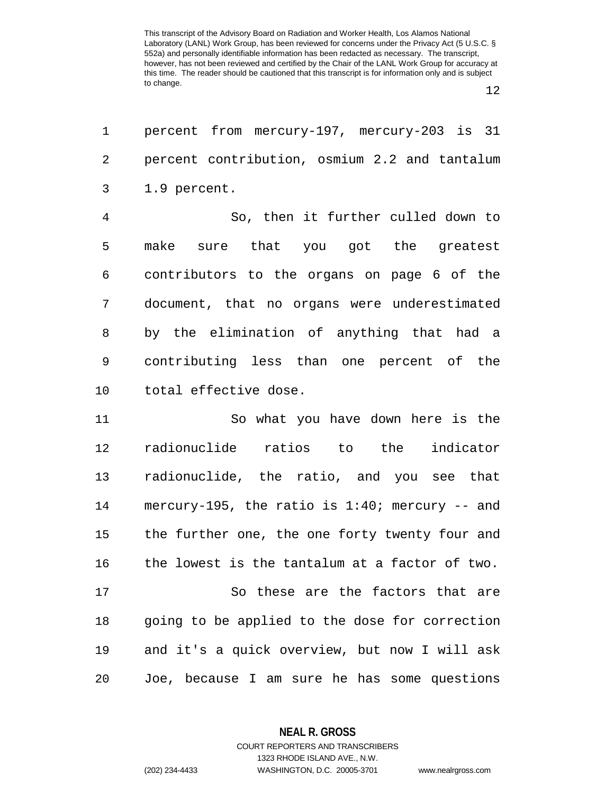12

| 1              | percent from mercury-197, mercury-203 is 31       |
|----------------|---------------------------------------------------|
| $\overline{2}$ | percent contribution, osmium 2.2 and tantalum     |
| 3              | 1.9 percent.                                      |
| $\overline{4}$ | So, then it further culled down to                |
| 5              | sure that you got the greatest<br>make            |
| 6              | contributors to the organs on page 6 of the       |
| 7              | document, that no organs were underestimated      |
| 8              | by the elimination of anything that had a         |
| 9              | contributing less than one percent of the         |
| 10             | total effective dose.                             |
| 11             | So what you have down here is the                 |
| 12             | radionuclide ratios to the indicator              |
| 13             | radionuclide, the ratio, and you see that         |
| 14             | mercury-195, the ratio is $1:40$ ; mercury -- and |
| 15             | the further one, the one forty twenty four and    |
| 16             | the lowest is the tantalum at a factor of two.    |
| 17             | So these are the factors that are                 |
| 18             | going to be applied to the dose for correction    |
| 19             | and it's a quick overview, but now I will ask     |
| 20             | Joe, because I am sure he has some questions      |

**NEAL R. GROSS**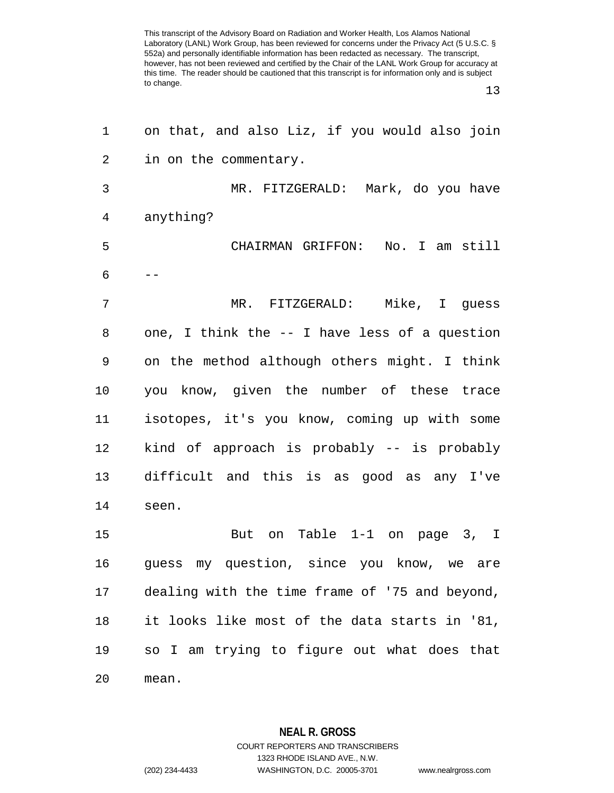13

| 1              | on that, and also Liz, if you would also join  |
|----------------|------------------------------------------------|
| $\overline{c}$ | in on the commentary.                          |
| 3              | MR. FITZGERALD: Mark, do you have              |
| 4              | anything?                                      |
| 5              | CHAIRMAN GRIFFON: No. I am still               |
| 6              |                                                |
| 7              | MR. FITZGERALD: Mike, I guess                  |
| 8              | one, I think the -- I have less of a question  |
| 9              | on the method although others might. I think   |
| 10             | you know, given the number of these trace      |
| 11             | isotopes, it's you know, coming up with some   |
| 12             | kind of approach is probably -- is probably    |
| 13             | difficult and this is as good as any I've      |
| 14             | seen.                                          |
| 15             | on Table 1-1 on page 3, I<br>But               |
| 16             | guess my question, since you know, we are      |
| 17             | dealing with the time frame of '75 and beyond, |
| 18             | it looks like most of the data starts in '81,  |
| 19             | so I am trying to figure out what does that    |
| 20             | mean.                                          |

**NEAL R. GROSS** COURT REPORTERS AND TRANSCRIBERS 1323 RHODE ISLAND AVE., N.W.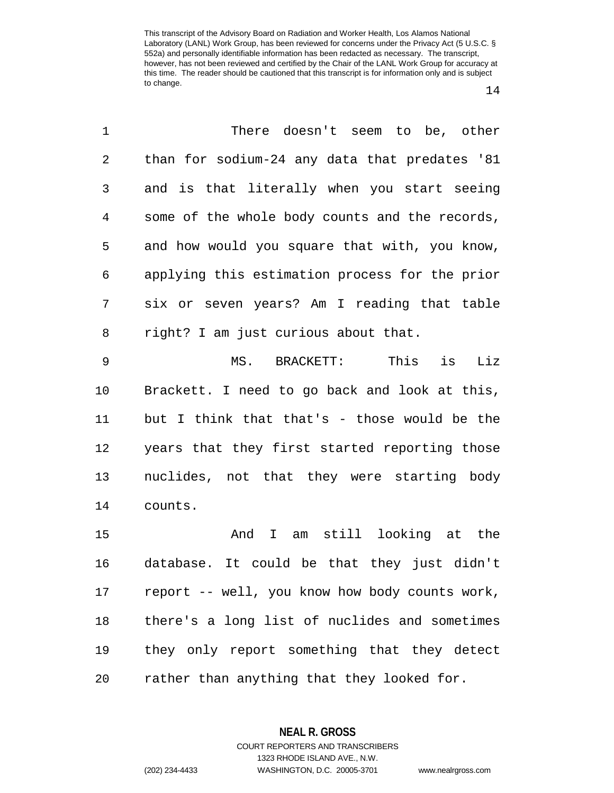14

| $\mathbf 1$    | There doesn't seem to be, other                |
|----------------|------------------------------------------------|
| 2              | than for sodium-24 any data that predates '81  |
| 3              | and is that literally when you start seeing    |
| $\overline{4}$ | some of the whole body counts and the records, |
| 5              | and how would you square that with, you know,  |
| 6              | applying this estimation process for the prior |
| 7              | six or seven years? Am I reading that table    |
| 8              | right? I am just curious about that.           |
| $\mathsf 9$    | This is<br>Liz<br>MS.<br>BRACKETT:             |
| 10             | Brackett. I need to go back and look at this,  |
| 11             | but I think that that's - those would be the   |
| 12             | years that they first started reporting those  |
| 13             | nuclides, not that they were starting body     |
| 14             | counts.                                        |
| 15             | am still looking at the<br>And<br>$\mathbf{I}$ |
| 16             | database. It could be that they just didn't    |
| 17             | report -- well, you know how body counts work, |
|                |                                                |

19 they only report something that they detect 20 rather than anything that they looked for.

18 there's a long list of nuclides and sometimes

**NEAL R. GROSS** COURT REPORTERS AND TRANSCRIBERS 1323 RHODE ISLAND AVE., N.W. (202) 234-4433 WASHINGTON, D.C. 20005-3701 www.nealrgross.com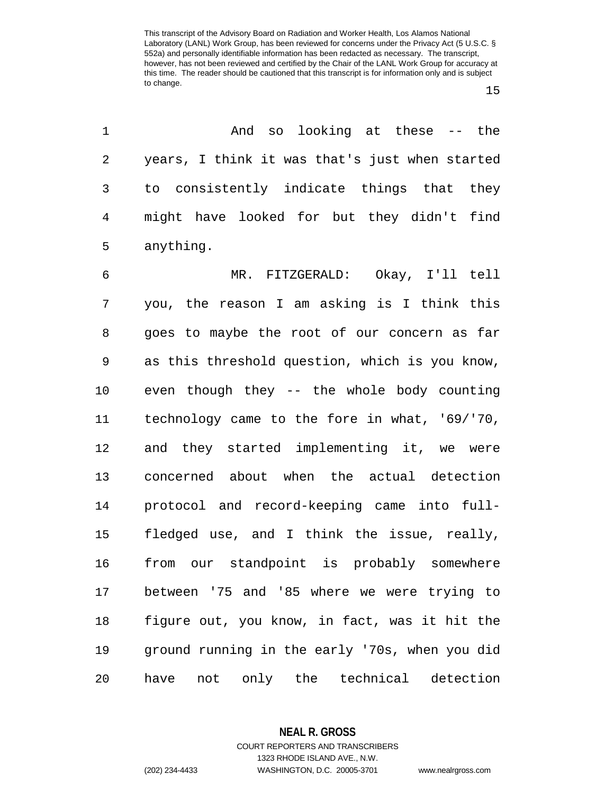1 And so looking at these -- the 2 years, I think it was that's just when started 3 to consistently indicate things that they 4 might have looked for but they didn't find 5 anything.

6 MR. FITZGERALD: Okay, I'll tell 7 you, the reason I am asking is I think this 8 goes to maybe the root of our concern as far 9 as this threshold question, which is you know, 10 even though they -- the whole body counting 11 technology came to the fore in what, '69/'70, 12 and they started implementing it, we were 13 concerned about when the actual detection 14 protocol and record-keeping came into full-15 fledged use, and I think the issue, really, 16 from our standpoint is probably somewhere 17 between '75 and '85 where we were trying to 18 figure out, you know, in fact, was it hit the 19 ground running in the early '70s, when you did 20 have not only the technical detection

**NEAL R. GROSS**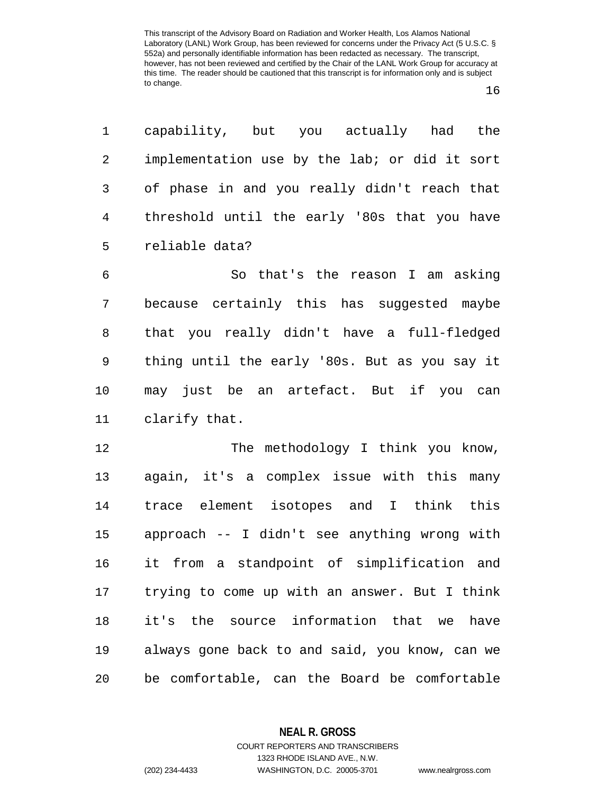1 capability, but you actually had the 2 implementation use by the lab; or did it sort 3 of phase in and you really didn't reach that 4 threshold until the early '80s that you have 5 reliable data?

6 So that's the reason I am asking 7 because certainly this has suggested maybe 8 that you really didn't have a full-fledged 9 thing until the early '80s. But as you say it 10 may just be an artefact. But if you can 11 clarify that.

12 The methodology I think you know, 13 again, it's a complex issue with this many 14 trace element isotopes and I think this 15 approach -- I didn't see anything wrong with 16 it from a standpoint of simplification and 17 trying to come up with an answer. But I think 18 it's the source information that we have 19 always gone back to and said, you know, can we 20 be comfortable, can the Board be comfortable

> **NEAL R. GROSS** COURT REPORTERS AND TRANSCRIBERS

> > 1323 RHODE ISLAND AVE., N.W.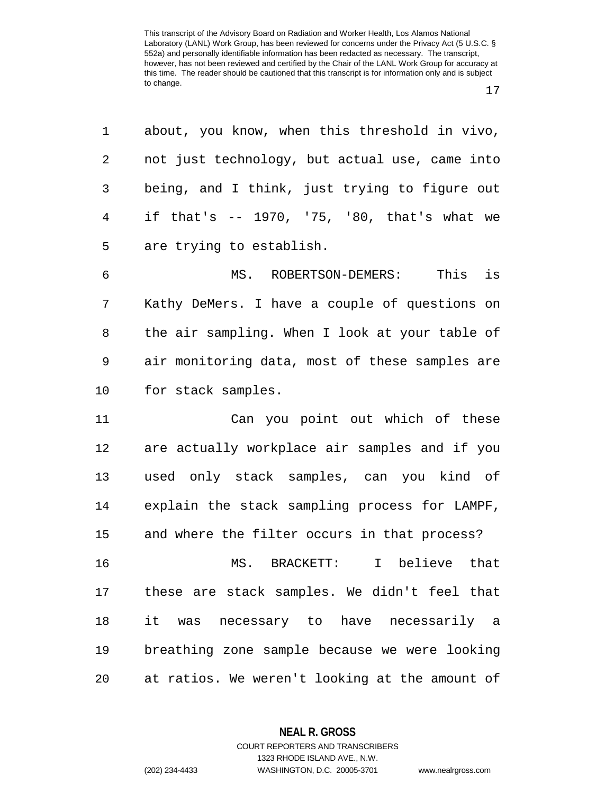| 1  | about, you know, when this threshold in vivo,  |
|----|------------------------------------------------|
| 2  | not just technology, but actual use, came into |
| 3  | being, and I think, just trying to figure out  |
| 4  | if that's -- 1970, '75, '80, that's what we    |
| 5  | are trying to establish.                       |
| 6  | MS. ROBERTSON-DEMERS:<br>This is               |
| 7  | Kathy DeMers. I have a couple of questions on  |
| 8  | the air sampling. When I look at your table of |
| 9  | air monitoring data, most of these samples are |
| 10 | for stack samples.                             |
| 11 | Can you point out which of these               |
| 12 | are actually workplace air samples and if you  |
| 13 | used only stack samples, can you kind of       |
| 14 | explain the stack sampling process for LAMPF,  |
| 15 | and where the filter occurs in that process?   |
| 16 | MS. BRACKETT: I believe that                   |
| 17 | these are stack samples. We didn't feel that   |
| 18 | it was necessary to have necessarily a         |
| 19 | breathing zone sample because we were looking  |
| 20 | at ratios. We weren't looking at the amount of |

**NEAL R. GROSS**

COURT REPORTERS AND TRANSCRIBERS 1323 RHODE ISLAND AVE., N.W. (202) 234-4433 WASHINGTON, D.C. 20005-3701 www.nealrgross.com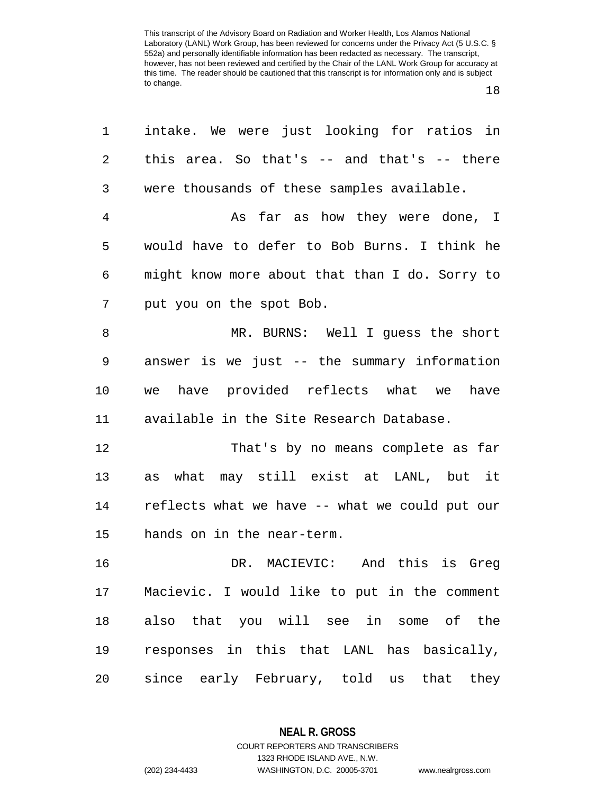18

| 1  | intake. We were just looking for ratios in      |
|----|-------------------------------------------------|
| 2  | this area. So that's $--$ and that's $--$ there |
| 3  | were thousands of these samples available.      |
| 4  | As far as how they were done, I                 |
| 5  | would have to defer to Bob Burns. I think he    |
| 6  | might know more about that than I do. Sorry to  |
| 7  | put you on the spot Bob.                        |
| 8  | MR. BURNS: Well I guess the short               |
| 9  | answer is we just -- the summary information    |
| 10 | we have provided reflects what we<br>have       |
| 11 | available in the Site Research Database.        |
| 12 | That's by no means complete as far              |
| 13 | what may still exist at LANL, but it<br>as      |
| 14 | reflects what we have -- what we could put our  |
| 15 | hands on in the near-term.                      |
| 16 | DR. MACIEVIC: And this is Greq                  |
| 17 | Macievic. I would like to put in the comment    |
| 18 | also that you will see in some of the           |
| 19 | responses in this that LANL has basically,      |
| 20 | since early February, told us that they         |

**NEAL R. GROSS** COURT REPORTERS AND TRANSCRIBERS 1323 RHODE ISLAND AVE., N.W.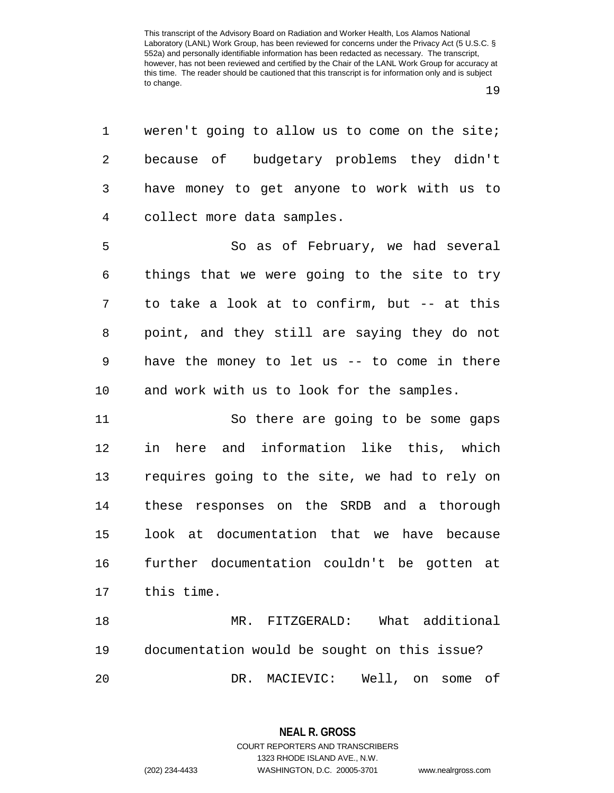| ٦<br>۰. |  |
|---------|--|
|---------|--|

1 weren't going to allow us to come on the site; 2 because of budgetary problems they didn't 3 have money to get anyone to work with us to 4 collect more data samples.

5 So as of February, we had several 6 things that we were going to the site to try 7 to take a look at to confirm, but -- at this 8 point, and they still are saying they do not 9 have the money to let us -- to come in there 10 and work with us to look for the samples.

11 So there are going to be some gaps 12 in here and information like this, which 13 requires going to the site, we had to rely on 14 these responses on the SRDB and a thorough 15 look at documentation that we have because 16 further documentation couldn't be gotten at 17 this time.

18 MR. FITZGERALD: What additional 19 documentation would be sought on this issue? 20 DR. MACIEVIC: Well, on some of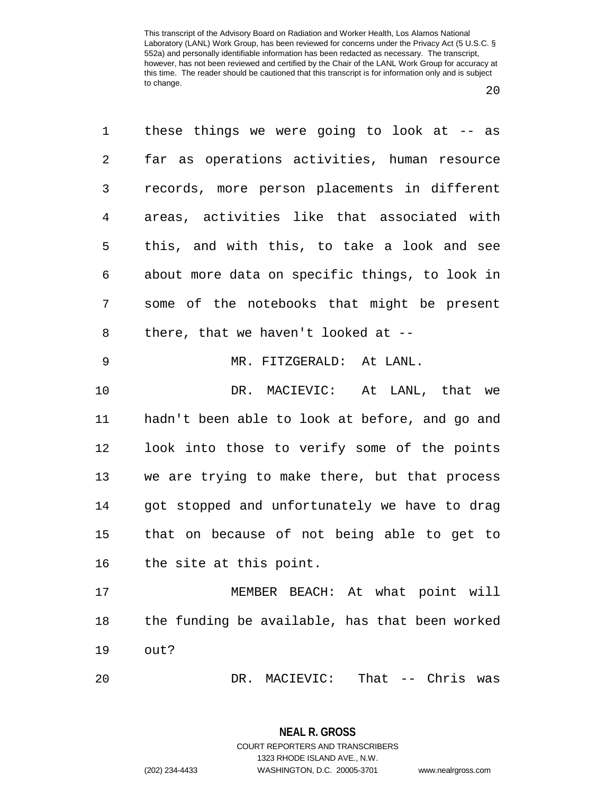$20^{\circ}$ 

1 these things we were going to look at -- as 2 far as operations activities, human resource 3 records, more person placements in different 4 areas, activities like that associated with 5 this, and with this, to take a look and see 6 about more data on specific things, to look in 7 some of the notebooks that might be present 8 there, that we haven't looked at -- 9 MR. FITZGERALD: At LANL. 10 DR. MACIEVIC: At LANL, that we 11 hadn't been able to look at before, and go and 12 look into those to verify some of the points 13 we are trying to make there, but that process 14 got stopped and unfortunately we have to drag 15 that on because of not being able to get to 16 the site at this point. 17 MEMBER BEACH: At what point will 18 the funding be available, has that been worked 19 out? 20 DR. MACIEVIC: That -- Chris was

> **NEAL R. GROSS** COURT REPORTERS AND TRANSCRIBERS 1323 RHODE ISLAND AVE., N.W. (202) 234-4433 WASHINGTON, D.C. 20005-3701 www.nealrgross.com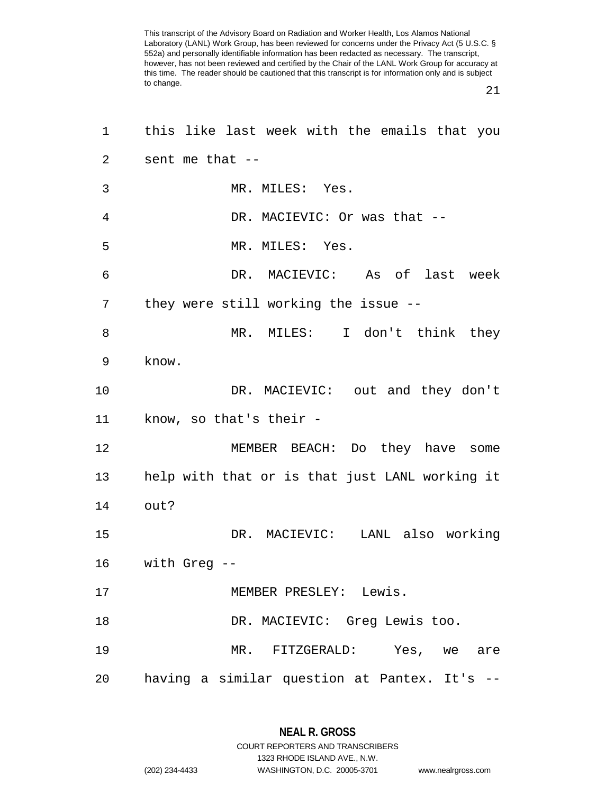21

| 1              | this like last week with the emails that you   |
|----------------|------------------------------------------------|
| $\overline{2}$ | sent me that --                                |
| 3              | MR. MILES: Yes.                                |
| 4              | DR. MACIEVIC: Or was that --                   |
| 5              | MR. MILES: Yes.                                |
| 6              | DR. MACIEVIC: As of last week                  |
| 7              | they were still working the issue --           |
| 8              | MR. MILES: I don't think they                  |
| 9              | know.                                          |
| 10             | DR. MACIEVIC: out and they don't               |
| 11             | know, so that's their -                        |
| 12             | MEMBER BEACH: Do they have some                |
| 13             | help with that or is that just LANL working it |
| 14             | out?                                           |
| 15             | DR. MACIEVIC: LANL also working                |
| 16             | with Greg --                                   |
| 17             | MEMBER PRESLEY: Lewis.                         |
| 18             | DR. MACIEVIC: Greg Lewis too.                  |
| 19             | MR. FITZGERALD: Yes, we are                    |
| 20             | having a similar question at Pantex. It's --   |

1323 RHODE ISLAND AVE., N.W.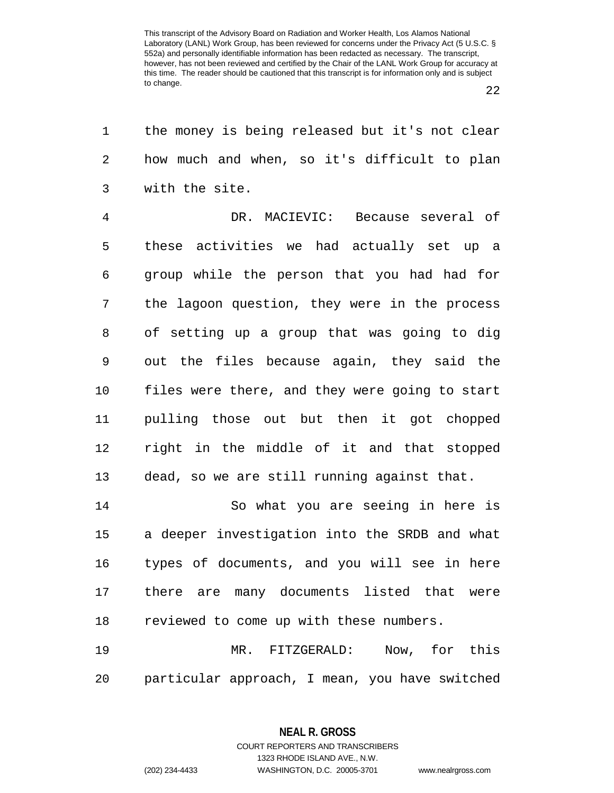22

| 1              | the money is being released but it's not clear |
|----------------|------------------------------------------------|
| 2              | how much and when, so it's difficult to plan   |
| 3              | with the site.                                 |
| $\overline{4}$ | DR. MACIEVIC: Because several of               |
| 5              | these activities we had actually set up a      |
| 6              | group while the person that you had had for    |
| 7              | the lagoon question, they were in the process  |
| 8              | of setting up a group that was going to dig    |
| 9              | out the files because again, they said the     |
| 10             | files were there, and they were going to start |
| 11             | pulling those out but then it got chopped      |
| 12             | right in the middle of it and that stopped     |
| 13             | dead, so we are still running against that.    |
| 14             | So what you are seeing in here is              |
| 15             | a deeper investigation into the SRDB and what  |
| 16             | types of documents, and you will see in here   |
| 17             | there are many documents listed that were      |
| 18             | reviewed to come up with these numbers.        |
| 19             | MR. FITZGERALD: Now, for this                  |
| 20             | particular approach, I mean, you have switched |

**NEAL R. GROSS** COURT REPORTERS AND TRANSCRIBERS

1323 RHODE ISLAND AVE., N.W. (202) 234-4433 WASHINGTON, D.C. 20005-3701 www.nealrgross.com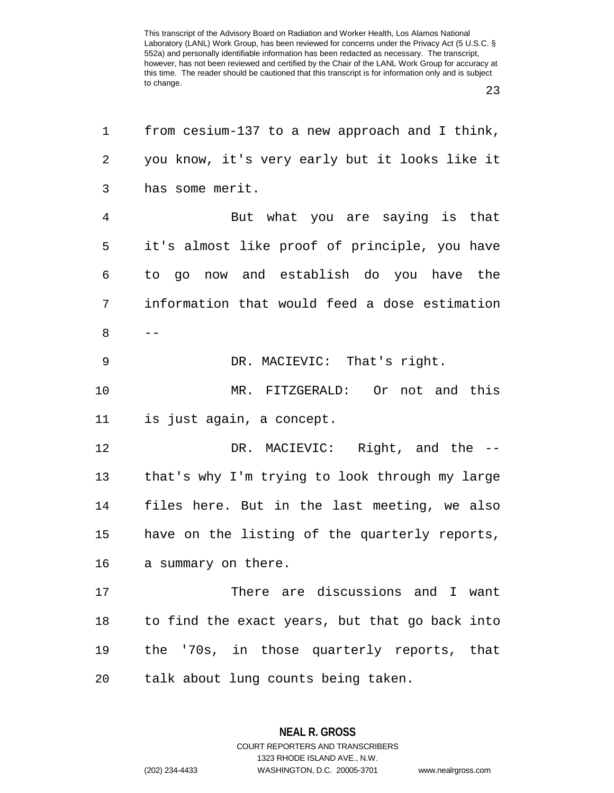23

| 1              | from cesium-137 to a new approach and I think, |
|----------------|------------------------------------------------|
| 2              | you know, it's very early but it looks like it |
| 3              | has some merit.                                |
| $\overline{4}$ | But what you are saying is that                |
| 5              | it's almost like proof of principle, you have  |
| 6              | to go now and establish do you have the        |
| 7              | information that would feed a dose estimation  |
| 8              |                                                |
| 9              | DR. MACIEVIC: That's right.                    |
| 10             | MR. FITZGERALD: Or not and this                |
| 11             | is just again, a concept.                      |
| 12             | DR. MACIEVIC: Right, and the --                |
| 13             | that's why I'm trying to look through my large |
| 14             | files here. But in the last meeting, we also   |
| 15             | have on the listing of the quarterly reports,  |
| 16             | a summary on there.                            |
| 17             | There are discussions and I want               |
| 18             | to find the exact years, but that go back into |
| 19             | the '70s, in those quarterly reports, that     |
| 20             | talk about lung counts being taken.            |

**NEAL R. GROSS** COURT REPORTERS AND TRANSCRIBERS

1323 RHODE ISLAND AVE., N.W.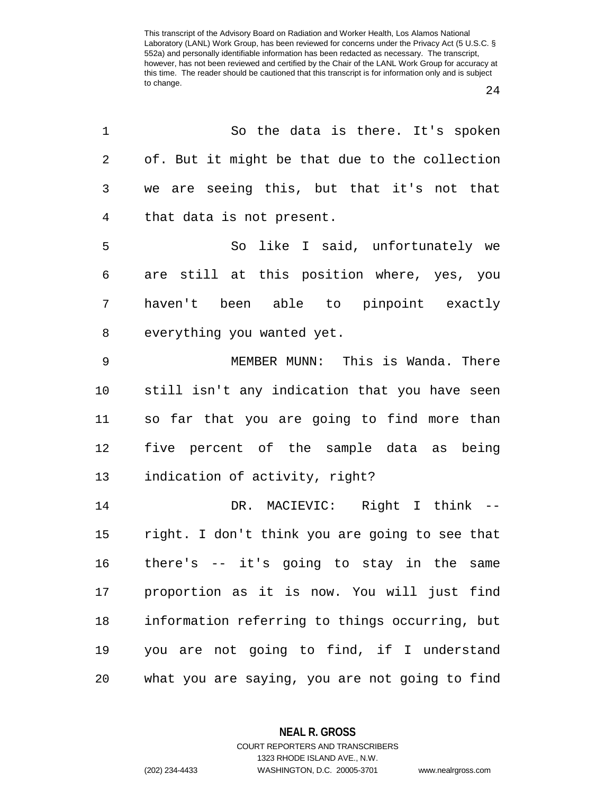24

| 1              | So the data is there. It's spoken              |
|----------------|------------------------------------------------|
| $\overline{2}$ | of. But it might be that due to the collection |
| 3              | we are seeing this, but that it's not that     |
| $\overline{4}$ | that data is not present.                      |
| 5              | So like I said, unfortunately we               |
| 6              | are still at this position where, yes, you     |
| 7              | haven't been able to pinpoint exactly          |
| 8              | everything you wanted yet.                     |
| 9              | MEMBER MUNN: This is Wanda. There              |
| $10 \,$        | still isn't any indication that you have seen  |
| 11             | so far that you are going to find more than    |
| 12             | five percent of the sample data as being       |
| 13             | indication of activity, right?                 |
| 14             | DR. MACIEVIC: Right I think --                 |
| 15             | right. I don't think you are going to see that |
| 16             | there's -- it's going to stay in the same      |
| 17             | proportion as it is now. You will just find    |
| 18             | information referring to things occurring, but |
| 19             | you are not going to find, if I understand     |
| 20             | what you are saying, you are not going to find |

**NEAL R. GROSS** COURT REPORTERS AND TRANSCRIBERS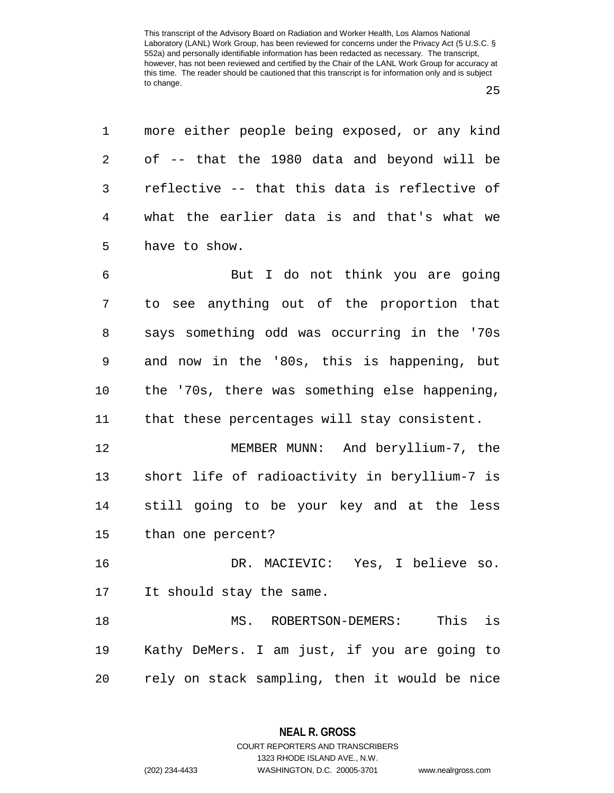1 more either people being exposed, or any kind 2 of -- that the 1980 data and beyond will be 3 reflective -- that this data is reflective of 4 what the earlier data is and that's what we 5 have to show.

6 But I do not think you are going 7 to see anything out of the proportion that 8 says something odd was occurring in the '70s 9 and now in the '80s, this is happening, but 10 the '70s, there was something else happening, 11 that these percentages will stay consistent. 12 MEMBER MUNN: And beryllium-7, the

13 short life of radioactivity in beryllium-7 is 14 still going to be your key and at the less 15 than one percent?

16 DR. MACIEVIC: Yes, I believe so. 17 It should stay the same.

18 MS. ROBERTSON-DEMERS: This is 19 Kathy DeMers. I am just, if you are going to 20 rely on stack sampling, then it would be nice

1323 RHODE ISLAND AVE., N.W.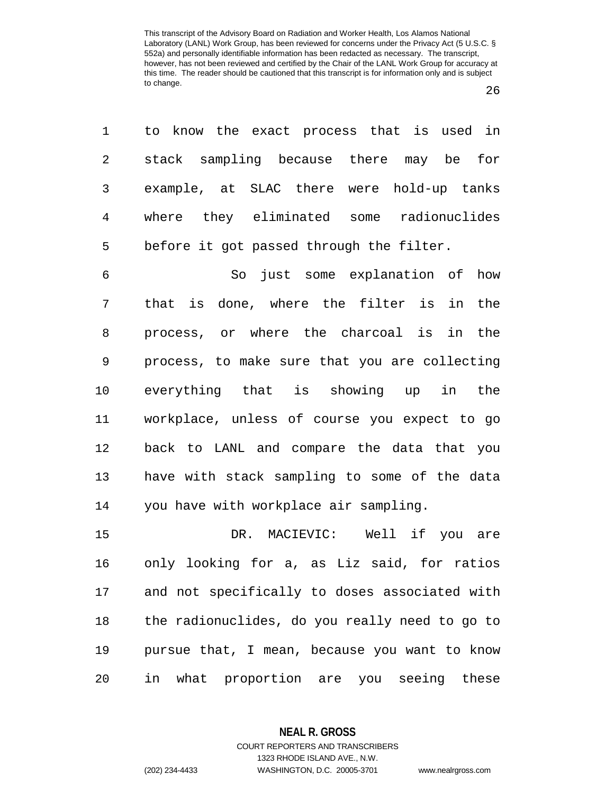26

|             | 1 to know the exact process that is used in |  |  |
|-------------|---------------------------------------------|--|--|
|             | 2 stack sampling because there may be for   |  |  |
|             | 3 example, at SLAC there were hold-up tanks |  |  |
|             | 4 where they eliminated some radionuclides  |  |  |
| $5^{\circ}$ | before it got passed through the filter.    |  |  |

6 So just some explanation of how 7 that is done, where the filter is in the 8 process, or where the charcoal is in the 9 process, to make sure that you are collecting 10 everything that is showing up in the 11 workplace, unless of course you expect to go 12 back to LANL and compare the data that you 13 have with stack sampling to some of the data 14 you have with workplace air sampling.

15 DR. MACIEVIC: Well if you are 16 only looking for a, as Liz said, for ratios 17 and not specifically to doses associated with 18 the radionuclides, do you really need to go to 19 pursue that, I mean, because you want to know 20 in what proportion are you seeing these

## **NEAL R. GROSS** COURT REPORTERS AND TRANSCRIBERS

1323 RHODE ISLAND AVE., N.W. (202) 234-4433 WASHINGTON, D.C. 20005-3701 www.nealrgross.com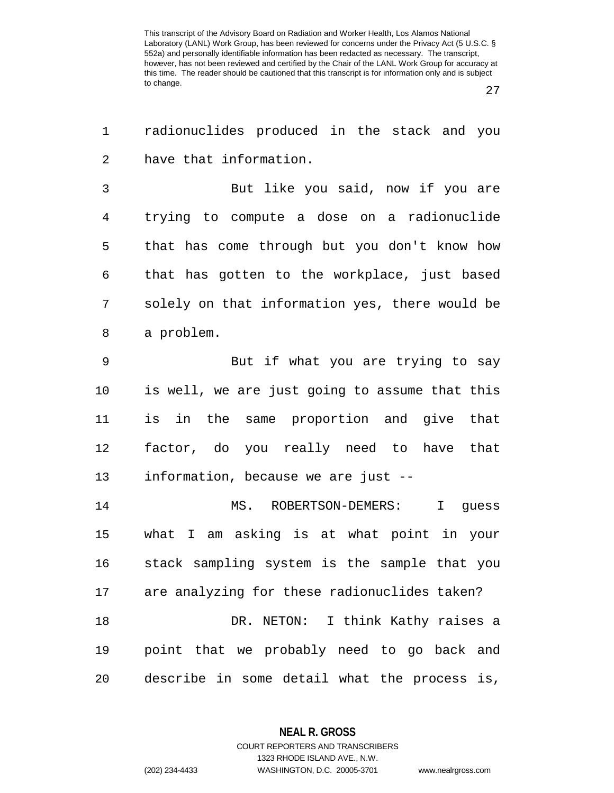27

| 1              | radionuclides produced in the stack and you    |
|----------------|------------------------------------------------|
| $\overline{2}$ | have that information.                         |
| 3              | But like you said, now if you are              |
| $\overline{4}$ | trying to compute a dose on a radionuclide     |
| 5              | that has come through but you don't know how   |
| 6              | that has gotten to the workplace, just based   |
| 7              | solely on that information yes, there would be |
| 8              | a problem.                                     |
| 9              | But if what you are trying to say              |
| $10 \,$        | is well, we are just going to assume that this |
| 11             | is in the same proportion and give that        |
| 12             | factor, do you really need to have that        |
| 13             | information, because we are just --            |
| 14             | MS. ROBERTSON-DEMERS:<br>I guess               |
| 15             | what I am asking is at what point in your      |
| 16             | stack sampling system is the sample that you   |
| 17             | are analyzing for these radionuclides taken?   |
| 18             | DR. NETON: I think Kathy raises a              |
| 19             | point that we probably need to go back and     |
| 20             | describe in some detail what the process is,   |

**NEAL R. GROSS** COURT REPORTERS AND TRANSCRIBERS

1323 RHODE ISLAND AVE., N.W.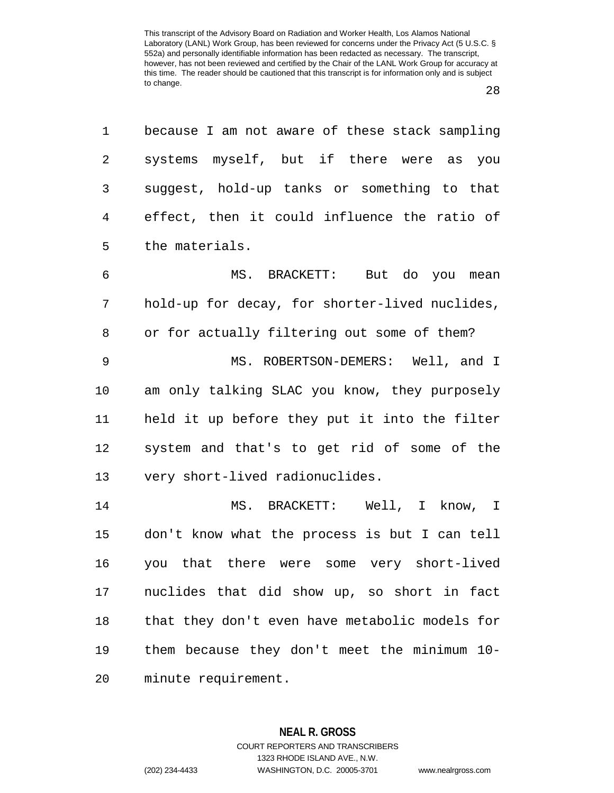| $1 \quad \Box$ | because I am not aware of these stack sampling |
|----------------|------------------------------------------------|
| $\overline{2}$ | systems myself, but if there were as you       |
| $3 \quad$      | suggest, hold-up tanks or something to that    |
| $4\degree$     | effect, then it could influence the ratio of   |
|                | 5 the materials.                               |

6 MS. BRACKETT: But do you mean 7 hold-up for decay, for shorter-lived nuclides, 8 or for actually filtering out some of them? 9 MS. ROBERTSON-DEMERS: Well, and I 10 am only talking SLAC you know, they purposely 11 held it up before they put it into the filter 12 system and that's to get rid of some of the 13 very short-lived radionuclides.

14 MS. BRACKETT: Well, I know, I 15 don't know what the process is but I can tell 16 you that there were some very short-lived 17 nuclides that did show up, so short in fact 18 that they don't even have metabolic models for 19 them because they don't meet the minimum 10- 20 minute requirement.

> **NEAL R. GROSS** COURT REPORTERS AND TRANSCRIBERS

> > 1323 RHODE ISLAND AVE., N.W.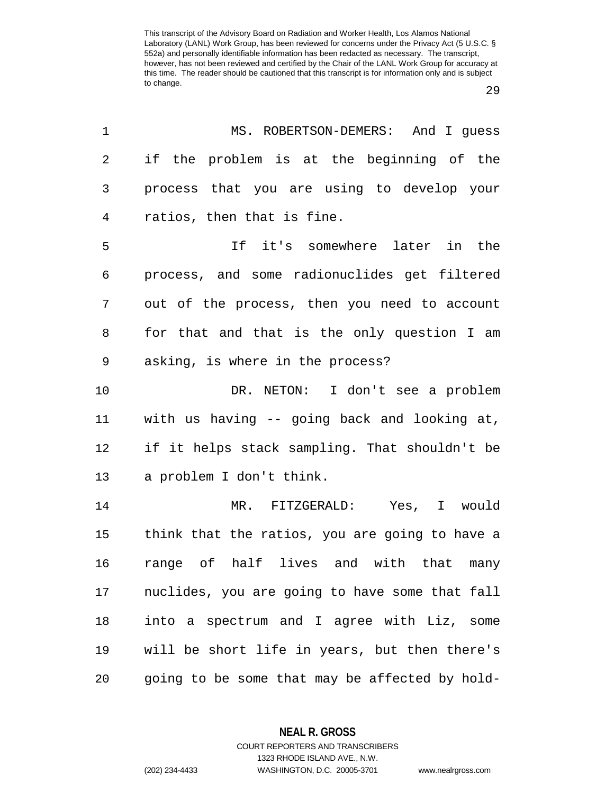29

| 1              | MS. ROBERTSON-DEMERS: And I guess              |
|----------------|------------------------------------------------|
| 2              | if the problem is at the beginning of the      |
| 3              | process that you are using to develop your     |
| $\overline{4}$ | ratios, then that is fine.                     |
| 5              | If it's somewhere later in the                 |
| 6              | process, and some radionuclides get filtered   |
| 7              | out of the process, then you need to account   |
| 8              | for that and that is the only question I am    |
| 9              | asking, is where in the process?               |
| 10             | DR. NETON: I don't see a problem               |
| 11             | with us having -- going back and looking at,   |
| 12             | if it helps stack sampling. That shouldn't be  |
| 13             | a problem I don't think.                       |
| 14             | MR. FITZGERALD: Yes, I would                   |
| 15             | think that the ratios, you are going to have a |
| 16             | range of half lives and with that many         |
| 17             | nuclides, you are going to have some that fall |
| $1\,8$         | into a spectrum and I agree with Liz, some     |
| 19             | will be short life in years, but then there's  |
| 20             | going to be some that may be affected by hold- |

**NEAL R. GROSS**

COURT REPORTERS AND TRANSCRIBERS 1323 RHODE ISLAND AVE., N.W. (202) 234-4433 WASHINGTON, D.C. 20005-3701 www.nealrgross.com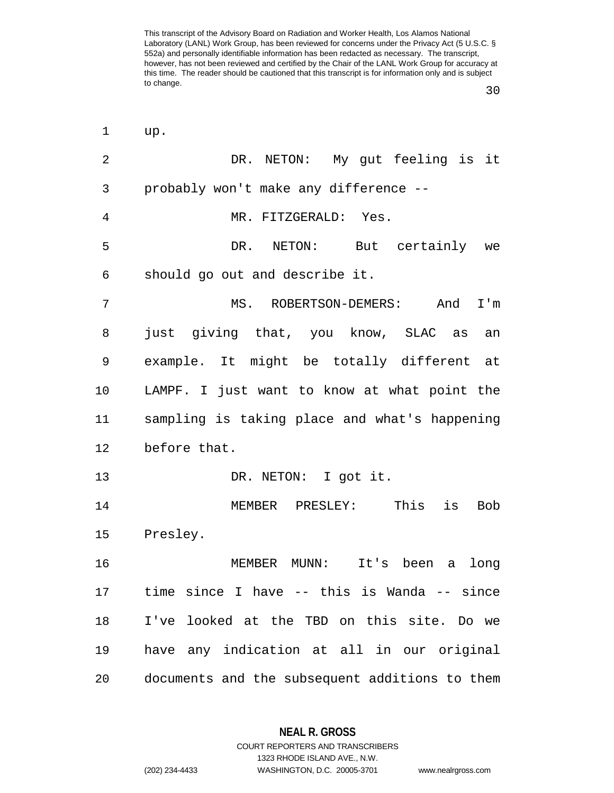30

| 1              | up.                                            |
|----------------|------------------------------------------------|
| $\overline{2}$ | DR. NETON: My gut feeling is it                |
| 3              | probably won't make any difference --          |
| 4              | MR. FITZGERALD: Yes.                           |
| 5              | DR.<br>NETON: But certainly we                 |
| 6              | should go out and describe it.                 |
| 7              | MS. ROBERTSON-DEMERS:<br>And<br>I'm            |
| 8              | just giving that, you know, SLAC as<br>an      |
| 9              | example. It might be totally different at      |
| 10             | LAMPF. I just want to know at what point the   |
| 11             | sampling is taking place and what's happening  |
| 12             | before that.                                   |
| 13             | DR. NETON: I got it.                           |
| 14             | This<br>is<br>MEMBER PRESLEY:<br><b>Bob</b>    |
| 15             | Presley.                                       |
| 16             | It's been a<br>MEMBER MUNN:<br>long            |
| 17             | time since I have -- this is Wanda -- since    |
| 18             | I've looked at the TBD on this site. Do we     |
| 19             | have any indication at all in our original     |
| 20             | documents and the subsequent additions to them |

**NEAL R. GROSS** COURT REPORTERS AND TRANSCRIBERS

1323 RHODE ISLAND AVE., N.W.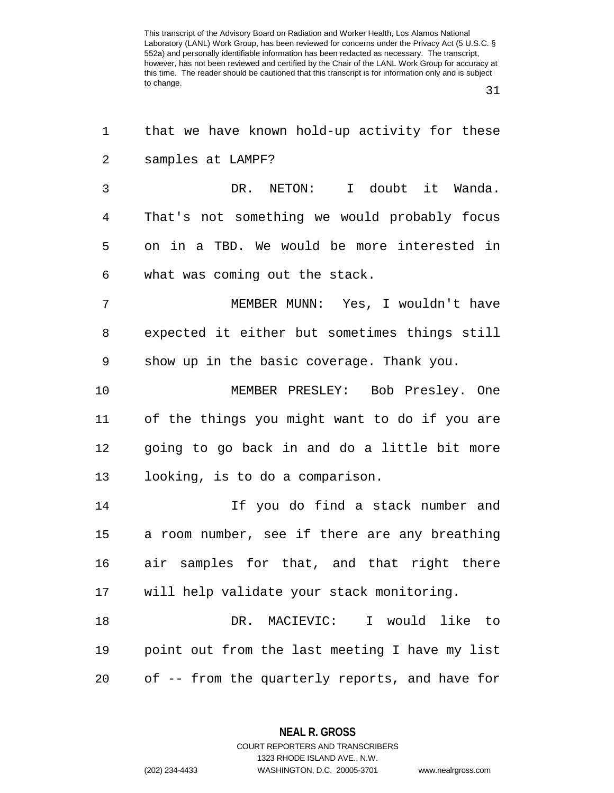31

| 1  | that we have known hold-up activity for these  |
|----|------------------------------------------------|
| 2  | samples at LAMPF?                              |
| 3  | DR. NETON:<br>I doubt it Wanda.                |
| 4  | That's not something we would probably focus   |
| 5  | on in a TBD. We would be more interested in    |
| 6  | what was coming out the stack.                 |
| 7  | MEMBER MUNN: Yes, I wouldn't have              |
| 8  | expected it either but sometimes things still  |
| 9  | show up in the basic coverage. Thank you.      |
| 10 | MEMBER PRESLEY: Bob Presley. One               |
| 11 | of the things you might want to do if you are  |
| 12 | going to go back in and do a little bit more   |
| 13 | looking, is to do a comparison.                |
| 14 | If you do find a stack number and              |
| 15 | a room number, see if there are any breathing  |
| 16 | air samples for that, and that right there     |
| 17 | will help validate your stack monitoring.      |
| 18 | DR. MACIEVIC:<br>I would like to               |
| 19 | point out from the last meeting I have my list |
| 20 | of -- from the quarterly reports, and have for |

**NEAL R. GROSS** COURT REPORTERS AND TRANSCRIBERS

1323 RHODE ISLAND AVE., N.W.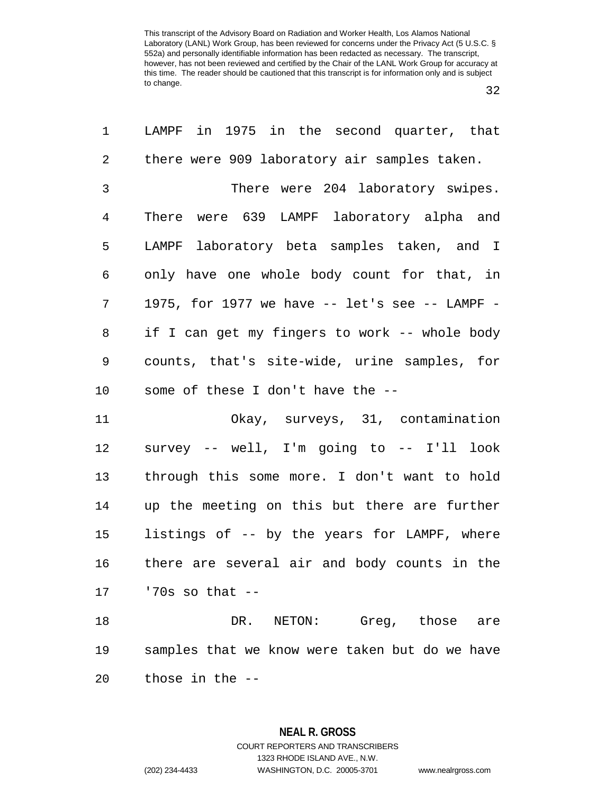32

| $\mathbf 1$    | LAMPF in 1975 in the second quarter, that            |
|----------------|------------------------------------------------------|
| $\overline{c}$ | there were 909 laboratory air samples taken.         |
| 3              | There were 204 laboratory swipes.                    |
| $\overline{4}$ | There were 639 LAMPF laboratory alpha and            |
| 5              | LAMPF laboratory beta samples taken, and I           |
| 6              | only have one whole body count for that, in          |
| 7              | 1975, for 1977 we have $--$ let's see $--$ LAMPF $-$ |
| 8              | if I can get my fingers to work -- whole body        |
| 9              | counts, that's site-wide, urine samples, for         |
| 10             | some of these I don't have the --                    |
| 11             | Okay, surveys, 31, contamination                     |
| 12             | survey -- well, I'm going to -- I'll look            |
| 13             | through this some more. I don't want to hold         |
| 14             | up the meeting on this but there are further         |
| 15             | listings of -- by the years for LAMPF, where         |
| 16             | there are several air and body counts in the         |
|                | $17$ '70s so that $-$                                |
| 18             | DR. NETON: Greg, those<br>are                        |
| 19             | samples that we know were taken but do we have       |
| 20             | those in the --                                      |

**NEAL R. GROSS** COURT REPORTERS AND TRANSCRIBERS 1323 RHODE ISLAND AVE., N.W. (202) 234-4433 WASHINGTON, D.C. 20005-3701 www.nealrgross.com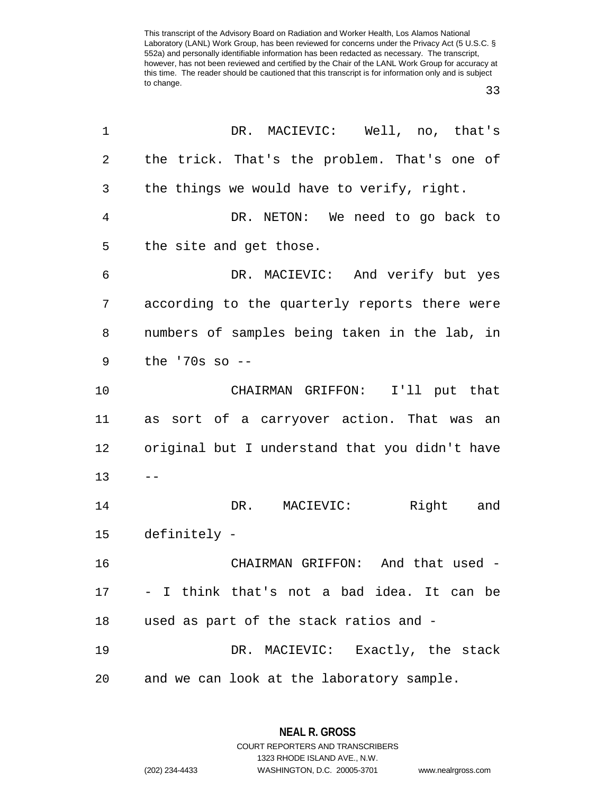33

| 1  | DR. MACIEVIC: Well, no, that's                 |
|----|------------------------------------------------|
| 2  | the trick. That's the problem. That's one of   |
| 3  | the things we would have to verify, right.     |
| 4  | DR. NETON: We need to go back to               |
| 5  | the site and get those.                        |
| 6  | DR. MACIEVIC: And verify but yes               |
| 7  | according to the quarterly reports there were  |
| 8  | numbers of samples being taken in the lab, in  |
| 9  | the $'70s$ so $-$                              |
| 10 | CHAIRMAN GRIFFON: I'll put that                |
| 11 | as sort of a carryover action. That was an     |
| 12 | original but I understand that you didn't have |
| 13 |                                                |
| 14 | Right and<br>DR. MACIEVIC:                     |
| 15 | definitely -                                   |
| 16 | CHAIRMAN GRIFFON: And that used -              |
| 17 | - I think that's not a bad idea. It can be     |
| 18 | used as part of the stack ratios and -         |
| 19 | DR. MACIEVIC: Exactly, the stack               |
| 20 | and we can look at the laboratory sample.      |

**NEAL R. GROSS** COURT REPORTERS AND TRANSCRIBERS

1323 RHODE ISLAND AVE., N.W.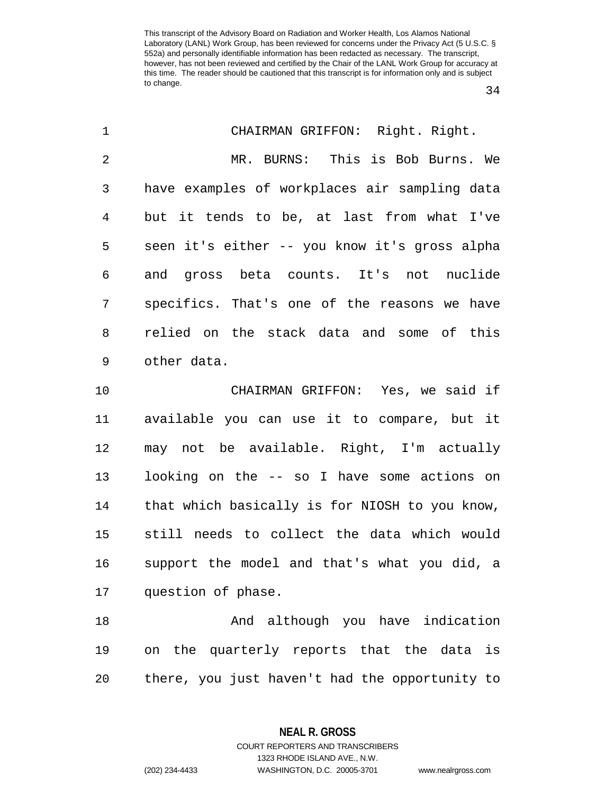34

| $\mathbf 1$    | CHAIRMAN GRIFFON: Right. Right.                |
|----------------|------------------------------------------------|
| $\overline{2}$ | MR. BURNS: This is Bob Burns. We               |
| 3              | have examples of workplaces air sampling data  |
| 4              | but it tends to be, at last from what I've     |
| 5              | seen it's either -- you know it's gross alpha  |
| 6              | and gross beta counts. It's not nuclide        |
| 7              | specifics. That's one of the reasons we have   |
| 8              | relied on the stack data and some of this      |
| 9              | other data.                                    |
| 10             | CHAIRMAN GRIFFON: Yes, we said if              |
| 11             | available you can use it to compare, but it    |
| 12             | may not be available. Right, I'm actually      |
| 13             | looking on the -- so I have some actions on    |
| 14             | that which basically is for NIOSH to you know, |
| 15             | still needs to collect the data which would    |
| 16             | support the model and that's what you did, a   |
| 17             | question of phase.                             |
| 18             | And although you have indication               |
| 19             | on the quarterly reports that the data is      |
| 20             | there, you just haven't had the opportunity to |
|                |                                                |

**NEAL R. GROSS**

COURT REPORTERS AND TRANSCRIBERS 1323 RHODE ISLAND AVE., N.W. (202) 234-4433 WASHINGTON, D.C. 20005-3701 www.nealrgross.com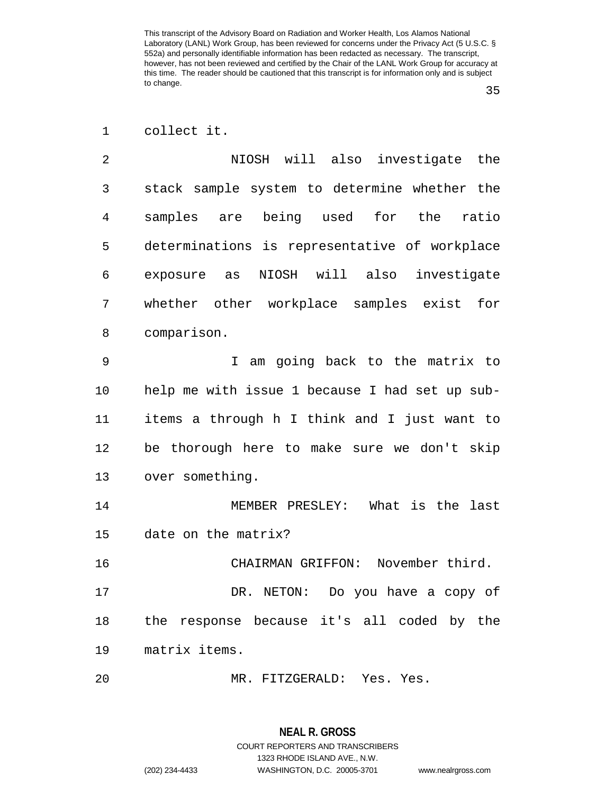35

| collect it. |  |
|-------------|--|
|             |  |

2 NIOSH will also investigate the 3 stack sample system to determine whether the 4 samples are being used for the ratio 5 determinations is representative of workplace 6 exposure as NIOSH will also investigate 7 whether other workplace samples exist for 8 comparison.

9 I am going back to the matrix to 10 help me with issue 1 because I had set up sub-11 items a through h I think and I just want to 12 be thorough here to make sure we don't skip 13 over something.

14 MEMBER PRESLEY: What is the last 15 date on the matrix?

16 CHAIRMAN GRIFFON: November third. 17 DR. NETON: Do you have a copy of 18 the response because it's all coded by the 19 matrix items.

20 MR. FITZGERALD: Yes. Yes.

# **NEAL R. GROSS** COURT REPORTERS AND TRANSCRIBERS 1323 RHODE ISLAND AVE., N.W.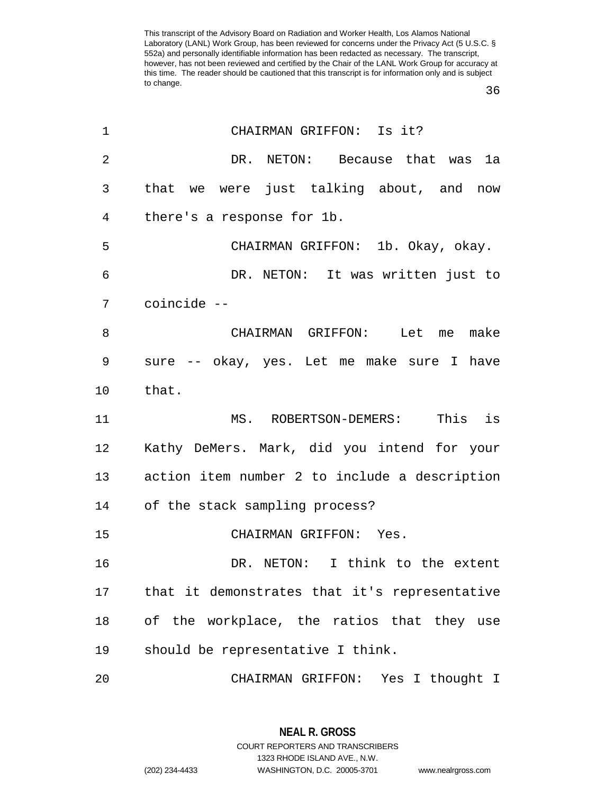36

| $\mathbf 1$ | CHAIRMAN GRIFFON: Is it?                      |
|-------------|-----------------------------------------------|
| 2           | DR. NETON: Because that was la                |
| 3           | that we were just talking about, and now      |
| 4           | there's a response for 1b.                    |
| 5           | CHAIRMAN GRIFFON: 1b. Okay, okay.             |
| 6           | DR. NETON: It was written just to             |
| 7           | coincide --                                   |
| 8           | CHAIRMAN GRIFFON: Let me make                 |
| 9           | sure -- okay, yes. Let me make sure I have    |
| $10 \,$     | that.                                         |
| 11          | MS. ROBERTSON-DEMERS: This is                 |
| 12          | Kathy DeMers. Mark, did you intend for your   |
| 13          | action item number 2 to include a description |
| 14          | of the stack sampling process?                |
| 15          | CHAIRMAN GRIFFON: Yes.                        |
| 16          | DR. NETON: I think to the extent              |
| 17          | that it demonstrates that it's representative |
| 18          | of the workplace, the ratios that they use    |
| 19          | should be representative I think.             |
| 20          | CHAIRMAN GRIFFON: Yes I thought I             |

**NEAL R. GROSS** COURT REPORTERS AND TRANSCRIBERS 1323 RHODE ISLAND AVE., N.W. (202) 234-4433 WASHINGTON, D.C. 20005-3701 www.nealrgross.com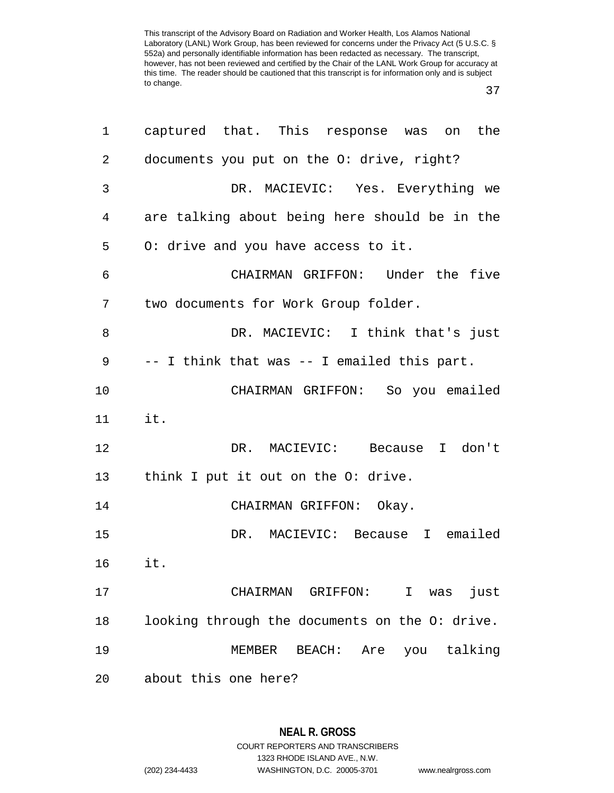37

| 1  | captured that. This response was on the        |
|----|------------------------------------------------|
| 2  | documents you put on the O: drive, right?      |
| 3  | DR. MACIEVIC: Yes. Everything we               |
| 4  | are talking about being here should be in the  |
| 5  | 0: drive and you have access to it.            |
| 6  | CHAIRMAN GRIFFON: Under the five               |
| 7  | two documents for Work Group folder.           |
| 8  | DR. MACIEVIC: I think that's just              |
| 9  | -- I think that was -- I emailed this part.    |
| 10 | CHAIRMAN GRIFFON: So you emailed               |
| 11 | it.                                            |
| 12 | DR. MACIEVIC: Because I don't                  |
| 13 | think I put it out on the O: drive.            |
| 14 | CHAIRMAN GRIFFON: Okay.                        |
| 15 | DR. MACIEVIC: Because I emailed                |
| 16 | it.                                            |
| 17 | CHAIRMAN GRIFFON: I was<br>just                |
| 18 | looking through the documents on the O: drive. |
| 19 | Are you talking<br>MEMBER<br>BEACH:            |
| 20 | about this one here?                           |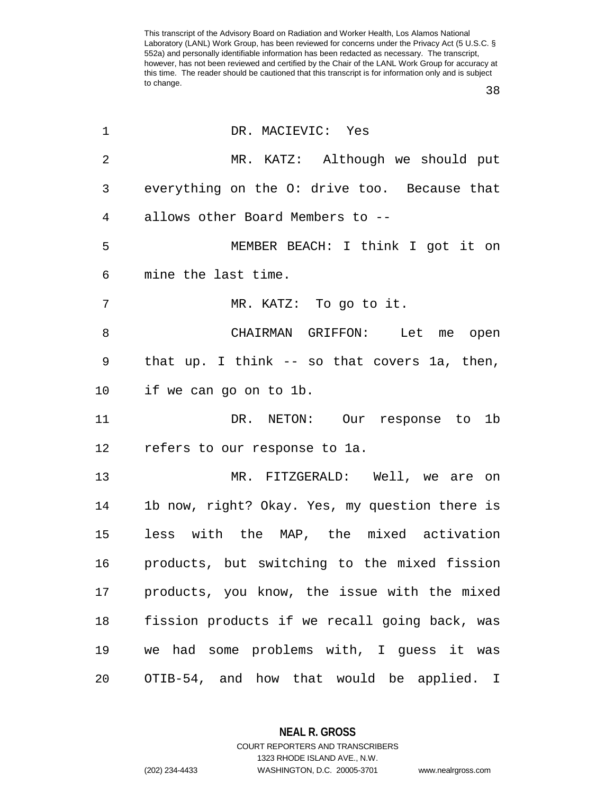38

| 1               | DR. MACIEVIC: Yes                              |
|-----------------|------------------------------------------------|
| $\overline{2}$  | MR. KATZ: Although we should put               |
| 3               | everything on the 0: drive too. Because that   |
| $\overline{4}$  | allows other Board Members to --               |
| 5               | MEMBER BEACH: I think I got it on              |
| 6               | mine the last time.                            |
| $\overline{7}$  | MR. KATZ: To go to it.                         |
| 8               | CHAIRMAN GRIFFON: Let me open                  |
| 9               | that up. I think -- so that covers la, then,   |
| 10              | if we can go on to 1b.                         |
| 11              | DR. NETON: Our response to 1b                  |
| 12 <sub>2</sub> | refers to our response to la.                  |
| 13              | MR. FITZGERALD: Well, we are on                |
| 14              | 1b now, right? Okay. Yes, my question there is |
| 15              | less with the MAP, the mixed activation        |
| 16              | products, but switching to the mixed fission   |
| 17              | products, you know, the issue with the mixed   |
| 18              | fission products if we recall going back, was  |
| 19              | we had some problems with, I guess it was      |
| 20              | OTIB-54, and how that would be applied. I      |

**NEAL R. GROSS** COURT REPORTERS AND TRANSCRIBERS

1323 RHODE ISLAND AVE., N.W. (202) 234-4433 WASHINGTON, D.C. 20005-3701 www.nealrgross.com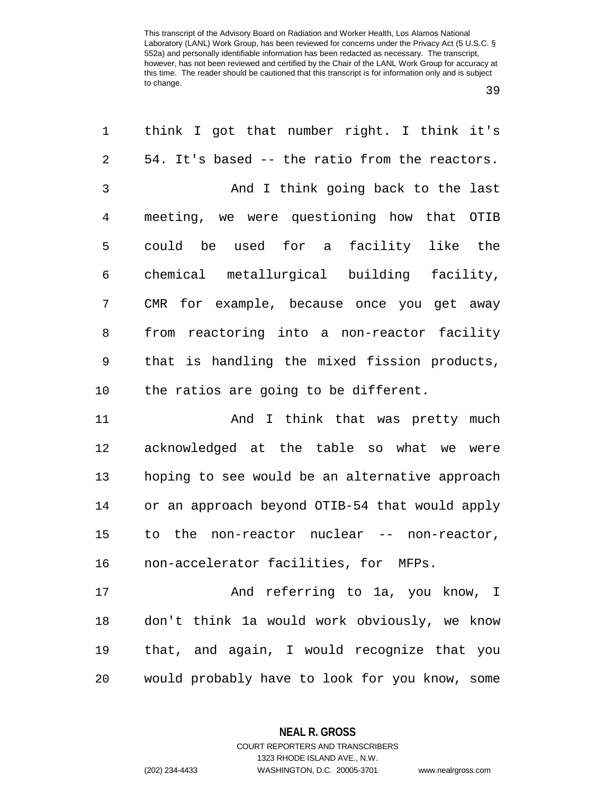39

| 1              | think I got that number right. I think it's    |
|----------------|------------------------------------------------|
| $\overline{2}$ | 54. It's based -- the ratio from the reactors. |
| 3              | And I think going back to the last             |
| 4              | meeting, we were questioning how that OTIB     |
| 5              | could be used for a facility like the          |
| 6              | chemical metallurgical building facility,      |
| 7              | CMR for example, because once you get away     |
| 8              | from reactoring into a non-reactor facility    |
| 9              | that is handling the mixed fission products,   |
| 10             | the ratios are going to be different.          |
| 11             | And I think that was pretty much               |
| 12             | acknowledged at the table so what we were      |
| 13             | hoping to see would be an alternative approach |
| 14             | or an approach beyond OTIB-54 that would apply |
| 15             | non-reactor nuclear -- non-reactor,<br>to the  |
| 16             | non-accelerator facilities, for MFPs.          |
| 17             | And referring to 1a, you know, I               |
| 18             | don't think la would work obviously, we know   |
| 19             | that, and again, I would recognize that you    |
| 20             | would probably have to look for you know, some |

**NEAL R. GROSS**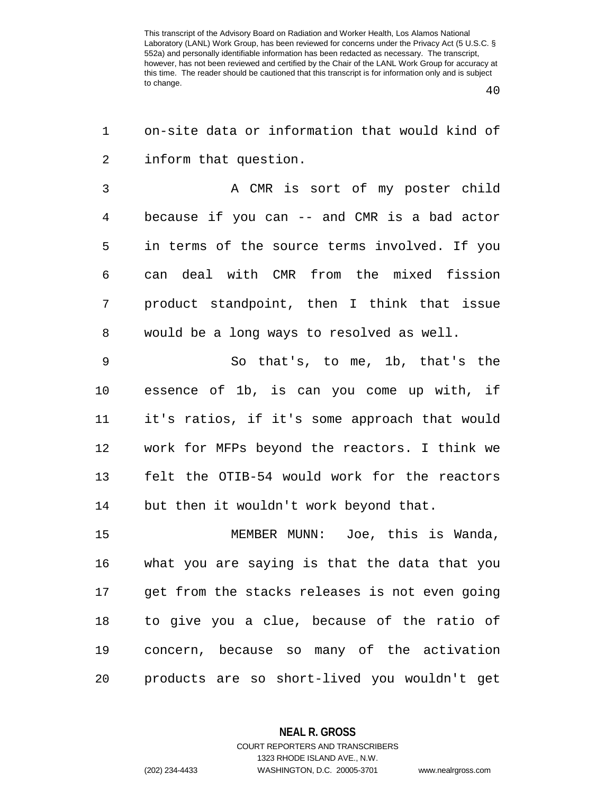40

1 on-site data or information that would kind of 2 inform that question.

3 A CMR is sort of my poster child 4 because if you can -- and CMR is a bad actor 5 in terms of the source terms involved. If you 6 can deal with CMR from the mixed fission 7 product standpoint, then I think that issue 8 would be a long ways to resolved as well.

9 So that's, to me, 1b, that's the 10 essence of 1b, is can you come up with, if 11 it's ratios, if it's some approach that would 12 work for MFPs beyond the reactors. I think we 13 felt the OTIB-54 would work for the reactors 14 but then it wouldn't work beyond that.

15 MEMBER MUNN: Joe, this is Wanda, 16 what you are saying is that the data that you 17 get from the stacks releases is not even going 18 to give you a clue, because of the ratio of 19 concern, because so many of the activation 20 products are so short-lived you wouldn't get

## **NEAL R. GROSS**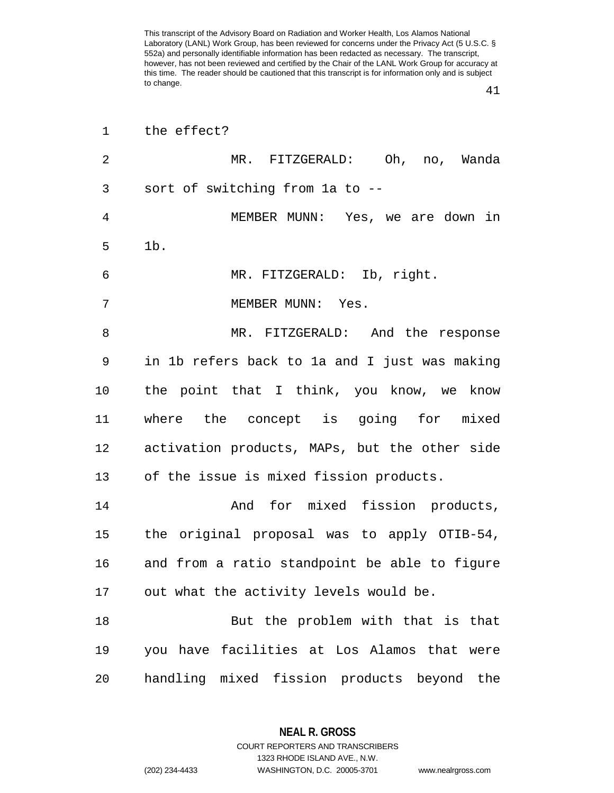41

| $\mathbf 1$    | the effect?                                   |
|----------------|-----------------------------------------------|
| $\overline{2}$ | MR. FITZGERALD: Oh, no, Wanda                 |
| 3              | sort of switching from la to --               |
| $\overline{4}$ | MEMBER MUNN: Yes, we are down in              |
| 5              | 1b.                                           |
| 6              | MR. FITZGERALD: Ib, right.                    |
| 7              | MEMBER MUNN: Yes.                             |
| 8              | MR. FITZGERALD: And the response              |
| 9              | in 1b refers back to 1a and I just was making |
| 10             | the point that I think, you know, we know     |
| 11             | where the concept is going for mixed          |
| 12             | activation products, MAPs, but the other side |
| 13             | of the issue is mixed fission products.       |
| 14             | And for mixed fission products,               |
| 15             | the original proposal was to apply OTIB-54,   |
| 16             | and from a ratio standpoint be able to figure |
| 17             | out what the activity levels would be.        |
| 18             | But the problem with that is that             |
| 19             | you have facilities at Los Alamos that were   |
| 20             | handling mixed fission products beyond the    |

**NEAL R. GROSS** COURT REPORTERS AND TRANSCRIBERS

1323 RHODE ISLAND AVE., N.W.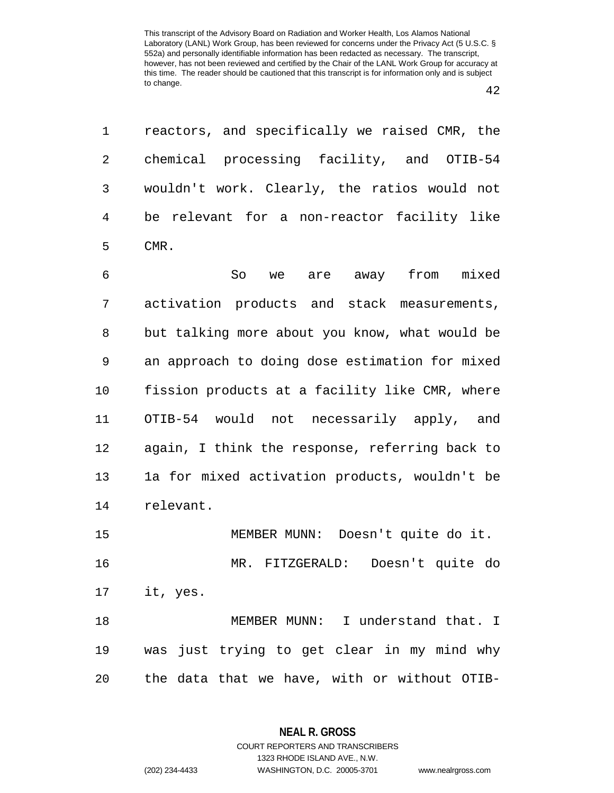1 reactors, and specifically we raised CMR, the 2 chemical processing facility, and OTIB-54 3 wouldn't work. Clearly, the ratios would not 4 be relevant for a non-reactor facility like 5 CMR.

6 So we are away from mixed 7 activation products and stack measurements, 8 but talking more about you know, what would be 9 an approach to doing dose estimation for mixed 10 fission products at a facility like CMR, where 11 OTIB-54 would not necessarily apply, and 12 again, I think the response, referring back to 13 1a for mixed activation products, wouldn't be 14 relevant.

15 MEMBER MUNN: Doesn't quite do it. 16 MR. FITZGERALD: Doesn't quite do 17 it, yes. 18 MEMBER MUNN: I understand that. I 19 was just trying to get clear in my mind why 20 the data that we have, with or without OTIB-

> **NEAL R. GROSS** COURT REPORTERS AND TRANSCRIBERS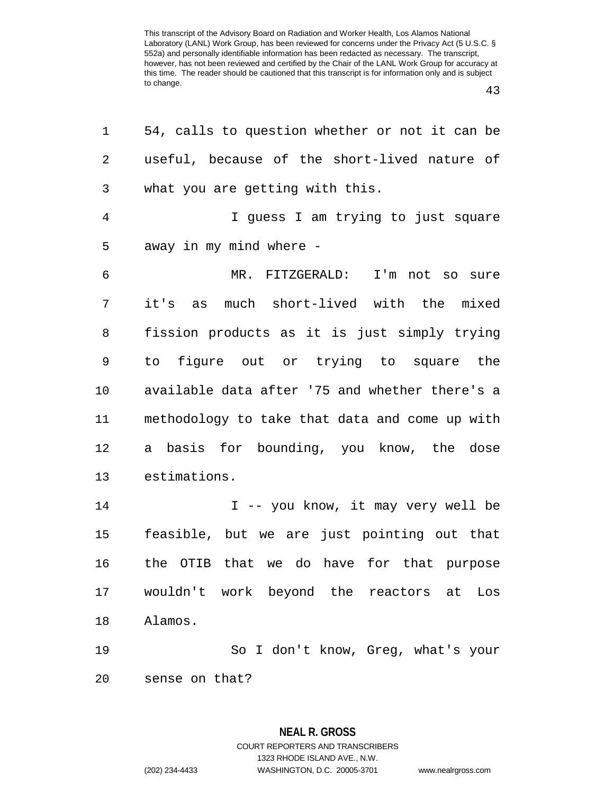43

| 1  | 54, calls to question whether or not it can be |
|----|------------------------------------------------|
| 2  | useful, because of the short-lived nature of   |
| 3  | what you are getting with this.                |
| 4  | I guess I am trying to just square             |
| 5  | away in my mind where -                        |
| 6  | MR. FITZGERALD: I'm not so sure                |
| 7  | it's as<br>much short-lived with the mixed     |
| 8  | fission products as it is just simply trying   |
| 9  | to figure out or trying to square the          |
| 10 | available data after '75 and whether there's a |
| 11 | methodology to take that data and come up with |
| 12 | a basis for bounding, you know, the dose       |
| 13 | estimations.                                   |
| 14 | I -- you know, it may very well be             |
| 15 | feasible, but we are just pointing out that    |
| 16 | the OTIB that we do have for that purpose      |
| 17 | wouldn't work beyond the reactors<br>Los<br>at |
| 18 | Alamos.                                        |
| 19 | So I don't know, Greg, what's your             |
| 20 | sense on that?                                 |

**NEAL R. GROSS** COURT REPORTERS AND TRANSCRIBERS 1323 RHODE ISLAND AVE., N.W.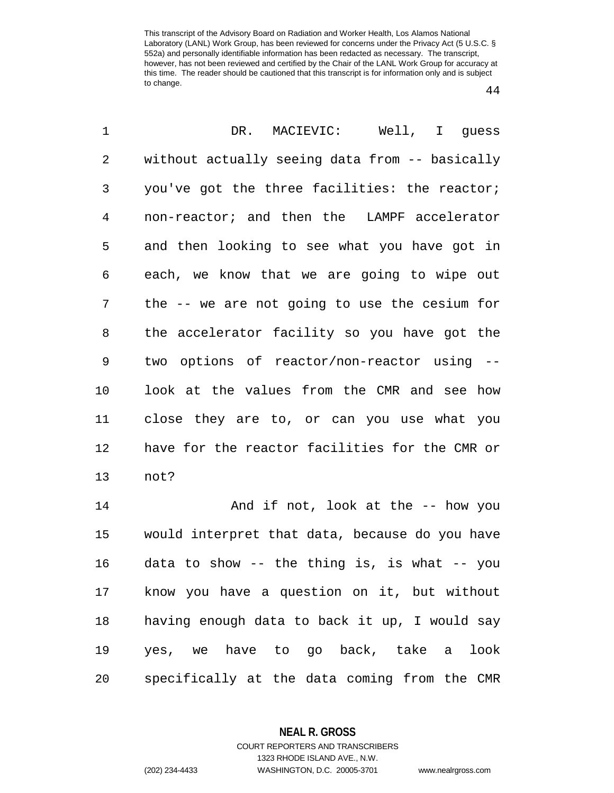44

| 1              | DR. MACIEVIC: Well, I guess                    |
|----------------|------------------------------------------------|
| $\overline{2}$ | without actually seeing data from -- basically |
| 3              | you've got the three facilities: the reactor;  |
| $\overline{4}$ | non-reactor; and then the LAMPF accelerator    |
| 5              | and then looking to see what you have got in   |
| 6              | each, we know that we are going to wipe out    |
| 7              | the -- we are not going to use the cesium for  |
| 8              | the accelerator facility so you have got the   |
| 9              | two options of reactor/non-reactor using --    |
| 10             | look at the values from the CMR and see how    |
| 11             | close they are to, or can you use what you     |
| 12             | have for the reactor facilities for the CMR or |
| 13             | not?                                           |
| 14             | And if not, look at the -- how you             |
| 15             | would interpret that data, because do you have |
| 16             | data to show -- the thing is, is what -- you   |
| 17             | know you have a question on it, but without    |
| 18             | having enough data to back it up, I would say  |
| 19             | have to go back, take a<br>look<br>we<br>yes,  |

20 specifically at the data coming from the CMR

**NEAL R. GROSS** COURT REPORTERS AND TRANSCRIBERS

1323 RHODE ISLAND AVE., N.W.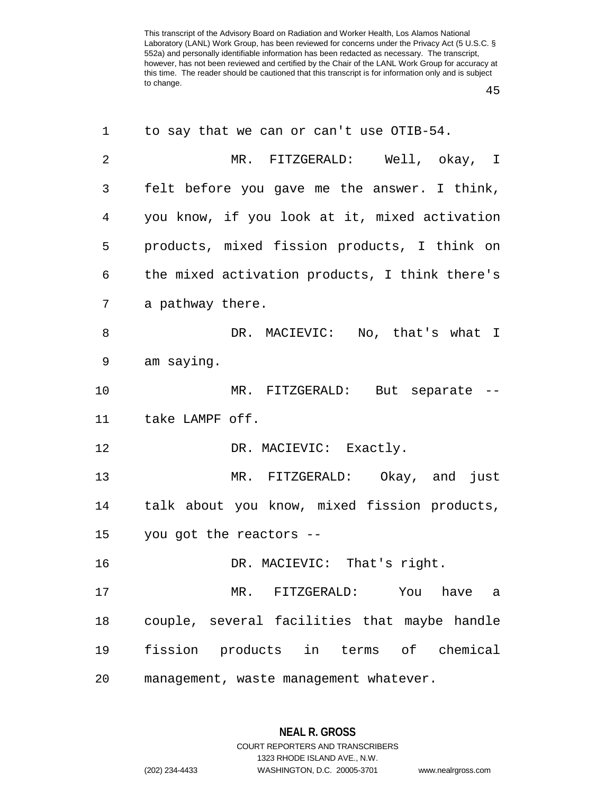45

| 1              | to say that we can or can't use OTIB-54.       |
|----------------|------------------------------------------------|
| $\overline{2}$ | MR. FITZGERALD: Well, okay, I                  |
| 3              | felt before you gave me the answer. I think,   |
| 4              | you know, if you look at it, mixed activation  |
| 5              | products, mixed fission products, I think on   |
| 6              | the mixed activation products, I think there's |
| 7              | a pathway there.                               |
| 8              | DR. MACIEVIC: No, that's what I                |
| 9              | am saying.                                     |
| 10             | MR. FITZGERALD: But separate --                |
| 11             | take LAMPF off.                                |
| 12             | DR. MACIEVIC: Exactly.                         |
| 13             | MR. FITZGERALD: Okay, and just                 |
| 14             | talk about you know, mixed fission products,   |
| 15             | you got the reactors --                        |
| 16             | DR. MACIEVIC: That's right.                    |
| 17             | MR. FITZGERALD: You have<br>a                  |
| 18             | couple, several facilities that maybe handle   |
| 19             | fission products in terms of chemical          |
| 20             | management, waste management whatever.         |

**NEAL R. GROSS** COURT REPORTERS AND TRANSCRIBERS

1323 RHODE ISLAND AVE., N.W.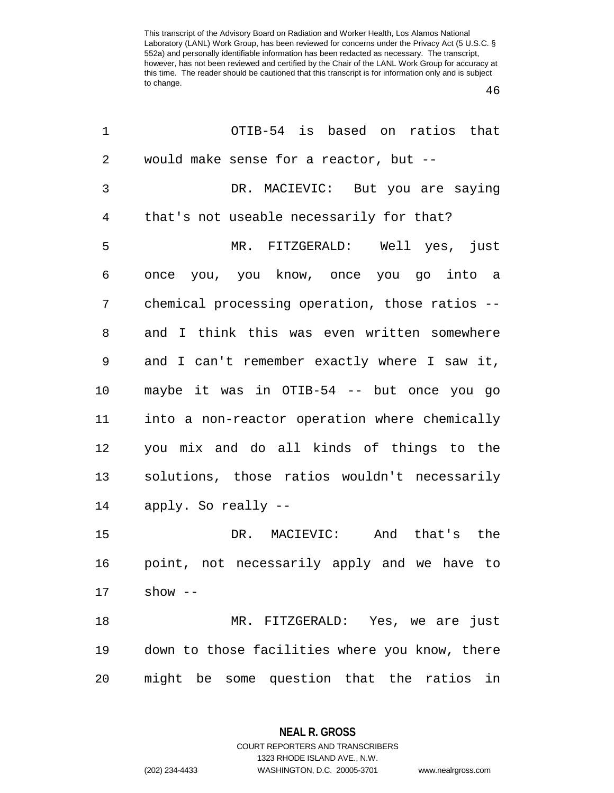46

| 1  | OTIB-54 is based on ratios that                 |
|----|-------------------------------------------------|
| 2  | would make sense for a reactor, but --          |
| 3  | DR. MACIEVIC: But you are saying                |
| 4  | that's not useable necessarily for that?        |
| 5  | MR. FITZGERALD: Well yes, just                  |
| 6  | once you, you know, once you go into a          |
| 7  | chemical processing operation, those ratios --  |
| 8  | and I think this was even written somewhere     |
| 9  | and I can't remember exactly where I saw it,    |
| 10 | maybe it was in OTIB-54 -- but once you go      |
| 11 | into a non-reactor operation where chemically   |
| 12 | you mix and do all kinds of things to the       |
| 13 | solutions, those ratios wouldn't necessarily    |
| 14 | apply. So really --                             |
| 15 | DR. MACIEVIC: And that's the                    |
| 16 | point, not necessarily apply and we have to     |
| 17 | $show - -$                                      |
| 18 | MR. FITZGERALD: Yes, we are just                |
| 19 | down to those facilities where you know, there  |
| 20 | might be some question that the<br>ratios<br>in |

**NEAL R. GROSS** COURT REPORTERS AND TRANSCRIBERS

1323 RHODE ISLAND AVE., N.W.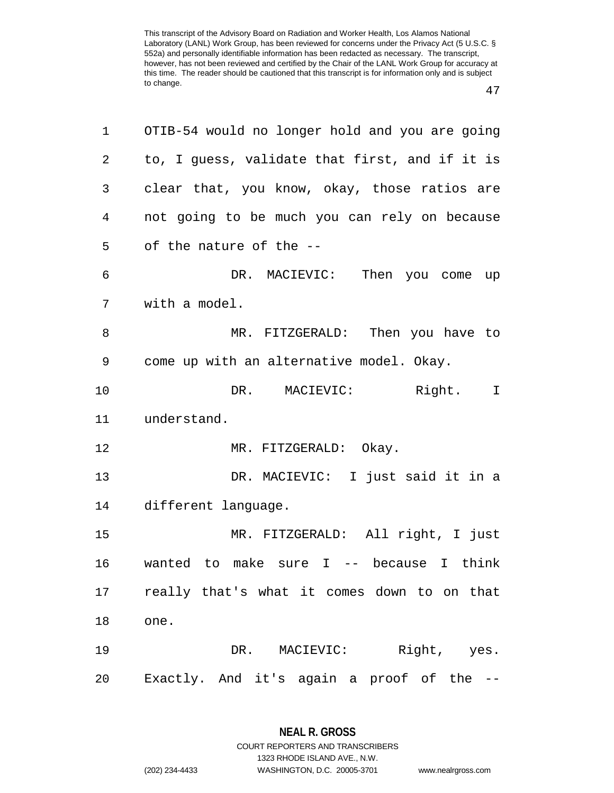47

| 1  | OTIB-54 would no longer hold and you are going |
|----|------------------------------------------------|
| 2  | to, I guess, validate that first, and if it is |
| 3  | clear that, you know, okay, those ratios are   |
| 4  | not going to be much you can rely on because   |
| 5  | of the nature of the --                        |
| 6  | DR. MACIEVIC: Then you come up                 |
| 7  | with a model.                                  |
| 8  | MR. FITZGERALD: Then you have to               |
| 9  | come up with an alternative model. Okay.       |
| 10 | DR. MACIEVIC: Right.<br>$\mathbf I$            |
| 11 | understand.                                    |
| 12 | MR. FITZGERALD: Okay.                          |
| 13 | DR. MACIEVIC: I just said it in a              |
| 14 | different language.                            |
| 15 | MR. FITZGERALD: All right, I just              |
| 16 | wanted to make sure $I$ -- because I think     |
| 17 | really that's what it comes down to on that    |
| 18 | one.                                           |
| 19 | DR. MACIEVIC: Right, yes.                      |
| 20 | Exactly. And it's again a proof of the --      |

**NEAL R. GROSS**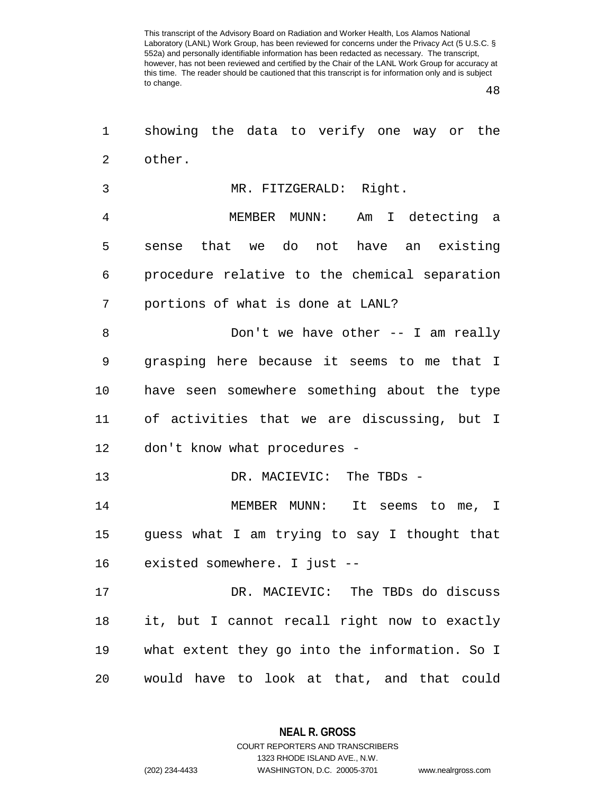48

| 1              | showing the data to verify one way or the      |
|----------------|------------------------------------------------|
| $\overline{a}$ | other.                                         |
| 3              | MR. FITZGERALD: Right.                         |
| 4              | MEMBER MUNN: Am I detecting a                  |
| 5              | sense that we do not have an existing          |
| 6              | procedure relative to the chemical separation  |
| 7              | portions of what is done at LANL?              |
| 8              | Don't we have other $-$ - I am really          |
| 9              | grasping here because it seems to me that I    |
| 10             | have seen somewhere something about the type   |
| 11             | of activities that we are discussing, but I    |
| 12             | don't know what procedures -                   |
| 13             | DR. MACIEVIC: The TBDs -                       |
| 14             | MEMBER MUNN: It seems to me, I                 |
| 15             | guess what I am trying to say I thought that   |
| 16             | existed somewhere. I just --                   |
| 17             | DR. MACIEVIC: The TBDs do discuss              |
| 18             | it, but I cannot recall right now to exactly   |
| 19             | what extent they go into the information. So I |
| 20             | would have to look at that, and that could     |

**NEAL R. GROSS** COURT REPORTERS AND TRANSCRIBERS

1323 RHODE ISLAND AVE., N.W.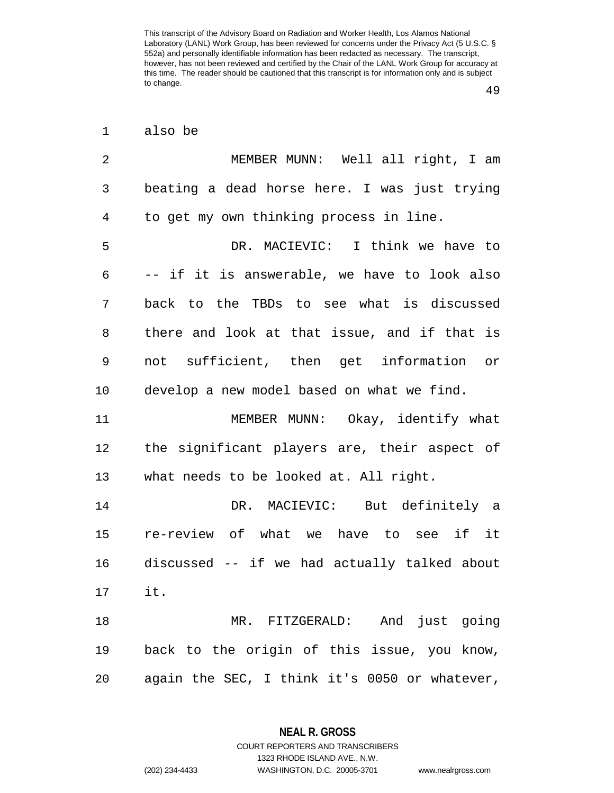49

| also be |  |
|---------|--|
|         |  |

| 2  | MEMBER MUNN: Well all right, I am             |
|----|-----------------------------------------------|
| 3  | beating a dead horse here. I was just trying  |
| 4  | to get my own thinking process in line.       |
| 5  | DR. MACIEVIC: I think we have to              |
| 6  | -- if it is answerable, we have to look also  |
| 7  | back to the TBDs to see what is discussed     |
| 8  | there and look at that issue, and if that is  |
| 9  | not sufficient, then get information or       |
| 10 | develop a new model based on what we find.    |
| 11 | MEMBER MUNN: Okay, identify what              |
| 12 | the significant players are, their aspect of  |
| 13 | what needs to be looked at. All right.        |
| 14 | DR. MACIEVIC: But definitely a                |
| 15 | re-review of what we have to see if it        |
| 16 | discussed -- if we had actually talked about  |
| 17 | it.                                           |
| 18 | MR. FITZGERALD: And just going                |
| 19 | back to the origin of this issue, you know,   |
| 20 | again the SEC, I think it's 0050 or whatever, |

**NEAL R. GROSS** COURT REPORTERS AND TRANSCRIBERS

1323 RHODE ISLAND AVE., N.W. (202) 234-4433 WASHINGTON, D.C. 20005-3701 www.nealrgross.com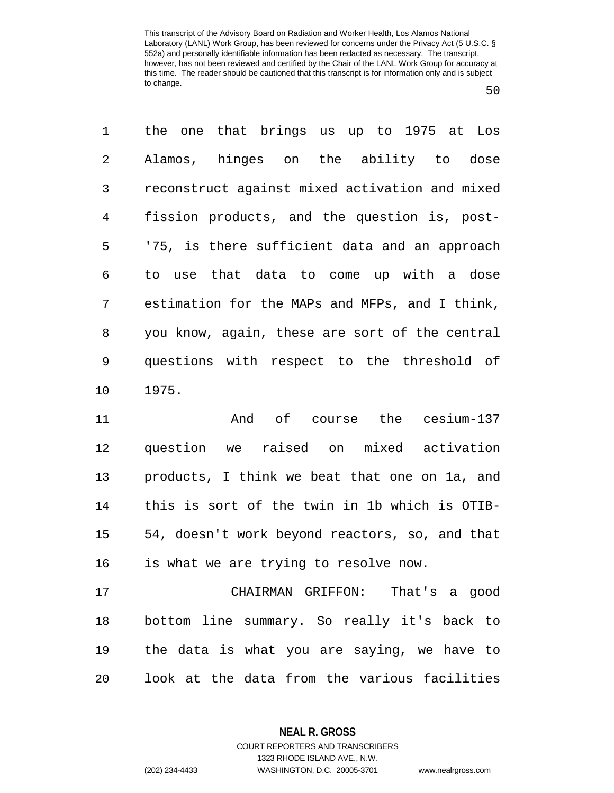50

1 the one that brings us up to 1975 at Los 2 Alamos, hinges on the ability to dose 3 reconstruct against mixed activation and mixed 4 fission products, and the question is, post-5 '75, is there sufficient data and an approach 6 to use that data to come up with a dose 7 estimation for the MAPs and MFPs, and I think, 8 you know, again, these are sort of the central 9 questions with respect to the threshold of 10 1975.

11 And of course the cesium-137 12 question we raised on mixed activation 13 products, I think we beat that one on 1a, and 14 this is sort of the twin in 1b which is OTIB-15 54, doesn't work beyond reactors, so, and that 16 is what we are trying to resolve now.

17 CHAIRMAN GRIFFON: That's a good 18 bottom line summary. So really it's back to 19 the data is what you are saying, we have to 20 look at the data from the various facilities

**NEAL R. GROSS**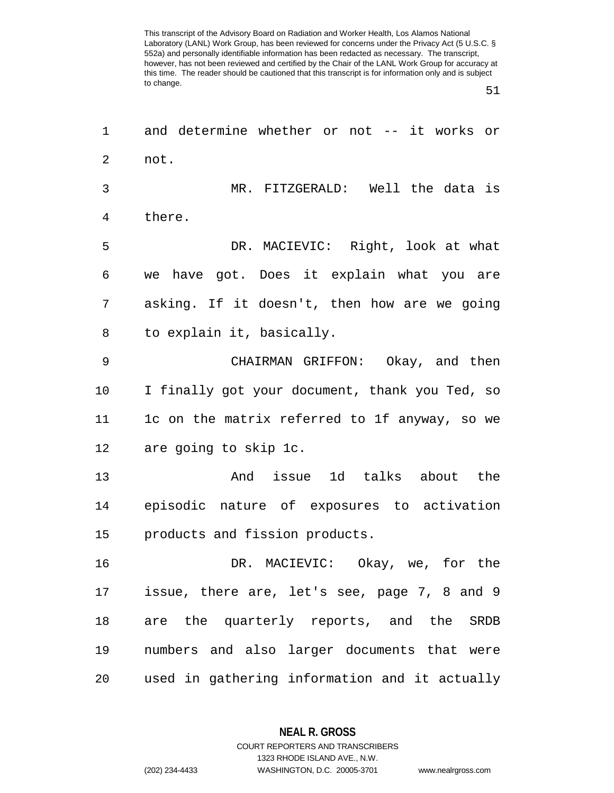51

| 1  | and determine whether or not -- it works or    |
|----|------------------------------------------------|
| 2  | not.                                           |
| 3  | MR. FITZGERALD: Well the data is               |
| 4  | there.                                         |
| 5  | DR. MACIEVIC: Right, look at what              |
| 6  | we have got. Does it explain what you are      |
| 7  | asking. If it doesn't, then how are we going   |
| 8  | to explain it, basically.                      |
| 9  | CHAIRMAN GRIFFON: Okay, and then               |
| 10 | I finally got your document, thank you Ted, so |
| 11 | 1c on the matrix referred to 1f anyway, so we  |
| 12 | are going to skip 1c.                          |
| 13 | And issue 1d talks about the                   |
| 14 | episodic nature of exposures to activation     |
| 15 | products and fission products.                 |
| 16 | DR. MACIEVIC: Okay, we, for the                |
| 17 | issue, there are, let's see, page 7, 8 and 9   |
| 18 | are the quarterly reports, and the SRDB        |
| 19 | numbers and also larger documents that were    |
| 20 | used in gathering information and it actually  |

**NEAL R. GROSS** COURT REPORTERS AND TRANSCRIBERS

1323 RHODE ISLAND AVE., N.W.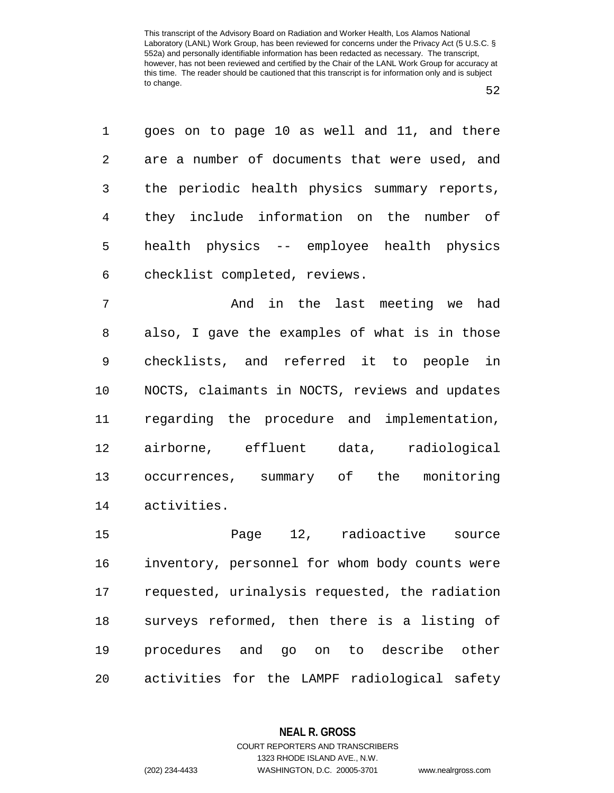52

| 1               | goes on to page 10 as well and 11, and there  |
|-----------------|-----------------------------------------------|
| $\overline{2}$  | are a number of documents that were used, and |
| 3 <sup>7</sup>  | the periodic health physics summary reports,  |
| $4\overline{ }$ | they include information on the number of     |
| 5               | health physics -- employee health physics     |
| 6               | checklist completed, reviews.                 |

7 And in the last meeting we had 8 also, I gave the examples of what is in those 9 checklists, and referred it to people in 10 NOCTS, claimants in NOCTS, reviews and updates 11 regarding the procedure and implementation, 12 airborne, effluent data, radiological 13 occurrences, summary of the monitoring 14 activities.

15 Page 12, radioactive source 16 inventory, personnel for whom body counts were 17 requested, urinalysis requested, the radiation 18 surveys reformed, then there is a listing of 19 procedures and go on to describe other 20 activities for the LAMPF radiological safety

## **NEAL R. GROSS** COURT REPORTERS AND TRANSCRIBERS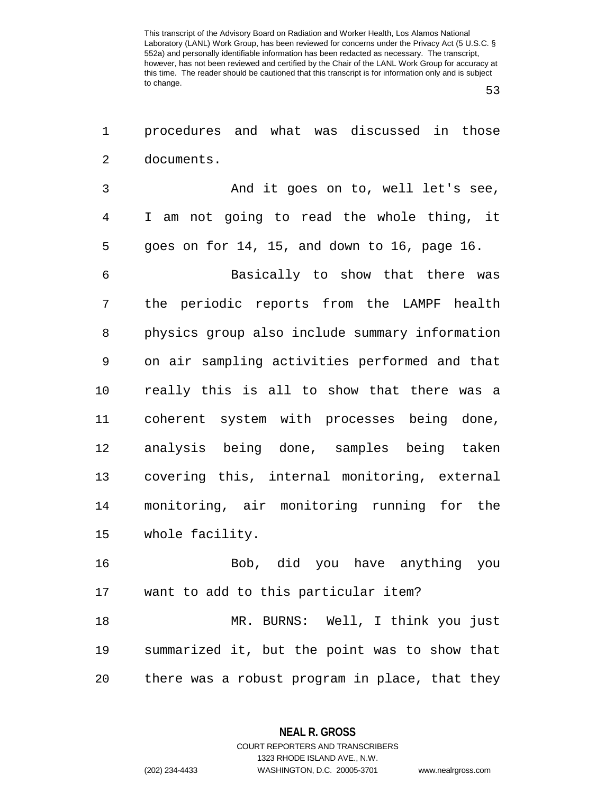53

1 procedures and what was discussed in those 2 documents. 3 And it goes on to, well let's see, 4 I am not going to read the whole thing, it 5 goes on for 14, 15, and down to 16, page 16. 6 Basically to show that there was 7 the periodic reports from the LAMPF health 8 physics group also include summary information 9 on air sampling activities performed and that 10 really this is all to show that there was a 11 coherent system with processes being done, 12 analysis being done, samples being taken 13 covering this, internal monitoring, external 14 monitoring, air monitoring running for the 15 whole facility. 16 Bob, did you have anything you 17 want to add to this particular item? 18 MR. BURNS: Well, I think you just 19 summarized it, but the point was to show that

20 there was a robust program in place, that they

**NEAL R. GROSS** COURT REPORTERS AND TRANSCRIBERS

1323 RHODE ISLAND AVE., N.W.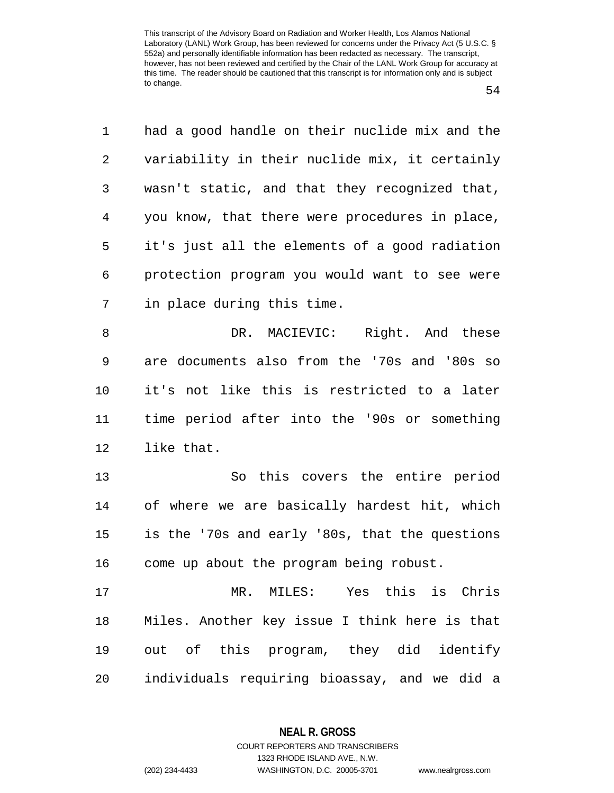54

| 1              | had a good handle on their nuclide mix and the |
|----------------|------------------------------------------------|
| 2              | variability in their nuclide mix, it certainly |
| 3              | wasn't static, and that they recognized that,  |
| $\overline{4}$ | you know, that there were procedures in place, |
| 5              | it's just all the elements of a good radiation |
| 6              | protection program you would want to see were  |
| 7              | in place during this time.                     |
| 8              | DR. MACIEVIC: Right. And these                 |
| $\mathsf 9$    | are documents also from the '70s and '80s so   |
| 10             | it's not like this is restricted to a later    |
| 11             | time period after into the '90s or something   |
| 12             | like that.                                     |
| 13             | So this covers the entire period               |
| 14             | of where we are basically hardest hit, which   |
| 15             | is the '70s and early '80s, that the questions |
| 16             | come up about the program being robust.        |
| 17             | MR. MILES: Yes this is Chris                   |
| 18             | Miles. Another key issue I think here is that  |
| 19             | out of this program, they did identify         |
| 20             | individuals requiring bioassay, and we did a   |

**NEAL R. GROSS** COURT REPORTERS AND TRANSCRIBERS

1323 RHODE ISLAND AVE., N.W. (202) 234-4433 WASHINGTON, D.C. 20005-3701 www.nealrgross.com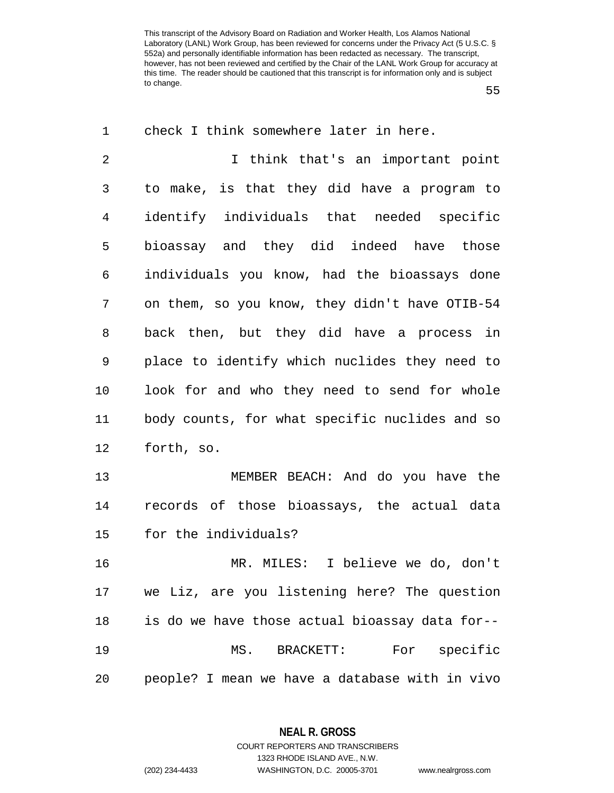55

| $\mathbf 1$    | check I think somewhere later in here.         |
|----------------|------------------------------------------------|
| $\overline{2}$ | I think that's an important point              |
| 3              | to make, is that they did have a program to    |
| 4              | identify individuals that needed specific      |
| 5              | bioassay and they did indeed have those        |
| 6              | individuals you know, had the bioassays done   |
| 7              | on them, so you know, they didn't have OTIB-54 |
| 8              | back then, but they did have a process in      |
| 9              | place to identify which nuclides they need to  |
| 10             | look for and who they need to send for whole   |
| 11             | body counts, for what specific nuclides and so |
| 12             | forth, so.                                     |
| 13             | MEMBER BEACH: And do you have the              |
| 14             | records of those bioassays, the actual data    |
| 15             | for the individuals?                           |
| 16             | I believe we do, don't<br>MR. MILES:           |
| 17             | we Liz, are you listening here? The question   |
| 18             | is do we have those actual bioassay data for-- |
| 19             | MS. BRACKETT: For specific                     |
| 20             | people? I mean we have a database with in vivo |

**NEAL R. GROSS**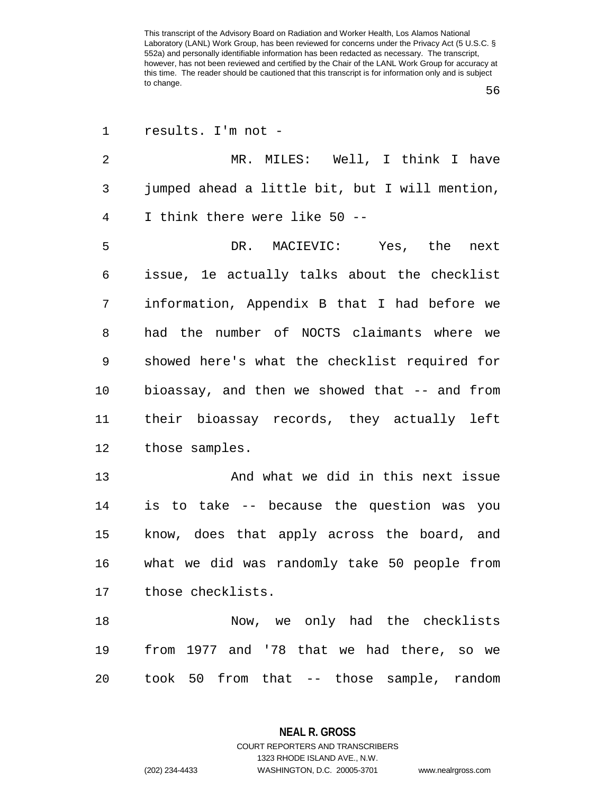56

| $\mathbf 1$ | results. I'm not -                             |
|-------------|------------------------------------------------|
| 2           | MR. MILES: Well, I think I have                |
| 3           | jumped ahead a little bit, but I will mention, |
| 4           | I think there were like 50 --                  |
| 5           | DR. MACIEVIC: Yes, the<br>next                 |
| 6           | issue, le actually talks about the checklist   |
| 7           | information, Appendix B that I had before we   |
| 8           | had the number of NOCTS claimants where we     |
| 9           | showed here's what the checklist required for  |
| 10          | bioassay, and then we showed that -- and from  |
| 11          | their bioassay records, they actually left     |
| 12          | those samples.                                 |
| 13          | And what we did in this next issue             |
| 14          | is to take -- because the question was you     |
| 15          | know, does that apply across the board, and    |
| 16          | what we did was randomly take 50 people from   |
| 17          | those checklists.                              |
| 18          |                                                |
|             | Now, we only had the checklists                |
| 19          | from 1977 and '78 that we had there, so we     |

**NEAL R. GROSS** COURT REPORTERS AND TRANSCRIBERS

1323 RHODE ISLAND AVE., N.W. (202) 234-4433 WASHINGTON, D.C. 20005-3701 www.nealrgross.com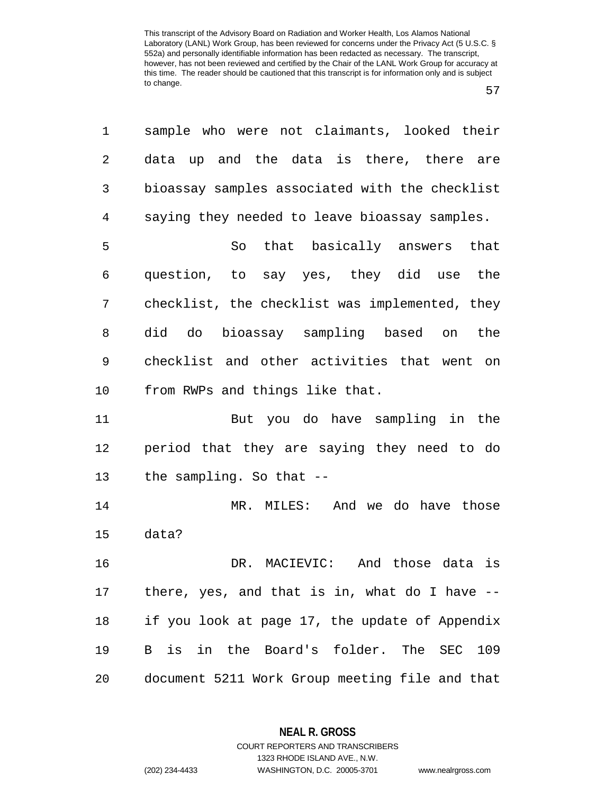| ۰.<br>v<br>. . |
|----------------|
|----------------|

| 1              | sample who were not claimants, looked their      |
|----------------|--------------------------------------------------|
| $\overline{2}$ | data up and the data is there, there are         |
| 3              | bioassay samples associated with the checklist   |
| $\overline{4}$ | saying they needed to leave bioassay samples.    |
| 5              | So that basically answers that                   |
| 6              | question, to say yes, they did use the           |
| 7              | checklist, the checklist was implemented, they   |
| 8              | did do bioassay sampling based on<br>the         |
| 9              | checklist and other activities that went on      |
| $10 \,$        | from RWPs and things like that.                  |
| 11             | But you do have sampling in the                  |
| 12             | period that they are saying they need to do      |
| 13             | the sampling. So that --                         |
| 14             | MR. MILES: And we do have those                  |
| 15             | data?                                            |
| 16             | DR. MACIEVIC: And those data is                  |
| 17             | there, yes, and that is in, what do I have $-$ - |
| 18             | if you look at page 17, the update of Appendix   |
| 19             | B is in the Board's folder. The SEC<br>109       |
| 20             | document 5211 Work Group meeting file and that   |

**NEAL R. GROSS**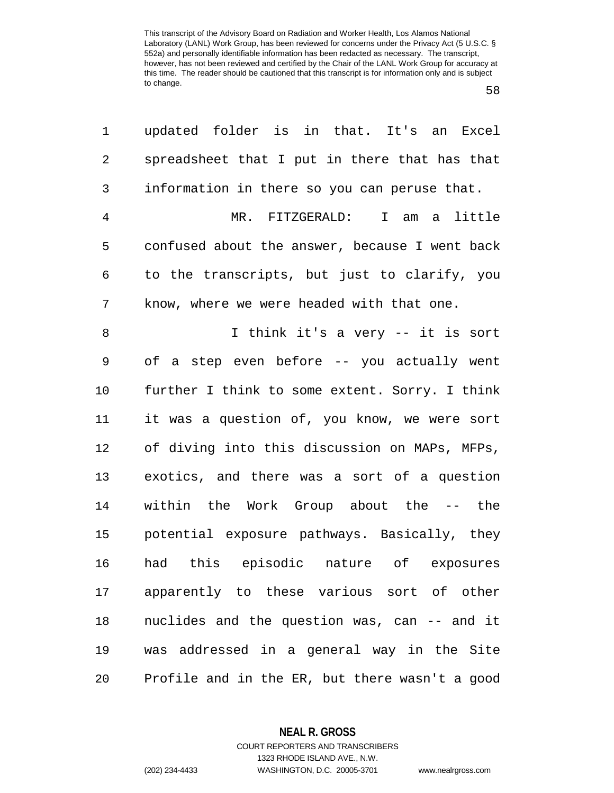58

| 1  | updated folder is in that. It's an Excel       |
|----|------------------------------------------------|
| 2  | spreadsheet that I put in there that has that  |
| 3  | information in there so you can peruse that.   |
| 4  | MR. FITZGERALD: I am a little                  |
| 5  | confused about the answer, because I went back |
| 6  | to the transcripts, but just to clarify, you   |
| 7  | know, where we were headed with that one.      |
| 8  | I think it's a very -- it is sort              |
| 9  | of a step even before -- you actually went     |
| 10 | further I think to some extent. Sorry. I think |
| 11 | it was a question of, you know, we were sort   |
| 12 | of diving into this discussion on MAPs, MFPs,  |
| 13 | exotics, and there was a sort of a question    |
| 14 | within the Work Group about the -- the         |
| 15 | potential exposure pathways. Basically, they   |
| 16 | had this episodic nature of exposures          |
| 17 | apparently to these various sort of other      |
| 18 | nuclides and the question was, can -- and it   |
| 19 | was addressed in a general way in the Site     |
| 20 | Profile and in the ER, but there wasn't a good |

**NEAL R. GROSS**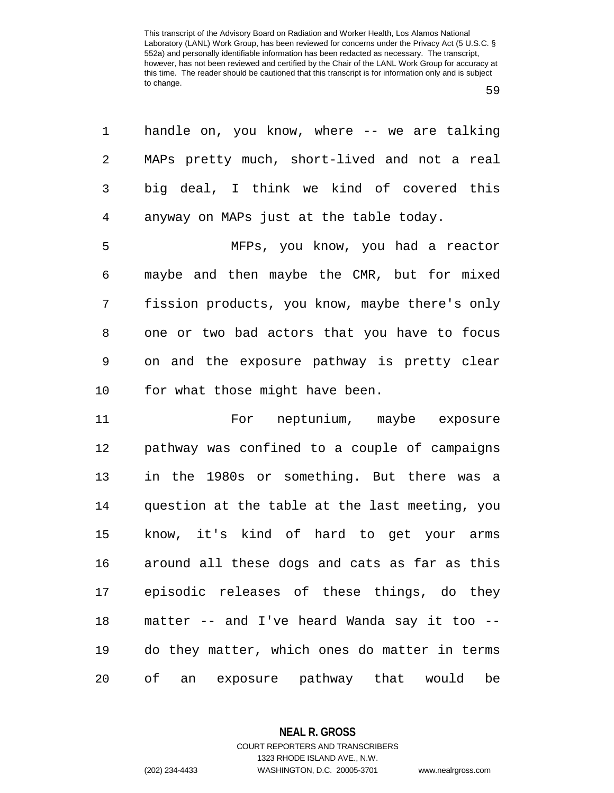1 handle on, you know, where -- we are talking

| ۰.<br>v<br>. . | ٦<br>۰.<br>٠ |
|----------------|--------------|
|----------------|--------------|

2 MAPs pretty much, short-lived and not a real 3 big deal, I think we kind of covered this 4 anyway on MAPs just at the table today. 5 MFPs, you know, you had a reactor 6 maybe and then maybe the CMR, but for mixed 7 fission products, you know, maybe there's only 8 one or two bad actors that you have to focus 9 on and the exposure pathway is pretty clear 10 for what those might have been. 11 For neptunium, maybe exposure 12 pathway was confined to a couple of campaigns 13 in the 1980s or something. But there was a 14 question at the table at the last meeting, you 15 know, it's kind of hard to get your arms 16 around all these dogs and cats as far as this 17 episodic releases of these things, do they 18 matter -- and I've heard Wanda say it too -- 19 do they matter, which ones do matter in terms

20 of an exposure pathway that would be

**NEAL R. GROSS**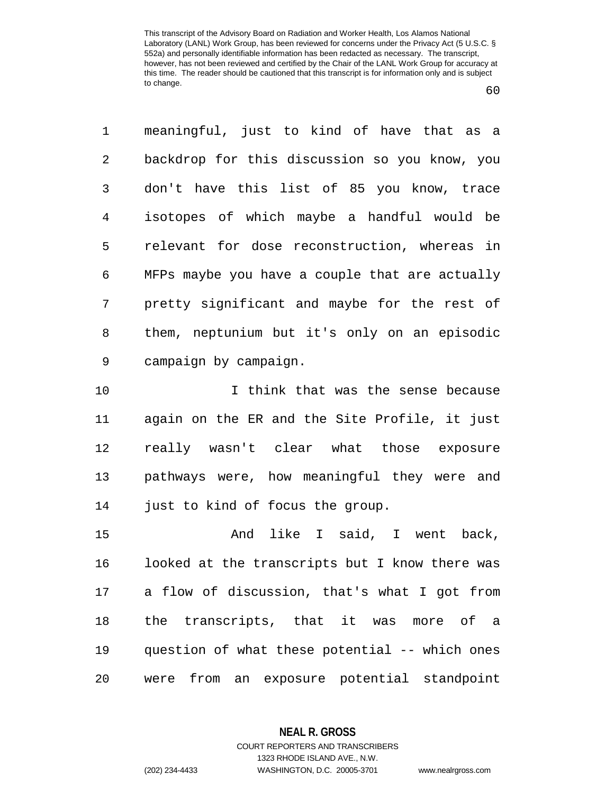60

1 meaningful, just to kind of have that as a 2 backdrop for this discussion so you know, you 3 don't have this list of 85 you know, trace 4 isotopes of which maybe a handful would be 5 relevant for dose reconstruction, whereas in 6 MFPs maybe you have a couple that are actually 7 pretty significant and maybe for the rest of 8 them, neptunium but it's only on an episodic 9 campaign by campaign.

10 I think that was the sense because 11 again on the ER and the Site Profile, it just 12 really wasn't clear what those exposure 13 pathways were, how meaningful they were and 14 just to kind of focus the group.

15 And like I said, I went back, 16 looked at the transcripts but I know there was 17 a flow of discussion, that's what I got from 18 the transcripts, that it was more of a 19 question of what these potential -- which ones 20 were from an exposure potential standpoint

**NEAL R. GROSS**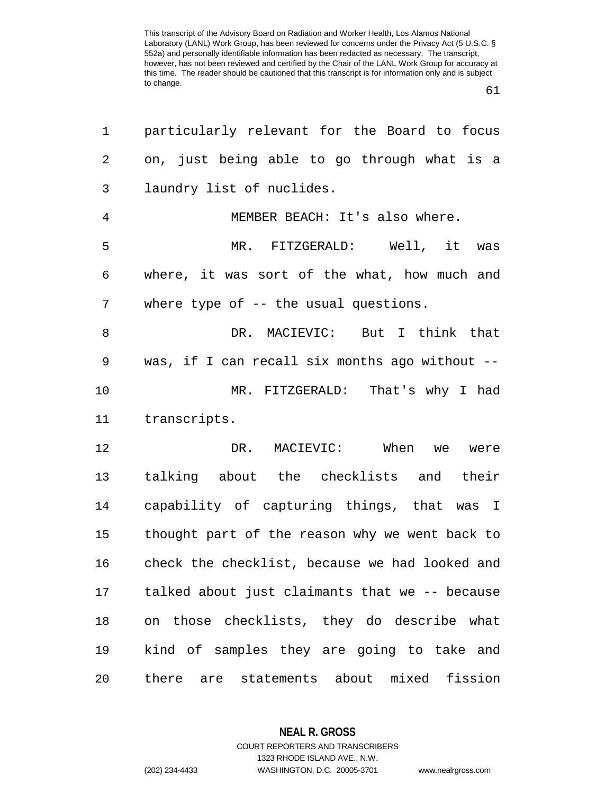61

| 1              | particularly relevant for the Board to focus   |
|----------------|------------------------------------------------|
| 2              | on, just being able to go through what is a    |
| 3              | laundry list of nuclides.                      |
| $\overline{4}$ | MEMBER BEACH: It's also where.                 |
| 5              | MR. FITZGERALD: Well, it was                   |
| 6              | where, it was sort of the what, how much and   |
| 7              | where type of -- the usual questions.          |
| 8              | DR. MACIEVIC: But I think that                 |
| $\mathsf 9$    | was, if I can recall six months ago without -- |
| 10             | MR. FITZGERALD: That's why I had               |
| 11             | transcripts.                                   |
| 12             | MACIEVIC: When we were<br>DR.                  |
| 13             | talking about the checklists and their         |
| 14             | capability of capturing things, that was I     |
| 15             | thought part of the reason why we went back to |
| 16             | check the checklist, because we had looked and |
| 17             | talked about just claimants that we -- because |
| 18             | on those checklists, they do describe what     |
| 19             | kind of samples they are going to take and     |
| 20             | there are statements about mixed fission       |

**NEAL R. GROSS**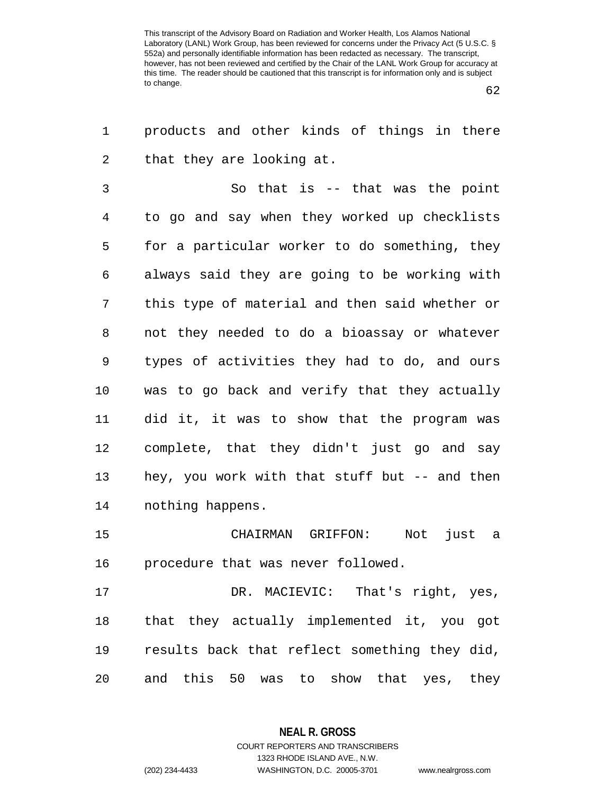1 products and other kinds of things in there

62

| 2  | that they are looking at.                      |
|----|------------------------------------------------|
| 3  | So that is -- that was the point               |
| 4  | to go and say when they worked up checklists   |
| 5  | for a particular worker to do something, they  |
| 6  | always said they are going to be working with  |
| 7  | this type of material and then said whether or |
| 8  | not they needed to do a bioassay or whatever   |
| 9  | types of activities they had to do, and ours   |
| 10 | was to go back and verify that they actually   |
| 11 | did it, it was to show that the program was    |
| 12 | complete, that they didn't just go and say     |
| 13 | hey, you work with that stuff but -- and then  |
| 14 | nothing happens.                               |
| 15 | CHAIRMAN GRIFFON:<br>Not<br>just a             |
| 16 | procedure that was never followed.             |
| 17 | DR. MACIEVIC: That's right, yes,               |
| 18 | that they actually implemented it, you got     |
| 19 | results back that reflect something they did,  |

20 and this 50 was to show that yes, they

**NEAL R. GROSS** COURT REPORTERS AND TRANSCRIBERS

1323 RHODE ISLAND AVE., N.W.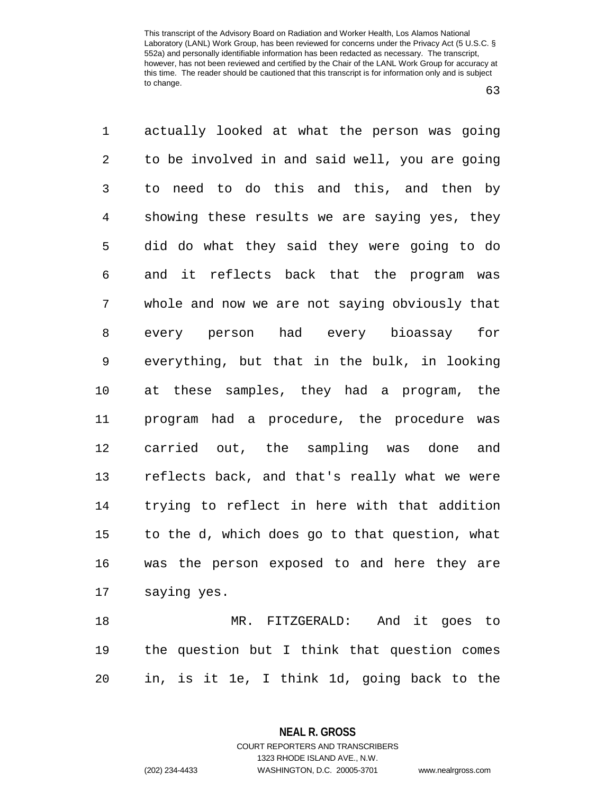63

1 actually looked at what the person was going 2 to be involved in and said well, you are going 3 to need to do this and this, and then by 4 showing these results we are saying yes, they 5 did do what they said they were going to do 6 and it reflects back that the program was 7 whole and now we are not saying obviously that 8 every person had every bioassay for 9 everything, but that in the bulk, in looking 10 at these samples, they had a program, the 11 program had a procedure, the procedure was 12 carried out, the sampling was done and 13 reflects back, and that's really what we were 14 trying to reflect in here with that addition 15 to the d, which does go to that question, what 16 was the person exposed to and here they are 17 saying yes. 18 MR. FITZGERALD: And it goes to 19 the question but I think that question comes

20 in, is it 1e, I think 1d, going back to the

**NEAL R. GROSS** COURT REPORTERS AND TRANSCRIBERS

1323 RHODE ISLAND AVE., N.W.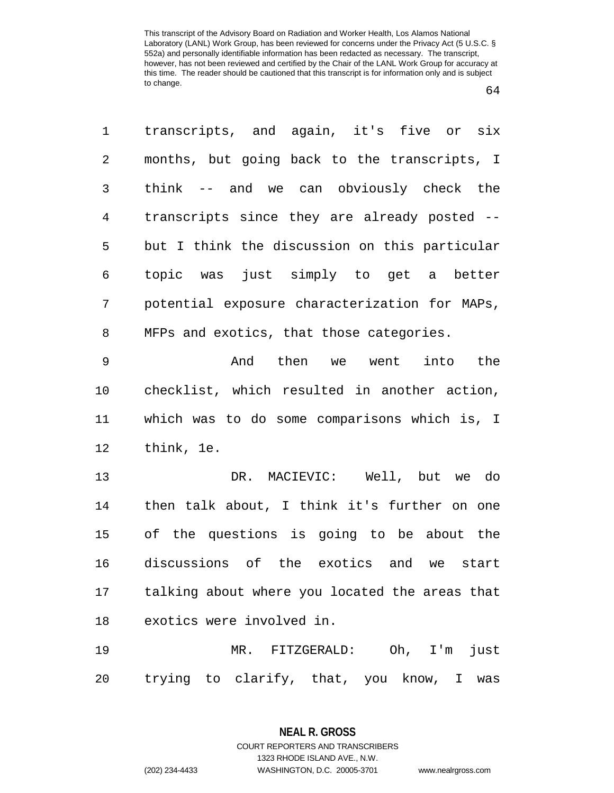64

1 transcripts, and again, it's five or six 2 months, but going back to the transcripts, I 3 think -- and we can obviously check the 4 transcripts since they are already posted -- 5 but I think the discussion on this particular 6 topic was just simply to get a better 7 potential exposure characterization for MAPs, 8 MFPs and exotics, that those categories. 9 And then we went into the 10 checklist, which resulted in another action, 11 which was to do some comparisons which is, I 12 think, 1e.

13 DR. MACIEVIC: Well, but we do 14 then talk about, I think it's further on one 15 of the questions is going to be about the 16 discussions of the exotics and we start 17 talking about where you located the areas that 18 exotics were involved in.

19 MR. FITZGERALD: Oh, I'm just 20 trying to clarify, that, you know, I was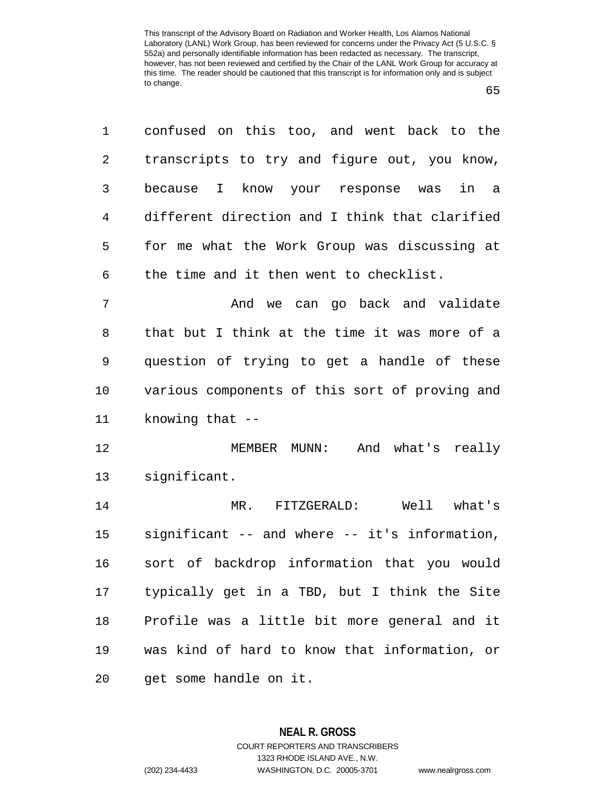1 confused on this too, and went back to the 2 transcripts to try and figure out, you know, 3 because I know your response was in a 4 different direction and I think that clarified 5 for me what the Work Group was discussing at 6 the time and it then went to checklist.

7 and we can go back and validate 8 that but I think at the time it was more of a 9 question of trying to get a handle of these 10 various components of this sort of proving and 11 knowing that --

12 MEMBER MUNN: And what's really 13 significant.

14 MR. FITZGERALD: Well what's 15 significant -- and where -- it's information, 16 sort of backdrop information that you would 17 typically get in a TBD, but I think the Site 18 Profile was a little bit more general and it 19 was kind of hard to know that information, or 20 get some handle on it.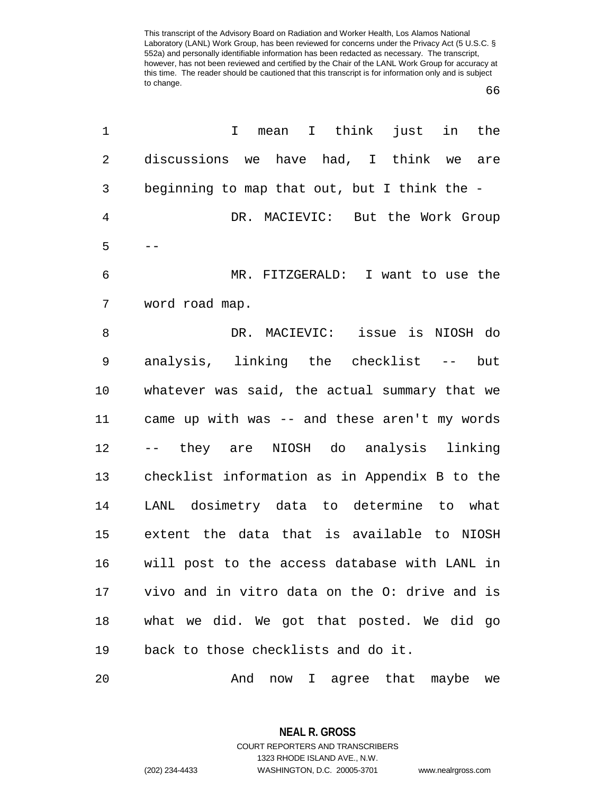66

| 1              | mean I think<br>just in the<br>I              |
|----------------|-----------------------------------------------|
| $\overline{2}$ | discussions we have had, I think we<br>are    |
| 3              | beginning to map that out, but I think the -  |
| $\overline{4}$ | DR. MACIEVIC: But the Work Group              |
| 5              |                                               |
| 6              | MR. FITZGERALD: I want to use the             |
| 7              | word road map.                                |
| 8              | DR. MACIEVIC: issue is NIOSH do               |
| 9              | analysis, linking the checklist --<br>but     |
| 10             | whatever was said, the actual summary that we |
| 11             | came up with was -- and these aren't my words |
| 12             | -- they are NIOSH do analysis linking         |
| 13             | checklist information as in Appendix B to the |
| 14             | LANL dosimetry data to determine to what      |
| 15             | extent the data that is available to NIOSH    |
| 16             | will post to the access database with LANL in |
| 17             | vivo and in vitro data on the O: drive and is |
| 18             | what we did. We got that posted. We did go    |
| 19             | back to those checklists and do it.           |
| 20             | And<br>now I agree that maybe<br>we           |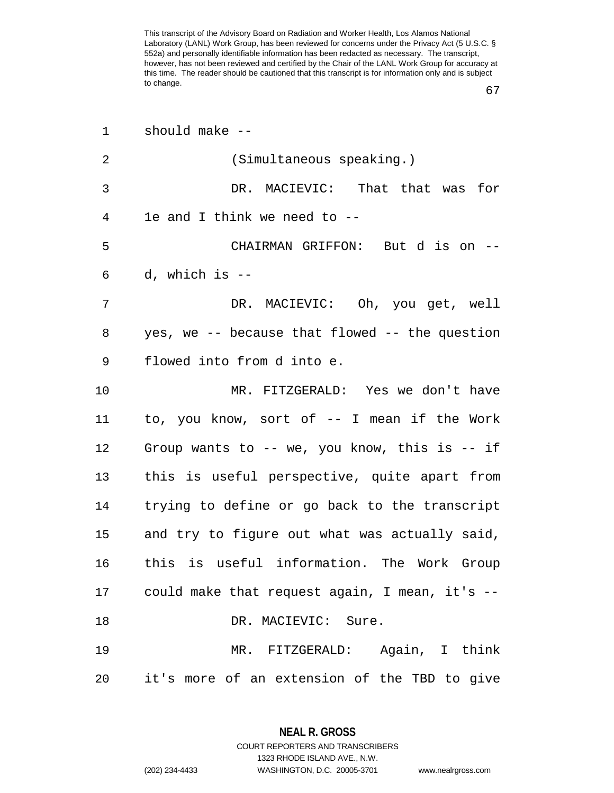67

| 1  | should make --                                    |
|----|---------------------------------------------------|
| 2  | (Simultaneous speaking.)                          |
| 3  | DR. MACIEVIC: That that was for                   |
| 4  | 1e and I think we need to --                      |
| 5  | CHAIRMAN GRIFFON: But d is on --                  |
| 6  | d, which is --                                    |
| 7  | DR. MACIEVIC: Oh, you get, well                   |
| 8  | yes, we -- because that flowed -- the question    |
| 9  | flowed into from d into e.                        |
| 10 | MR. FITZGERALD: Yes we don't have                 |
| 11 | to, you know, sort of -- I mean if the Work       |
| 12 | Group wants to -- we, you know, this is -- if     |
| 13 | this is useful perspective, quite apart from      |
| 14 | trying to define or go back to the transcript     |
| 15 | and try to figure out what was actually said,     |
| 16 | this is useful information. The Work Group        |
|    | 17 could make that request again, I mean, it's -- |
| 18 | DR. MACIEVIC: Sure.                               |
| 19 | MR. FITZGERALD: Again, I think                    |
| 20 | it's more of an extension of the TBD to give      |

**NEAL R. GROSS** COURT REPORTERS AND TRANSCRIBERS

1323 RHODE ISLAND AVE., N.W. (202) 234-4433 WASHINGTON, D.C. 20005-3701 www.nealrgross.com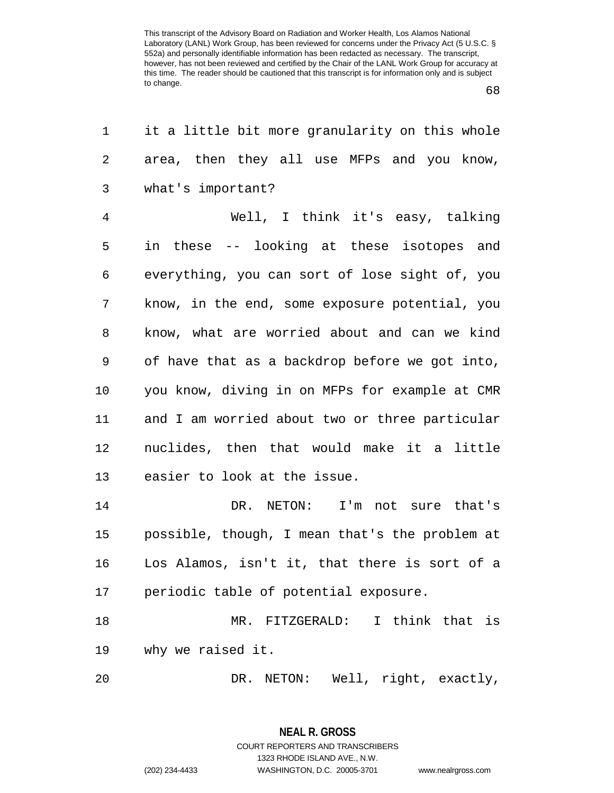68

| 1              | it a little bit more granularity on this whole |
|----------------|------------------------------------------------|
| 2              | area, then they all use MFPs and you know,     |
| 3              | what's important?                              |
| $\overline{4}$ | Well, I think it's easy, talking               |
| 5              | in these -- looking at these isotopes and      |
| 6              | everything, you can sort of lose sight of, you |
| 7              | know, in the end, some exposure potential, you |
| 8              | know, what are worried about and can we kind   |
| $\mathsf 9$    | of have that as a backdrop before we got into, |
| 10             | you know, diving in on MFPs for example at CMR |
| 11             | and I am worried about two or three particular |
| 12             | nuclides, then that would make it a little     |
| 13             | easier to look at the issue.                   |
| 14             | DR. NETON: I'm not sure that's                 |
| 15             | possible, though, I mean that's the problem at |
| 16             | Los Alamos, isn't it, that there is sort of a  |
| 17             | periodic table of potential exposure.          |
| 18             | I think that is<br>MR. FITZGERALD:             |
| 19             | why we raised it.                              |
| 20             | NETON: Well, right, exactly,<br>DR.            |

**NEAL R. GROSS** COURT REPORTERS AND TRANSCRIBERS 1323 RHODE ISLAND AVE., N.W.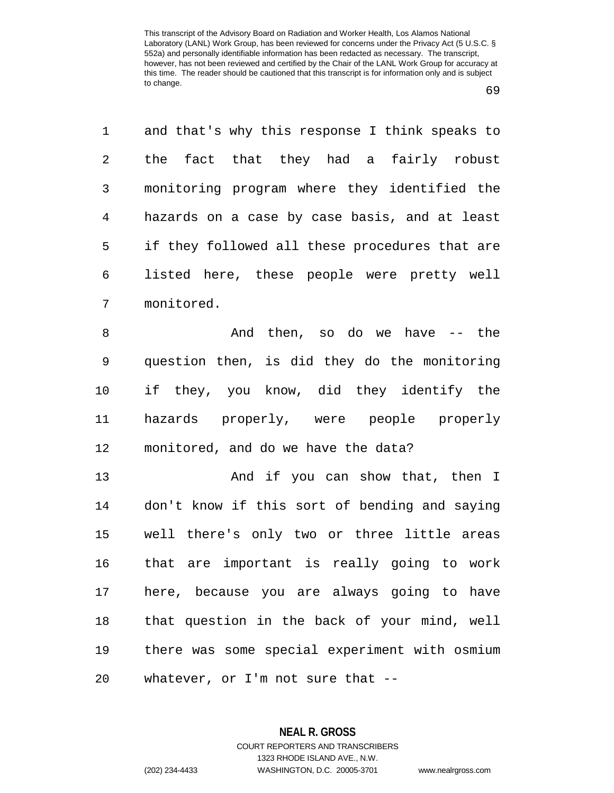69

1 and that's why this response I think speaks to 2 the fact that they had a fairly robust 3 monitoring program where they identified the 4 hazards on a case by case basis, and at least 5 if they followed all these procedures that are 6 listed here, these people were pretty well 7 monitored.

8 And then, so do we have -- the 9 question then, is did they do the monitoring 10 if they, you know, did they identify the 11 hazards properly, were people properly 12 monitored, and do we have the data?

13 And if you can show that, then I 14 don't know if this sort of bending and saying 15 well there's only two or three little areas 16 that are important is really going to work 17 here, because you are always going to have 18 that question in the back of your mind, well 19 there was some special experiment with osmium 20 whatever, or I'm not sure that --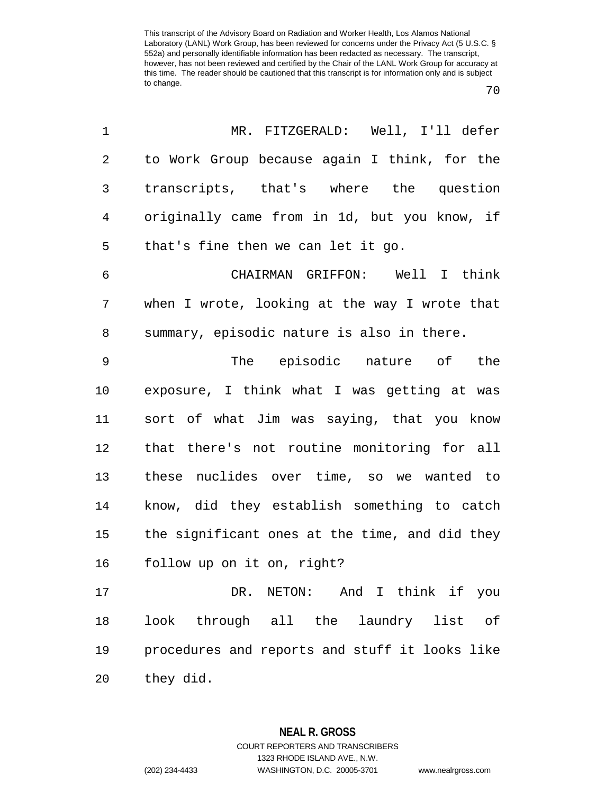70

| 1              | MR. FITZGERALD: Well, I'll defer               |
|----------------|------------------------------------------------|
| 2              | to Work Group because again I think, for the   |
| 3              | transcripts, that's where the question         |
| $\overline{4}$ | originally came from in 1d, but you know, if   |
| 5              | that's fine then we can let it go.             |
| 6              | CHAIRMAN GRIFFON: Well I think                 |
| 7              | when I wrote, looking at the way I wrote that  |
| 8              | summary, episodic nature is also in there.     |
| $\mathsf 9$    | The episodic nature of the                     |
| $10$           | exposure, I think what I was getting at was    |
| 11             | sort of what Jim was saying, that you know     |
| 12             | that there's not routine monitoring for all    |
| 13             | these nuclides over time, so we wanted to      |
| 14             | know, did they establish something to catch    |
| 15             | the significant ones at the time, and did they |
| 16             | follow up on it on, right?                     |
| 17             | DR. NETON: And I think if you                  |
| 18             | look through all the laundry list of           |
| 19             | procedures and reports and stuff it looks like |
| 20             | they did.                                      |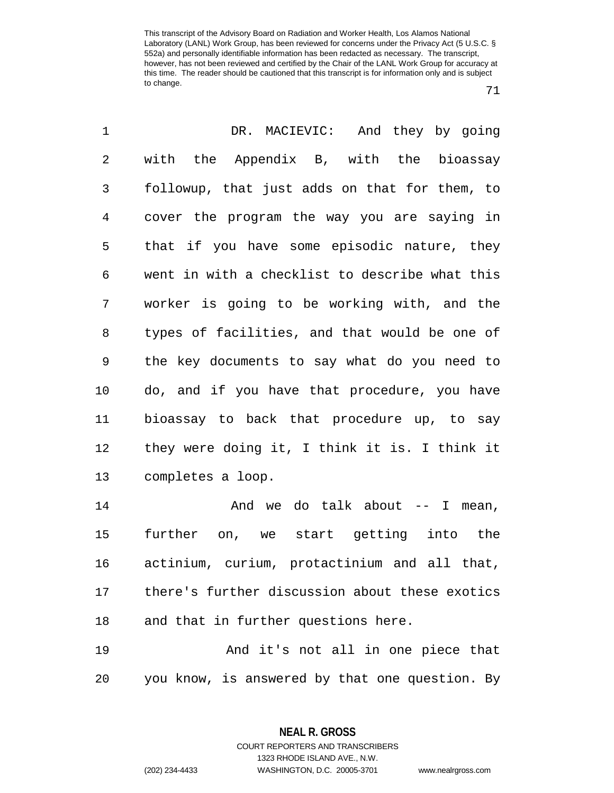71

| 1              | DR. MACIEVIC: And they by going                |
|----------------|------------------------------------------------|
| $\overline{2}$ | with<br>the Appendix B, with the bioassay      |
| 3              | followup, that just adds on that for them, to  |
| $\overline{4}$ | cover the program the way you are saying in    |
| 5              | that if you have some episodic nature, they    |
| 6              | went in with a checklist to describe what this |
| 7              | worker is going to be working with, and the    |
| 8              | types of facilities, and that would be one of  |
| 9              | the key documents to say what do you need to   |
| 10             | do, and if you have that procedure, you have   |
| 11             | bioassay to back that procedure up, to say     |
| 12             | they were doing it, I think it is. I think it  |
| 13             | completes a loop.                              |
| 14             | And we do talk about -- I mean,                |
| 15             | further on, we start getting into the          |
| 16             | actinium, curium, protactinium and all that,   |
| 17             | there's further discussion about these exotics |
| 18             | and that in further questions here.            |
| 19             | And it's not all in one piece that             |
| 20             | you know, is answered by that one question. By |

**NEAL R. GROSS**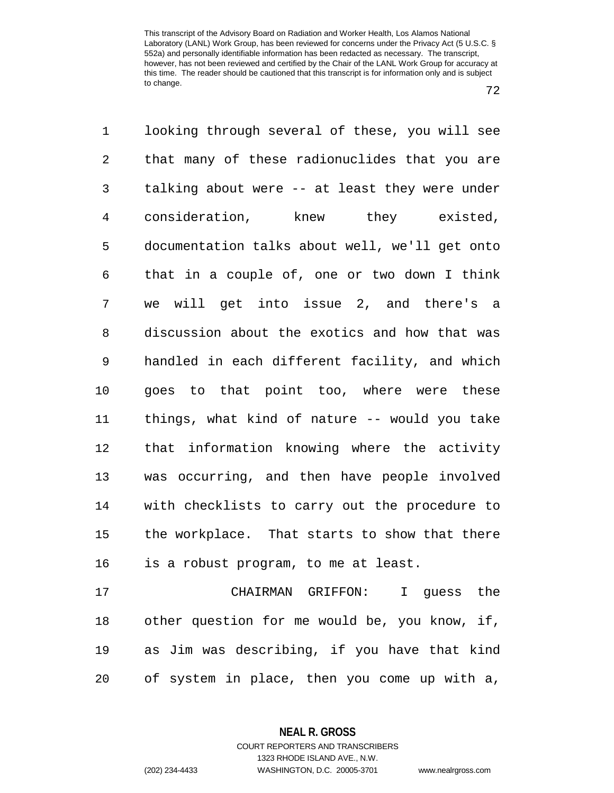72

1 looking through several of these, you will see 2 that many of these radionuclides that you are 3 talking about were -- at least they were under 4 consideration, knew they existed, 5 documentation talks about well, we'll get onto 6 that in a couple of, one or two down I think 7 we will get into issue 2, and there's a 8 discussion about the exotics and how that was 9 handled in each different facility, and which 10 goes to that point too, where were these 11 things, what kind of nature -- would you take 12 that information knowing where the activity 13 was occurring, and then have people involved 14 with checklists to carry out the procedure to 15 the workplace. That starts to show that there 16 is a robust program, to me at least. 17 CHAIRMAN GRIFFON: I guess the 18 other question for me would be, you know, if, 19 as Jim was describing, if you have that kind

20 of system in place, then you come up with a,

**NEAL R. GROSS**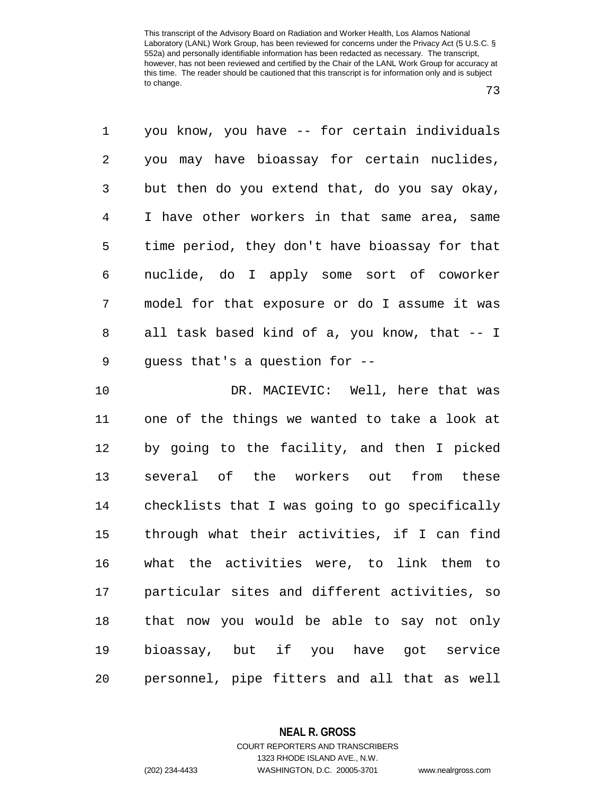73

1 you know, you have -- for certain individuals 2 you may have bioassay for certain nuclides, 3 but then do you extend that, do you say okay, 4 I have other workers in that same area, same 5 time period, they don't have bioassay for that 6 nuclide, do I apply some sort of coworker 7 model for that exposure or do I assume it was 8 all task based kind of a, you know, that -- I 9 guess that's a question for --

10 DR. MACIEVIC: Well, here that was 11 one of the things we wanted to take a look at 12 by going to the facility, and then I picked 13 several of the workers out from these 14 checklists that I was going to go specifically 15 through what their activities, if I can find 16 what the activities were, to link them to 17 particular sites and different activities, so 18 that now you would be able to say not only 19 bioassay, but if you have got service 20 personnel, pipe fitters and all that as well

**NEAL R. GROSS**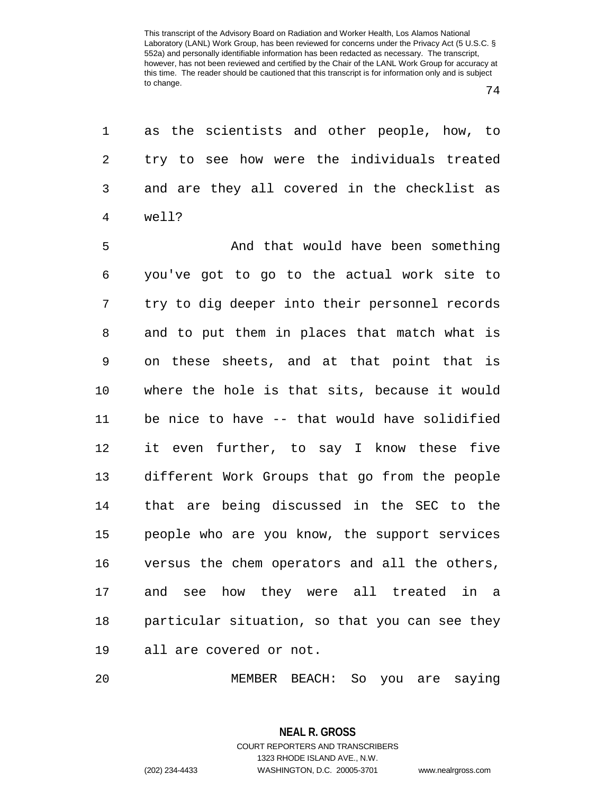1 as the scientists and other people, how, to 2 try to see how were the individuals treated 3 and are they all covered in the checklist as 4 well?

5 And that would have been something 6 you've got to go to the actual work site to 7 try to dig deeper into their personnel records 8 and to put them in places that match what is 9 on these sheets, and at that point that is 10 where the hole is that sits, because it would 11 be nice to have -- that would have solidified 12 it even further, to say I know these five 13 different Work Groups that go from the people 14 that are being discussed in the SEC to the 15 people who are you know, the support services 16 versus the chem operators and all the others, 17 and see how they were all treated in a 18 particular situation, so that you can see they 19 all are covered or not.

20 MEMBER BEACH: So you are saying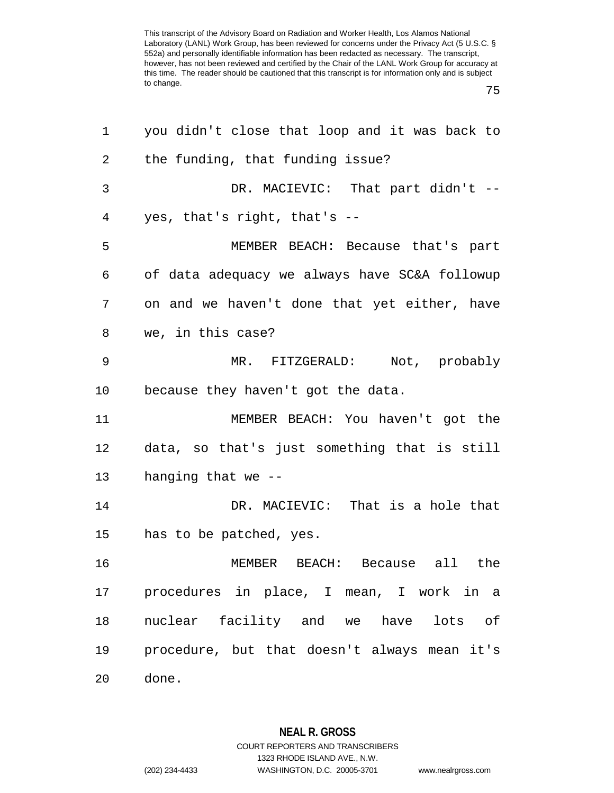75

| 1  | you didn't close that loop and it was back to |
|----|-----------------------------------------------|
| 2  | the funding, that funding issue?              |
| 3  | DR. MACIEVIC: That part didn't --             |
| 4  | yes, that's right, that's $-$                 |
| 5  | MEMBER BEACH: Because that's part             |
| 6  | of data adequacy we always have SC&A followup |
| 7  | on and we haven't done that yet either, have  |
| 8  | we, in this case?                             |
| 9  | MR. FITZGERALD: Not, probably                 |
| 10 | because they haven't got the data.            |
| 11 | MEMBER BEACH: You haven't got the             |
| 12 | data, so that's just something that is still  |
| 13 | hanging that we --                            |
| 14 | DR. MACIEVIC: That is a hole that             |
| 15 | has to be patched, yes.                       |
| 16 | MEMBER BEACH: Because all the                 |
| 17 | procedures in place, I mean, I work in a      |
| 18 | nuclear facility and we have lots of          |
| 19 | procedure, but that doesn't always mean it's  |
| 20 | done.                                         |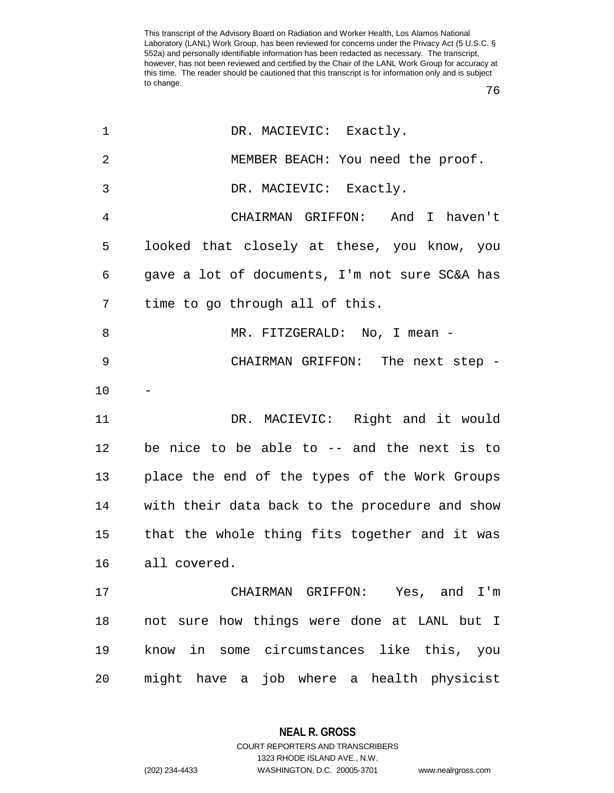| $\mathbf 1$    | DR. MACIEVIC: Exactly.                         |
|----------------|------------------------------------------------|
| $\overline{2}$ | MEMBER BEACH: You need the proof.              |
| 3              | DR. MACIEVIC: Exactly.                         |
| 4              | CHAIRMAN GRIFFON: And I haven't                |
| 5              | looked that closely at these, you know, you    |
| 6              | gave a lot of documents, I'm not sure SC&A has |
| 7              | time to go through all of this.                |
| 8              | MR. FITZGERALD: No, I mean -                   |
| 9              | CHAIRMAN GRIFFON: The next step -              |
| 10             |                                                |
| 11             | DR. MACIEVIC: Right and it would               |
| 12             | be nice to be able to $-$ and the next is to   |
| 13             | place the end of the types of the Work Groups  |
| 14             | with their data back to the procedure and show |
| 15             | that the whole thing fits together and it was  |
| 16             | all covered.                                   |
| 17             | CHAIRMAN GRIFFON: Yes, and I'm                 |
| 18             | not sure how things were done at LANL but I    |
| 19             | know in some circumstances like this, you      |
| 20             | might have a job where a health physicist      |

**NEAL R. GROSS** COURT REPORTERS AND TRANSCRIBERS

1323 RHODE ISLAND AVE., N.W.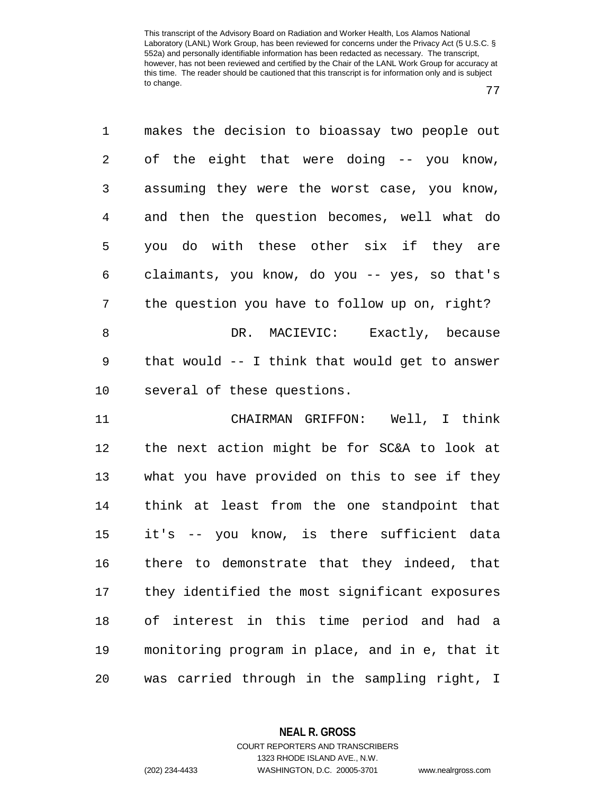77

1 makes the decision to bioassay two people out 2 of the eight that were doing -- you know, 3 assuming they were the worst case, you know, 4 and then the question becomes, well what do 5 you do with these other six if they are 6 claimants, you know, do you -- yes, so that's 7 the question you have to follow up on, right? 8 DR. MACIEVIC: Exactly, because 9 that would -- I think that would get to answer 10 several of these questions. 11 CHAIRMAN GRIFFON: Well, I think 12 the next action might be for SC&A to look at 13 what you have provided on this to see if they 14 think at least from the one standpoint that 15 it's -- you know, is there sufficient data 16 there to demonstrate that they indeed, that 17 they identified the most significant exposures 18 of interest in this time period and had a 19 monitoring program in place, and in e, that it 20 was carried through in the sampling right, I

> **NEAL R. GROSS** COURT REPORTERS AND TRANSCRIBERS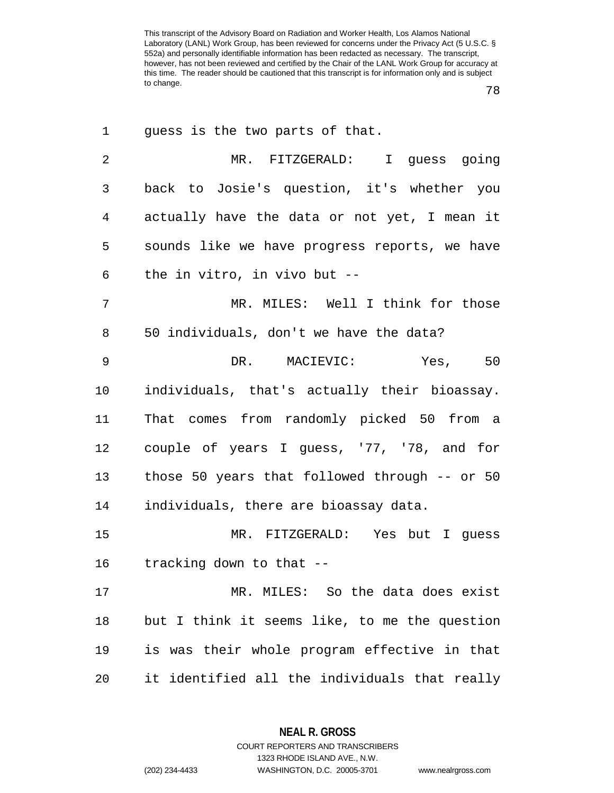78

| 1<br>guess is the two parts of that.                    |
|---------------------------------------------------------|
| $\overline{2}$<br>MR. FITZGERALD: I guess going         |
| back to Josie's question, it's whether you<br>3         |
| actually have the data or not yet, I mean it<br>4       |
| 5<br>sounds like we have progress reports, we have      |
| the in vitro, in vivo but --<br>6                       |
| 7<br>MR. MILES: Well I think for those                  |
| 50 individuals, don't we have the data?<br>8            |
| 9<br>Yes, 50<br>DR. MACIEVIC:                           |
| individuals, that's actually their bioassay.<br>$10 \,$ |
| That comes from randomly picked 50 from a<br>11         |
| couple of years I guess, '77, '78, and for<br>12        |
| those 50 years that followed through -- or 50<br>13     |
| individuals, there are bioassay data.<br>14             |
| 15<br>MR. FITZGERALD: Yes but I guess                   |
| tracking down to that --<br>16                          |
| 17<br>MR. MILES: So the data does exist                 |
| 18<br>but I think it seems like, to me the question     |
| is was their whole program effective in that<br>19      |
| it identified all the individuals that really<br>20     |

**NEAL R. GROSS** COURT REPORTERS AND TRANSCRIBERS

1323 RHODE ISLAND AVE., N.W.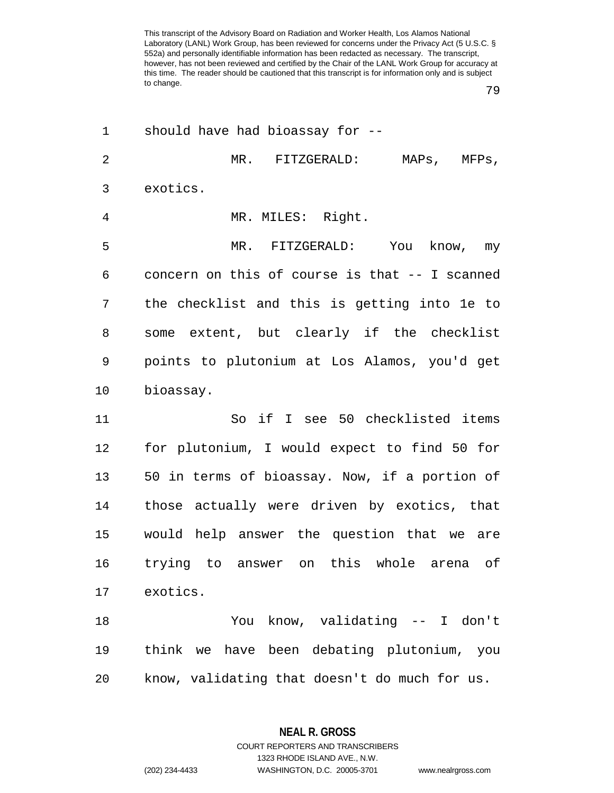79

| 1              | should have had bioassay for --                |
|----------------|------------------------------------------------|
| $\overline{2}$ | MR. FITZGERALD:<br>MAPs,<br>MFPs,              |
| 3              | exotics.                                       |
| 4              | MR. MILES: Right.                              |
| 5              | MR. FITZGERALD: You<br>know, my                |
| 6              | concern on this of course is that -- I scanned |
| 7              | the checklist and this is getting into le to   |
| 8              | some extent, but clearly if the checklist      |
| 9              | points to plutonium at Los Alamos, you'd get   |
| $10 \,$        | bioassay.                                      |
| 11             | So if I see 50 checklisted items               |
| 12             | for plutonium, I would expect to find 50 for   |
| 13             | 50 in terms of bioassay. Now, if a portion of  |
| 14             | those actually were driven by exotics, that    |
| 15             | would help answer the question that we are     |
| 16             | trying to answer on this whole arena of        |
| 17             | exotics.                                       |
| 18             | You know, validating -- I don't                |
| 19             | think we have been debating plutonium, you     |
| 20             | know, validating that doesn't do much for us.  |

**NEAL R. GROSS** COURT REPORTERS AND TRANSCRIBERS

1323 RHODE ISLAND AVE., N.W.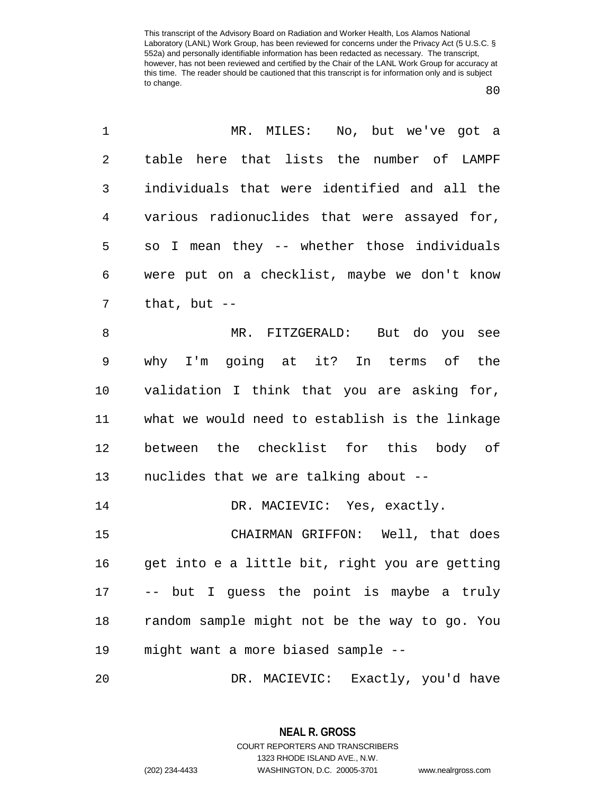80

| 1              | MR. MILES: No, but we've got a                 |
|----------------|------------------------------------------------|
| 2              | table here that lists the number of LAMPF      |
| 3              | individuals that were identified and all the   |
| $\overline{4}$ | various radionuclides that were assayed for,   |
| 5              | so I mean they -- whether those individuals    |
| 6              | were put on a checklist, maybe we don't know   |
| 7              | that, but $--$                                 |
| 8              | MR. FITZGERALD: But do you see                 |
| 9              | why I'm going at it? In terms of the           |
| 10             | validation I think that you are asking for,    |
| 11             | what we would need to establish is the linkage |
| 12             | between the checklist for this body of         |
| 13             | nuclides that we are talking about --          |
| 14             | DR. MACIEVIC: Yes, exactly.                    |
| 15             | CHAIRMAN GRIFFON: Well, that does              |
| 16             | get into e a little bit, right you are getting |
| 17             | -- but I guess the point is maybe a truly      |
| 18             | random sample might not be the way to go. You  |
| 19             | might want a more biased sample --             |
| 20             | DR. MACIEVIC: Exactly, you'd have              |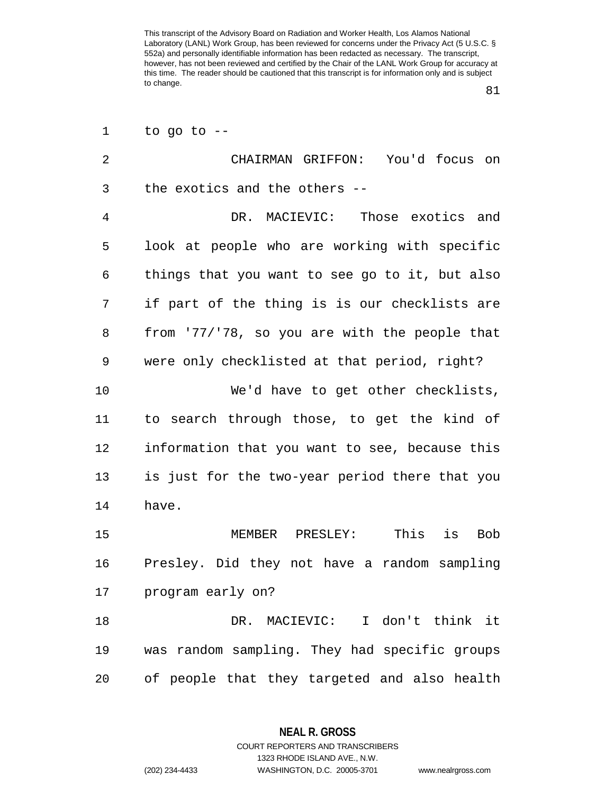81

| 1              | to go to $-$                                   |
|----------------|------------------------------------------------|
| $\overline{2}$ | CHAIRMAN GRIFFON: You'd focus on               |
| 3              | the exotics and the others --                  |
| 4              | DR. MACIEVIC: Those exotics and                |
| 5              | look at people who are working with specific   |
| 6              | things that you want to see go to it, but also |
| 7              | if part of the thing is is our checklists are  |
| 8              | from '77/'78, so you are with the people that  |
| 9              | were only checklisted at that period, right?   |
| 10             | We'd have to get other checklists,             |
| 11             | to search through those, to get the kind of    |
| 12             | information that you want to see, because this |
| 13             | is just for the two-year period there that you |
| 14             | have.                                          |
| 15             | This<br>is<br><b>Bob</b><br>MEMBER PRESLEY:    |
| 16             | Presley. Did they not have a random sampling   |
| 17             | program early on?                              |
| 18             | DR. MACIEVIC: I don't think it                 |
| 19             | was random sampling. They had specific groups  |
| 20             | of people that they targeted and also health   |

**NEAL R. GROSS** COURT REPORTERS AND TRANSCRIBERS

1323 RHODE ISLAND AVE., N.W.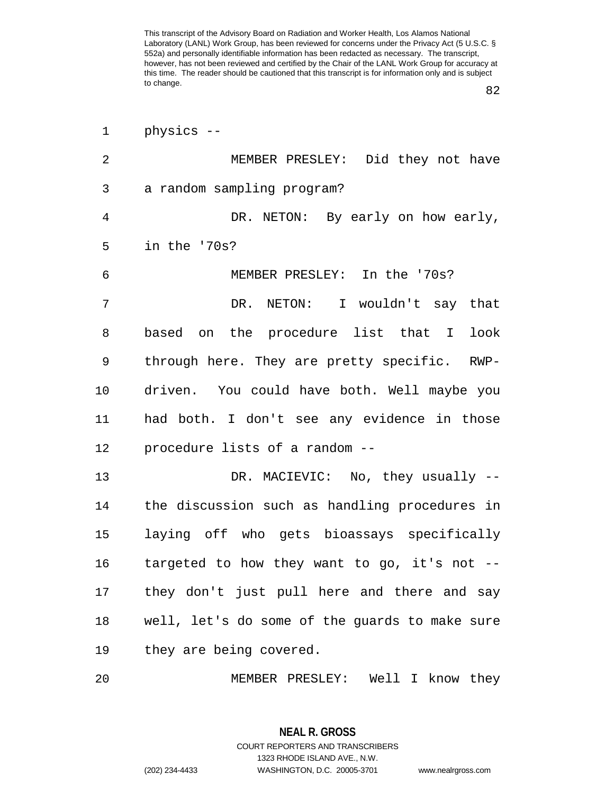82

| 1  | physics --                                        |
|----|---------------------------------------------------|
| 2  | MEMBER PRESLEY: Did they not have                 |
| 3  | a random sampling program?                        |
| 4  | DR. NETON: By early on how early,                 |
| 5  | in the '70s?                                      |
| 6  | MEMBER PRESLEY: In the '70s?                      |
| 7  | DR. NETON: I wouldn't say that                    |
| 8  | based on the procedure list that I<br>look        |
| 9  | through here. They are pretty specific.<br>$RWP-$ |
| 10 | driven. You could have both. Well maybe you       |
| 11 | had both. I don't see any evidence in those       |
| 12 | procedure lists of a random --                    |
| 13 | DR. MACIEVIC: No, they usually --                 |
| 14 | the discussion such as handling procedures in     |
| 15 | laying off who gets bioassays specifically        |
| 16 | targeted to how they want to go, it's not .       |
| 17 | they don't just pull here and there and say       |
| 18 | well, let's do some of the guards to make sure    |
| 19 | they are being covered.                           |
| 20 | MEMBER PRESLEY: Well I know they                  |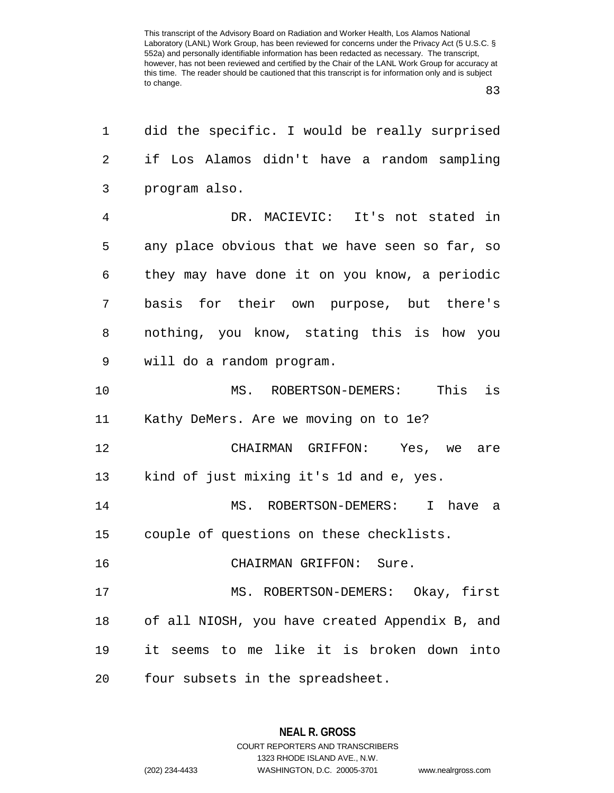83

| 1  | did the specific. I would be really surprised  |
|----|------------------------------------------------|
| 2  | if Los Alamos didn't have a random sampling    |
| 3  | program also.                                  |
| 4  | DR. MACIEVIC: It's not stated in               |
| 5  | any place obvious that we have seen so far, so |
| 6  | they may have done it on you know, a periodic  |
| 7  | basis for their own purpose, but there's       |
| 8  | nothing, you know, stating this is how you     |
| 9  | will do a random program.                      |
| 10 | is<br>This<br>MS. ROBERTSON-DEMERS:            |
| 11 | Kathy DeMers. Are we moving on to 1e?          |
| 12 | CHAIRMAN GRIFFON: Yes, we are                  |
| 13 | kind of just mixing it's 1d and e, yes.        |
| 14 | MS. ROBERTSON-DEMERS: I have a                 |
| 15 | couple of questions on these checklists.       |
| 16 | CHAIRMAN GRIFFON: Sure.                        |
| 17 | MS. ROBERTSON-DEMERS: Okay, first              |
| 18 | of all NIOSH, you have created Appendix B, and |
| 19 | it seems to me like it is broken down into     |
| 20 | four subsets in the spreadsheet.               |

**NEAL R. GROSS** COURT REPORTERS AND TRANSCRIBERS

1323 RHODE ISLAND AVE., N.W. (202) 234-4433 WASHINGTON, D.C. 20005-3701 www.nealrgross.com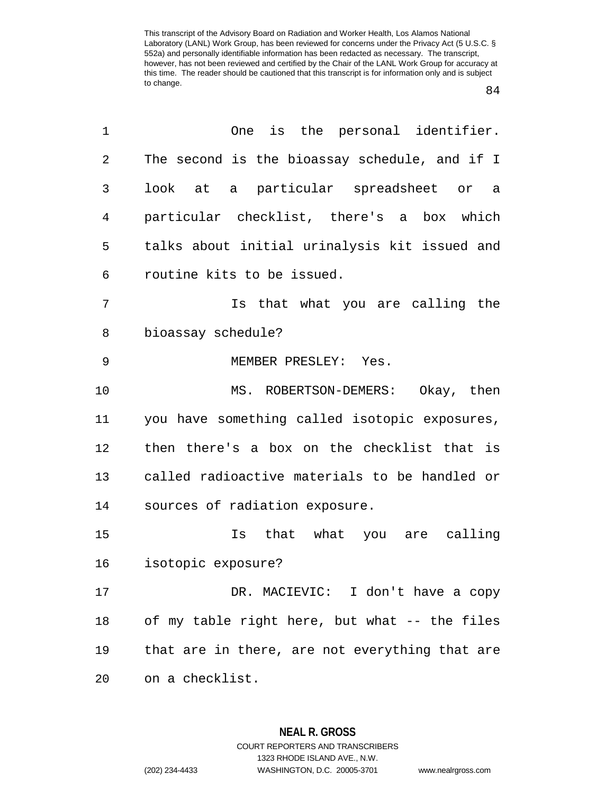84

| 1              | is the personal identifier.<br>One             |
|----------------|------------------------------------------------|
| $\overline{2}$ | The second is the bioassay schedule, and if I  |
| 3              | look at a particular spreadsheet or a          |
| 4              | particular checklist, there's a box which      |
| 5              | talks about initial urinalysis kit issued and  |
| 6              | routine kits to be issued.                     |
| 7              | Is that what you are calling the               |
| 8              | bioassay schedule?                             |
| 9              | MEMBER PRESLEY: Yes.                           |
| 10             | MS. ROBERTSON-DEMERS: Okay, then               |
| 11             | you have something called isotopic exposures,  |
| 12             | then there's a box on the checklist that is    |
| 13             | called radioactive materials to be handled or  |
| 14             | sources of radiation exposure.                 |
| 15             | that what you are calling<br>Is                |
| 16             | isotopic exposure?                             |
| 17             | DR. MACIEVIC: I don't have a copy              |
| 18             | of my table right here, but what -- the files  |
| 19             | that are in there, are not everything that are |
| 20             | on a checklist.                                |

**NEAL R. GROSS** COURT REPORTERS AND TRANSCRIBERS

1323 RHODE ISLAND AVE., N.W.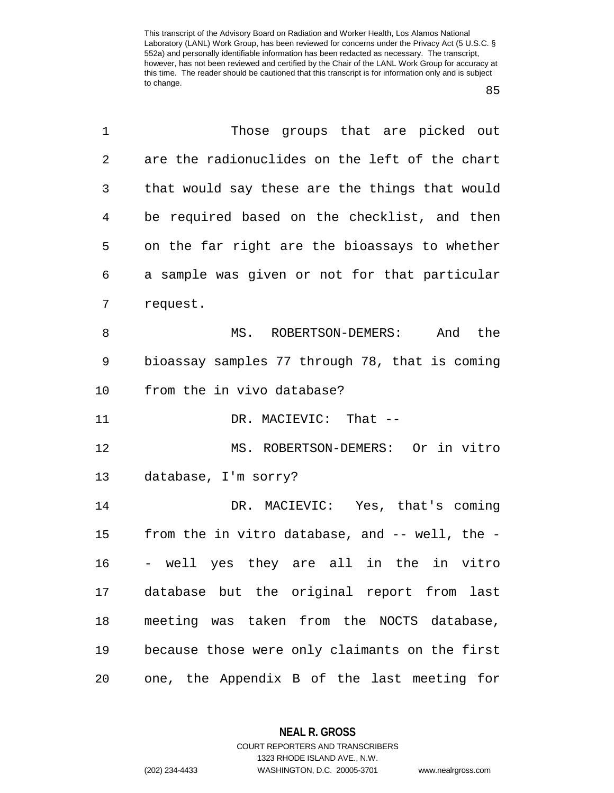85

 $\overline{a}$ 

| Those groups that are picked out               |
|------------------------------------------------|
| are the radionuclides on the left of the chart |
| that would say these are the things that would |
| be required based on the checklist, and then   |
| on the far right are the bioassays to whether  |
| a sample was given or not for that particular  |
|                                                |
| MS. ROBERTSON-DEMERS: And the                  |
| bioassay samples 77 through 78, that is coming |
|                                                |
|                                                |
|                                                |
| MS. ROBERTSON-DEMERS: Or in vitro              |
|                                                |
| DR. MACIEVIC: Yes, that's coming               |
| from the in vitro database, and -- well, the - |
| - well yes they are all in the in vitro        |
| database but the original report from last     |
| meeting was taken from the NOCTS database,     |
| because those were only claimants on the first |
|                                                |

**NEAL R. GROSS** COURT REPORTERS AND TRANSCRIBERS

1323 RHODE ISLAND AVE., N.W.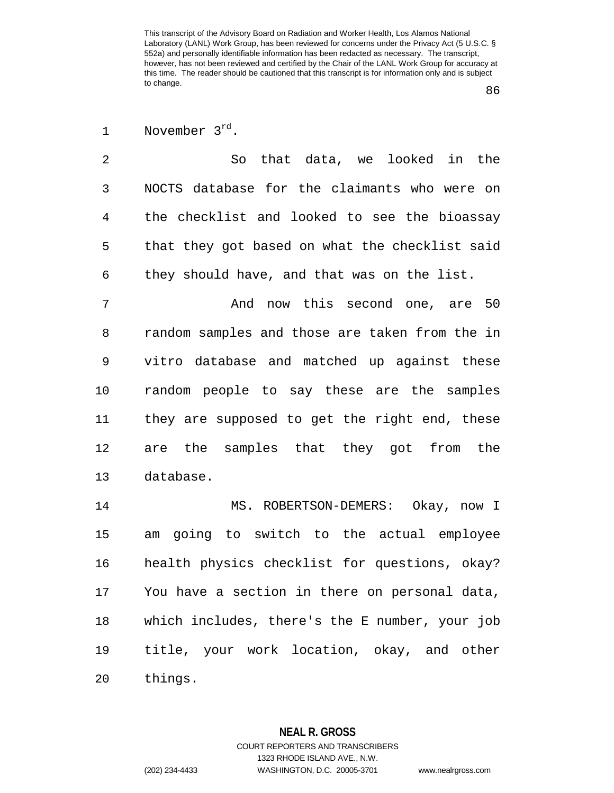86

| November 3rd |  |
|--------------|--|
|--------------|--|

2 So that data, we looked in the 3 NOCTS database for the claimants who were on 4 the checklist and looked to see the bioassay 5 that they got based on what the checklist said 6 they should have, and that was on the list.

7 And now this second one, are 50 8 random samples and those are taken from the in 9 vitro database and matched up against these 10 random people to say these are the samples 11 they are supposed to get the right end, these 12 are the samples that they got from the 13 database.

14 MS. ROBERTSON-DEMERS: Okay, now I 15 am going to switch to the actual employee 16 health physics checklist for questions, okay? 17 You have a section in there on personal data, 18 which includes, there's the E number, your job 19 title, your work location, okay, and other 20 things.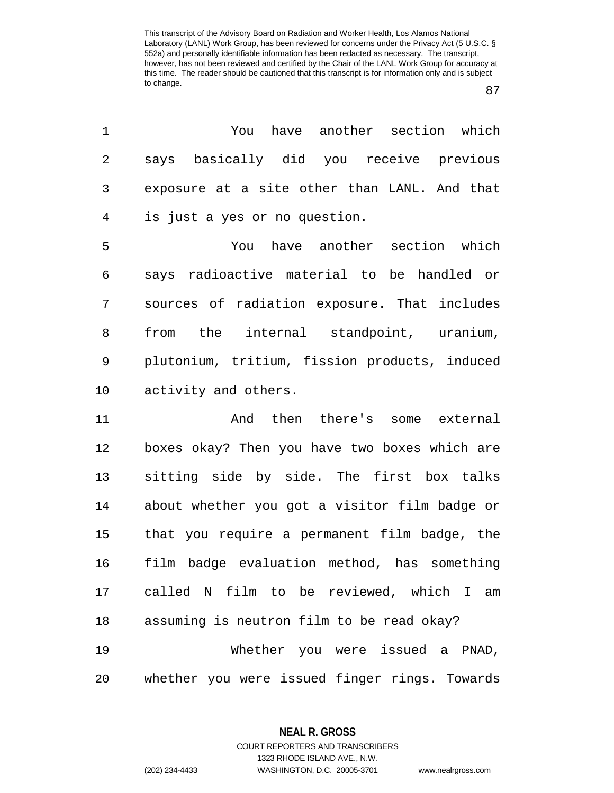87

1 You have another section which 2 says basically did you receive previous 3 exposure at a site other than LANL. And that 4 is just a yes or no question.

5 You have another section which 6 says radioactive material to be handled or 7 sources of radiation exposure. That includes 8 from the internal standpoint, uranium, 9 plutonium, tritium, fission products, induced 10 activity and others.

11 And then there's some external 12 boxes okay? Then you have two boxes which are 13 sitting side by side. The first box talks 14 about whether you got a visitor film badge or 15 that you require a permanent film badge, the 16 film badge evaluation method, has something 17 called N film to be reviewed, which I am 18 assuming is neutron film to be read okay? 19 Whether you were issued a PNAD, 20 whether you were issued finger rings. Towards

> **NEAL R. GROSS** COURT REPORTERS AND TRANSCRIBERS

> > 1323 RHODE ISLAND AVE., N.W.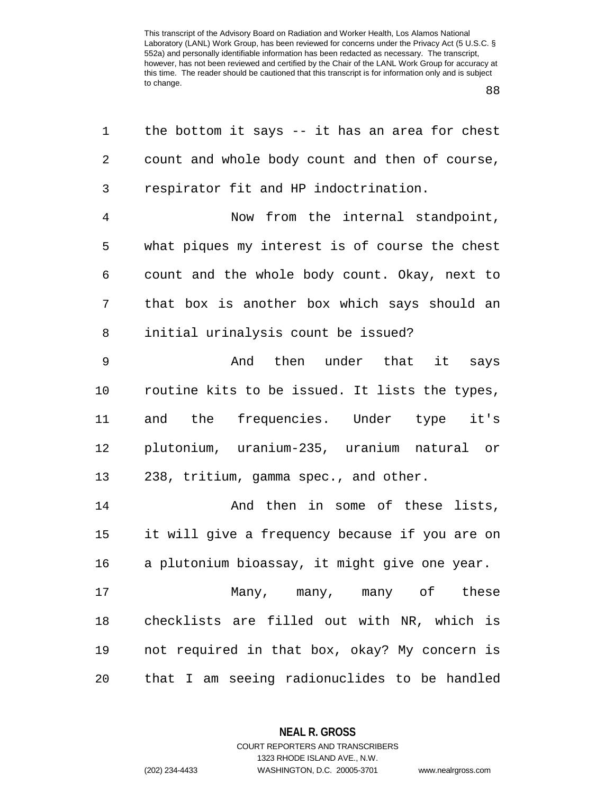| 1              | the bottom it says -- it has an area for chest |
|----------------|------------------------------------------------|
| $\overline{2}$ | count and whole body count and then of course, |
| 3              | respirator fit and HP indoctrination.          |
| $\overline{4}$ | Now from the internal standpoint,              |
| 5              | what piques my interest is of course the chest |
| 6              | count and the whole body count. Okay, next to  |
| 7              | that box is another box which says should an   |
| 8              | initial urinalysis count be issued?            |
| $\mathsf 9$    | And then under that it says                    |
| 10             | routine kits to be issued. It lists the types, |
| 11             | and the frequencies. Under type it's           |
| 12             | plutonium, uranium-235, uranium natural or     |
| 13             | 238, tritium, gamma spec., and other.          |
| 14             | And then in some of these lists,               |
| 15             | it will give a frequency because if you are on |
| 16             | a plutonium bioassay, it might give one year.  |
| 17             | Many, many, many of these                      |
| 18             | checklists are filled out with NR, which is    |
| 19             | not required in that box, okay? My concern is  |
| 20             | that I am seeing radionuclides to be handled   |

**NEAL R. GROSS**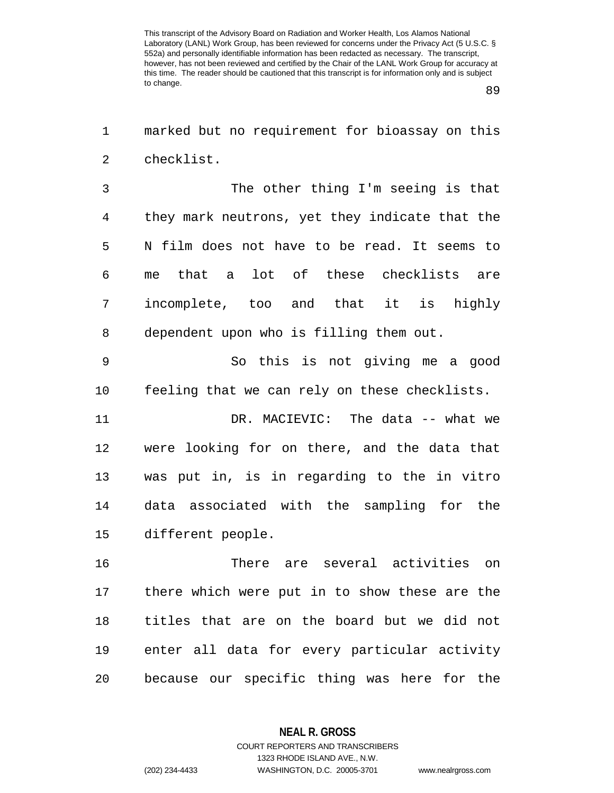89

1 marked but no requirement for bioassay on this 2 checklist.

3 The other thing I'm seeing is that 4 they mark neutrons, yet they indicate that the 5 N film does not have to be read. It seems to 6 me that a lot of these checklists are 7 incomplete, too and that it is highly 8 dependent upon who is filling them out.

9 So this is not giving me a good 10 feeling that we can rely on these checklists.

11 DR. MACIEVIC: The data -- what we 12 were looking for on there, and the data that 13 was put in, is in regarding to the in vitro 14 data associated with the sampling for the 15 different people.

16 There are several activities on 17 there which were put in to show these are the 18 titles that are on the board but we did not 19 enter all data for every particular activity 20 because our specific thing was here for the

> **NEAL R. GROSS** COURT REPORTERS AND TRANSCRIBERS

> > 1323 RHODE ISLAND AVE., N.W.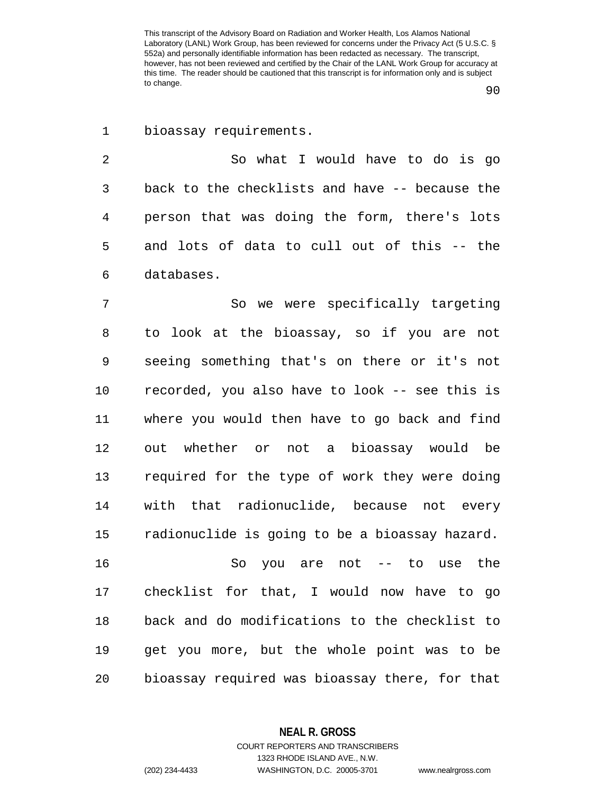1 bioassay requirements.

2 So what I would have to do is go 3 back to the checklists and have -- because the 4 person that was doing the form, there's lots 5 and lots of data to cull out of this -- the 6 databases.

7 So we were specifically targeting 8 to look at the bioassay, so if you are not 9 seeing something that's on there or it's not 10 recorded, you also have to look -- see this is 11 where you would then have to go back and find 12 out whether or not a bioassay would be 13 required for the type of work they were doing 14 with that radionuclide, because not every 15 radionuclide is going to be a bioassay hazard.

16 So you are not -- to use the 17 checklist for that, I would now have to go 18 back and do modifications to the checklist to 19 get you more, but the whole point was to be 20 bioassay required was bioassay there, for that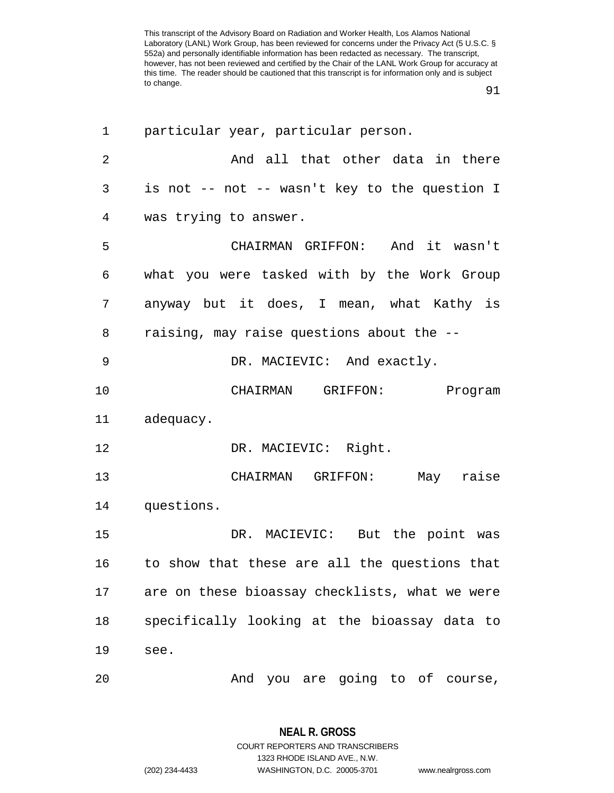91

| 1              | particular year, particular person.            |
|----------------|------------------------------------------------|
| $\overline{2}$ | And all that other data in there               |
| 3              | is not -- not -- wasn't key to the question I  |
| 4              | was trying to answer.                          |
| 5              | CHAIRMAN GRIFFON: And it wasn't                |
| 6              | what you were tasked with by the Work Group    |
| 7              | anyway but it does, I mean, what Kathy is      |
| 8              | raising, may raise questions about the --      |
| 9              | DR. MACIEVIC: And exactly.                     |
| 10             | CHAIRMAN GRIFFON:<br>Program                   |
| 11             | adequacy.                                      |
| 12             | DR. MACIEVIC: Right.                           |
| 13             | CHAIRMAN GRIFFON: May raise                    |
| 14             | questions.                                     |
| 15             | DR. MACIEVIC: But the point was                |
| 16             | to show that these are all the questions that  |
| 17             | are on these bioassay checklists, what we were |
| 18             | specifically looking at the bioassay data to   |
| 19             | see.                                           |
| 20             | And you are going to of course,                |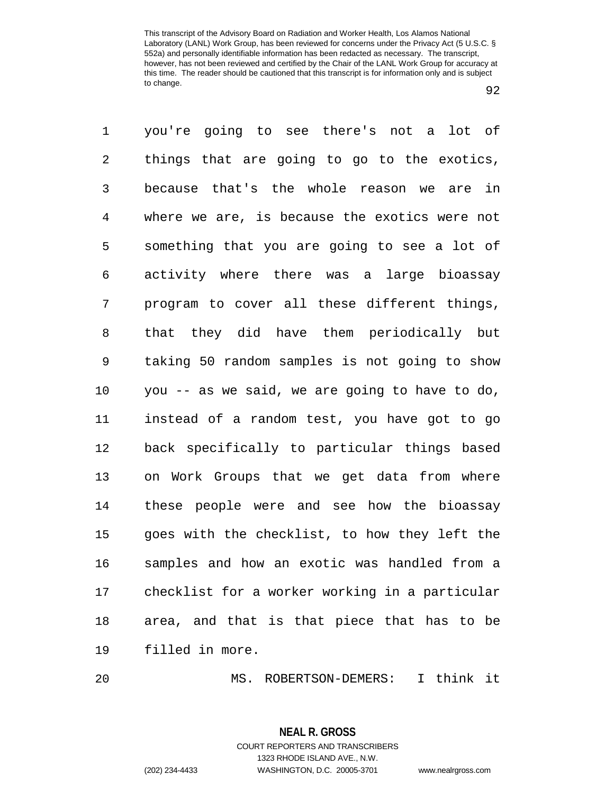92

1 you're going to see there's not a lot of 2 things that are going to go to the exotics, 3 because that's the whole reason we are in 4 where we are, is because the exotics were not 5 something that you are going to see a lot of 6 activity where there was a large bioassay 7 program to cover all these different things, 8 that they did have them periodically but 9 taking 50 random samples is not going to show 10 you -- as we said, we are going to have to do, 11 instead of a random test, you have got to go 12 back specifically to particular things based 13 on Work Groups that we get data from where 14 these people were and see how the bioassay 15 goes with the checklist, to how they left the 16 samples and how an exotic was handled from a 17 checklist for a worker working in a particular 18 area, and that is that piece that has to be 19 filled in more.

20 MS. ROBERTSON-DEMERS: I think it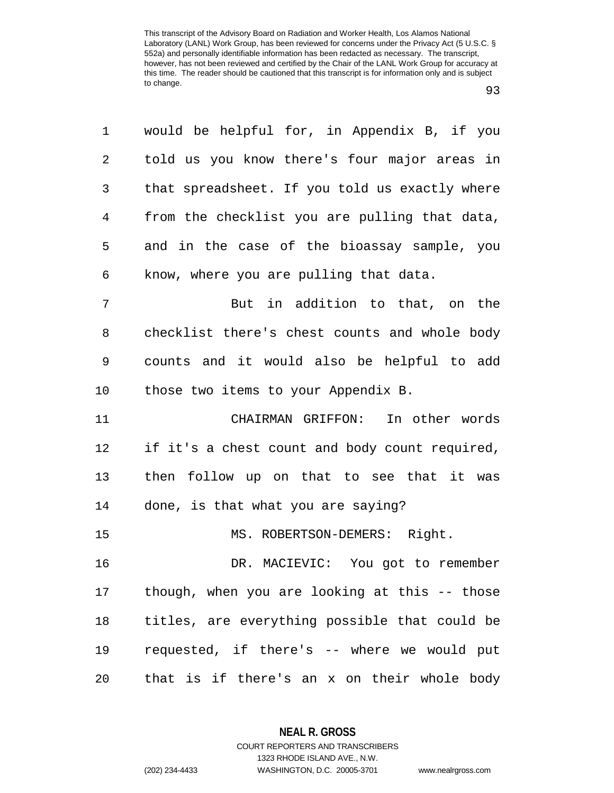| 1              | would be helpful for, in Appendix B, if you    |
|----------------|------------------------------------------------|
| $\overline{a}$ | told us you know there's four major areas in   |
| 3              | that spreadsheet. If you told us exactly where |
| 4              | from the checklist you are pulling that data,  |
| 5              | and in the case of the bioassay sample, you    |
| 6              | know, where you are pulling that data.         |
| 7              | But in addition to that, on the                |
| 8              | checklist there's chest counts and whole body  |
| 9              | counts and it would also be helpful to add     |
| 10             | those two items to your Appendix B.            |
| 11             | CHAIRMAN GRIFFON: In other words               |
| 12             | if it's a chest count and body count required, |
| 13             | then follow up on that to see that it was      |
| 14             | done, is that what you are saying?             |
| 15             | MS. ROBERTSON-DEMERS: Right.                   |
| 16             | DR. MACIEVIC: You got to remember              |
| 17             | though, when you are looking at this -- those  |
| 18             | titles, are everything possible that could be  |
| 19             | requested, if there's -- where we would put    |
| 20             | that is if there's an x on their whole body    |

**NEAL R. GROSS** COURT REPORTERS AND TRANSCRIBERS

1323 RHODE ISLAND AVE., N.W.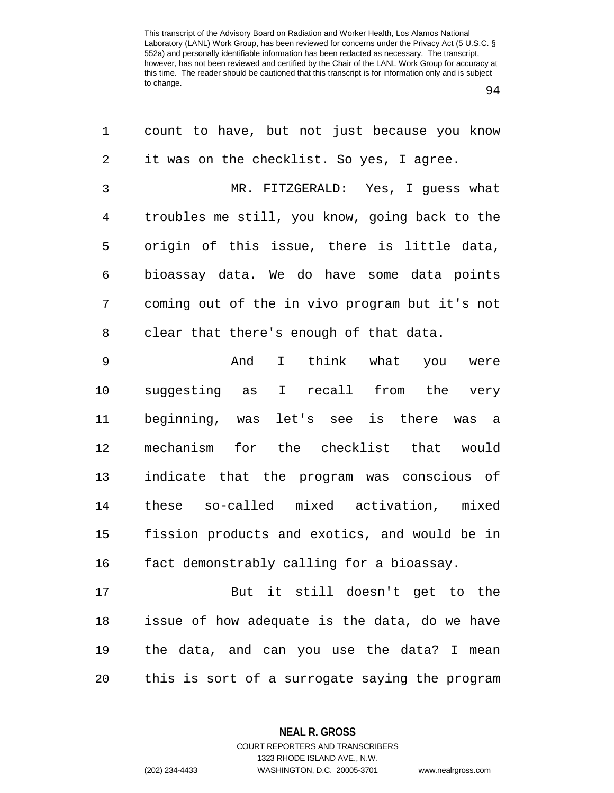94

| 1              | count to have, but not just because you know   |
|----------------|------------------------------------------------|
| $\overline{2}$ | it was on the checklist. So yes, I agree.      |
| 3              | MR. FITZGERALD: Yes, I guess what              |
| $\overline{4}$ | troubles me still, you know, going back to the |
| 5              | origin of this issue, there is little data,    |
| 6              | bioassay data. We do have some data points     |
| 7              | coming out of the in vivo program but it's not |
| 8              | clear that there's enough of that data.        |
| 9              | And<br>I think what you were                   |
| 10             | suggesting as I recall from the very           |
| 11             | beginning, was let's see is there was a        |
| 12             | mechanism for the checklist that would         |
| 13             | indicate that the program was conscious of     |
| 14             | these so-called mixed activation, mixed        |
| 15             | fission products and exotics, and would be in  |
| 16             | fact demonstrably calling for a bioassay.      |
| 17             | But it still doesn't get to the                |
| 18             | issue of how adequate is the data, do we have  |
| 19             | the data, and can you use the data? I mean     |
| 20             | this is sort of a surrogate saying the program |

**NEAL R. GROSS** COURT REPORTERS AND TRANSCRIBERS

1323 RHODE ISLAND AVE., N.W.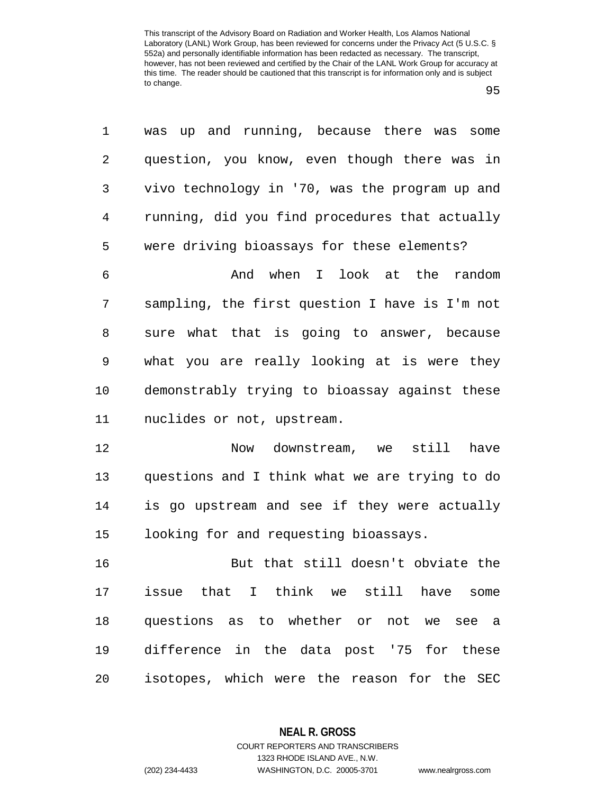| ×      | ×<br>۰. |
|--------|---------|
| I<br>٠ |         |

1 was up and running, because there was some 2 question, you know, even though there was in 3 vivo technology in '70, was the program up and 4 running, did you find procedures that actually 5 were driving bioassays for these elements? 6 And when I look at the random 7 sampling, the first question I have is I'm not 8 sure what that is going to answer, because 9 what you are really looking at is were they 10 demonstrably trying to bioassay against these 11 nuclides or not, upstream. 12 Now downstream, we still have 13 questions and I think what we are trying to do 14 is go upstream and see if they were actually 15 looking for and requesting bioassays. 16 But that still doesn't obviate the 17 issue that I think we still have some 18 questions as to whether or not we see a 19 difference in the data post '75 for these 20 isotopes, which were the reason for the SEC

**NEAL R. GROSS**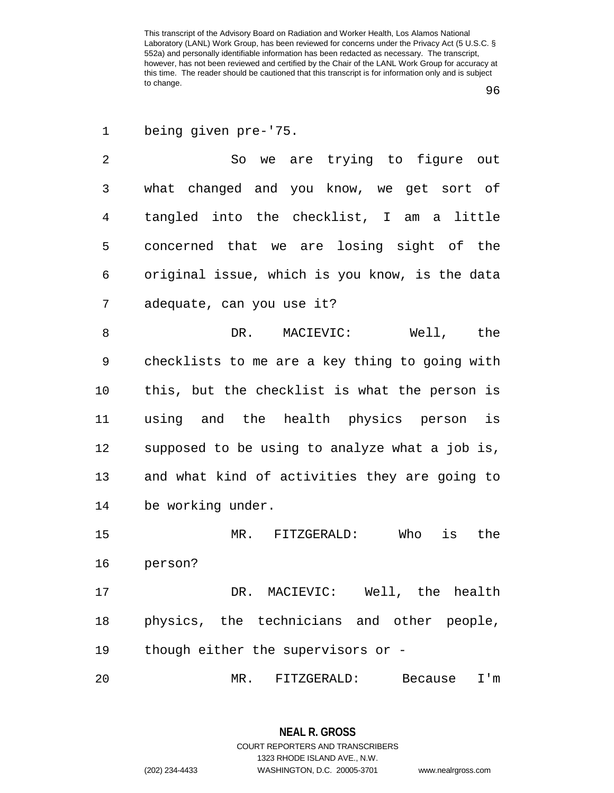96

1 being given pre-'75.

2 So we are trying to figure out 3 what changed and you know, we get sort of 4 tangled into the checklist, I am a little 5 concerned that we are losing sight of the 6 original issue, which is you know, is the data 7 adequate, can you use it?

8 DR. MACIEVIC: Well, the 9 checklists to me are a key thing to going with 10 this, but the checklist is what the person is 11 using and the health physics person is 12 supposed to be using to analyze what a job is, 13 and what kind of activities they are going to 14 be working under.

15 MR. FITZGERALD: Who is the 16 person?

17 DR. MACIEVIC: Well, the health 18 physics, the technicians and other people, 19 though either the supervisors or -

20 MR. FITZGERALD: Because I'm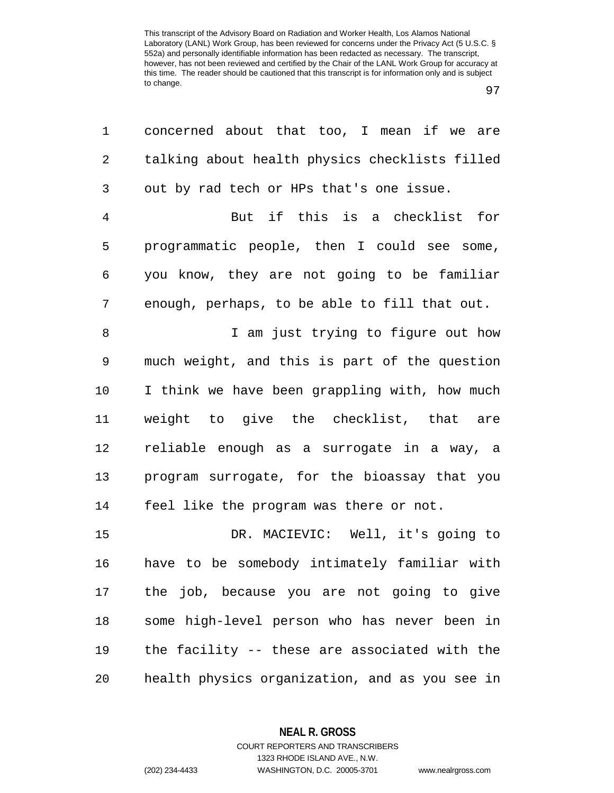| 1              | concerned about that too, I mean if we are     |
|----------------|------------------------------------------------|
| 2              | talking about health physics checklists filled |
| 3              | out by rad tech or HPs that's one issue.       |
| $\overline{4}$ | But if this is a checklist for                 |
| 5              | programmatic people, then I could see some,    |
| 6              | you know, they are not going to be familiar    |
| 7              | enough, perhaps, to be able to fill that out.  |
| 8              | I am just trying to figure out how             |
| $\mathsf 9$    | much weight, and this is part of the question  |
| 10             | I think we have been grappling with, how much  |
| 11             | weight to give the checklist, that are         |
| 12             | reliable enough as a surrogate in a way, a     |
| 13             | program surrogate, for the bioassay that you   |
| 14             | feel like the program was there or not.        |
| 15             | DR. MACIEVIC: Well, it's going to              |
| 16             | have to be somebody intimately familiar with   |
| 17             | the job, because you are not going to give     |
| 18             | some high-level person who has never been in   |
| 19             | the facility -- these are associated with the  |
| 20             | health physics organization, and as you see in |

**NEAL R. GROSS** COURT REPORTERS AND TRANSCRIBERS

1323 RHODE ISLAND AVE., N.W. (202) 234-4433 WASHINGTON, D.C. 20005-3701 www.nealrgross.com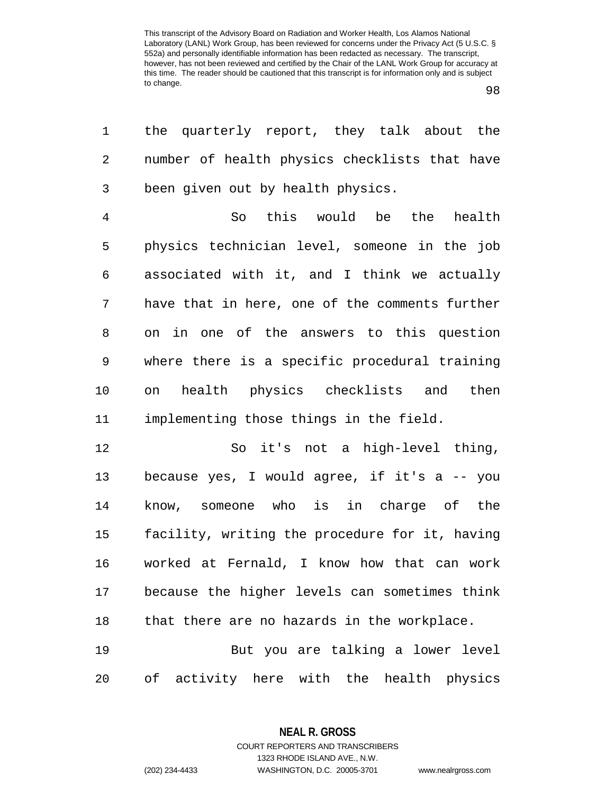98

| 1              | the quarterly report, they talk about the      |
|----------------|------------------------------------------------|
| 2              | number of health physics checklists that have  |
| 3              | been given out by health physics.              |
| $\overline{4}$ | So this would be the health                    |
| 5              | physics technician level, someone in the job   |
| 6              | associated with it, and I think we actually    |
| 7              | have that in here, one of the comments further |
| 8              | on in one of the answers to this question      |
| 9              | where there is a specific procedural training  |
| 10             | health physics checklists and then<br>on       |
| 11             | implementing those things in the field.        |
| 12             | So it's not a high-level thing,                |
| 13             | because yes, I would agree, if it's a -- you   |
| 14             | know, someone who is in charge of the          |
| 15             | facility, writing the procedure for it, having |
| 16             | worked at Fernald, I know how that can work    |
| 17             | because the higher levels can sometimes think  |
| 18             | that there are no hazards in the workplace.    |
| 19             | But you are talking a lower level              |
| 20             | of activity here with the health physics       |

**NEAL R. GROSS** COURT REPORTERS AND TRANSCRIBERS

1323 RHODE ISLAND AVE., N.W.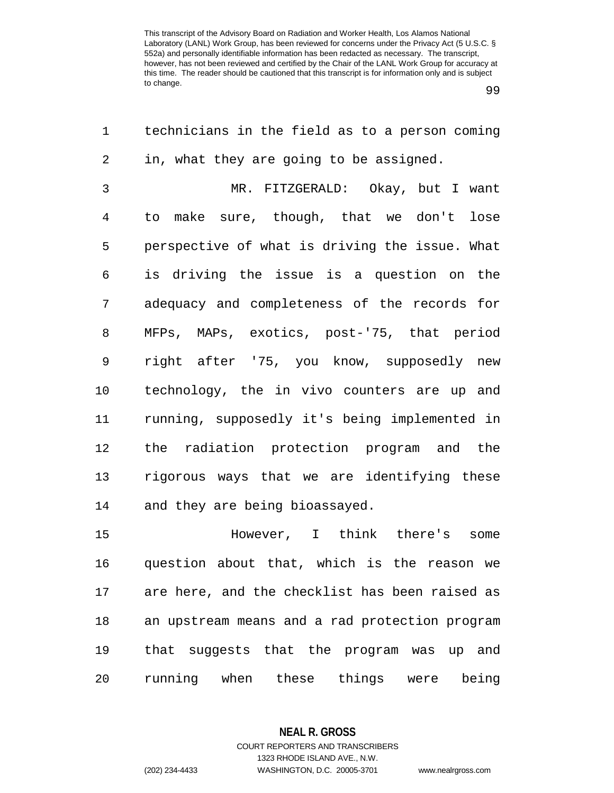99

| 1              | technicians in the field as to a person coming |
|----------------|------------------------------------------------|
| 2              | in, what they are going to be assigned.        |
| $\mathfrak{Z}$ | MR. FITZGERALD: Okay, but I want               |
| $\overline{4}$ | to make sure, though, that we don't lose       |
| 5              | perspective of what is driving the issue. What |
| 6              | is driving the issue is a question on the      |
| 7              | adequacy and completeness of the records for   |
| 8              | MFPs, MAPs, exotics, post-'75, that period     |
| 9              | right after '75, you know, supposedly new      |
| 10             | technology, the in vivo counters are up and    |
| 11             | running, supposedly it's being implemented in  |
| 12             | the radiation protection program and the       |
| 13             | rigorous ways that we are identifying these    |
| 14             | and they are being bioassayed.                 |
| 15             | However, I think there's<br>some               |
| 16             | question about that, which is the reason we    |
| 17             | are here, and the checklist has been raised as |
| 18             | an upstream means and a rad protection program |
| 19             | that suggests that the program was up and      |
| 20             | running when these<br>things were being        |

**NEAL R. GROSS** COURT REPORTERS AND TRANSCRIBERS

1323 RHODE ISLAND AVE., N.W.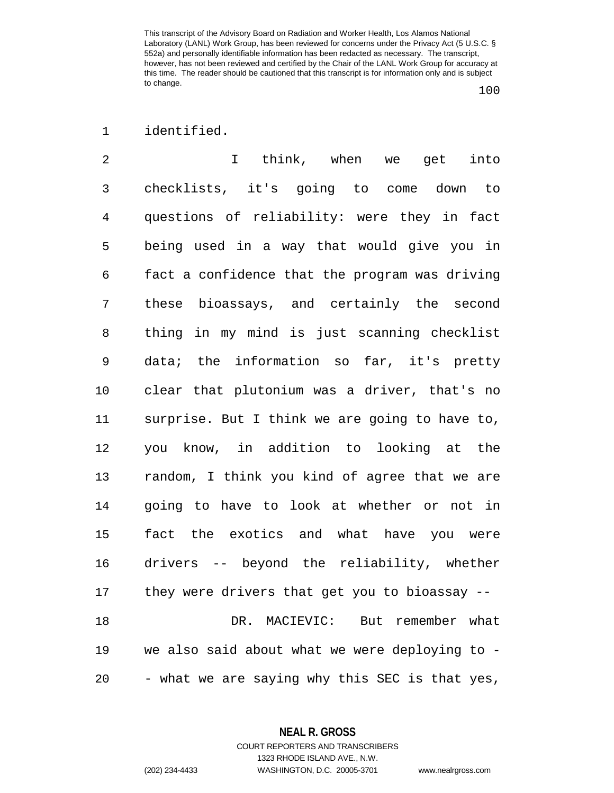## 1 identified.

2 I think, when we get into 3 checklists, it's going to come down to 4 questions of reliability: were they in fact 5 being used in a way that would give you in 6 fact a confidence that the program was driving 7 these bioassays, and certainly the second 8 thing in my mind is just scanning checklist 9 data; the information so far, it's pretty 10 clear that plutonium was a driver, that's no 11 surprise. But I think we are going to have to, 12 you know, in addition to looking at the 13 random, I think you kind of agree that we are 14 going to have to look at whether or not in 15 fact the exotics and what have you were 16 drivers -- beyond the reliability, whether 17 they were drivers that get you to bioassay -- 18 DR. MACIEVIC: But remember what 19 we also said about what we were deploying to - 20 - what we are saying why this SEC is that yes,

> **NEAL R. GROSS** COURT REPORTERS AND TRANSCRIBERS

1323 RHODE ISLAND AVE., N.W. (202) 234-4433 WASHINGTON, D.C. 20005-3701 www.nealrgross.com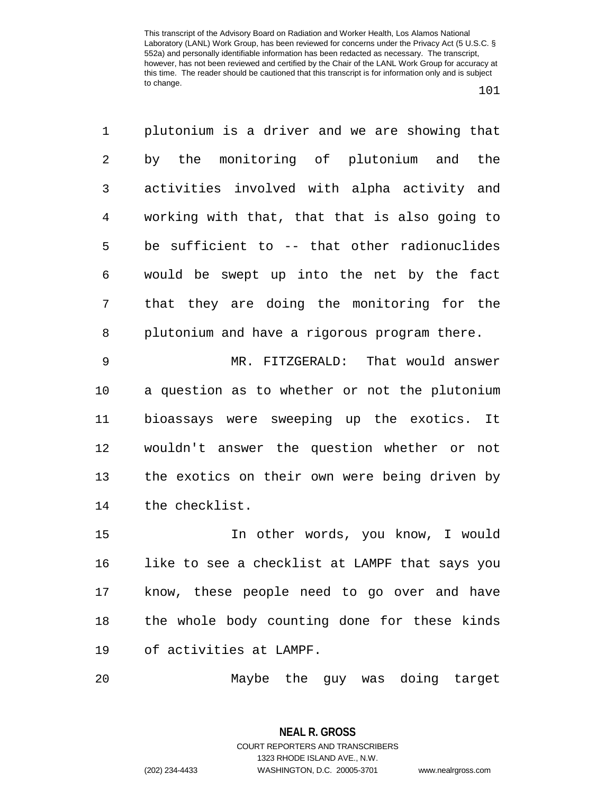101

1 plutonium is a driver and we are showing that 2 by the monitoring of plutonium and the 3 activities involved with alpha activity and 4 working with that, that that is also going to 5 be sufficient to -- that other radionuclides 6 would be swept up into the net by the fact 7 that they are doing the monitoring for the 8 plutonium and have a rigorous program there.

9 MR. FITZGERALD: That would answer 10 a question as to whether or not the plutonium 11 bioassays were sweeping up the exotics. It 12 wouldn't answer the question whether or not 13 the exotics on their own were being driven by 14 the checklist.

15 In other words, you know, I would 16 like to see a checklist at LAMPF that says you 17 know, these people need to go over and have 18 the whole body counting done for these kinds 19 of activities at LAMPF.

20 Maybe the guy was doing target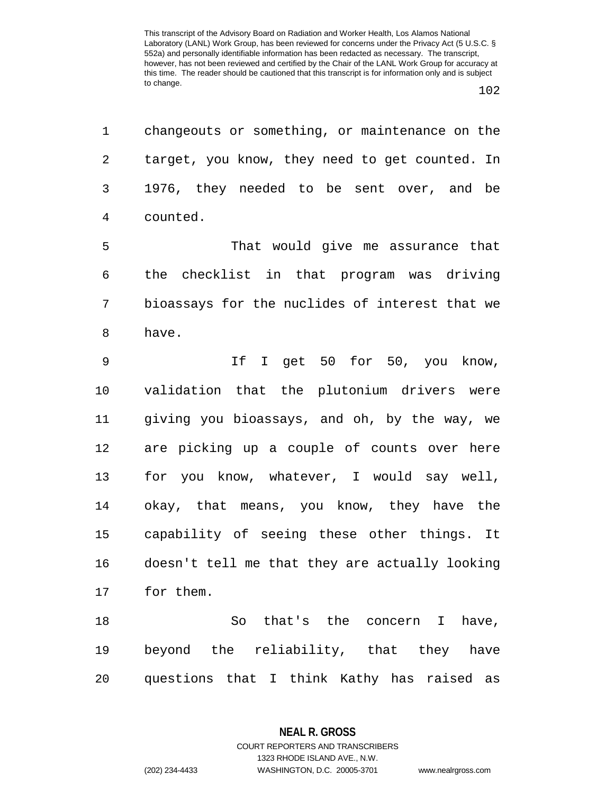| 1              | changeouts or something, or maintenance on the |
|----------------|------------------------------------------------|
| $\overline{2}$ | target, you know, they need to get counted. In |
| 3              | 1976, they needed to be sent over, and be      |
| $\overline{4}$ | counted.                                       |
| 5              | That would give me assurance that              |
| 6              | the checklist in that program was driving      |
| 7              | bioassays for the nuclides of interest that we |
| 8              | have.                                          |
| 9              | If I get 50 for 50, you know,                  |
| 10             | validation that the plutonium drivers were     |
| 11             | giving you bioassays, and oh, by the way, we   |
| 12             | are picking up a couple of counts over here    |
| 13             | for you know, whatever, I would say well,      |
| 14             | okay, that means, you know, they have the      |
| 15             | capability of seeing these other things. It    |
| 16             | doesn't tell me that they are actually looking |
| 17             | for them.                                      |
| 18             | So that's the concern<br>I have,               |
| 19             | beyond the reliability, that they have         |
| 20             | questions that I think Kathy has raised as     |

**NEAL R. GROSS** COURT REPORTERS AND TRANSCRIBERS

1323 RHODE ISLAND AVE., N.W.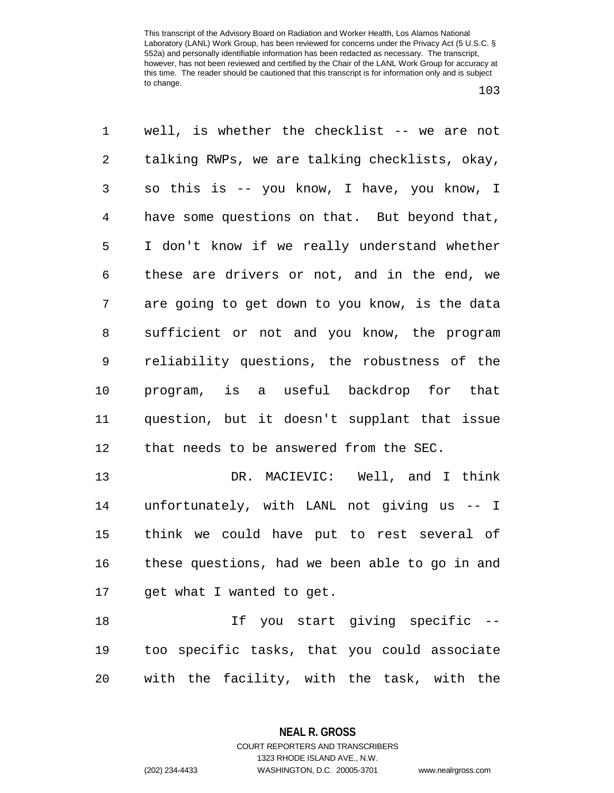103

1 well, is whether the checklist -- we are not 2 talking RWPs, we are talking checklists, okay, 3 so this is -- you know, I have, you know, I 4 have some questions on that. But beyond that, 5 I don't know if we really understand whether 6 these are drivers or not, and in the end, we 7 are going to get down to you know, is the data 8 sufficient or not and you know, the program 9 reliability questions, the robustness of the 10 program, is a useful backdrop for that 11 question, but it doesn't supplant that issue 12 that needs to be answered from the SEC. 13 DR. MACIEVIC: Well, and I think 14 unfortunately, with LANL not giving us -- I 15 think we could have put to rest several of 16 these questions, had we been able to go in and 17 get what I wanted to get. 18 If you start giving specific -- 19 too specific tasks, that you could associate

20 with the facility, with the task, with the

**NEAL R. GROSS** COURT REPORTERS AND TRANSCRIBERS

1323 RHODE ISLAND AVE., N.W.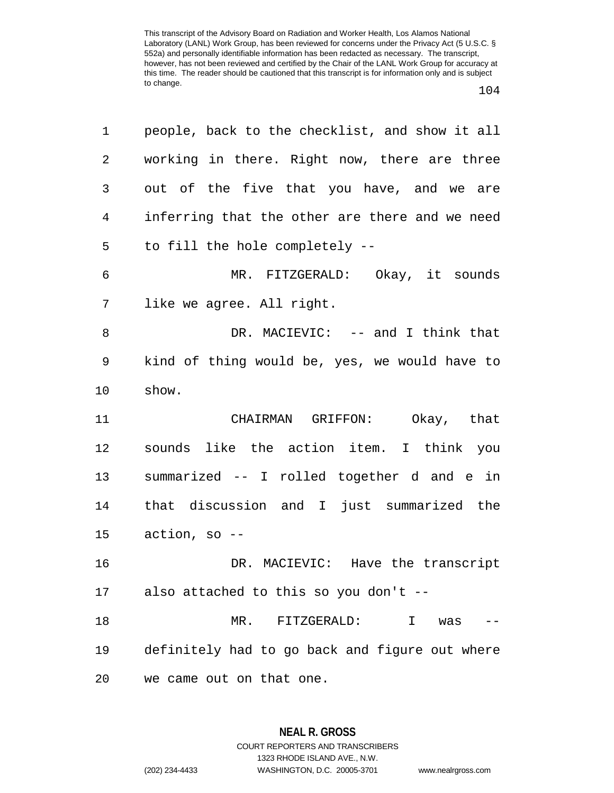| 1  | people, back to the checklist, and show it all |
|----|------------------------------------------------|
| 2  | working in there. Right now, there are three   |
| 3  | out of the five that you have, and we are      |
| 4  | inferring that the other are there and we need |
| 5  | to fill the hole completely --                 |
| 6  | MR. FITZGERALD: Okay, it sounds                |
| 7  | like we agree. All right.                      |
| 8  | DR. MACIEVIC: -- and I think that              |
| 9  | kind of thing would be, yes, we would have to  |
| 10 | show.                                          |
| 11 | CHAIRMAN GRIFFON: Okay, that                   |
| 12 | sounds like the action item. I think you       |
| 13 | summarized -- I rolled together d and e in     |
| 14 | that discussion and I just summarized the      |
| 15 | $action, so --$                                |
| 16 | DR. MACIEVIC: Have the transcript              |
| 17 | also attached to this so you don't --          |
| 18 | MR. FITZGERALD:<br>I.<br>was                   |
|    |                                                |
| 19 | definitely had to go back and figure out where |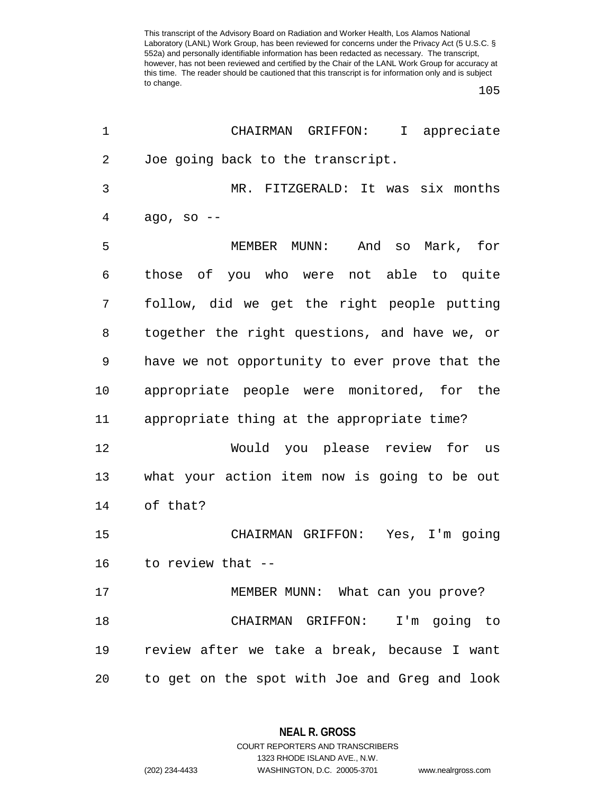105

| 1  | CHAIRMAN GRIFFON: I appreciate                 |
|----|------------------------------------------------|
| 2  | Joe going back to the transcript.              |
| 3  | MR. FITZGERALD: It was six months              |
| 4  | ago, so $--$                                   |
| 5  | MEMBER MUNN:<br>And so Mark, for               |
| 6  | those of you who were not able to quite        |
| 7  | follow, did we get the right people putting    |
| 8  | together the right questions, and have we, or  |
| 9  | have we not opportunity to ever prove that the |
| 10 | appropriate people were monitored, for the     |
| 11 | appropriate thing at the appropriate time?     |
| 12 | Would you please review for us                 |
| 13 | what your action item now is going to be out   |
| 14 | of that?                                       |
| 15 | CHAIRMAN GRIFFON: Yes, I'm going               |
| 16 | to review that --                              |
| 17 | MEMBER MUNN: What can you prove?               |
| 18 | CHAIRMAN GRIFFON: I'm going to                 |
| 19 | review after we take a break, because I want   |
| 20 | to get on the spot with Joe and Greg and look  |

**NEAL R. GROSS** COURT REPORTERS AND TRANSCRIBERS

1323 RHODE ISLAND AVE., N.W.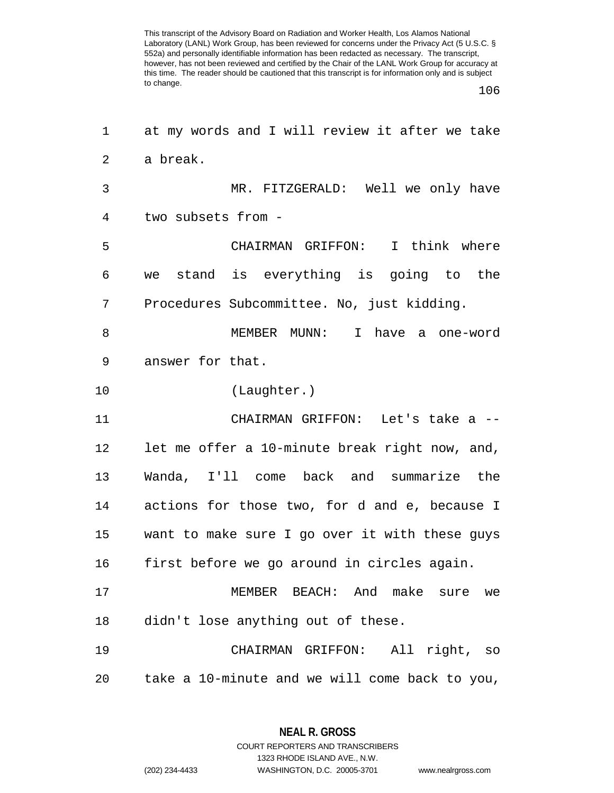106

| 1              | at my words and I will review it after we take |
|----------------|------------------------------------------------|
| $\overline{2}$ | a break.                                       |
| 3              | MR. FITZGERALD: Well we only have              |
| 4              | two subsets from -                             |
| 5              | I think where<br>CHAIRMAN GRIFFON:             |
| 6              | we stand is everything is going to the         |
| 7              | Procedures Subcommittee. No, just kidding.     |
| 8              | MEMBER MUNN: I<br>have<br>a one-word           |
| 9              | answer for that.                               |
| 10             | (Laughter.)                                    |
| 11             | CHAIRMAN GRIFFON: Let's take a --              |
| 12             | let me offer a 10-minute break right now, and, |
| 13             | Wanda, I'll come back and summarize the        |
| 14             | actions for those two, for d and e, because I  |
| 15             | want to make sure I go over it with these guys |
| 16             | first before we go around in circles again.    |
| 17             | MEMBER BEACH: And make sure we                 |
| 18             | didn't lose anything out of these.             |
| 19             | CHAIRMAN GRIFFON: All right, so                |
| 20             | take a 10-minute and we will come back to you, |

**NEAL R. GROSS** COURT REPORTERS AND TRANSCRIBERS

1323 RHODE ISLAND AVE., N.W.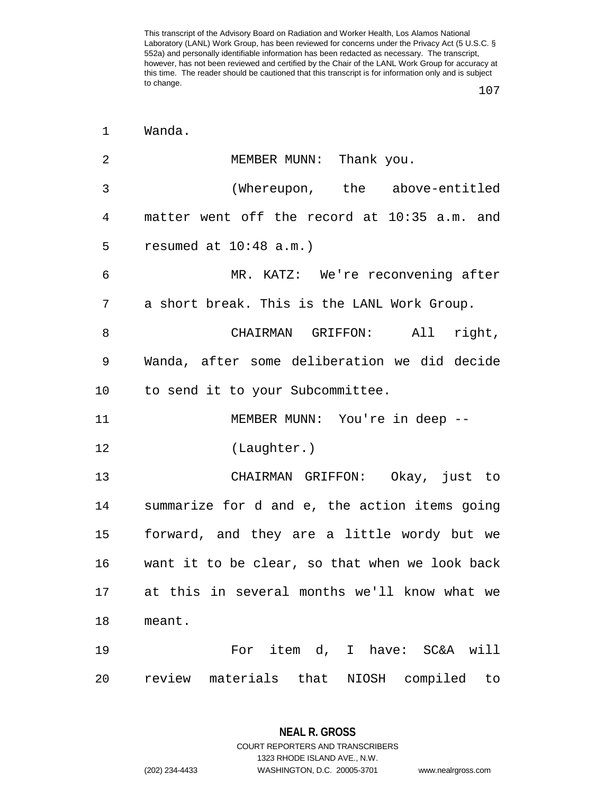107

| $\mathbf 1$ | Wanda.                                         |
|-------------|------------------------------------------------|
| 2           | MEMBER MUNN: Thank you.                        |
| 3           | (Whereupon, the above-entitled                 |
| 4           | matter went off the record at 10:35 a.m. and   |
| 5           | resumed at $10:48$ a.m.)                       |
| 6           | MR. KATZ: We're reconvening after              |
| 7           | a short break. This is the LANL Work Group.    |
| 8           | CHAIRMAN GRIFFON: All right,                   |
| 9           | Wanda, after some deliberation we did decide   |
| $10 \,$     | to send it to your Subcommittee.               |
| 11          | MEMBER MUNN: You're in deep --                 |
| 12          | (Laughter.)                                    |
| 13          | CHAIRMAN GRIFFON: Okay, just to                |
| 14          | summarize for d and e, the action items going  |
| 15          | forward, and they are a little wordy but we    |
| 16          | want it to be clear, so that when we look back |
| 17          | at this in several months we'll know what we   |
| 18          | meant.                                         |
| 19          | For item d, I have: SC&A will                  |
| 20          | review materials that<br>NIOSH compiled<br>to  |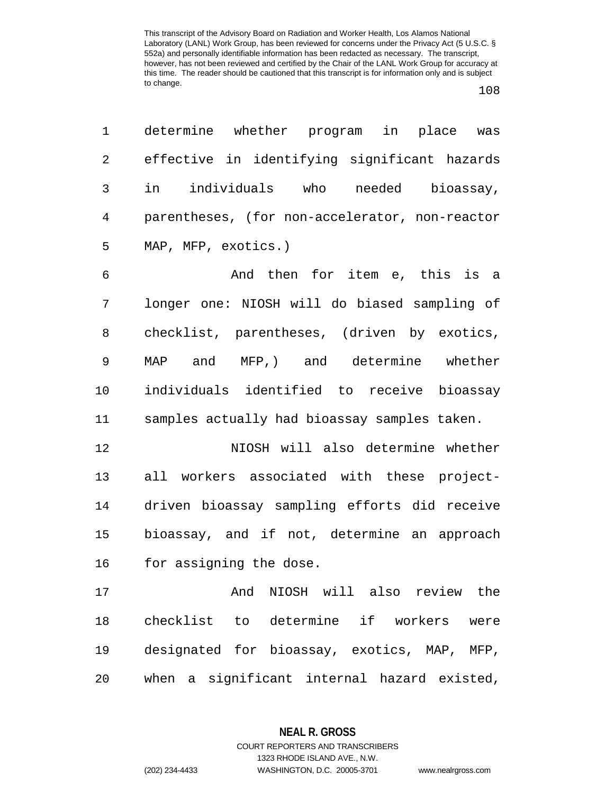| $\mathbf 1$    | determine whether program in place was         |
|----------------|------------------------------------------------|
| $\overline{2}$ | effective in identifying significant hazards   |
| 3              | in individuals who needed bioassay,            |
| $\overline{4}$ | parentheses, (for non-accelerator, non-reactor |
| 5              | MAP, MFP, exotics.)                            |
| 6              | And then for item e, this is a                 |
| 7              | longer one: NIOSH will do biased sampling of   |
| 8              | checklist, parentheses, (driven by exotics,    |
| 9              | MAP and MFP, and determine whether             |
| 10             | individuals identified to receive bioassay     |
| 11             | samples actually had bioassay samples taken.   |
| 12             | NIOSH will also determine whether              |
| 13             | all workers associated with these project-     |
| 14             | driven bioassay sampling efforts did receive   |
| 15             | bioassay, and if not, determine an approach    |
| 16             | for assigning the dose.                        |
| 17             | And NIOSH will also review the                 |
| 18             | checklist to determine if workers<br>were      |
| 19             | designated for bioassay, exotics, MAP, MFP,    |
| 20             | when a significant internal hazard existed,    |

**NEAL R. GROSS** COURT REPORTERS AND TRANSCRIBERS

1323 RHODE ISLAND AVE., N.W.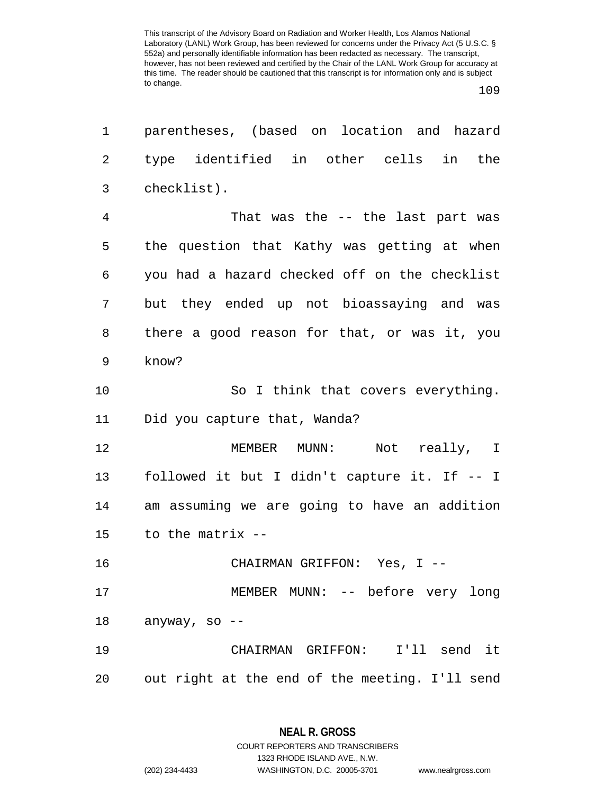109

| 1              | parentheses, (based on location and hazard     |
|----------------|------------------------------------------------|
| $\overline{2}$ | type identified in other cells in the          |
| 3              | checklist).                                    |
| 4              | That was the -- the last part was              |
| 5              | the question that Kathy was getting at when    |
| 6              | you had a hazard checked off on the checklist  |
| 7              | but they ended up not bioassaying and was      |
| 8              | there a good reason for that, or was it, you   |
| 9              | know?                                          |
| 10             | So I think that covers everything.             |
| 11             | Did you capture that, Wanda?                   |
| 12             | MEMBER MUNN: Not really, I                     |
| 13             | followed it but I didn't capture it. If -- I   |
| 14             | am assuming we are going to have an addition   |
| 15             | to the matrix --                               |
| 16             | CHAIRMAN GRIFFON: Yes, I --                    |
| 17             | MEMBER MUNN: -- before very long               |
| 18             | anyway, so --                                  |
| 19             | CHAIRMAN GRIFFON: I'll send it                 |
| 20             | out right at the end of the meeting. I'll send |

**NEAL R. GROSS** COURT REPORTERS AND TRANSCRIBERS

1323 RHODE ISLAND AVE., N.W.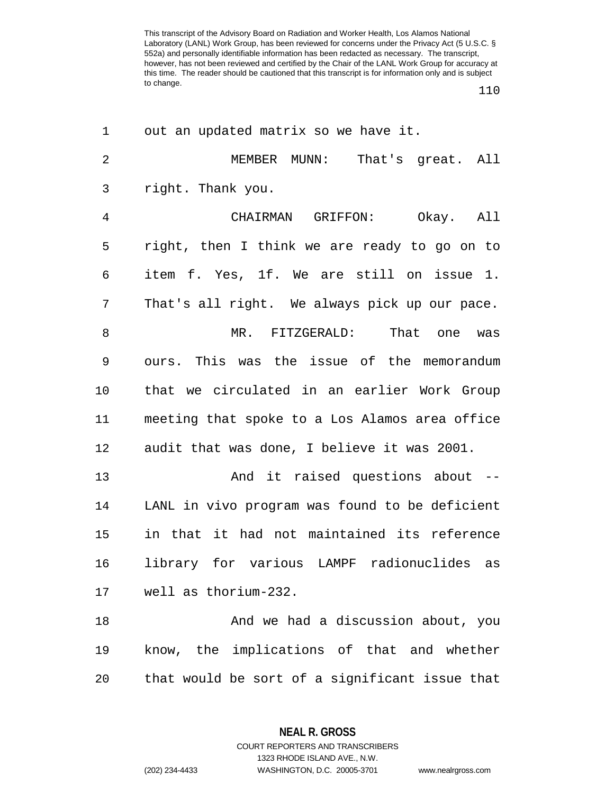110

| 1              | out an updated matrix so we have it.           |
|----------------|------------------------------------------------|
| $\overline{2}$ | MEMBER MUNN:<br>That's great. All              |
| 3              | right. Thank you.                              |
| $\overline{4}$ | CHAIRMAN GRIFFON: Okay. All                    |
| 5              | right, then I think we are ready to go on to   |
| 6              | item f. Yes, 1f. We are still on issue 1.      |
| 7              | That's all right. We always pick up our pace.  |
| 8              | MR. FITZGERALD:<br>That one was                |
| 9              | ours. This was the issue of the memorandum     |
| 10             | that we circulated in an earlier Work Group    |
| 11             | meeting that spoke to a Los Alamos area office |
| 12             | audit that was done, I believe it was 2001.    |
| 13             | And it raised questions about --               |
| 14             | LANL in vivo program was found to be deficient |
| 15             | in that it had not maintained its reference    |
| 16             | library for various LAMPF radionuclides as     |
| 17             | well as thorium-232.                           |
| 18             | And we had a discussion about, you             |
| 19             | know, the implications of that and whether     |
| 20             | that would be sort of a significant issue that |

**NEAL R. GROSS** COURT REPORTERS AND TRANSCRIBERS

1323 RHODE ISLAND AVE., N.W.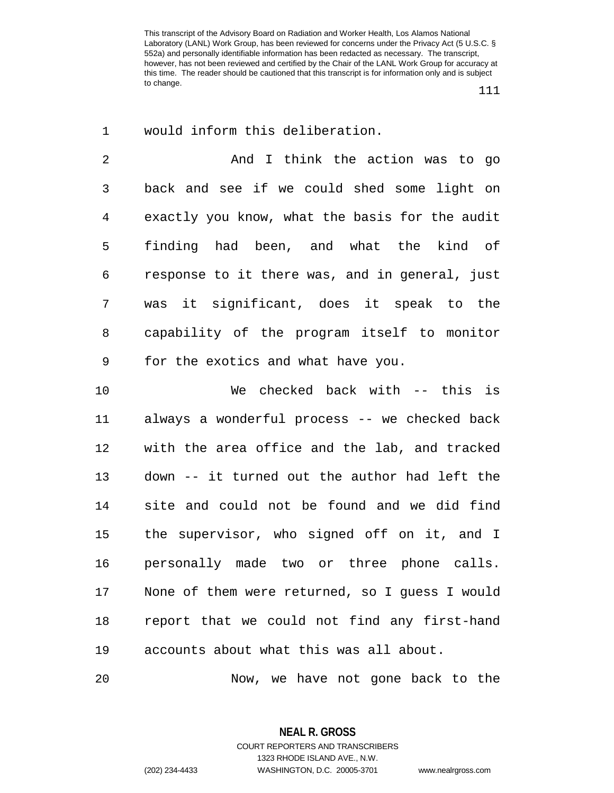111

1 would inform this deliberation.

2 And I think the action was to go 3 back and see if we could shed some light on 4 exactly you know, what the basis for the audit 5 finding had been, and what the kind of 6 response to it there was, and in general, just 7 was it significant, does it speak to the 8 capability of the program itself to monitor 9 for the exotics and what have you.

10 We checked back with -- this is 11 always a wonderful process -- we checked back 12 with the area office and the lab, and tracked 13 down -- it turned out the author had left the 14 site and could not be found and we did find 15 the supervisor, who signed off on it, and I 16 personally made two or three phone calls. 17 None of them were returned, so I guess I would 18 report that we could not find any first-hand 19 accounts about what this was all about.

20 Now, we have not gone back to the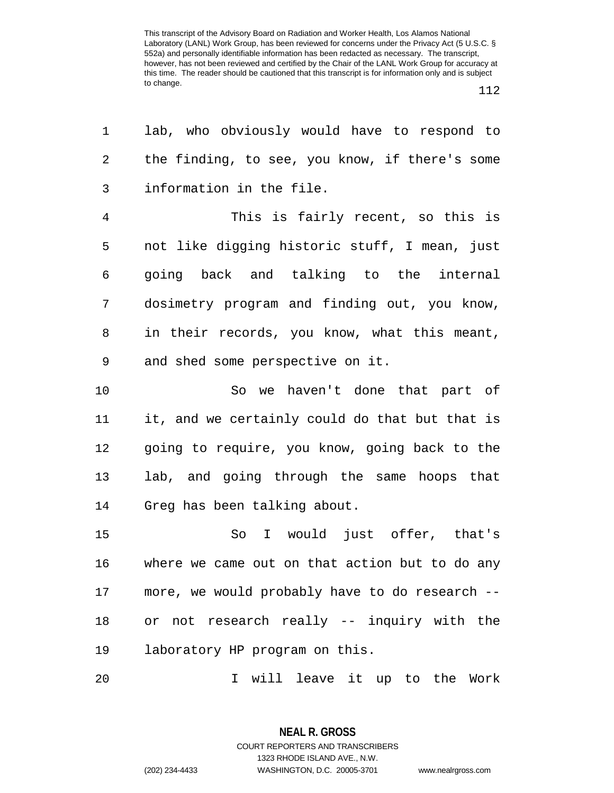$\overline{a}$ 

112

| lab, who obviously would have to respond to    |
|------------------------------------------------|
| the finding, to see, you know, if there's some |
| information in the file.                       |
| This is fairly recent, so this is              |
| not like digging historic stuff, I mean, just  |
| going back and talking to the internal         |
| dosimetry program and finding out, you know,   |
| in their records, you know, what this meant,   |
| and shed some perspective on it.               |
| So we haven't done that part of                |
| it, and we certainly could do that but that is |
| going to require, you know, going back to the  |
| lab, and going through the same hoops that     |
| Greg has been talking about.                   |
| So I would just offer, that's                  |
| where we came out on that action but to do any |
| more, we would probably have to do research -- |
| or not research really -- inquiry with the     |
| laboratory HP program on this.                 |
| will leave it up to the Work<br>I.             |
|                                                |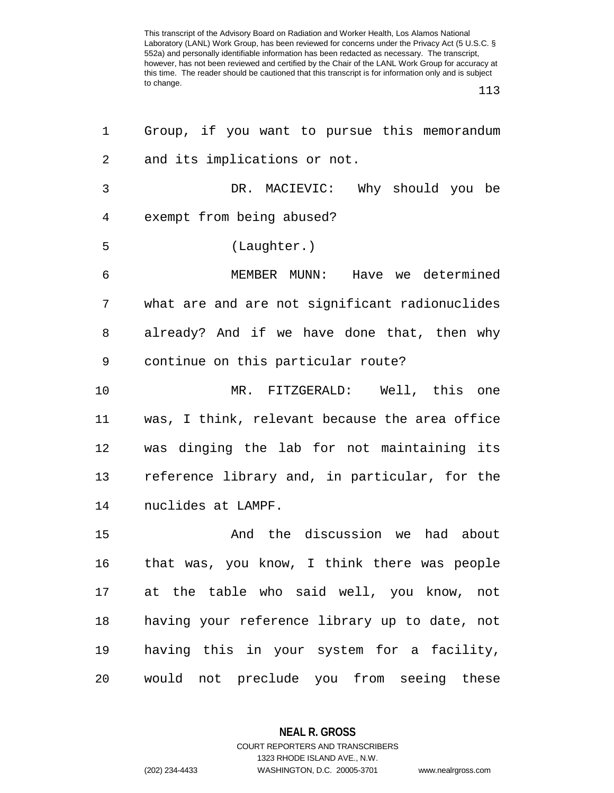113

| 1  | Group, if you want to pursue this memorandum   |
|----|------------------------------------------------|
| 2  | and its implications or not.                   |
| 3  | DR. MACIEVIC: Why should you be                |
| 4  | exempt from being abused?                      |
| 5  | (Laughter.)                                    |
| 6  | MEMBER MUNN: Have we determined                |
| 7  | what are and are not significant radionuclides |
| 8  | already? And if we have done that, then why    |
| 9  | continue on this particular route?             |
| 10 | MR. FITZGERALD: Well, this one                 |
| 11 | was, I think, relevant because the area office |
| 12 | was dinging the lab for not maintaining its    |
| 13 | reference library and, in particular, for the  |
| 14 | nuclides at LAMPF.                             |
| 15 | And the discussion we had about                |
| 16 | that was, you know, I think there was people   |
| 17 | at the table who said well, you know, not      |
| 18 | having your reference library up to date, not  |
| 19 | having this in your system for a facility,     |
| 20 | would not preclude you from seeing these       |

**NEAL R. GROSS** COURT REPORTERS AND TRANSCRIBERS

1323 RHODE ISLAND AVE., N.W.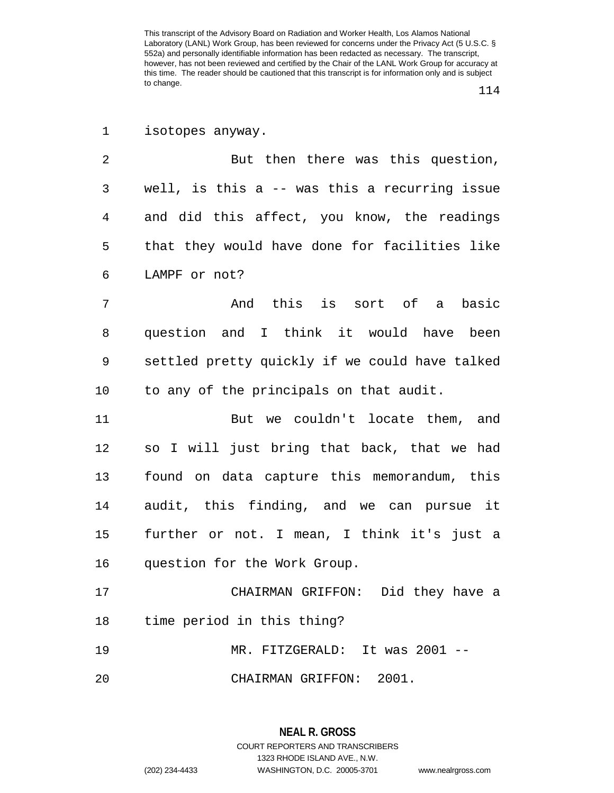114

1 isotopes anyway.

2 But then there was this question, 3 well, is this a -- was this a recurring issue 4 and did this affect, you know, the readings 5 that they would have done for facilities like 6 LAMPF or not?

7 And this is sort of a basic 8 question and I think it would have been 9 settled pretty quickly if we could have talked 10 to any of the principals on that audit.

11 But we couldn't locate them, and 12 so I will just bring that back, that we had 13 found on data capture this memorandum, this 14 audit, this finding, and we can pursue it 15 further or not. I mean, I think it's just a 16 question for the Work Group.

17 CHAIRMAN GRIFFON: Did they have a 18 time period in this thing? 19 MR. FITZGERALD: It was 2001 -- 20 CHAIRMAN GRIFFON: 2001.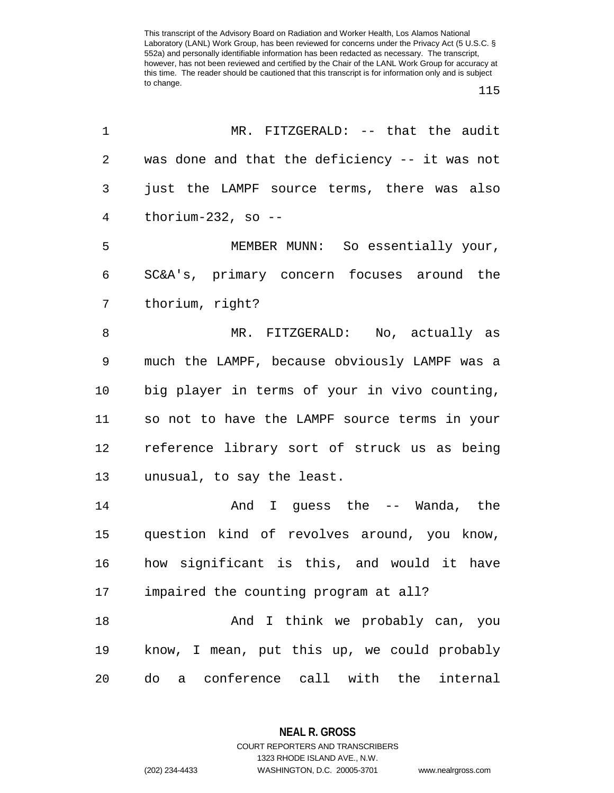115

| 1  | MR. FITZGERALD: -- that the audit              |
|----|------------------------------------------------|
| 2  | was done and that the deficiency -- it was not |
| 3  | just the LAMPF source terms, there was also    |
| 4  | thorium-232, so $-$ -                          |
| 5  | MEMBER MUNN: So essentially your,              |
| 6  | SC&A's, primary concern focuses around the     |
| 7  | thorium, right?                                |
| 8  | MR. FITZGERALD: No, actually as                |
| 9  | much the LAMPF, because obviously LAMPF was a  |
| 10 | big player in terms of your in vivo counting,  |
| 11 | so not to have the LAMPF source terms in your  |
| 12 | reference library sort of struck us as being   |
| 13 | unusual, to say the least.                     |
| 14 | And I guess the -- Wanda, the                  |
| 15 | question kind of revolves around, you know,    |
| 16 | how significant is this, and would it have     |
| 17 | impaired the counting program at all?          |
| 18 | And I think we probably can, you               |
| 19 | know, I mean, put this up, we could probably   |
| 20 | conference call with the internal<br>do<br>a   |

**NEAL R. GROSS** COURT REPORTERS AND TRANSCRIBERS

1323 RHODE ISLAND AVE., N.W.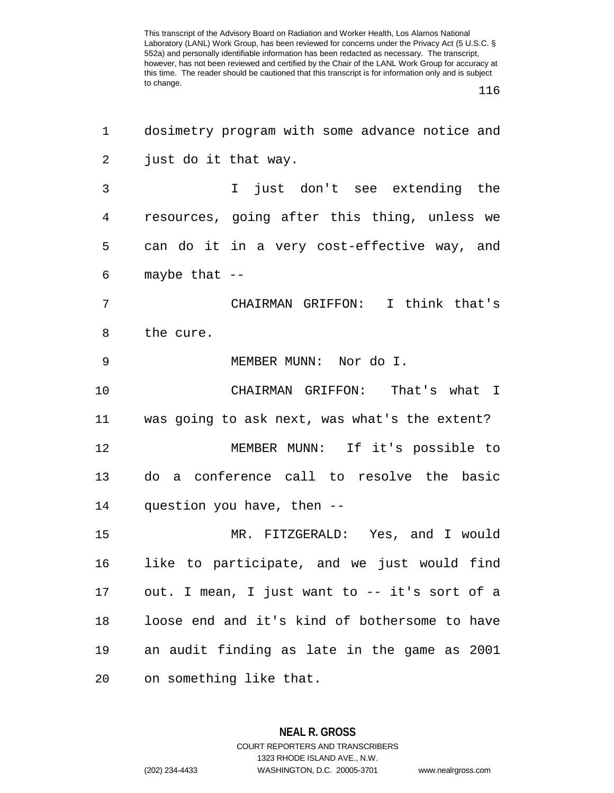116

| 1  | dosimetry program with some advance notice and |
|----|------------------------------------------------|
| 2  | just do it that way.                           |
| 3  | just don't see extending the<br>$\mathbf{I}$   |
| 4  | resources, going after this thing, unless we   |
| 5  | can do it in a very cost-effective way, and    |
| 6  | maybe that $--$                                |
| 7  | CHAIRMAN GRIFFON: I think that's               |
| 8  | the cure.                                      |
| 9  | MEMBER MUNN: Nor do I.                         |
| 10 | CHAIRMAN GRIFFON: That's what I                |
| 11 | was going to ask next, was what's the extent?  |
| 12 | MEMBER MUNN: If it's possible to               |
| 13 | a conference call to resolve the basic<br>do   |
| 14 | question you have, then --                     |
| 15 | MR. FITZGERALD: Yes, and I would               |
| 16 | like to participate, and we just would find    |
| 17 | out. I mean, I just want to -- it's sort of a  |
| 18 | loose end and it's kind of bothersome to have  |
| 19 | an audit finding as late in the game as 2001   |
| 20 | on something like that.                        |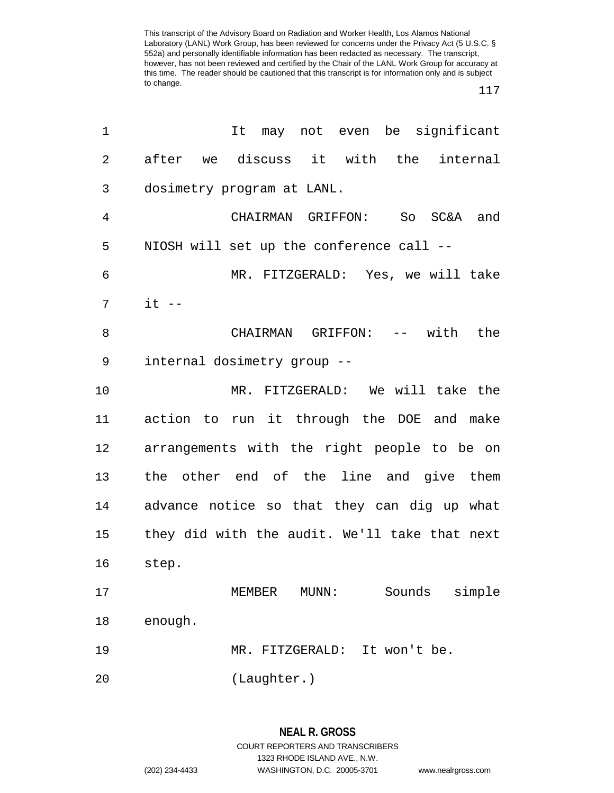117

| $\mathbf 1$    | It may not even be significant                |
|----------------|-----------------------------------------------|
| $\overline{2}$ | after we discuss it with the internal         |
| 3              | dosimetry program at LANL.                    |
| 4              | CHAIRMAN GRIFFON: So SC&A and                 |
| 5              | NIOSH will set up the conference call --      |
| 6              | MR. FITZGERALD: Yes, we will take             |
| 7              | $it$ $-$                                      |
| 8              | CHAIRMAN GRIFFON: -- with the                 |
| 9              | internal dosimetry group --                   |
| 10             | MR. FITZGERALD: We will take the              |
| 11             | action to run it through the DOE and make     |
| 12             | arrangements with the right people to be on   |
| 13             | the other end of the line and give them       |
| 14             | advance notice so that they can dig up what   |
| 15             | they did with the audit. We'll take that next |
| 16             | step.                                         |
| 17             | MEMBER<br>Sounds<br>simple<br>$MUNN$ :        |
| 18             | enough.                                       |
| 19             | MR. FITZGERALD:<br>It won't be.               |
| 20             | (Laughter.)                                   |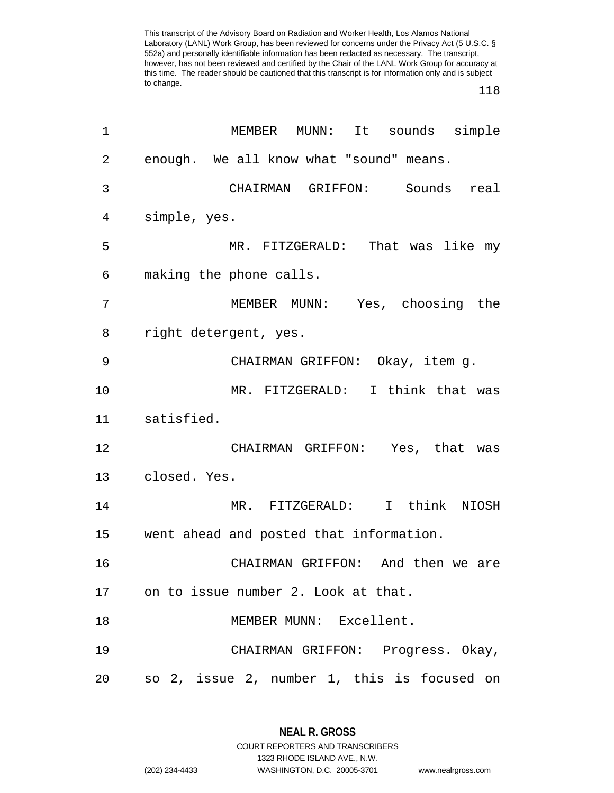118

| 1  | MEMBER<br>sounds simple<br>MUNN:<br>It      |
|----|---------------------------------------------|
| 2  | enough. We all know what "sound" means.     |
| 3  | CHAIRMAN GRIFFON: Sounds<br>real            |
| 4  | simple, yes.                                |
| 5  | MR. FITZGERALD: That was like my            |
| 6  | making the phone calls.                     |
| 7  | MEMBER MUNN: Yes, choosing the              |
| 8  | right detergent, yes.                       |
| 9  | CHAIRMAN GRIFFON: Okay, item g.             |
| 10 | MR. FITZGERALD: I think that was            |
| 11 | satisfied.                                  |
| 12 | CHAIRMAN GRIFFON: Yes, that was             |
| 13 | closed. Yes.                                |
| 14 | MR. FITZGERALD: I think NIOSH               |
| 15 | went ahead and posted that information.     |
| 16 | CHAIRMAN GRIFFON: And then we are           |
| 17 | on to issue number 2. Look at that.         |
| 18 | MEMBER MUNN: Excellent.                     |
| 19 | CHAIRMAN GRIFFON: Progress. Okay,           |
| 20 | so 2, issue 2, number 1, this is focused on |

**NEAL R. GROSS** COURT REPORTERS AND TRANSCRIBERS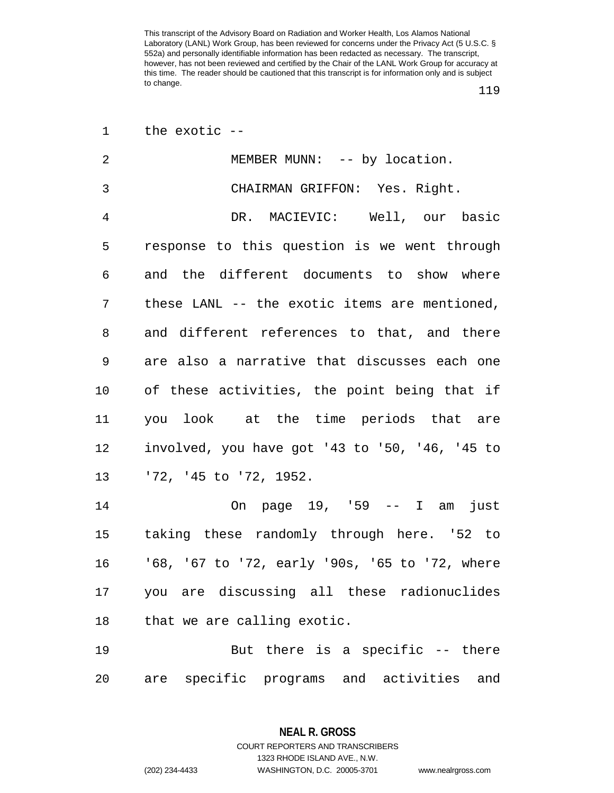119

|  | the exotic $-$ |  |
|--|----------------|--|
|  |                |  |

| 2              | MEMBER MUNN: -- by location.                   |
|----------------|------------------------------------------------|
| $\mathfrak{Z}$ | CHAIRMAN GRIFFON: Yes. Right.                  |
| $\overline{4}$ | DR. MACIEVIC: Well, our basic                  |
| 5              | response to this question is we went through   |
| 6              | and the different documents to show where      |
| 7              | these LANL -- the exotic items are mentioned,  |
| 8              | and different references to that, and there    |
| 9              | are also a narrative that discusses each one   |
| 10             | of these activities, the point being that if   |
| 11             | you look at the time periods that are          |
| 12             | involved, you have got '43 to '50, '46, '45 to |
| 13             | '72, '45 to '72, 1952.                         |
| 14             | On page 19, '59 -- I am just                   |
| 15             | taking these randomly through here. '52 to     |
| 16             | '68, '67 to '72, early '90s, '65 to '72, where |
| 17             | you are discussing all these radionuclides     |
| 18             | that we are calling exotic.                    |
| 19             | But there is a specific $-$ - there            |

20 are specific programs and activities and

**NEAL R. GROSS** COURT REPORTERS AND TRANSCRIBERS 1323 RHODE ISLAND AVE., N.W.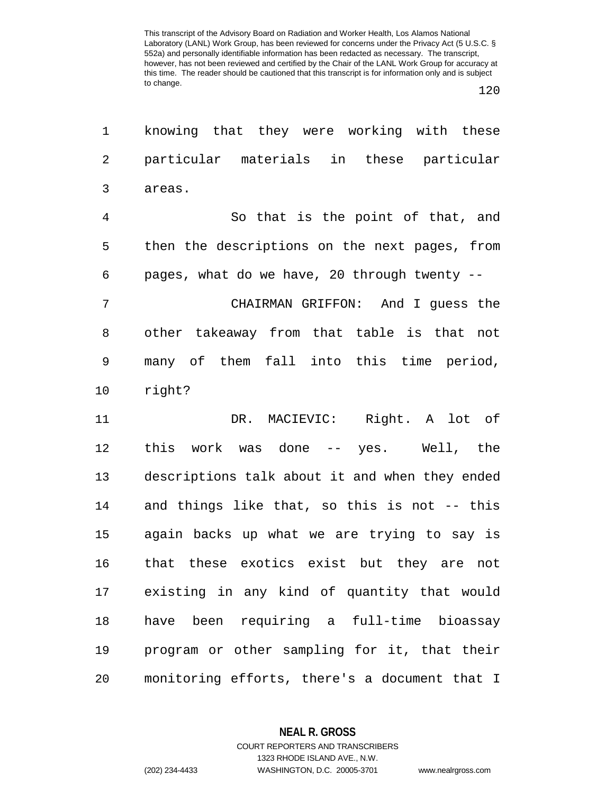120

| 1              | knowing that they were working with these      |
|----------------|------------------------------------------------|
| $\overline{2}$ | particular materials in these particular       |
| 3              | areas.                                         |
| $\overline{4}$ | So that is the point of that, and              |
| 5              | then the descriptions on the next pages, from  |
| 6              | pages, what do we have, 20 through twenty --   |
| 7              | CHAIRMAN GRIFFON: And I guess the              |
| 8              | other takeaway from that table is that not     |
| 9              | many of them fall into this time period,       |
| 10             | right?                                         |
| 11             | DR. MACIEVIC: Right. A lot of                  |
| 12             | work was done -- yes. Well, the<br>this        |
| 13             | descriptions talk about it and when they ended |
| 14             | and things like that, so this is not -- this   |
| 15             | again backs up what we are trying to say is    |
| 16             | that these exotics exist but they are not      |
| 17             | existing in any kind of quantity that would    |
| 18             | have been requiring a full-time bioassay       |
| 19             | program or other sampling for it, that their   |
| 20             | monitoring efforts, there's a document that I  |

**NEAL R. GROSS**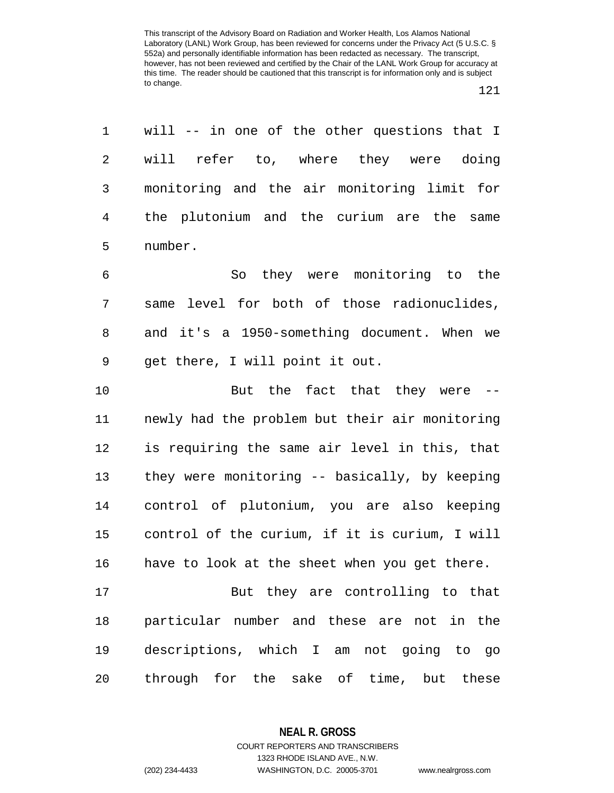1 will -- in one of the other questions that I 2 will refer to, where they were doing 3 monitoring and the air monitoring limit for 4 the plutonium and the curium are the same 5 number.

6 So they were monitoring to the 7 same level for both of those radionuclides, 8 and it's a 1950-something document. When we 9 get there, I will point it out.

10 But the fact that they were --11 newly had the problem but their air monitoring 12 is requiring the same air level in this, that 13 they were monitoring -- basically, by keeping 14 control of plutonium, you are also keeping 15 control of the curium, if it is curium, I will 16 have to look at the sheet when you get there.

17 But they are controlling to that 18 particular number and these are not in the 19 descriptions, which I am not going to go 20 through for the sake of time, but these

**NEAL R. GROSS**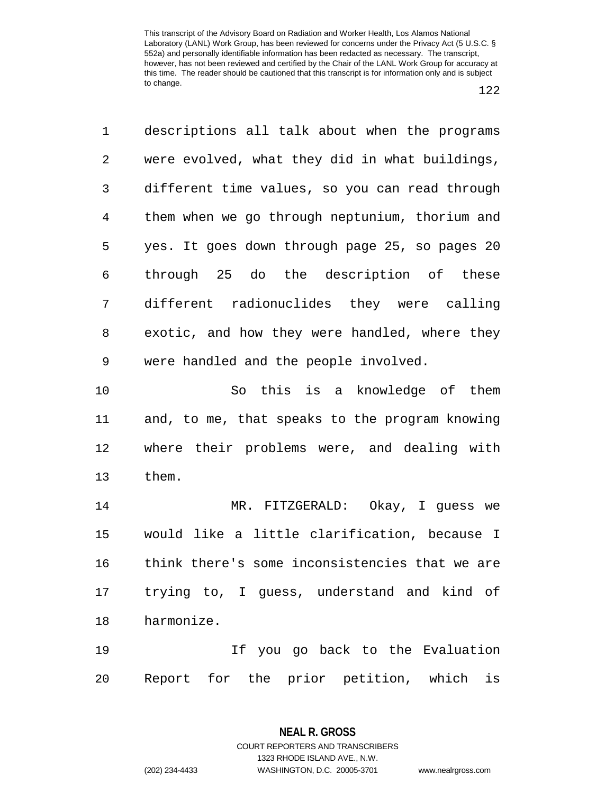122

1 descriptions all talk about when the programs 2 were evolved, what they did in what buildings, 3 different time values, so you can read through 4 them when we go through neptunium, thorium and 5 yes. It goes down through page 25, so pages 20 6 through 25 do the description of these 7 different radionuclides they were calling 8 exotic, and how they were handled, where they 9 were handled and the people involved. 10 So this is a knowledge of them 11 and, to me, that speaks to the program knowing 12 where their problems were, and dealing with 13 them. 14 MR. FITZGERALD: Okay, I guess we 15 would like a little clarification, because I 16 think there's some inconsistencies that we are 17 trying to, I guess, understand and kind of 18 harmonize. 19 If you go back to the Evaluation 20 Report for the prior petition, which is

> **NEAL R. GROSS** COURT REPORTERS AND TRANSCRIBERS

> > 1323 RHODE ISLAND AVE., N.W.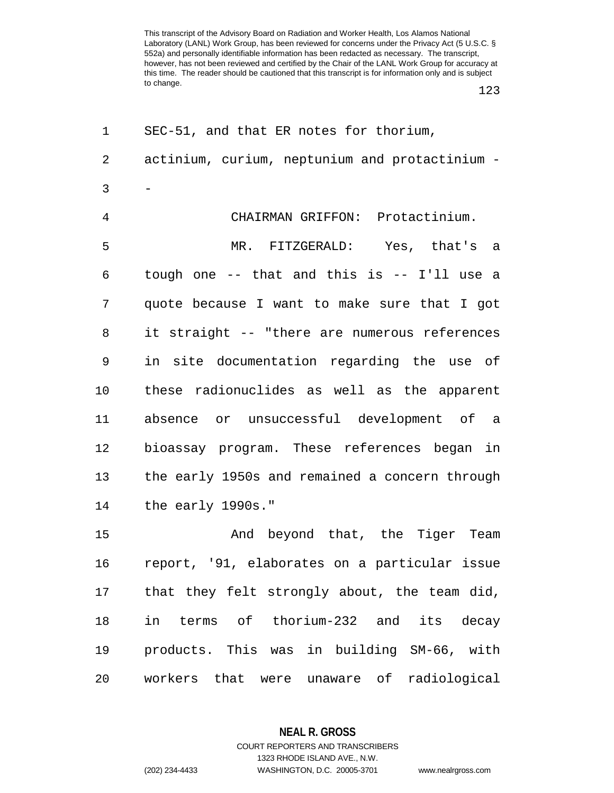123

| 1              | SEC-51, and that ER notes for thorium,         |
|----------------|------------------------------------------------|
| $\overline{2}$ | actinium, curium, neptunium and protactinium - |
| 3              |                                                |
| 4              | CHAIRMAN GRIFFON: Protactinium.                |
| 5              | MR. FITZGERALD: Yes, that's a                  |
| 6              | tough one -- that and this is -- I'll use a    |
| 7              | quote because I want to make sure that I got   |
| 8              | it straight -- "there are numerous references  |
| 9              | in site documentation regarding the use of     |
| 10             | these radionuclides as well as the apparent    |
| 11             | absence or unsuccessful development of a       |
| 12             | bioassay program. These references began in    |
| 13             | the early 1950s and remained a concern through |
| 14             | the early 1990s."                              |
| 15             | And beyond that, the Tiger Team                |
| 16             | report, '91, elaborates on a particular issue  |
| 17             | that they felt strongly about, the team did,   |
| 18             | in terms of thorium-232 and its decay          |
| 19             | products. This was in building SM-66, with     |
| 20             | workers that were unaware of radiological      |

**NEAL R. GROSS** COURT REPORTERS AND TRANSCRIBERS

1323 RHODE ISLAND AVE., N.W.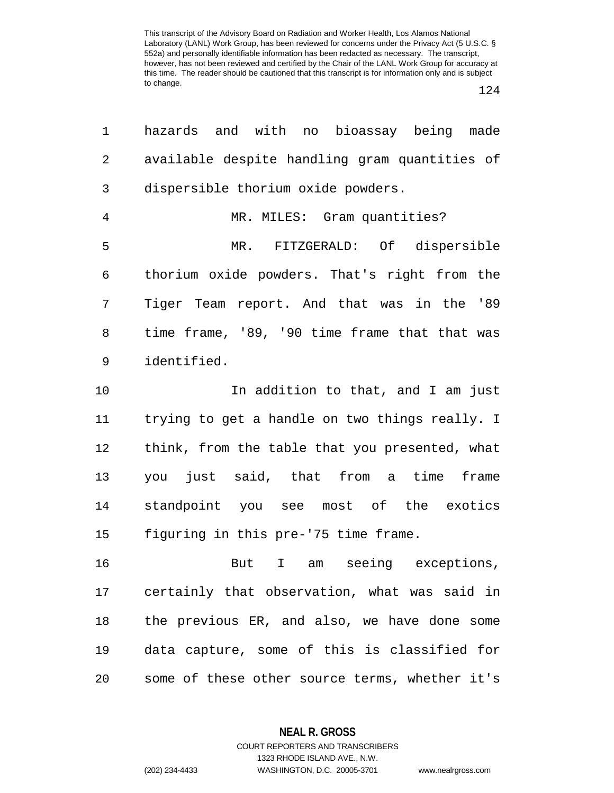124

| 1              | hazards and with no bioassay being made        |
|----------------|------------------------------------------------|
| 2              | available despite handling gram quantities of  |
| 3              | dispersible thorium oxide powders.             |
| $\overline{4}$ | MR. MILES: Gram quantities?                    |
| 5              | MR. FITZGERALD: Of dispersible                 |
| 6              | thorium oxide powders. That's right from the   |
| 7              | Tiger Team report. And that was in the '89     |
| 8              | time frame, '89, '90 time frame that that was  |
| 9              | identified.                                    |
| 10             | In addition to that, and I am just             |
| 11             | trying to get a handle on two things really. I |
| 12             | think, from the table that you presented, what |
| 13             | you just said, that from a time frame          |
| 14             | standpoint you see most of the exotics         |
| 15             | figuring in this pre-'75 time frame.           |
| 16             | I am seeing exceptions,<br>But                 |
| 17             | certainly that observation, what was said in   |
| 18             | the previous ER, and also, we have done some   |
| 19             | data capture, some of this is classified for   |
| 20             | some of these other source terms, whether it's |

**NEAL R. GROSS** COURT REPORTERS AND TRANSCRIBERS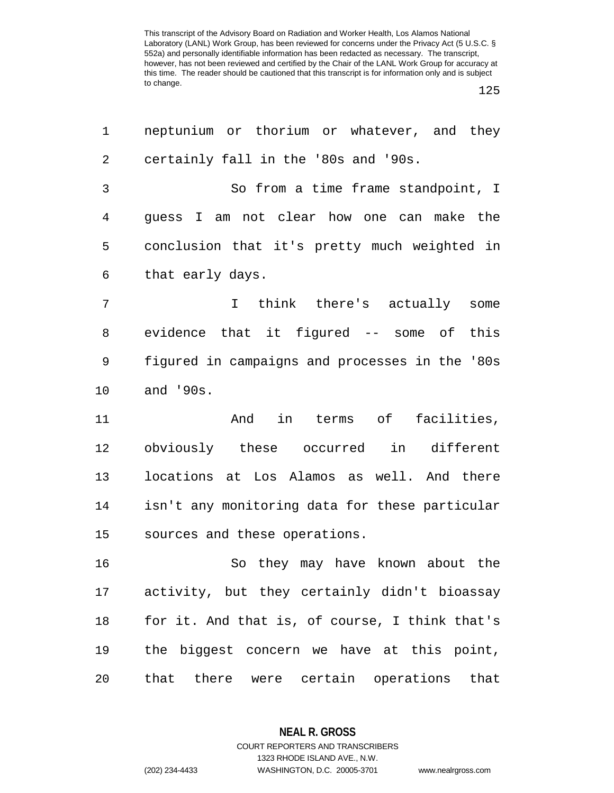125

| 1  | neptunium or thorium or whatever, and they     |
|----|------------------------------------------------|
| 2  | certainly fall in the '80s and '90s.           |
| 3  | So from a time frame standpoint, I             |
| 4  | guess I am not clear how one can make the      |
| 5  | conclusion that it's pretty much weighted in   |
| 6  | that early days.                               |
| 7  | think there's actually some<br>$\mathbf{I}$    |
| 8  | evidence that it figured -- some of this       |
| 9  | figured in campaigns and processes in the '80s |
| 10 | and '90s.                                      |
| 11 | in terms of facilities,<br>And                 |
| 12 | obviously these occurred<br>in different       |
| 13 | locations at Los Alamos as well. And there     |
| 14 | isn't any monitoring data for these particular |
| 15 | sources and these operations.                  |
| 16 | So they may have known about the               |
| 17 | activity, but they certainly didn't bioassay   |
| 18 | for it. And that is, of course, I think that's |
| 19 | the biggest concern we have at this point,     |
| 20 | that there were certain operations<br>that     |

**NEAL R. GROSS** COURT REPORTERS AND TRANSCRIBERS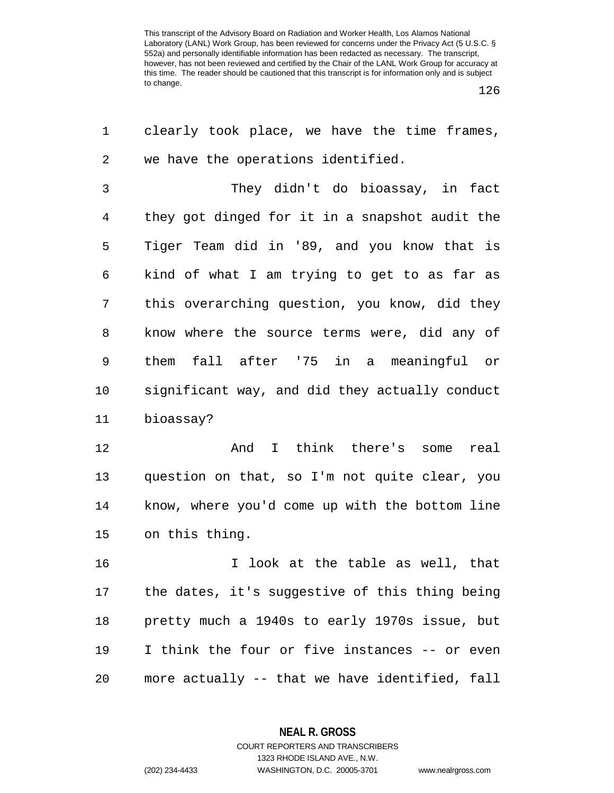126

| 1              | clearly took place, we have the time frames,   |
|----------------|------------------------------------------------|
| 2              | we have the operations identified.             |
| $\mathfrak{Z}$ | They didn't do bioassay, in fact               |
| 4              | they got dinged for it in a snapshot audit the |
| 5              | Tiger Team did in '89, and you know that is    |
| 6              | kind of what I am trying to get to as far as   |
| 7              | this overarching question, you know, did they  |
| 8              | know where the source terms were, did any of   |
| 9              | them fall after '75 in a meaningful or         |
| 10             | significant way, and did they actually conduct |
| 11             | bioassay?                                      |
| 12             | And I think there's some<br>real               |
| 13             | question on that, so I'm not quite clear, you  |
| 14             | know, where you'd come up with the bottom line |
| 15             | on this thing.                                 |
| 16             | I look at the table as well, that              |
| 17             | the dates, it's suggestive of this thing being |
| 18             | pretty much a 1940s to early 1970s issue, but  |
| 19             | I think the four or five instances -- or even  |
| 20             | more actually -- that we have identified, fall |

**NEAL R. GROSS** COURT REPORTERS AND TRANSCRIBERS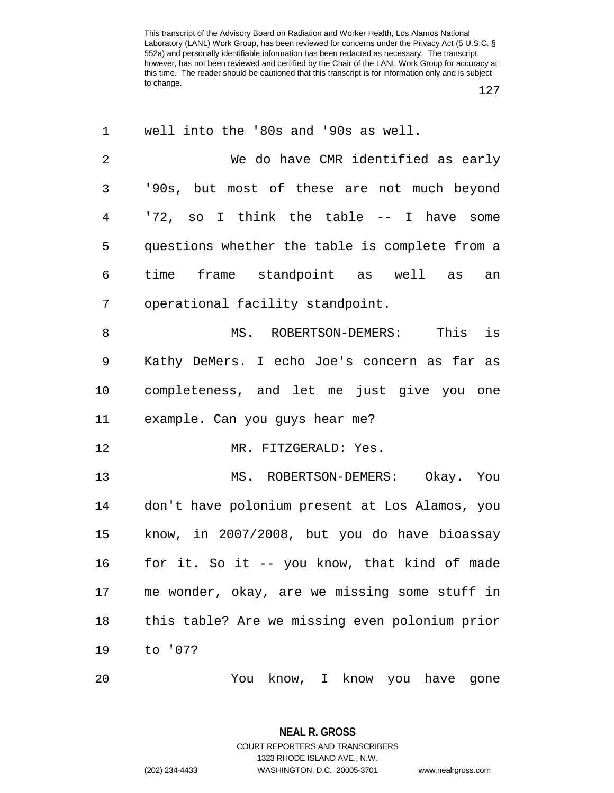127

| 1              | well into the '80s and '90s as well.           |
|----------------|------------------------------------------------|
| $\overline{c}$ | We do have CMR identified as early             |
| 3              | '90s, but most of these are not much beyond    |
| 4              | '72, so I think the table -- I have some       |
| 5              | questions whether the table is complete from a |
| 6              | time frame standpoint as well as<br>an         |
| 7              | operational facility standpoint.               |
| 8              | This is<br>MS. ROBERTSON-DEMERS:               |
| 9              | Kathy DeMers. I echo Joe's concern as far as   |
| 10             | completeness, and let me just give you one     |
| 11             | example. Can you guys hear me?                 |
| 12             | MR. FITZGERALD: Yes.                           |
| 13             | MS. ROBERTSON-DEMERS: Okay. You                |
| 14             | don't have polonium present at Los Alamos, you |
| 15             | know, in 2007/2008, but you do have bioassay   |
| 16             | for it. So it -- you know, that kind of made   |
| 17             | me wonder, okay, are we missing some stuff in  |
| 18             | this table? Are we missing even polonium prior |
| 19             | to '07?                                        |
| 20             | You know, I know you have<br>gone              |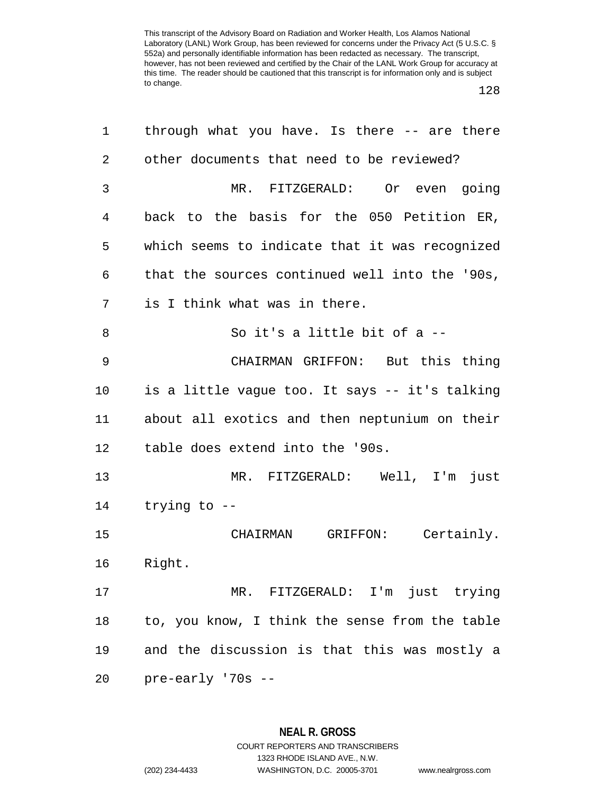128

| 1  | through what you have. Is there -- are there   |
|----|------------------------------------------------|
| 2  | other documents that need to be reviewed?      |
| 3  | MR. FITZGERALD: Or even going                  |
| 4  | back to the basis for the 050 Petition ER,     |
| 5  | which seems to indicate that it was recognized |
| 6  | that the sources continued well into the '90s, |
| 7  | is I think what was in there.                  |
| 8  | So it's a little bit of a --                   |
| 9  | CHAIRMAN GRIFFON: But this thing               |
| 10 | is a little vague too. It says -- it's talking |
| 11 | about all exotics and then neptunium on their  |
| 12 | table does extend into the '90s.               |
| 13 | MR. FITZGERALD: Well, I'm just                 |
| 14 | trying to --                                   |
| 15 | CHAIRMAN GRIFFON: Certainly.                   |
| 16 | Right.                                         |
| 17 | MR. FITZGERALD: I'm just trying                |
| 18 | to, you know, I think the sense from the table |
| 19 | and the discussion is that this was mostly a   |
| 20 | pre-early '70s --                              |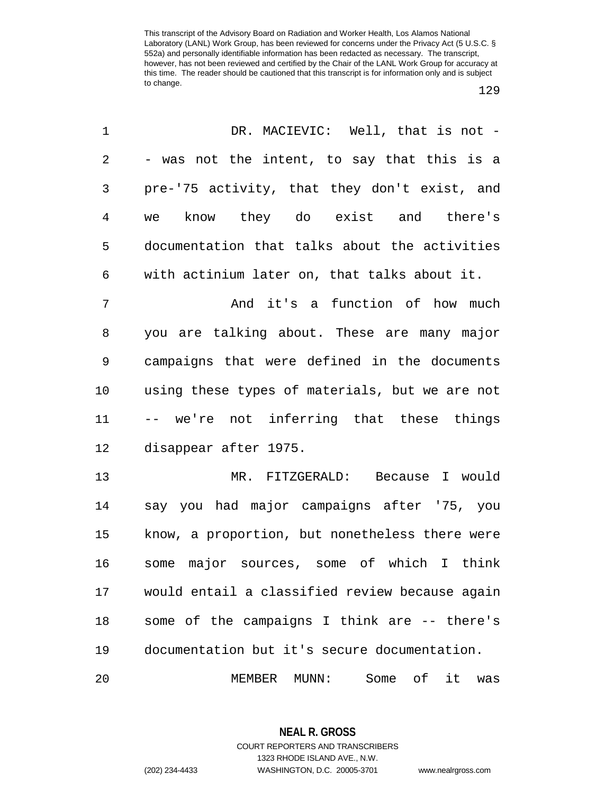129

| 1          | DR. MACIEVIC: Well, that is not -              |
|------------|------------------------------------------------|
| $\sqrt{2}$ | - was not the intent, to say that this is a    |
| 3          | pre-'75 activity, that they don't exist, and   |
| 4          | know they do exist and there's<br>we           |
| 5          | documentation that talks about the activities  |
| 6          | with actinium later on, that talks about it.   |
| 7          | And it's a function of how much                |
| 8          | you are talking about. These are many major    |
| 9          | campaigns that were defined in the documents   |
| 10         | using these types of materials, but we are not |
| 11         | -- we're not inferring that these things       |
| 12         | disappear after 1975.                          |
| 13         | MR. FITZGERALD: Because I would                |
| 14         | say you had major campaigns after '75, you     |
| 15         | know, a proportion, but nonetheless there were |
| 16         | major sources, some of which I think<br>some   |
| 17         | would entail a classified review because again |
| 18         | some of the campaigns I think are -- there's   |
| 19         | documentation but it's secure documentation.   |
| 20         | MUNN:<br>Some<br>of<br>it<br>MEMBER<br>was     |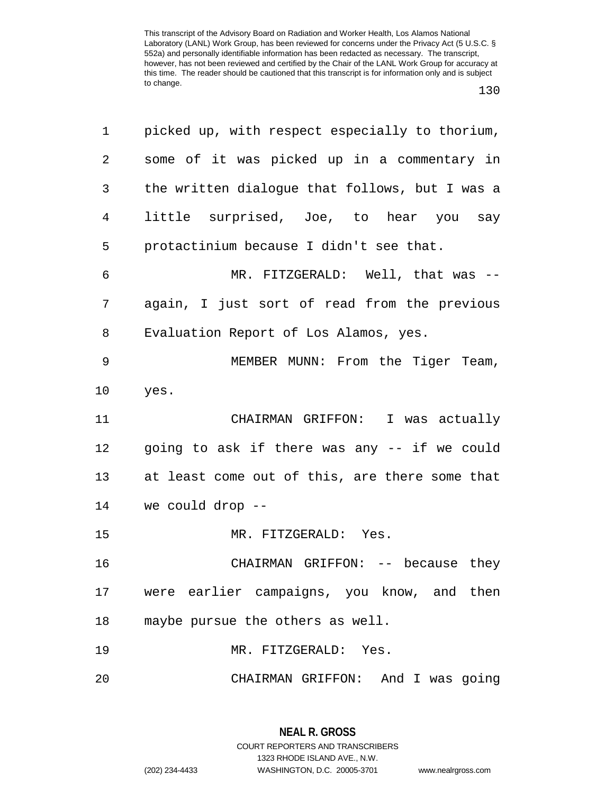| ×<br>v<br>× | ۰. |
|-------------|----|
|-------------|----|

| 1       | picked up, with respect especially to thorium, |
|---------|------------------------------------------------|
| 2       | some of it was picked up in a commentary in    |
| 3       | the written dialogue that follows, but I was a |
| 4       | little surprised, Joe, to hear you say         |
| 5       | protactinium because I didn't see that.        |
| 6       | MR. FITZGERALD: Well, that was --              |
| 7       | again, I just sort of read from the previous   |
| 8       | Evaluation Report of Los Alamos, yes.          |
| 9       | MEMBER MUNN: From the Tiger Team,              |
| $10 \,$ | yes.                                           |
| 11      | CHAIRMAN GRIFFON: I was actually               |
| 12      | going to ask if there was any -- if we could   |
| 13      | at least come out of this, are there some that |
| 14      | we could drop --                               |
| 15      | MR. FITZGERALD: Yes.                           |
| 16      | CHAIRMAN GRIFFON: -- because they              |
| 17      | were earlier campaigns, you know, and then     |
| 18      | maybe pursue the others as well.               |
| 19      | MR. FITZGERALD: Yes.                           |
| 20      | CHAIRMAN GRIFFON: And I was going              |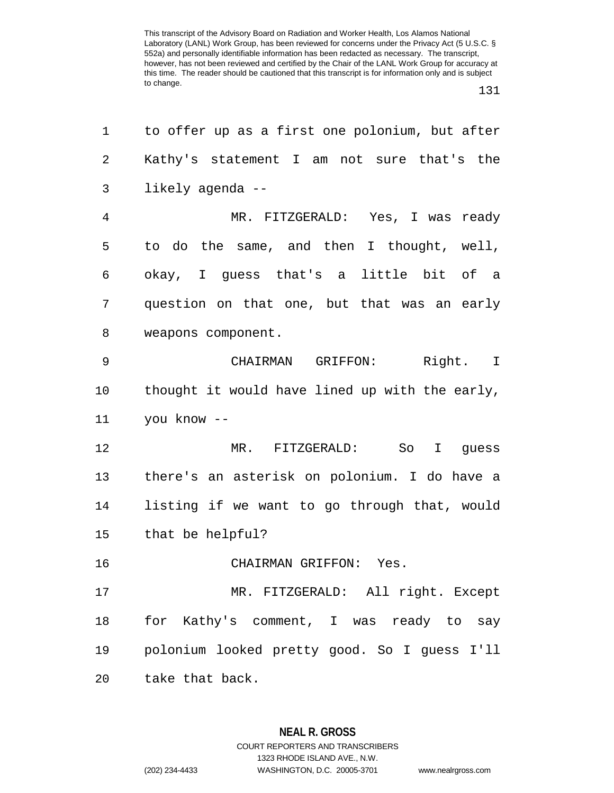131

| 1  | to offer up as a first one polonium, but after |
|----|------------------------------------------------|
| 2  | Kathy's statement I am not sure that's the     |
| 3  | likely agenda --                               |
| 4  | MR. FITZGERALD: Yes, I was ready               |
| 5  | to do the same, and then I thought, well,      |
| 6  | okay, I guess that's a little bit of a         |
| 7  | question on that one, but that was an early    |
| 8  | weapons component.                             |
| 9  | CHAIRMAN GRIFFON: Right. I                     |
| 10 | thought it would have lined up with the early, |
| 11 | you know --                                    |
| 12 | MR. FITZGERALD: So I guess                     |
| 13 | there's an asterisk on polonium. I do have a   |
| 14 | listing if we want to go through that, would   |
| 15 | that be helpful?                               |
| 16 | CHAIRMAN GRIFFON: Yes.                         |
| 17 | MR. FITZGERALD: All right. Except              |
| 18 | for Kathy's comment, I was ready to say        |
| 19 | polonium looked pretty good. So I guess I'll   |
| 20 | take that back.                                |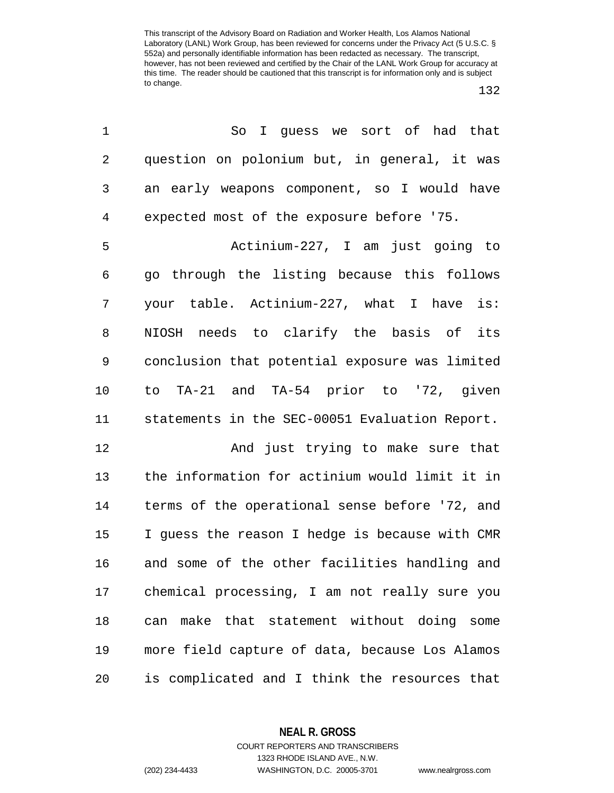| 1              | So I guess we sort of had that                 |
|----------------|------------------------------------------------|
| $\overline{2}$ | question on polonium but, in general, it was   |
| 3              | an early weapons component, so I would have    |
| 4              | expected most of the exposure before '75.      |
| 5              | Actinium-227, I am just going to               |
| 6              | go through the listing because this follows    |
| 7              | your table. Actinium-227, what I have is:      |
| 8              | NIOSH needs to clarify the basis of its        |
| 9              | conclusion that potential exposure was limited |
| 10             | to TA-21 and TA-54 prior to '72, given         |
| 11             | statements in the SEC-00051 Evaluation Report. |
| 12             | And just trying to make sure that              |
| 13             | the information for actinium would limit it in |
| 14             | terms of the operational sense before '72, and |
| 15             | I guess the reason I hedge is because with CMR |
| 16             | and some of the other facilities handling and  |
| 17             | chemical processing, I am not really sure you  |
| 18             | make that statement without doing some<br>can  |
| 19             | more field capture of data, because Los Alamos |
| 20             | is complicated and I think the resources that  |

**NEAL R. GROSS**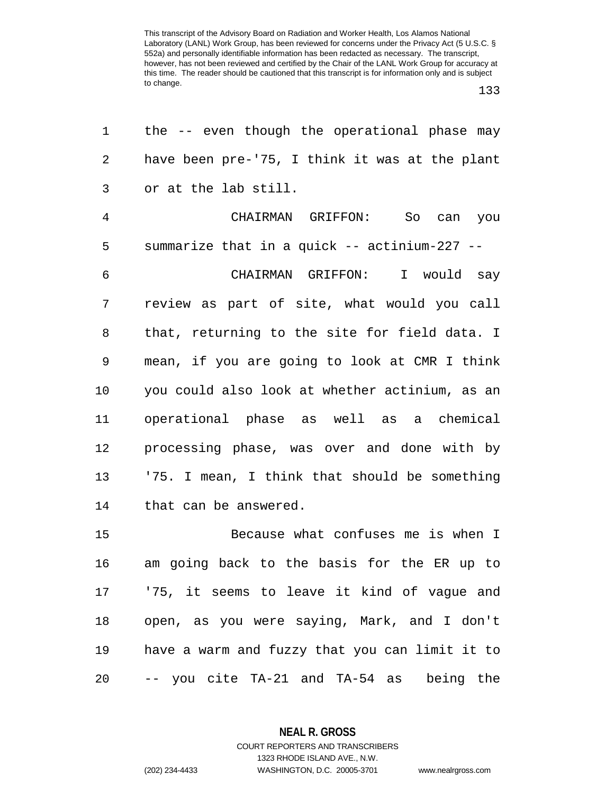133

| 1              | the -- even though the operational phase may   |
|----------------|------------------------------------------------|
| 2              | have been pre-'75, I think it was at the plant |
| 3              | or at the lab still.                           |
| $\overline{4}$ | CHAIRMAN GRIFFON: So can you                   |
| 5              | summarize that in a quick -- actinium-227 --   |
| 6              | CHAIRMAN GRIFFON: I would say                  |
| 7              | review as part of site, what would you call    |
| 8              | that, returning to the site for field data. I  |
| 9              | mean, if you are going to look at CMR I think  |
| 10             | you could also look at whether actinium, as an |
| 11             | operational phase as well as a chemical        |
| 12             | processing phase, was over and done with by    |
| 13             | '75. I mean, I think that should be something  |
| 14             | that can be answered.                          |
| 15             | Because what confuses me is when I             |
| 16             | am going back to the basis for the ER up to    |
|                | 17 175, it seems to leave it kind of vague and |
| 18             | open, as you were saying, Mark, and I don't    |
| 19             | have a warm and fuzzy that you can limit it to |
| 20             | -- you cite TA-21 and TA-54 as being the       |
|                |                                                |

**NEAL R. GROSS**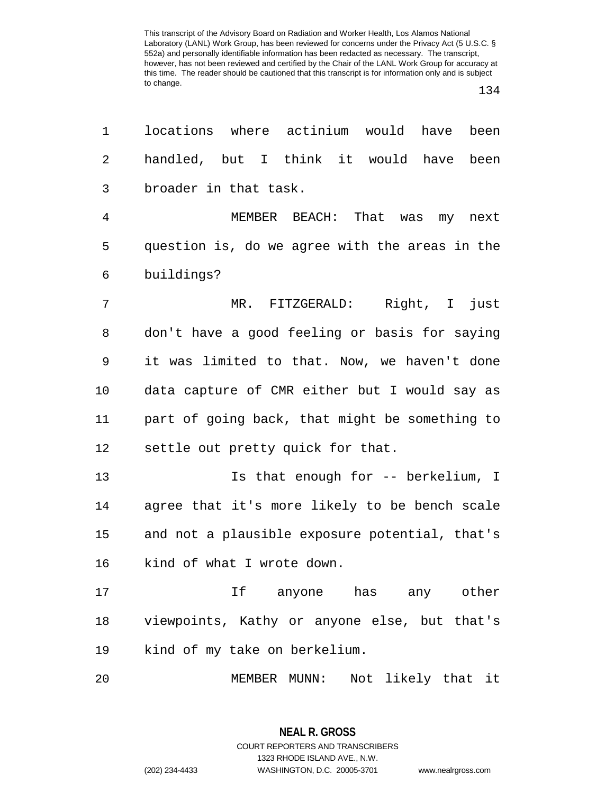134

| 1              | locations where actinium would have<br>been    |
|----------------|------------------------------------------------|
| 2              | handled, but I think it would have been        |
| 3              | broader in that task.                          |
| $\overline{4}$ | MEMBER BEACH: That was my next                 |
| 5              | question is, do we agree with the areas in the |
| 6              | buildings?                                     |
| 7              | MR. FITZGERALD: Right, I just                  |
| 8              | don't have a good feeling or basis for saying  |
| 9              | it was limited to that. Now, we haven't done   |
| 10             | data capture of CMR either but I would say as  |
| 11             | part of going back, that might be something to |
| 12             | settle out pretty quick for that.              |
| 13             | Is that enough for -- berkelium, I             |
| 14             | agree that it's more likely to be bench scale  |
| 15             | and not a plausible exposure potential, that's |
| 16             | kind of what I wrote down.                     |
| 17             | If anyone has any other                        |
| 18             | viewpoints, Kathy or anyone else, but that's   |
| 19             | kind of my take on berkelium.                  |
| 20             | Not likely that it<br>MEMBER MUNN:             |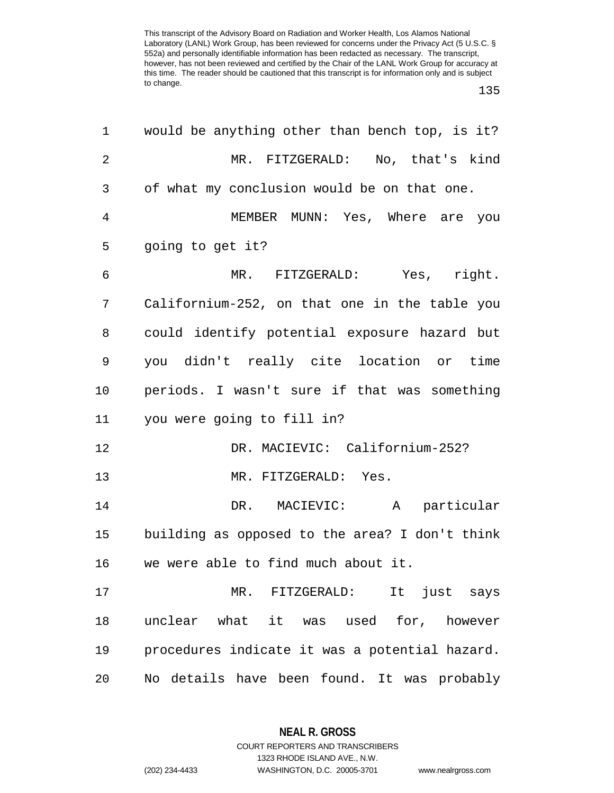135

| would be anything other than bench top, is it? |
|------------------------------------------------|
| MR. FITZGERALD: No, that's kind                |
| of what my conclusion would be on that one.    |
| MEMBER MUNN: Yes, Where are you                |
| going to get it?                               |
| MR. FITZGERALD: Yes, right.                    |
| Californium-252, on that one in the table you  |
| could identify potential exposure hazard but   |
| you didn't really cite location or time        |
| periods. I wasn't sure if that was something   |
| you were going to fill in?                     |
| DR. MACIEVIC: Californium-252?                 |
| MR. FITZGERALD: Yes.                           |
| DR. MACIEVIC: A particular                     |
| building as opposed to the area? I don't think |
| we were able to find much about it.            |
| It just says<br>MR. FITZGERALD:                |
| unclear what it was used for, however          |
| procedures indicate it was a potential hazard. |
| No details have been found. It was probably    |
|                                                |

**NEAL R. GROSS** COURT REPORTERS AND TRANSCRIBERS

1323 RHODE ISLAND AVE., N.W.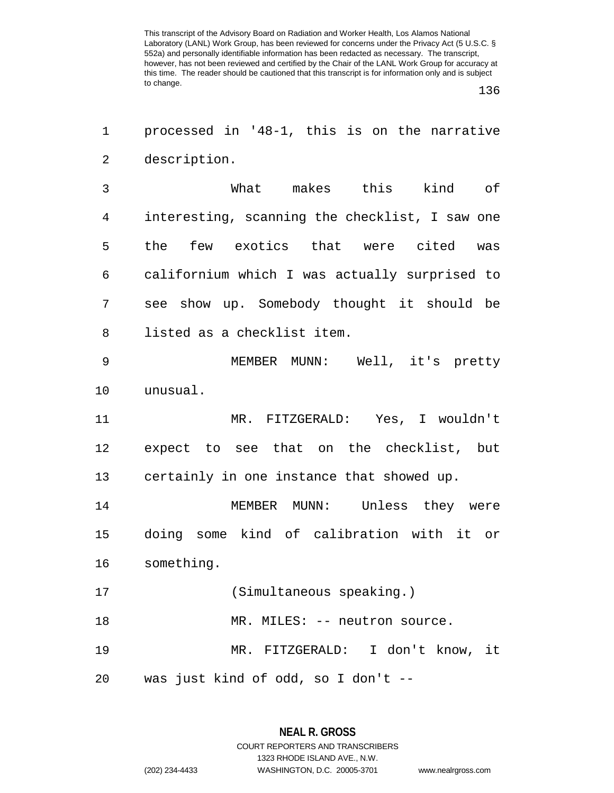136

1 processed in '48-1, this is on the narrative 2 description.

3 What makes this kind of 4 interesting, scanning the checklist, I saw one 5 the few exotics that were cited was 6 californium which I was actually surprised to 7 see show up. Somebody thought it should be 8 listed as a checklist item.

9 MEMBER MUNN: Well, it's pretty 10 unusual.

11 MR. FITZGERALD: Yes, I wouldn't 12 expect to see that on the checklist, but 13 certainly in one instance that showed up.

14 MEMBER MUNN: Unless they were 15 doing some kind of calibration with it or 16 something.

17 (Simultaneous speaking.)

18 MR. MILES: -- neutron source.

19 MR. FITZGERALD: I don't know, it 20 was just kind of odd, so I don't --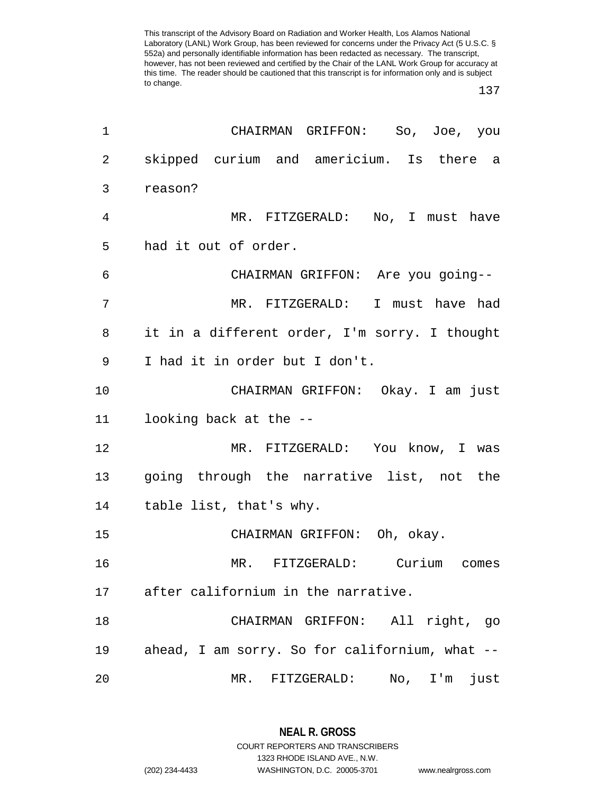137

| 1              | CHAIRMAN GRIFFON: So, Joe, you                 |
|----------------|------------------------------------------------|
| $\overline{2}$ | skipped curium and americium. Is there a       |
| 3              | reason?                                        |
| $\overline{4}$ | MR. FITZGERALD: No, I must have                |
| 5              | had it out of order.                           |
| 6              | CHAIRMAN GRIFFON: Are you going--              |
| 7              | MR. FITZGERALD: I must have had                |
| 8              | it in a different order, I'm sorry. I thought  |
| 9              | I had it in order but I don't.                 |
| 10             | CHAIRMAN GRIFFON: Okay. I am just              |
| 11             | looking back at the --                         |
| 12             | MR. FITZGERALD: You know, I was                |
| 13             | going through the narrative list, not the      |
| 14             | table list, that's why.                        |
| 15             | CHAIRMAN GRIFFON: Oh, okay.                    |
| 16             | MR. FITZGERALD: Curium comes                   |
| 17             | after californium in the narrative.            |
| 18             | All right, go<br>CHAIRMAN GRIFFON:             |
| 19             | ahead, I am sorry. So for californium, what -- |
| 20             | just<br>MR.<br>FITZGERALD:<br>No, I'm          |

**NEAL R. GROSS** COURT REPORTERS AND TRANSCRIBERS

1323 RHODE ISLAND AVE., N.W.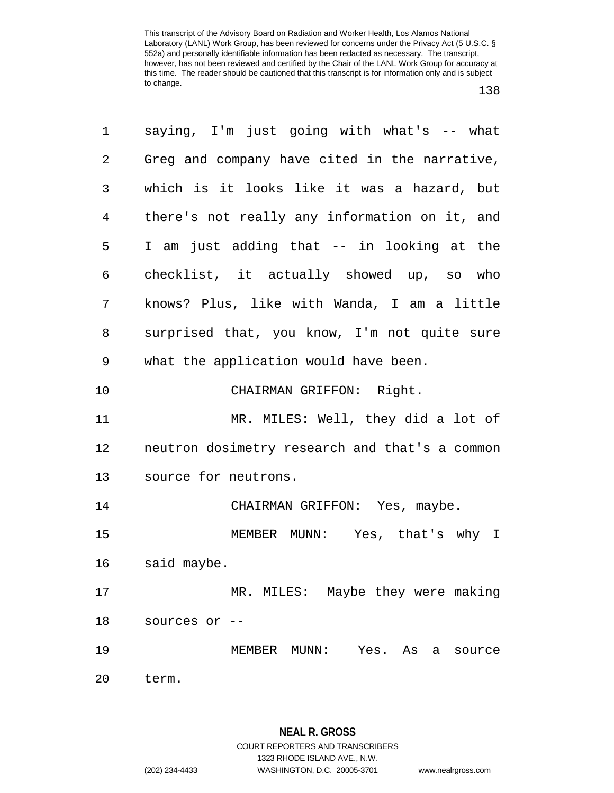| 1              | saying, I'm just going with what's -- what     |
|----------------|------------------------------------------------|
| $\overline{2}$ | Greg and company have cited in the narrative,  |
| 3              | which is it looks like it was a hazard, but    |
| 4              | there's not really any information on it, and  |
| 5              | I am just adding that -- in looking at the     |
| 6              | checklist, it actually showed up, so who       |
| 7              | knows? Plus, like with Wanda, I am a little    |
| 8              | surprised that, you know, I'm not quite sure   |
| 9              | what the application would have been.          |
| $10 \,$        | CHAIRMAN GRIFFON: Right.                       |
| 11             | MR. MILES: Well, they did a lot of             |
| 12             | neutron dosimetry research and that's a common |
| 13             | source for neutrons.                           |
| 14             | CHAIRMAN GRIFFON: Yes, maybe.                  |
| 15             | MEMBER MUNN: Yes, that's why I                 |
| 16             | said maybe.                                    |
| 17             | MR. MILES: Maybe they were making              |
| 18             | sources or --                                  |
| 19             | MEMBER MUNN: Yes.<br>As a source               |
| 20             | term.                                          |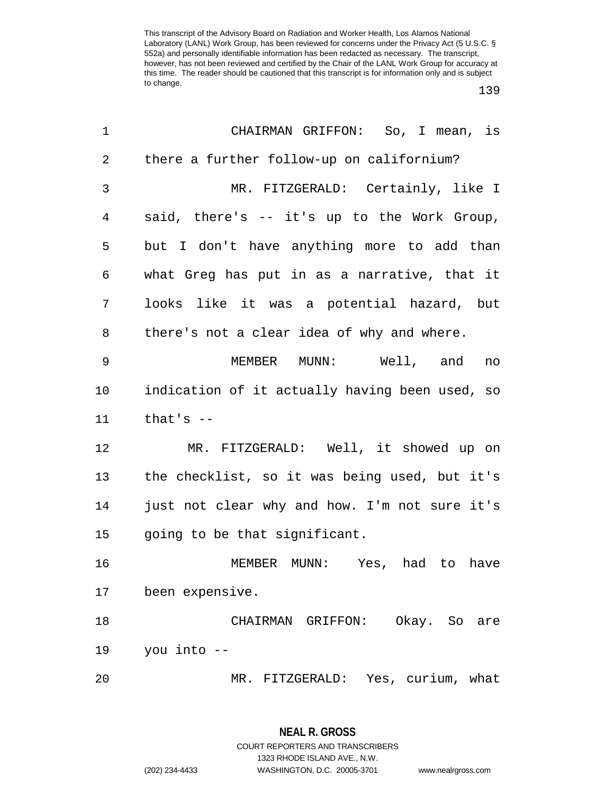139

| 1              | CHAIRMAN GRIFFON: So, I mean, is               |
|----------------|------------------------------------------------|
| $\overline{2}$ | there a further follow-up on californium?      |
| 3              | MR. FITZGERALD: Certainly, like I              |
| 4              | said, there's -- it's up to the Work Group,    |
| 5              | but I don't have anything more to add than     |
| 6              | what Greg has put in as a narrative, that it   |
| 7              | looks like it was a potential hazard, but      |
| 8              | there's not a clear idea of why and where.     |
| 9              | MEMBER MUNN: Well, and<br>no                   |
| 10             | indication of it actually having been used, so |
| 11             | that's $-$                                     |
| 12             | MR. FITZGERALD: Well, it showed up on          |
| 13             | the checklist, so it was being used, but it's  |
| 14             | just not clear why and how. I'm not sure it's  |
| 15             | going to be that significant.                  |
| 16             | MEMBER MUNN: Yes, had to have                  |
| 17             | been expensive.                                |
| 18             | CHAIRMAN GRIFFON:<br>Okay. So are              |
| 19             | you into --                                    |
| 20             | MR. FITZGERALD: Yes, curium, what              |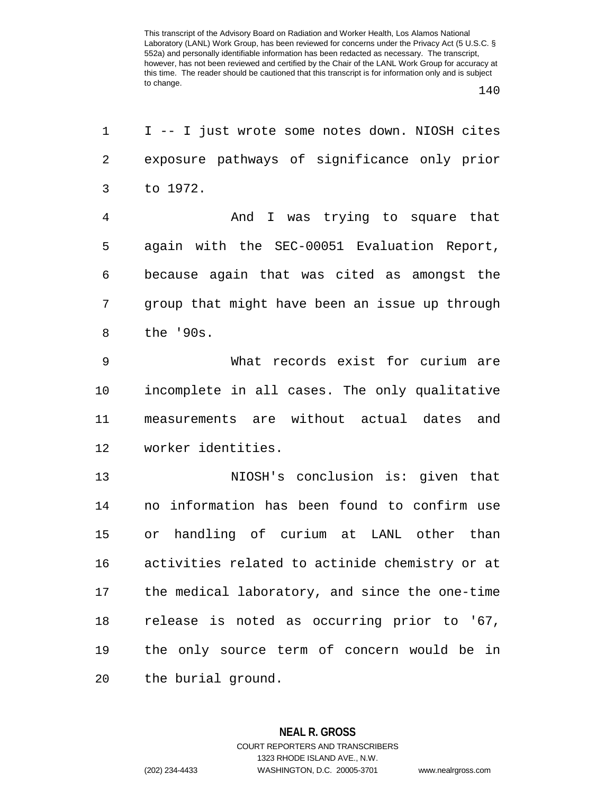140

| 1              | I -- I just wrote some notes down. NIOSH cites |
|----------------|------------------------------------------------|
| $\overline{2}$ | exposure pathways of significance only prior   |
| 3              | to 1972.                                       |
| $\overline{4}$ | And I was trying to square that                |
| 5              | again with the SEC-00051 Evaluation Report,    |
| 6              | because again that was cited as amongst the    |
| 7              | group that might have been an issue up through |
| 8              | the '90s.                                      |
| 9              | What records exist for curium are              |
| 10             | incomplete in all cases. The only qualitative  |
| 11             | measurements are without actual dates and      |
| 12             | worker identities.                             |
| 13             | NIOSH's conclusion is: given that              |
| 14             | no information has been found to confirm use   |
| 15             | handling of curium at LANL other than<br>or    |
| 16             | activities related to actinide chemistry or at |
| 17             | the medical laboratory, and since the one-time |
| 18             | release is noted as occurring prior to '67,    |
| 19             | the only source term of concern would be in    |
| 20             | the burial ground.                             |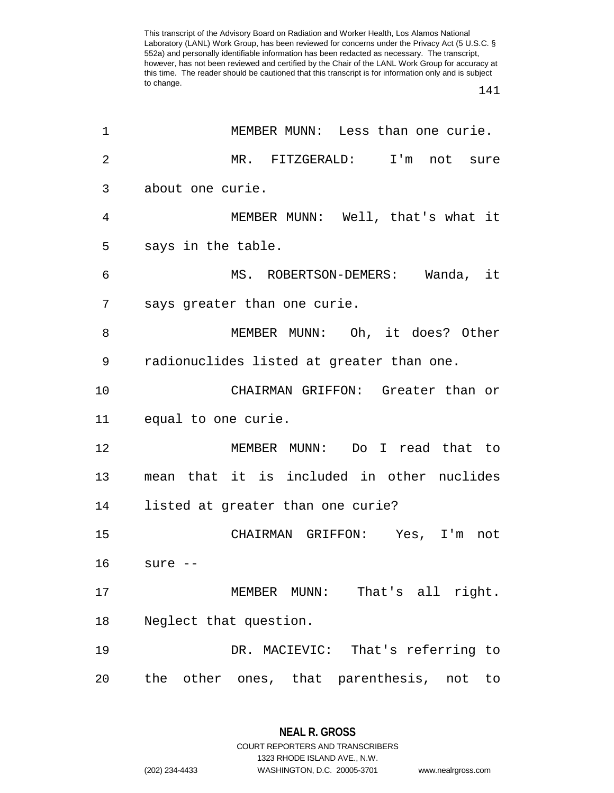141

| 1              | MEMBER MUNN: Less than one curie.           |
|----------------|---------------------------------------------|
| $\overline{2}$ | MR. FITZGERALD: I'm not sure                |
| 3              | about one curie.                            |
| 4              | MEMBER MUNN: Well, that's what it           |
| 5              | says in the table.                          |
| 6              | MS. ROBERTSON-DEMERS: Wanda, it             |
| 7              | says greater than one curie.                |
| 8              | MEMBER MUNN: Oh, it does? Other             |
| 9              | radionuclides listed at greater than one.   |
| 10             | CHAIRMAN GRIFFON: Greater than or           |
| 11             | equal to one curie.                         |
| 12             | MEMBER MUNN: Do I read that to              |
| 13             | mean that it is included in other nuclides  |
| 14             | listed at greater than one curie?           |
| 15             | CHAIRMAN GRIFFON: Yes, I'm not              |
| 16             | sure --                                     |
| 17             | That's all right.<br>MEMBER MUNN:           |
| 18             | Neglect that question.                      |
| 19             | DR. MACIEVIC: That's referring to           |
| 20             | the other ones, that parenthesis, not<br>to |

**NEAL R. GROSS** COURT REPORTERS AND TRANSCRIBERS

1323 RHODE ISLAND AVE., N.W.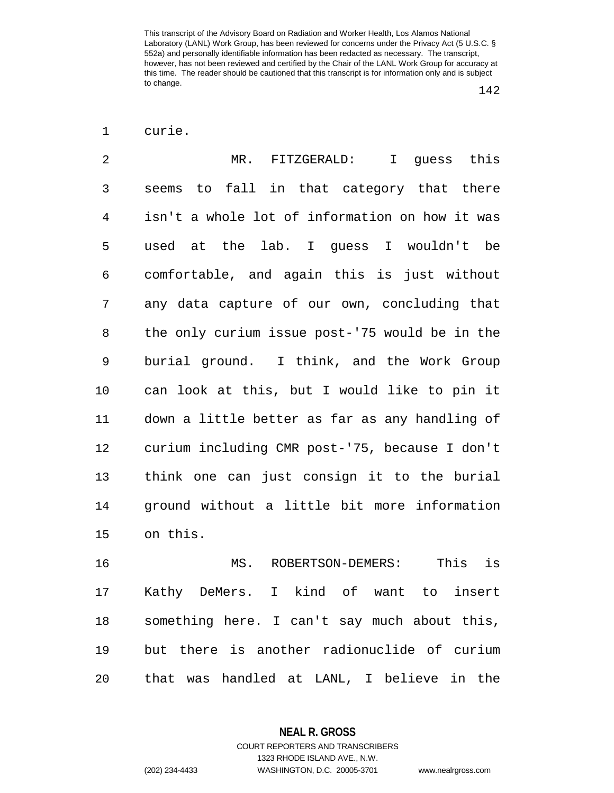<sup>1</sup> curie.

| 2           | MR. FITZGERALD: I guess this                   |
|-------------|------------------------------------------------|
| 3           | seems to fall in that category that there      |
| 4           | isn't a whole lot of information on how it was |
| 5           | used at the lab. I guess I wouldn't be         |
| 6           | comfortable, and again this is just without    |
| 7           | any data capture of our own, concluding that   |
| 8           | the only curium issue post-'75 would be in the |
| $\mathsf 9$ | burial ground. I think, and the Work Group     |
| 10          | can look at this, but I would like to pin it   |
| 11          | down a little better as far as any handling of |
| 12          | curium including CMR post-'75, because I don't |
| 13          | think one can just consign it to the burial    |
| 14          | ground without a little bit more information   |
| 15          | on this.                                       |

16 MS. ROBERTSON-DEMERS: This is 17 Kathy DeMers. I kind of want to insert 18 something here. I can't say much about this, 19 but there is another radionuclide of curium 20 that was handled at LANL, I believe in the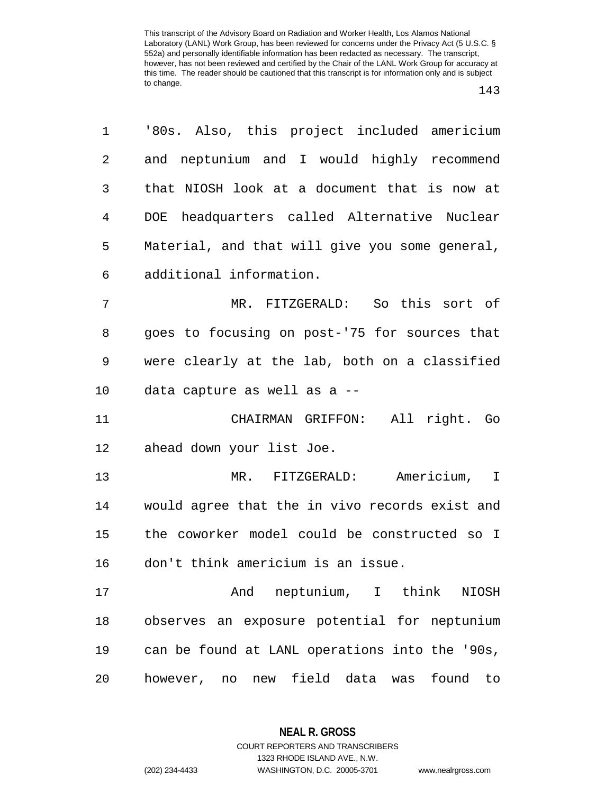143

| 1              | '80s. Also, this project included americium    |
|----------------|------------------------------------------------|
| 2              | and neptunium and I would highly recommend     |
| 3              | that NIOSH look at a document that is now at   |
| $\overline{4}$ | DOE headquarters called Alternative Nuclear    |
| 5              | Material, and that will give you some general, |
| 6              | additional information.                        |
| 7              | MR. FITZGERALD: So this sort of                |
| 8              | goes to focusing on post-'75 for sources that  |
| 9              | were clearly at the lab, both on a classified  |
| 10             | data capture as well as a --                   |
| 11             | CHAIRMAN GRIFFON: All right. Go                |
| 12             | ahead down your list Joe.                      |
| 13             | MR. FITZGERALD: Americium, I                   |
| 14             | would agree that the in vivo records exist and |
| 15             | the coworker model could be constructed so I   |
| 16             | don't think americium is an issue.             |
| 17             | And neptunium, I think NIOSH                   |
| 18             | observes an exposure potential for neptunium   |
| 19             | can be found at LANL operations into the '90s, |
| 20             | however, no new field data was found to        |

**NEAL R. GROSS** COURT REPORTERS AND TRANSCRIBERS

1323 RHODE ISLAND AVE., N.W.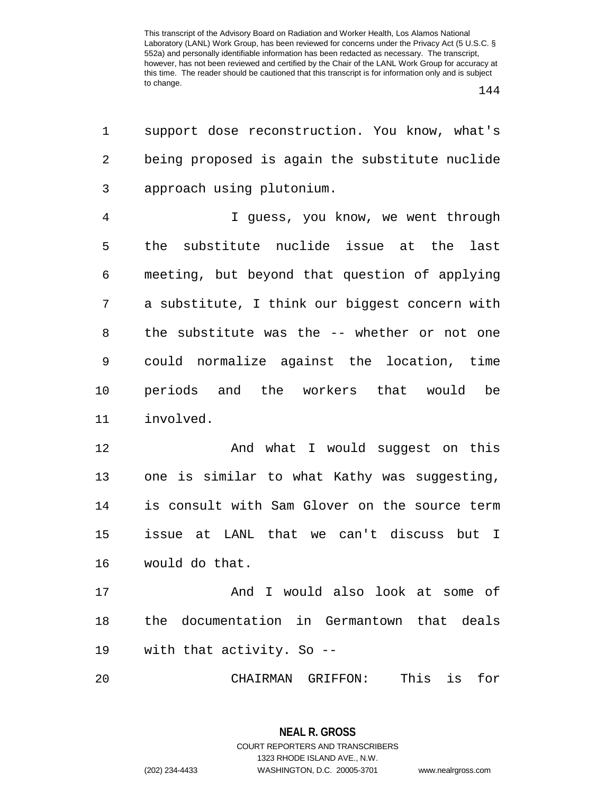144

| 1  | support dose reconstruction. You know, what's  |
|----|------------------------------------------------|
| 2  | being proposed is again the substitute nuclide |
| 3  | approach using plutonium.                      |
| 4  | I guess, you know, we went through             |
| 5  | the substitute nuclide issue at the<br>last    |
| 6  | meeting, but beyond that question of applying  |
| 7  | a substitute, I think our biggest concern with |
| 8  | the substitute was the -- whether or not one   |
| 9  | could normalize against the location, time     |
| 10 | periods and the workers that would be          |
| 11 | involved.                                      |
| 12 | And what I would suggest on this               |
| 13 | one is similar to what Kathy was suggesting,   |
| 14 | is consult with Sam Glover on the source term  |
| 15 | issue at LANL that we can't discuss but I      |
| 16 | would do that.                                 |
| 17 | And I would also look at some of               |
| 18 | the documentation in Germantown that deals     |
| 19 | with that activity. So --                      |
| 20 | This<br>for<br>CHAIRMAN GRIFFON:<br>is         |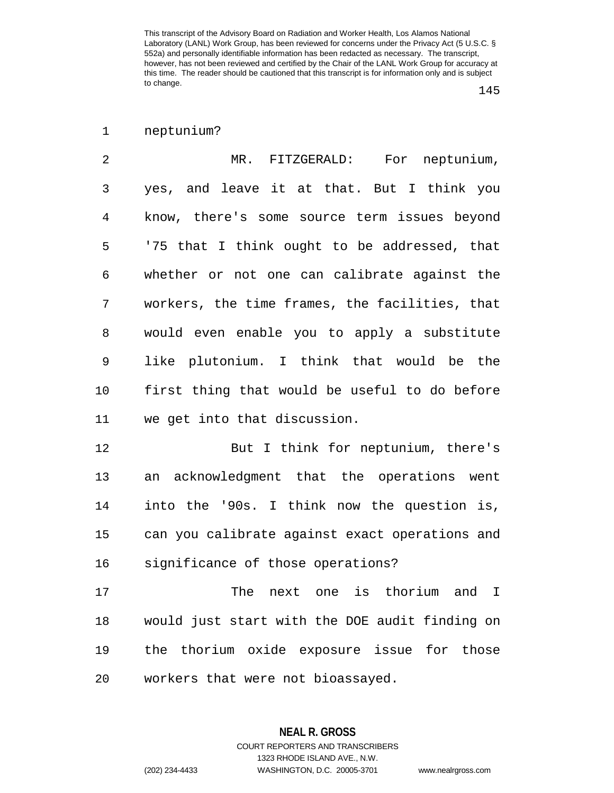1 neptunium?

2 MR. FITZGERALD: For neptunium, 3 yes, and leave it at that. But I think you 4 know, there's some source term issues beyond 5 '75 that I think ought to be addressed, that 6 whether or not one can calibrate against the 7 workers, the time frames, the facilities, that 8 would even enable you to apply a substitute 9 like plutonium. I think that would be the 10 first thing that would be useful to do before 11 we get into that discussion.

12 But I think for neptunium, there's 13 an acknowledgment that the operations went 14 into the '90s. I think now the question is, 15 can you calibrate against exact operations and 16 significance of those operations?

17 The next one is thorium and I 18 would just start with the DOE audit finding on 19 the thorium oxide exposure issue for those 20 workers that were not bioassayed.

1323 RHODE ISLAND AVE., N.W.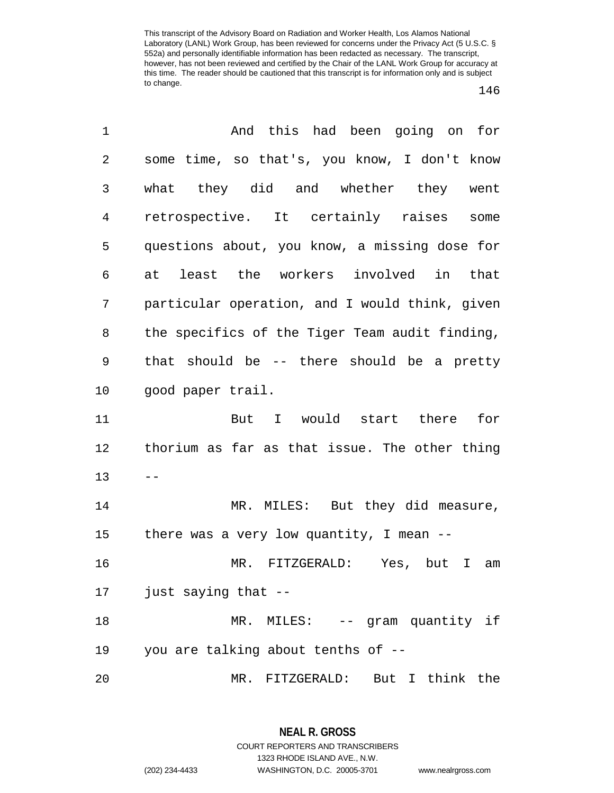| 1              | And this had been going on for                 |
|----------------|------------------------------------------------|
| $\overline{c}$ | some time, so that's, you know, I don't know   |
| 3              | what they did and whether they went            |
| 4              | retrospective. It certainly raises<br>some     |
| 5              | questions about, you know, a missing dose for  |
| 6              | at least the workers involved in that          |
| 7              | particular operation, and I would think, given |
| 8              | the specifics of the Tiger Team audit finding, |
| 9              | that should be -- there should be a pretty     |
| 10             | good paper trail.                              |
| 11             | But I would start there for                    |
| 12             | thorium as far as that issue. The other thing  |
| 13             |                                                |
| 14             | MR. MILES: But they did measure,               |
| 15             | there was a very low quantity, I mean $-$      |
| 16             | MR. FITZGERALD: Yes, but I am                  |
| 17             | just saying that --                            |
| 18             | MR. MILES: -- gram quantity if                 |
| 19             | you are talking about tenths of --             |
| 20             | MR. FITZGERALD: But I think the                |

**NEAL R. GROSS** COURT REPORTERS AND TRANSCRIBERS 1323 RHODE ISLAND AVE., N.W.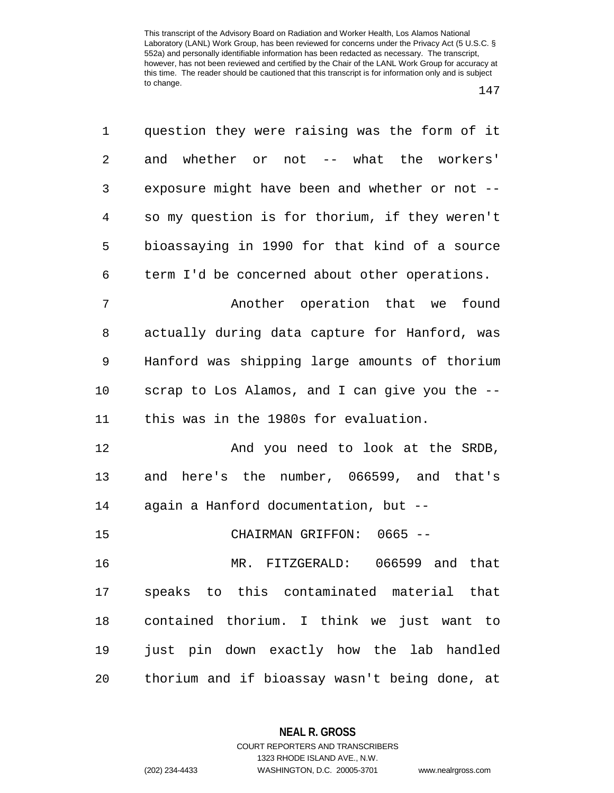1 question they were raising was the form of it 2 and whether or not -- what the workers' 3 exposure might have been and whether or not -- 4 so my question is for thorium, if they weren't 5 bioassaying in 1990 for that kind of a source 6 term I'd be concerned about other operations. 7 Another operation that we found 8 actually during data capture for Hanford, was 9 Hanford was shipping large amounts of thorium 10 scrap to Los Alamos, and I can give you the -- 11 this was in the 1980s for evaluation. 12 And you need to look at the SRDB, 13 and here's the number, 066599, and that's 14 again a Hanford documentation, but -- 15 CHAIRMAN GRIFFON: 0665 -- 16 MR. FITZGERALD: 066599 and that 17 speaks to this contaminated material that 18 contained thorium. I think we just want to 19 just pin down exactly how the lab handled 20 thorium and if bioassay wasn't being done, at

> **NEAL R. GROSS** COURT REPORTERS AND TRANSCRIBERS

1323 RHODE ISLAND AVE., N.W. (202) 234-4433 WASHINGTON, D.C. 20005-3701 www.nealrgross.com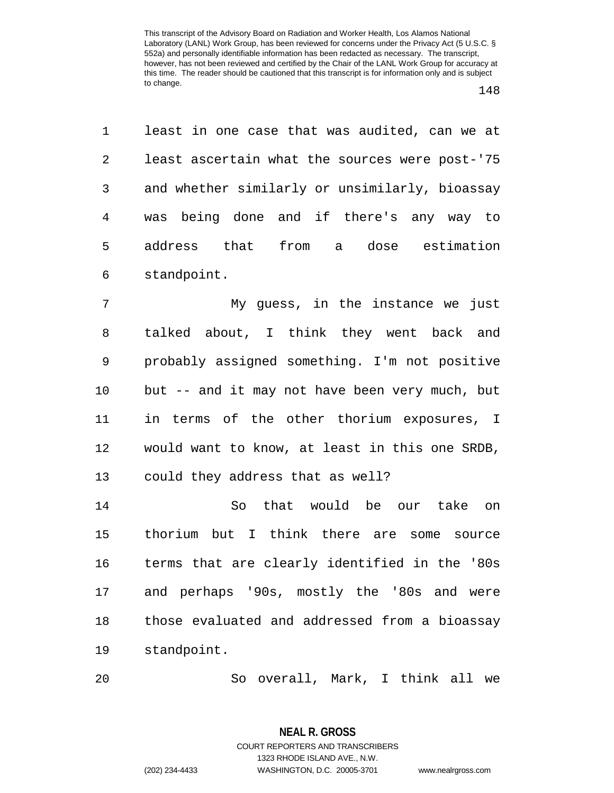1 least in one case that was audited, can we at 2 least ascertain what the sources were post-'75 3 and whether similarly or unsimilarly, bioassay 4 was being done and if there's any way to 5 address that from a dose estimation 6 standpoint.

7 My guess, in the instance we just 8 talked about, I think they went back and 9 probably assigned something. I'm not positive 10 but -- and it may not have been very much, but 11 in terms of the other thorium exposures, I 12 would want to know, at least in this one SRDB, 13 could they address that as well?

14 So that would be our take on 15 thorium but I think there are some source 16 terms that are clearly identified in the '80s 17 and perhaps '90s, mostly the '80s and were 18 those evaluated and addressed from a bioassay 19 standpoint.

20 So overall, Mark, I think all we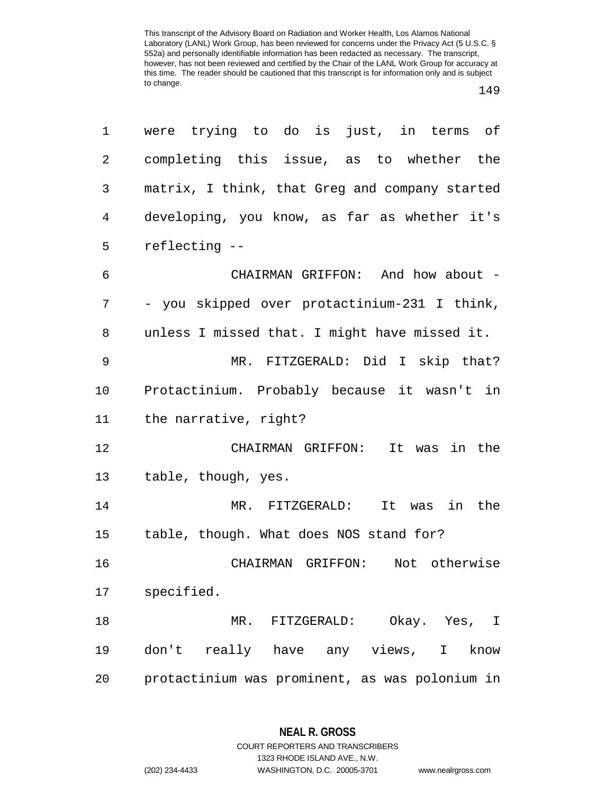## 149

| 1  | were trying to do is just, in terms of         |
|----|------------------------------------------------|
| 2  | completing this issue, as to whether the       |
| 3  | matrix, I think, that Greg and company started |
| 4  | developing, you know, as far as whether it's   |
| 5  | reflecting --                                  |
| 6  | CHAIRMAN GRIFFON: And how about -              |
| 7  | - you skipped over protactinium-231 I think,   |
| 8  | unless I missed that. I might have missed it.  |
| 9  | MR. FITZGERALD: Did I skip that?               |
| 10 | Protactinium. Probably because it wasn't in    |
| 11 | the narrative, right?                          |
| 12 | CHAIRMAN GRIFFON: It was in the                |
| 13 | table, though, yes.                            |
| 14 | MR. FITZGERALD: It was in the                  |
| 15 | table, though. What does NOS stand for?        |
| 16 | CHAIRMAN GRIFFON:<br>Not otherwise             |
| 17 | specified.                                     |
| 18 | MR. FITZGERALD: Okay. Yes, I                   |
| 19 | don't really have any views, I know            |
| 20 | protactinium was prominent, as was polonium in |

**NEAL R. GROSS** COURT REPORTERS AND TRANSCRIBERS

1323 RHODE ISLAND AVE., N.W.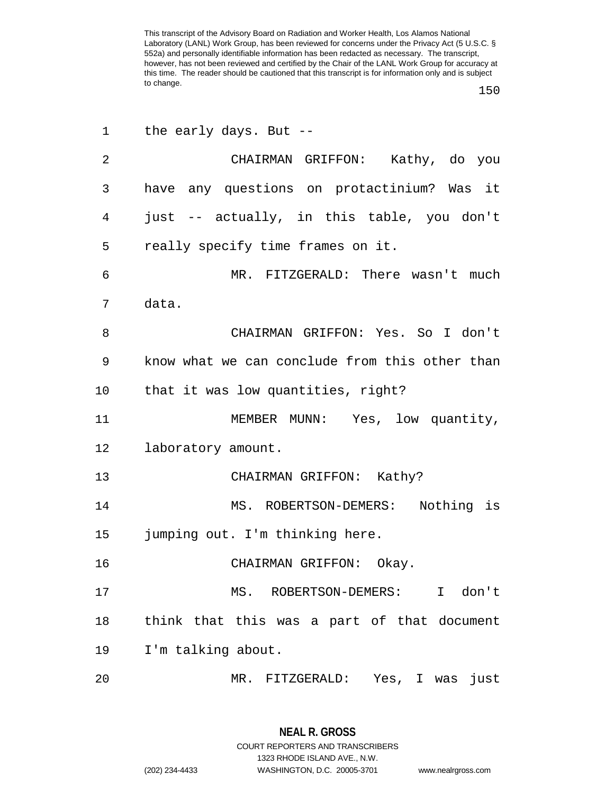150

| 1              | the early days. But $-$ -                      |
|----------------|------------------------------------------------|
| $\overline{2}$ | CHAIRMAN GRIFFON: Kathy, do you                |
| 3              | have any questions on protactinium? Was it     |
| 4              | just -- actually, in this table, you don't     |
| 5              | really specify time frames on it.              |
| 6              | MR. FITZGERALD: There wasn't much              |
| 7              | data.                                          |
| 8              | CHAIRMAN GRIFFON: Yes. So I don't              |
| 9              | know what we can conclude from this other than |
| 10             | that it was low quantities, right?             |
| 11             | MEMBER MUNN: Yes, low quantity,                |
| 12             | laboratory amount.                             |
| 13             | CHAIRMAN GRIFFON: Kathy?                       |
| 14             | MS. ROBERTSON-DEMERS: Nothing is               |
| 15             | jumping out. I'm thinking here.                |
| 16             | CHAIRMAN GRIFFON: Okay.                        |
| 17             | MS. ROBERTSON-DEMERS:<br>I don't               |
| 18             | think that this was a part of that document    |
| 19             | I'm talking about.                             |
| 20             | MR. FITZGERALD: Yes, I was just                |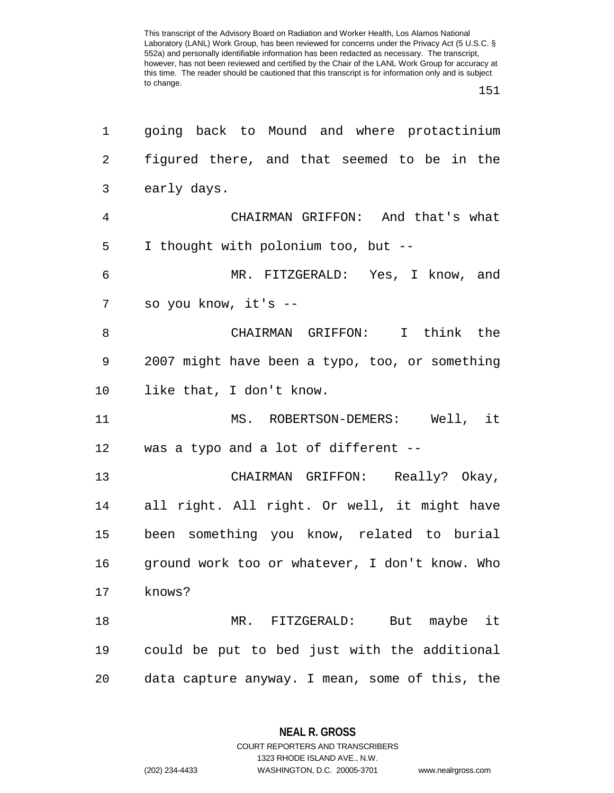151

| 1              | going back to Mound and where protactinium     |
|----------------|------------------------------------------------|
| 2              | figured there, and that seemed to be in the    |
| 3              | early days.                                    |
| $\overline{4}$ | CHAIRMAN GRIFFON: And that's what              |
| 5              | I thought with polonium too, but --            |
| 6              | MR. FITZGERALD: Yes, I know, and               |
| 7              | so you know, it's --                           |
| 8              | CHAIRMAN GRIFFON: I think the                  |
| 9              | 2007 might have been a typo, too, or something |
| 10             | like that, I don't know.                       |
| 11             | MS. ROBERTSON-DEMERS: Well, it                 |
| 12             | was a typo and a lot of different --           |
| 13             | CHAIRMAN GRIFFON: Really? Okay,                |
| 14             | all right. All right. Or well, it might have   |
| 15             | been something you know, related to burial     |
| 16             | ground work too or whatever, I don't know. Who |
| 17             | knows?                                         |
| 18             | MR. FITZGERALD: But maybe it                   |
| 19             | could be put to bed just with the additional   |
| 20             | data capture anyway. I mean, some of this, the |

**NEAL R. GROSS** COURT REPORTERS AND TRANSCRIBERS

1323 RHODE ISLAND AVE., N.W.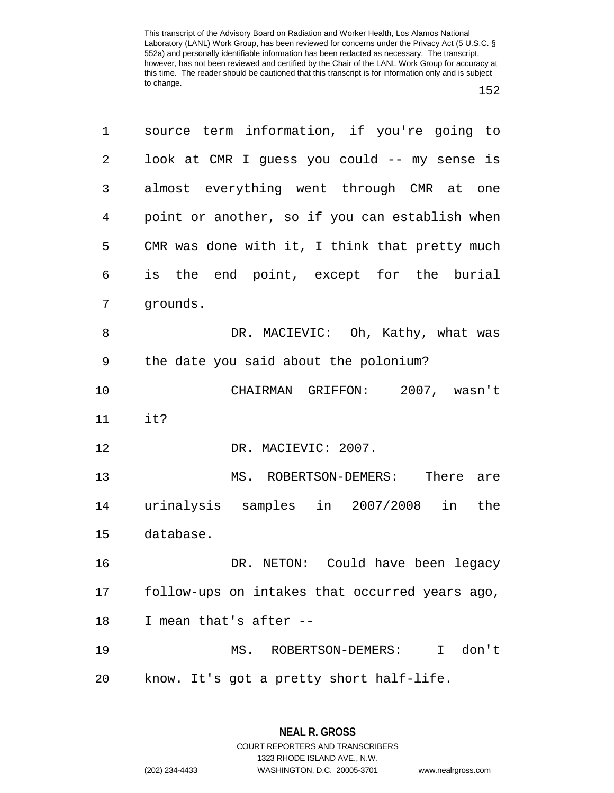| 1  | source term information, if you're going to    |
|----|------------------------------------------------|
| 2  | look at CMR I guess you could -- my sense is   |
| 3  | almost everything went through CMR at<br>one   |
| 4  | point or another, so if you can establish when |
| 5  | CMR was done with it, I think that pretty much |
| 6  | is the end point, except for the burial        |
| 7  | grounds.                                       |
| 8  | DR. MACIEVIC: Oh, Kathy, what was              |
| 9  | the date you said about the polonium?          |
| 10 | 2007, wasn't<br>CHAIRMAN GRIFFON:              |
| 11 | it?                                            |
| 12 | DR. MACIEVIC: 2007.                            |
| 13 | MS. ROBERTSON-DEMERS:<br>There are             |
| 14 | urinalysis samples in 2007/2008 in<br>the      |
| 15 | database.                                      |
| 16 | DR. NETON: Could have been legacy              |
| 17 | follow-ups on intakes that occurred years ago, |
| 18 | I mean that's after --                         |
| 19 | don't<br>MS. ROBERTSON-DEMERS:<br>$\mathbf{I}$ |
| 20 | know. It's got a pretty short half-life.       |

**NEAL R. GROSS** COURT REPORTERS AND TRANSCRIBERS 1323 RHODE ISLAND AVE., N.W.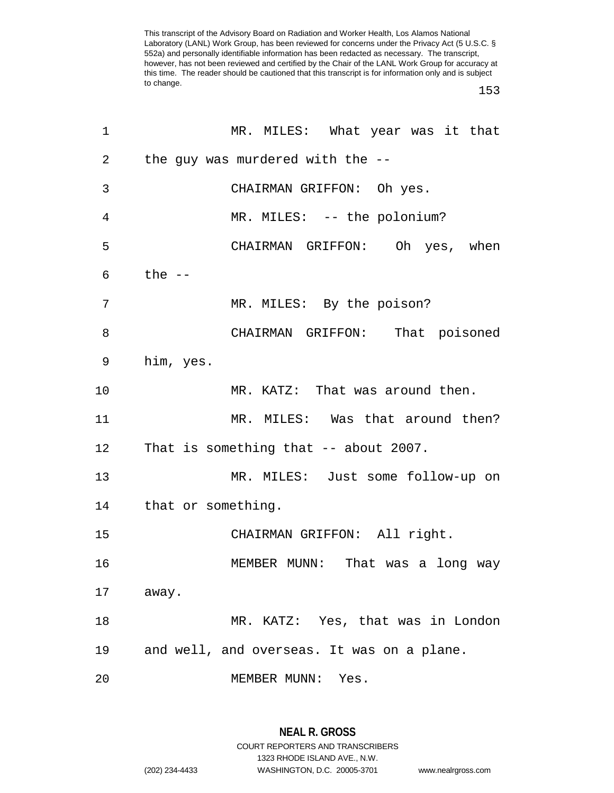153

| 1  | MR. MILES: What year was it that           |
|----|--------------------------------------------|
| 2  | the guy was murdered with the --           |
| 3  | CHAIRMAN GRIFFON: Oh yes.                  |
| 4  | MR. MILES: -- the polonium?                |
| 5  | CHAIRMAN GRIFFON: Oh yes, when             |
| 6  | the --                                     |
| 7  | MR. MILES: By the poison?                  |
| 8  | CHAIRMAN GRIFFON: That poisoned            |
| 9  | him, yes.                                  |
| 10 | MR. KATZ: That was around then.            |
| 11 | MR. MILES: Was that around then?           |
|    | 12 That is something that -- about 2007.   |
| 13 | MR. MILES: Just some follow-up on          |
|    | 14 that or something.                      |
| 15 | CHAIRMAN GRIFFON: All right.               |
| 16 | MEMBER MUNN: That was a long way           |
| 17 | away.                                      |
| 18 | MR. KATZ: Yes, that was in London          |
| 19 | and well, and overseas. It was on a plane. |
| 20 | MEMBER MUNN:<br>Yes.                       |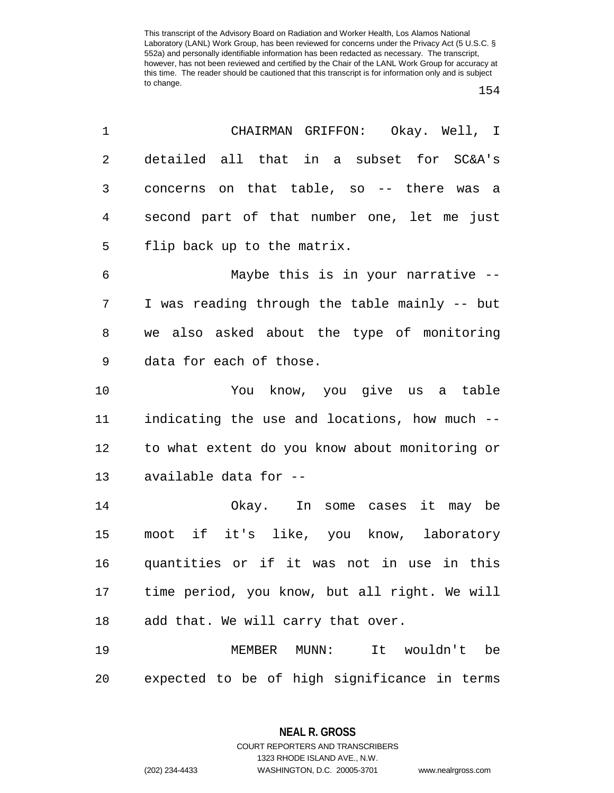| 1          | CHAIRMAN GRIFFON: Okay. Well, I                |
|------------|------------------------------------------------|
| 2          | detailed all that in a subset for SC&A's       |
| 3          | concerns on that table, so -- there was a      |
| 4          | second part of that number one, let me just    |
| 5          | flip back up to the matrix.                    |
| $\epsilon$ | Maybe this is in your narrative --             |
| 7          | I was reading through the table mainly -- but  |
| 8          | we also asked about the type of monitoring     |
| 9          | data for each of those.                        |
| 10         | You know, you give us a table                  |
| 11         | indicating the use and locations, how much --  |
| 12         | to what extent do you know about monitoring or |
| 13         | available data for --                          |
| 14         | Okay. In some cases it may be                  |
| 15         | moot if it's like, you know, laboratory        |
| 16         | quantities or if it was not in use in this     |
| 17         | time period, you know, but all right. We will  |
| 18         | add that. We will carry that over.             |
| 19         | MEMBER MUNN:<br>It wouldn't be                 |
| 20         | expected to be of high significance in terms   |

**NEAL R. GROSS** COURT REPORTERS AND TRANSCRIBERS

1323 RHODE ISLAND AVE., N.W.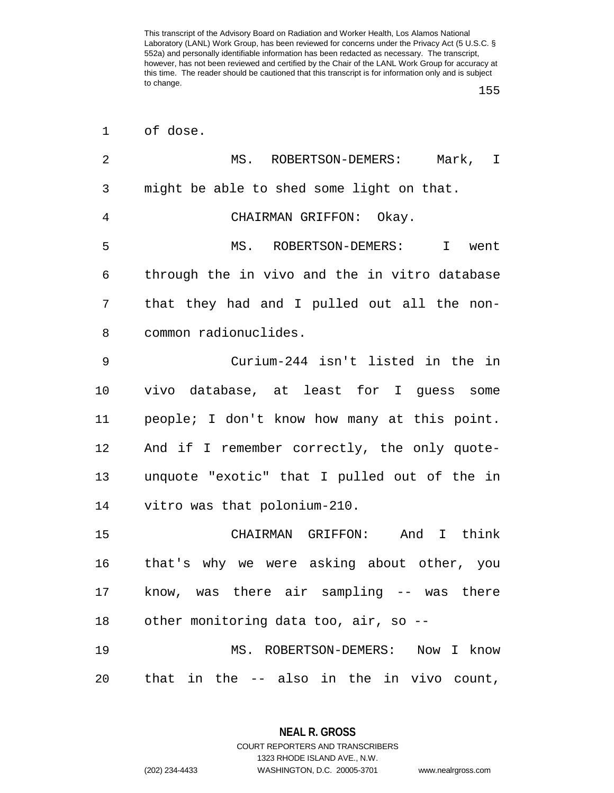155

| $\mathbf 1$ | of dose.                                      |
|-------------|-----------------------------------------------|
| 2           | MS. ROBERTSON-DEMERS: Mark, I                 |
| 3           | might be able to shed some light on that.     |
| 4           | CHAIRMAN GRIFFON: Okay.                       |
| 5           | MS. ROBERTSON-DEMERS: I<br>went               |
| 6           | through the in vivo and the in vitro database |
| 7           | that they had and I pulled out all the non-   |
| 8           | common radionuclides.                         |
| $\mathsf 9$ | Curium-244 isn't listed in the in             |
| 10          | vivo database, at least for I guess some      |
| 11          | people; I don't know how many at this point.  |
| 12          | And if I remember correctly, the only quote-  |
| 13          | unquote "exotic" that I pulled out of the in  |
| 14          | vitro was that polonium-210.                  |
| 15          | CHAIRMAN GRIFFON: And I think                 |
| 16          | that's why we were asking about other, you    |
| 17          | know, was there air sampling -- was there     |
| 18          | other monitoring data too, air, so --         |
| 19          | MS. ROBERTSON-DEMERS: Now I know              |
| 20          | that in the -- also in the in vivo count,     |

**NEAL R. GROSS** COURT REPORTERS AND TRANSCRIBERS

1323 RHODE ISLAND AVE., N.W.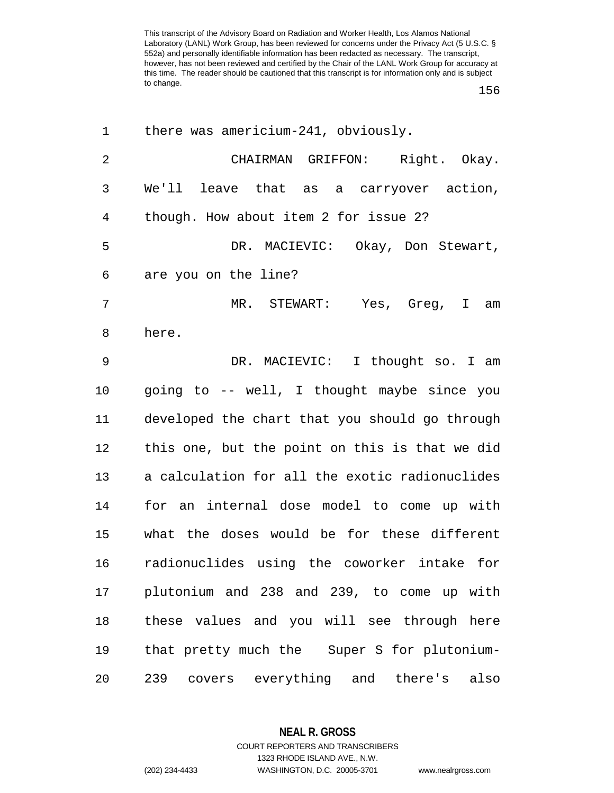156

| 1              | there was americium-241, obviously.            |
|----------------|------------------------------------------------|
| $\overline{2}$ | CHAIRMAN GRIFFON: Right. Okay.                 |
| 3              | We'll leave that as a carryover action,        |
| 4              | though. How about item 2 for issue 2?          |
| 5              | DR. MACIEVIC: Okay, Don Stewart,               |
| 6              | are you on the line?                           |
| 7              | MR. STEWART:<br>Yes, Greg, I am                |
| 8              | here.                                          |
| $\overline{9}$ | DR. MACIEVIC: I thought so. I am               |
| 10             | going to -- well, I thought maybe since you    |
| 11             | developed the chart that you should go through |
| 12             | this one, but the point on this is that we did |
| 13             | a calculation for all the exotic radionuclides |
| 14             | for an internal dose model to come up with     |
| 15             | what the doses would be for these different    |
| 16             | radionuclides using the coworker intake for    |
| 17             | plutonium and 238 and 239, to come up with     |
| 18             | these values and you will see through here     |
| 19             | that pretty much the Super S for plutonium-    |
| 20             | covers everything and there's also<br>239      |

**NEAL R. GROSS**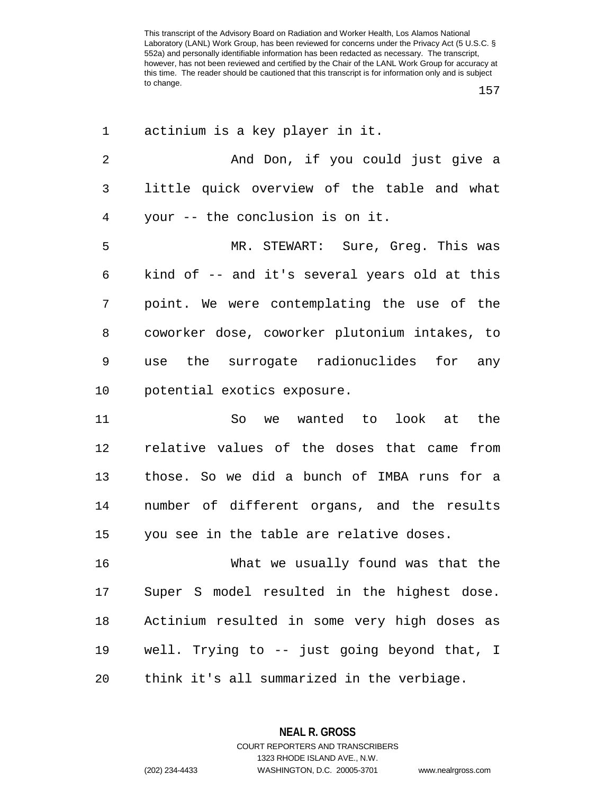157

| 1              | actinium is a key player in it.               |
|----------------|-----------------------------------------------|
| $\overline{2}$ | And Don, if you could just give a             |
| 3              | little quick overview of the table and what   |
| 4              | your -- the conclusion is on it.              |
| 5              | MR. STEWART: Sure, Greg. This was             |
| 6              | kind of -- and it's several years old at this |
| 7              | point. We were contemplating the use of the   |
| 8              | coworker dose, coworker plutonium intakes, to |
| 9              | use the surrogate radionuclides for any       |
| $10 \,$        | potential exotics exposure.                   |
| 11             | So we wanted to look at the                   |
| 12             | relative values of the doses that came from   |
| 13             | those. So we did a bunch of IMBA runs for a   |
| 14             | number of different organs, and the results   |
| 15             | you see in the table are relative doses.      |
| 16             | What we usually found was that the            |
| 17             | Super S model resulted in the highest dose.   |
| 18             | Actinium resulted in some very high doses as  |
| 19             | well. Trying to -- just going beyond that, I  |
| 20             | think it's all summarized in the verbiage.    |

**NEAL R. GROSS** COURT REPORTERS AND TRANSCRIBERS 1323 RHODE ISLAND AVE., N.W.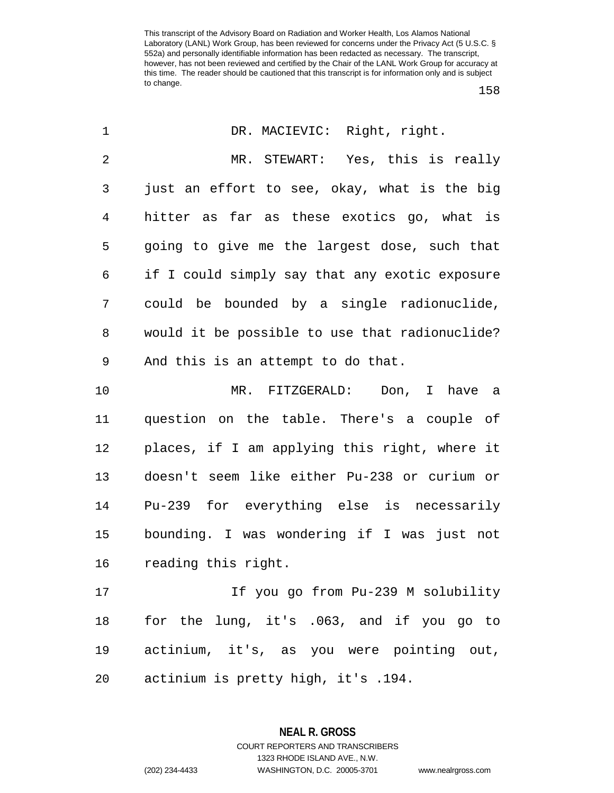158

| $\mathbf 1$    | DR. MACIEVIC: Right, right.                    |
|----------------|------------------------------------------------|
| $\overline{2}$ | MR. STEWART: Yes, this is really               |
| 3              | just an effort to see, okay, what is the big   |
| $\overline{4}$ | hitter as far as these exotics go, what is     |
| 5              | going to give me the largest dose, such that   |
| 6              | if I could simply say that any exotic exposure |
| 7              | could be bounded by a single radionuclide,     |
| 8              | would it be possible to use that radionuclide? |
| 9              | And this is an attempt to do that.             |
| 10             | MR. FITZGERALD: Don, I have a                  |
| 11             | question on the table. There's a couple of     |
| 12             | places, if I am applying this right, where it  |
| 13             | doesn't seem like either Pu-238 or curium or   |
| 14             | Pu-239 for everything else is necessarily      |
| 15             | bounding. I was wondering if I was just not    |
| 16             | reading this right.                            |
| 17             | If you go from Pu-239 M solubility             |
| 18             | for the lung, it's .063, and if you go to      |
| 19             | actinium, it's, as you were pointing out,      |
| 20             | actinium is pretty high, it's .194.            |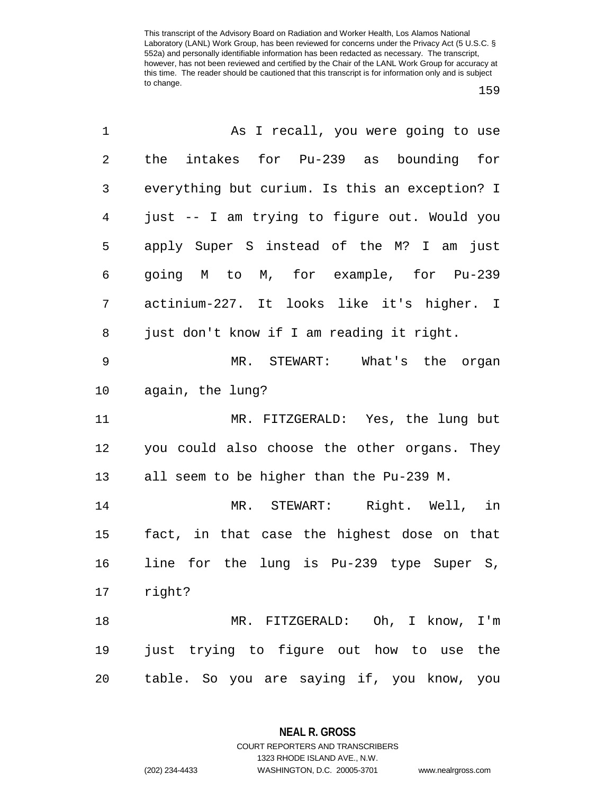| 1  | As I recall, you were going to use             |
|----|------------------------------------------------|
| 2  | the intakes for Pu-239 as bounding for         |
| 3  | everything but curium. Is this an exception? I |
| 4  | just -- I am trying to figure out. Would you   |
| 5  | apply Super S instead of the M? I am just      |
| 6  | going M to M, for example, for Pu-239          |
| 7  | actinium-227. It looks like it's higher. I     |
| 8  | just don't know if I am reading it right.      |
| 9  | MR. STEWART: What's the organ                  |
| 10 | again, the lung?                               |
| 11 | MR. FITZGERALD: Yes, the lung but              |
| 12 | you could also choose the other organs. They   |
| 13 | all seem to be higher than the Pu-239 M.       |
| 14 | MR. STEWART: Right. Well, in                   |
| 15 | fact, in that case the highest dose on that    |
| 16 | line for the lung is Pu-239 type Super S,      |
| 17 | right?                                         |
| 18 | MR. FITZGERALD: Oh, I know, I'm                |
| 19 | just trying to figure out how to use the       |
| 20 | table. So you are saying if, you know, you     |

**NEAL R. GROSS** COURT REPORTERS AND TRANSCRIBERS

1323 RHODE ISLAND AVE., N.W.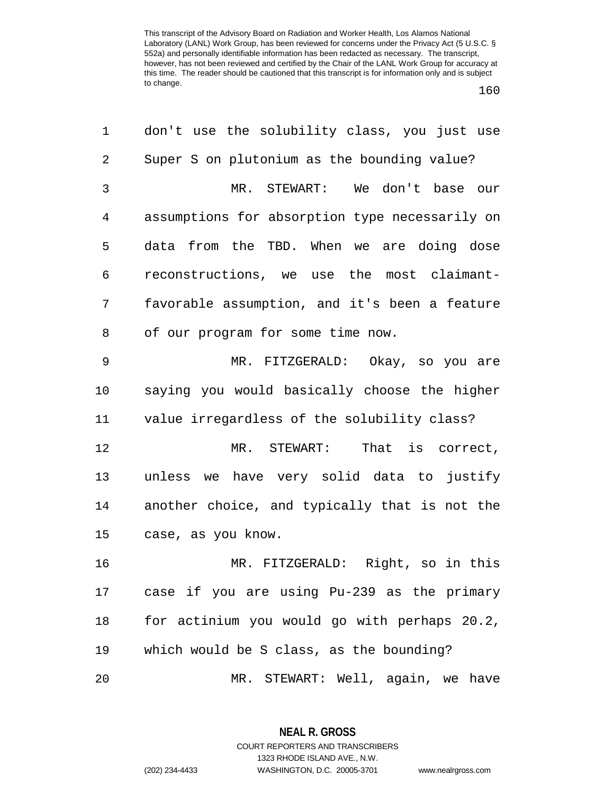160

| 1              | don't use the solubility class, you just use   |
|----------------|------------------------------------------------|
| $\overline{2}$ | Super S on plutonium as the bounding value?    |
| 3              | MR. STEWART: We don't base our                 |
| $\overline{4}$ | assumptions for absorption type necessarily on |
| 5              | data from the TBD. When we are doing dose      |
| 6              | reconstructions, we use the most claimant-     |
| 7              | favorable assumption, and it's been a feature  |
| 8              | of our program for some time now.              |
| $\mathsf 9$    | MR. FITZGERALD: Okay, so you are               |
| 10             | saying you would basically choose the higher   |
| 11             | value irregardless of the solubility class?    |
| 12             | MR. STEWART:<br>That is correct,               |
| 13             | unless we have very solid data to justify      |
| 14             | another choice, and typically that is not the  |
| 15             | case, as you know.                             |
| 16             | MR. FITZGERALD: Right, so in this              |
| 17             | case if you are using Pu-239 as the primary    |
| 18             | for actinium you would go with perhaps 20.2,   |
| 19             | which would be S class, as the bounding?       |
| 20             | MR. STEWART: Well, again, we have              |

**NEAL R. GROSS** COURT REPORTERS AND TRANSCRIBERS 1323 RHODE ISLAND AVE., N.W.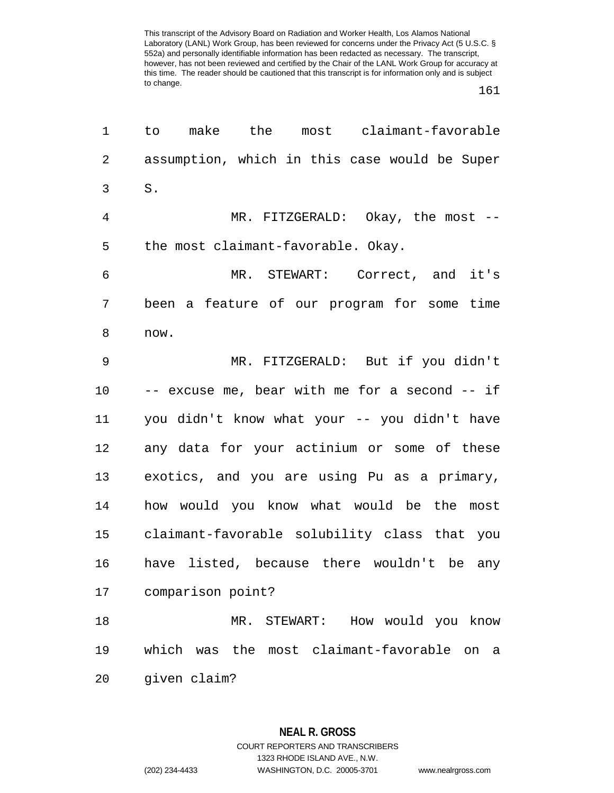161

| 1              | most claimant-favorable<br>make<br>the<br>to       |
|----------------|----------------------------------------------------|
| $\overline{2}$ | assumption, which in this case would be Super      |
| 3              | ${\tt S}$ .                                        |
| $\overline{4}$ | MR. FITZGERALD: Okay, the most --                  |
| 5              | the most claimant-favorable. Okay.                 |
| 6              | MR. STEWART: Correct, and it's                     |
| 7              | been a feature of our program for some time        |
| 8              | now.                                               |
| 9              | MR. FITZGERALD: But if you didn't                  |
| 10             | -- excuse me, bear with me for a second -- if      |
| 11             | you didn't know what your -- you didn't have       |
| 12             | any data for your actinium or some of these        |
| 13             | exotics, and you are using Pu as a primary,        |
| 14             | how would you know what would be the most          |
| 15             | claimant-favorable solubility class that you       |
| 16             | have listed, because there wouldn't be any         |
| 17             | comparison point?                                  |
| 18             | How would you know<br>MR. STEWART:                 |
| 19             | which was the most claimant-favorable<br>on<br>- a |
| 20             | given claim?                                       |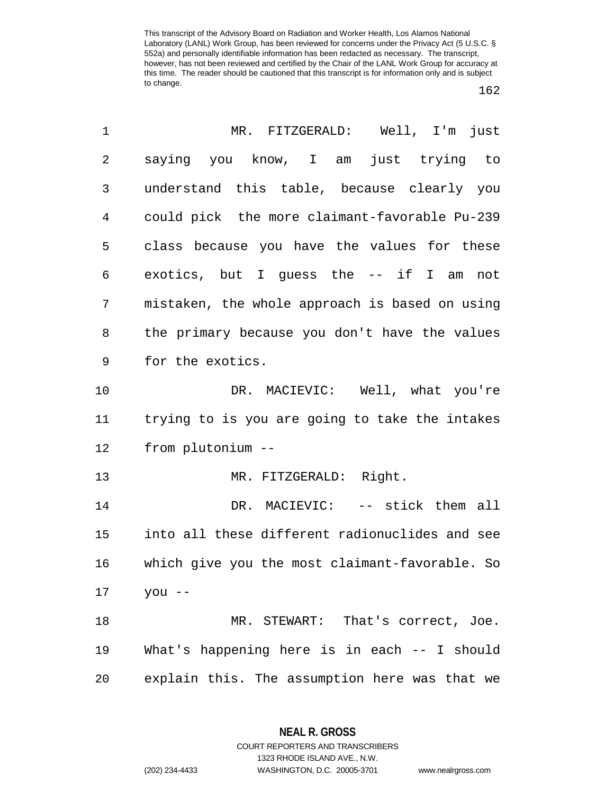162

| 1  | MR. FITZGERALD: Well, I'm just                 |
|----|------------------------------------------------|
| 2  | saying you know, I am just trying to           |
| 3  | understand this table, because clearly you     |
| 4  | could pick the more claimant-favorable Pu-239  |
| 5  | class because you have the values for these    |
| 6  | exotics, but I guess the -- if I am not        |
| 7  | mistaken, the whole approach is based on using |
| 8  | the primary because you don't have the values  |
| 9  | for the exotics.                               |
| 10 | DR. MACIEVIC: Well, what you're                |
| 11 | trying to is you are going to take the intakes |
| 12 | from plutonium --                              |
| 13 | MR. FITZGERALD: Right.                         |
| 14 | DR. MACIEVIC: -- stick them all                |
| 15 | into all these different radionuclides and see |
| 16 | which give you the most claimant-favorable. So |
| 17 | $you --$                                       |
| 18 | MR. STEWART: That's correct, Joe.              |
| 19 | What's happening here is in each -- I should   |
| 20 | explain this. The assumption here was that we  |

**NEAL R. GROSS** COURT REPORTERS AND TRANSCRIBERS

1323 RHODE ISLAND AVE., N.W. (202) 234-4433 WASHINGTON, D.C. 20005-3701 www.nealrgross.com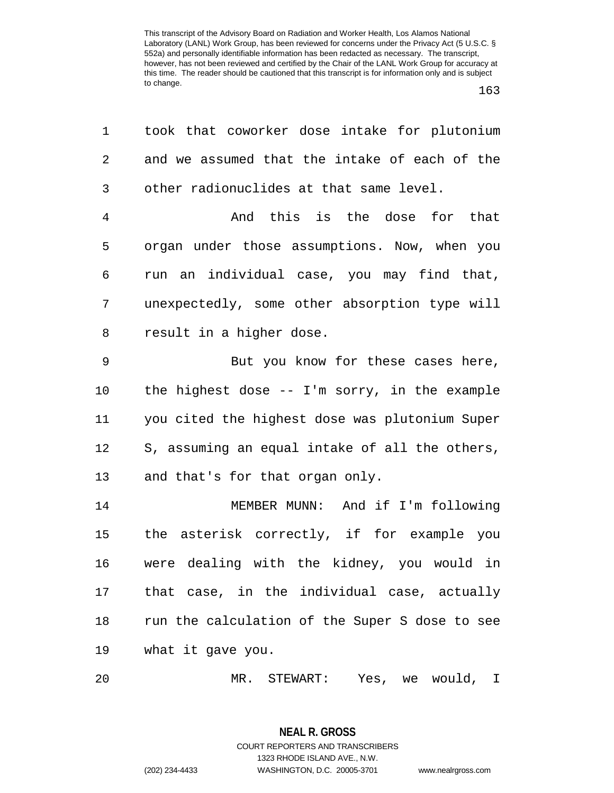163

| 1              | took that coworker dose intake for plutonium   |
|----------------|------------------------------------------------|
| $\overline{2}$ | and we assumed that the intake of each of the  |
| 3              | other radionuclides at that same level.        |
| $\overline{4}$ | And this is the dose for that                  |
| 5              | organ under those assumptions. Now, when you   |
| 6              | run an individual case, you may find that,     |
| 7              | unexpectedly, some other absorption type will  |
| 8              | result in a higher dose.                       |
| 9              | But you know for these cases here,             |
| 10             | the highest dose $-$ I'm sorry, in the example |
| 11             | you cited the highest dose was plutonium Super |
| 12             | S, assuming an equal intake of all the others, |
| 13             | and that's for that organ only.                |
| 14             | MEMBER MUNN: And if I'm following              |
| 15             | the asterisk correctly, if for example you     |
| 16             | were dealing with the kidney, you would in     |
| 17             | that case, in the individual case, actually    |
| 18             | run the calculation of the Super S dose to see |
| 19             | what it gave you.                              |
|                |                                                |

20 MR. STEWART: Yes, we would, I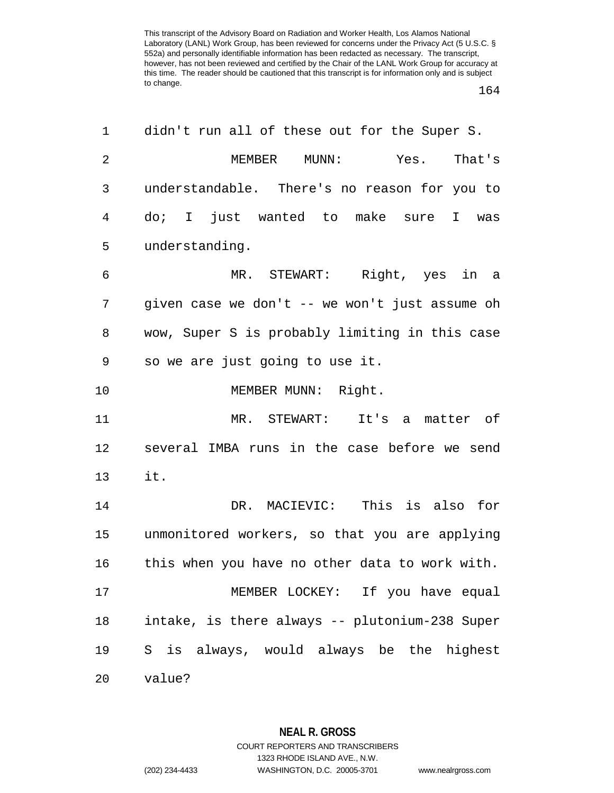164

| 1              | didn't run all of these out for the Super S.   |
|----------------|------------------------------------------------|
| $\overline{2}$ | MEMBER MUNN:<br>Yes. That's                    |
| 3              | understandable. There's no reason for you to   |
| 4              | do; I just wanted to make sure I was           |
| 5              | understanding.                                 |
| 6              | MR. STEWART: Right, yes in a                   |
| 7              | given case we don't -- we won't just assume oh |
| 8              | wow, Super S is probably limiting in this case |
| 9              | so we are just going to use it.                |
| 10             | MEMBER MUNN: Right.                            |
| 11             | MR. STEWART: It's a<br>matter of               |
| 12             | several IMBA runs in the case before we send   |
| 13             | it.                                            |
| 14             | DR. MACIEVIC: This is also for                 |
| 15             | unmonitored workers, so that you are applying  |
| 16             | this when you have no other data to work with. |
| 17             | MEMBER LOCKEY: If you have equal               |
| 18             | intake, is there always -- plutonium-238 Super |
| 19             | S is always, would always be the highest       |
| 20             | value?                                         |

**NEAL R. GROSS** COURT REPORTERS AND TRANSCRIBERS

1323 RHODE ISLAND AVE., N.W.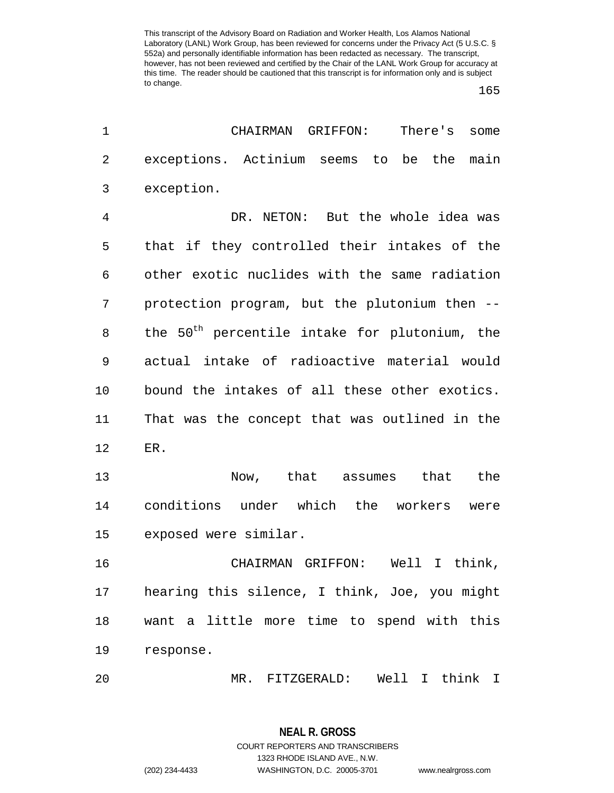165

| 1  | CHAIRMAN<br>GRIFFON:<br>There's<br>some                   |
|----|-----------------------------------------------------------|
| 2  | exceptions. Actinium seems to<br>be the<br>main           |
| 3  | exception.                                                |
| 4  | DR. NETON: But the whole idea was                         |
| 5  | that if they controlled their intakes of the              |
| 6  | other exotic nuclides with the same radiation             |
| 7  | protection program, but the plutonium then --             |
| 8  | the 50 <sup>th</sup> percentile intake for plutonium, the |
| 9  | actual intake of radioactive material would               |
| 10 | bound the intakes of all these other exotics.             |
| 11 | That was the concept that was outlined in the             |
| 12 | ER.                                                       |
| 13 | Now, that assumes<br>that<br>the                          |
| 14 | conditions under which the workers<br>were                |
| 15 | exposed were similar.                                     |
| 16 | Well<br>CHAIRMAN GRIFFON:<br>I think,                     |
| 17 | hearing this silence, I think, Joe, you might             |
| 18 | want a little more time to spend with this                |
| 19 | response.                                                 |
| 20 | Well I think I<br>MR. FITZGERALD:                         |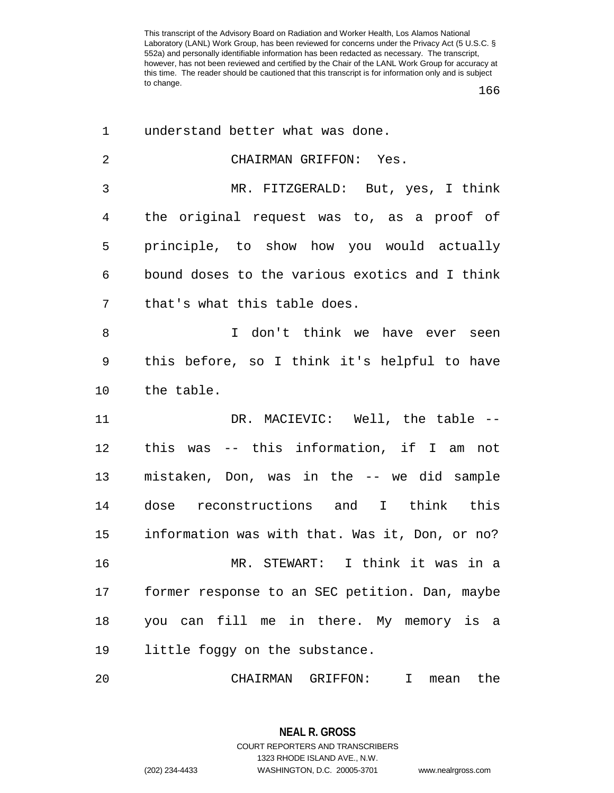166

| 1  | understand better what was done.               |
|----|------------------------------------------------|
| 2  | CHAIRMAN GRIFFON: Yes.                         |
| 3  | MR. FITZGERALD: But, yes, I think              |
| 4  | the original request was to, as a proof of     |
| 5  | principle, to show how you would actually      |
| 6  | bound doses to the various exotics and I think |
| 7  | that's what this table does.                   |
| 8  | I don't think we have ever seen                |
| 9  | this before, so I think it's helpful to have   |
| 10 | the table.                                     |
| 11 | DR. MACIEVIC: Well, the table --               |
| 12 | this was -- this information, if I am not      |
| 13 | mistaken, Don, was in the -- we did sample     |
| 14 | dose reconstructions and I think this          |
| 15 | information was with that. Was it, Don, or no? |
| 16 | MR. STEWART: I think it was in a               |
| 17 | former response to an SEC petition. Dan, maybe |
| 18 | you can fill me in there. My memory is a       |
| 19 | little foggy on the substance.                 |
| 20 | CHAIRMAN GRIFFON: I mean the                   |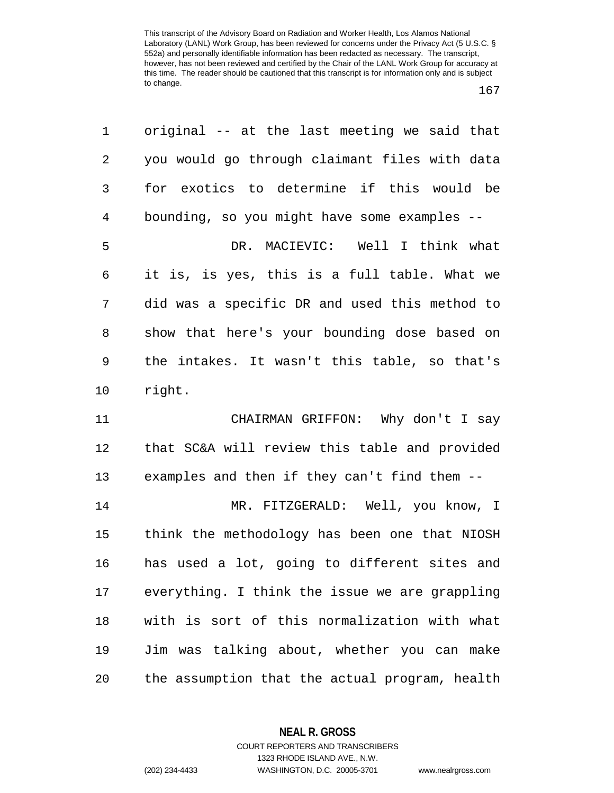| 1              | original -- at the last meeting we said that   |
|----------------|------------------------------------------------|
| $\overline{2}$ | you would go through claimant files with data  |
| 3              | for exotics to determine if this would be      |
| $\overline{4}$ | bounding, so you might have some examples --   |
| 5              | DR. MACIEVIC: Well I think what                |
| 6              | it is, is yes, this is a full table. What we   |
| 7              | did was a specific DR and used this method to  |
| 8              | show that here's your bounding dose based on   |
| 9              | the intakes. It wasn't this table, so that's   |
| 10             | right.                                         |
| 11             | CHAIRMAN GRIFFON: Why don't I say              |
| 12             | that SC&A will review this table and provided  |
| 13             | examples and then if they can't find them --   |
| 14             | MR. FITZGERALD: Well, you know, I              |
| 15             | think the methodology has been one that NIOSH  |
| 16             | has used a lot, going to different sites and   |
| 17             |                                                |
|                | everything. I think the issue we are grappling |
| 18             | with is sort of this normalization with what   |
| 19             | Jim was talking about, whether you can make    |

**NEAL R. GROSS** COURT REPORTERS AND TRANSCRIBERS

1323 RHODE ISLAND AVE., N.W.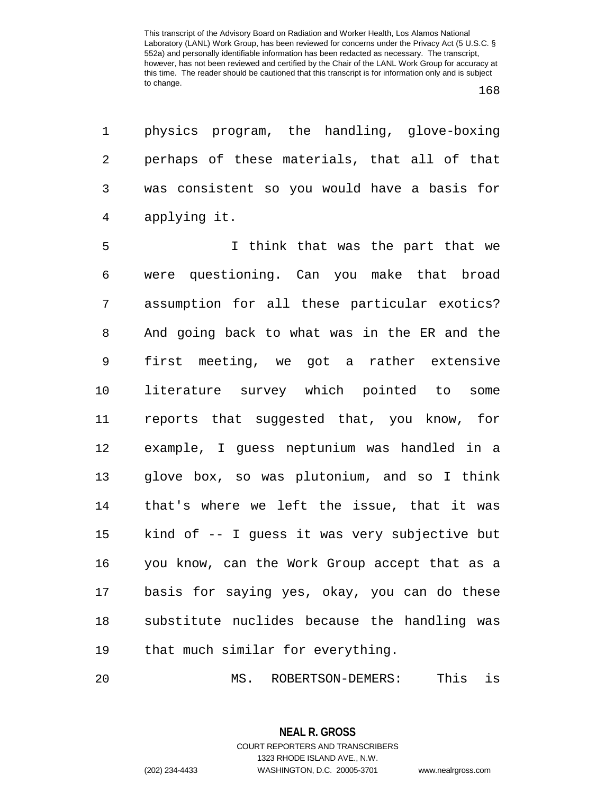1 physics program, the handling, glove-boxing 2 perhaps of these materials, that all of that 3 was consistent so you would have a basis for 4 applying it.

5 I think that was the part that we 6 were questioning. Can you make that broad 7 assumption for all these particular exotics? 8 And going back to what was in the ER and the 9 first meeting, we got a rather extensive 10 literature survey which pointed to some 11 reports that suggested that, you know, for 12 example, I guess neptunium was handled in a 13 glove box, so was plutonium, and so I think 14 that's where we left the issue, that it was 15 kind of -- I guess it was very subjective but 16 you know, can the Work Group accept that as a 17 basis for saying yes, okay, you can do these 18 substitute nuclides because the handling was 19 that much similar for everything.

20 MS. ROBERTSON-DEMERS: This is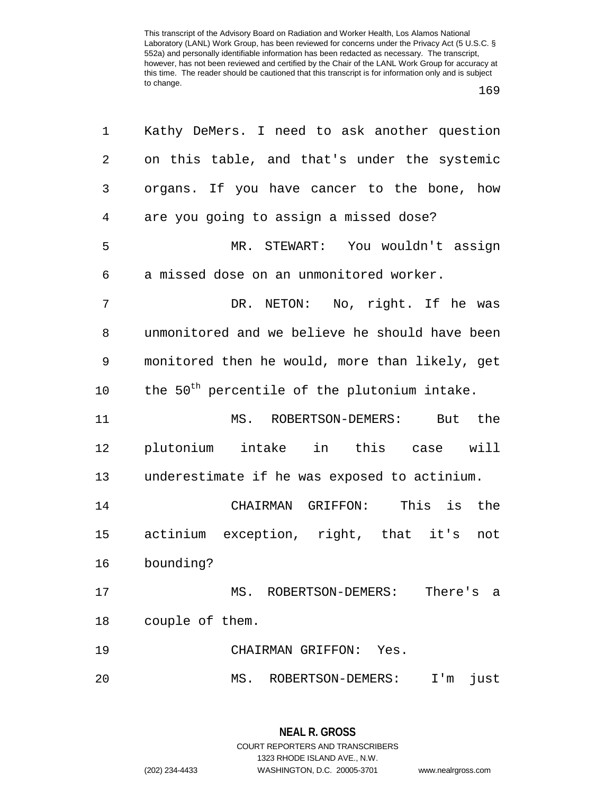| 1  | Kathy DeMers. I need to ask another question             |
|----|----------------------------------------------------------|
| 2  | on this table, and that's under the systemic             |
| 3  | organs. If you have cancer to the bone, how              |
| 4  | are you going to assign a missed dose?                   |
| 5  | MR. STEWART: You wouldn't assign                         |
| 6  | a missed dose on an unmonitored worker.                  |
| 7  | DR. NETON: No, right. If he was                          |
| 8  | unmonitored and we believe he should have been           |
| 9  | monitored then he would, more than likely, get           |
| 10 | the 50 <sup>th</sup> percentile of the plutonium intake. |
| 11 | MS. ROBERTSON-DEMERS: But the                            |
| 12 | plutonium intake in this case will                       |
| 13 | underestimate if he was exposed to actinium.             |
| 14 | CHAIRMAN GRIFFON: This is the                            |
| 15 | actinium exception, right, that it's not                 |
| 16 | bounding?                                                |
| 17 | There's<br>MS. ROBERTSON-DEMERS:<br>а                    |
| 18 | couple of them.                                          |
| 19 | CHAIRMAN GRIFFON: Yes.                                   |
| 20 | MS. ROBERTSON-DEMERS:<br>just<br>I'm                     |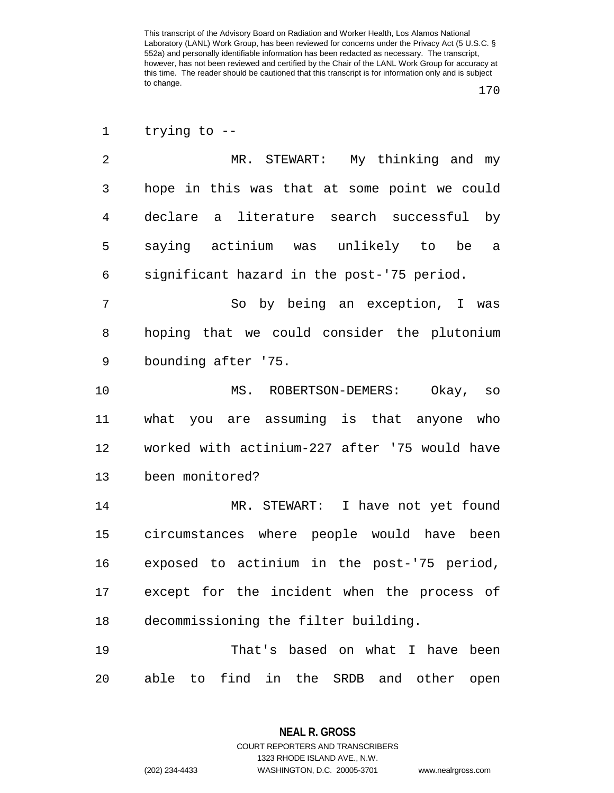<sup>1</sup> trying to --

| $\mathfrak{D}$ | MR. STEWART: My thinking and my              |
|----------------|----------------------------------------------|
| 3              | hope in this was that at some point we could |
| 4              | declare a literature search successful by    |
| 5              | saying actinium was unlikely to be a         |
| 6              | significant hazard in the post-'75 period.   |
| 7              | So by being an exception, I was              |
| 8              | hoping that we could consider the plutonium  |
| 9              | bounding after '75.                          |
| 10             | Okay, so<br>MS. ROBERTSON-DEMERS:            |
|                |                                              |

11 what you are assuming is that anyone who 12 worked with actinium-227 after '75 would have 13 been monitored?

14 MR. STEWART: I have not yet found 15 circumstances where people would have been 16 exposed to actinium in the post-'75 period, 17 except for the incident when the process of 18 decommissioning the filter building.

19 That's based on what I have been 20 able to find in the SRDB and other open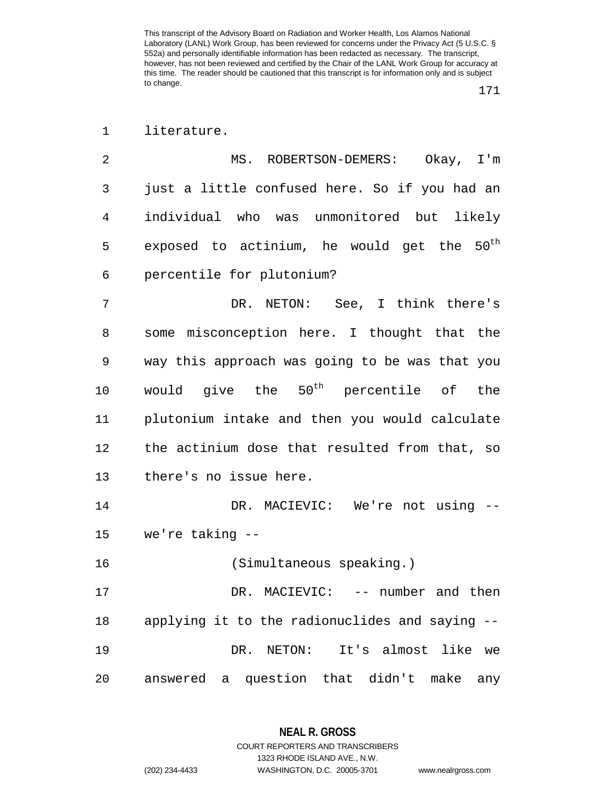1 literature.

| 2 | MS. ROBERTSON-DEMERS:<br>Okay, $I'm$                   |
|---|--------------------------------------------------------|
| 3 | just a little confused here. So if you had an          |
| 4 | individual who was unmonitored but likely              |
| 5 | exposed to actinium, he would get the $50^{\text{th}}$ |
| 6 | percentile for plutonium?                              |
| 7 | See, I think there's<br>DR. NETON:                     |
| 8 | some misconception here. I thought that the            |
| 9 | way this approach was going to be was that you         |

14 DR. MACIEVIC: We're not using --15 we're taking --

10 would give the  $50<sup>th</sup>$  percentile of the

11 plutonium intake and then you would calculate

12 the actinium dose that resulted from that, so

16 (Simultaneous speaking.)

13 there's no issue here.

17 DR. MACIEVIC: -- number and then 18 applying it to the radionuclides and saying -- 19 DR. NETON: It's almost like we 20 answered a question that didn't make any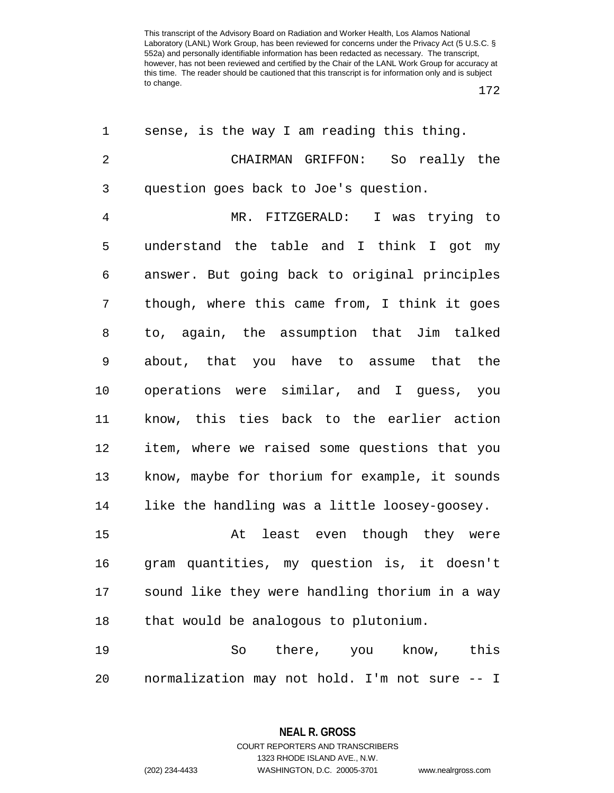172

| 1              | sense, is the way I am reading this thing.     |
|----------------|------------------------------------------------|
| $\overline{2}$ | CHAIRMAN GRIFFON: So really the                |
| 3              | question goes back to Joe's question.          |
| $\overline{4}$ | MR. FITZGERALD: I was trying to                |
| 5              | understand the table and I think I got my      |
| 6              | answer. But going back to original principles  |
| 7              | though, where this came from, I think it goes  |
| 8              | to, again, the assumption that Jim talked      |
| 9              | about, that you have to assume that the        |
| 10             | operations were similar, and I guess, you      |
| 11             | know, this ties back to the earlier action     |
| 12             | item, where we raised some questions that you  |
| 13             | know, maybe for thorium for example, it sounds |
| 14             | like the handling was a little loosey-goosey.  |
| 15             | At least even though they were                 |
| 16             | gram quantities, my question is, it doesn't    |
| 17             | sound like they were handling thorium in a way |
| 18             | that would be analogous to plutonium.          |
| 19             | there, you know, this<br>So                    |
| 20             | normalization may not hold. I'm not sure -- I  |

**NEAL R. GROSS** COURT REPORTERS AND TRANSCRIBERS 1323 RHODE ISLAND AVE., N.W.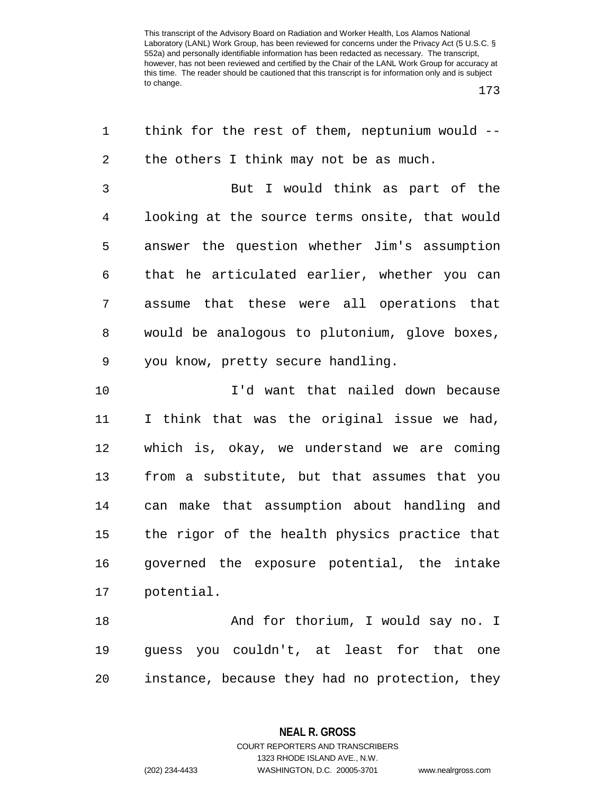173

| 1              | think for the rest of them, neptunium would -- |
|----------------|------------------------------------------------|
| $\sqrt{2}$     | the others I think may not be as much.         |
| 3              | But I would think as part of the               |
| $\overline{4}$ | looking at the source terms onsite, that would |
| 5              | answer the question whether Jim's assumption   |
| 6              | that he articulated earlier, whether you can   |
| 7              | assume that these were all operations that     |
| 8              | would be analogous to plutonium, glove boxes,  |
| 9              | you know, pretty secure handling.              |
| 10             | I'd want that nailed down because              |
| 11             | I think that was the original issue we had,    |
| 12             | which is, okay, we understand we are coming    |
| 13             | from a substitute, but that assumes that you   |
| 14             | can make that assumption about handling and    |
| 15             | the rigor of the health physics practice that  |
| 16             | governed the exposure potential, the intake    |
| 17             | potential.                                     |
| 18             | And for thorium, I would say no. I             |
| 19             | quess you couldn't, at least for that<br>one   |
| 20             | instance, because they had no protection, they |

**NEAL R. GROSS**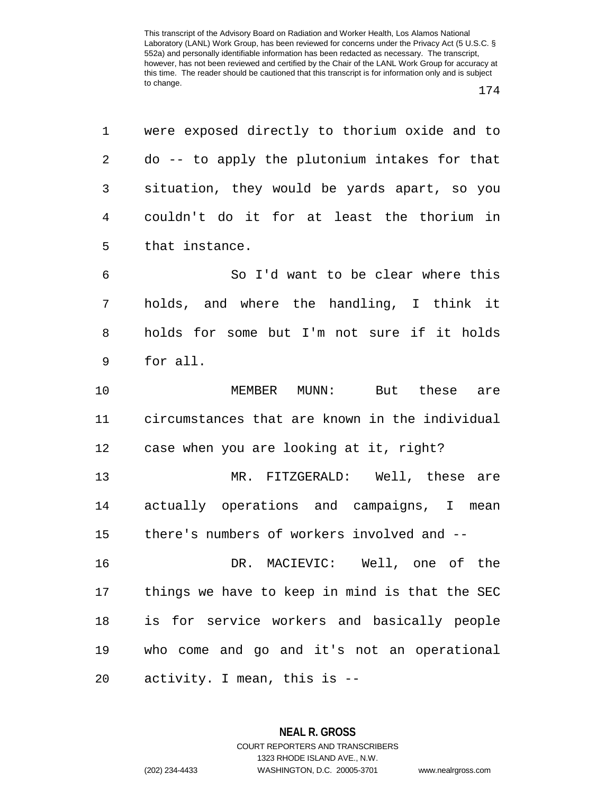| $1 \quad$       | were exposed directly to thorium oxide and to   |
|-----------------|-------------------------------------------------|
|                 | 2 do -- to apply the plutonium intakes for that |
| 3 <sup>7</sup>  | situation, they would be yards apart, so you    |
| $4\overline{ }$ | couldn't do it for at least the thorium in      |
| $5 -$           | that instance.                                  |

6 So I'd want to be clear where this 7 holds, and where the handling, I think it 8 holds for some but I'm not sure if it holds 9 for all.

10 MEMBER MUNN: But these are 11 circumstances that are known in the individual 12 case when you are looking at it, right?

13 MR. FITZGERALD: Well, these are 14 actually operations and campaigns, I mean 15 there's numbers of workers involved and --

16 DR. MACIEVIC: Well, one of the 17 things we have to keep in mind is that the SEC 18 is for service workers and basically people 19 who come and go and it's not an operational 20 activity. I mean, this is --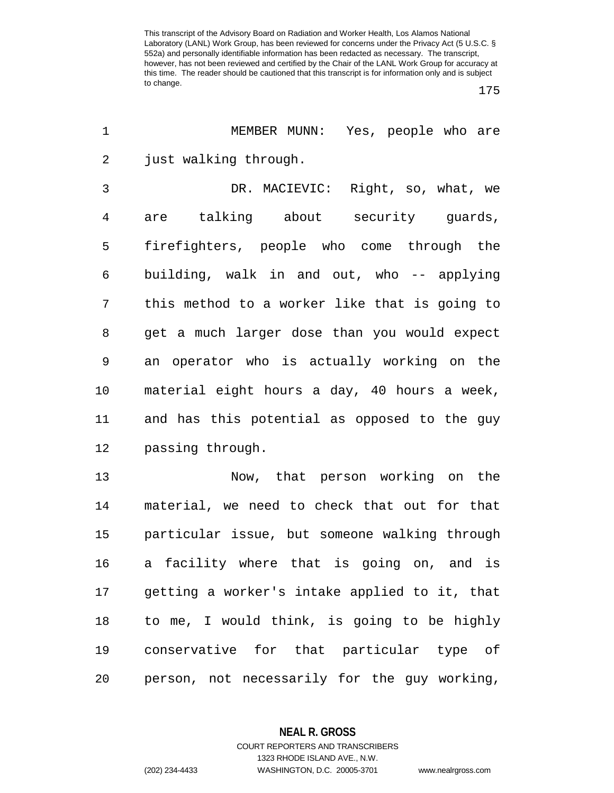175

| 1  | MEMBER MUNN: Yes, people who are              |
|----|-----------------------------------------------|
| 2  | just walking through.                         |
| 3  | DR. MACIEVIC: Right, so, what, we             |
| 4  | are talking about security guards,            |
| 5  | firefighters, people who come through the     |
| 6  | building, walk in and out, who -- applying    |
| 7  | this method to a worker like that is going to |
| 8  | get a much larger dose than you would expect  |
| 9  | an operator who is actually working on the    |
| 10 | material eight hours a day, 40 hours a week,  |
| 11 | and has this potential as opposed to the guy  |
| 12 | passing through.                              |
| 13 | Now, that person working on the               |
| 14 | material, we need to check that out for that  |
| 15 | particular issue, but someone walking through |
| 16 | a facility where that is going on, and is     |
| 17 | getting a worker's intake applied to it, that |
| 18 | to me, I would think, is going to be highly   |
| 19 | conservative for that particular type of      |
| 20 | person, not necessarily for the guy working,  |

**NEAL R. GROSS** COURT REPORTERS AND TRANSCRIBERS

1323 RHODE ISLAND AVE., N.W. (202) 234-4433 WASHINGTON, D.C. 20005-3701 www.nealrgross.com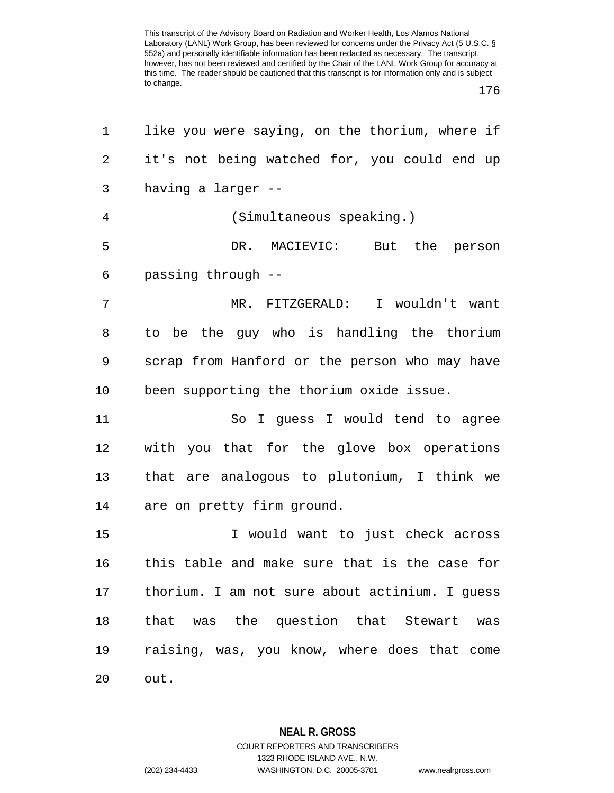176

| 1  | like you were saying, on the thorium, where if |
|----|------------------------------------------------|
| 2  | it's not being watched for, you could end up   |
| 3  | having a larger --                             |
| 4  | (Simultaneous speaking.)                       |
| 5  | DR. MACIEVIC: But the person                   |
| 6  | passing through --                             |
| 7  | MR. FITZGERALD: I wouldn't want                |
| 8  | to be the guy who is handling the thorium      |
| 9  | scrap from Hanford or the person who may have  |
| 10 | been supporting the thorium oxide issue.       |
| 11 | So I guess I would tend to agree               |
| 12 | with you that for the glove box operations     |
| 13 | that are analogous to plutonium, I think we    |
| 14 | are on pretty firm ground.                     |
| 15 | I would want to just check across              |
| 16 | this table and make sure that is the case for  |
| 17 | thorium. I am not sure about actinium. I guess |
| 18 | that was the question that Stewart<br>was      |
| 19 | raising, was, you know, where does that come   |
| 20 | out.                                           |
|    |                                                |

**NEAL R. GROSS** COURT REPORTERS AND TRANSCRIBERS

1323 RHODE ISLAND AVE., N.W.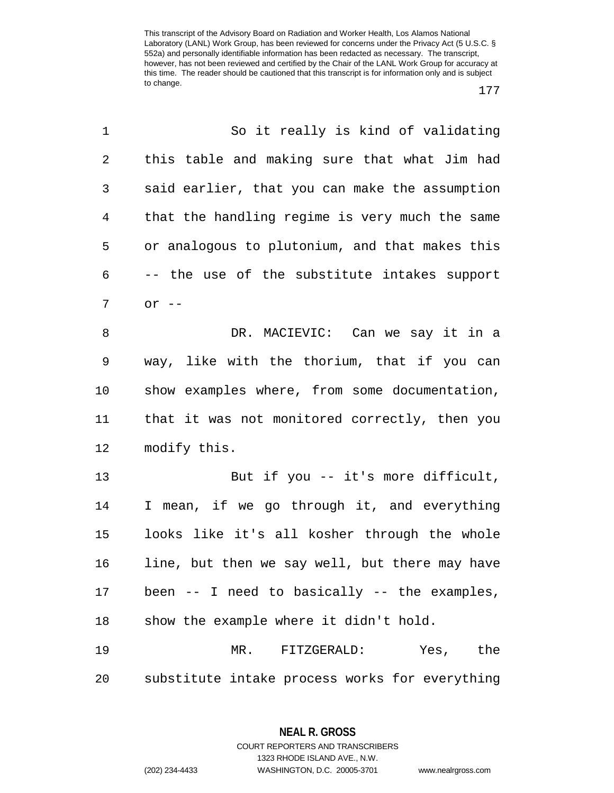177

| 1              | So it really is kind of validating             |
|----------------|------------------------------------------------|
| $\overline{2}$ | this table and making sure that what Jim had   |
| 3              | said earlier, that you can make the assumption |
| 4              | that the handling regime is very much the same |
| 5              | or analogous to plutonium, and that makes this |
| 6              | -- the use of the substitute intakes support   |
| 7              | $or$ $--$                                      |
| 8              | DR. MACIEVIC: Can we say it in a               |
| 9              | way, like with the thorium, that if you can    |
| 10             | show examples where, from some documentation,  |
| 11             | that it was not monitored correctly, then you  |
| 12             | modify this.                                   |
| 13             | But if you -- it's more difficult,             |
| 14             | I mean, if we go through it, and everything    |
| 15             | looks like it's all kosher through the whole   |
| 16             | line, but then we say well, but there may have |
| 17             | been -- I need to basically -- the examples,   |
| 18             | show the example where it didn't hold.         |
| 19             | MR. FITZGERALD: Yes, the                       |
| 20             | substitute intake process works for everything |

**NEAL R. GROSS** COURT REPORTERS AND TRANSCRIBERS

1323 RHODE ISLAND AVE., N.W.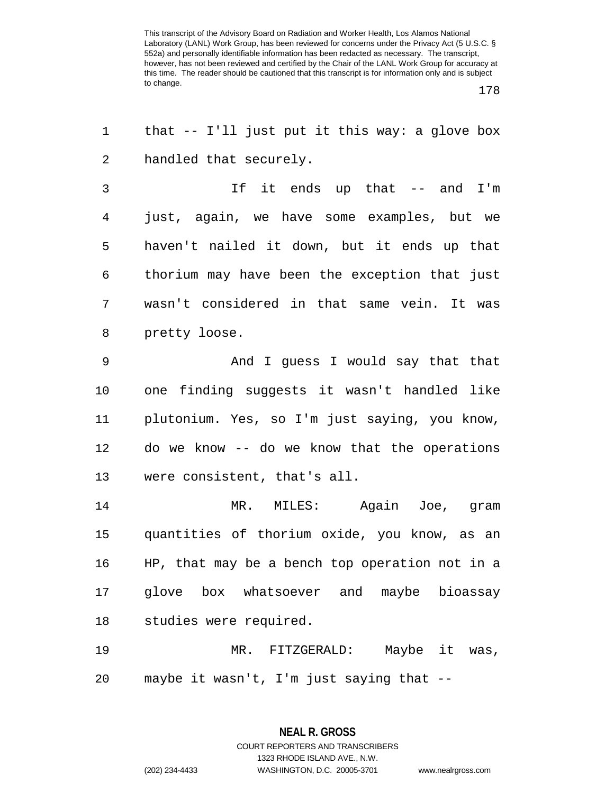178

| 1              | that -- I'll just put it this way: a glove box |
|----------------|------------------------------------------------|
| 2              | handled that securely.                         |
| 3              | If it ends up that -- and I'm                  |
| $\overline{4}$ | just, again, we have some examples, but we     |
| 5              | haven't nailed it down, but it ends up that    |
| 6              | thorium may have been the exception that just  |
| 7              | wasn't considered in that same vein. It was    |
| 8              | pretty loose.                                  |
| 9              | And I guess I would say that that              |
| 10             | one finding suggests it wasn't handled like    |
| 11             | plutonium. Yes, so I'm just saying, you know,  |
| 12             | do we know -- do we know that the operations   |
| 13             | were consistent, that's all.                   |
| 14             | MR. MILES: Again Joe, gram                     |
| 15             | quantities of thorium oxide, you know, as an   |
| 16             | HP, that may be a bench top operation not in a |
| 17             | glove box whatsoever and maybe bioassay        |
| 18             | studies were required.                         |
| 19             | MR. FITZGERALD: Maybe it was,                  |
| 20             | maybe it wasn't, I'm just saying that --       |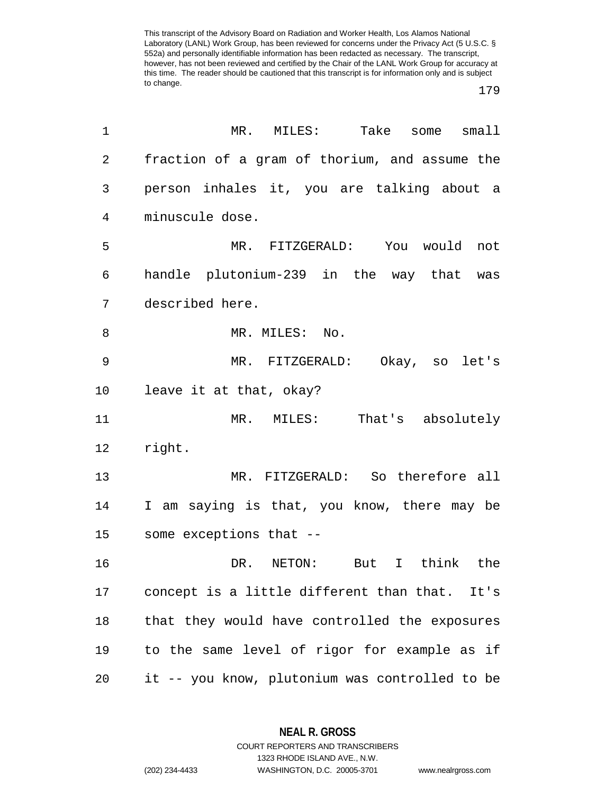## 179

| 1              | MR.<br>MILES:          Take<br>some<br>smal1   |
|----------------|------------------------------------------------|
| $\overline{2}$ | fraction of a gram of thorium, and assume the  |
| 3              | person inhales it, you are talking about a     |
| 4              | minuscule dose.                                |
| 5              | MR. FITZGERALD: You would not                  |
| 6              | handle plutonium-239 in the way that was       |
| 7              | described here.                                |
| 8              | MR. MILES: No.                                 |
| 9              | MR. FITZGERALD: Okay, so let's                 |
| 10             | leave it at that, okay?                        |
| 11             | MR. MILES: That's absolutely                   |
| 12             | right.                                         |
| 13             | MR. FITZGERALD: So therefore all               |
| 14             | I am saying is that, you know, there may be    |
| 15             | some exceptions that --                        |
| 16             | I think the<br>DR.<br>NETON: But               |
| 17             | concept is a little different than that. It's  |
| 18             | that they would have controlled the exposures  |
| 19             | to the same level of rigor for example as if   |
| 20             | it -- you know, plutonium was controlled to be |

**NEAL R. GROSS** COURT REPORTERS AND TRANSCRIBERS

1323 RHODE ISLAND AVE., N.W.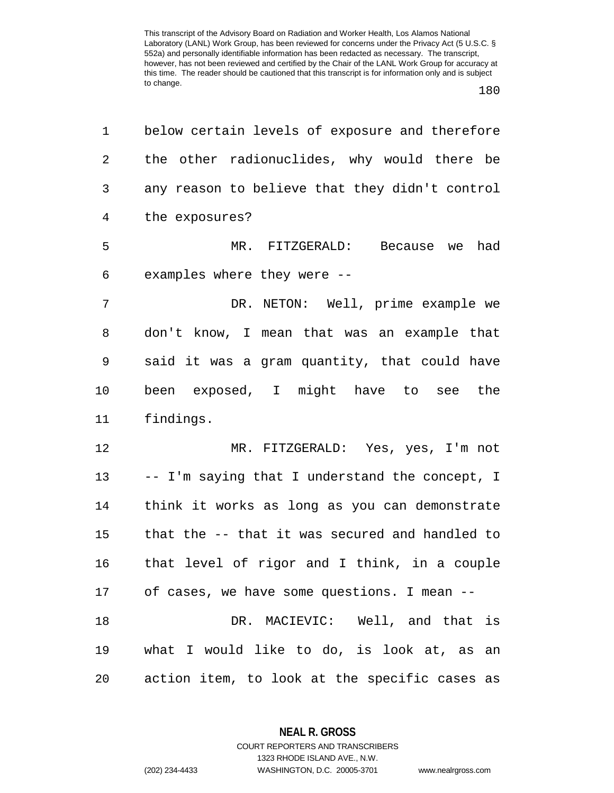180

| 1              | below certain levels of exposure and therefore |
|----------------|------------------------------------------------|
| $\overline{2}$ | the other radionuclides, why would there be    |
| 3              | any reason to believe that they didn't control |
| $\overline{4}$ | the exposures?                                 |
| 5              | MR. FITZGERALD: Because we had                 |
| 6              | examples where they were --                    |
| 7              | DR. NETON: Well, prime example we              |
| 8              | don't know, I mean that was an example that    |
| 9              | said it was a gram quantity, that could have   |
| 10             | been exposed, I might have to see the          |
| 11             | findings.                                      |
| 12             | MR. FITZGERALD: Yes, yes, I'm not              |
| 13             | -- I'm saying that I understand the concept, I |
| 14             | think it works as long as you can demonstrate  |
| 15             | that the -- that it was secured and handled to |
| 16             | that level of rigor and I think, in a couple   |
| 17             | of cases, we have some questions. I mean --    |
| 18             | DR. MACIEVIC: Well, and that is                |
| 19             | what I would like to do, is look at, as an     |
| 20             | action item, to look at the specific cases as  |

**NEAL R. GROSS** COURT REPORTERS AND TRANSCRIBERS

1323 RHODE ISLAND AVE., N.W.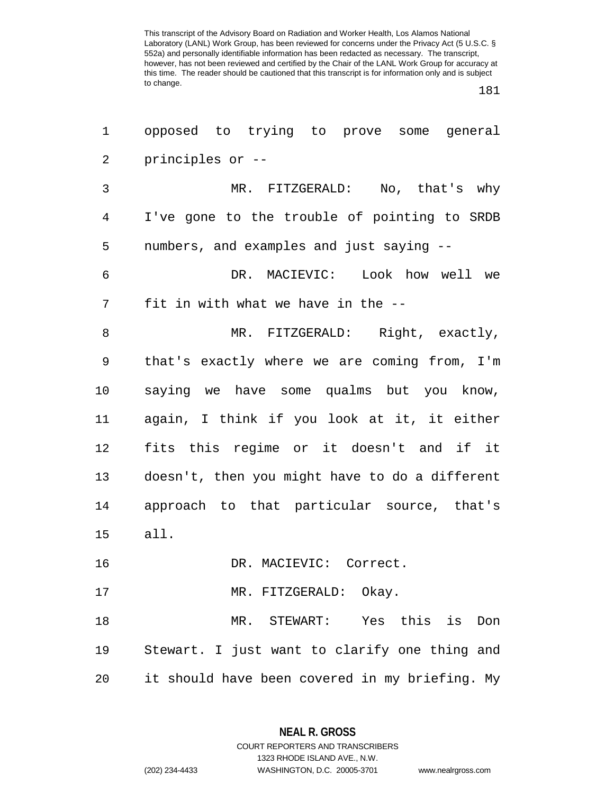181

| 1              | opposed to trying to prove some general        |
|----------------|------------------------------------------------|
| $\overline{c}$ | principles or --                               |
| 3              | MR. FITZGERALD: No, that's why                 |
| 4              | I've gone to the trouble of pointing to SRDB   |
| 5              | numbers, and examples and just saying --       |
| 6              | DR. MACIEVIC: Look how well we                 |
| 7              | fit in with what we have in the --             |
| 8              | MR. FITZGERALD: Right, exactly,                |
| 9              | that's exactly where we are coming from, I'm   |
| 10             | saying we have some qualms but you know,       |
| 11             | again, I think if you look at it, it either    |
| 12             | fits this regime or it doesn't and if it       |
| 13             | doesn't, then you might have to do a different |
| 14             | approach to that particular source, that's     |
| 15             | all.                                           |
| 16             | DR. MACIEVIC: Correct.                         |
| 17             | MR. FITZGERALD: Okay.                          |
| 18             | MR. STEWART: Yes this is<br>Don                |
| 19             | Stewart. I just want to clarify one thing and  |
| 20             | it should have been covered in my briefing. My |

**NEAL R. GROSS** COURT REPORTERS AND TRANSCRIBERS

1323 RHODE ISLAND AVE., N.W. (202) 234-4433 WASHINGTON, D.C. 20005-3701 www.nealrgross.com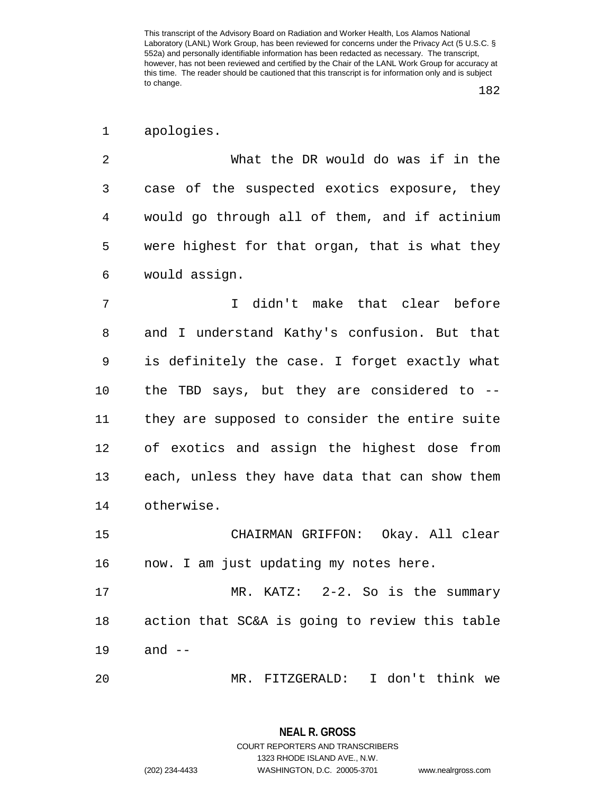1 apologies.

2 What the DR would do was if in the 3 case of the suspected exotics exposure, they 4 would go through all of them, and if actinium 5 were highest for that organ, that is what they 6 would assign.

7 I didn't make that clear before 8 and I understand Kathy's confusion. But that 9 is definitely the case. I forget exactly what 10 the TBD says, but they are considered to -- 11 they are supposed to consider the entire suite 12 of exotics and assign the highest dose from 13 each, unless they have data that can show them 14 otherwise.

15 CHAIRMAN GRIFFON: Okay. All clear 16 now. I am just updating my notes here.

17 MR. KATZ: 2-2. So is the summary 18 action that SC&A is going to review this table 19 and --

20 MR. FITZGERALD: I don't think we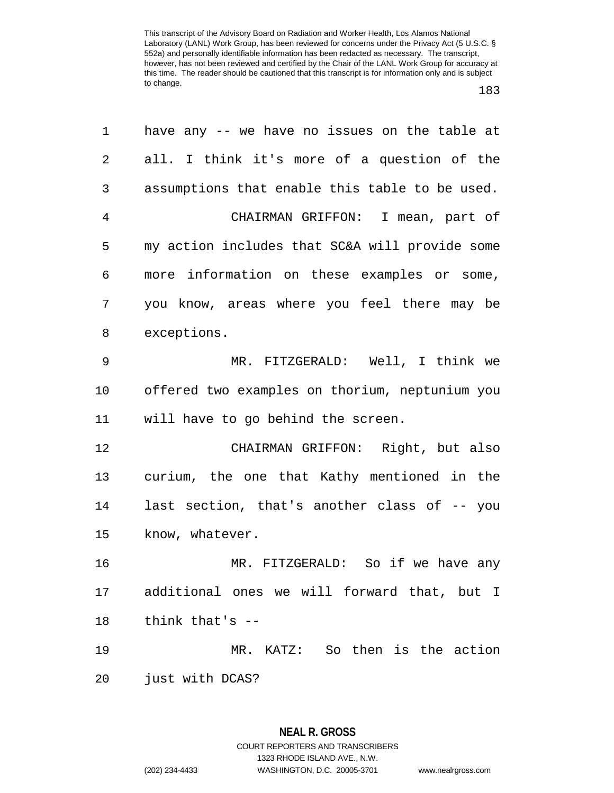| 1              | have any -- we have no issues on the table at  |
|----------------|------------------------------------------------|
| $\overline{2}$ | all. I think it's more of a question of the    |
| 3              | assumptions that enable this table to be used. |
| 4              | CHAIRMAN GRIFFON: I mean, part of              |
| 5              | my action includes that SC&A will provide some |
| 6              | more information on these examples or some,    |
| 7              | you know, areas where you feel there may be    |
| 8              | exceptions.                                    |
| 9              | MR. FITZGERALD: Well, I think we               |
| 10             | offered two examples on thorium, neptunium you |
| 11             | will have to go behind the screen.             |
| 12             | CHAIRMAN GRIFFON: Right, but also              |
| 13             | curium, the one that Kathy mentioned in the    |
| 14             | last section, that's another class of -- you   |
| 15             | know, whatever.                                |
| 16             | MR. FITZGERALD: So if we have any              |
| 17             | additional ones we will forward that, but I    |
| 18             | think that's --                                |
| 19             | MR. KATZ: So then is the action                |
| 20             | just with DCAS?                                |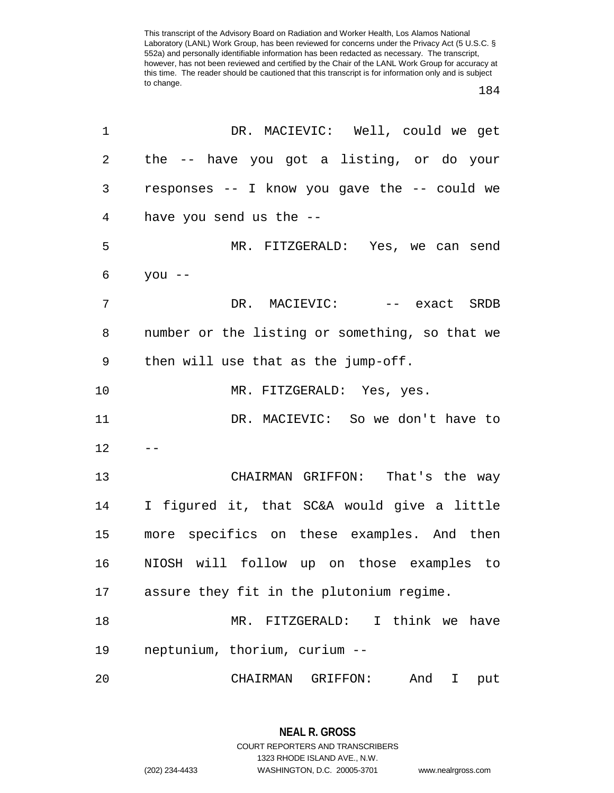## 184

| 1              | DR. MACIEVIC: Well, could we get               |
|----------------|------------------------------------------------|
| $\overline{2}$ | the -- have you got a listing, or do your      |
| 3              | responses -- I know you gave the -- could we   |
| $\overline{4}$ | have you send us the --                        |
| 5              | MR. FITZGERALD: Yes, we can send               |
| 6              | you $--$                                       |
| 7              | DR. MACIEVIC: -- exact SRDB                    |
| 8              | number or the listing or something, so that we |
| 9              | then will use that as the jump-off.            |
| 10             | MR. FITZGERALD: Yes, yes.                      |
| 11             | DR. MACIEVIC: So we don't have to              |
| 12             |                                                |
| 13             | CHAIRMAN GRIFFON: That's the way               |
| 14             | I figured it, that SC&A would give a little    |
| 15             | more specifics on these examples. And then     |
| 16             | NIOSH will follow up on those examples to      |
| 17             | assure they fit in the plutonium regime.       |
| 18             | MR. FITZGERALD:<br>I think we have             |
| 19             | neptunium, thorium, curium --                  |
| 20             | CHAIRMAN GRIFFON:<br>And<br>I<br>put           |

**NEAL R. GROSS** COURT REPORTERS AND TRANSCRIBERS 1323 RHODE ISLAND AVE., N.W. (202) 234-4433 WASHINGTON, D.C. 20005-3701 www.nealrgross.com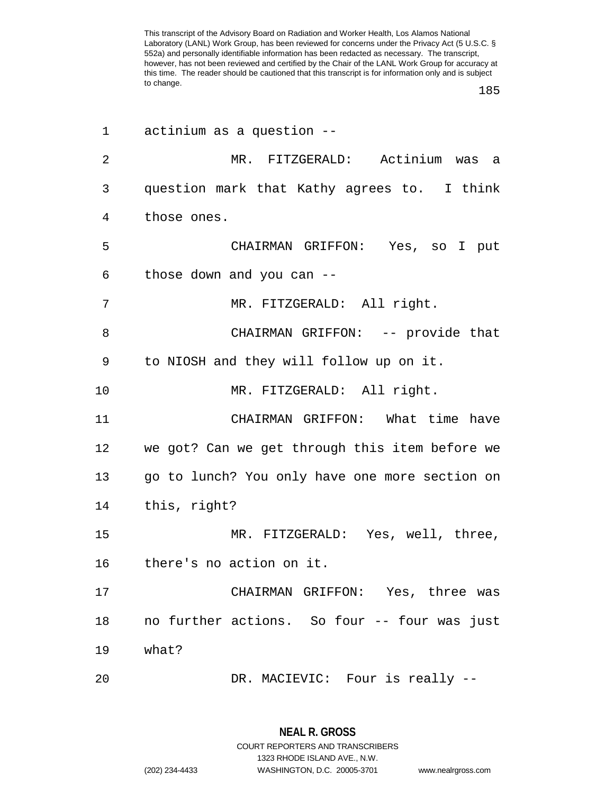185

| 1              | actinium as a question --                      |
|----------------|------------------------------------------------|
| $\overline{2}$ | MR. FITZGERALD: Actinium was a                 |
| 3              | question mark that Kathy agrees to. I think    |
| 4              | those ones.                                    |
| 5              | CHAIRMAN GRIFFON: Yes, so I put                |
| 6              | those down and you can --                      |
| 7              | MR. FITZGERALD: All right.                     |
| 8              | CHAIRMAN GRIFFON: -- provide that              |
| 9              | to NIOSH and they will follow up on it.        |
| 10             | MR. FITZGERALD: All right.                     |
| 11             | CHAIRMAN GRIFFON: What time have               |
| 12             | we got? Can we get through this item before we |
| 13             | go to lunch? You only have one more section on |
| 14             | this, right?                                   |
| 15             | MR. FITZGERALD: Yes, well, three,              |
| 16             | there's no action on it.                       |
| 17             | CHAIRMAN GRIFFON: Yes, three was               |
| 18             | no further actions. So four -- four was just   |
| 19             | what?                                          |
| 20             | DR. MACIEVIC: Four is really --                |

**NEAL R. GROSS** COURT REPORTERS AND TRANSCRIBERS 1323 RHODE ISLAND AVE., N.W.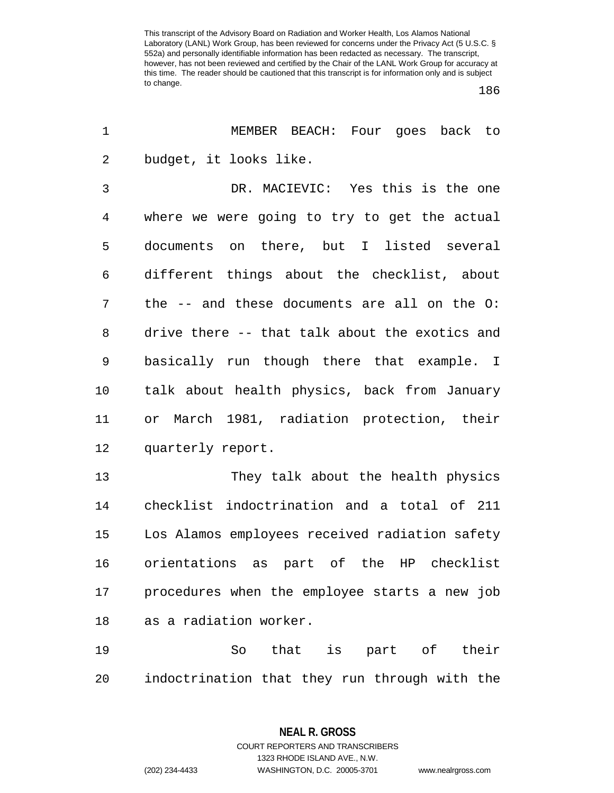186

| $\mathbf 1$ | MEMBER BEACH: Four goes back to                |
|-------------|------------------------------------------------|
| 2           | budget, it looks like.                         |
| 3           | DR. MACIEVIC: Yes this is the one              |
| 4           | where we were going to try to get the actual   |
| 5           | documents on there, but I listed several       |
| 6           | different things about the checklist, about    |
| 7           | the -- and these documents are all on the O:   |
| 8           | drive there -- that talk about the exotics and |
| 9           | basically run though there that example. I     |
| 10          | talk about health physics, back from January   |
| 11          | March 1981, radiation protection, their<br>or  |
| 12          | quarterly report.                              |
| 13          | They talk about the health physics             |
| 14          | checklist indoctrination and a total of 211    |
| 15          | Los Alamos employees received radiation safety |
| 16          | orientations as part of the HP checklist       |
| 17          | procedures when the employee starts a new job  |
| 18          | as a radiation worker.                         |
| 19          | So that is part of their                       |
| 20          | indoctrination that they run through with the  |

**NEAL R. GROSS** COURT REPORTERS AND TRANSCRIBERS 1323 RHODE ISLAND AVE., N.W.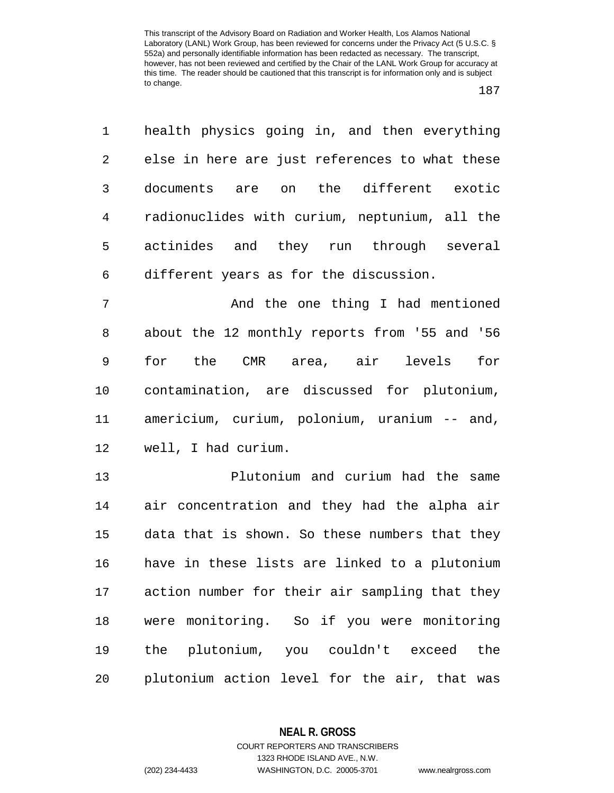187

1 health physics going in, and then everything 2 else in here are just references to what these 3 documents are on the different exotic 4 radionuclides with curium, neptunium, all the 5 actinides and they run through several 6 different years as for the discussion.

7 And the one thing I had mentioned 8 about the 12 monthly reports from '55 and '56 9 for the CMR area, air levels for 10 contamination, are discussed for plutonium, 11 americium, curium, polonium, uranium -- and, 12 well, I had curium.

13 Plutonium and curium had the same 14 air concentration and they had the alpha air 15 data that is shown. So these numbers that they 16 have in these lists are linked to a plutonium 17 action number for their air sampling that they 18 were monitoring. So if you were monitoring 19 the plutonium, you couldn't exceed the 20 plutonium action level for the air, that was

**NEAL R. GROSS**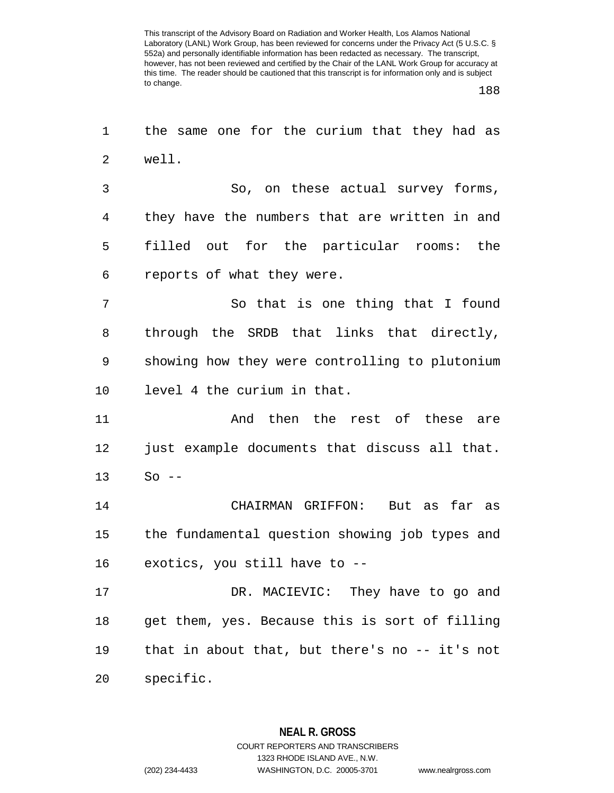188

1 the same one for the curium that they had as 2 well. 3 So, on these actual survey forms, 4 they have the numbers that are written in and 5 filled out for the particular rooms: the 6 reports of what they were. 7 So that is one thing that I found 8 through the SRDB that links that directly, 9 showing how they were controlling to plutonium 10 level 4 the curium in that. 11 And then the rest of these are 12 just example documents that discuss all that. 13 So -- 14 CHAIRMAN GRIFFON: But as far as 15 the fundamental question showing job types and 16 exotics, you still have to -- 17 DR. MACIEVIC: They have to go and 18 get them, yes. Because this is sort of filling 19 that in about that, but there's no -- it's not 20 specific.

> **NEAL R. GROSS** COURT REPORTERS AND TRANSCRIBERS 1323 RHODE ISLAND AVE., N.W. (202) 234-4433 WASHINGTON, D.C. 20005-3701 www.nealrgross.com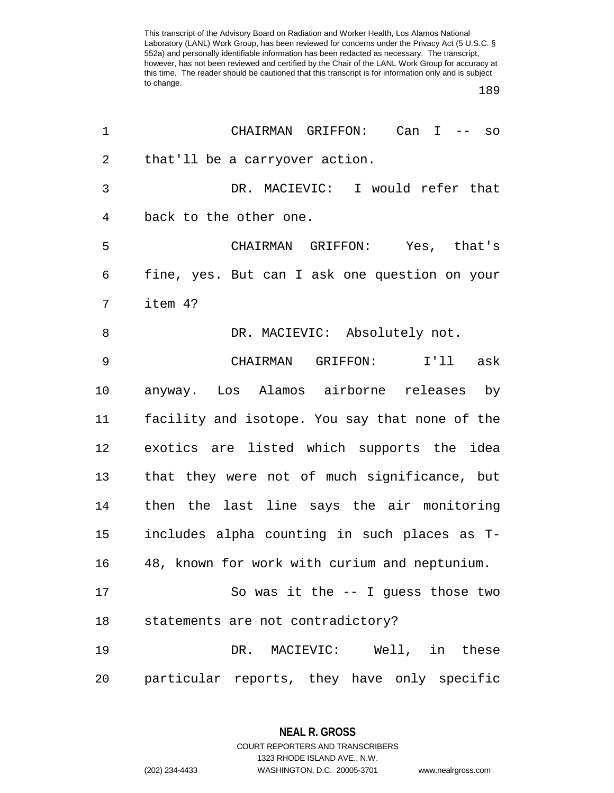189

| 1  | CHAIRMAN GRIFFON: Can I -- so                  |
|----|------------------------------------------------|
| 2  | that'll be a carryover action.                 |
| 3  | DR. MACIEVIC: I would refer that               |
| 4  | back to the other one.                         |
| 5  | CHAIRMAN GRIFFON: Yes, that's                  |
| 6  | fine, yes. But can I ask one question on your  |
| 7  | item 4?                                        |
| 8  | DR. MACIEVIC: Absolutely not.                  |
| 9  | CHAIRMAN GRIFFON:<br>I'll ask                  |
| 10 | anyway. Los Alamos airborne releases by        |
| 11 | facility and isotope. You say that none of the |
| 12 | exotics are listed which supports the idea     |
| 13 | that they were not of much significance, but   |
| 14 | then the last line says the air monitoring     |
| 15 | includes alpha counting in such places as T-   |
| 16 | 48, known for work with curium and neptunium.  |
| 17 | So was it the $-$ - I guess those two          |
| 18 | statements are not contradictory?              |
| 19 | DR. MACIEVIC: Well, in these                   |
| 20 | particular reports, they have only specific    |

1323 RHODE ISLAND AVE., N.W.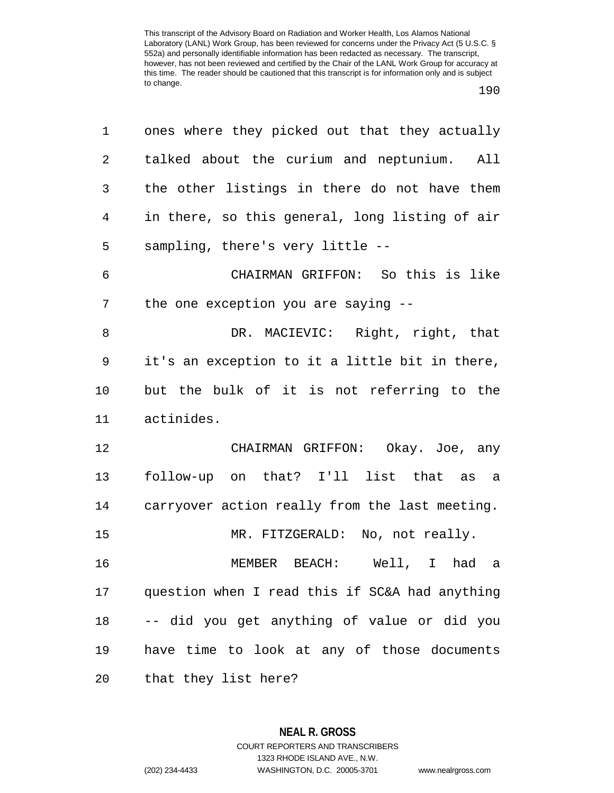| 1              | ones where they picked out that they actually  |
|----------------|------------------------------------------------|
| 2              | talked about the curium and neptunium. All     |
| 3              | the other listings in there do not have them   |
| $\overline{4}$ | in there, so this general, long listing of air |
| 5              | sampling, there's very little --               |
| 6              | CHAIRMAN GRIFFON: So this is like              |
| 7              | the one exception you are saying --            |
| 8              | DR. MACIEVIC: Right, right, that               |
| 9              | it's an exception to it a little bit in there, |
| 10             | but the bulk of it is not referring to the     |
| 11             | actinides.                                     |
| 12             | CHAIRMAN GRIFFON: Okay. Joe, any               |
| 13             | follow-up on that? I'll list that as a         |
| 14             | carryover action really from the last meeting. |
| 15             | MR. FITZGERALD: No, not really.                |
| 16             | MEMBER BEACH: Well, I had a                    |
| 17             | question when I read this if SC&A had anything |
| 18             | -- did you get anything of value or did you    |
| 19             | have time to look at any of those documents    |
| 20             | that they list here?                           |

**NEAL R. GROSS** COURT REPORTERS AND TRANSCRIBERS 1323 RHODE ISLAND AVE., N.W. (202) 234-4433 WASHINGTON, D.C. 20005-3701 www.nealrgross.com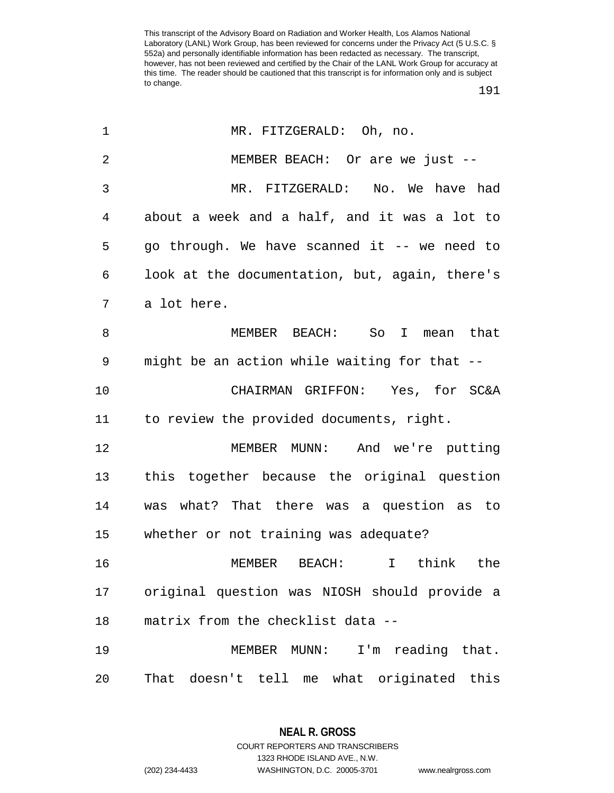191

| $\mathbf 1$ | MR. FITZGERALD: Oh, no.                        |
|-------------|------------------------------------------------|
| 2           | MEMBER BEACH: Or are we just --                |
| 3           | MR. FITZGERALD: No. We have had                |
| 4           | about a week and a half, and it was a lot to   |
| 5           | go through. We have scanned it -- we need to   |
| 6           | look at the documentation, but, again, there's |
| 7           | a lot here.                                    |
| 8           | MEMBER BEACH: So I mean that                   |
| 9           | might be an action while waiting for that --   |
| 10          | CHAIRMAN GRIFFON: Yes, for SC&A                |
| 11          | to review the provided documents, right.       |
| 12          | MEMBER MUNN: And we're putting                 |
| 13          | this together because the original question    |
| 14          | was what? That there was a question as to      |
| 15          | whether or not training was adequate?          |
| 16          | I think the<br>MEMBER BEACH:                   |
| 17          | original question was NIOSH should provide a   |
| 18          | matrix from the checklist data --              |
| 19          | I'm reading that.<br>MEMBER MUNN:              |
| 20          | That doesn't tell me what originated this      |

**NEAL R. GROSS** COURT REPORTERS AND TRANSCRIBERS

1323 RHODE ISLAND AVE., N.W.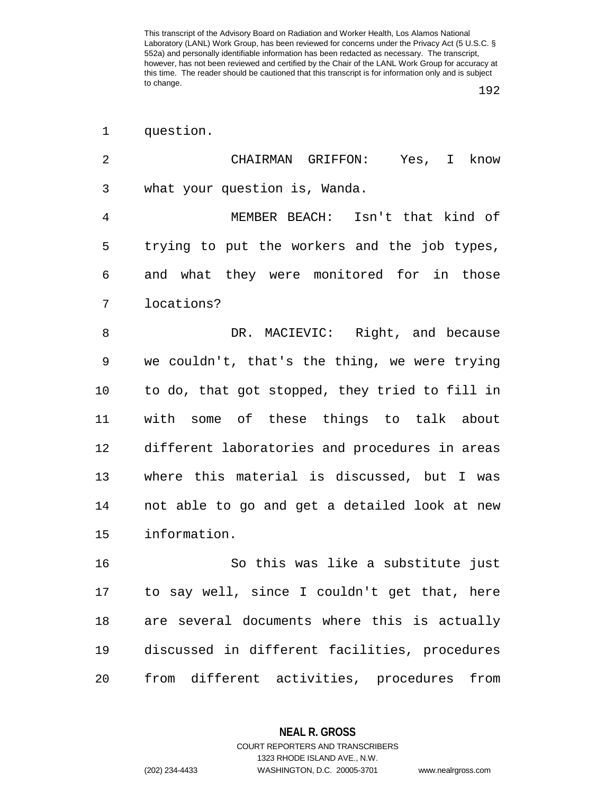1 question.

| $\overline{2}$ | CHAIRMAN GRIFFON: Yes,<br>know<br>$\mathbf{I}$ |
|----------------|------------------------------------------------|
| 3              | what your question is, Wanda.                  |
| $\overline{4}$ | MEMBER BEACH: Isn't that kind of               |
| 5              | trying to put the workers and the job types,   |
| 6              | and what they were monitored for in those      |
| 7              | locations?                                     |
| 8              | DR. MACIEVIC: Right, and because               |
| 9              | we couldn't, that's the thing, we were trying  |
| 10             | to do, that got stopped, they tried to fill in |
| 11             | with some of these things to talk about        |
| 12             | different laboratories and procedures in areas |
| 13             | where this material is discussed, but I was    |
| 14             | not able to go and get a detailed look at new  |
| 15             | information.                                   |
| 16             | So this was like a substitute just             |
| $17\,$         | to say well, since I couldn't get that, here   |
| 18             | are several documents where this is actually   |
| 19             | discussed in different facilities, procedures  |

20 from different activities, procedures from

1323 RHODE ISLAND AVE., N.W.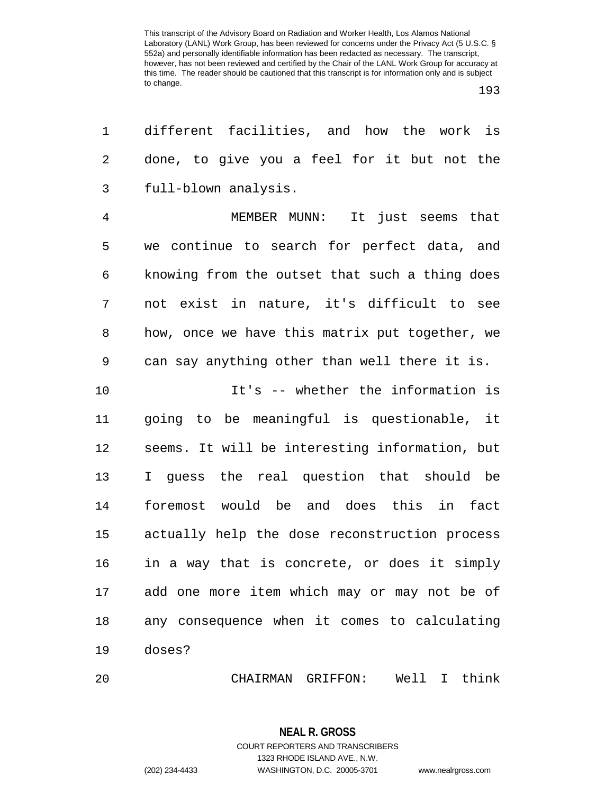| 1              | different facilities, and how the work is       |
|----------------|-------------------------------------------------|
| 2              | done, to give you a feel for it but not the     |
| $\mathfrak{Z}$ | full-blown analysis.                            |
| $\overline{4}$ | MEMBER MUNN: It just seems that                 |
| 5              | we continue to search for perfect data, and     |
| 6              | knowing from the outset that such a thing does  |
| 7              | not exist in nature, it's difficult to see      |
| 8              | how, once we have this matrix put together, we  |
| 9              | can say anything other than well there it is.   |
| 10             | It's -- whether the information is              |
| 11             | going to be meaningful is questionable, it      |
| 12             | seems. It will be interesting information, but  |
| 13             | I guess the real question that should be        |
| 14             | foremost would be and does this in fact         |
| 15             | actually help the dose reconstruction process   |
| 16             | in a way that is concrete, or does it simply    |
|                | 17 add one more item which may or may not be of |
| 18             | any consequence when it comes to calculating    |
| 19             | doses?                                          |
| 20             | CHAIRMAN GRIFFON: Well I think                  |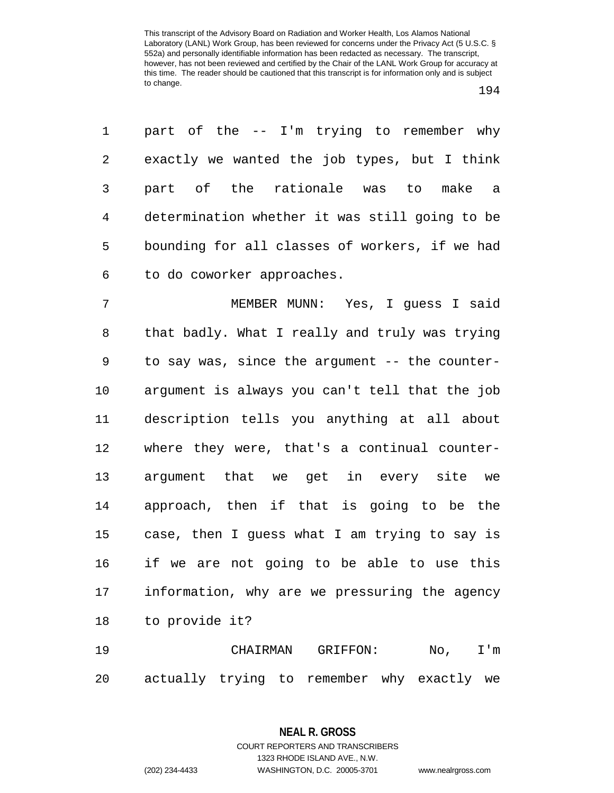1 part of the -- I'm trying to remember why 2 exactly we wanted the job types, but I think 3 part of the rationale was to make a 4 determination whether it was still going to be 5 bounding for all classes of workers, if we had 6 to do coworker approaches.

7 MEMBER MUNN: Yes, I guess I said 8 that badly. What I really and truly was trying 9 to say was, since the argument -- the counter-10 argument is always you can't tell that the job 11 description tells you anything at all about 12 where they were, that's a continual counter-13 argument that we get in every site we 14 approach, then if that is going to be the 15 case, then I guess what I am trying to say is 16 if we are not going to be able to use this 17 information, why are we pressuring the agency 18 to provide it?

19 CHAIRMAN GRIFFON: No, I'm 20 actually trying to remember why exactly we

> **NEAL R. GROSS** COURT REPORTERS AND TRANSCRIBERS

> > 1323 RHODE ISLAND AVE., N.W.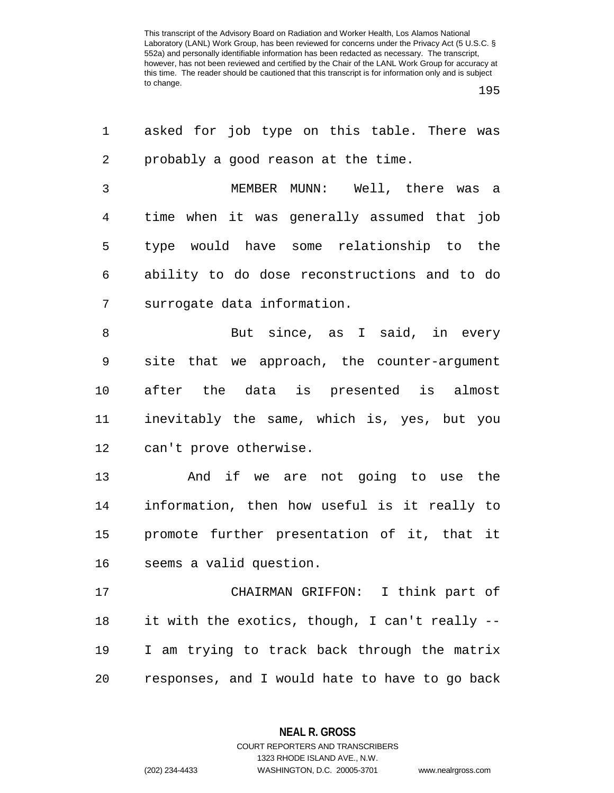195

| 1              | asked for job type on this table. There was    |
|----------------|------------------------------------------------|
| $\overline{a}$ | probably a good reason at the time.            |
| 3              | MEMBER MUNN: Well, there was a                 |
| $\overline{4}$ | time when it was generally assumed that job    |
| 5              | type would have some relationship to the       |
| 6              | ability to do dose reconstructions and to do   |
| 7              | surrogate data information.                    |
| 8              | But since, as I said, in every                 |
| 9              | site that we approach, the counter-argument    |
| 10             | after the data is presented is almost          |
| 11             | inevitably the same, which is, yes, but you    |
| 12             | can't prove otherwise.                         |
| 13             | And if we are not going to use the             |
| 14             | information, then how useful is it really to   |
| 15             | promote further presentation of it, that it    |
| 16             | seems a valid question.                        |
| 17             | CHAIRMAN GRIFFON: I think part of              |
| 18             | it with the exotics, though, I can't really -- |
| 19             | I am trying to track back through the matrix   |
| 20             | responses, and I would hate to have to go back |
|                |                                                |

**NEAL R. GROSS**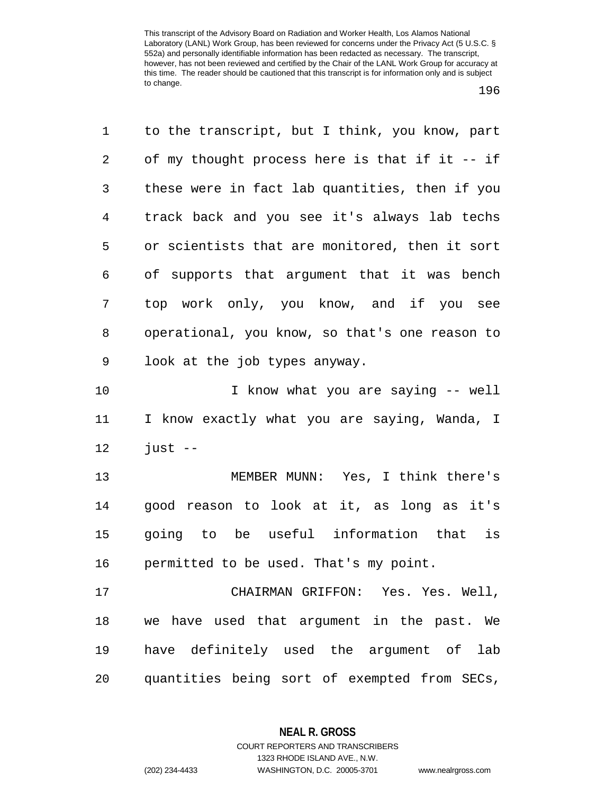196

| 1              | to the transcript, but I think, you know, part |
|----------------|------------------------------------------------|
| 2              | of my thought process here is that if it -- if |
| 3              | these were in fact lab quantities, then if you |
| $\overline{4}$ | track back and you see it's always lab techs   |
| 5              | or scientists that are monitored, then it sort |
| 6              | of supports that argument that it was bench    |
| 7              | top work only, you know, and if you see        |
| 8              | operational, you know, so that's one reason to |
| 9              | look at the job types anyway.                  |
| 10             | I know what you are saying -- well             |
| 11             | I know exactly what you are saying, Wanda, I   |
| 12             | $just --$                                      |
| 13             | MEMBER MUNN: Yes, I think there's              |
| 14             | good reason to look at it, as long as it's     |
| 15             | going to be useful information that is         |
| 16             | permitted to be used. That's my point.         |
| 17             | CHAIRMAN GRIFFON: Yes. Yes. Well,              |
| 18             | we have used that argument in the past. We     |
| 19             | have definitely used the argument of<br>lab    |
| 20             | quantities being sort of exempted from SECs,   |

**NEAL R. GROSS** COURT REPORTERS AND TRANSCRIBERS

1323 RHODE ISLAND AVE., N.W.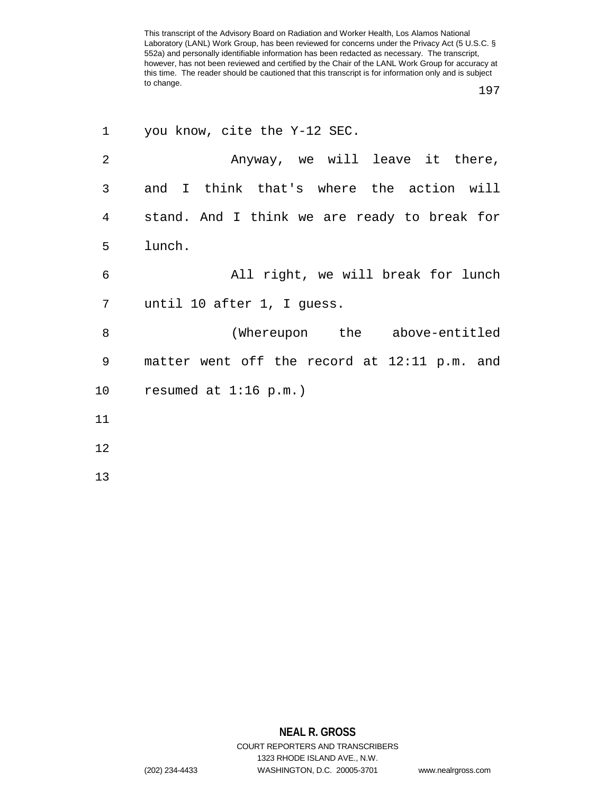197

| 1  | you know, cite the Y-12 SEC.                 |
|----|----------------------------------------------|
| 2  | Anyway, we will leave it there,              |
| 3  | and I think that's where the action will     |
| 4  | stand. And I think we are ready to break for |
| 5  | lunch.                                       |
| 6  | All right, we will break for lunch           |
| 7  | until 10 after 1, I guess.                   |
| 8  | (Whereupon the above-entitled                |
| 9  | matter went off the record at 12:11 p.m. and |
| 10 | resumed at $1:16$ p.m.)                      |
| 11 |                                              |
| 12 |                                              |
| 13 |                                              |

## **NEAL R. GROSS** COURT REPORTERS AND TRANSCRIBERS 1323 RHODE ISLAND AVE., N.W.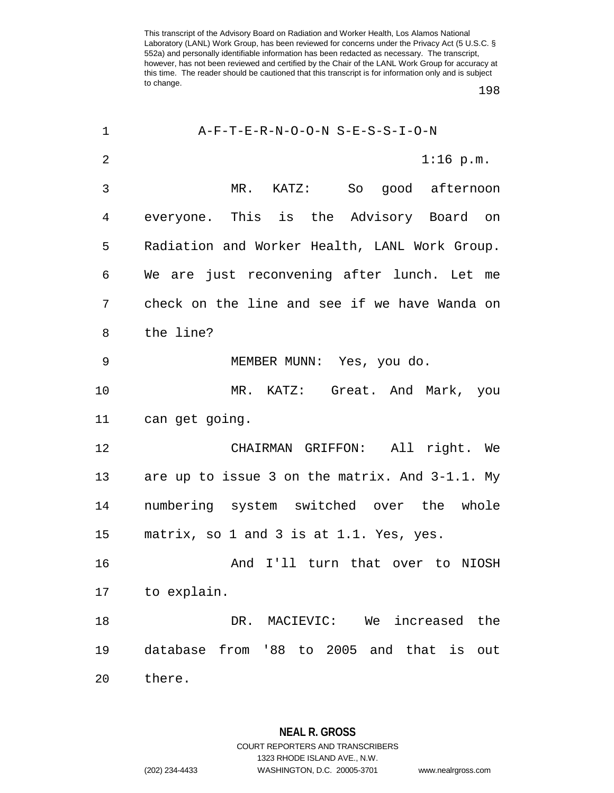198

| 1              | A-F-T-E-R-N-O-O-N S-E-S-S-I-O-N                |
|----------------|------------------------------------------------|
| $\overline{2}$ | $1:16$ p.m.                                    |
| 3              | So good afternoon<br>$MR$ . $KATZ$ :           |
| 4              | everyone. This is the Advisory Board on        |
| 5              | Radiation and Worker Health, LANL Work Group.  |
| 6              | We are just reconvening after lunch. Let me    |
| 7              | check on the line and see if we have Wanda on  |
| 8              | the line?                                      |
| 9              | MEMBER MUNN: Yes, you do.                      |
| 10             | MR. KATZ: Great. And Mark, you                 |
| 11             | can get going.                                 |
| 12             | CHAIRMAN GRIFFON: All right. We                |
| 13             | are up to issue 3 on the matrix. And 3-1.1. My |
| 14             | numbering system switched over the whole       |
| 15             | matrix, so 1 and 3 is at 1.1. Yes, yes.        |
| 16             | And I'll turn that over to NIOSH               |
| 17             | to explain.                                    |
| 18             | DR. MACIEVIC:<br>We<br>increased<br>the        |
| 19             | database from '88 to 2005 and that is<br>out   |
| 20             | there.                                         |

**NEAL R. GROSS** COURT REPORTERS AND TRANSCRIBERS 1323 RHODE ISLAND AVE., N.W. (202) 234-4433 WASHINGTON, D.C. 20005-3701 www.nealrgross.com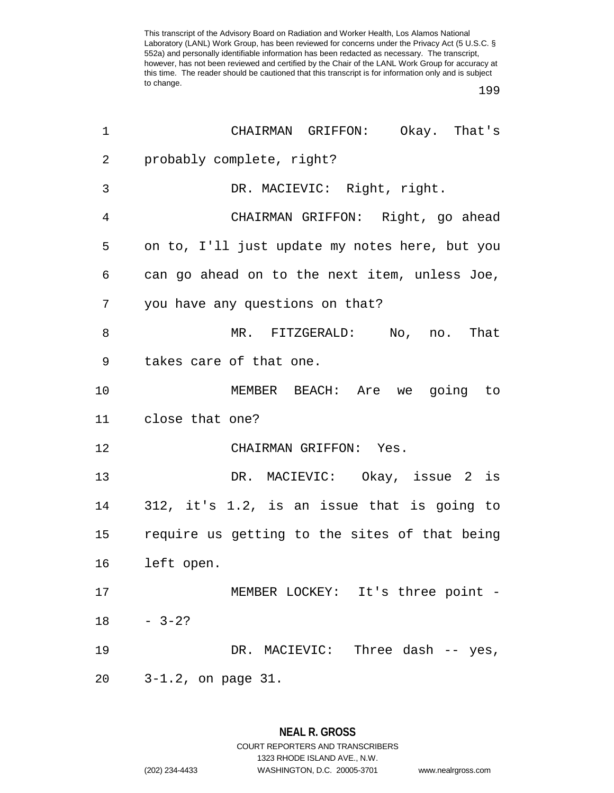| 1  | CHAIRMAN GRIFFON: Okay. That's                 |
|----|------------------------------------------------|
| 2  | probably complete, right?                      |
| 3  | DR. MACIEVIC: Right, right.                    |
| 4  | CHAIRMAN GRIFFON: Right, go ahead              |
| 5  | on to, I'll just update my notes here, but you |
| 6  | can go ahead on to the next item, unless Joe,  |
| 7  | you have any questions on that?                |
| 8  | MR. FITZGERALD: No, no. That                   |
| 9  | takes care of that one.                        |
| 10 | MEMBER BEACH: Are we going to                  |
| 11 | close that one?                                |
| 12 | CHAIRMAN GRIFFON: Yes.                         |
| 13 | DR. MACIEVIC: Okay, issue 2 is                 |
| 14 | 312, it's 1.2, is an issue that is going to    |
| 15 | require us getting to the sites of that being  |
| 16 | left open.                                     |
| 17 | MEMBER LOCKEY: It's three point -              |
| 18 | $-3-2?$                                        |
| 19 | DR. MACIEVIC: Three dash -- yes,               |
| 20 | $3-1.2$ , on page $31.$                        |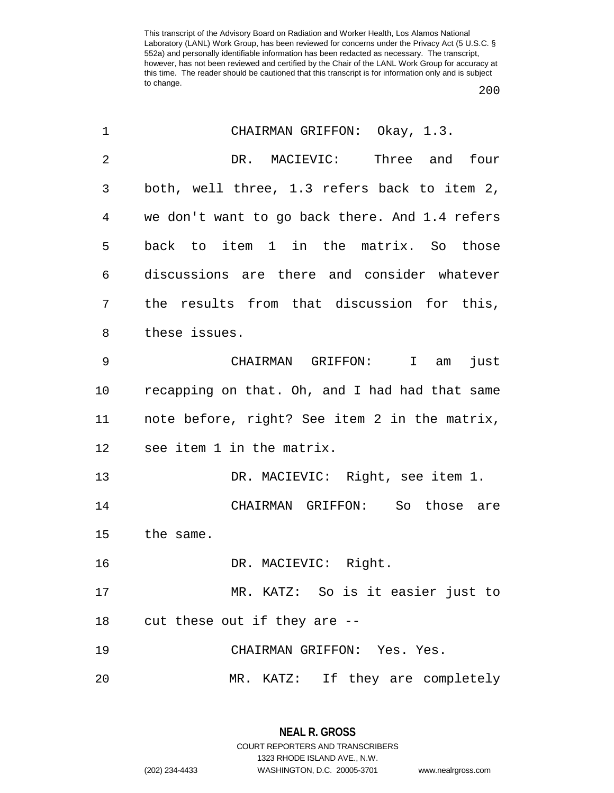| 1              | CHAIRMAN GRIFFON: Okay, 1.3.                   |
|----------------|------------------------------------------------|
| $\overline{2}$ | DR. MACIEVIC: Three and four                   |
| 3              | both, well three, 1.3 refers back to item 2,   |
| 4              | we don't want to go back there. And 1.4 refers |
| 5              | back to item 1 in the matrix. So those         |
| 6              | discussions are there and consider whatever    |
| 7              | the results from that discussion for this,     |
| 8              | these issues.                                  |
| 9              | CHAIRMAN GRIFFON: I<br>just<br>am              |
| 10             | recapping on that. Oh, and I had had that same |
| 11             | note before, right? See item 2 in the matrix,  |
| 12             | see item 1 in the matrix.                      |
| 13             | DR. MACIEVIC: Right, see item 1.               |
| 14             | CHAIRMAN GRIFFON: So those are                 |
| 15             | the same.                                      |
| 16             | DR. MACIEVIC: Right.                           |
| 17             | MR. KATZ: So is it easier just to              |
| 18             | -- cut these out if they are                   |
| 19             | CHAIRMAN GRIFFON: Yes. Yes.                    |
| 20             | MR. KATZ: If they are completely               |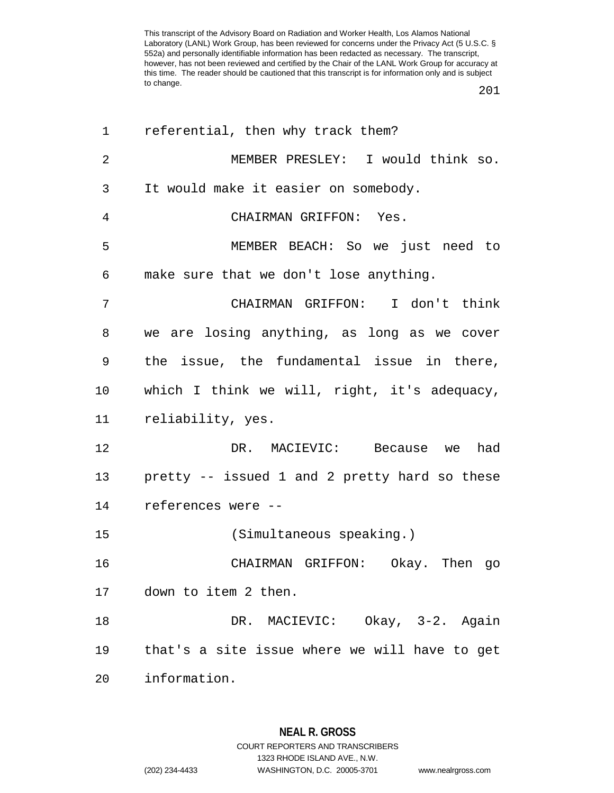| 1  | referential, then why track them?             |
|----|-----------------------------------------------|
| 2  | MEMBER PRESLEY: I would think so.             |
| 3  | It would make it easier on somebody.          |
| 4  | CHAIRMAN GRIFFON: Yes.                        |
| 5  | MEMBER BEACH: So we just need to              |
| 6  | make sure that we don't lose anything.        |
| 7  | CHAIRMAN GRIFFON: I don't think               |
| 8  | we are losing anything, as long as we cover   |
| 9  | the issue, the fundamental issue in there,    |
| 10 | which I think we will, right, it's adequacy,  |
| 11 | reliability, yes.                             |
| 12 | DR. MACIEVIC: Because we had                  |
| 13 | pretty -- issued 1 and 2 pretty hard so these |
| 14 | references were --                            |
| 15 | (Simultaneous speaking.)                      |
| 16 | CHAIRMAN GRIFFON: Okay. Then go               |
| 17 | down to item 2 then.                          |
| 18 | DR. MACIEVIC: Okay, 3-2. Again                |
| 19 | that's a site issue where we will have to get |
| 20 | information.                                  |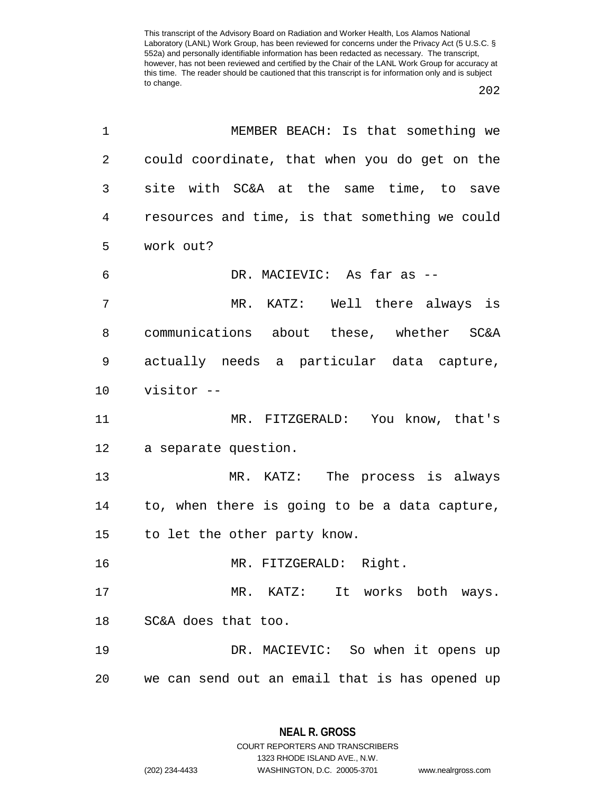| 1              | MEMBER BEACH: Is that something we             |
|----------------|------------------------------------------------|
| $\overline{2}$ | could coordinate, that when you do get on the  |
| 3              | site with SC&A at the same time, to save       |
| 4              | resources and time, is that something we could |
| 5              | work out?                                      |
| 6              | DR. MACIEVIC: As far as --                     |
| 7              | MR. KATZ: Well there always is                 |
| 8              | communications about these, whether SC&A       |
| 9              | actually needs a particular data capture,      |
| 10             | visitor --                                     |
| 11             | MR. FITZGERALD: You know, that's               |
| 12             | a separate question.                           |
| 13             | MR. KATZ: The process is always                |
| 14             | to, when there is going to be a data capture,  |
| 15             | to let the other party know.                   |
| 16             | MR. FITZGERALD: Right.                         |
| 17             | MR. KATZ: It works both ways.                  |
| 18             | SC&A does that too.                            |
| 19             | DR. MACIEVIC: So when it opens up              |
| 20             | we can send out an email that is has opened up |

1323 RHODE ISLAND AVE., N.W.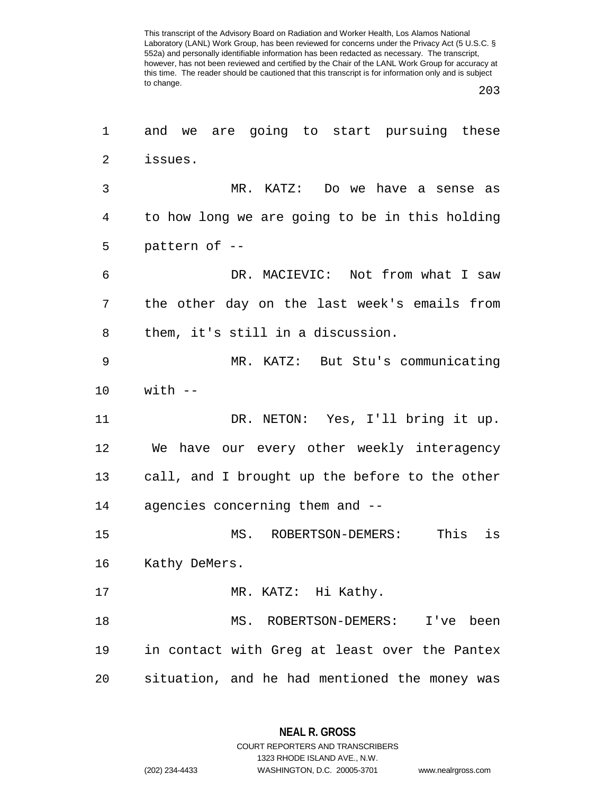203

| 1              | and we are going to start pursuing these       |
|----------------|------------------------------------------------|
| $\overline{a}$ | issues.                                        |
| 3              | MR. KATZ: Do we have a sense as                |
| 4              | to how long we are going to be in this holding |
| 5              | pattern of --                                  |
| 6              | DR. MACIEVIC: Not from what I saw              |
| 7              | the other day on the last week's emails from   |
| 8              | them, it's still in a discussion.              |
| 9              | MR. KATZ: But Stu's communicating              |
| 10             | with --                                        |
| 11             | DR. NETON: Yes, I'll bring it up.              |
| 12             | We have our every other weekly interagency     |
| 13             | call, and I brought up the before to the other |
| 14             | agencies concerning them and --                |
| 15             | This<br>is<br>MS. ROBERTSON-DEMERS:            |
| 16             | Kathy DeMers.                                  |
| 17             | MR. KATZ: Hi Kathy.                            |
| 18             | MS. ROBERTSON-DEMERS: I've been                |
| 19             | in contact with Greg at least over the Pantex  |
| 20             | situation, and he had mentioned the money was  |

**NEAL R. GROSS** COURT REPORTERS AND TRANSCRIBERS

1323 RHODE ISLAND AVE., N.W.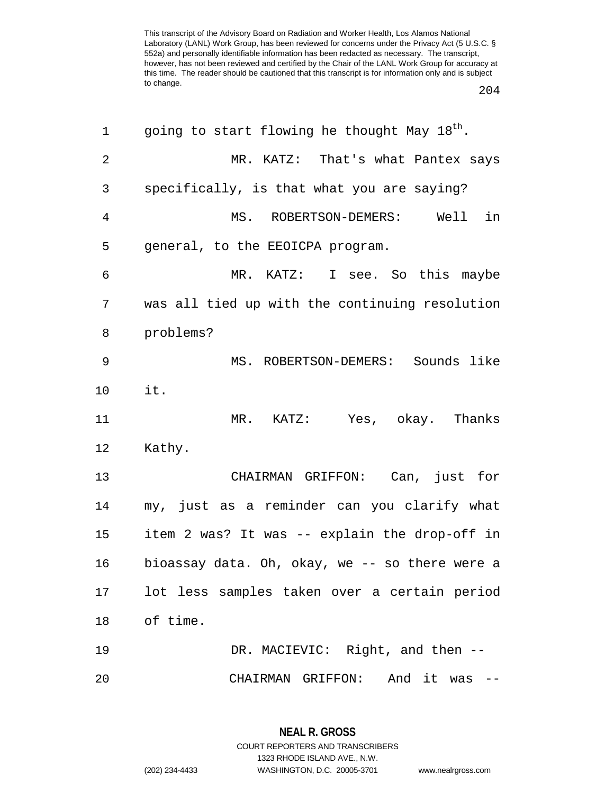204

| 1              | going to start flowing he thought May 18 <sup>th</sup> . |
|----------------|----------------------------------------------------------|
| $\overline{2}$ | MR. KATZ: That's what Pantex says                        |
| 3              | specifically, is that what you are saying?               |
| $\overline{4}$ | MS. ROBERTSON-DEMERS: Well<br>in                         |
| 5              | general, to the EEOICPA program.                         |
| 6              | MR. KATZ: I see. So this maybe                           |
| 7              | was all tied up with the continuing resolution           |
| 8              | problems?                                                |
| 9              | MS. ROBERTSON-DEMERS: Sounds like                        |
| 10             | it.                                                      |
| 11             | MR. KATZ: Yes, okay. Thanks                              |
| 12             | Kathy.                                                   |
| 13             | CHAIRMAN GRIFFON: Can, just for                          |
| 14             | my, just as a reminder can you clarify what              |
| 15             | item 2 was? It was -- explain the drop-off in            |
| 16             | bioassay data. Oh, okay, we -- so there were a           |
| 17             | lot less samples taken over a certain period             |
| 18             | of time.                                                 |
| 19             | DR. MACIEVIC: Right, and then --                         |
| 20             | CHAIRMAN GRIFFON:<br>And it was                          |

**NEAL R. GROSS** COURT REPORTERS AND TRANSCRIBERS 1323 RHODE ISLAND AVE., N.W. (202) 234-4433 WASHINGTON, D.C. 20005-3701 www.nealrgross.com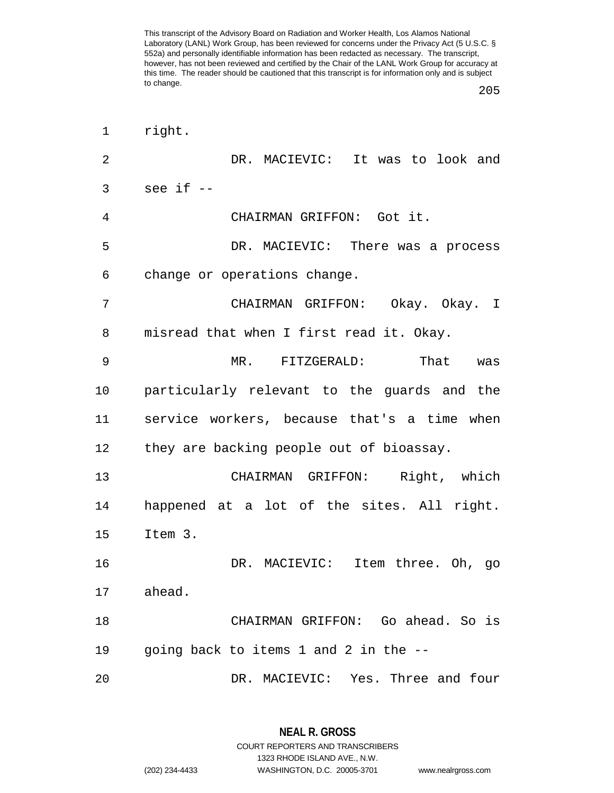205

| 1  | right.                                      |
|----|---------------------------------------------|
| 2  | DR. MACIEVIC: It was to look and            |
| 3  | see if --                                   |
| 4  | CHAIRMAN GRIFFON: Got it.                   |
| 5  | DR. MACIEVIC: There was a process           |
| 6  | change or operations change.                |
| 7  | CHAIRMAN GRIFFON: Okay. Okay. I             |
| 8  | misread that when I first read it. Okay.    |
| 9  | MR. FITZGERALD:<br>That<br>was              |
| 10 | particularly relevant to the guards and the |
| 11 | service workers, because that's a time when |
| 12 | they are backing people out of bioassay.    |
| 13 | CHAIRMAN GRIFFON: Right, which              |
| 14 | happened at a lot of the sites. All right.  |
| 15 | Item 3.                                     |
| 16 | DR. MACIEVIC: Item three. Oh, go            |
| 17 | ahead.                                      |
| 18 | CHAIRMAN GRIFFON: Go ahead. So is           |
| 19 | going back to items 1 and 2 in the --       |
| 20 | DR. MACIEVIC: Yes. Three and four           |

**NEAL R. GROSS** COURT REPORTERS AND TRANSCRIBERS 1323 RHODE ISLAND AVE., N.W.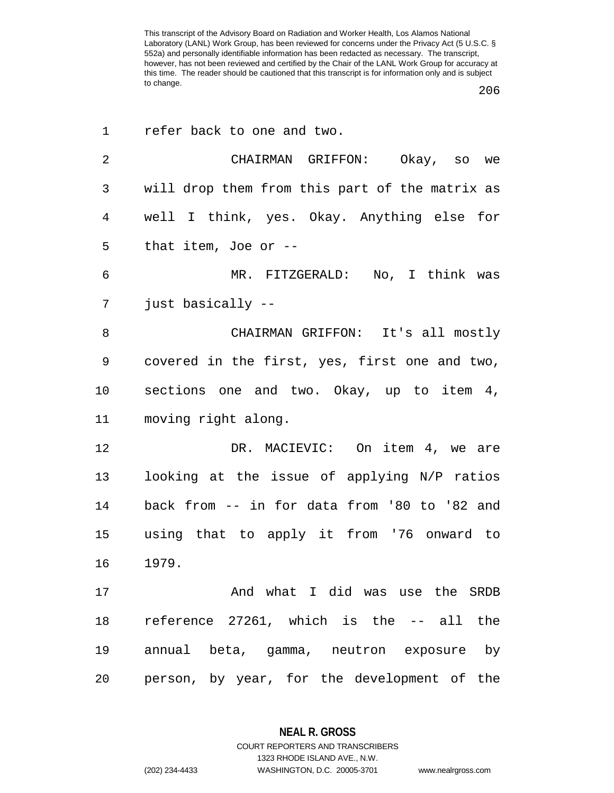206

| 1              | refer back to one and two.                     |
|----------------|------------------------------------------------|
| $\overline{2}$ | CHAIRMAN GRIFFON: Okay, so we                  |
| 3              | will drop them from this part of the matrix as |
| 4              | well I think, yes. Okay. Anything else for     |
| 5              | that item, Joe or $-$                          |
| 6              | MR. FITZGERALD: No, I think was                |
| 7              | just basically --                              |
| 8              | CHAIRMAN GRIFFON: It's all mostly              |
| 9              | covered in the first, yes, first one and two,  |
| 10             | sections one and two. Okay, up to item 4,      |
| 11             | moving right along.                            |
| 12             | DR. MACIEVIC: On item 4, we are                |
| 13             | looking at the issue of applying N/P ratios    |
| 14             | back from -- in for data from '80 to '82 and   |
| 15             | using that to apply it from '76 onward to      |
| 16             | 1979.                                          |
| 17             | And what I did was use the SRDB                |
| 18             | reference 27261, which is the -- all the       |
| 19             | annual beta, gamma, neutron exposure by        |
| 20             | person, by year, for the development of the    |

**NEAL R. GROSS** COURT REPORTERS AND TRANSCRIBERS

1323 RHODE ISLAND AVE., N.W.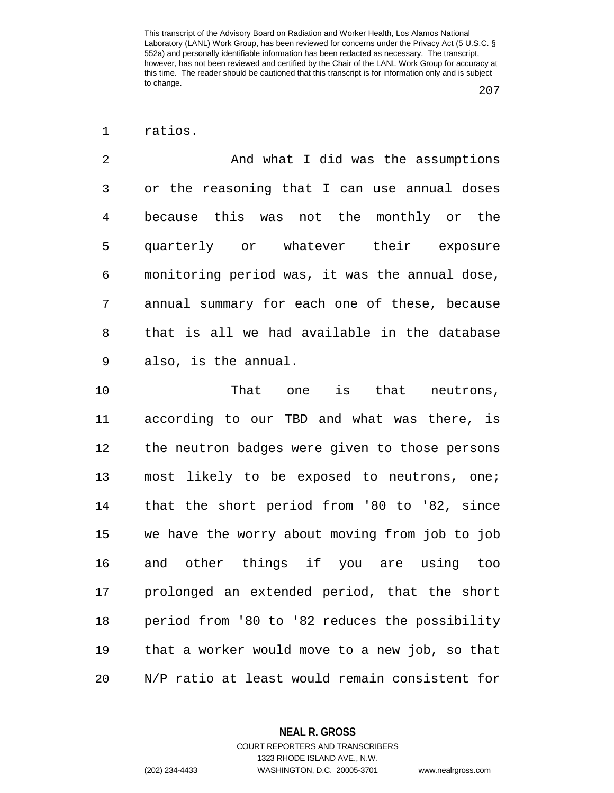1 ratios.

2 And what I did was the assumptions 3 or the reasoning that I can use annual doses 4 because this was not the monthly or the 5 quarterly or whatever their exposure 6 monitoring period was, it was the annual dose, 7 annual summary for each one of these, because 8 that is all we had available in the database 9 also, is the annual.

10 That one is that neutrons, 11 according to our TBD and what was there, is 12 the neutron badges were given to those persons 13 most likely to be exposed to neutrons, one; 14 that the short period from '80 to '82, since 15 we have the worry about moving from job to job 16 and other things if you are using too 17 prolonged an extended period, that the short 18 period from '80 to '82 reduces the possibility 19 that a worker would move to a new job, so that 20 N/P ratio at least would remain consistent for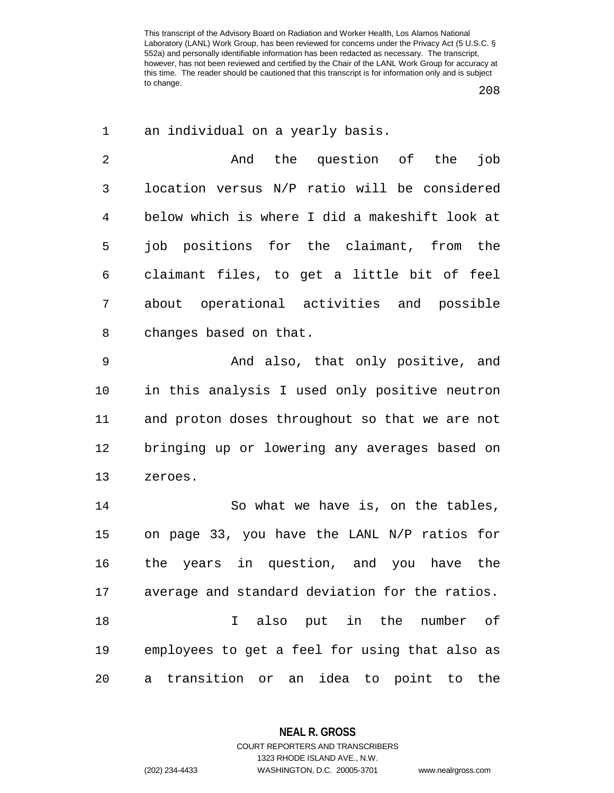208

| 1              | an individual on a yearly basis.                 |
|----------------|--------------------------------------------------|
| $\overline{2}$ | And the question of<br>job<br>the                |
| 3              | location versus N/P ratio will be considered     |
| $\overline{4}$ | below which is where I did a makeshift look at   |
| 5              | job positions for the claimant, from<br>the      |
| 6              | claimant files, to get a little bit of feel      |
| 7              | about operational activities and possible        |
| 8              | changes based on that.                           |
| $\mathsf 9$    | And also, that only positive, and                |
| 10             | in this analysis I used only positive neutron    |
| 11             | and proton doses throughout so that we are not   |
| 12             | bringing up or lowering any averages based on    |
| 13             | zeroes.                                          |
| 14             | So what we have is, on the tables,               |
| 15             | on page 33, you have the LANL N/P ratios for     |
| 16             | the years in question, and you have the          |
| 17             | average and standard deviation for the ratios.   |
| 18             | I also put in the number<br>of                   |
| 19             | employees to get a feel for using that also as   |
| 20             | transition or<br>an idea to point to<br>the<br>a |

**NEAL R. GROSS** COURT REPORTERS AND TRANSCRIBERS

1323 RHODE ISLAND AVE., N.W.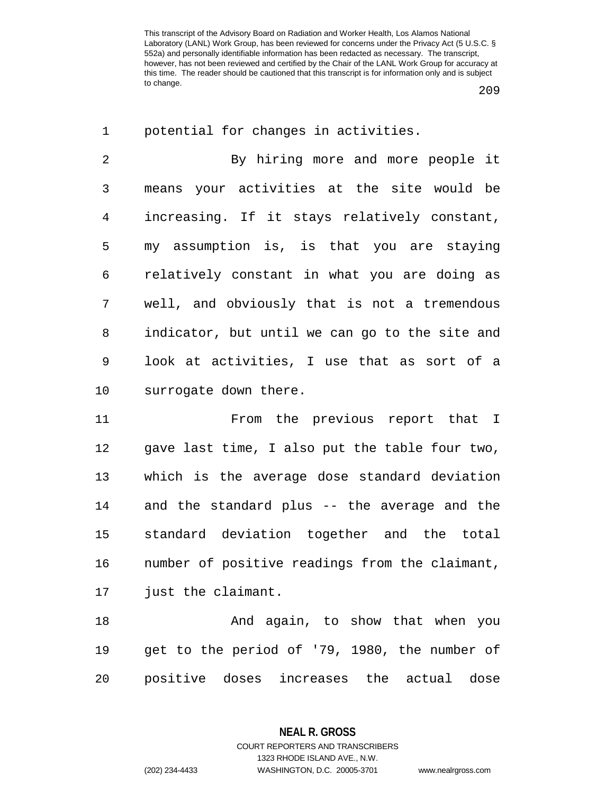209

| $\mathbf 1$    | potential for changes in activities.           |
|----------------|------------------------------------------------|
| $\overline{2}$ | By hiring more and more people it              |
| 3              | means your activities at the site would be     |
| $\overline{4}$ | increasing. If it stays relatively constant,   |
| 5              | my assumption is, is that you are staying      |
| 6              | relatively constant in what you are doing as   |
| 7              | well, and obviously that is not a tremendous   |
| 8              | indicator, but until we can go to the site and |
| $\mathsf 9$    | look at activities, I use that as sort of a    |
| 10             | surrogate down there.                          |
| 11             | From the previous report that I                |
| 12             | gave last time, I also put the table four two, |
| 13             | which is the average dose standard deviation   |
| 14             | and the standard plus -- the average and the   |
| 15             | standard deviation together and the total      |
|                |                                                |
|                | number of positive readings from the claimant, |
| 16<br>17       | just the claimant.                             |
| 18             | And again, to show that when you               |
| 19             | get to the period of '79, 1980, the number of  |

**NEAL R. GROSS**

COURT REPORTERS AND TRANSCRIBERS 1323 RHODE ISLAND AVE., N.W. (202) 234-4433 WASHINGTON, D.C. 20005-3701 www.nealrgross.com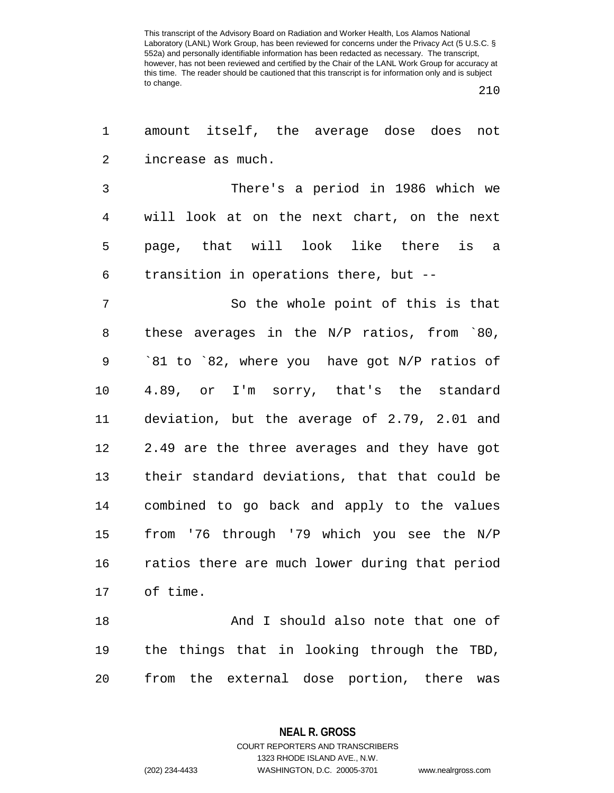210

| 1              | amount itself, the average dose does not        |
|----------------|-------------------------------------------------|
| 2              | increase as much.                               |
| $\mathfrak{Z}$ | There's a period in 1986 which we               |
| $\overline{4}$ | will look at on the next chart, on the next     |
| 5              | page, that will look like there is a            |
| 6              | transition in operations there, but --          |
| $\overline{7}$ | So the whole point of this is that              |
| 8              | these averages in the $N/P$ ratios, from $80$ , |
| $\mathsf 9$    | `81 to `82, where you have got N/P ratios of    |
| 10             | 4.89, or I'm sorry, that's the standard         |
| 11             | deviation, but the average of 2.79, 2.01 and    |
| 12             | 2.49 are the three averages and they have got   |
| 13             | their standard deviations, that that could be   |
| 14             | combined to go back and apply to the values     |
| 15             | from '76 through '79 which you see the N/P      |
| 16             | ratios there are much lower during that period  |
| 17             | of time.                                        |
| 18             | And I should also note that one of              |
| 19             | the things that in looking through the TBD,     |
| 20             | from the external dose portion, there<br>was    |

**NEAL R. GROSS** COURT REPORTERS AND TRANSCRIBERS

1323 RHODE ISLAND AVE., N.W. (202) 234-4433 WASHINGTON, D.C. 20005-3701 www.nealrgross.com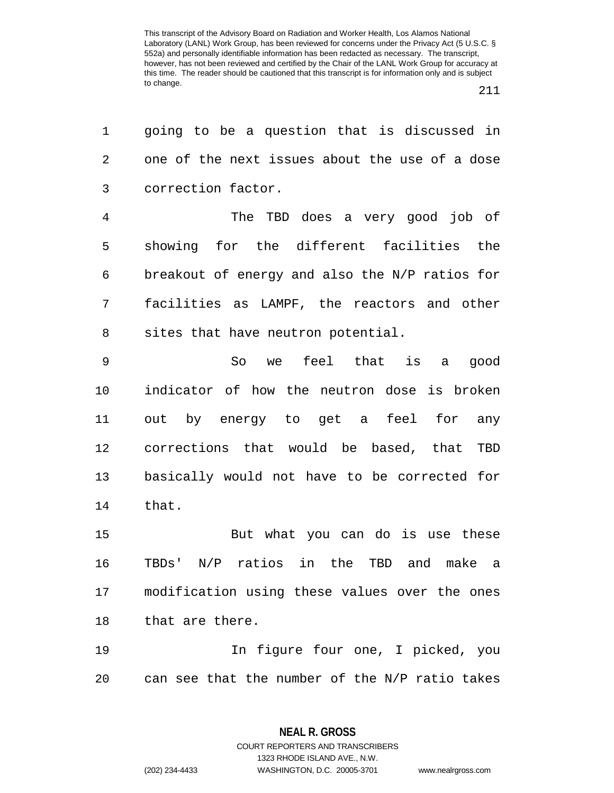211

| 1  | going to be a question that is discussed in      |
|----|--------------------------------------------------|
| 2  | one of the next issues about the use of a dose   |
| 3  | correction factor.                               |
| 4  | The TBD does a very good job of                  |
| 5  | showing for the different facilities the         |
| 6  | breakout of energy and also the N/P ratios for   |
| 7  | facilities as LAMPF, the reactors and other      |
| 8  | sites that have neutron potential.               |
| 9  | feel that is<br>So<br>good<br>we<br>a            |
| 10 | indicator of how the neutron dose is broken      |
| 11 | out by energy to get a feel<br>for any           |
| 12 | corrections that would be based, that TBD        |
| 13 | basically would not have to be corrected for     |
| 14 | that.                                            |
| 15 | But what you can do is use these                 |
| 16 | N/P ratios in the<br>TBD and<br>make a<br>TBDs ' |
| 17 | modification using these values over the ones    |
| 18 | that are there.                                  |
| 19 | In figure four one, I picked, you                |
| 20 | can see that the number of the N/P ratio takes   |

**NEAL R. GROSS** COURT REPORTERS AND TRANSCRIBERS

1323 RHODE ISLAND AVE., N.W.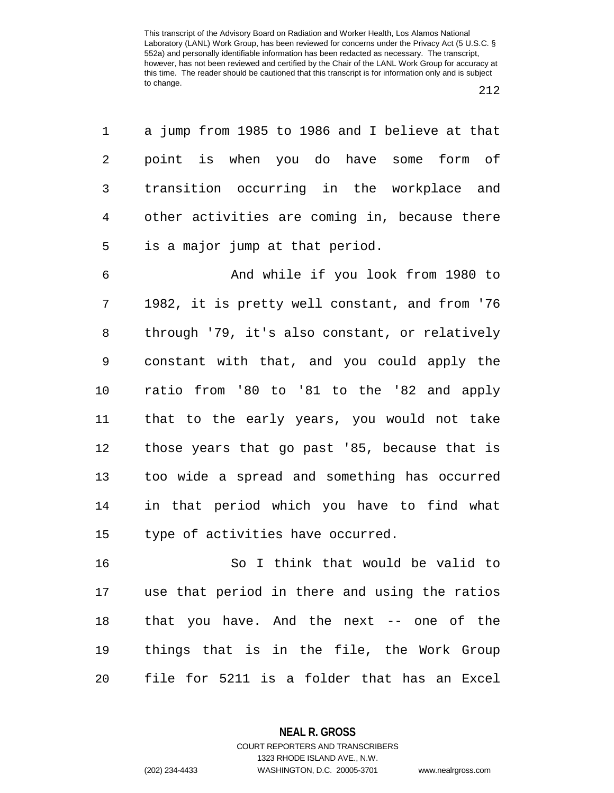| $\mathbf 1$ | a jump from 1985 to 1986 and I believe at that |
|-------------|------------------------------------------------|
| 2           | point is when you do have some form of         |
| 3           | transition occurring in the workplace and      |
| 4           | other activities are coming in, because there  |
| 5           | is a major jump at that period.                |
| 6           | And while if you look from 1980 to             |
| 7           | 1982, it is pretty well constant, and from '76 |
| 8           | through '79, it's also constant, or relatively |
| $\mathsf 9$ | constant with that, and you could apply the    |
| 10          | ratio from '80 to '81 to the '82 and apply     |
| 11          | that to the early years, you would not take    |
| 12          | those years that go past '85, because that is  |
| 13          | too wide a spread and something has occurred   |
| 14          | in that period which you have to find what     |
| 15          | type of activities have occurred.              |

16 So I think that would be valid to 17 use that period in there and using the ratios 18 that you have. And the next -- one of the 19 things that is in the file, the Work Group 20 file for 5211 is a folder that has an Excel

> **NEAL R. GROSS** COURT REPORTERS AND TRANSCRIBERS

> > 1323 RHODE ISLAND AVE., N.W.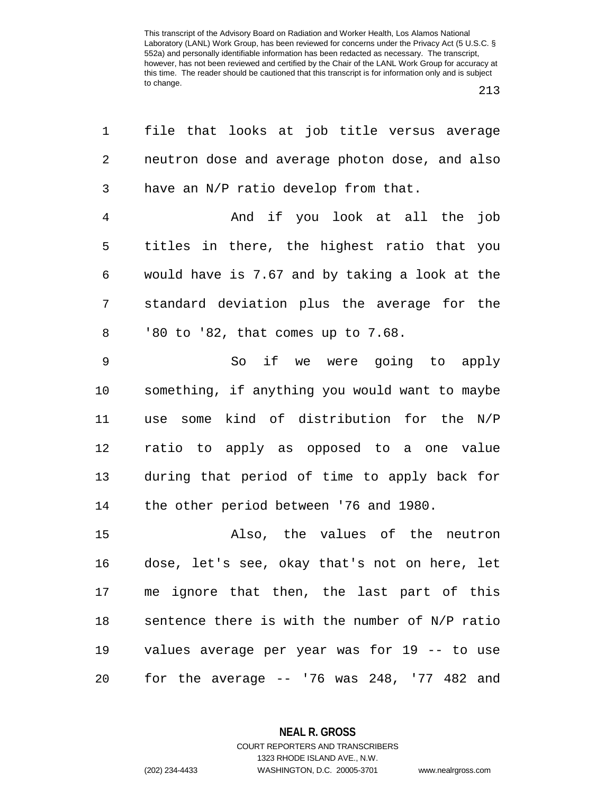213

| 1              | file that looks at job title versus average    |
|----------------|------------------------------------------------|
| 2              | neutron dose and average photon dose, and also |
| 3              | have an N/P ratio develop from that.           |
| $\overline{4}$ | And if you look at all the job                 |
| 5              | titles in there, the highest ratio that you    |
| 6              | would have is 7.67 and by taking a look at the |
| 7              | standard deviation plus the average for the    |
| 8              | '80 to '82, that comes up to 7.68.             |
| $\mathsf 9$    | So if we were going to apply                   |
| 10             | something, if anything you would want to maybe |
| 11             | use some kind of distribution for the N/P      |
| 12             | ratio to apply as opposed to a one value       |
| 13             | during that period of time to apply back for   |
| 14             | the other period between '76 and 1980.         |
| 15             | Also, the values of the neutron                |
| 16             | dose, let's see, okay that's not on here, let  |
|                | 17 me ignore that then, the last part of this  |
| 18             | sentence there is with the number of N/P ratio |
| 19             | values average per year was for 19 -- to use   |
| 20             | for the average $--$ '76 was 248, '77 482 and  |

**NEAL R. GROSS** COURT REPORTERS AND TRANSCRIBERS

1323 RHODE ISLAND AVE., N.W.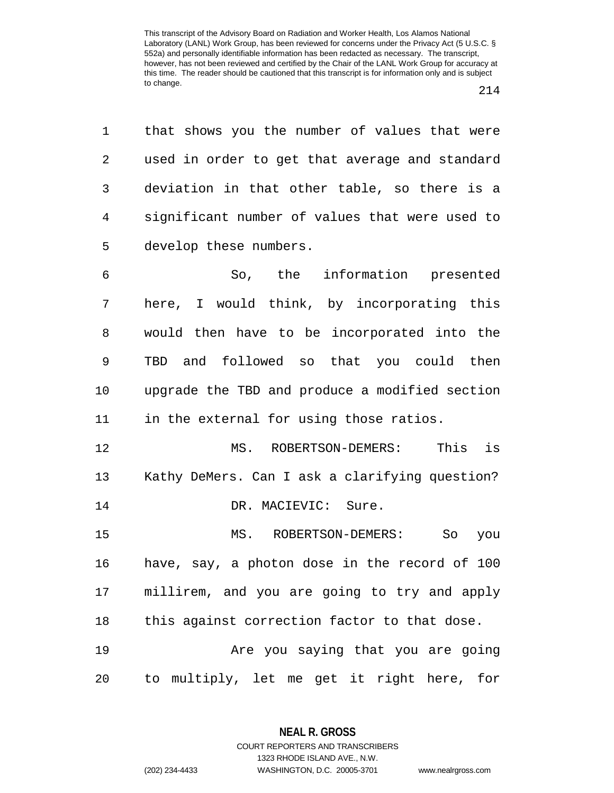1 that shows you the number of values that were 2 used in order to get that average and standard 3 deviation in that other table, so there is a 4 significant number of values that were used to 5 develop these numbers.

6 So, the information presented 7 here, I would think, by incorporating this 8 would then have to be incorporated into the 9 TBD and followed so that you could then 10 upgrade the TBD and produce a modified section 11 in the external for using those ratios.

12 MS. ROBERTSON-DEMERS: This is 13 Kathy DeMers. Can I ask a clarifying question? 14 DR. MACIEVIC: Sure.

15 MS. ROBERTSON-DEMERS: So you 16 have, say, a photon dose in the record of 100 17 millirem, and you are going to try and apply 18 this against correction factor to that dose.

19 Are you saying that you are going 20 to multiply, let me get it right here, for

> **NEAL R. GROSS** COURT REPORTERS AND TRANSCRIBERS

> > 1323 RHODE ISLAND AVE., N.W.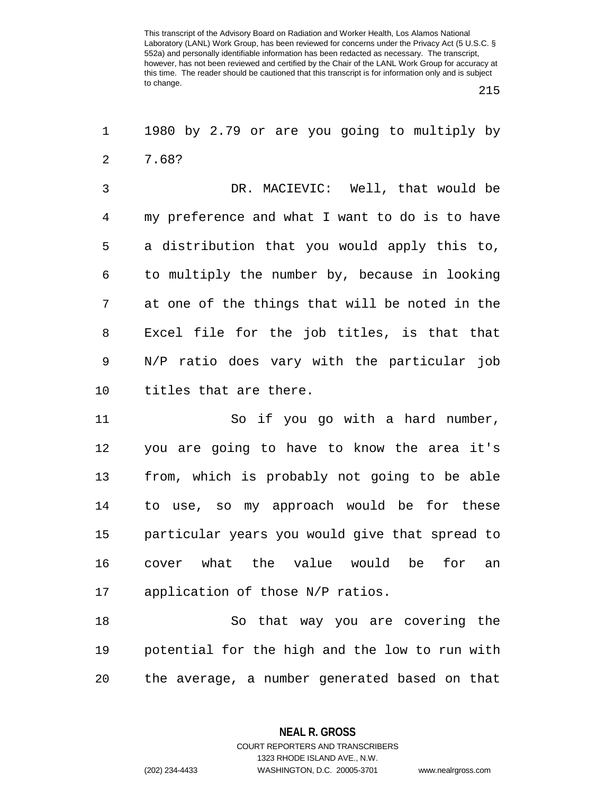215

1 1980 by 2.79 or are you going to multiply by 2 7.68?

3 DR. MACIEVIC: Well, that would be 4 my preference and what I want to do is to have 5 a distribution that you would apply this to, 6 to multiply the number by, because in looking 7 at one of the things that will be noted in the 8 Excel file for the job titles, is that that 9 N/P ratio does vary with the particular job 10 titles that are there.

11 So if you go with a hard number, 12 you are going to have to know the area it's 13 from, which is probably not going to be able 14 to use, so my approach would be for these 15 particular years you would give that spread to 16 cover what the value would be for an 17 application of those N/P ratios.

18 So that way you are covering the 19 potential for the high and the low to run with 20 the average, a number generated based on that

**NEAL R. GROSS**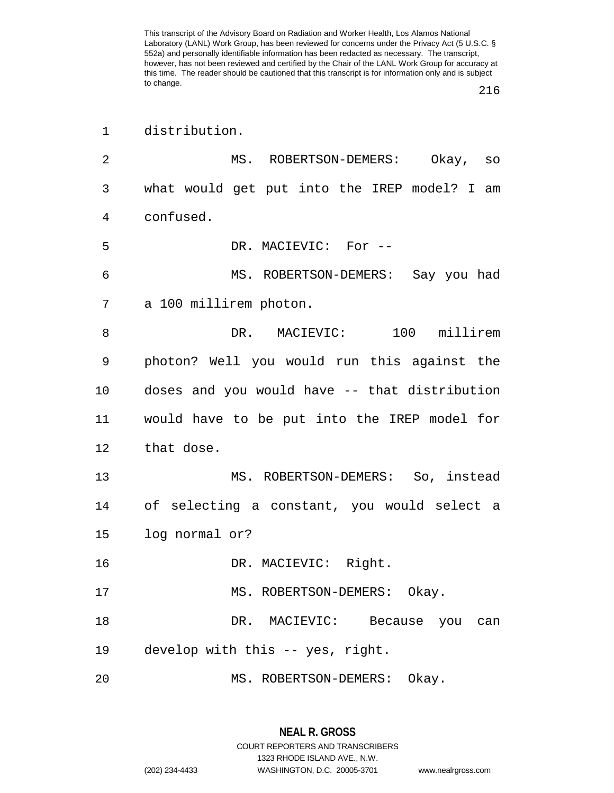| $\mathbf 1$    | distribution.                                 |
|----------------|-----------------------------------------------|
| $\overline{2}$ | MS. ROBERTSON-DEMERS: Okay, so                |
| 3              | what would get put into the IREP model? I am  |
| 4              | confused.                                     |
| 5              | DR. MACIEVIC: For --                          |
| 6              | MS. ROBERTSON-DEMERS: Say you had             |
| 7              | a 100 millirem photon.                        |
| 8              | DR. MACIEVIC: 100 millirem                    |
| 9              | photon? Well you would run this against the   |
| 10             | doses and you would have -- that distribution |
| 11             | would have to be put into the IREP model for  |
| 12             | that dose.                                    |
| 13             | MS. ROBERTSON-DEMERS: So, instead             |
| 14             | of selecting a constant, you would select a   |
| 15             | log normal or?                                |
| 16             | DR. MACIEVIC: Right.                          |
| 17             | MS. ROBERTSON-DEMERS: Okay.                   |
| 18             | DR. MACIEVIC: Because you can                 |
| 19             | develop with this -- yes, right.              |
| 20             | MS. ROBERTSON-DEMERS:<br>Okay.                |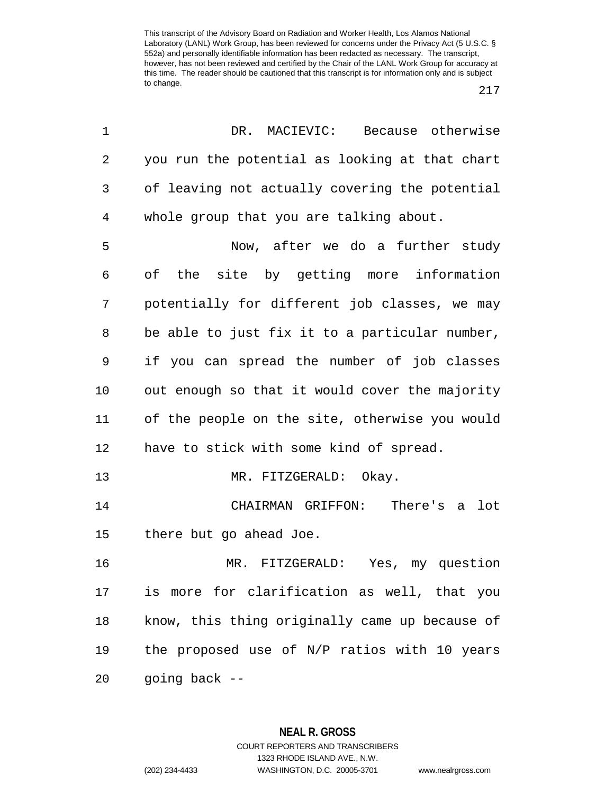217

| 1              | DR. MACIEVIC: Because otherwise                |
|----------------|------------------------------------------------|
| 2              | you run the potential as looking at that chart |
| 3              | of leaving not actually covering the potential |
| $\overline{4}$ | whole group that you are talking about.        |
| 5              | Now, after we do a further study               |
| 6              | of the site by getting more information        |
| 7              | potentially for different job classes, we may  |
| 8              | be able to just fix it to a particular number, |
| 9              | if you can spread the number of job classes    |
| 10             | out enough so that it would cover the majority |
| 11             | of the people on the site, otherwise you would |
| 12             | have to stick with some kind of spread.        |
| 13             | MR. FITZGERALD: Okay.                          |
| 14             | CHAIRMAN GRIFFON: There's a lot                |
| 15             | there but go ahead Joe.                        |
| 16             | MR. FITZGERALD: Yes, my question               |
| 17             | is more for clarification as well, that you    |
| 18             | know, this thing originally came up because of |
| 19             | the proposed use of N/P ratios with 10 years   |
| 20             | going back --                                  |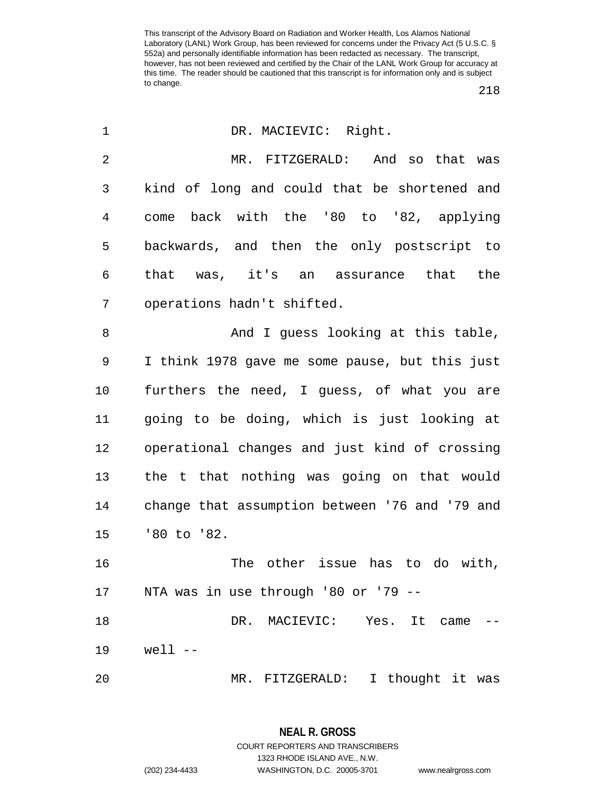218

| 1              | DR. MACIEVIC: Right.                           |
|----------------|------------------------------------------------|
| $\overline{2}$ | MR. FITZGERALD: And so that was                |
| 3              | kind of long and could that be shortened and   |
| 4              | back with the '80 to '82, applying<br>come     |
| 5              | backwards, and then the only postscript to     |
| 6              | that was, it's an assurance that the           |
| 7              | operations hadn't shifted.                     |
| 8              | And I guess looking at this table,             |
| 9              | I think 1978 gave me some pause, but this just |
| 10             | furthers the need, I guess, of what you are    |
| 11             | going to be doing, which is just looking at    |
| 12             | operational changes and just kind of crossing  |
| 13             | the t that nothing was going on that would     |
| 14             | change that assumption between '76 and '79 and |
| 15             | '80 to '82.                                    |
| 16             | The other issue has to do with,                |
| 17             | NTA was in use through '80 or '79 --           |
| 18             | DR. MACIEVIC: Yes. It<br>came                  |
| 19             | well --                                        |
| 20             | MR. FITZGERALD: I thought it was               |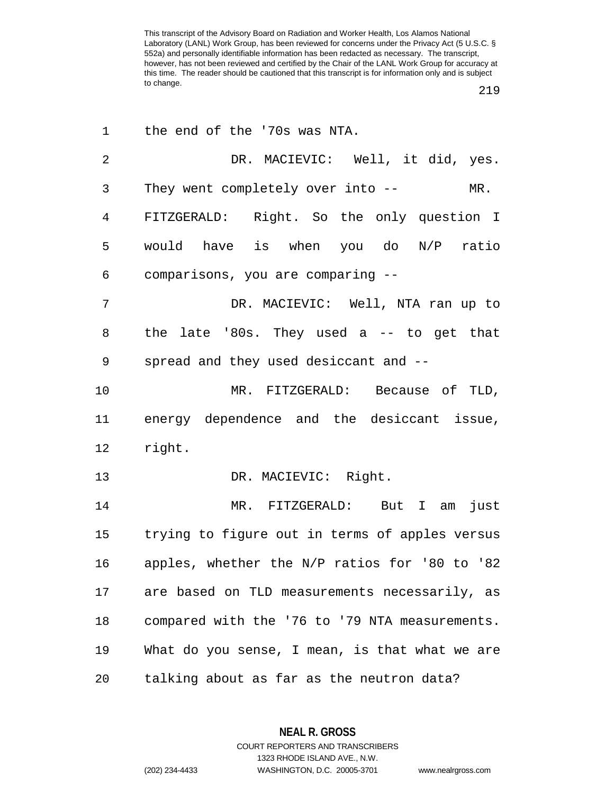219

| 1  | the end of the '70s was NTA.                   |
|----|------------------------------------------------|
| 2  | DR. MACIEVIC: Well, it did, yes.               |
| 3  | They went completely over into --<br>$MR$ .    |
| 4  | FITZGERALD: Right. So the only question I      |
| 5  | would have is when you do N/P ratio            |
| 6  | comparisons, you are comparing --              |
| 7  | DR. MACIEVIC: Well, NTA ran up to              |
| 8  | the late '80s. They used a -- to get that      |
| 9  | spread and they used desiccant and --          |
| 10 | MR. FITZGERALD: Because of TLD,                |
| 11 | energy dependence and the desiccant issue,     |
| 12 | right.                                         |
| 13 | DR. MACIEVIC: Right.                           |
| 14 | MR. FITZGERALD: But I am<br>just               |
| 15 | trying to figure out in terms of apples versus |
| 16 | apples, whether the N/P ratios for '80 to '82  |
| 17 | are based on TLD measurements necessarily, as  |
| 18 |                                                |
|    | compared with the '76 to '79 NTA measurements. |
| 19 | What do you sense, I mean, is that what we are |

**NEAL R. GROSS** COURT REPORTERS AND TRANSCRIBERS

1323 RHODE ISLAND AVE., N.W.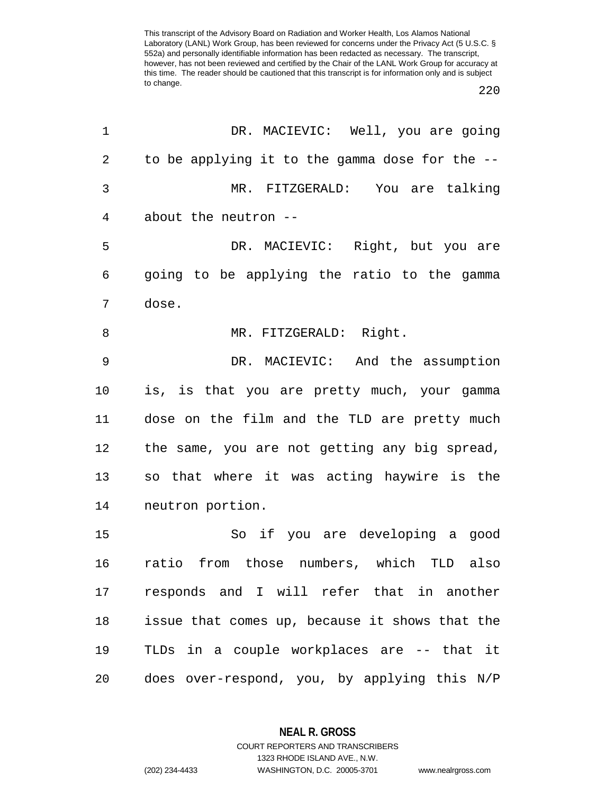220

| 1              | DR. MACIEVIC: Well, you are going              |
|----------------|------------------------------------------------|
| $\overline{2}$ | to be applying it to the gamma dose for the -- |
| 3              | MR. FITZGERALD: You are talking                |
| 4              | about the neutron --                           |
| 5              | DR. MACIEVIC: Right, but you are               |
| 6              | going to be applying the ratio to the gamma    |
| 7              | dose.                                          |
| 8              | MR. FITZGERALD: Right.                         |
| 9              | DR. MACIEVIC: And the assumption               |
| $10 \,$        | is, is that you are pretty much, your gamma    |
| 11             | dose on the film and the TLD are pretty much   |
| 12             | the same, you are not getting any big spread,  |
| 13             | so that where it was acting haywire is the     |
| 14             | neutron portion.                               |
| 15             | So if you are developing a good                |
| 16             | ratio from those numbers, which TLD also       |
| 17             | responds and I will refer that in another      |
| 18             | issue that comes up, because it shows that the |
| 19             | TLDs in a couple workplaces are -- that it     |
| 20             | does over-respond, you, by applying this N/P   |

**NEAL R. GROSS**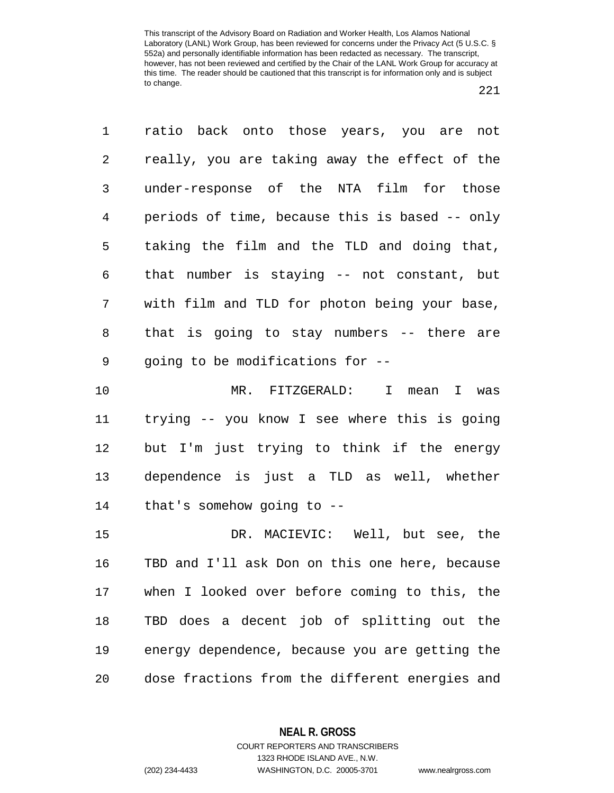1 ratio back onto those years, you are not 2 really, you are taking away the effect of the 3 under-response of the NTA film for those 4 periods of time, because this is based -- only 5 taking the film and the TLD and doing that, 6 that number is staying -- not constant, but 7 with film and TLD for photon being your base, 8 that is going to stay numbers -- there are 9 going to be modifications for -- 10 MR. FITZGERALD: I mean I was

11 trying -- you know I see where this is going 12 but I'm just trying to think if the energy 13 dependence is just a TLD as well, whether 14 that's somehow going to --

15 DR. MACIEVIC: Well, but see, the 16 TBD and I'll ask Don on this one here, because 17 when I looked over before coming to this, the 18 TBD does a decent job of splitting out the 19 energy dependence, because you are getting the 20 dose fractions from the different energies and

## **NEAL R. GROSS** COURT REPORTERS AND TRANSCRIBERS

1323 RHODE ISLAND AVE., N.W. (202) 234-4433 WASHINGTON, D.C. 20005-3701 www.nealrgross.com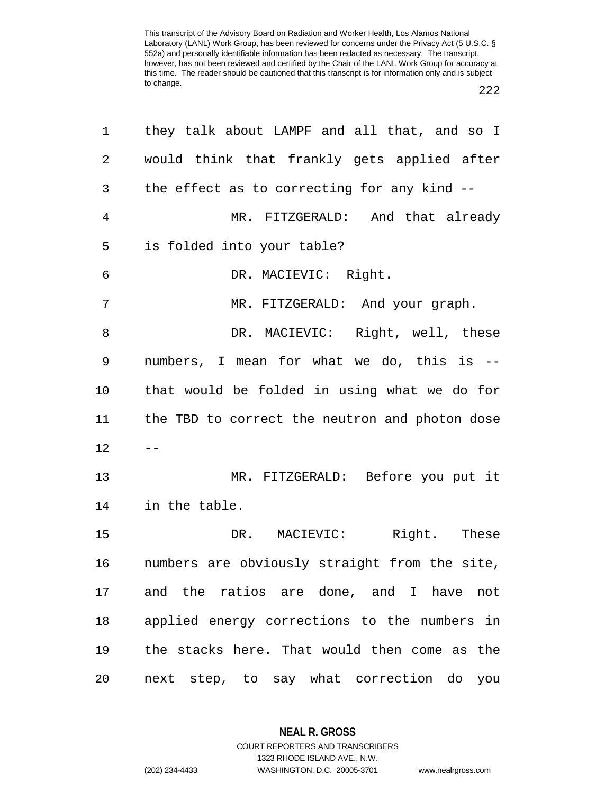222

| 1              | they talk about LAMPF and all that, and so I   |
|----------------|------------------------------------------------|
| $\overline{2}$ | would think that frankly gets applied after    |
| 3              | the effect as to correcting for any kind --    |
| 4              | MR. FITZGERALD: And that already               |
| 5              | is folded into your table?                     |
| 6              | DR. MACIEVIC: Right.                           |
| $\overline{7}$ | MR. FITZGERALD: And your graph.                |
| 8              | DR. MACIEVIC: Right, well, these               |
| 9              | numbers, I mean for what we do, this is --     |
| 10             | that would be folded in using what we do for   |
| 11             | the TBD to correct the neutron and photon dose |
| 12             | $- -$                                          |
| 13             | MR. FITZGERALD: Before you put it              |
| 14             | in the table.                                  |
| 15             | DR. MACIEVIC: Right. These                     |
| 16             | numbers are obviously straight from the site,  |
| 17             | and the ratios are done, and I have not        |
| 18             | applied energy corrections to the numbers in   |
| 19             | the stacks here. That would then come as the   |
| 20             | next step, to say what correction do<br>you    |

**NEAL R. GROSS** COURT REPORTERS AND TRANSCRIBERS

1323 RHODE ISLAND AVE., N.W.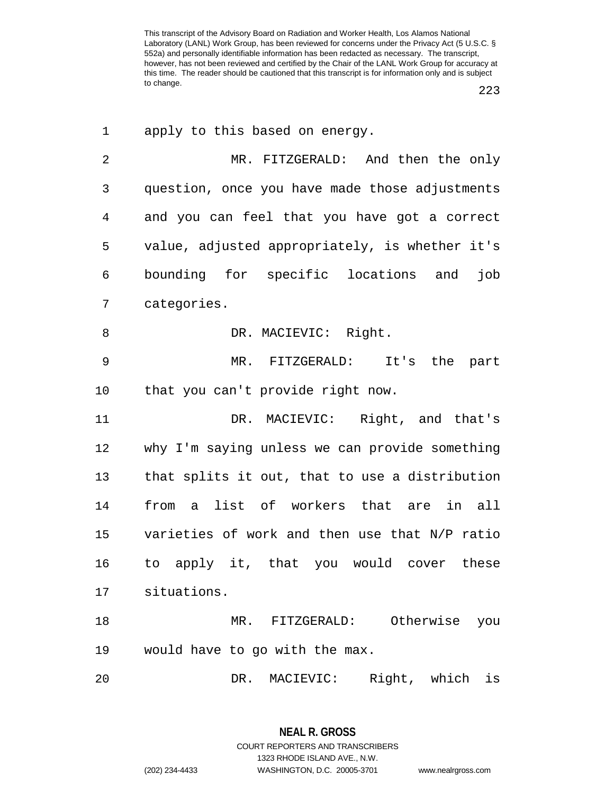223

| 1              | apply to this based on energy.                 |
|----------------|------------------------------------------------|
| $\overline{2}$ | MR. FITZGERALD: And then the only              |
| 3              | question, once you have made those adjustments |
| $\overline{4}$ | and you can feel that you have got a correct   |
| 5              | value, adjusted appropriately, is whether it's |
| 6              | bounding for specific locations and<br>job     |
| 7              | categories.                                    |
| 8              | DR. MACIEVIC: Right.                           |
| 9              | MR. FITZGERALD: It's the part                  |
| 10             | that you can't provide right now.              |
| 11             | DR. MACIEVIC: Right, and that's                |
| 12             | why I'm saying unless we can provide something |
| 13             | that splits it out, that to use a distribution |
| 14             | a list of workers that are in all<br>from      |
| 15             | varieties of work and then use that N/P ratio  |
| 16             | to apply it, that you would cover these        |
| 17             | situations.                                    |
| 18             | Otherwise you<br>MR. FITZGERALD:               |
| 19             | would have to go with the max.                 |
| 20             | Right, which<br>DR.<br>MACIEVIC:<br>is         |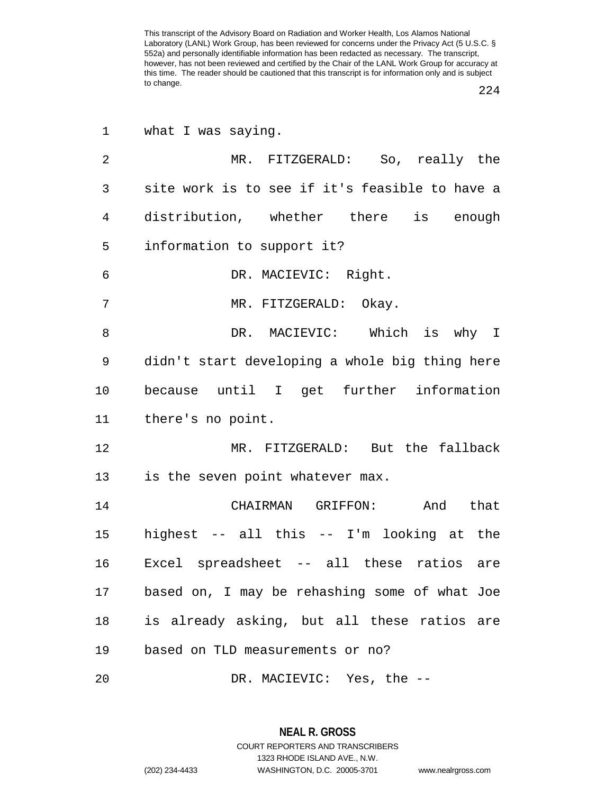224

| 1              | what I was saying.                             |
|----------------|------------------------------------------------|
| $\overline{2}$ | MR. FITZGERALD: So, really the                 |
| 3              | site work is to see if it's feasible to have a |
| 4              | distribution, whether there is enough          |
| 5              | information to support it?                     |
| 6              | DR. MACIEVIC: Right.                           |
| 7              | MR. FITZGERALD: Okay.                          |
| 8              | DR. MACIEVIC: Which is why I                   |
| 9              | didn't start developing a whole big thing here |
| 10             | because until I get further information        |
| 11             | there's no point.                              |
| 12             | MR. FITZGERALD: But the fallback               |
| 13             | is the seven point whatever max.               |
| 14             | CHAIRMAN GRIFFON: And<br>that                  |
| 15             | highest -- all this -- I'm looking at the      |
| 16             | Excel spreadsheet -- all these ratios are      |
| 17             | based on, I may be rehashing some of what Joe  |
| 18             | is already asking, but all these ratios are    |
| 19             | based on TLD measurements or no?               |
| 20             | DR. MACIEVIC: Yes, the --                      |

**NEAL R. GROSS** COURT REPORTERS AND TRANSCRIBERS

1323 RHODE ISLAND AVE., N.W.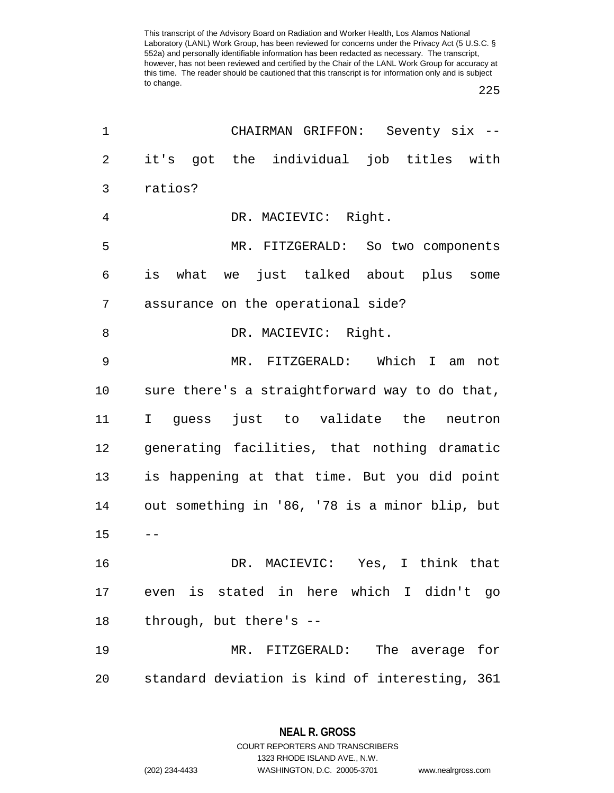225

| 1              | CHAIRMAN GRIFFON: Seventy six --               |
|----------------|------------------------------------------------|
| $\overline{c}$ | it's got the individual job titles with        |
| 3              | ratios?                                        |
| 4              | DR. MACIEVIC: Right.                           |
| 5              | MR. FITZGERALD: So two components              |
| 6              | is what we just talked about plus some         |
| 7              | assurance on the operational side?             |
| 8              | DR. MACIEVIC: Right.                           |
| $\mathsf 9$    | MR. FITZGERALD: Which I am not                 |
| 10             | sure there's a straightforward way to do that, |
| 11             | I guess just to validate the neutron           |
| 12             | generating facilities, that nothing dramatic   |
| 13             | is happening at that time. But you did point   |
| 14             | out something in '86, '78 is a minor blip, but |
| 15             |                                                |
| 16             | DR. MACIEVIC: Yes, I think that                |
| 17             | even is stated in here which I didn't go       |
| 18             | through, but there's --                        |
| 19             | The average<br>MR. FITZGERALD:<br>for          |
| 20             | standard deviation is kind of interesting, 361 |

**NEAL R. GROSS** COURT REPORTERS AND TRANSCRIBERS

1323 RHODE ISLAND AVE., N.W. (202) 234-4433 WASHINGTON, D.C. 20005-3701 www.nealrgross.com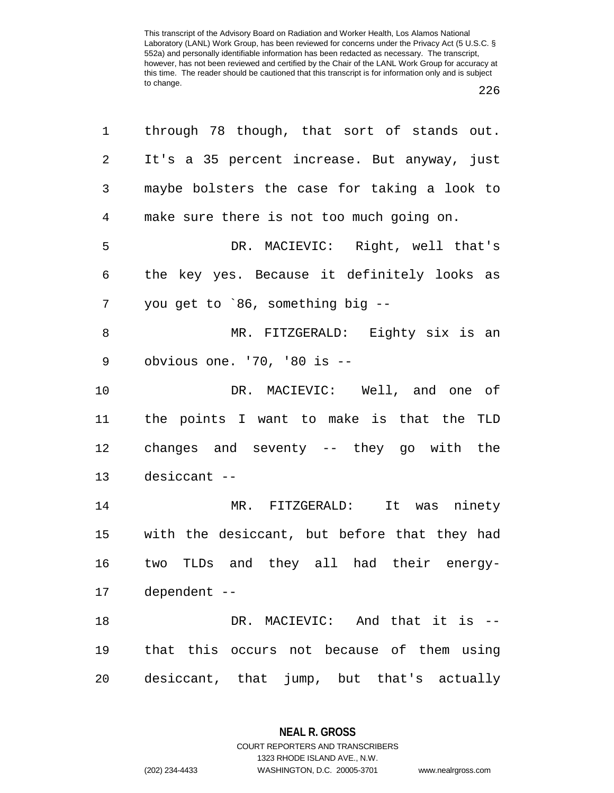|--|--|

| 1              | through 78 though, that sort of stands out.  |
|----------------|----------------------------------------------|
| 2              | It's a 35 percent increase. But anyway, just |
| 3              | maybe bolsters the case for taking a look to |
| $\overline{4}$ | make sure there is not too much going on.    |
| 5              | DR. MACIEVIC: Right, well that's             |
| 6              | the key yes. Because it definitely looks as  |
| 7              | you get to `86, something big --             |
| 8              | MR. FITZGERALD: Eighty six is an             |
| 9              | obvious one. '70, '80 is --                  |
| 10             | DR. MACIEVIC: Well, and one of               |
| 11             | the points I want to make is that the TLD    |
| 12             | changes and seventy -- they go with the      |
| 13             | desiccant --                                 |
| 14             | MR. FITZGERALD: It was ninety                |
| $15\,$         | with the desiccant, but before that they had |
| 16             | two TLDs and they all had their energy-      |
| 17             | dependent --                                 |
| 18             | DR. MACIEVIC: And that it is --              |
| 19             | that this occurs not because of them using   |
| 20             | desiccant, that jump, but that's actually    |
|                |                                              |

**NEAL R. GROSS** COURT REPORTERS AND TRANSCRIBERS

1323 RHODE ISLAND AVE., N.W.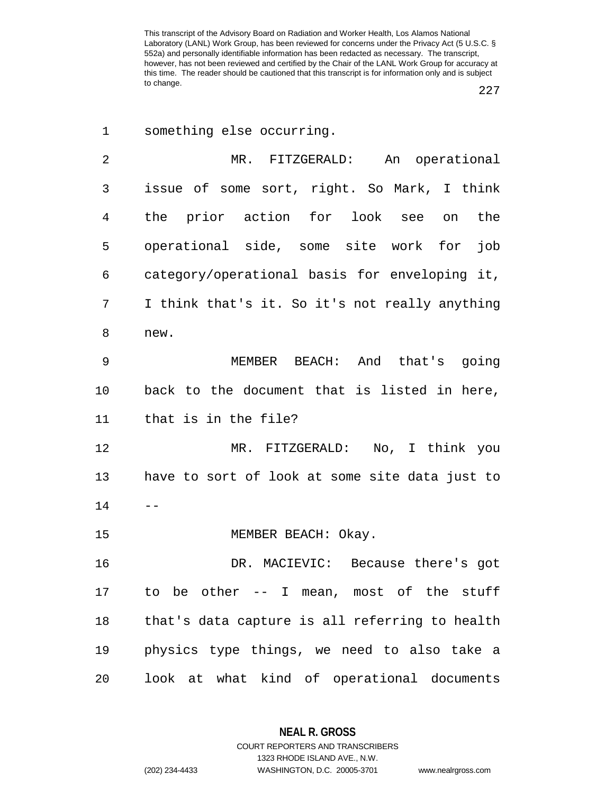227

| 1  | something else occurring.                      |
|----|------------------------------------------------|
| 2  | MR. FITZGERALD:<br>An operational              |
| 3  | issue of some sort, right. So Mark, I think    |
| 4  | the prior action for look see on<br>the        |
| 5  | operational side, some site work for<br>job    |
| 6  | category/operational basis for enveloping it,  |
| 7  | I think that's it. So it's not really anything |
| 8  | new.                                           |
| 9  | MEMBER<br>BEACH: And that's going              |
| 10 | back to the document that is listed in here,   |
| 11 | that is in the file?                           |
| 12 | MR. FITZGERALD: No, I think you                |
| 13 | have to sort of look at some site data just to |
| 14 |                                                |
| 15 | MEMBER BEACH: Okay.                            |
| 16 | DR. MACIEVIC: Because there's got              |
| 17 | to be other -- I mean, most of the stuff       |
| 18 | that's data capture is all referring to health |
| 19 | physics type things, we need to also take a    |
| 20 | look at what kind of operational documents     |

**NEAL R. GROSS** COURT REPORTERS AND TRANSCRIBERS

1323 RHODE ISLAND AVE., N.W.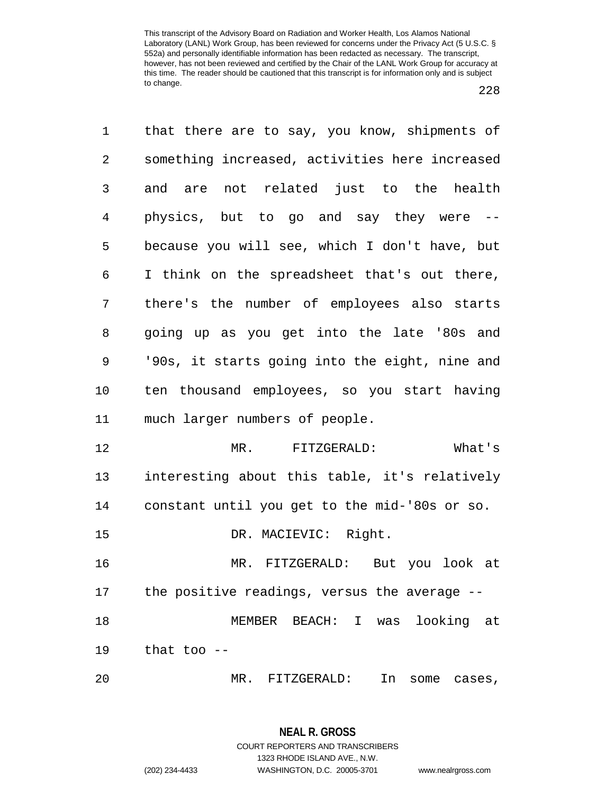| 1              | that there are to say, you know, shipments of  |
|----------------|------------------------------------------------|
| $\overline{2}$ | something increased, activities here increased |
| 3              | and are not related just to the health         |
| 4              | physics, but to go and say they were --        |
| 5              | because you will see, which I don't have, but  |
| 6              | I think on the spreadsheet that's out there,   |
| 7              | there's the number of employees also starts    |
| 8              | going up as you get into the late '80s and     |
| 9              | '90s, it starts going into the eight, nine and |
| 10             | ten thousand employees, so you start having    |
| 11             | much larger numbers of people.                 |
| 12             | MR.<br>FITZGERALD:<br>What's                   |
| 13             | interesting about this table, it's relatively  |
| 14             | constant until you get to the mid-'80s or so.  |
| 15             | DR. MACIEVIC: Right.                           |
| 16             | MR. FITZGERALD: But you look at                |
| 17             | the positive readings, versus the average --   |
| 18             | MEMBER BEACH: I<br>looking at<br>was           |
| 19             | that too $-$                                   |
|                |                                                |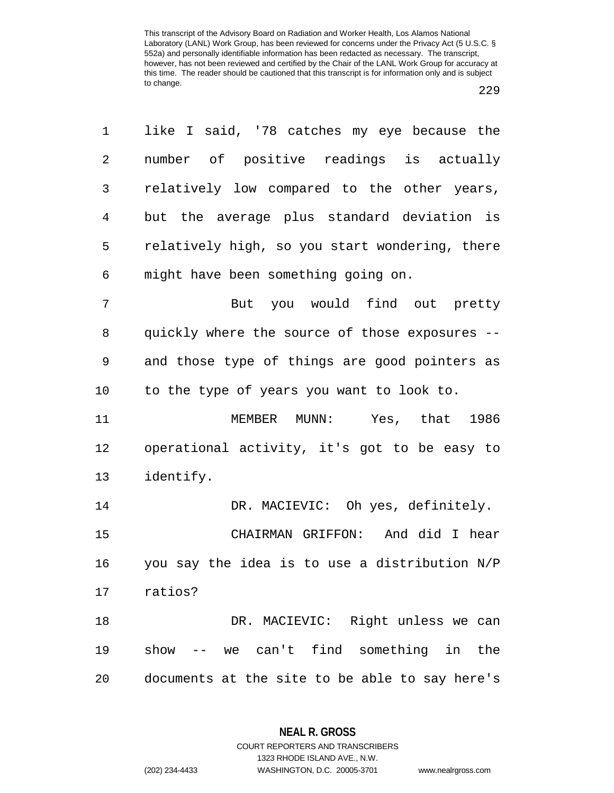1 like I said, '78 catches my eye because the 2 number of positive readings is actually 3 relatively low compared to the other years, 4 but the average plus standard deviation is 5 relatively high, so you start wondering, there 6 might have been something going on. 7 But you would find out pretty 8 quickly where the source of those exposures -- 9 and those type of things are good pointers as 10 to the type of years you want to look to. 11 MEMBER MUNN: Yes, that 1986 12 operational activity, it's got to be easy to 13 identify. 14 DR. MACIEVIC: Oh yes, definitely. 15 CHAIRMAN GRIFFON: And did I hear 16 you say the idea is to use a distribution N/P 17 ratios? 18 DR. MACIEVIC: Right unless we can 19 show -- we can't find something in the 20 documents at the site to be able to say here's

> **NEAL R. GROSS** COURT REPORTERS AND TRANSCRIBERS

1323 RHODE ISLAND AVE., N.W. (202) 234-4433 WASHINGTON, D.C. 20005-3701 www.nealrgross.com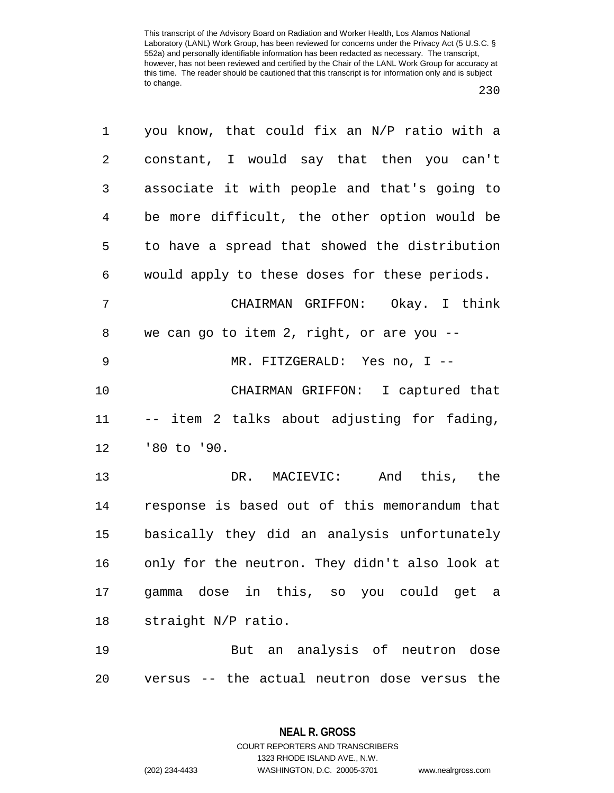230

| 1              | you know, that could fix an N/P ratio with a   |
|----------------|------------------------------------------------|
| $\mathbf{2}$   | constant, I would say that then you can't      |
| 3              | associate it with people and that's going to   |
| $\overline{4}$ | be more difficult, the other option would be   |
| 5              | to have a spread that showed the distribution  |
| 6              | would apply to these doses for these periods.  |
| 7              | CHAIRMAN GRIFFON: Okay. I think                |
| 8              | we can go to item 2, right, or are you --      |
| 9              | MR. FITZGERALD: Yes no, I --                   |
| 10             | CHAIRMAN GRIFFON: I captured that              |
| 11             | -- item 2 talks about adjusting for fading,    |
| 12             | '80 to '90.                                    |
| 13             | DR. MACIEVIC: And this, the                    |
| 14             | response is based out of this memorandum that  |
| 15             | basically they did an analysis unfortunately   |
| 16             | only for the neutron. They didn't also look at |
| 17             | gamma dose in this, so you could get a         |
| 18             | straight N/P ratio.                            |
| 19             | But an analysis of neutron dose                |
| 20             | versus -- the actual neutron dose versus the   |

**NEAL R. GROSS** COURT REPORTERS AND TRANSCRIBERS 1323 RHODE ISLAND AVE., N.W.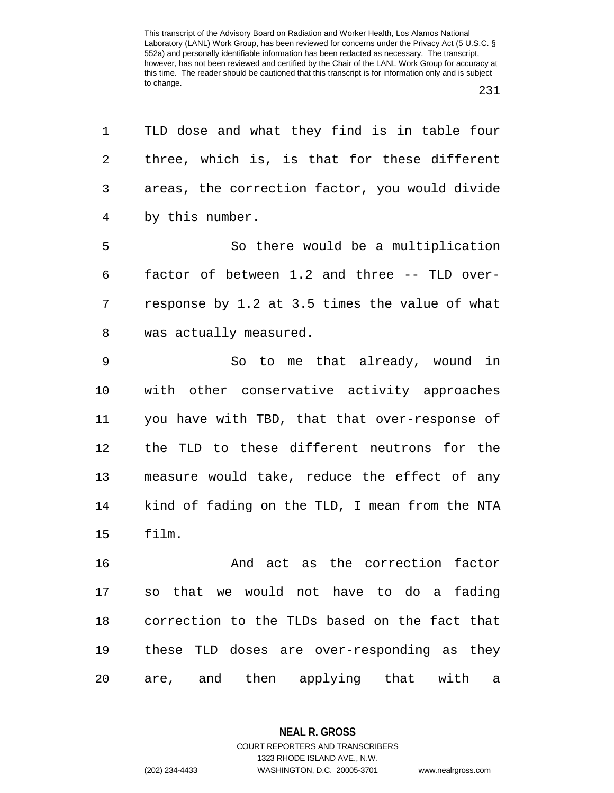| 1              | TLD dose and what they find is in table four     |
|----------------|--------------------------------------------------|
| 2              | three, which is, is that for these different     |
| 3              | areas, the correction factor, you would divide   |
| $\overline{4}$ | by this number.                                  |
| 5              | So there would be a multiplication               |
| 6              | factor of between 1.2 and three -- TLD over-     |
| 7              | response by 1.2 at 3.5 times the value of what   |
| 8              | was actually measured.                           |
| 9              | So to me that already, wound in                  |
| 10             | with other conservative activity approaches      |
| 11             | you have with TBD, that that over-response of    |
| 12             | the TLD to these different neutrons for the      |
| 13             | measure would take, reduce the effect of any     |
| 14             | kind of fading on the TLD, I mean from the NTA   |
| 15             | film.                                            |
| 16             | And act as the correction factor                 |
| 17             | so that we would not have to do a fading         |
| 18             | correction to the TLDs based on the fact that    |
| 19             | these TLD doses are over-responding as they      |
| 20             | are, and then applying that with<br>$\mathsf{a}$ |

**NEAL R. GROSS**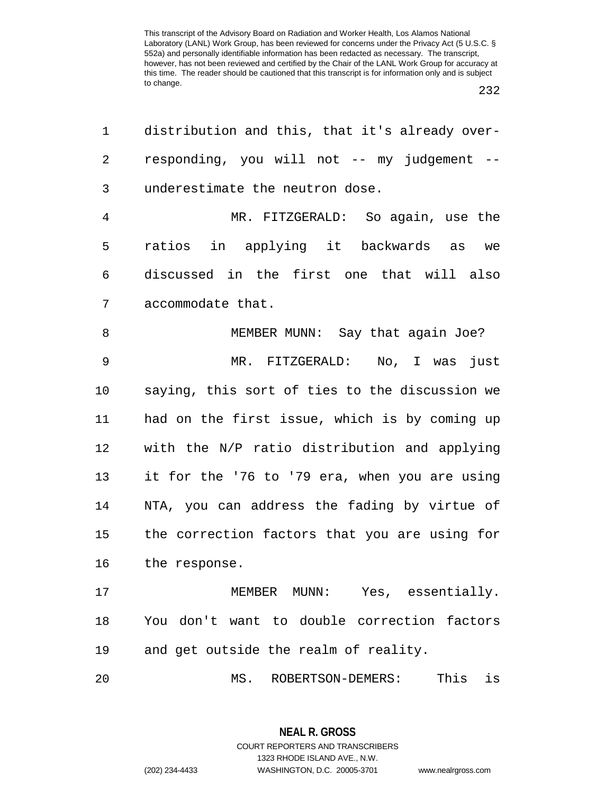232

| 1              | distribution and this, that it's already over- |
|----------------|------------------------------------------------|
| $\overline{2}$ | responding, you will not -- my judgement --    |
| 3              | underestimate the neutron dose.                |
| $\overline{4}$ | MR. FITZGERALD: So again, use the              |
| 5              | ratios in applying it backwards as<br>we       |
| 6              | discussed in the first one that will also      |
| 7              | accommodate that.                              |
| 8              | MEMBER MUNN: Say that again Joe?               |
| $\mathsf 9$    | MR. FITZGERALD: No, I was just                 |
| 10             | saying, this sort of ties to the discussion we |
| 11             | had on the first issue, which is by coming up  |
| 12             | with the N/P ratio distribution and applying   |
| 13             | it for the '76 to '79 era, when you are using  |
| 14             | NTA, you can address the fading by virtue of   |
| 15             | the correction factors that you are using for  |
| 16             | the response.                                  |
| 17             | MEMBER MUNN: Yes, essentially.                 |
| 18             | You don't want to double correction factors    |
| 19             | and get outside the realm of reality.          |
| 20             | This<br>is<br>MS.<br>ROBERTSON-DEMERS:         |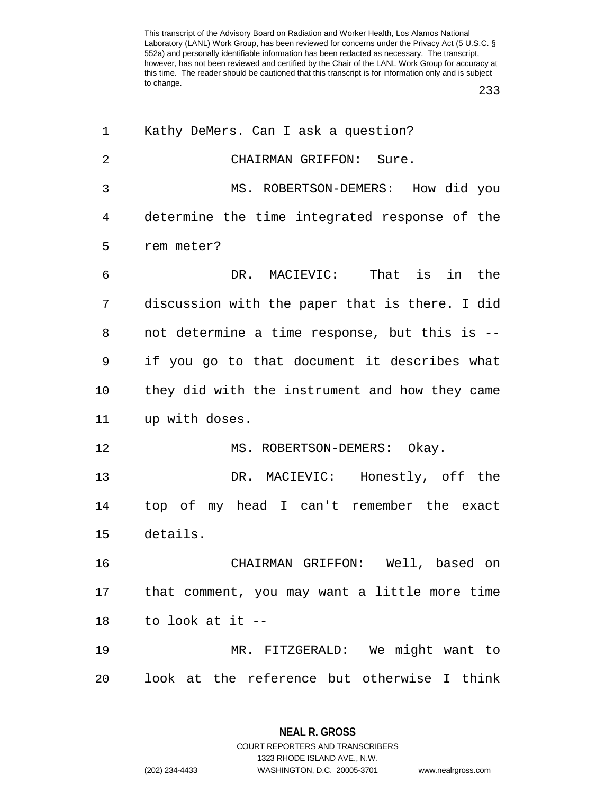233

| 1              | Kathy DeMers. Can I ask a question?            |
|----------------|------------------------------------------------|
| $\overline{2}$ | CHAIRMAN GRIFFON: Sure.                        |
| 3              | MS. ROBERTSON-DEMERS: How did you              |
| 4              | determine the time integrated response of the  |
| 5              | rem meter?                                     |
| 6              | DR. MACIEVIC: That is in the                   |
| 7              | discussion with the paper that is there. I did |
| 8              | not determine a time response, but this is --  |
| 9              | if you go to that document it describes what   |
| 10             | they did with the instrument and how they came |
| 11             | up with doses.                                 |
| 12             | MS. ROBERTSON-DEMERS: Okay.                    |
| 13             | DR. MACIEVIC: Honestly, off the                |
| 14             | top of my head I can't remember the exact      |
| 15             | details.                                       |
| 16             | CHAIRMAN GRIFFON: Well, based on               |
| 17             | that comment, you may want a little more time  |
| 18             | to look at it --                               |
| 19             | MR. FITZGERALD: We might want to               |
| 20             |                                                |

**NEAL R. GROSS** COURT REPORTERS AND TRANSCRIBERS

1323 RHODE ISLAND AVE., N.W.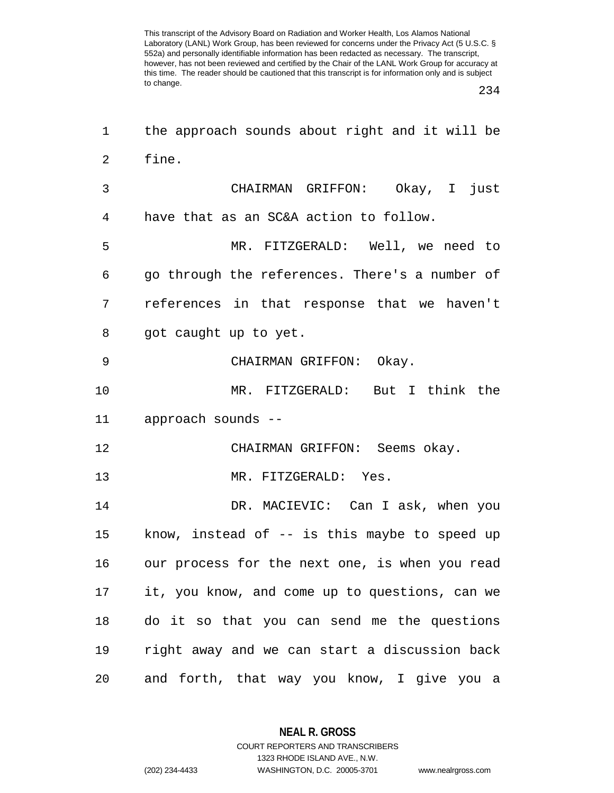234

| 1              | the approach sounds about right and it will be |
|----------------|------------------------------------------------|
| $\overline{2}$ | fine.                                          |
| 3              | CHAIRMAN GRIFFON: Okay, I just                 |
| 4              | have that as an SC&A action to follow.         |
| 5              | MR. FITZGERALD: Well, we need to               |
| 6              | go through the references. There's a number of |
| 7              | references in that response that we haven't    |
| 8              | got caught up to yet.                          |
| 9              | CHAIRMAN GRIFFON: Okay.                        |
| 10             | MR. FITZGERALD: But I think the                |
| 11             | approach sounds --                             |
| 12             | CHAIRMAN GRIFFON: Seems okay.                  |
| 13             | MR. FITZGERALD: Yes.                           |
| 14             | DR. MACIEVIC: Can I ask, when you              |
| 15             | know, instead of $-$ is this maybe to speed up |
| 16             | our process for the next one, is when you read |
| 17             | it, you know, and come up to questions, can we |
| 18             | do it so that you can send me the questions    |
| 19             | right away and we can start a discussion back  |
| 20             | and forth, that way you know, I give you a     |

**NEAL R. GROSS** COURT REPORTERS AND TRANSCRIBERS

1323 RHODE ISLAND AVE., N.W. (202) 234-4433 WASHINGTON, D.C. 20005-3701 www.nealrgross.com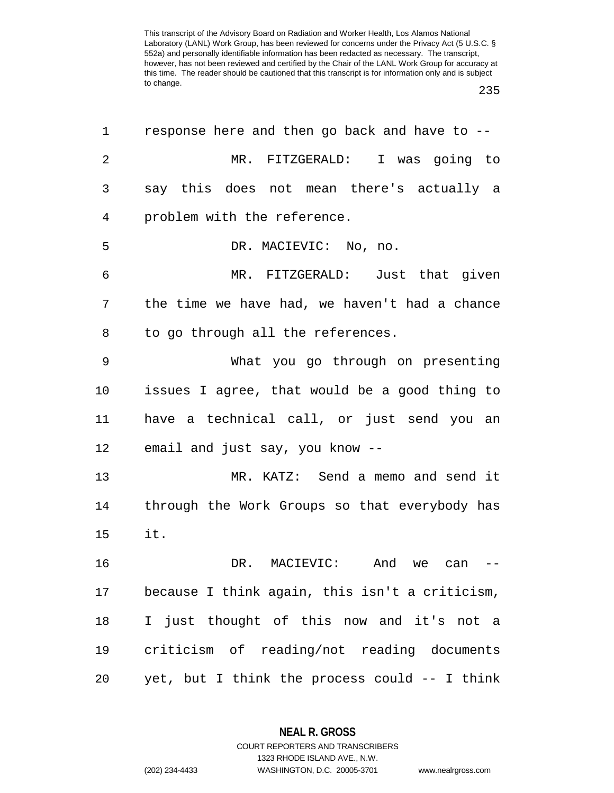235

| 1  | response here and then go back and have to --  |
|----|------------------------------------------------|
| 2  | MR. FITZGERALD: I was going to                 |
| 3  | say this does not mean there's actually a      |
| 4  | problem with the reference.                    |
| 5  | DR. MACIEVIC: No, no.                          |
| 6  | MR. FITZGERALD: Just that given                |
| 7  | the time we have had, we haven't had a chance  |
| 8  | to go through all the references.              |
| 9  | What you go through on presenting              |
| 10 | issues I agree, that would be a good thing to  |
| 11 | have a technical call, or just send you an     |
| 12 | email and just say, you know --                |
| 13 | MR. KATZ: Send a memo and send it              |
| 14 | through the Work Groups so that everybody has  |
| 15 | it.                                            |
| 16 | DR. MACIEVIC:<br>And<br>we<br>can              |
| 17 | because I think again, this isn't a criticism, |
| 18 | I just thought of this now and it's not a      |
| 19 | criticism of reading/not reading documents     |
| 20 | yet, but I think the process could -- I think  |

**NEAL R. GROSS** COURT REPORTERS AND TRANSCRIBERS

1323 RHODE ISLAND AVE., N.W.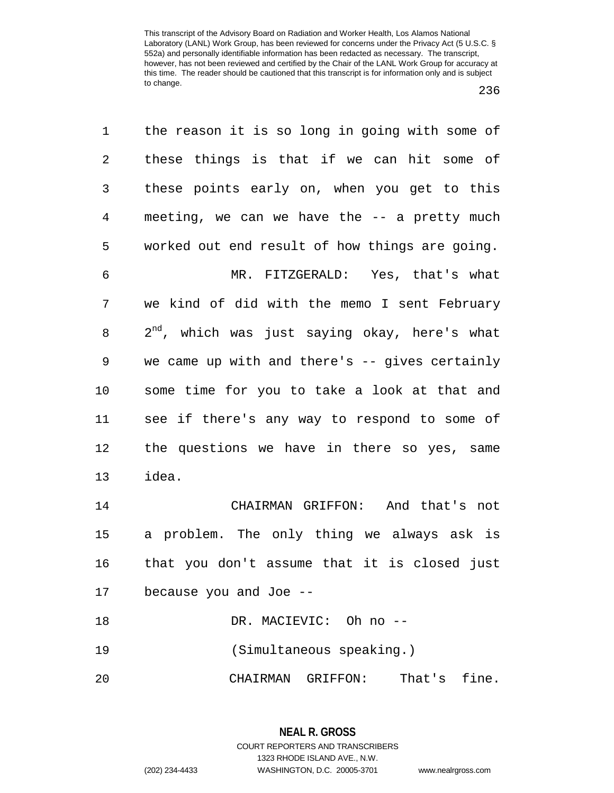| 1              | the reason it is so long in going with some of     |
|----------------|----------------------------------------------------|
| 2              | these things is that if we can hit some of         |
| 3              | these points early on, when you get to this        |
| $\overline{4}$ | meeting, we can we have the -- a pretty much       |
| 5              | worked out end result of how things are going.     |
| 6              | MR. FITZGERALD: Yes, that's what                   |
| 7              | we kind of did with the memo I sent February       |
| 8              | $2^{nd}$ , which was just saying okay, here's what |
| 9              | we came up with and there's $-$ - gives certainly  |
| 10             | some time for you to take a look at that and       |
| 11             | see if there's any way to respond to some of       |
| 12             | the questions we have in there so yes, same        |
| 13             | idea.                                              |
| 14             | CHAIRMAN GRIFFON: And that's not                   |
| 15             | a problem. The only thing we always ask is         |
| 16             | that you don't assume that it is closed just       |
| 17             | because you and Joe --                             |
| 18             | DR. MACIEVIC: Oh no --                             |
| 19             | (Simultaneous speaking.)                           |
| 20             | That's fine.<br>CHAIRMAN GRIFFON:                  |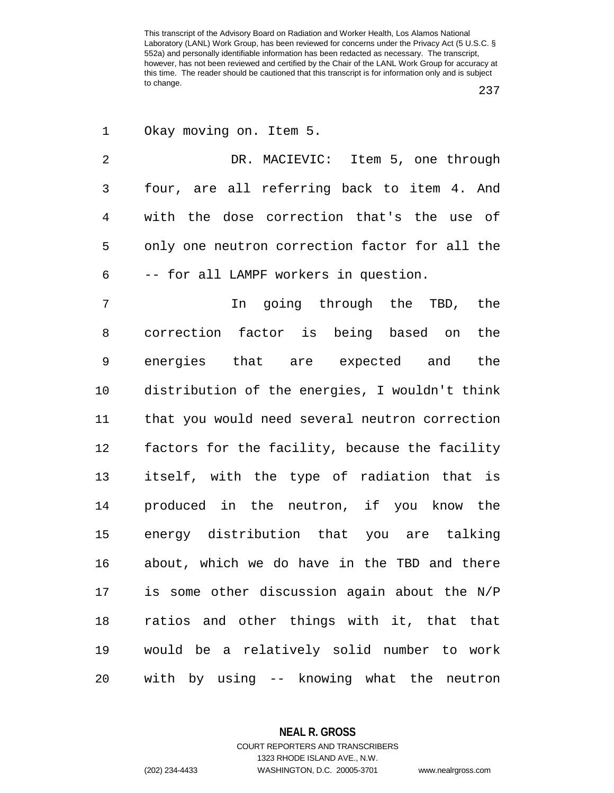237

1 Okay moving on. Item 5.

2 DR. MACIEVIC: Item 5, one through 3 four, are all referring back to item 4. And 4 with the dose correction that's the use of 5 only one neutron correction factor for all the 6 -- for all LAMPF workers in question.

7 In going through the TBD, the 8 correction factor is being based on the 9 energies that are expected and the 10 distribution of the energies, I wouldn't think 11 that you would need several neutron correction 12 factors for the facility, because the facility 13 itself, with the type of radiation that is 14 produced in the neutron, if you know the 15 energy distribution that you are talking 16 about, which we do have in the TBD and there 17 is some other discussion again about the N/P 18 ratios and other things with it, that that 19 would be a relatively solid number to work 20 with by using -- knowing what the neutron

**NEAL R. GROSS**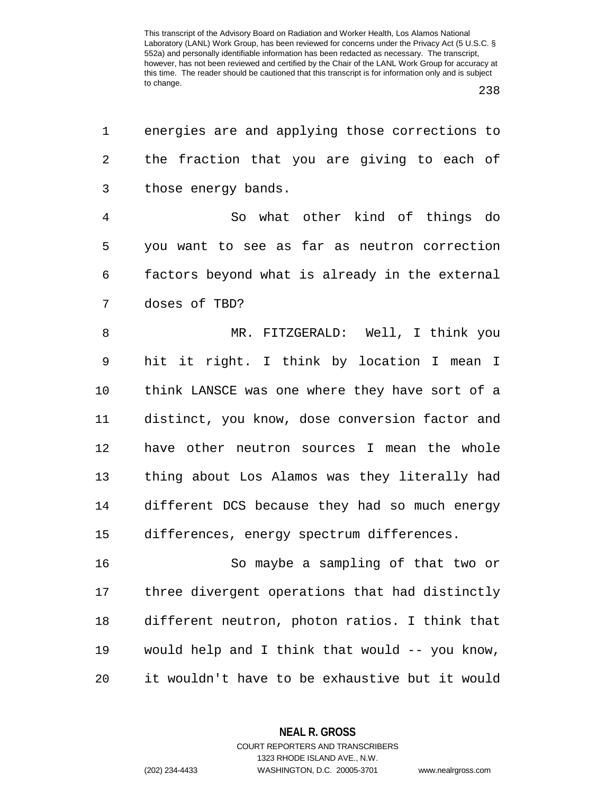238

| 1              | energies are and applying those corrections to |
|----------------|------------------------------------------------|
| 2              | the fraction that you are giving to each of    |
| 3              | those energy bands.                            |
| $\overline{4}$ | So what other kind of things do                |
| 5              | you want to see as far as neutron correction   |
| 6              | factors beyond what is already in the external |
| 7              | doses of TBD?                                  |
| 8              | MR. FITZGERALD: Well, I think you              |
| 9              | hit it right. I think by location I mean I     |
| 10             | think LANSCE was one where they have sort of a |
| 11             | distinct, you know, dose conversion factor and |
| 12             | have other neutron sources I mean the whole    |
| 13             | thing about Los Alamos was they literally had  |
| 14             | different DCS because they had so much energy  |
| 15             | differences, energy spectrum differences.      |
| 16             | So maybe a sampling of that two or             |
| 17             | three divergent operations that had distinctly |
| 18             | different neutron, photon ratios. I think that |
| 19             | would help and I think that would -- you know, |
| 20             | it wouldn't have to be exhaustive but it would |
|                |                                                |

**NEAL R. GROSS** COURT REPORTERS AND TRANSCRIBERS

1323 RHODE ISLAND AVE., N.W. (202) 234-4433 WASHINGTON, D.C. 20005-3701 www.nealrgross.com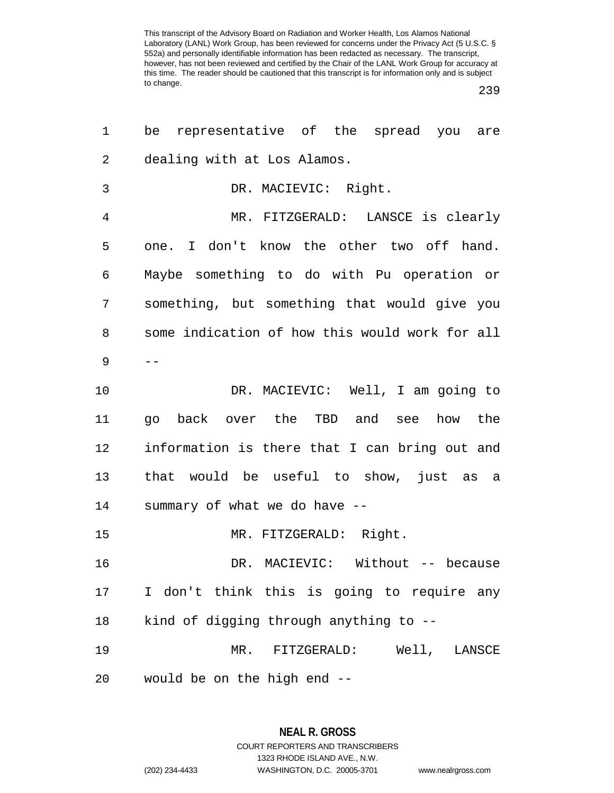239

| $\mathbf 1$    | be representative of the spread you<br>are     |
|----------------|------------------------------------------------|
| 2              | dealing with at Los Alamos.                    |
| 3              | DR. MACIEVIC: Right.                           |
| $\overline{4}$ | MR. FITZGERALD: LANSCE is clearly              |
| 5              | one. I don't know the other two off hand.      |
| 6              | Maybe something to do with Pu operation or     |
| 7              | something, but something that would give you   |
| 8              | some indication of how this would work for all |
| 9              |                                                |
| 10             | DR. MACIEVIC: Well, I am going to              |
| 11             | go back over the TBD and see how the           |
| 12             | information is there that I can bring out and  |
| 13             | that would be useful to show, just as a        |
| 14             | summary of what we do have --                  |
| 15             | MR. FITZGERALD: Right.                         |
| 16             | DR. MACIEVIC: Without -- because               |
| 17             | I don't think this is going to require any     |
| 18             | kind of digging through anything to --         |
| 19             | MR. FITZGERALD: Well, LANSCE                   |
| 20             | would be on the high end --                    |

## **NEAL R. GROSS**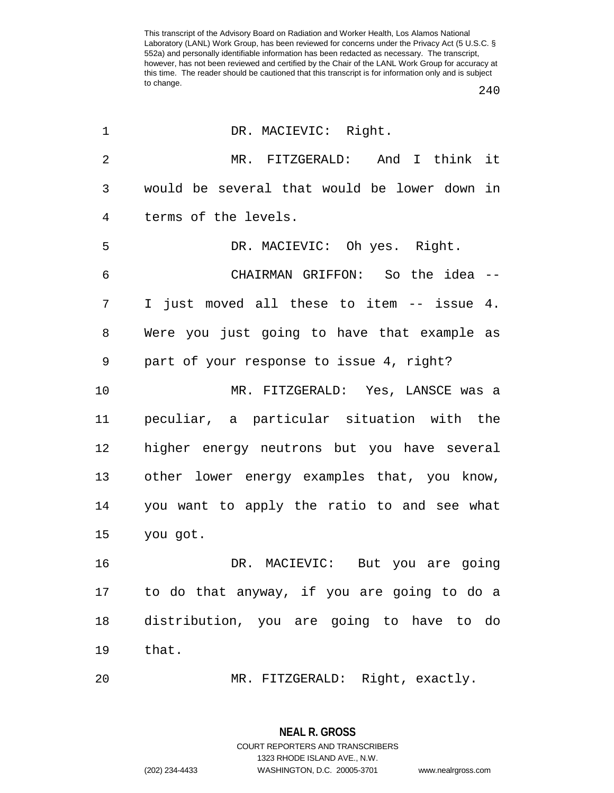240

| $\mathbf 1$    | DR. MACIEVIC: Right.                         |
|----------------|----------------------------------------------|
| $\overline{2}$ | MR. FITZGERALD: And I think it               |
| 3              | would be several that would be lower down in |
| 4              | terms of the levels.                         |
| 5              | DR. MACIEVIC: Oh yes. Right.                 |
| 6              | CHAIRMAN GRIFFON: So the idea --             |
| 7              | I just moved all these to item -- issue 4.   |
| 8              | Were you just going to have that example as  |
| 9              | part of your response to issue 4, right?     |
| 10             | MR. FITZGERALD: Yes, LANSCE was a            |
| 11             | peculiar, a particular situation with the    |
| 12             | higher energy neutrons but you have several  |
| 13             | other lower energy examples that, you know,  |
| 14             | you want to apply the ratio to and see what  |
| 15             | you got.                                     |
| 16             | DR. MACIEVIC: But you are going              |
| 17             | to do that anyway, if you are going to do a  |
| 18             | distribution, you are going to have to do    |
| 19             | that.                                        |
| 20             | MR. FITZGERALD: Right, exactly.              |

**NEAL R. GROSS** COURT REPORTERS AND TRANSCRIBERS 1323 RHODE ISLAND AVE., N.W.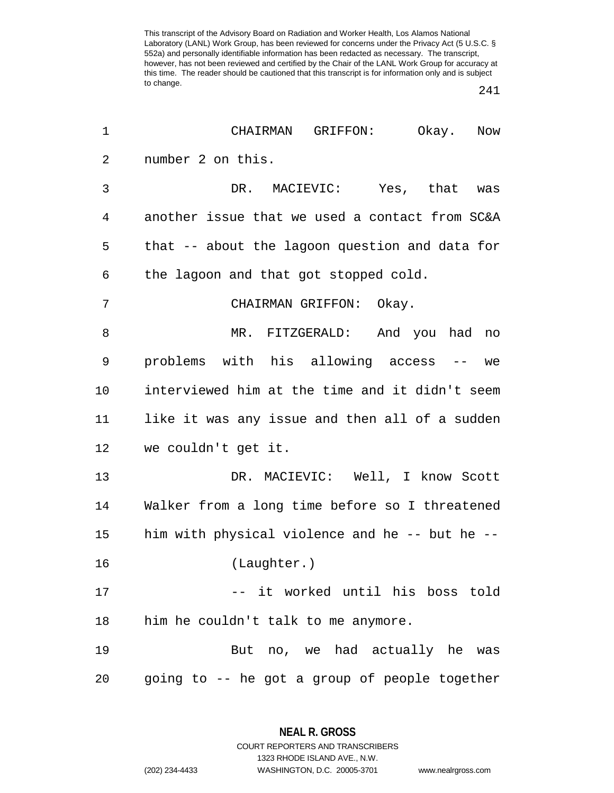241

| 1              | CHAIRMAN GRIFFON:<br>Okay. Now                 |
|----------------|------------------------------------------------|
| $\overline{2}$ | number 2 on this.                              |
| 3              | DR. MACIEVIC: Yes, that was                    |
| 4              | another issue that we used a contact from SC&A |
| 5              | that -- about the lagoon question and data for |
| 6              | the lagoon and that got stopped cold.          |
| 7              | CHAIRMAN GRIFFON: Okay.                        |
| 8              | MR. FITZGERALD: And you had no                 |
| 9              | problems with his allowing access -- we        |
| 10             | interviewed him at the time and it didn't seem |
| 11             | like it was any issue and then all of a sudden |
| 12             | we couldn't get it.                            |
| 13             | DR. MACIEVIC: Well, I know Scott               |
| 14             | Walker from a long time before so I threatened |
| 15             | him with physical violence and he -- but he -- |
| 16             | (Laughter.)                                    |
| 17             | -- it worked until his boss told               |
| 18             | him he couldn't talk to me anymore.            |
| 19             | But no, we had actually he was                 |
| 20             | going to -- he got a group of people together  |

**NEAL R. GROSS** COURT REPORTERS AND TRANSCRIBERS

1323 RHODE ISLAND AVE., N.W.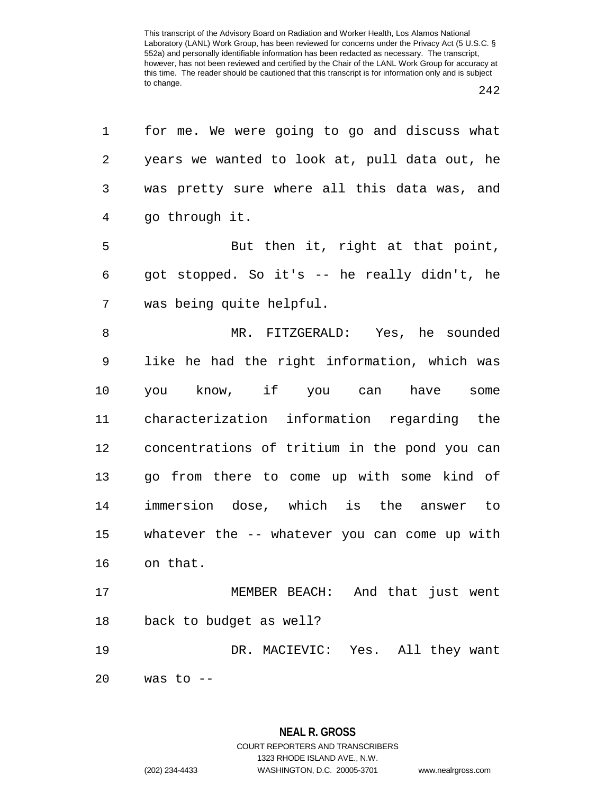| 1  | for me. We were going to go and discuss what  |
|----|-----------------------------------------------|
| 2  | years we wanted to look at, pull data out, he |
| 3  | was pretty sure where all this data was, and  |
| 4  | go through it.                                |
| 5  | But then it, right at that point,             |
| 6  | got stopped. So it's -- he really didn't, he  |
| 7  | was being quite helpful.                      |
| 8  | MR. FITZGERALD: Yes, he sounded               |
| 9  | like he had the right information, which was  |
| 10 | you know, if you can have<br>some             |
| 11 | characterization information regarding the    |
| 12 | concentrations of tritium in the pond you can |
| 13 | go from there to come up with some kind of    |
| 14 | immersion dose, which is the answer to        |
| 15 | whatever the -- whatever you can come up with |
| 16 | on that.                                      |
| 17 | MEMBER BEACH: And that just went              |
| 18 | back to budget as well?                       |
| 19 | DR. MACIEVIC: Yes. All they want              |
| 20 | was to $--$                                   |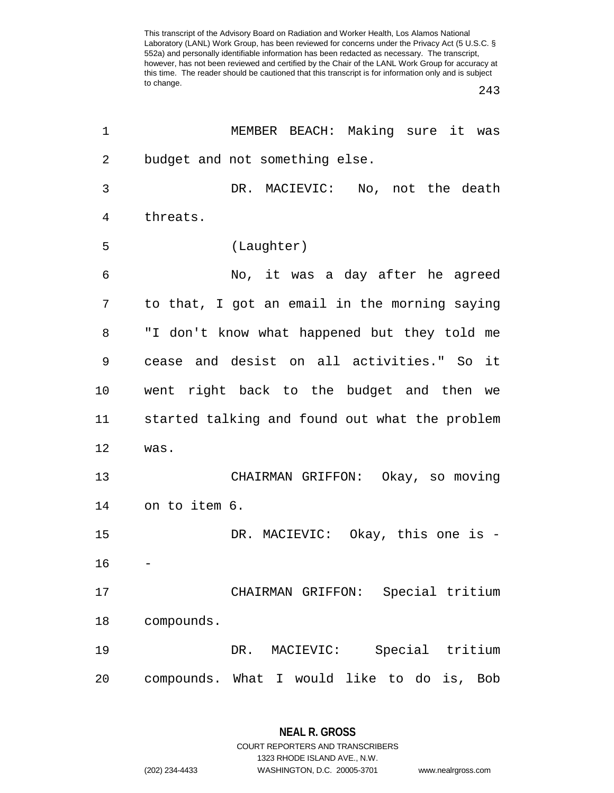243

| 1  | MEMBER BEACH: Making sure it was               |
|----|------------------------------------------------|
| 2  | budget and not something else.                 |
| 3  | DR. MACIEVIC: No, not the death                |
| 4  | threats.                                       |
| 5  | (Laughter)                                     |
| 6  | No, it was a day after he agreed               |
| 7  | to that, I got an email in the morning saying  |
| 8  | "I don't know what happened but they told me   |
| 9  | cease and desist on all activities." So it     |
| 10 | went right back to the budget and then we      |
| 11 | started talking and found out what the problem |
| 12 | was.                                           |
| 13 | CHAIRMAN GRIFFON: Okay, so moving              |
| 14 | on to item 6.                                  |
| 15 | DR. MACIEVIC: Okay, this one is -              |
| 16 |                                                |
| 17 | Special tritium<br>CHAIRMAN GRIFFON:           |
| 18 | compounds.                                     |
| 19 | Special tritium<br>MACIEVIC:<br>DR.            |
| 20 | compounds. What I would like to do is, Bob     |

**NEAL R. GROSS** COURT REPORTERS AND TRANSCRIBERS

1323 RHODE ISLAND AVE., N.W.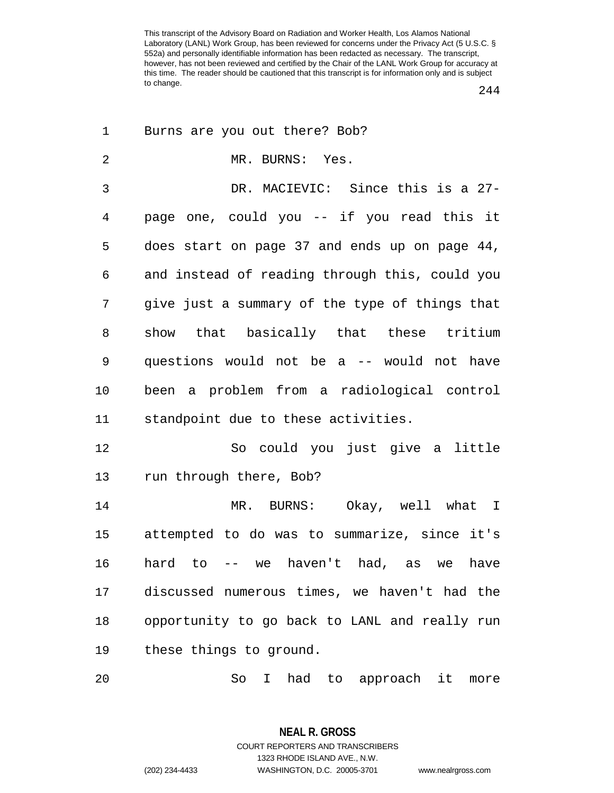244

| 1              | Burns are you out there? Bob?                       |
|----------------|-----------------------------------------------------|
| $\overline{2}$ | MR. BURNS: Yes.                                     |
| 3              | DR. MACIEVIC: Since this is a 27-                   |
| $\overline{4}$ | page one, could you -- if you read this it          |
| 5              | does start on page 37 and ends up on page 44,       |
| 6              | and instead of reading through this, could you      |
| 7              | give just a summary of the type of things that      |
| 8              | show that basically that these tritium              |
| 9              | questions would not be a -- would not have          |
| 10             | been a problem from a radiological control          |
| 11             | standpoint due to these activities.                 |
| 12             | So could you just give a little                     |
| 13             | run through there, Bob?                             |
| 14             | MR. BURNS: Okay, well what I                        |
| 15             | attempted to do was to summarize, since it's        |
| 16             | hard to -- we haven't had, as we<br>have            |
| 17             | discussed numerous times, we haven't had the        |
| 18             | opportunity to go back to LANL and really run       |
| 19             | these things to ground.                             |
| 20             | had<br>So<br>to approach it<br>$\mathbf{I}$<br>more |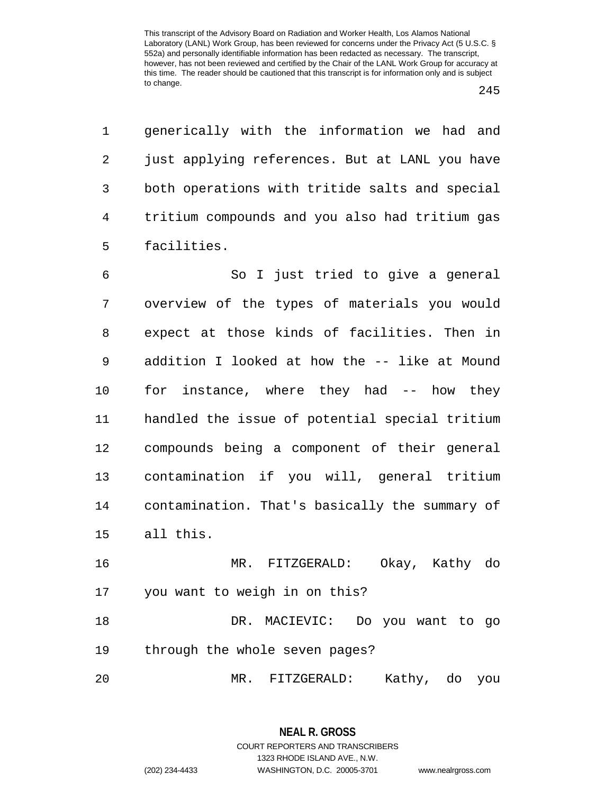1 generically with the information we had and 2 just applying references. But at LANL you have 3 both operations with tritide salts and special 4 tritium compounds and you also had tritium gas 5 facilities.

6 So I just tried to give a general 7 overview of the types of materials you would 8 expect at those kinds of facilities. Then in 9 addition I looked at how the -- like at Mound 10 for instance, where they had -- how they 11 handled the issue of potential special tritium 12 compounds being a component of their general 13 contamination if you will, general tritium 14 contamination. That's basically the summary of 15 all this.

16 MR. FITZGERALD: Okay, Kathy do 17 you want to weigh in on this?

18 DR. MACIEVIC: Do you want to go 19 through the whole seven pages?

20 MR. FITZGERALD: Kathy, do you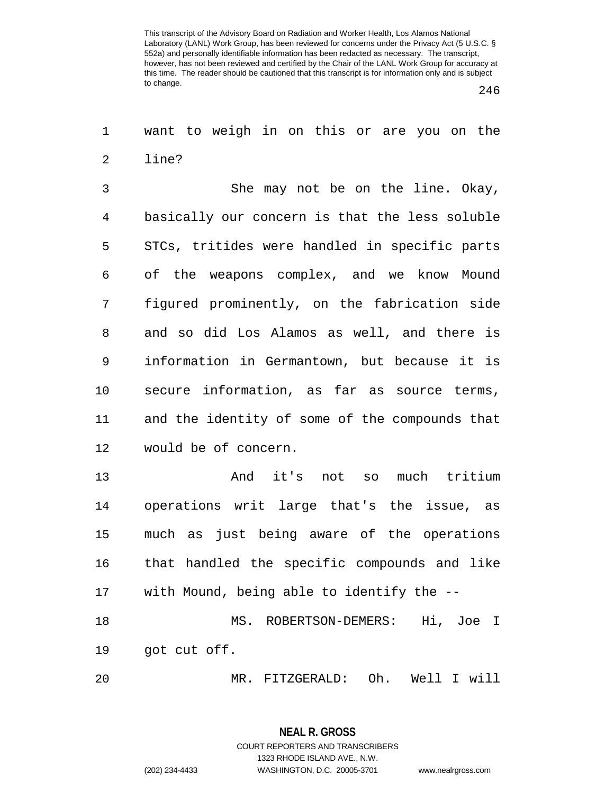246

1 want to weigh in on this or are you on the 2 line?

3 She may not be on the line. Okay, 4 basically our concern is that the less soluble 5 STCs, tritides were handled in specific parts 6 of the weapons complex, and we know Mound 7 figured prominently, on the fabrication side 8 and so did Los Alamos as well, and there is 9 information in Germantown, but because it is 10 secure information, as far as source terms, 11 and the identity of some of the compounds that 12 would be of concern.

13 And it's not so much tritium 14 operations writ large that's the issue, as 15 much as just being aware of the operations 16 that handled the specific compounds and like 17 with Mound, being able to identify the -- 18 MS. ROBERTSON-DEMERS: Hi, Joe I 19 got cut off.

20 MR. FITZGERALD: Oh. Well I will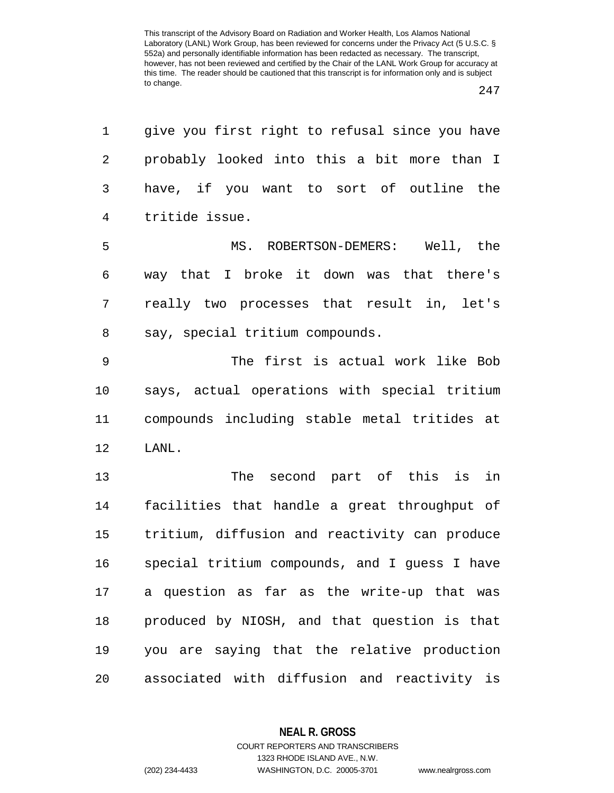| 1           | give you first right to refusal since you have |
|-------------|------------------------------------------------|
| 2           | probably looked into this a bit more than I    |
| 3           | have, if you want to sort of outline the       |
| 4           | tritide issue.                                 |
| 5           | MS. ROBERTSON-DEMERS: Well, the                |
| 6           | way that I broke it down was that there's      |
| 7           | really two processes that result in, let's     |
| 8           | say, special tritium compounds.                |
| $\mathsf 9$ | The first is actual work like Bob              |
| 10          | says, actual operations with special tritium   |
| 11          | compounds including stable metal tritides at   |
| 12          | LANL.                                          |
| 13          | The second part of this is<br>in               |
| 14          | facilities that handle a great throughput of   |
| 15          | tritium, diffusion and reactivity can produce  |
| 16          | special tritium compounds, and I guess I have  |
| 17          | a question as far as the write-up that was     |
| 18          | produced by NIOSH, and that question is that   |
| 19          | you are saying that the relative production    |
| 20          | associated with diffusion and reactivity is    |

**NEAL R. GROSS**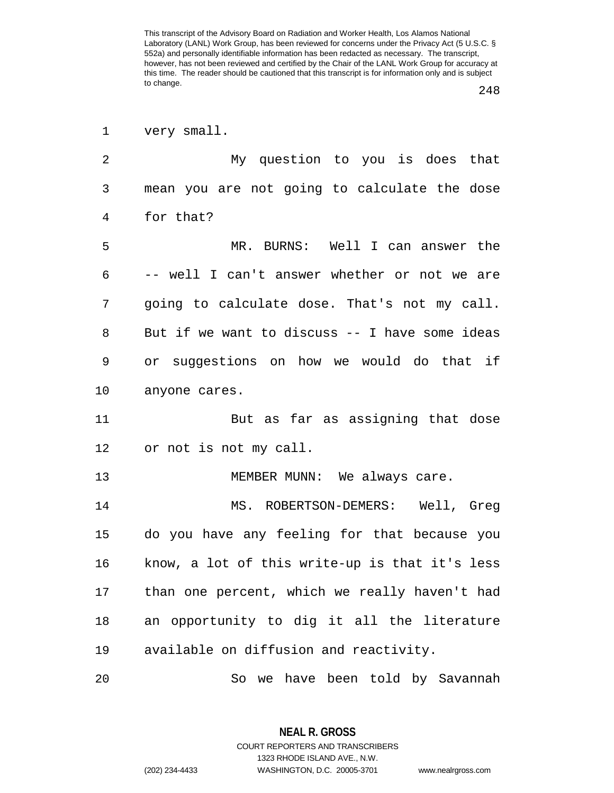248

|  | very small. |
|--|-------------|
|  |             |

2 My question to you is does that 3 mean you are not going to calculate the dose 4 for that? 5 MR. BURNS: Well I can answer the 6 -- well I can't answer whether or not we are 7 going to calculate dose. That's not my call. 8 But if we want to discuss -- I have some ideas 9 or suggestions on how we would do that if 10 anyone cares. 11 But as far as assigning that dose 12 or not is not my call. 13 MEMBER MUNN: We always care. 14 MS. ROBERTSON-DEMERS: Well, Greg 15 do you have any feeling for that because you 16 know, a lot of this write-up is that it's less 17 than one percent, which we really haven't had 18 an opportunity to dig it all the literature 19 available on diffusion and reactivity. 20 So we have been told by Savannah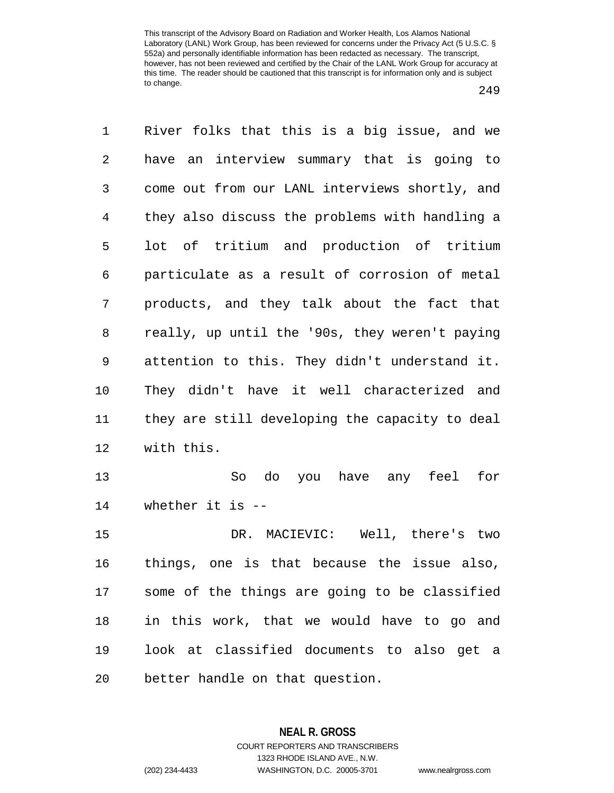1 River folks that this is a big issue, and we 2 have an interview summary that is going to 3 come out from our LANL interviews shortly, and 4 they also discuss the problems with handling a 5 lot of tritium and production of tritium 6 particulate as a result of corrosion of metal 7 products, and they talk about the fact that 8 really, up until the '90s, they weren't paying 9 attention to this. They didn't understand it. 10 They didn't have it well characterized and 11 they are still developing the capacity to deal 12 with this. 13 So do you have any feel for 14 whether it is -- 15 DR. MACIEVIC: Well, there's two 16 things, one is that because the issue also, 17 some of the things are going to be classified 18 in this work, that we would have to go and 19 look at classified documents to also get a 20 better handle on that question.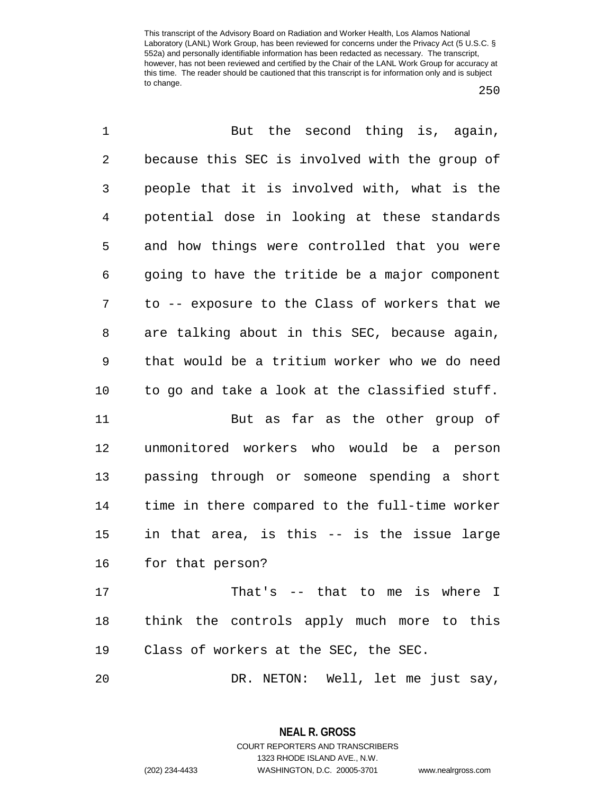| $\mathbf 1$ | But the second thing is, again,                |
|-------------|------------------------------------------------|
| $\sqrt{2}$  | because this SEC is involved with the group of |
| 3           | people that it is involved with, what is the   |
| 4           | potential dose in looking at these standards   |
| 5           | and how things were controlled that you were   |
| 6           | going to have the tritide be a major component |
| 7           | to -- exposure to the Class of workers that we |
| 8           | are talking about in this SEC, because again,  |
| $\mathsf 9$ | that would be a tritium worker who we do need  |
| 10          | to go and take a look at the classified stuff. |
| 11          | But as far as the other group of               |
| 12          | unmonitored workers who would be a person      |
| 13          | passing through or someone spending a short    |
| 14          | time in there compared to the full-time worker |
| 15          | in that area, is this -- is the issue large    |
| 16          | for that person?                               |
| 17          | That's -- that to me is where I                |
| 18          | think the controls apply much more to this     |
| 19          | Class of workers at the SEC, the SEC.          |
| 20          | DR. NETON: Well, let me just say,              |

**NEAL R. GROSS** COURT REPORTERS AND TRANSCRIBERS 1323 RHODE ISLAND AVE., N.W.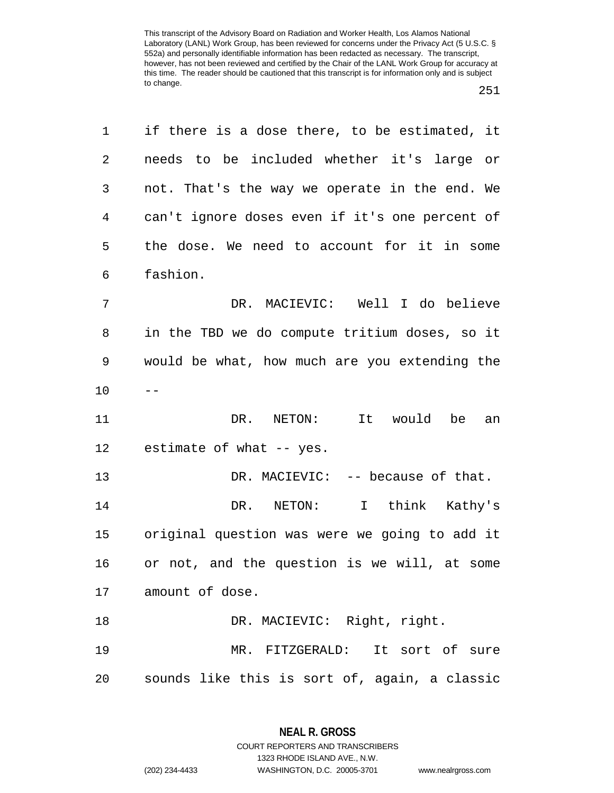| 1  | if there is a dose there, to be estimated, it  |
|----|------------------------------------------------|
| 2  | needs to be included whether it's large or     |
| 3  | not. That's the way we operate in the end. We  |
| 4  | can't ignore doses even if it's one percent of |
| 5  | the dose. We need to account for it in some    |
| 6  | fashion.                                       |
| 7  | DR. MACIEVIC: Well I do believe                |
| 8  | in the TBD we do compute tritium doses, so it  |
| 9  | would be what, how much are you extending the  |
| 10 |                                                |
| 11 | It would be<br>DR.<br>NETON:<br>an             |
| 12 | estimate of what $-$ yes.                      |
| 13 | DR. MACIEVIC: -- because of that.              |
| 14 | DR. NETON:<br>I think Kathy's                  |
| 15 | original question was were we going to add it  |
| 16 | or not, and the question is we will, at some   |
| 17 | amount of dose.                                |
| 18 | DR. MACIEVIC: Right, right.                    |
| 19 | MR. FITZGERALD: It sort of sure                |
| 20 | sounds like this is sort of, again, a classic  |

**NEAL R. GROSS** COURT REPORTERS AND TRANSCRIBERS

1323 RHODE ISLAND AVE., N.W.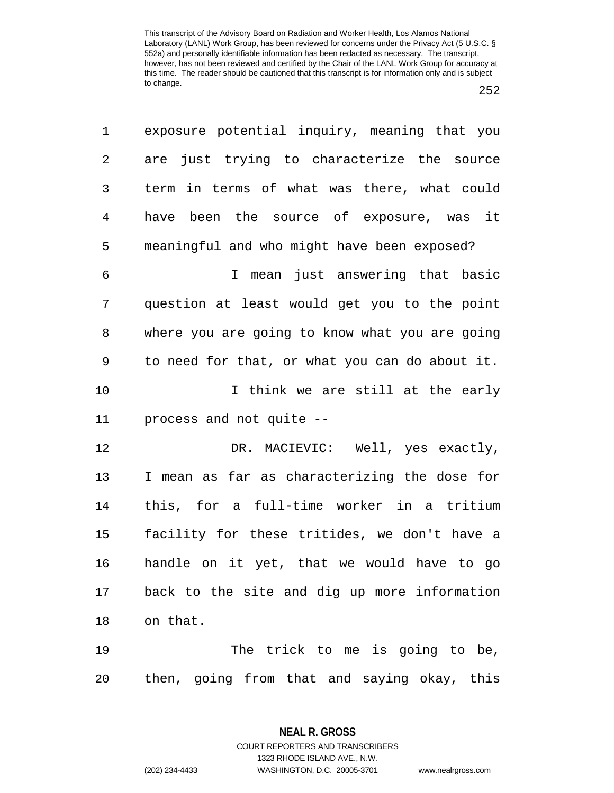| $\mathbf 1$    | exposure potential inquiry, meaning that you   |
|----------------|------------------------------------------------|
| $\overline{2}$ | are just trying to characterize the source     |
| $\mathfrak{Z}$ | term in terms of what was there, what could    |
| $\overline{4}$ | have been the source of exposure, was it       |
| 5              | meaningful and who might have been exposed?    |
| $\epsilon$     | I mean just answering that basic               |
| 7              | question at least would get you to the point   |
| 8              | where you are going to know what you are going |
| 9              | to need for that, or what you can do about it. |
| 10             | I think we are still at the early              |
| 11             | process and not quite --                       |
| 12             | DR. MACIEVIC: Well, yes exactly,               |
| 13             | I mean as far as characterizing the dose for   |
| 14             | this, for a full-time worker in a tritium      |
| 15             | facility for these tritides, we don't have a   |
| 16             | handle on it yet, that we would have to go     |
| 17             | back to the site and dig up more information   |
| 18             | on that.                                       |
| 19             | The trick to me is going to be,                |
| 20             | then, going from that and saying okay, this    |

**NEAL R. GROSS** COURT REPORTERS AND TRANSCRIBERS

1323 RHODE ISLAND AVE., N.W.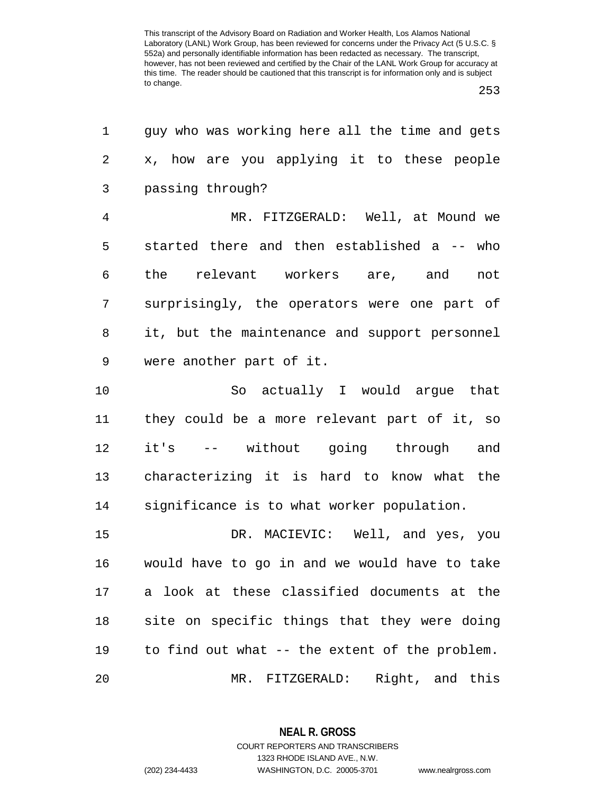253

| 1              | guy who was working here all the time and gets |
|----------------|------------------------------------------------|
| 2              | x, how are you applying it to these people     |
| 3              | passing through?                               |
| $\overline{4}$ | MR. FITZGERALD: Well, at Mound we              |
| 5              | started there and then established a -- who    |
| 6              | the relevant workers are, and<br>not           |
| 7              | surprisingly, the operators were one part of   |
| 8              | it, but the maintenance and support personnel  |
| 9              | were another part of it.                       |
| 10             | So actually I would argue that                 |
| 11             | they could be a more relevant part of it, so   |
| 12             | it's -- without going through<br>and           |
| 13             | characterizing it is hard to know what the     |
| 14             | significance is to what worker population.     |
| 15             | DR. MACIEVIC: Well, and yes, you               |
| 16             | would have to go in and we would have to take  |
| 17             | a look at these classified documents at the    |
| $18\,$         | site on specific things that they were doing   |
| 19             | to find out what -- the extent of the problem. |
| 20             | MR. FITZGERALD: Right, and this                |

**NEAL R. GROSS** COURT REPORTERS AND TRANSCRIBERS

1323 RHODE ISLAND AVE., N.W.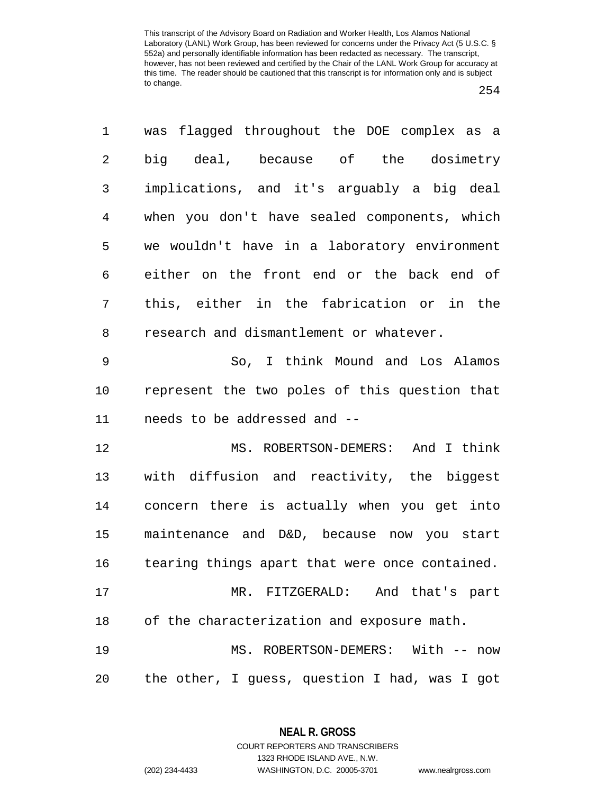| 1              | was flagged throughout the DOE complex as a    |
|----------------|------------------------------------------------|
| $\overline{2}$ | big deal, because of the dosimetry             |
| 3              | implications, and it's arguably a big deal     |
| $\overline{4}$ | when you don't have sealed components, which   |
| 5              | we wouldn't have in a laboratory environment   |
| 6              | either on the front end or the back end of     |
| 7              | this, either in the fabrication or in the      |
| 8              | research and dismantlement or whatever.        |
| $\mathsf 9$    | So, I think Mound and Los Alamos               |
| 10             | represent the two poles of this question that  |
| 11             | needs to be addressed and --                   |
| 12             | MS. ROBERTSON-DEMERS: And I think              |
| 13             | with diffusion and reactivity, the biggest     |
| 14             | concern there is actually when you get into    |
| 15             | maintenance and D&D, because now you start     |
| 16             | tearing things apart that were once contained. |
| 17             | MR. FITZGERALD: And that's part                |
| 18             | of the characterization and exposure math.     |
| 19             | MS. ROBERTSON-DEMERS: With -- now              |
| 20             | the other, I guess, question I had, was I got  |

**NEAL R. GROSS** COURT REPORTERS AND TRANSCRIBERS

1323 RHODE ISLAND AVE., N.W. (202) 234-4433 WASHINGTON, D.C. 20005-3701 www.nealrgross.com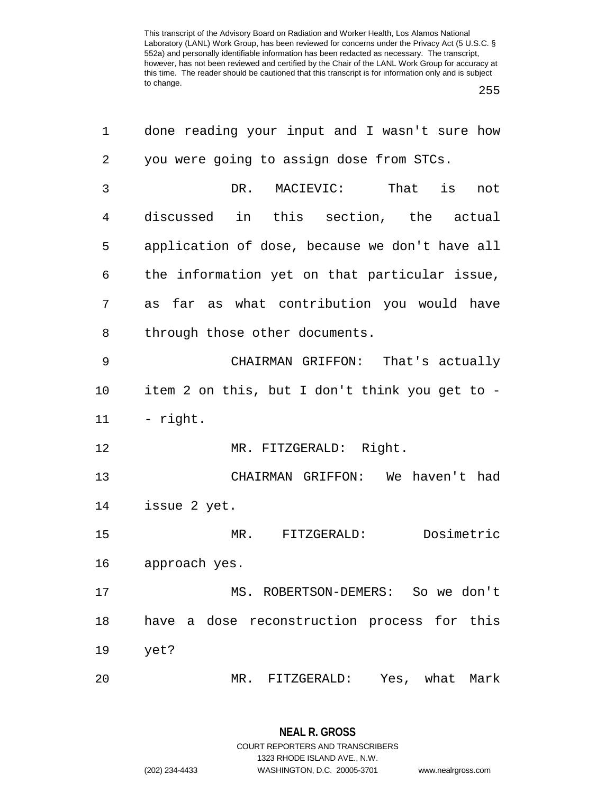255

| 1  | done reading your input and I wasn't sure how  |
|----|------------------------------------------------|
| 2  | you were going to assign dose from STCs.       |
| 3  | MACIEVIC:<br>That is not<br>DR.                |
| 4  | discussed in this section, the actual          |
| 5  | application of dose, because we don't have all |
| 6  | the information yet on that particular issue,  |
| 7  | far as what contribution you would have<br>as  |
| 8  | through those other documents.                 |
| 9  | CHAIRMAN GRIFFON: That's actually              |
| 10 | item 2 on this, but I don't think you get to - |
| 11 | - right.                                       |
| 12 | MR. FITZGERALD: Right.                         |
| 13 | CHAIRMAN GRIFFON: We haven't had               |
| 14 | issue 2 yet.                                   |
| 15 | Dosimetric<br>MR. FITZGERALD:                  |
| 16 | approach yes.                                  |
| 17 | MS. ROBERTSON-DEMERS: So we don't              |
| 18 | have a dose reconstruction process for this    |
| 19 | yet?                                           |
| 20 | MR. FITZGERALD:<br>Yes, what<br>Mark           |

**NEAL R. GROSS** COURT REPORTERS AND TRANSCRIBERS 1323 RHODE ISLAND AVE., N.W. (202) 234-4433 WASHINGTON, D.C. 20005-3701 www.nealrgross.com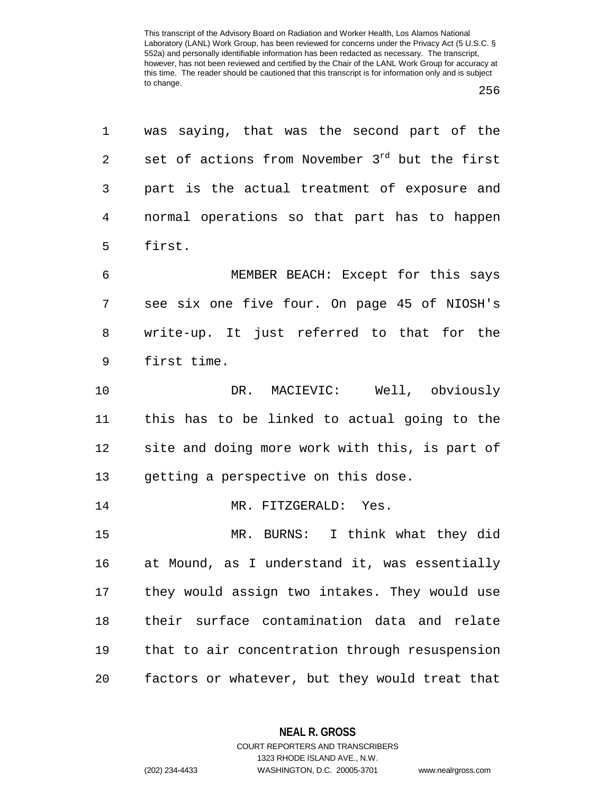| 1              | was saying, that was the second part of the                |
|----------------|------------------------------------------------------------|
| 2              | set of actions from November 3 <sup>rd</sup> but the first |
| 3              | part is the actual treatment of exposure and               |
| $\overline{4}$ | normal operations so that part has to happen               |
| 5              | first.                                                     |
| 6              | MEMBER BEACH: Except for this says                         |
| 7              | see six one five four. On page 45 of NIOSH's               |
| 8              | write-up. It just referred to that for the                 |
| 9              | first time.                                                |
| 10             | DR. MACIEVIC: Well, obviously                              |
| 11             | this has to be linked to actual going to the               |
| 12             | site and doing more work with this, is part of             |
| 13             | getting a perspective on this dose.                        |
| 14             | MR. FITZGERALD: Yes.                                       |
| 15             | MR. BURNS: I think what they did                           |
| 16             | at Mound, as I understand it, was essentially              |
| 17             | they would assign two intakes. They would use              |
| 18             | their surface contamination data and relate                |
| 19             | that to air concentration through resuspension             |
| $20$           | factors or whatever, but they would treat that             |

**NEAL R. GROSS** COURT REPORTERS AND TRANSCRIBERS

1323 RHODE ISLAND AVE., N.W.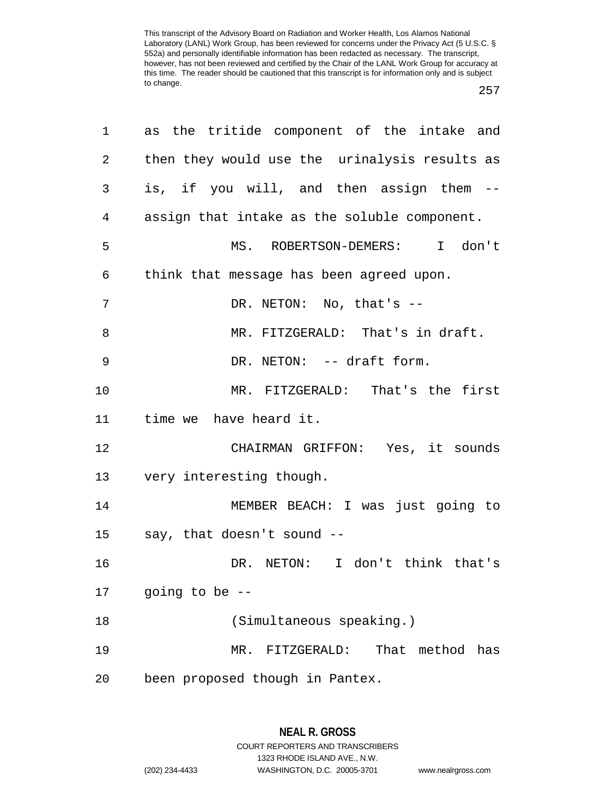257

| 1  | as the tritide component of the intake and    |
|----|-----------------------------------------------|
| 2  | then they would use the urinalysis results as |
| 3  | is, if you will, and then assign them --      |
| 4  | assign that intake as the soluble component.  |
| 5  | MS. ROBERTSON-DEMERS: I don't                 |
| 6  | think that message has been agreed upon.      |
| 7  | DR. NETON: No, that's --                      |
| 8  | MR. FITZGERALD: That's in draft.              |
| 9  | DR. NETON: -- draft form.                     |
| 10 | MR. FITZGERALD: That's the first              |
| 11 | time we have heard it.                        |
| 12 | CHAIRMAN GRIFFON: Yes, it sounds              |
| 13 | very interesting though.                      |
| 14 | MEMBER BEACH: I was just going to             |
| 15 | say, that doesn't sound --                    |
| 16 | DR. NETON: I don't think that's               |
| 17 | going to be --                                |
| 18 | (Simultaneous speaking.)                      |
| 19 | MR. FITZGERALD: That method has               |
| 20 | been proposed though in Pantex.               |

1323 RHODE ISLAND AVE., N.W.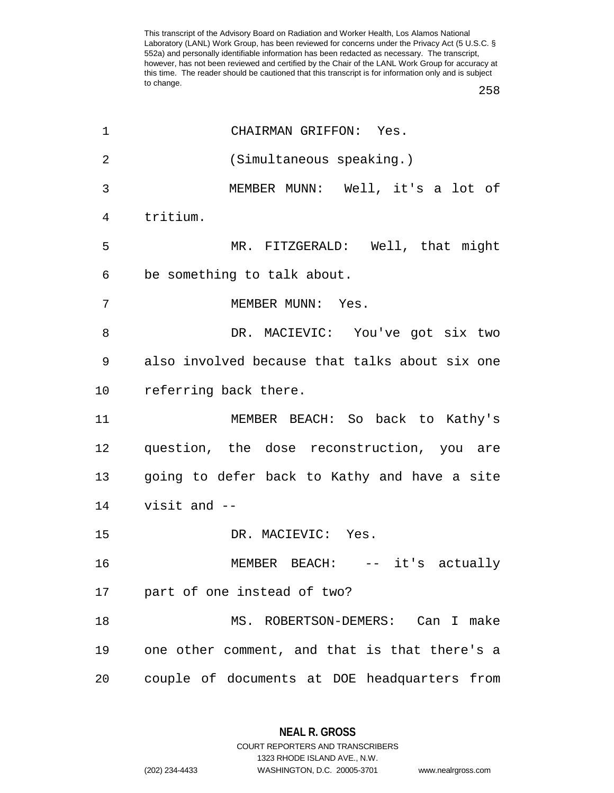258

| $\mathbf 1$ | CHAIRMAN GRIFFON: Yes.                          |
|-------------|-------------------------------------------------|
| 2           | (Simultaneous speaking.)                        |
| 3           | MEMBER MUNN: Well, it's a lot of                |
| 4           | tritium.                                        |
| 5           | MR. FITZGERALD: Well, that might                |
| 6           | be something to talk about.                     |
| 7           | MEMBER MUNN: Yes.                               |
| 8           | DR. MACIEVIC: You've got six two                |
| 9           | also involved because that talks about six one  |
| 10          | referring back there.                           |
| 11          | MEMBER BEACH: So back to Kathy's                |
| 12          | question, the dose reconstruction, you are      |
| 13          | going to defer back to Kathy and have a site    |
| 14          | visit and $-$                                   |
| 15          | DR. MACIEVIC: Yes.                              |
| 16          | MEMBER BEACH: -- it's actually                  |
| 17          | part of one instead of two?                     |
| 18          | MS. ROBERTSON-DEMERS: Can I make                |
| 19          | one other comment, and that is that there's a   |
| 20          | couple of documents at DOE headquarters<br>from |

**NEAL R. GROSS** COURT REPORTERS AND TRANSCRIBERS

1323 RHODE ISLAND AVE., N.W. (202) 234-4433 WASHINGTON, D.C. 20005-3701 www.nealrgross.com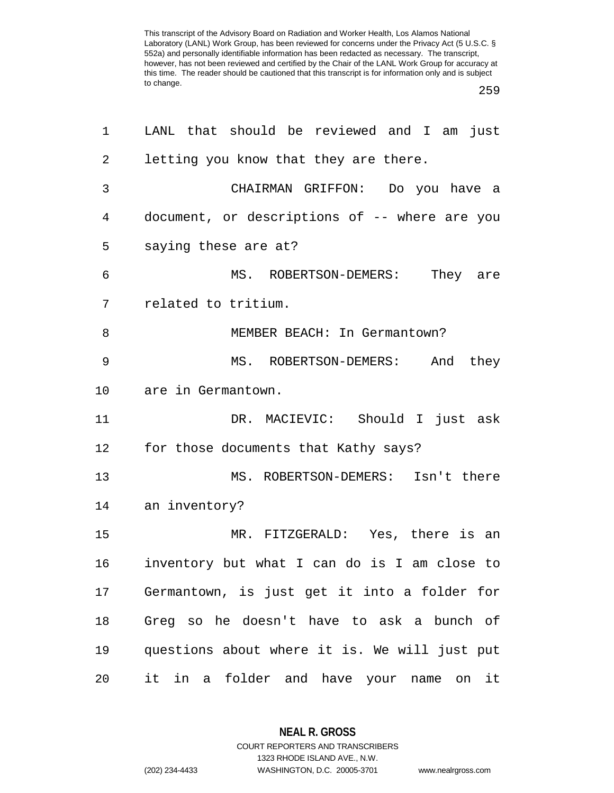259

| 1                   | LANL that should be reviewed and I am just    |
|---------------------|-----------------------------------------------|
| 2                   | letting you know that they are there.         |
| 3                   | CHAIRMAN GRIFFON: Do you have a               |
| 4                   | document, or descriptions of -- where are you |
| 5                   | saying these are at?                          |
| 6                   | MS. ROBERTSON-DEMERS: They are                |
| 7                   | related to tritium.                           |
| 8                   | MEMBER BEACH: In Germantown?                  |
| 9                   | MS. ROBERTSON-DEMERS: And they                |
| 10                  | are in Germantown.                            |
| 11                  | DR. MACIEVIC: Should I just ask               |
| 12                  | for those documents that Kathy says?          |
| 13                  | MS. ROBERTSON-DEMERS: Isn't there             |
| 14<br>an inventory? |                                               |
| 15                  | MR. FITZGERALD: Yes, there is an              |
| 16                  | inventory but what I can do is I am close to  |
| 17                  | Germantown, is just get it into a folder for  |
| 18                  | Greg so he doesn't have to ask a bunch of     |
| 19                  | questions about where it is. We will just put |
| 20                  | it in a folder and have your name on it       |

**NEAL R. GROSS** COURT REPORTERS AND TRANSCRIBERS

1323 RHODE ISLAND AVE., N.W.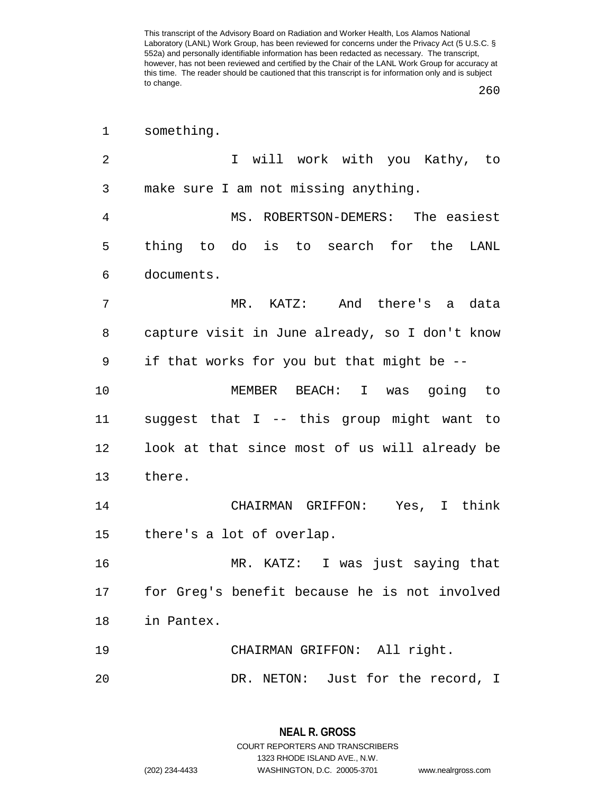260

| 1  | something.                                     |
|----|------------------------------------------------|
| 2  | I will work with you Kathy, to                 |
| 3  | make sure I am not missing anything.           |
| 4  | MS. ROBERTSON-DEMERS: The easiest              |
| 5  | thing to do is to search for the<br>LANL       |
| 6  | documents.                                     |
| 7  | MR. KATZ: And there's a data                   |
| 8  | capture visit in June already, so I don't know |
| 9  | if that works for you but that might be --     |
| 10 | MEMBER BEACH: I was going to                   |
| 11 | suggest that I -- this group might want to     |
| 12 | look at that since most of us will already be  |
| 13 | there.                                         |
| 14 | CHAIRMAN GRIFFON: Yes, I think                 |
| 15 | there's a lot of overlap.                      |
| 16 | MR. KATZ: I was just saying that               |
| 17 | for Greg's benefit because he is not involved  |
| 18 | in Pantex.                                     |
| 19 | CHAIRMAN GRIFFON: All right.                   |
| 20 | DR. NETON: Just for the record, I              |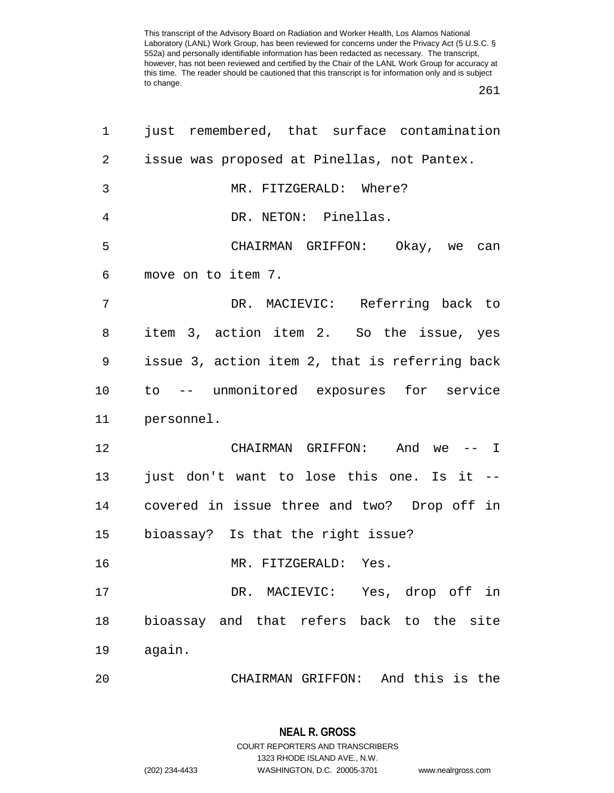261

| 1              | just remembered, that surface contamination    |
|----------------|------------------------------------------------|
| $\overline{2}$ | issue was proposed at Pinellas, not Pantex.    |
| 3              | MR. FITZGERALD: Where?                         |
| 4              | DR. NETON: Pinellas.                           |
| 5              | CHAIRMAN GRIFFON: Okay, we can                 |
| 6              | move on to item 7.                             |
| 7              | DR. MACIEVIC: Referring back to                |
| 8              | item 3, action item 2. So the issue, yes       |
| 9              | issue 3, action item 2, that is referring back |
| 10             | to -- unmonitored exposures for service        |
| 11             | personnel.                                     |
| 12             | CHAIRMAN GRIFFON: And we -- I                  |
| 13             | just don't want to lose this one. Is it --     |
| 14             | covered in issue three and two? Drop off in    |
| 15             | bioassay? Is that the right issue?             |
| 16             | MR. FITZGERALD: Yes.                           |
| 17             | DR. MACIEVIC: Yes, drop off in                 |
| 18             | bioassay and that refers back to the site      |
| 19             | again.                                         |
| 20             | CHAIRMAN GRIFFON: And this is the              |

**NEAL R. GROSS** COURT REPORTERS AND TRANSCRIBERS 1323 RHODE ISLAND AVE., N.W. (202) 234-4433 WASHINGTON, D.C. 20005-3701 www.nealrgross.com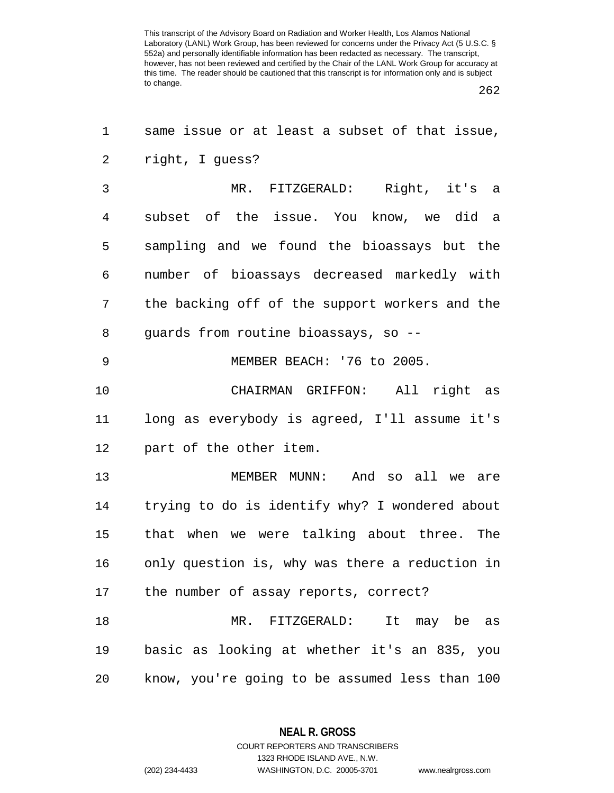262

| 1  | same issue or at least a subset of that issue, |
|----|------------------------------------------------|
| 2  | right, I guess?                                |
| 3  | MR. FITZGERALD: Right, it's a                  |
| 4  | subset of the issue. You know, we did a        |
| 5  | sampling and we found the bioassays but the    |
| 6  | number of bioassays decreased markedly with    |
| 7  | the backing off of the support workers and the |
| 8  | guards from routine bioassays, so --           |
| 9  | MEMBER BEACH: '76 to 2005.                     |
| 10 | CHAIRMAN GRIFFON: All right as                 |
| 11 | long as everybody is agreed, I'll assume it's  |
| 12 | part of the other item.                        |
| 13 | MEMBER MUNN: And so all we are                 |
| 14 | trying to do is identify why? I wondered about |
| 15 | that when we were talking about three. The     |
| 16 | only question is, why was there a reduction in |
|    | 17 the number of assay reports, correct?       |
| 18 | MR. FITZGERALD: It may be as                   |
| 19 | basic as looking at whether it's an 835, you   |
| 20 | know, you're going to be assumed less than 100 |

**NEAL R. GROSS** COURT REPORTERS AND TRANSCRIBERS

1323 RHODE ISLAND AVE., N.W. (202) 234-4433 WASHINGTON, D.C. 20005-3701 www.nealrgross.com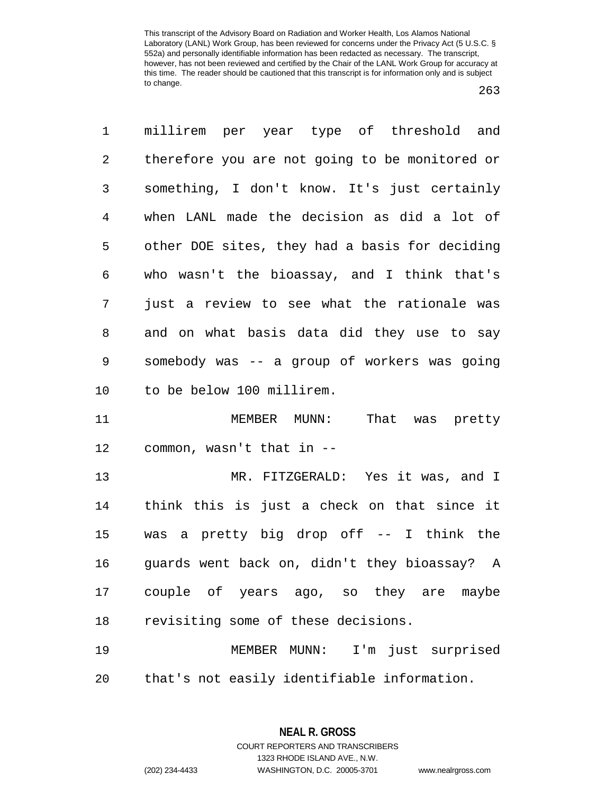263

1 millirem per year type of threshold and 2 therefore you are not going to be monitored or 3 something, I don't know. It's just certainly 4 when LANL made the decision as did a lot of 5 other DOE sites, they had a basis for deciding 6 who wasn't the bioassay, and I think that's 7 just a review to see what the rationale was 8 and on what basis data did they use to say 9 somebody was -- a group of workers was going 10 to be below 100 millirem. 11 MEMBER MUNN: That was pretty 12 common, wasn't that in -- 13 MR. FITZGERALD: Yes it was, and I 14 think this is just a check on that since it 15 was a pretty big drop off -- I think the 16 guards went back on, didn't they bioassay? A 17 couple of years ago, so they are maybe 18 revisiting some of these decisions. 19 MEMBER MUNN: I'm just surprised 20 that's not easily identifiable information.

1323 RHODE ISLAND AVE., N.W.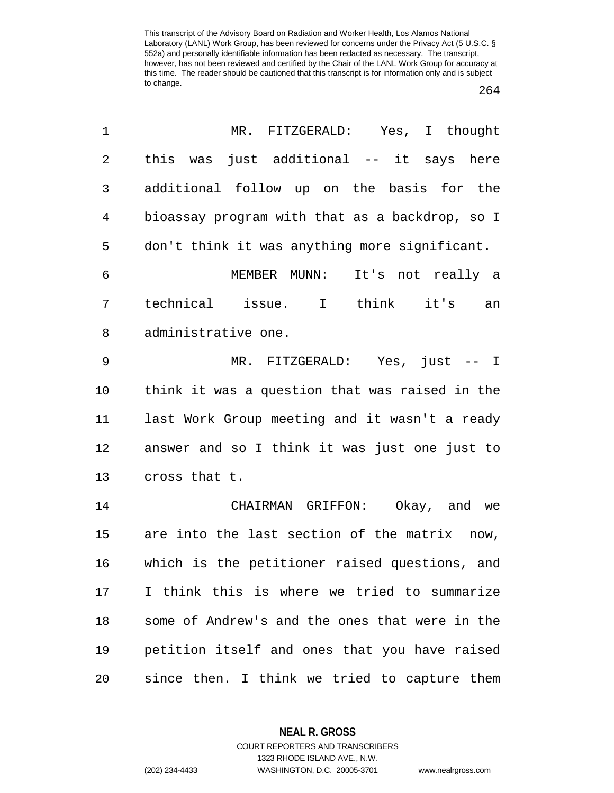264

| 1              | MR.<br>FITZGERALD: Yes, I thought               |
|----------------|-------------------------------------------------|
| $\overline{2}$ | just additional -- it says here<br>this was     |
| 3              | additional follow up on the basis for the       |
| 4              | bioassay program with that as a backdrop, so I  |
| 5              | don't think it was anything more significant.   |
| 6              | MEMBER MUNN: It's not really a                  |
| 7              | technical issue. I think<br>it's<br>an          |
| 8              | administrative one.                             |
| $\mathsf 9$    | MR. FITZGERALD: Yes, just -- I                  |
| 10             | think it was a question that was raised in the  |
| 11             | last Work Group meeting and it wasn't a ready   |
| 12             | answer and so I think it was just one just to   |
| 13             | cross that t.                                   |
| 14             | CHAIRMAN GRIFFON: Okay, and we                  |
| 15             | are into the last section of the matrix<br>now, |
| 16             | which is the petitioner raised questions, and   |
| 17             | I think this is where we tried to summarize     |
| 18             | some of Andrew's and the ones that were in the  |
| 19             | petition itself and ones that you have raised   |
| 20             | since then. I think we tried to capture them    |

**NEAL R. GROSS**

COURT REPORTERS AND TRANSCRIBERS 1323 RHODE ISLAND AVE., N.W. (202) 234-4433 WASHINGTON, D.C. 20005-3701 www.nealrgross.com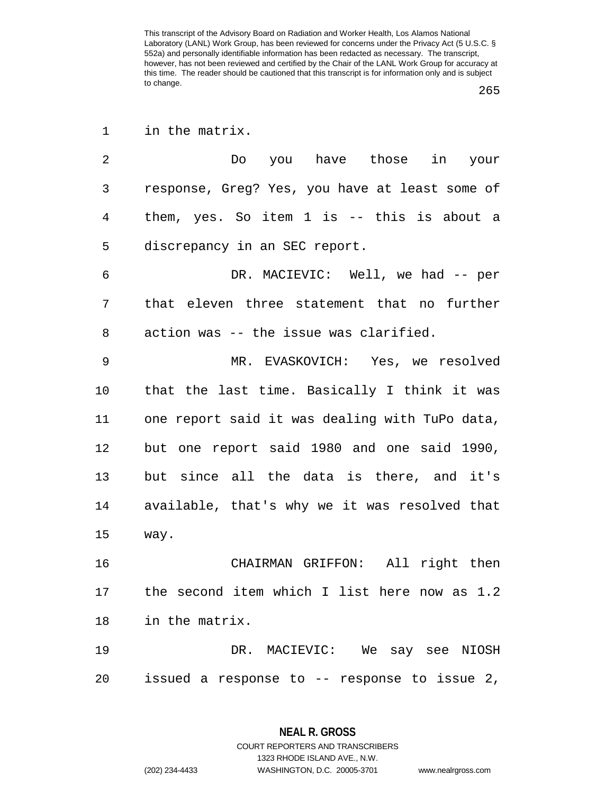1 in the matrix.

2 Do you have those in your 3 response, Greg? Yes, you have at least some of 4 them, yes. So item 1 is -- this is about a 5 discrepancy in an SEC report.

6 DR. MACIEVIC: Well, we had -- per 7 that eleven three statement that no further 8 action was -- the issue was clarified.

9 MR. EVASKOVICH: Yes, we resolved 10 that the last time. Basically I think it was 11 one report said it was dealing with TuPo data, 12 but one report said 1980 and one said 1990, 13 but since all the data is there, and it's 14 available, that's why we it was resolved that 15 way.

16 CHAIRMAN GRIFFON: All right then 17 the second item which I list here now as 1.2 18 in the matrix.

19 DR. MACIEVIC: We say see NIOSH 20 issued a response to -- response to issue 2,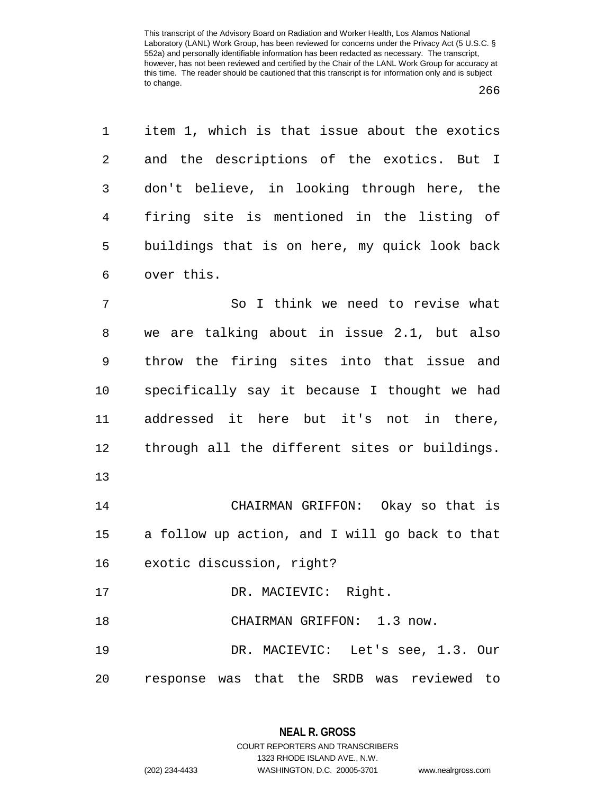1 item 1, which is that issue about the exotics 2 and the descriptions of the exotics. But I 3 don't believe, in looking through here, the 4 firing site is mentioned in the listing of 5 buildings that is on here, my quick look back 6 over this.

7 So I think we need to revise what 8 we are talking about in issue 2.1, but also 9 throw the firing sites into that issue and 10 specifically say it because I thought we had 11 addressed it here but it's not in there, 12 through all the different sites or buildings. 13

14 CHAIRMAN GRIFFON: Okay so that is 15 a follow up action, and I will go back to that 16 exotic discussion, right?

17 DR. MACIEVIC: Right.

18 CHAIRMAN GRIFFON: 1.3 now.

19 DR. MACIEVIC: Let's see, 1.3. Our 20 response was that the SRDB was reviewed to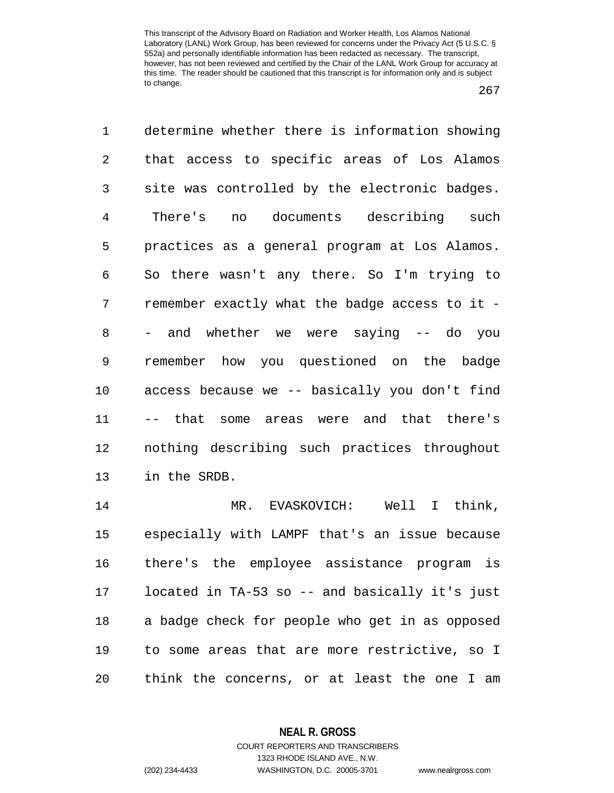267

1 determine whether there is information showing 2 that access to specific areas of Los Alamos 3 site was controlled by the electronic badges. 4 There's no documents describing such 5 practices as a general program at Los Alamos. 6 So there wasn't any there. So I'm trying to 7 remember exactly what the badge access to it - 8 - and whether we were saying -- do you 9 remember how you questioned on the badge 10 access because we -- basically you don't find 11 -- that some areas were and that there's 12 nothing describing such practices throughout 13 in the SRDB. 14 MR. EVASKOVICH: Well I think, 15 especially with LAMPF that's an issue because 16 there's the employee assistance program is 17 located in TA-53 so -- and basically it's just 18 a badge check for people who get in as opposed

19 to some areas that are more restrictive, so I 20 think the concerns, or at least the one I am

**NEAL R. GROSS**

COURT REPORTERS AND TRANSCRIBERS 1323 RHODE ISLAND AVE., N.W. (202) 234-4433 WASHINGTON, D.C. 20005-3701 www.nealrgross.com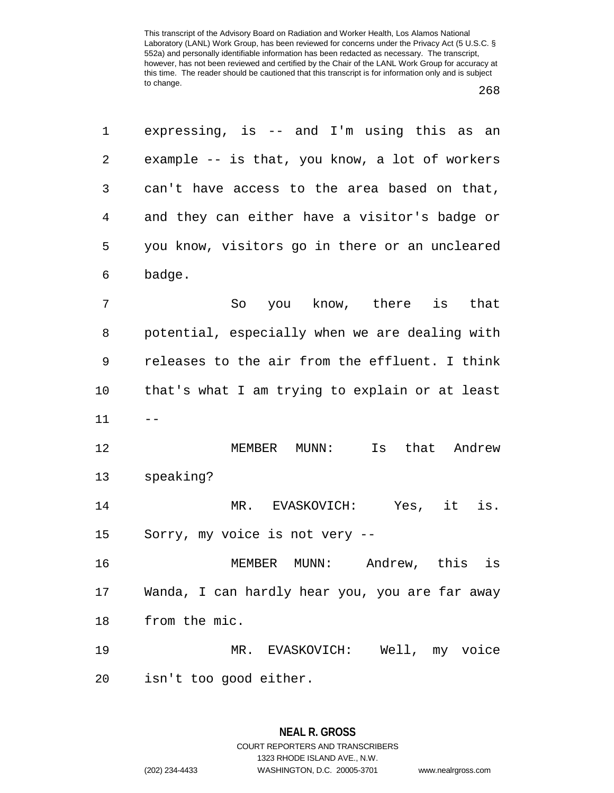| 1  | expressing, is $-$ and I'm using this as an    |
|----|------------------------------------------------|
| 2  | example -- is that, you know, a lot of workers |
| 3  | can't have access to the area based on that,   |
| 4  | and they can either have a visitor's badge or  |
| 5  | you know, visitors go in there or an uncleared |
| 6  | badge.                                         |
| 7  | So you know, there is that                     |
| 8  | potential, especially when we are dealing with |
| 9  | releases to the air from the effluent. I think |
| 10 | that's what I am trying to explain or at least |
| 11 |                                                |
| 12 | that Andrew<br>MEMBER<br>$MUNN$ :<br>Is        |
| 13 | speaking?                                      |
| 14 | Yes, it is.<br>EVASKOVICH:<br>$MR$ .           |

15 Sorry, my voice is not very --

16 MEMBER MUNN: Andrew, this is 17 Wanda, I can hardly hear you, you are far away 18 from the mic.

19 MR. EVASKOVICH: Well, my voice 20 isn't too good either.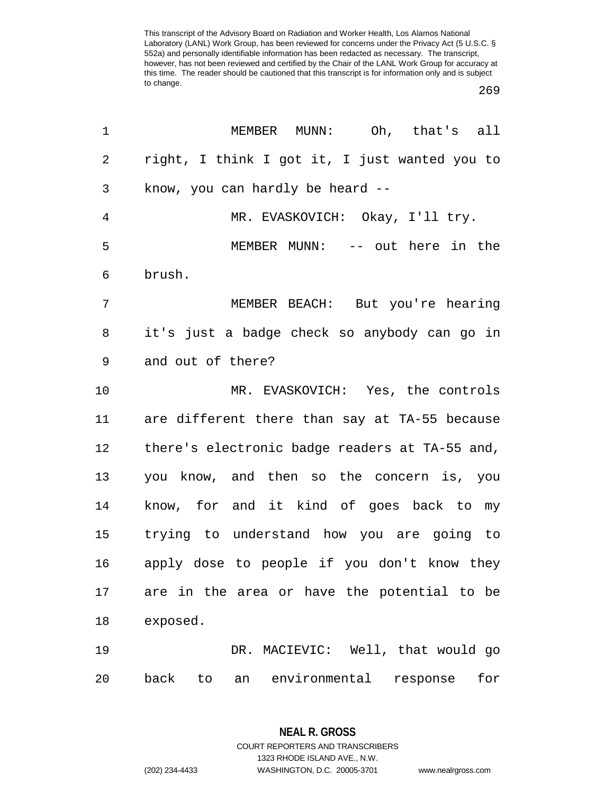269

| 1              | MEMBER MUNN: Oh, that's all                          |
|----------------|------------------------------------------------------|
| 2              | right, I think I got it, I just wanted you to        |
| 3              | know, you can hardly be heard --                     |
| $\overline{4}$ | MR. EVASKOVICH: Okay, I'll try.                      |
| 5              | MEMBER MUNN: -- out here in the                      |
| 6              | brush.                                               |
| 7              | MEMBER BEACH: But you're hearing                     |
| 8              | it's just a badge check so anybody can go in         |
| 9              | and out of there?                                    |
| 10             | MR. EVASKOVICH: Yes, the controls                    |
| 11             | are different there than say at TA-55 because        |
| 12             | there's electronic badge readers at TA-55 and,       |
| 13             | you know, and then so the concern is, you            |
| 14             | know, for and it kind of goes back to my             |
| 15             | trying to understand how you are going to            |
| 16             | apply dose to people if you don't know they          |
| 17             | are in the area or have the potential to be          |
| 18             | exposed.                                             |
| 19             | DR. MACIEVIC: Well, that would go                    |
| 20             | environmental<br>back<br>response<br>for<br>to<br>an |

**NEAL R. GROSS** COURT REPORTERS AND TRANSCRIBERS

1323 RHODE ISLAND AVE., N.W.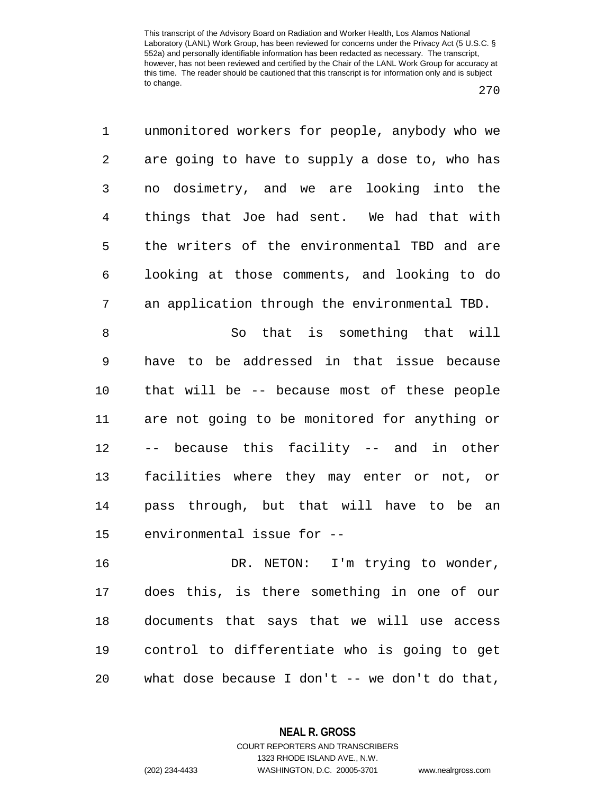270

1 unmonitored workers for people, anybody who we 2 are going to have to supply a dose to, who has 3 no dosimetry, and we are looking into the 4 things that Joe had sent. We had that with 5 the writers of the environmental TBD and are 6 looking at those comments, and looking to do 7 an application through the environmental TBD. 8 So that is something that will 9 have to be addressed in that issue because 10 that will be -- because most of these people 11 are not going to be monitored for anything or 12 -- because this facility -- and in other 13 facilities where they may enter or not, or 14 pass through, but that will have to be an 15 environmental issue for -- 16 DR. NETON: I'm trying to wonder, 17 does this, is there something in one of our 18 documents that says that we will use access

20 what dose because I don't -- we don't do that,

19 control to differentiate who is going to get

**NEAL R. GROSS** COURT REPORTERS AND TRANSCRIBERS

1323 RHODE ISLAND AVE., N.W. (202) 234-4433 WASHINGTON, D.C. 20005-3701 www.nealrgross.com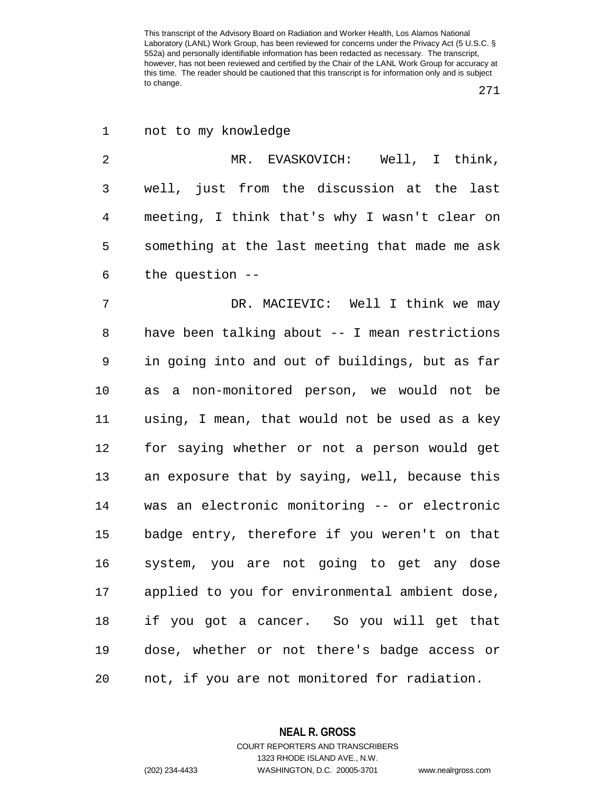271

| $\mathbf 1$ | not to my knowledge                            |
|-------------|------------------------------------------------|
| 2           | MR. EVASKOVICH: Well, I think,                 |
| 3           | well, just from the discussion at the last     |
| 4           | meeting, I think that's why I wasn't clear on  |
| 5           | something at the last meeting that made me ask |
| 6           | the question $-$ -                             |
| 7           | DR. MACIEVIC: Well I think we may              |
| 8           | have been talking about -- I mean restrictions |
| 9           | in going into and out of buildings, but as far |
| 10          | as a non-monitored person, we would not be     |
| 11          | using, I mean, that would not be used as a key |
| 12          | for saying whether or not a person would get   |
| 13          | an exposure that by saying, well, because this |
| 14          | was an electronic monitoring -- or electronic  |
| 15          | badge entry, therefore if you weren't on that  |
| 16          | system, you are not going to get any dose      |
| 17          | applied to you for environmental ambient dose, |
| 18          | if you got a cancer. So you will get that      |
| 19          | dose, whether or not there's badge access or   |
| 20          | not, if you are not monitored for radiation.   |

**NEAL R. GROSS** COURT REPORTERS AND TRANSCRIBERS

1323 RHODE ISLAND AVE., N.W. (202) 234-4433 WASHINGTON, D.C. 20005-3701 www.nealrgross.com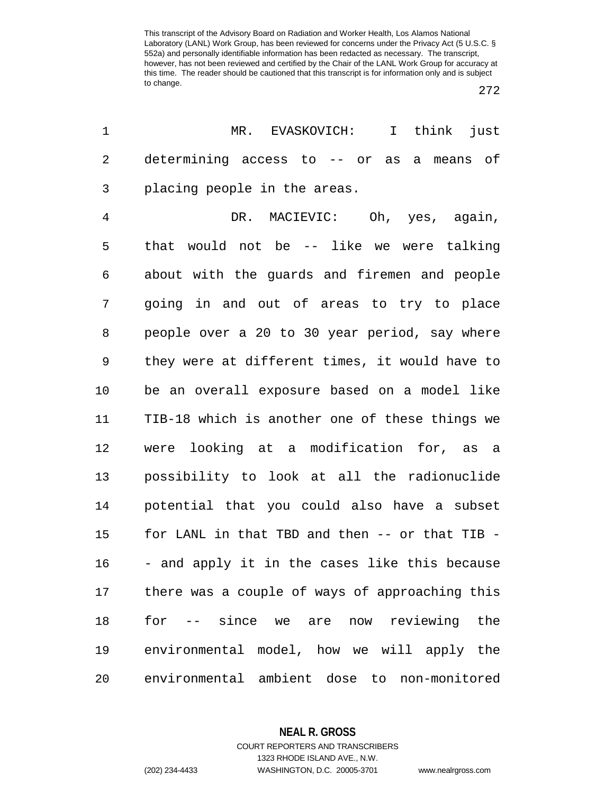272

| 1  | MR. EVASKOVICH: I<br>think<br>just             |
|----|------------------------------------------------|
| 2  | determining access to -- or as<br>a means of   |
| 3  | placing people in the areas.                   |
| 4  | DR. MACIEVIC: Oh, yes, again,                  |
| 5  | that would not be -- like we were talking      |
| 6  | about with the guards and firemen and people   |
| 7  | going in and out of areas to try to place      |
| 8  | people over a 20 to 30 year period, say where  |
| 9  | they were at different times, it would have to |
| 10 | be an overall exposure based on a model like   |
| 11 | TIB-18 which is another one of these things we |
| 12 | were looking at a modification for, as a       |
| 13 | possibility to look at all the radionuclide    |
| 14 | potential that you could also have a subset    |
| 15 | for LANL in that TBD and then -- or that TIB - |
| 16 | - and apply it in the cases like this because  |
| 17 | there was a couple of ways of approaching this |
| 18 | for -- since we are now reviewing the          |
| 19 | environmental model, how we will apply the     |
| 20 | environmental ambient dose to non-monitored    |

**NEAL R. GROSS**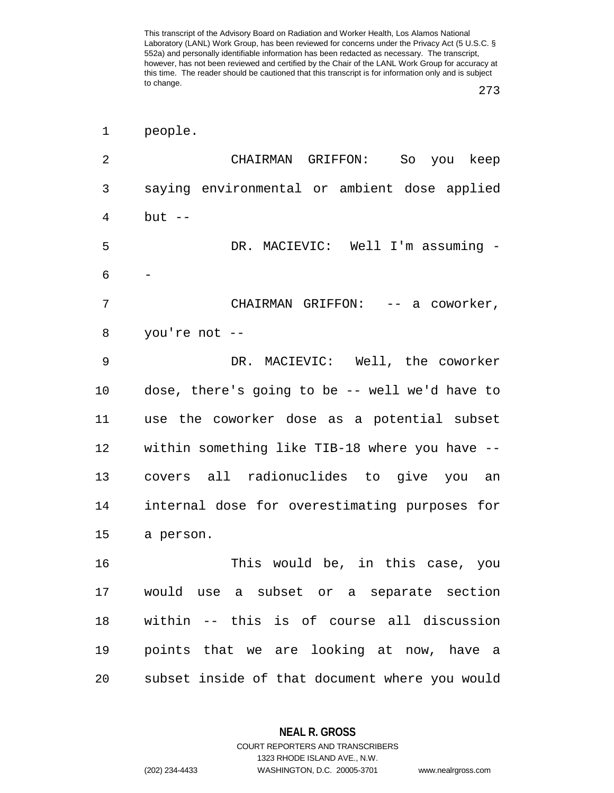273

| people. |
|---------|
|         |

| 2  | CHAIRMAN GRIFFON:<br>So you keep               |
|----|------------------------------------------------|
| 3  | saying environmental or ambient dose applied   |
| 4  | $but --$                                       |
| 5  | DR. MACIEVIC: Well I'm assuming -              |
| 6  |                                                |
| 7  | CHAIRMAN GRIFFON: -- a coworker,               |
| 8  | you're not --                                  |
| 9  | DR. MACIEVIC: Well, the coworker               |
| 10 | dose, there's going to be -- well we'd have to |
| 11 | use the coworker dose as a potential subset    |
| 12 | within something like TIB-18 where you have -- |
| 13 | covers all radionuclides to give you an        |
| 14 | internal dose for overestimating purposes for  |
| 15 | a person.                                      |
| 16 | This would be, in this case, you               |
| 17 | would use a subset or a separate section       |
| 18 | within -- this is of course all discussion     |
| 19 | points that we are looking at now, have a      |
| 20 | subset inside of that document where you would |

**NEAL R. GROSS**

COURT REPORTERS AND TRANSCRIBERS 1323 RHODE ISLAND AVE., N.W. (202) 234-4433 WASHINGTON, D.C. 20005-3701 www.nealrgross.com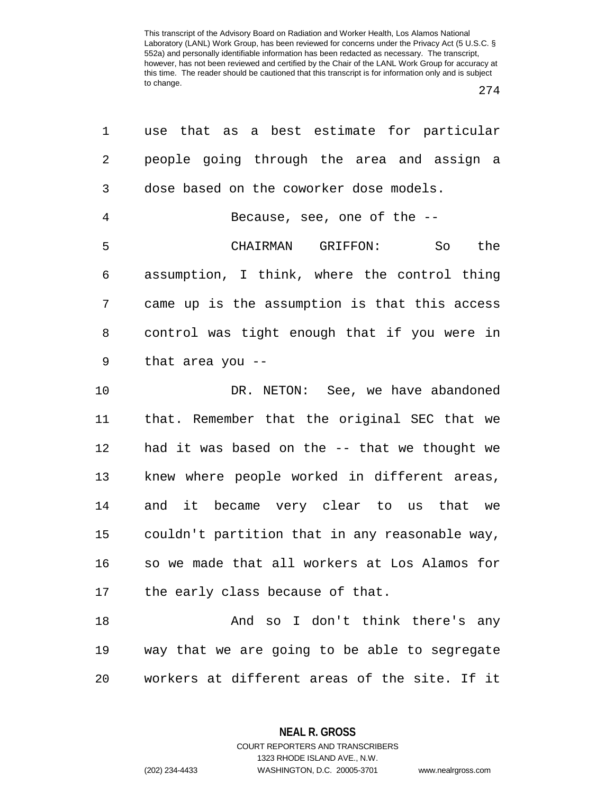274

| 1              | use that as a best estimate for particular     |
|----------------|------------------------------------------------|
| 2              | people going through the area and assign a     |
| 3              | dose based on the coworker dose models.        |
| $\overline{4}$ | Because, see, one of the $-$ -                 |
| 5              | CHAIRMAN GRIFFON:<br>So<br>the                 |
| 6              | assumption, I think, where the control thing   |
| 7              | came up is the assumption is that this access  |
| 8              | control was tight enough that if you were in   |
| 9              | that area you --                               |
| 10             | DR. NETON: See, we have abandoned              |
| 11             | that. Remember that the original SEC that we   |
| 12             | had it was based on the -- that we thought we  |
| 13             | knew where people worked in different areas,   |
| 14             | and it became very clear to us that we         |
| 15             | couldn't partition that in any reasonable way, |
| 16             | so we made that all workers at Los Alamos for  |
| 17             | the early class because of that.               |
| 18             | And so I don't think there's any               |
| 19             | way that we are going to be able to segregate  |
| 20             | workers at different areas of the site. If it  |

**NEAL R. GROSS** COURT REPORTERS AND TRANSCRIBERS

1323 RHODE ISLAND AVE., N.W. (202) 234-4433 WASHINGTON, D.C. 20005-3701 www.nealrgross.com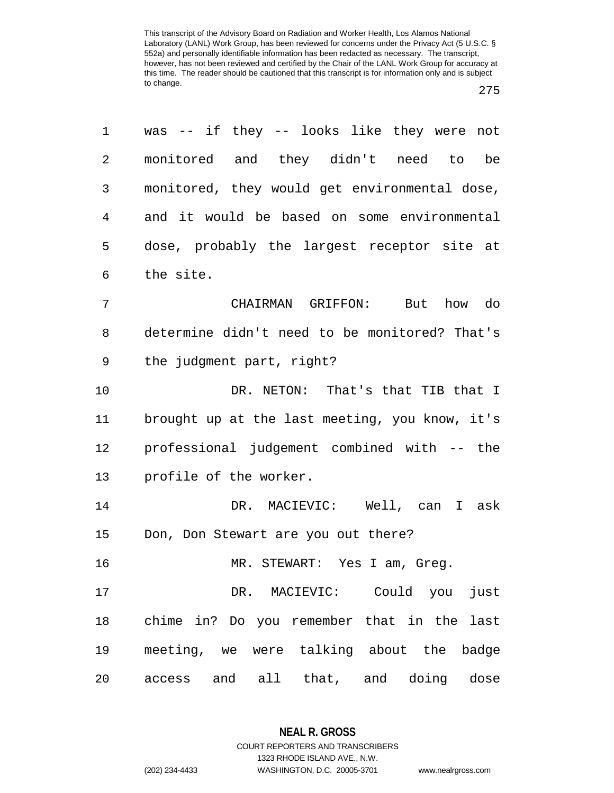| 1  | was -- if they -- looks like they were not     |
|----|------------------------------------------------|
| 2  | monitored and they didn't need to<br>be        |
| 3  | monitored, they would get environmental dose,  |
| 4  | and it would be based on some environmental    |
| 5  | dose, probably the largest receptor site at    |
| 6  | the site.                                      |
| 7  | CHAIRMAN GRIFFON: But how do                   |
| 8  | determine didn't need to be monitored? That's  |
| 9  | the judgment part, right?                      |
| 10 | DR. NETON: That's that TIB that I              |
| 11 | brought up at the last meeting, you know, it's |
| 12 | professional judgement combined with -- the    |
| 13 | profile of the worker.                         |
| 14 | DR. MACIEVIC: Well, can I ask                  |
| 15 | Don, Don Stewart are you out there?            |
| 16 | MR. STEWART: Yes I am, Greg.                   |
| 17 | DR. MACIEVIC: Could you<br>just                |
| 18 | chime in? Do you remember that in the last     |
| 19 | meeting, we were talking about the badge       |
| 20 | access and all that, and doing dose            |

**NEAL R. GROSS** COURT REPORTERS AND TRANSCRIBERS 1323 RHODE ISLAND AVE., N.W. (202) 234-4433 WASHINGTON, D.C. 20005-3701 www.nealrgross.com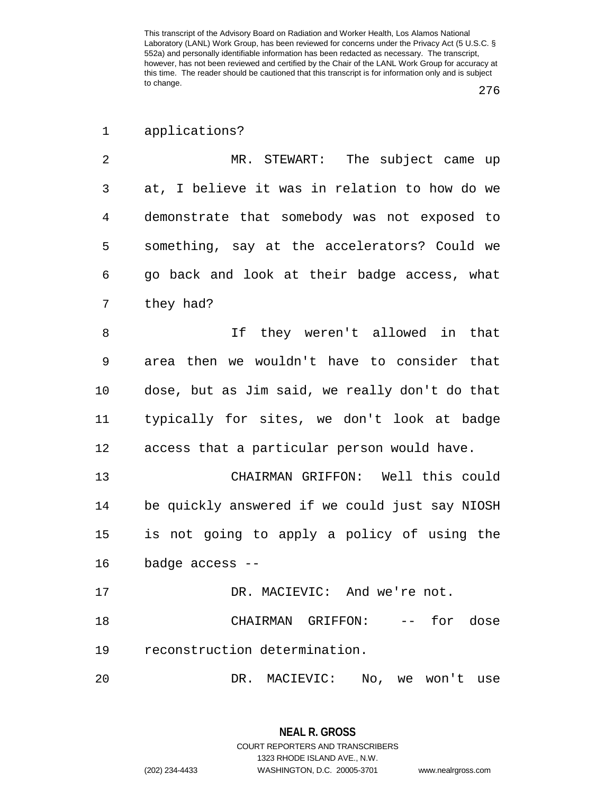1 applications?

2 MR. STEWART: The subject came up 3 at, I believe it was in relation to how do we 4 demonstrate that somebody was not exposed to 5 something, say at the accelerators? Could we 6 go back and look at their badge access, what 7 they had?

8 11 If they weren't allowed in that 9 area then we wouldn't have to consider that 10 dose, but as Jim said, we really don't do that 11 typically for sites, we don't look at badge 12 access that a particular person would have.

13 CHAIRMAN GRIFFON: Well this could 14 be quickly answered if we could just say NIOSH 15 is not going to apply a policy of using the 16 badge access --

17 DR. MACIEVIC: And we're not.

18 CHAIRMAN GRIFFON: -- for dose 19 reconstruction determination.

20 DR. MACIEVIC: No, we won't use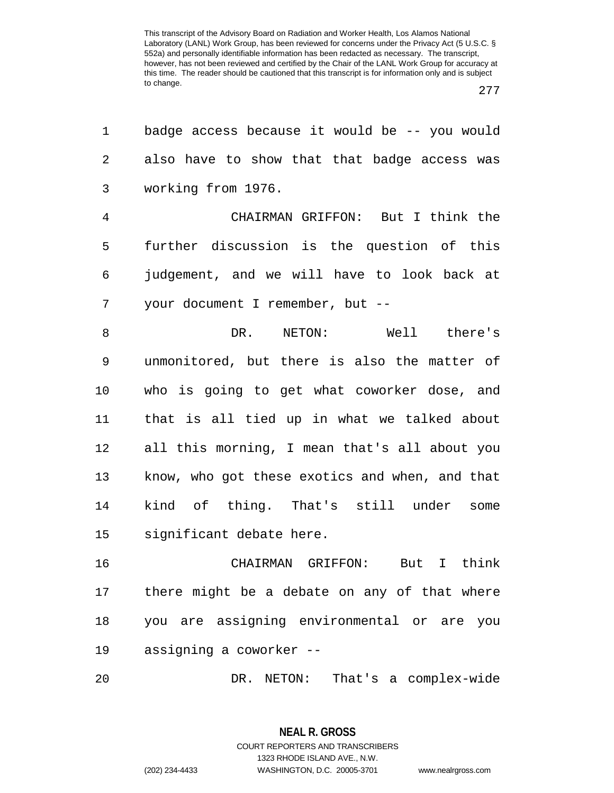277

| 1  | badge access because it would be -- you would  |
|----|------------------------------------------------|
| 2  | also have to show that that badge access was   |
| 3  | working from 1976.                             |
| 4  | CHAIRMAN GRIFFON: But I think the              |
| 5  | further discussion is the question of this     |
| 6  | judgement, and we will have to look back at    |
| 7  | your document I remember, but --               |
| 8  | DR. NETON: Well there's                        |
| 9  | unmonitored, but there is also the matter of   |
| 10 | who is going to get what coworker dose, and    |
| 11 | that is all tied up in what we talked about    |
| 12 | all this morning, I mean that's all about you  |
| 13 | know, who got these exotics and when, and that |
| 14 | kind of thing. That's still under<br>some      |
| 15 | significant debate here.                       |
| 16 | But I think<br>CHAIRMAN GRIFFON:               |
| 17 | there might be a debate on any of that where   |
| 18 | you are assigning environmental or are you     |
| 19 | assigning a coworker --                        |
| 20 | DR.<br>NETON:<br>That's a complex-wide         |

**NEAL R. GROSS** COURT REPORTERS AND TRANSCRIBERS 1323 RHODE ISLAND AVE., N.W. (202) 234-4433 WASHINGTON, D.C. 20005-3701 www.nealrgross.com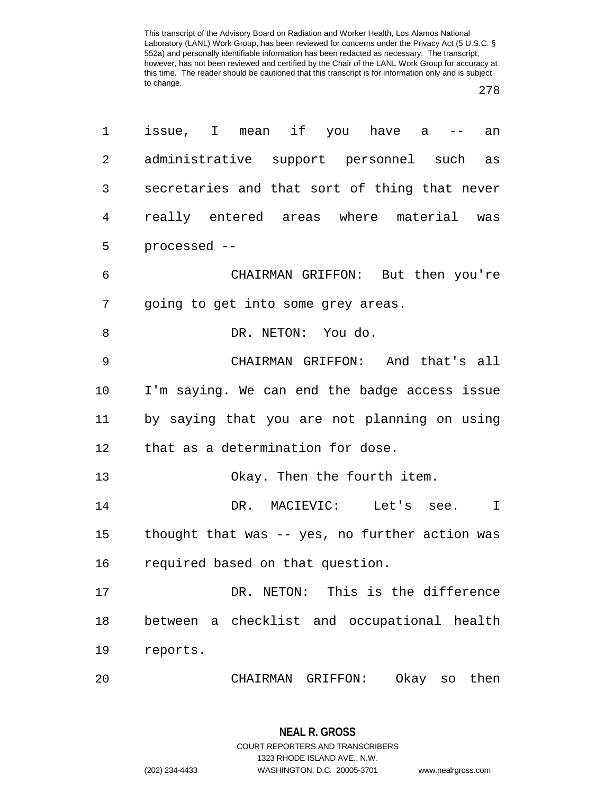278

| 1  | issue, I mean if you have a --<br>an           |
|----|------------------------------------------------|
| 2  | administrative support personnel such as       |
| 3  | secretaries and that sort of thing that never  |
| 4  | really entered areas where material was        |
| 5  | processed --                                   |
| 6  | CHAIRMAN GRIFFON: But then you're              |
| 7  | going to get into some grey areas.             |
| 8  | DR. NETON: You do.                             |
| 9  | CHAIRMAN GRIFFON: And that's all               |
| 10 | I'm saying. We can end the badge access issue  |
| 11 | by saying that you are not planning on using   |
| 12 | that as a determination for dose.              |
| 13 | Okay. Then the fourth item.                    |
| 14 | DR. MACIEVIC: Let's see.<br>$\mathbb{I}$       |
| 15 | thought that was -- yes, no further action was |
| 16 | required based on that question.               |
| 17 | DR. NETON: This is the difference              |
| 18 | between a checklist and occupational health    |
| 19 | reports.                                       |
| 20 | Okay so<br>then<br>CHAIRMAN<br>GRIFFON:        |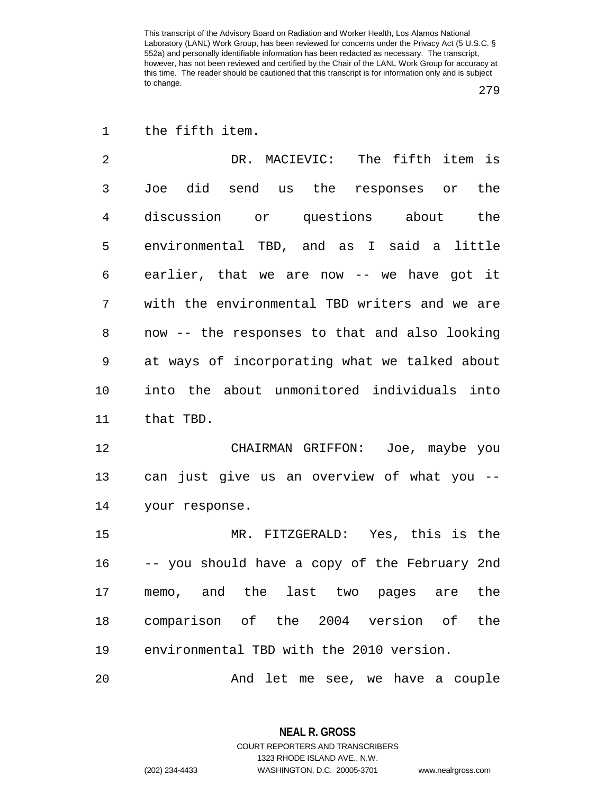279

1 the fifth item.

2 DR. MACIEVIC: The fifth item is 3 Joe did send us the responses or the 4 discussion or questions about the 5 environmental TBD, and as I said a little 6 earlier, that we are now -- we have got it 7 with the environmental TBD writers and we are 8 now -- the responses to that and also looking 9 at ways of incorporating what we talked about 10 into the about unmonitored individuals into 11 that TBD.

12 CHAIRMAN GRIFFON: Joe, maybe you 13 can just give us an overview of what you -- 14 your response.

15 MR. FITZGERALD: Yes, this is the 16 -- you should have a copy of the February 2nd 17 memo, and the last two pages are the 18 comparison of the 2004 version of the 19 environmental TBD with the 2010 version.

20 And let me see, we have a couple

**NEAL R. GROSS** COURT REPORTERS AND TRANSCRIBERS 1323 RHODE ISLAND AVE., N.W. (202) 234-4433 WASHINGTON, D.C. 20005-3701 www.nealrgross.com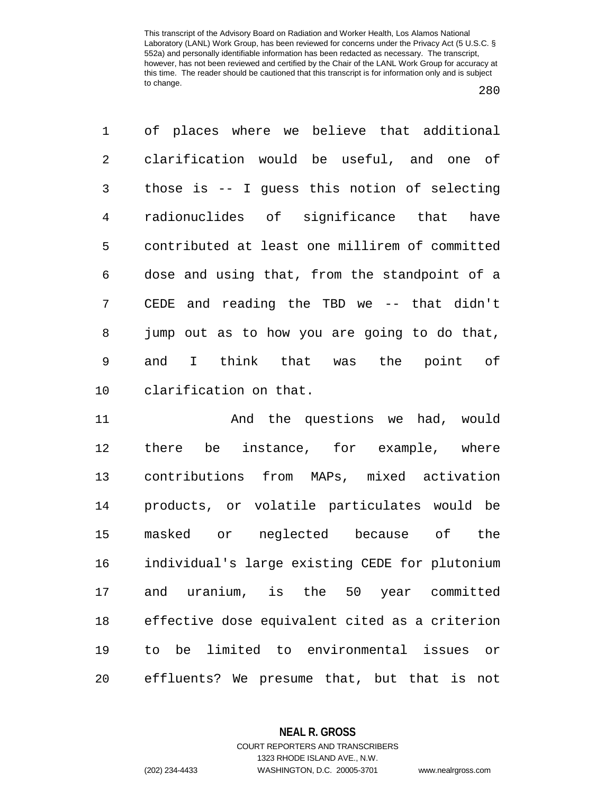1 of places where we believe that additional 2 clarification would be useful, and one of 3 those is -- I guess this notion of selecting 4 radionuclides of significance that have 5 contributed at least one millirem of committed 6 dose and using that, from the standpoint of a 7 CEDE and reading the TBD we -- that didn't 8 jump out as to how you are going to do that, 9 and I think that was the point of 10 clarification on that.

11 And the questions we had, would 12 there be instance, for example, where 13 contributions from MAPs, mixed activation 14 products, or volatile particulates would be 15 masked or neglected because of the 16 individual's large existing CEDE for plutonium 17 and uranium, is the 50 year committed 18 effective dose equivalent cited as a criterion 19 to be limited to environmental issues or 20 effluents? We presume that, but that is not

**NEAL R. GROSS**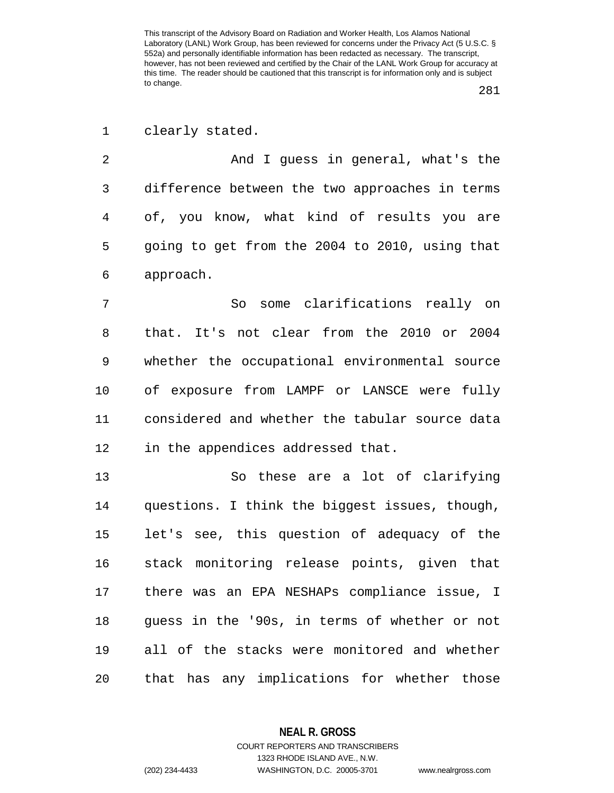281

1 clearly stated.

2 And I guess in general, what's the 3 difference between the two approaches in terms 4 of, you know, what kind of results you are 5 going to get from the 2004 to 2010, using that 6 approach.

7 So some clarifications really on 8 that. It's not clear from the 2010 or 2004 9 whether the occupational environmental source 10 of exposure from LAMPF or LANSCE were fully 11 considered and whether the tabular source data 12 in the appendices addressed that.

13 So these are a lot of clarifying 14 questions. I think the biggest issues, though, 15 let's see, this question of adequacy of the 16 stack monitoring release points, given that 17 there was an EPA NESHAPs compliance issue, I 18 guess in the '90s, in terms of whether or not 19 all of the stacks were monitored and whether 20 that has any implications for whether those

**NEAL R. GROSS**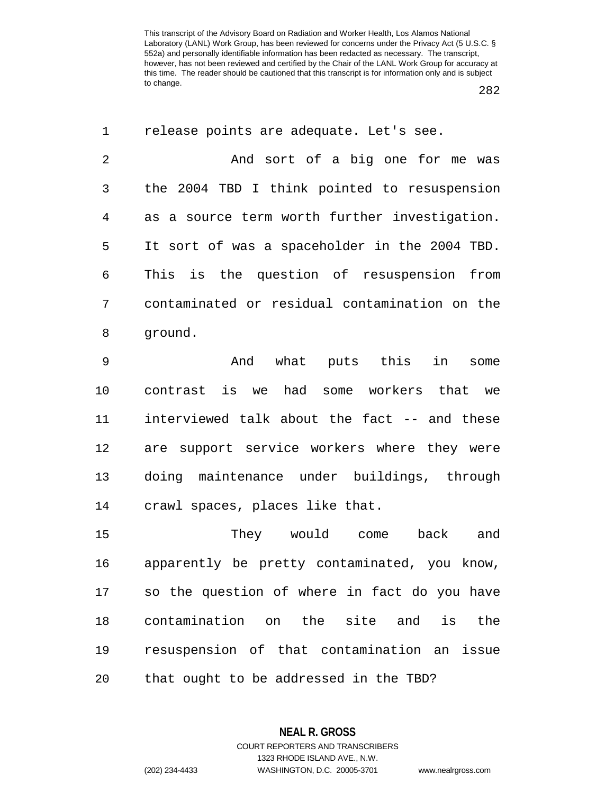282

| $\mathbf 1$ | release points are adequate. Let's see.       |
|-------------|-----------------------------------------------|
| 2           | And sort of a big one for me was              |
| 3           | the 2004 TBD I think pointed to resuspension  |
| 4           | as a source term worth further investigation. |
| 5           | It sort of was a spaceholder in the 2004 TBD. |
| 6           | This is the question of resuspension from     |
| 7           | contaminated or residual contamination on the |
| 8           | ground.                                       |
| 9           | And what puts this<br>in<br>some              |
| 10          | contrast is we had some workers that we       |
| 11          | interviewed talk about the fact -- and these  |
| 12          | are support service workers where they were   |
| 13          | doing maintenance under buildings, through    |
| 14          | crawl spaces, places like that.               |
| 15          | They would come<br>back<br>and                |
| 16          | apparently be pretty contaminated, you know,  |
| 17          | so the question of where in fact do you have  |
| 18          | contamination on the site and<br>is<br>the    |
| 19          | resuspension of that contamination an issue   |
| 20          | that ought to be addressed in the TBD?        |

**NEAL R. GROSS** COURT REPORTERS AND TRANSCRIBERS 1323 RHODE ISLAND AVE., N.W.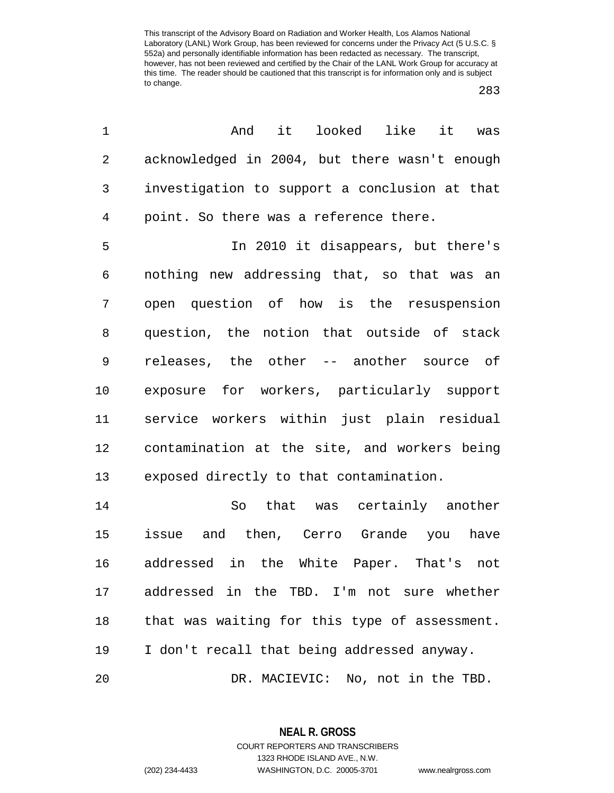283

| And<br>it.<br>looked like<br>it<br>was        |
|-----------------------------------------------|
| acknowledged in 2004, but there wasn't enough |
| investigation to support a conclusion at that |
| point. So there was a reference there.        |
| In 2010 it disappears, but there's            |
| nothing new addressing that, so that was an   |
| open question of how is the resuspension      |
| question, the notion that outside of stack    |
| releases, the other -- another source of      |
| exposure for workers, particularly support    |
| service workers within just plain residual    |
| contamination at the site, and workers being  |
| exposed directly to that contamination.       |
| that was certainly another<br>So              |
| issue and then, Cerro Grande you<br>have      |
| addressed in the White Paper. That's not      |
| addressed in the TBD. I'm not sure whether    |
| that was waiting for this type of assessment. |
| I don't recall that being addressed anyway.   |
| DR. MACIEVIC: No, not in the TBD.             |
|                                               |

**NEAL R. GROSS** COURT REPORTERS AND TRANSCRIBERS 1323 RHODE ISLAND AVE., N.W.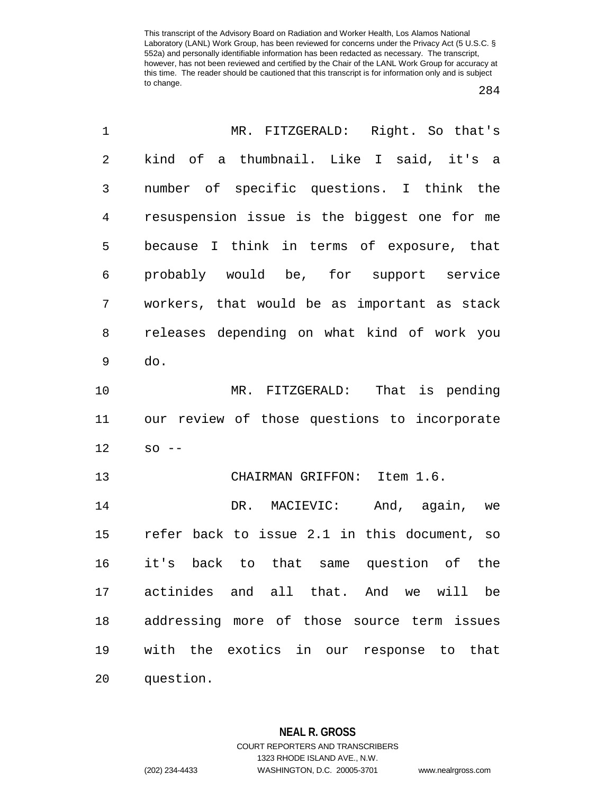284

| $\mathbf 1$    | MR. FITZGERALD: Right. So that's             |
|----------------|----------------------------------------------|
| $\overline{2}$ | kind of a thumbnail. Like I said, it's a     |
| 3              | number of specific questions. I think the    |
| 4              | resuspension issue is the biggest one for me |
| 5              | because I think in terms of exposure, that   |
| 6              | probably would be, for support service       |
| 7              | workers, that would be as important as stack |
| 8              | releases depending on what kind of work you  |
| 9              | do.                                          |
| 10             | MR. FITZGERALD: That is pending              |
| 11             | our review of those questions to incorporate |
| 12             | $SO = -$                                     |
| 13             | CHAIRMAN GRIFFON: Item 1.6.                  |
| 14             | DR. MACIEVIC: And, again, we                 |
| 15             | refer back to issue 2.1 in this document, so |
| 16             | it's back to that same question of the       |
|                | 17 actinides and all that. And we will be    |
| 18             | addressing more of those source term issues  |
| 19             | with the exotics in our response to that     |
| 20             | question.                                    |

**NEAL R. GROSS** COURT REPORTERS AND TRANSCRIBERS 1323 RHODE ISLAND AVE., N.W. (202) 234-4433 WASHINGTON, D.C. 20005-3701 www.nealrgross.com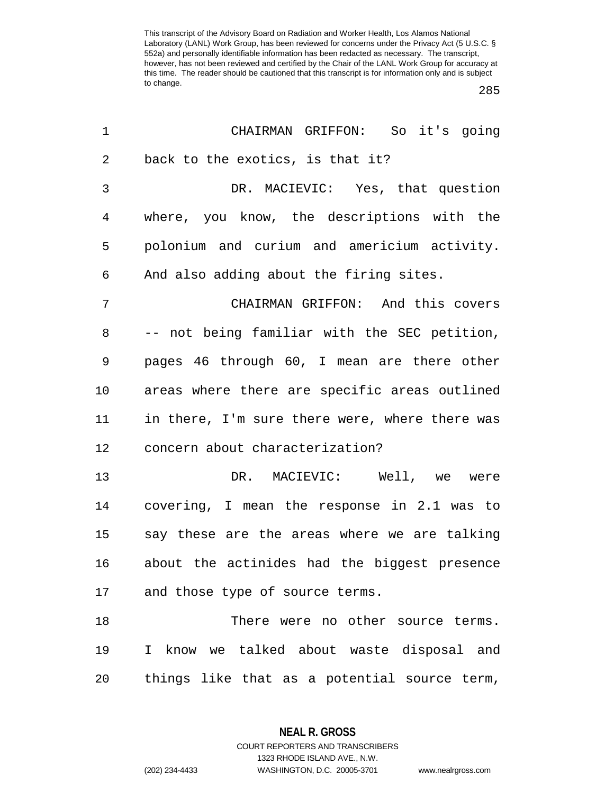285

| $\mathbf 1$ | CHAIRMAN GRIFFON: So it's going                         |
|-------------|---------------------------------------------------------|
| $\sqrt{2}$  | back to the exotics, is that it?                        |
| 3           | DR. MACIEVIC: Yes, that question                        |
| 4           | where, you know, the descriptions with the              |
| 5           | polonium and curium and americium activity.             |
| 6           | And also adding about the firing sites.                 |
| 7           | CHAIRMAN GRIFFON: And this covers                       |
| 8           | -- not being familiar with the SEC petition,            |
| 9           | pages 46 through 60, I mean are there other             |
| 10          | areas where there are specific areas outlined           |
| 11          | in there, I'm sure there were, where there was          |
| 12          | concern about characterization?                         |
| 13          | DR. MACIEVIC: Well, we were                             |
| 14          | covering, I mean the response in 2.1 was to             |
| 15          | say these are the areas where we are talking            |
| 16          | about the actinides had the biggest presence            |
|             | 17 and those type of source terms.                      |
| 18          | There were no other source terms.                       |
| 19          | know we talked about waste disposal and<br>$\mathbf{I}$ |
| 20          | things like that as a potential source term,            |

**NEAL R. GROSS** COURT REPORTERS AND TRANSCRIBERS

1323 RHODE ISLAND AVE., N.W. (202) 234-4433 WASHINGTON, D.C. 20005-3701 www.nealrgross.com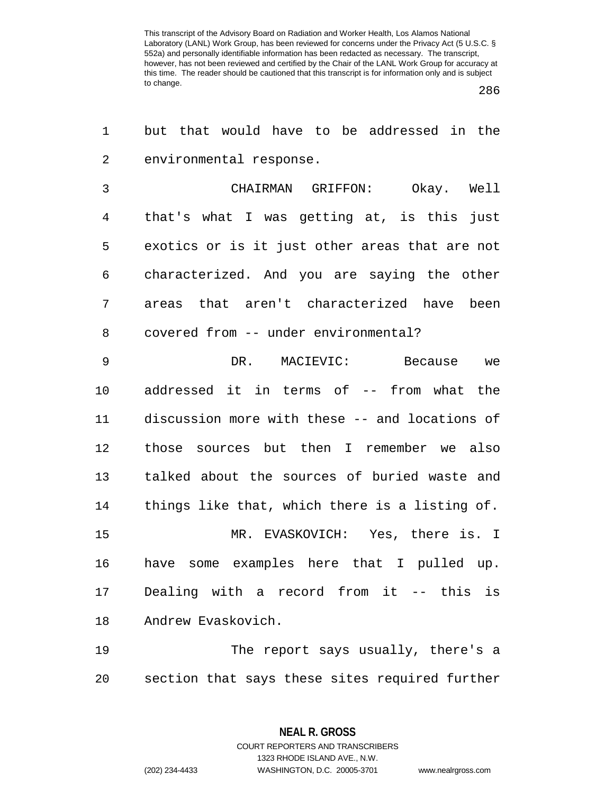1 but that would have to be addressed in the

286

| 2              | environmental response.                        |
|----------------|------------------------------------------------|
| 3              | CHAIRMAN GRIFFON:<br>Okay. Well                |
| $\overline{4}$ | that's what I was getting at, is this just     |
| 5              | exotics or is it just other areas that are not |
| 6              | characterized. And you are saying the other    |
| 7              | areas that aren't characterized have been      |
| 8              | covered from -- under environmental?           |
| $\mathsf 9$    | DR. MACIEVIC: Because we                       |
| 10             | addressed it in terms of -- from what the      |
| 11             | discussion more with these -- and locations of |
| 12             | those sources but then I remember we also      |
| 13             | talked about the sources of buried waste and   |
| 14             | things like that, which there is a listing of. |
| 15             | MR. EVASKOVICH: Yes, there is. I               |
| 16             | some examples here that I pulled up.<br>have   |
| 17             | Dealing with a record from it -- this is       |
| 18             | Andrew Evaskovich.                             |
| 19             | The report says usually, there's a             |
| 20             | section that says these sites required further |

**NEAL R. GROSS**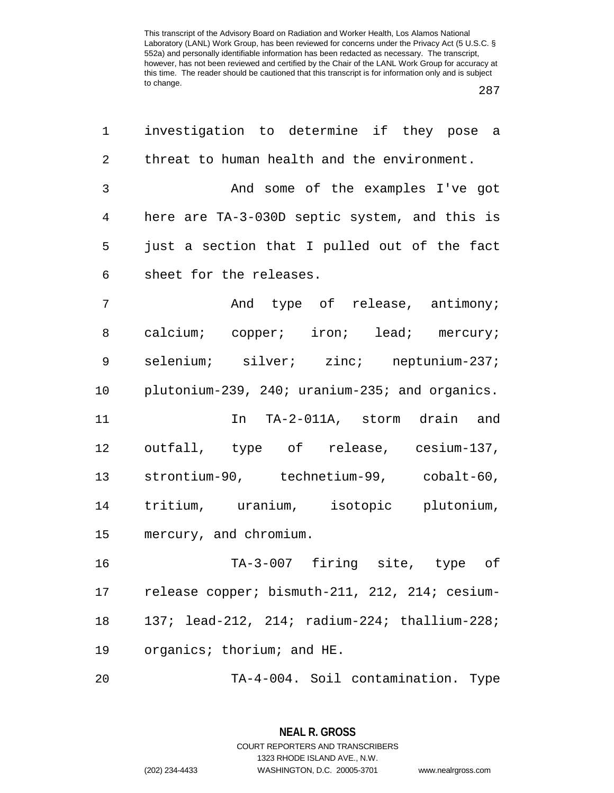287

| 1              | investigation to determine if they pose a      |
|----------------|------------------------------------------------|
| $\overline{2}$ | threat to human health and the environment.    |
| 3              | And some of the examples I've got              |
| $\overline{4}$ | here are TA-3-030D septic system, and this is  |
| 5              | just a section that I pulled out of the fact   |
| 6              | sheet for the releases.                        |
| 7              | And type of release, antimony;                 |
| 8              | calcium; copper; iron; lead; mercury;          |
| 9              | selenium; silver; zinc; neptunium-237;         |
| 10             | plutonium-239, 240; uranium-235; and organics. |
| 11             | In TA-2-011A, storm drain and                  |
| 12             | outfall, type of release, cesium-137,          |
| 13             | strontium-90, technetium-99, cobalt-60,        |
| 14             | tritium, uranium, isotopic plutonium,          |
| 15             | mercury, and chromium.                         |
| 16             | TA-3-007 firing site, type of                  |
| 17             | release copper; bismuth-211, 212, 214; cesium- |
| 18             | 137; lead-212, 214; radium-224; thallium-228;  |
| 19             | organics; thorium; and HE.                     |
| 20             | TA-4-004. Soil contamination.<br>Type          |

**NEAL R. GROSS** COURT REPORTERS AND TRANSCRIBERS 1323 RHODE ISLAND AVE., N.W. (202) 234-4433 WASHINGTON, D.C. 20005-3701 www.nealrgross.com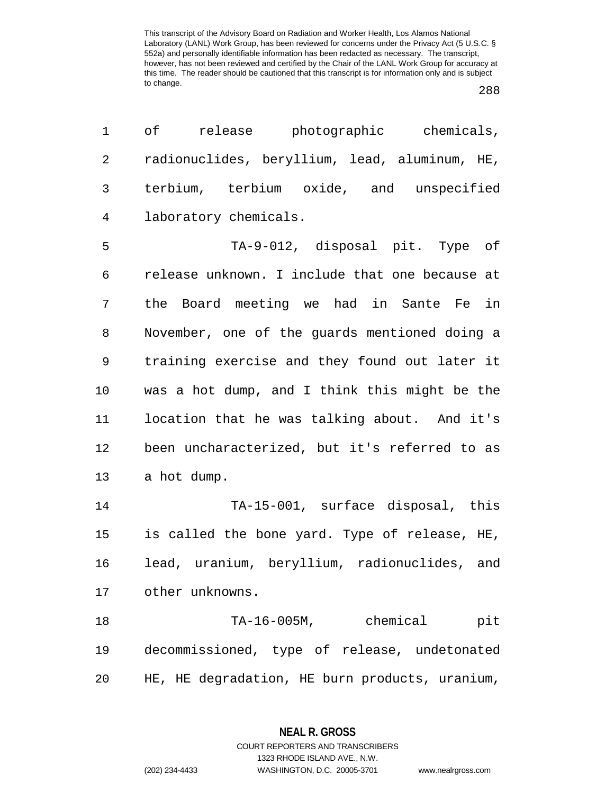288

| оf<br>release<br>photographic chemicals,       |
|------------------------------------------------|
| radionuclides, beryllium, lead, aluminum, HE,  |
| terbium, terbium oxide, and unspecified        |
| laboratory chemicals.                          |
| TA-9-012, disposal pit. Type of                |
| release unknown. I include that one because at |
| the Board meeting we had in Sante Fe in        |
| November, one of the guards mentioned doing a  |
| training exercise and they found out later it  |
| was a hot dump, and I think this might be the  |
| location that he was talking about. And it's   |
| been uncharacterized, but it's referred to as  |
| a hot dump.                                    |
| TA-15-001, surface disposal, this              |
| is called the bone yard. Type of release, HE,  |
| lead, uranium, beryllium, radionuclides, and   |
| other unknowns.                                |
| TA-16-005M, chemical<br>pit                    |
| decommissioned, type of release, undetonated   |
| HE, HE degradation, HE burn products, uranium, |
|                                                |

**NEAL R. GROSS** COURT REPORTERS AND TRANSCRIBERS

1323 RHODE ISLAND AVE., N.W.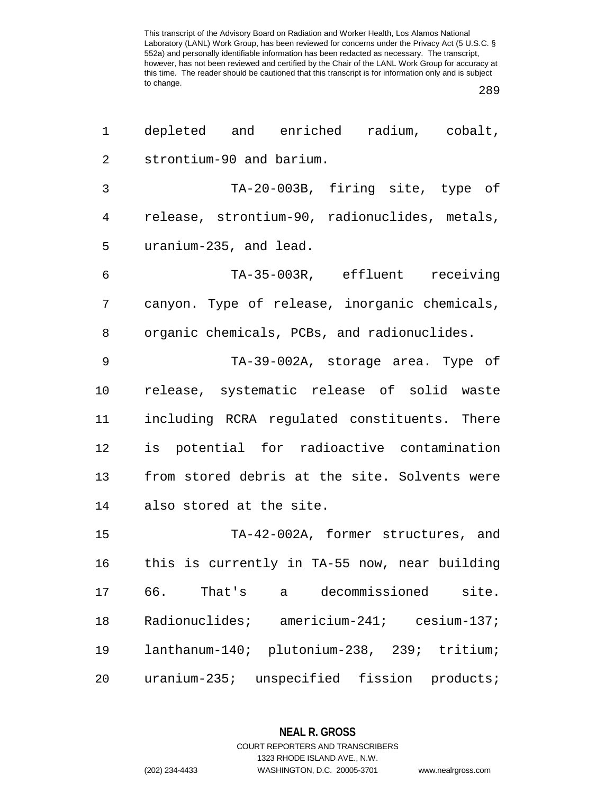289

| 1              | depleted and enriched radium, cobalt,              |
|----------------|----------------------------------------------------|
| $\mathbf{2}$   | strontium-90 and barium.                           |
| 3              | TA-20-003B, firing site, type of                   |
| 4              | release, strontium-90, radionuclides, metals,      |
| 5              | uranium-235, and lead.                             |
| 6              | TA-35-003R, effluent receiving                     |
| 7              | canyon. Type of release, inorganic chemicals,      |
| 8              | organic chemicals, PCBs, and radionuclides.        |
| $\overline{9}$ | TA-39-002A, storage area. Type of                  |
| 10             | release, systematic release of solid waste         |
| 11             | including RCRA regulated constituents. There       |
| 12             | is potential for radioactive contamination         |
| 13             | from stored debris at the site. Solvents were      |
| 14             | also stored at the site.                           |
| 15             | TA-42-002A, former structures, and                 |
| 16             | this is currently in TA-55 now, near building      |
| 17             | 66.<br>decommissioned<br>That's<br>site.<br>a      |
| 18             | Radionuclides;<br>$americium-241;$ cesium-137;     |
| 19             | lanthanum-140;<br>plutonium-238, 239; tritium;     |
| 20             | $uranium-235;$<br>unspecified fission<br>products; |

**NEAL R. GROSS** COURT REPORTERS AND TRANSCRIBERS

1323 RHODE ISLAND AVE., N.W. (202) 234-4433 WASHINGTON, D.C. 20005-3701 www.nealrgross.com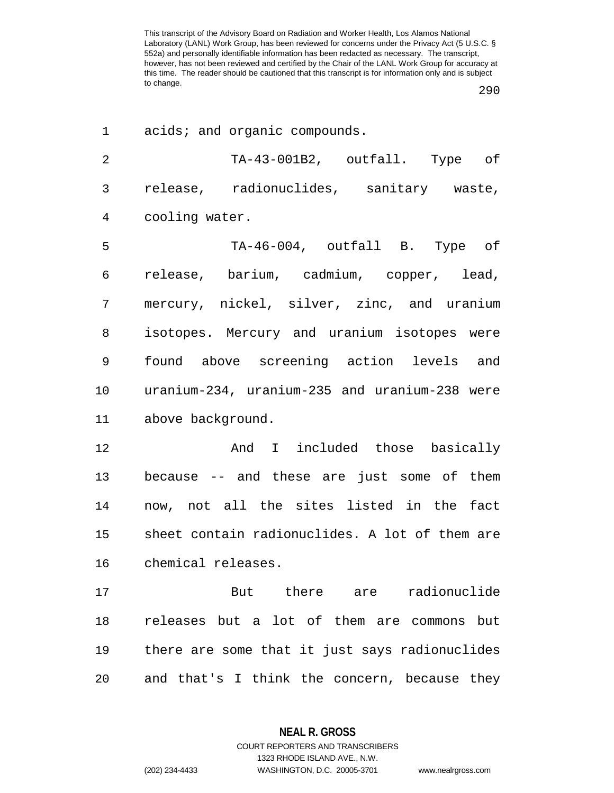290

| 1              | acids; and organic compounds.                  |
|----------------|------------------------------------------------|
| $\overline{2}$ | TA-43-001B2, outfall. Type of                  |
| 3              | release, radionuclides, sanitary waste,        |
| 4              | cooling water.                                 |
| 5              | TA-46-004, outfall B. Type of                  |
| 6              | release, barium, cadmium, copper, lead,        |
| 7              | mercury, nickel, silver, zinc, and uranium     |
| 8              | isotopes. Mercury and uranium isotopes were    |
| 9              | found above screening action levels and        |
| 10             | uranium-234, uranium-235 and uranium-238 were  |
| 11             | above background.                              |
| 12             | And I included those basically                 |
| 13             | because -- and these are just some of them     |
| 14             | now, not all the sites listed in the fact      |
| 15             | sheet contain radionuclides. A lot of them are |
| 16             | chemical releases.                             |
| 17             | But there are radionuclide                     |
| 18             | releases but a lot of them are commons but     |
| 19             | there are some that it just says radionuclides |
| 20             | and that's I think the concern, because they   |

**NEAL R. GROSS** COURT REPORTERS AND TRANSCRIBERS

1323 RHODE ISLAND AVE., N.W.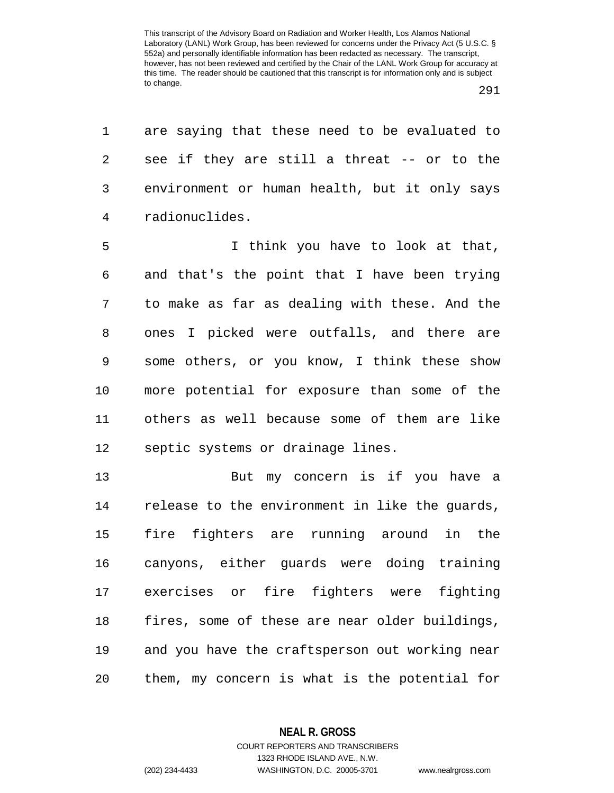1 are saying that these need to be evaluated to 2 see if they are still a threat -- or to the 3 environment or human health, but it only says 4 radionuclides.

5 I think you have to look at that, 6 and that's the point that I have been trying 7 to make as far as dealing with these. And the 8 ones I picked were outfalls, and there are 9 some others, or you know, I think these show 10 more potential for exposure than some of the 11 others as well because some of them are like 12 septic systems or drainage lines.

13 But my concern is if you have a 14 release to the environment in like the guards, 15 fire fighters are running around in the 16 canyons, either guards were doing training 17 exercises or fire fighters were fighting 18 fires, some of these are near older buildings, 19 and you have the craftsperson out working near 20 them, my concern is what is the potential for

> **NEAL R. GROSS** COURT REPORTERS AND TRANSCRIBERS

1323 RHODE ISLAND AVE., N.W. (202) 234-4433 WASHINGTON, D.C. 20005-3701 www.nealrgross.com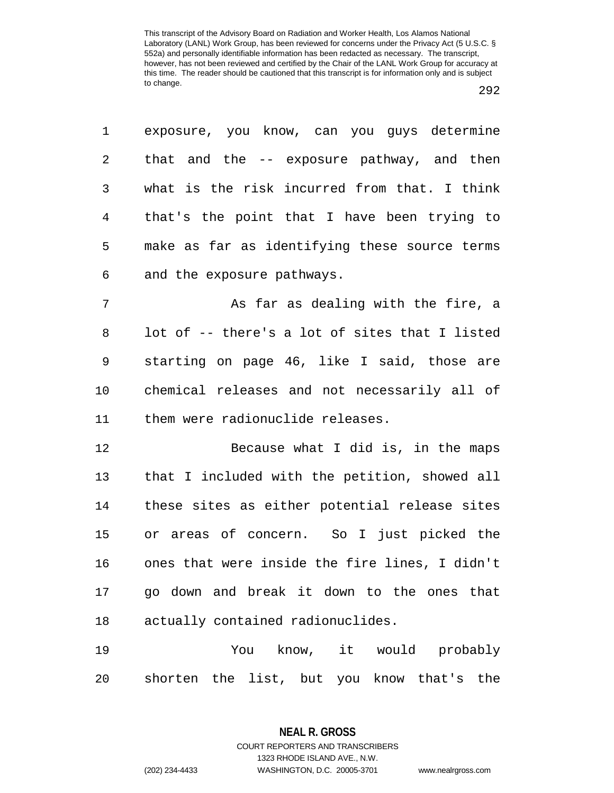|--|--|

| $\mathbf{1}$    | exposure, you know, can you guys determine    |
|-----------------|-----------------------------------------------|
| 2               | that and the -- exposure pathway, and then    |
| $\mathsf{3}$    | what is the risk incurred from that. I think  |
| $4\overline{ }$ | that's the point that I have been trying to   |
| 5               | make as far as identifying these source terms |
| 6               | and the exposure pathways.                    |
|                 |                                               |

7 As far as dealing with the fire, a 8 lot of -- there's a lot of sites that I listed 9 starting on page 46, like I said, those are 10 chemical releases and not necessarily all of 11 them were radionuclide releases.

12 Because what I did is, in the maps 13 that I included with the petition, showed all 14 these sites as either potential release sites 15 or areas of concern. So I just picked the 16 ones that were inside the fire lines, I didn't 17 go down and break it down to the ones that 18 actually contained radionuclides.

19 You know, it would probably 20 shorten the list, but you know that's the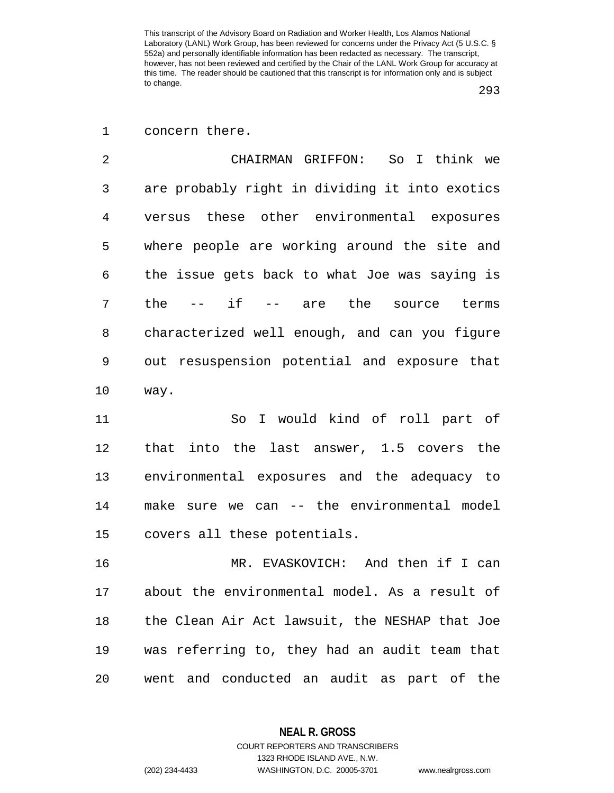293

1 concern there.

2 CHAIRMAN GRIFFON: So I think we 3 are probably right in dividing it into exotics 4 versus these other environmental exposures 5 where people are working around the site and 6 the issue gets back to what Joe was saying is 7 the -- if -- are the source terms 8 characterized well enough, and can you figure 9 out resuspension potential and exposure that 10 way.

11 So I would kind of roll part of 12 that into the last answer, 1.5 covers the 13 environmental exposures and the adequacy to 14 make sure we can -- the environmental model 15 covers all these potentials.

16 MR. EVASKOVICH: And then if I can 17 about the environmental model. As a result of 18 the Clean Air Act lawsuit, the NESHAP that Joe 19 was referring to, they had an audit team that 20 went and conducted an audit as part of the

> **NEAL R. GROSS** COURT REPORTERS AND TRANSCRIBERS

1323 RHODE ISLAND AVE., N.W. (202) 234-4433 WASHINGTON, D.C. 20005-3701 www.nealrgross.com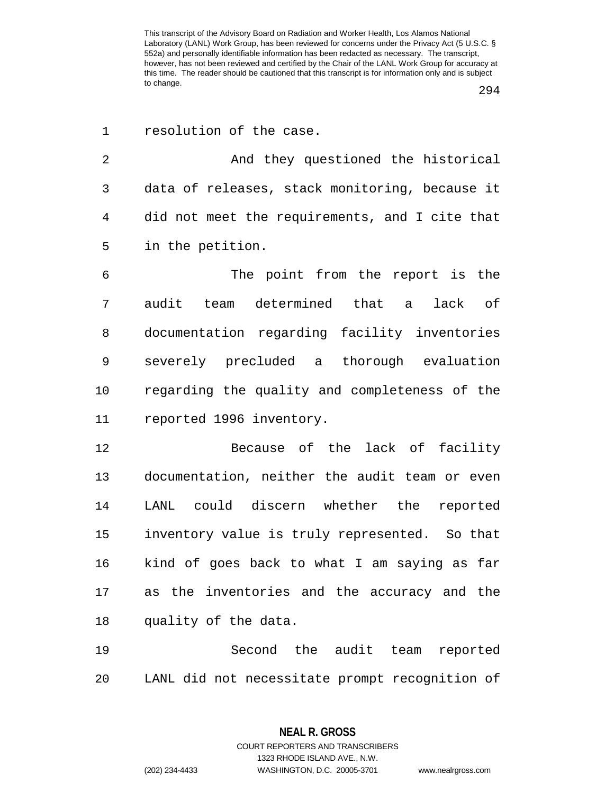294

| $\mathbf 1$ | resolution of the case.                        |
|-------------|------------------------------------------------|
| 2           | And they questioned the historical             |
| 3           | data of releases, stack monitoring, because it |
| 4           | did not meet the requirements, and I cite that |
| 5           | in the petition.                               |
| 6           | The point from the report is the               |
| 7           | audit team determined that a lack of           |
| 8           | documentation regarding facility inventories   |
| 9           | severely precluded a thorough evaluation       |
| 10          | regarding the quality and completeness of the  |
| 11          | reported 1996 inventory.                       |
| 12          | Because of the lack of facility                |
| 13          | documentation, neither the audit team or even  |
| 14          | LANL could discern whether the reported        |
| 15          | inventory value is truly represented. So that  |
| 16          | kind of goes back to what I am saying as far   |
| 17          | as the inventories and the accuracy and the    |
| 18          | quality of the data.                           |
| 19          | Second the audit team reported                 |

20 LANL did not necessitate prompt recognition of

**NEAL R. GROSS** COURT REPORTERS AND TRANSCRIBERS

1323 RHODE ISLAND AVE., N.W. (202) 234-4433 WASHINGTON, D.C. 20005-3701 www.nealrgross.com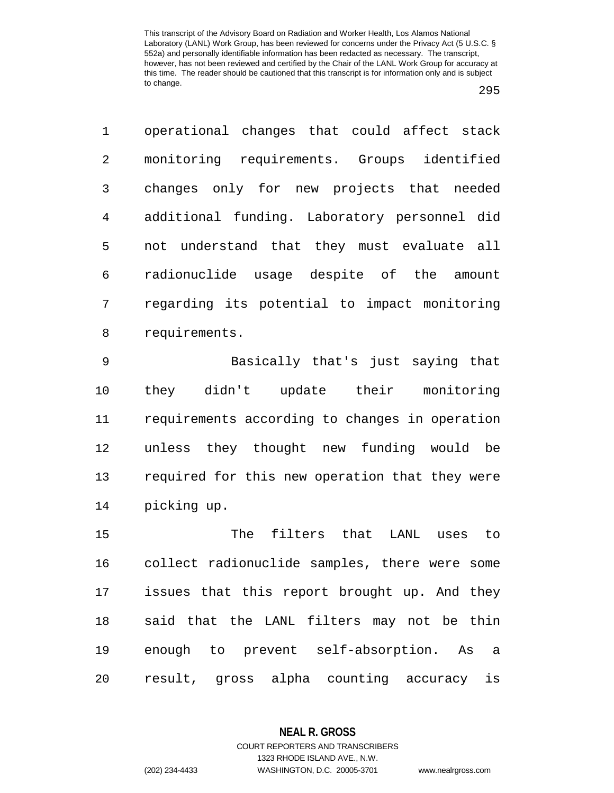295

1 operational changes that could affect stack 2 monitoring requirements. Groups identified 3 changes only for new projects that needed 4 additional funding. Laboratory personnel did 5 not understand that they must evaluate all 6 radionuclide usage despite of the amount 7 regarding its potential to impact monitoring 8 requirements.

9 Basically that's just saying that 10 they didn't update their monitoring 11 requirements according to changes in operation 12 unless they thought new funding would be 13 required for this new operation that they were 14 picking up.

15 The filters that LANL uses to 16 collect radionuclide samples, there were some 17 issues that this report brought up. And they 18 said that the LANL filters may not be thin 19 enough to prevent self-absorption. As a 20 result, gross alpha counting accuracy is

1323 RHODE ISLAND AVE., N.W.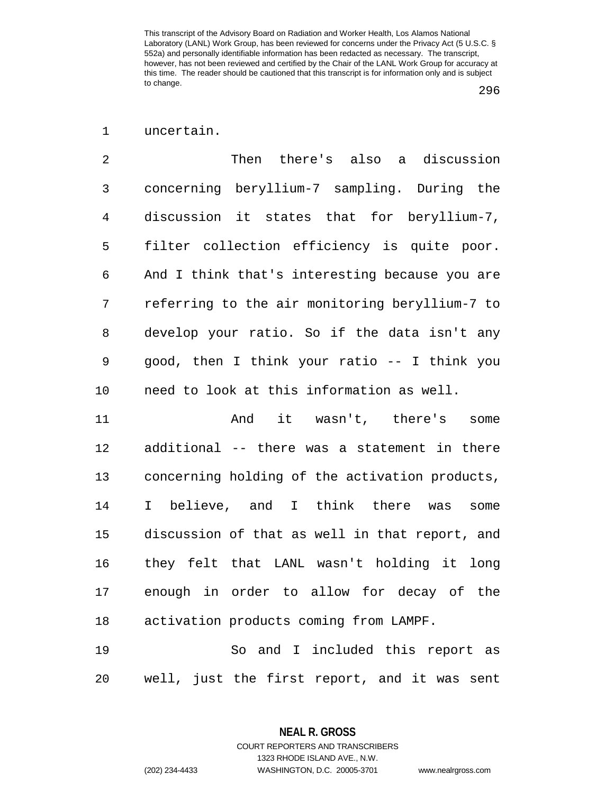## 296

## 1 uncertain.

2 Then there's also a discussion 3 concerning beryllium-7 sampling. During the 4 discussion it states that for beryllium-7, 5 filter collection efficiency is quite poor. 6 And I think that's interesting because you are 7 referring to the air monitoring beryllium-7 to 8 develop your ratio. So if the data isn't any 9 good, then I think your ratio -- I think you 10 need to look at this information as well.

11 And it wasn't, there's some 12 additional -- there was a statement in there 13 concerning holding of the activation products, 14 I believe, and I think there was some 15 discussion of that as well in that report, and 16 they felt that LANL wasn't holding it long 17 enough in order to allow for decay of the 18 activation products coming from LAMPF.

19 So and I included this report as 20 well, just the first report, and it was sent

> **NEAL R. GROSS** COURT REPORTERS AND TRANSCRIBERS

> > 1323 RHODE ISLAND AVE., N.W.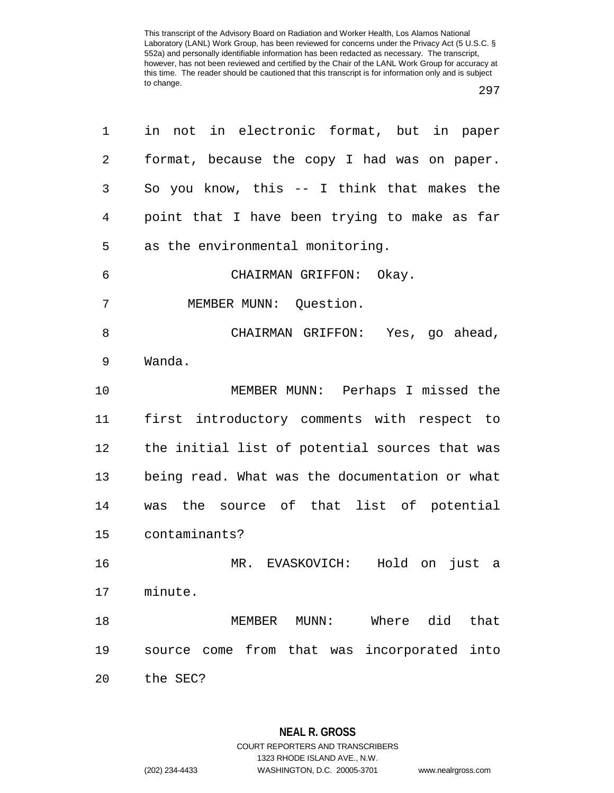| 1  | in not in electronic format, but in paper            |
|----|------------------------------------------------------|
| 2  | format, because the copy I had was on paper.         |
| 3  | So you know, this -- I think that makes the          |
| 4  | point that I have been trying to make as far         |
| 5  | as the environmental monitoring.                     |
| 6  | CHAIRMAN GRIFFON: Okay.                              |
| 7  | MEMBER MUNN: Question.                               |
| 8  | CHAIRMAN GRIFFON: Yes, go ahead,                     |
| 9  | Wanda.                                               |
| 10 | MEMBER MUNN: Perhaps I missed the                    |
| 11 | first introductory comments with respect to          |
| 12 | the initial list of potential sources that was       |
| 13 | being read. What was the documentation or what       |
| 14 | was the source of that list of potential             |
| 15 | contaminants?                                        |
| 16 | MR. EVASKOVICH:<br>Hold on just a                    |
| 17 | minute.                                              |
| 18 | Where did<br>that<br>MEMBER<br>$MUNN$ :              |
| 19 | come from that was<br>incorporated<br>into<br>source |
| 20 | the SEC?                                             |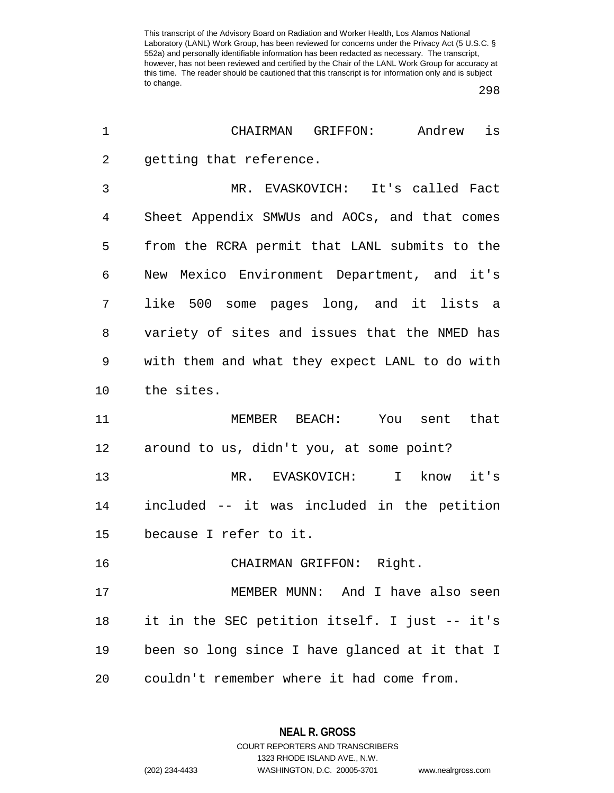298

| CHAIRMAN<br>GRIFFON:<br>Andrew<br>is           |
|------------------------------------------------|
| getting that reference.                        |
| MR. EVASKOVICH: It's called Fact               |
| Sheet Appendix SMWUs and AOCs, and that comes  |
| from the RCRA permit that LANL submits to the  |
| New Mexico Environment Department, and it's    |
| like 500 some pages long, and it lists a       |
| variety of sites and issues that the NMED has  |
| with them and what they expect LANL to do with |
| the sites.                                     |
| MEMBER BEACH: You sent<br>that                 |
| around to us, didn't you, at some point?       |
| I know<br>it's<br>MR.<br>EVASKOVICH:           |
| included -- it was included in the petition    |
| because I refer to it.                         |
| CHAIRMAN GRIFFON: Right.                       |
| MEMBER MUNN: And I have also seen              |
| it in the SEC petition itself. I just -- it's  |
| been so long since I have glanced at it that I |
| couldn't remember where it had come from.      |
|                                                |

**NEAL R. GROSS** COURT REPORTERS AND TRANSCRIBERS

1323 RHODE ISLAND AVE., N.W.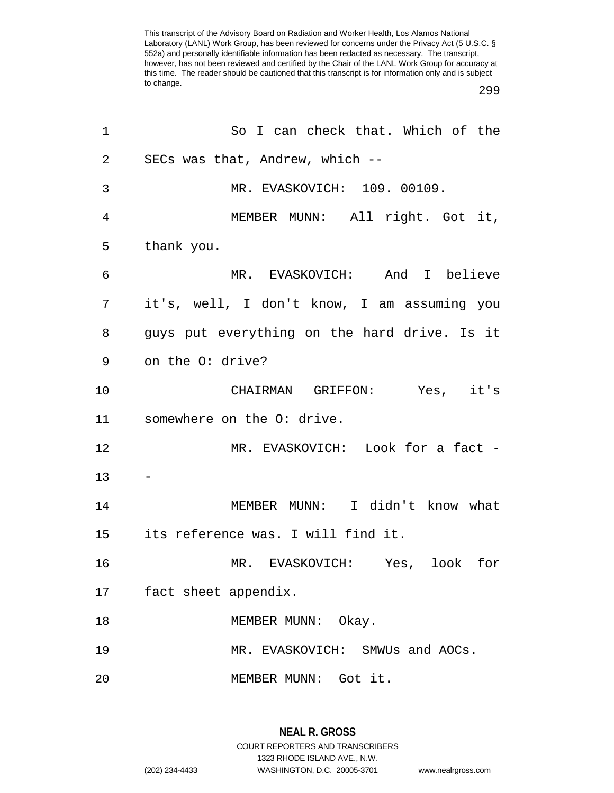299

| 1  | So I can check that. Which of the            |
|----|----------------------------------------------|
| 2  | SECs was that, Andrew, which --              |
| 3  | MR. EVASKOVICH: 109. 00109.                  |
| 4  | MEMBER MUNN: All right. Got it,              |
| 5  | thank you.                                   |
| 6  | MR. EVASKOVICH: And I believe                |
| 7  | it's, well, I don't know, I am assuming you  |
| 8  | guys put everything on the hard drive. Is it |
| 9  | on the O: drive?                             |
| 10 | CHAIRMAN GRIFFON: Yes, it's                  |
| 11 | somewhere on the O: drive.                   |
| 12 | MR. EVASKOVICH: Look for a fact -            |
| 13 |                                              |
| 14 | MEMBER MUNN: I didn't know what              |
| 15 | its reference was. I will find it.           |
| 16 | MR. EVASKOVICH: Yes, look for                |
| 17 | fact sheet appendix.                         |
| 18 | MEMBER MUNN: Okay.                           |
| 19 | MR. EVASKOVICH: SMWUs and AOCs.              |
| 20 | MEMBER MUNN: Got it.                         |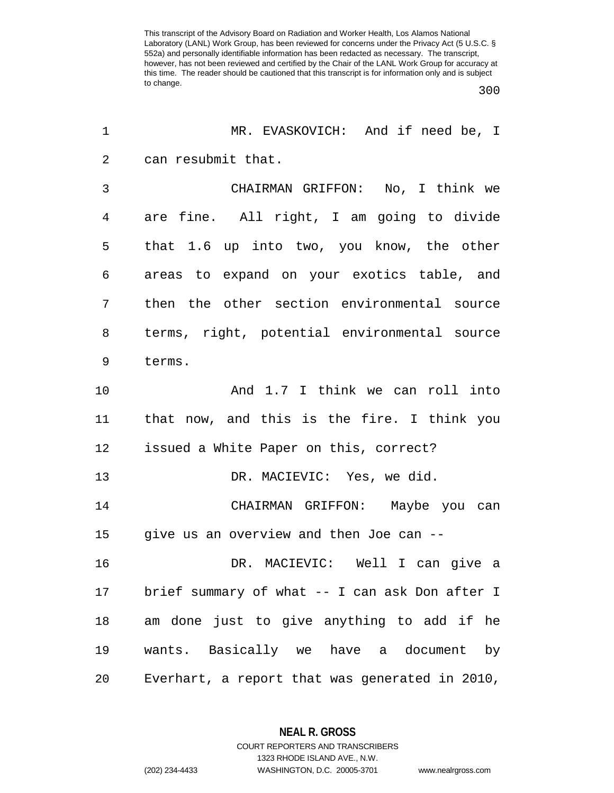300

| $\mathbf 1$    | MR. EVASKOVICH: And if need be, I              |
|----------------|------------------------------------------------|
| $\overline{2}$ | can resubmit that.                             |
| 3              | CHAIRMAN GRIFFON: No, I think we               |
| $\overline{4}$ | are fine. All right, I am going to divide      |
| 5              | that 1.6 up into two, you know, the other      |
| 6              | areas to expand on your exotics table, and     |
| 7              | then the other section environmental source    |
| 8              | terms, right, potential environmental source   |
| 9              | terms.                                         |
| 10             | And 1.7 I think we can roll into               |
| 11             | that now, and this is the fire. I think you    |
| 12             | issued a White Paper on this, correct?         |
| 13             | DR. MACIEVIC: Yes, we did.                     |
| 14             | CHAIRMAN GRIFFON: Maybe you can                |
| 15             | give us an overview and then Joe can --        |
| 16             | DR. MACIEVIC: Well I can give a                |
| 17             | brief summary of what -- I can ask Don after I |
| 18             | am done just to give anything to add if he     |
| 19             | wants. Basically we have a document by         |
| 20             | Everhart, a report that was generated in 2010, |

**NEAL R. GROSS** COURT REPORTERS AND TRANSCRIBERS

1323 RHODE ISLAND AVE., N.W.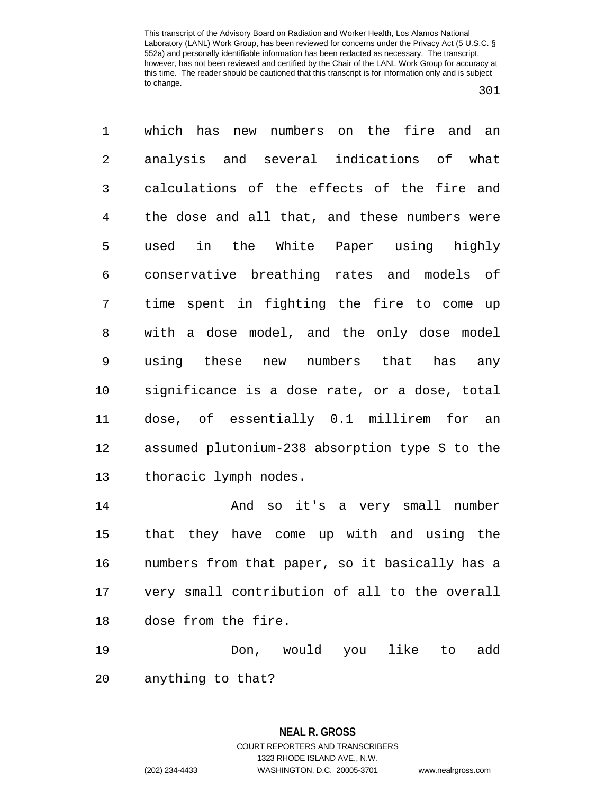301

1 which has new numbers on the fire and an 2 analysis and several indications of what 3 calculations of the effects of the fire and 4 the dose and all that, and these numbers were 5 used in the White Paper using highly 6 conservative breathing rates and models of 7 time spent in fighting the fire to come up 8 with a dose model, and the only dose model 9 using these new numbers that has any 10 significance is a dose rate, or a dose, total 11 dose, of essentially 0.1 millirem for an 12 assumed plutonium-238 absorption type S to the 13 thoracic lymph nodes. 14 And so it's a very small number 15 that they have come up with and using the 16 numbers from that paper, so it basically has a

17 very small contribution of all to the overall 18 dose from the fire.

19 Don, would you like to add 20 anything to that?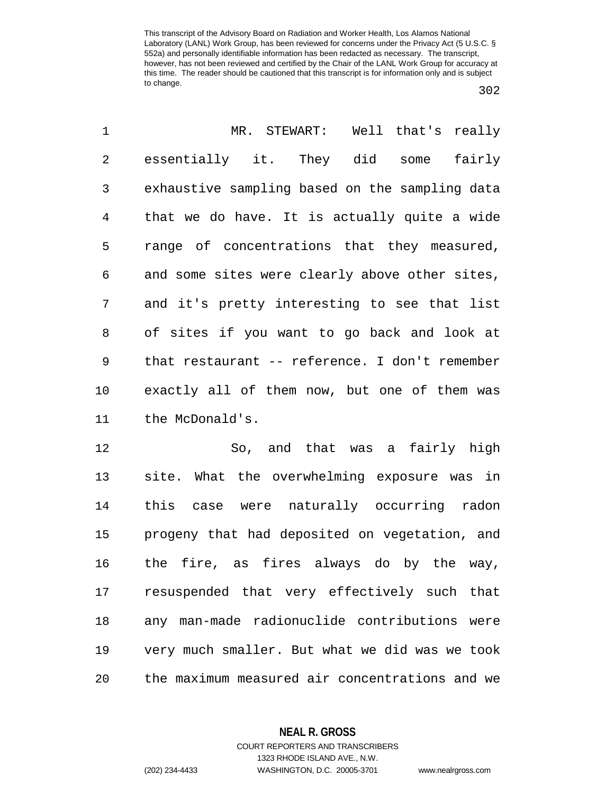302

| 1              | MR. STEWART: Well that's really                |
|----------------|------------------------------------------------|
| $\overline{2}$ | essentially it. They did some<br>fairly        |
| 3              | exhaustive sampling based on the sampling data |
| $\overline{4}$ | that we do have. It is actually quite a wide   |
| 5              | range of concentrations that they measured,    |
| 6              | and some sites were clearly above other sites, |
| 7              | and it's pretty interesting to see that list   |
| 8              | of sites if you want to go back and look at    |
| 9              | that restaurant -- reference. I don't remember |
| 10             | exactly all of them now, but one of them was   |
| 11             | the McDonald's.                                |
| 12             | So, and that was a fairly high                 |
| 13             | site. What the overwhelming exposure was in    |
| 14             | this case were naturally occurring radon       |
| 15             | progeny that had deposited on vegetation, and  |

15 progeny that had deposited on vegetation, and 16 the fire, as fires always do by the way, 17 resuspended that very effectively such that 18 any man-made radionuclide contributions were 19 very much smaller. But what we did was we took 20 the maximum measured air concentrations and we

**NEAL R. GROSS**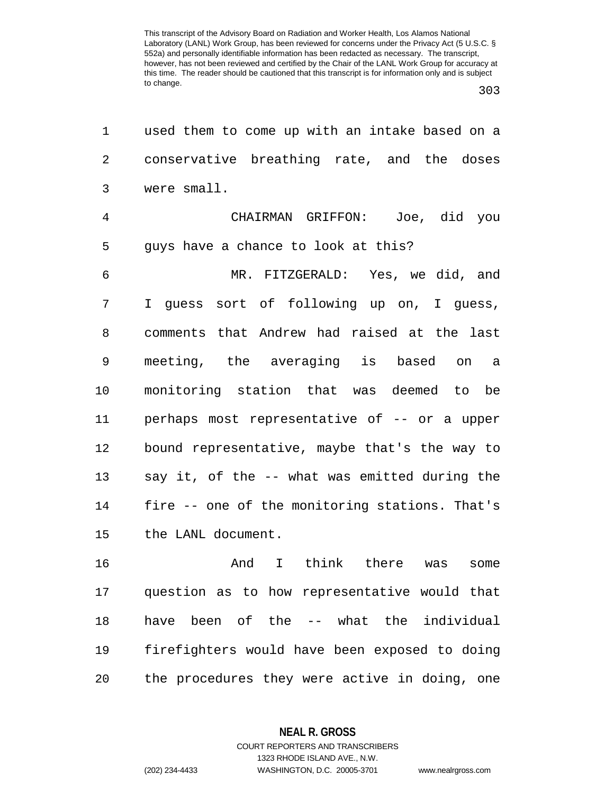303

| 1              | used them to come up with an intake based on a |
|----------------|------------------------------------------------|
| $\overline{2}$ | conservative breathing rate, and the doses     |
| 3              | were small.                                    |
| 4              | CHAIRMAN GRIFFON: Joe, did you                 |
| 5              | guys have a chance to look at this?            |
| 6              | MR. FITZGERALD: Yes, we did, and               |
| 7              | I guess sort of following up on, I guess,      |
| 8              | comments that Andrew had raised at the last    |
| 9              | meeting, the averaging is based on a           |
| 10             | monitoring station that was deemed to be       |
| 11             | perhaps most representative of -- or a upper   |
| 12             | bound representative, maybe that's the way to  |
| 13             | say it, of the -- what was emitted during the  |
| 14             | fire -- one of the monitoring stations. That's |
| 15             | the LANL document.                             |
| 16             | And I think there was<br>some                  |
| 17             | question as to how representative would that   |
| 18             | have been of the -- what the individual        |
| 19             | firefighters would have been exposed to doing  |

20 the procedures they were active in doing, one

**NEAL R. GROSS** COURT REPORTERS AND TRANSCRIBERS

1323 RHODE ISLAND AVE., N.W.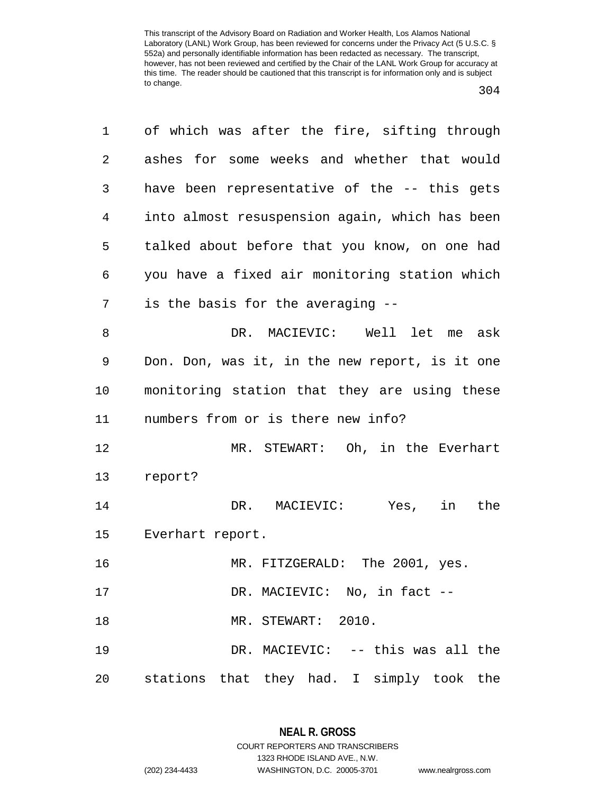| ۰,<br>۰.<br>× |  |
|---------------|--|
|---------------|--|

1 of which was after the fire, sifting through 2 ashes for some weeks and whether that would 3 have been representative of the -- this gets 4 into almost resuspension again, which has been 5 talked about before that you know, on one had 6 you have a fixed air monitoring station which 7 is the basis for the averaging -- 8 DR. MACIEVIC: Well let me ask 9 Don. Don, was it, in the new report, is it one 10 monitoring station that they are using these 11 numbers from or is there new info? 12 MR. STEWART: Oh, in the Everhart 13 report? 14 DR. MACIEVIC: Yes, in the 15 Everhart report. 16 MR. FITZGERALD: The 2001, yes. 17 DR. MACIEVIC: No, in fact --18 MR. STEWART: 2010. 19 DR. MACIEVIC: -- this was all the 20 stations that they had. I simply took the

## **NEAL R. GROSS** COURT REPORTERS AND TRANSCRIBERS

1323 RHODE ISLAND AVE., N.W. (202) 234-4433 WASHINGTON, D.C. 20005-3701 www.nealrgross.com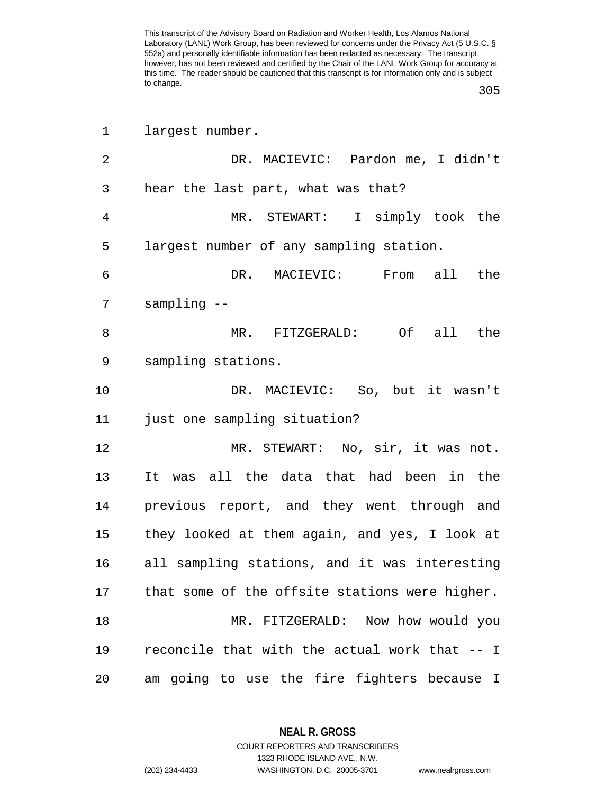305

| 1              | largest number.                                |
|----------------|------------------------------------------------|
| $\overline{2}$ | DR. MACIEVIC: Pardon me, I didn't              |
| 3              | hear the last part, what was that?             |
| $\overline{4}$ | MR. STEWART: I simply took the                 |
| 5              | largest number of any sampling station.        |
| 6              | DR. MACIEVIC:<br>From all the                  |
| 7              | $sampling - -$                                 |
| 8              | MR. FITZGERALD: Of all the                     |
| 9              | sampling stations.                             |
| 10             | DR. MACIEVIC: So, but it wasn't                |
| 11             | just one sampling situation?                   |
| 12             | MR. STEWART: No, sir, it was not.              |
| 13             | It was all the data that had been in the       |
| 14             | previous report, and they went through and     |
| 15             | they looked at them again, and yes, I look at  |
| 16             | all sampling stations, and it was interesting  |
| 17             | that some of the offsite stations were higher. |
| 18             | MR. FITZGERALD: Now how would you              |
| 19             | reconcile that with the actual work that -- I  |
| 20             | am going to use the fire fighters because I    |

**NEAL R. GROSS**

COURT REPORTERS AND TRANSCRIBERS 1323 RHODE ISLAND AVE., N.W. (202) 234-4433 WASHINGTON, D.C. 20005-3701 www.nealrgross.com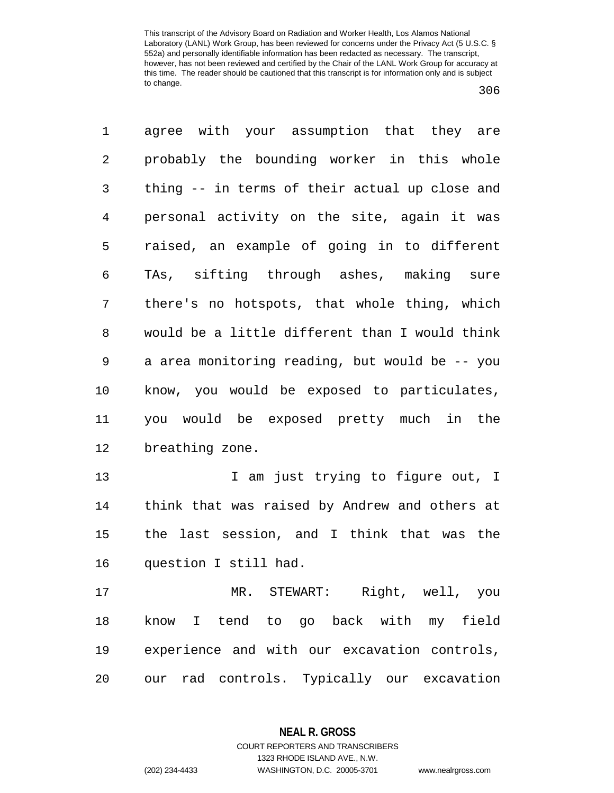| 1              | agree with your assumption that they are       |
|----------------|------------------------------------------------|
| 2              | probably the bounding worker in this whole     |
| 3              | thing -- in terms of their actual up close and |
| $\overline{4}$ | personal activity on the site, again it was    |
| 5              | raised, an example of going in to different    |
| 6              | TAs, sifting through ashes, making sure        |
| 7              | there's no hotspots, that whole thing, which   |
| 8              | would be a little different than I would think |
| $\mathsf 9$    | a area monitoring reading, but would be -- you |
| 10             | know, you would be exposed to particulates,    |
| 11             | you would be exposed pretty much in the        |
| 12             | breathing zone.                                |
| 13             | I am just trying to figure out, I              |
| 14             | think that was raised by Andrew and others at  |
| 15             | the last session, and I think that was the     |
| 16             | question I still had.                          |
| 17             | MR. STEWART: Right, well, you                  |
| 18             | know I tend to go back with my field           |
| 19             |                                                |
|                | experience and with our excavation controls,   |

**NEAL R. GROSS** COURT REPORTERS AND TRANSCRIBERS

1323 RHODE ISLAND AVE., N.W.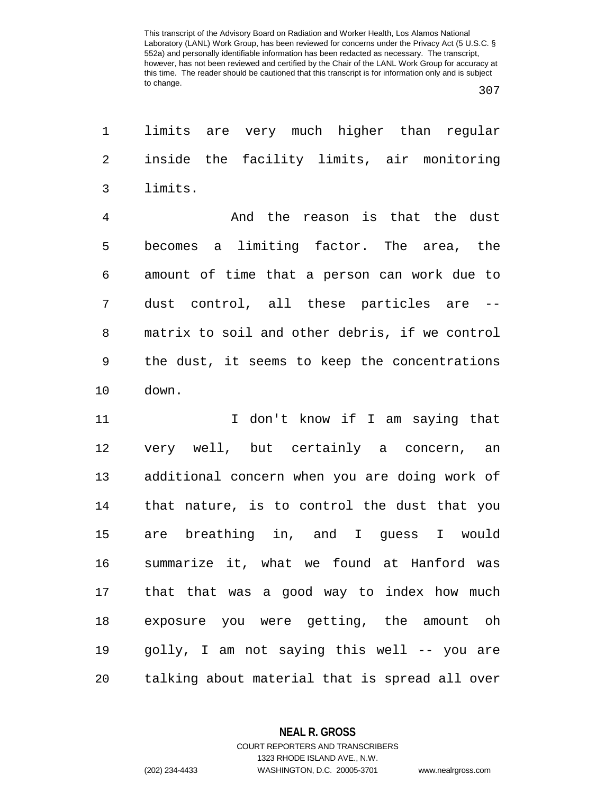307

1 limits are very much higher than regular 2 inside the facility limits, air monitoring 3 limits.

4 And the reason is that the dust 5 becomes a limiting factor. The area, the 6 amount of time that a person can work due to 7 dust control, all these particles are -- 8 matrix to soil and other debris, if we control 9 the dust, it seems to keep the concentrations 10 down.

11 I don't know if I am saying that 12 very well, but certainly a concern, an 13 additional concern when you are doing work of 14 that nature, is to control the dust that you 15 are breathing in, and I guess I would 16 summarize it, what we found at Hanford was 17 that that was a good way to index how much 18 exposure you were getting, the amount oh 19 golly, I am not saying this well -- you are 20 talking about material that is spread all over

**NEAL R. GROSS**

COURT REPORTERS AND TRANSCRIBERS 1323 RHODE ISLAND AVE., N.W. (202) 234-4433 WASHINGTON, D.C. 20005-3701 www.nealrgross.com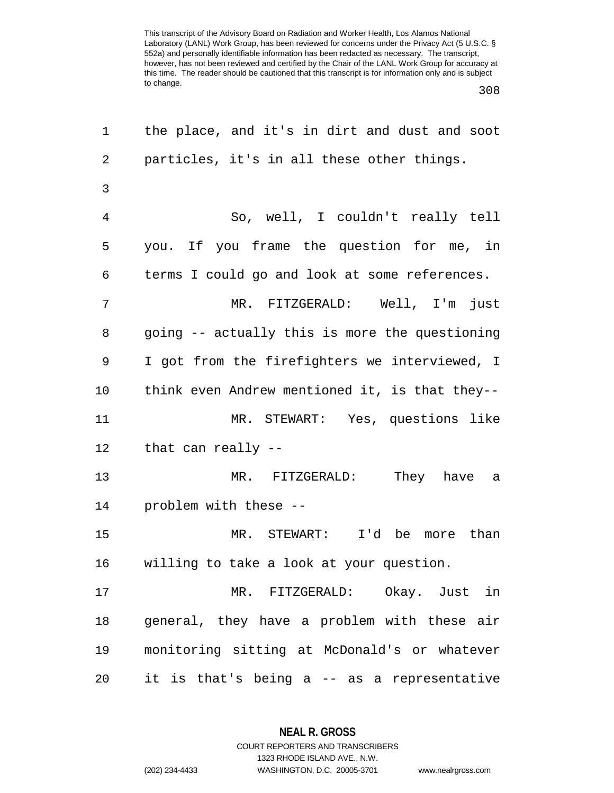308

| 1              | the place, and it's in dirt and dust and soot  |
|----------------|------------------------------------------------|
| $\overline{2}$ | particles, it's in all these other things.     |
| 3              |                                                |
| $\overline{4}$ | So, well, I couldn't really tell               |
| 5              | you. If you frame the question for me, in      |
| 6              | terms I could go and look at some references.  |
| 7              | MR. FITZGERALD: Well, I'm just                 |
| 8              | going -- actually this is more the questioning |
| 9              | I got from the firefighters we interviewed, I  |
| 10             | think even Andrew mentioned it, is that they-- |
| 11             | MR. STEWART: Yes, questions like               |
| 12             | that can really --                             |
| 13             | MR. FITZGERALD: They have a                    |
| 14             | problem with these --                          |
| 15             | MR. STEWART: I'd be more than                  |
| 16             | willing to take a look at your question.       |
| 17             | MR. FITZGERALD: Okay. Just in                  |
| 18             | general, they have a problem with these air    |
| 19             | monitoring sitting at McDonald's or whatever   |
| 20             | it is that's being a -- as a representative    |

**NEAL R. GROSS** COURT REPORTERS AND TRANSCRIBERS

1323 RHODE ISLAND AVE., N.W.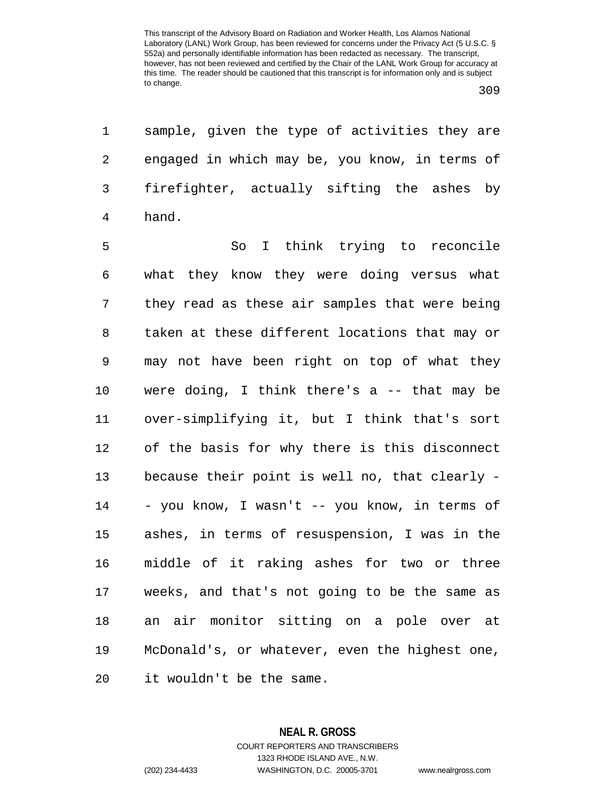1 sample, given the type of activities they are 2 engaged in which may be, you know, in terms of 3 firefighter, actually sifting the ashes by 4 hand.

5 So I think trying to reconcile 6 what they know they were doing versus what 7 they read as these air samples that were being 8 taken at these different locations that may or 9 may not have been right on top of what they 10 were doing, I think there's a -- that may be 11 over-simplifying it, but I think that's sort 12 of the basis for why there is this disconnect 13 because their point is well no, that clearly - 14 - you know, I wasn't -- you know, in terms of 15 ashes, in terms of resuspension, I was in the 16 middle of it raking ashes for two or three 17 weeks, and that's not going to be the same as 18 an air monitor sitting on a pole over at 19 McDonald's, or whatever, even the highest one, 20 it wouldn't be the same.

> **NEAL R. GROSS** COURT REPORTERS AND TRANSCRIBERS 1323 RHODE ISLAND AVE., N.W. (202) 234-4433 WASHINGTON, D.C. 20005-3701 www.nealrgross.com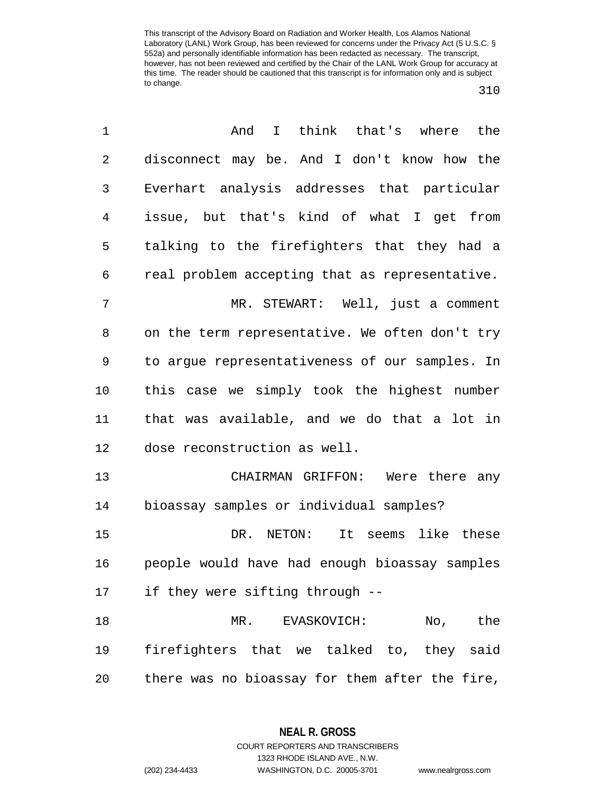310

| $\mathbf 1$ | I think that's where the<br>And                |
|-------------|------------------------------------------------|
| $\sqrt{2}$  | disconnect may be. And I don't know how the    |
| 3           | Everhart analysis addresses that particular    |
| 4           | issue, but that's kind of what I get from      |
| 5           | talking to the firefighters that they had a    |
| 6           | real problem accepting that as representative. |
| 7           | MR. STEWART: Well, just a comment              |
| 8           | on the term representative. We often don't try |
| 9           | to argue representativeness of our samples. In |
| 10          | this case we simply took the highest number    |
| 11          | that was available, and we do that a lot in    |
| 12          | dose reconstruction as well.                   |
| 13          | CHAIRMAN GRIFFON: Were there any               |
| 14          | bioassay samples or individual samples?        |
| 15          | It seems like these<br>DR. NETON:              |
| 16          | people would have had enough bioassay samples  |
| 17          | if they were sifting through --                |
| 18          | No, the<br>MR. EVASKOVICH:                     |
| 19          | firefighters that we talked to, they said      |
| 20          | there was no bioassay for them after the fire, |

**NEAL R. GROSS** COURT REPORTERS AND TRANSCRIBERS

1323 RHODE ISLAND AVE., N.W. (202) 234-4433 WASHINGTON, D.C. 20005-3701 www.nealrgross.com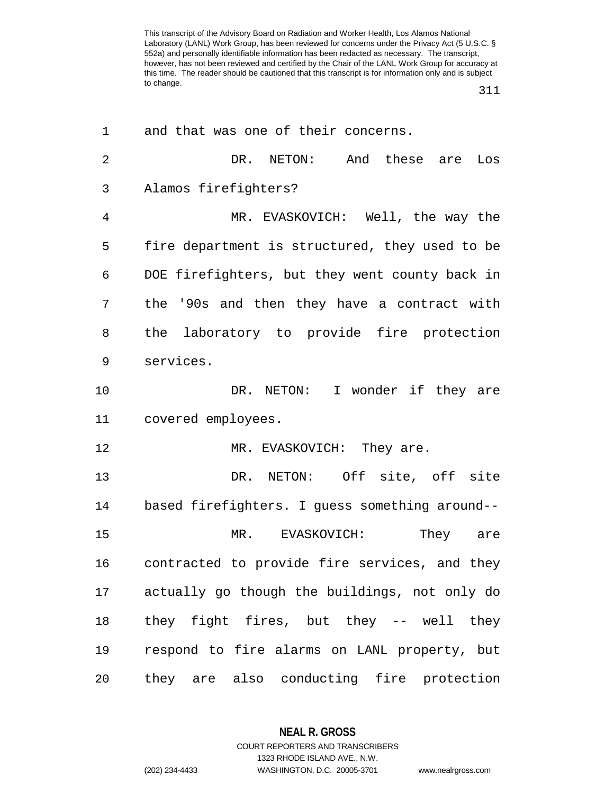311

| 1              | and that was one of their concerns.            |
|----------------|------------------------------------------------|
| $\overline{2}$ | DR. NETON: And these<br>Los<br>are             |
| 3              | Alamos firefighters?                           |
| 4              | MR. EVASKOVICH: Well, the way the              |
| 5              | fire department is structured, they used to be |
| 6              | DOE firefighters, but they went county back in |
| 7              | the '90s and then they have a contract with    |
| 8              | the laboratory to provide fire protection      |
| 9              | services.                                      |
| 10             | DR. NETON: I wonder if they are                |
| 11             | covered employees.                             |
| 12             | MR. EVASKOVICH: They are.                      |
| 13             | DR. NETON: Off site, off site                  |
| 14             | based firefighters. I guess something around-- |
| 15             | They are<br>MR. EVASKOVICH:                    |
| 16             | contracted to provide fire services, and they  |
| 17             | actually go though the buildings, not only do  |
| 18             | they fight fires, but they -- well they        |
| 19             | respond to fire alarms on LANL property, but   |
| 20             | they are also conducting fire protection       |

**NEAL R. GROSS**

COURT REPORTERS AND TRANSCRIBERS 1323 RHODE ISLAND AVE., N.W. (202) 234-4433 WASHINGTON, D.C. 20005-3701 www.nealrgross.com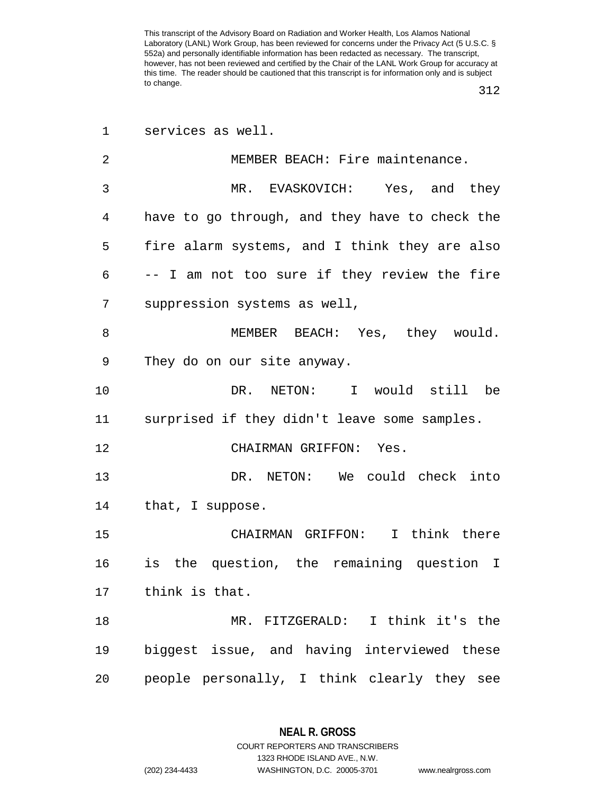312

| $\mathbf 1$ | services as well.                              |
|-------------|------------------------------------------------|
| 2           | MEMBER BEACH: Fire maintenance.                |
| 3           | MR. EVASKOVICH: Yes, and they                  |
| 4           | have to go through, and they have to check the |
| 5           | fire alarm systems, and I think they are also  |
| 6           | -- I am not too sure if they review the fire   |
| 7           | suppression systems as well,                   |
| 8           | MEMBER BEACH: Yes, they would.                 |
| 9           | They do on our site anyway.                    |
| 10          | DR. NETON: I would still be                    |
| 11          | surprised if they didn't leave some samples.   |
| 12          | CHAIRMAN GRIFFON: Yes.                         |
| 13          | DR. NETON: We could check into                 |
| 14          | that, I suppose.                               |
| 15          | CHAIRMAN GRIFFON: I think there                |
| 16          | is the question, the remaining question I      |
| 17          | think is that.                                 |
| 18          | MR. FITZGERALD: I think it's the               |
| 19          | biggest issue, and having interviewed these    |
| 20          | people personally, I think clearly they see    |

1323 RHODE ISLAND AVE., N.W.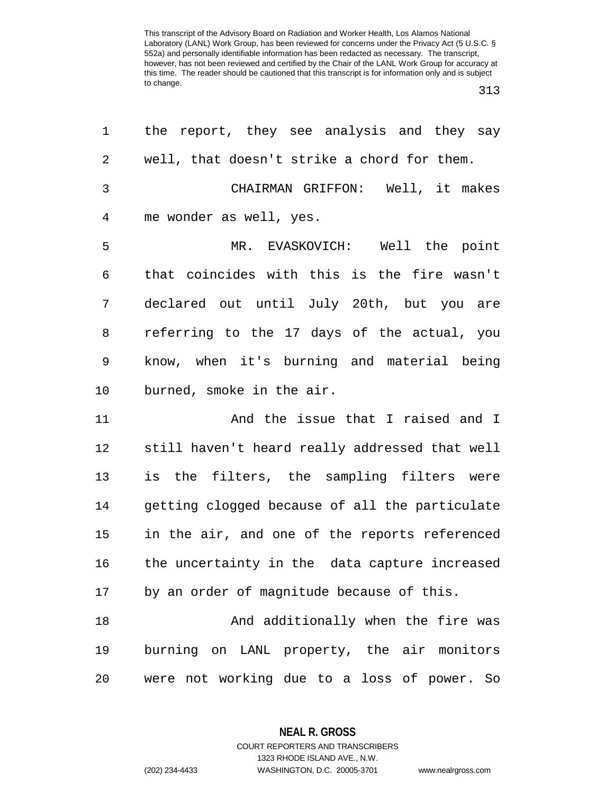313

| 1              | the report, they see analysis and they say     |
|----------------|------------------------------------------------|
| 2              | well, that doesn't strike a chord for them.    |
| $\mathfrak{Z}$ | CHAIRMAN GRIFFON: Well, it makes               |
| $\overline{4}$ | me wonder as well, yes.                        |
| 5              | MR. EVASKOVICH: Well the point                 |
| 6              | that coincides with this is the fire wasn't    |
| 7              | declared out until July 20th, but you are      |
| 8              | referring to the 17 days of the actual, you    |
| 9              | know, when it's burning and material being     |
| 10             | burned, smoke in the air.                      |
| 11             | And the issue that I raised and I              |
| 12             | still haven't heard really addressed that well |
| 13             | is the filters, the sampling filters were      |
| 14             | getting clogged because of all the particulate |
| 15             | in the air, and one of the reports referenced  |
| 16             | the uncertainty in the data capture increased  |
| 17             | by an order of magnitude because of this.      |
| 18             | And additionally when the fire was             |
| 19             | burning on LANL property, the air monitors     |
| 20             | were not working due to a loss of power. So    |

**NEAL R. GROSS**

COURT REPORTERS AND TRANSCRIBERS 1323 RHODE ISLAND AVE., N.W. (202) 234-4433 WASHINGTON, D.C. 20005-3701 www.nealrgross.com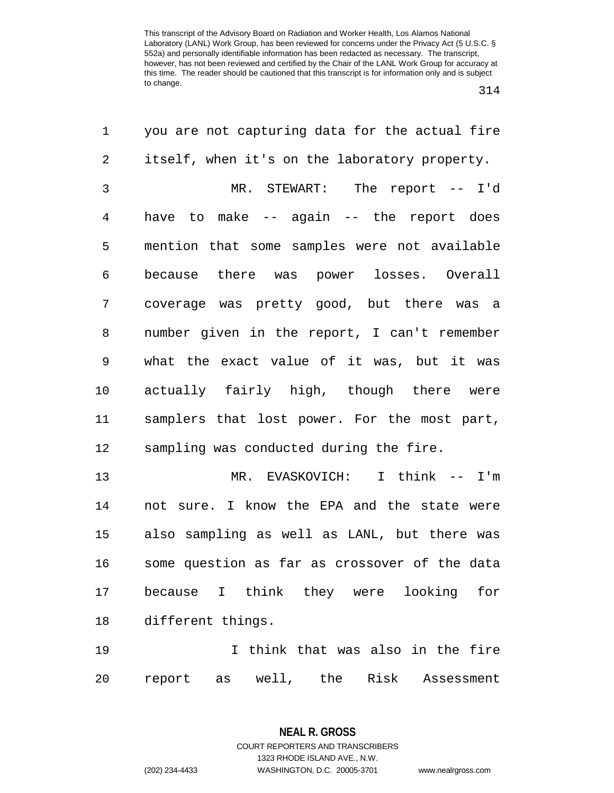314

| 1              | you are not capturing data for the actual fire  |
|----------------|-------------------------------------------------|
| $\overline{2}$ | itself, when it's on the laboratory property.   |
| 3              | MR. STEWART: The report -- I'd                  |
| $\overline{4}$ | have to make -- again -- the report does        |
| 5              | mention that some samples were not available    |
| 6              | because there was power losses. Overall         |
| 7              | coverage was pretty good, but there was a       |
| 8              | number given in the report, I can't remember    |
| 9              | what the exact value of it was, but it was      |
| $10 \,$        | actually fairly high, though there were         |
| 11             | samplers that lost power. For the most part,    |
| 12             | sampling was conducted during the fire.         |
| 13             | MR. EVASKOVICH: I think -- I'm                  |
| 14             | not sure. I know the EPA and the state were     |
| 15             | also sampling as well as LANL, but there was    |
| 16             | some question as far as crossover of the data   |
| 17             | because I think they were looking for           |
| 18             | different things.                               |
| 19             | I think that was also in the fire               |
| 20             | Risk<br>well, the<br>report<br>Assessment<br>as |

**NEAL R. GROSS** COURT REPORTERS AND TRANSCRIBERS 1323 RHODE ISLAND AVE., N.W.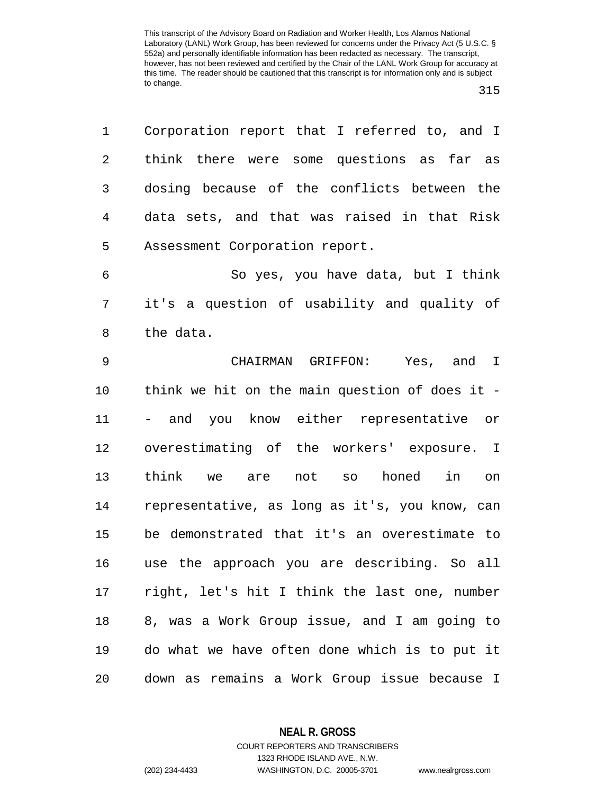1 Corporation report that I referred to, and I

2 think there were some questions as far as 3 dosing because of the conflicts between the 4 data sets, and that was raised in that Risk 5 Assessment Corporation report. 6 So yes, you have data, but I think 7 it's a question of usability and quality of 8 the data. 9 CHAIRMAN GRIFFON: Yes, and I 10 think we hit on the main question of does it - 11 - and you know either representative or 12 overestimating of the workers' exposure. I 13 think we are not so honed in on 14 representative, as long as it's, you know, can 15 be demonstrated that it's an overestimate to 16 use the approach you are describing. So all 17 right, let's hit I think the last one, number 18 8, was a Work Group issue, and I am going to 19 do what we have often done which is to put it

20 down as remains a Work Group issue because I

1323 RHODE ISLAND AVE., N.W.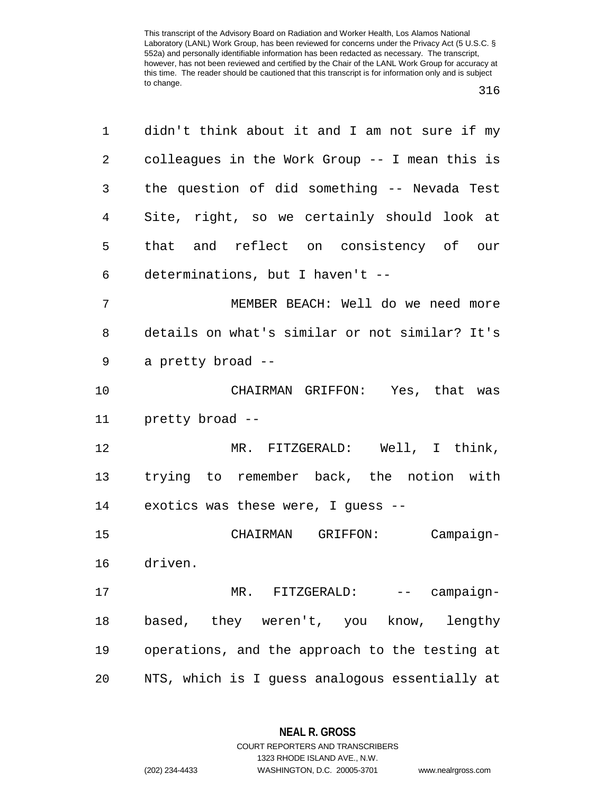| 1           | didn't think about it and I am not sure if my  |
|-------------|------------------------------------------------|
| 2           | colleagues in the Work Group -- I mean this is |
| 3           | the question of did something -- Nevada Test   |
| 4           | Site, right, so we certainly should look at    |
| 5           | that and reflect on consistency of our         |
| 6           | determinations, but I haven't --               |
| 7           | MEMBER BEACH: Well do we need more             |
| 8           | details on what's similar or not similar? It's |
| $\mathsf 9$ | a pretty broad --                              |
| 10          | CHAIRMAN GRIFFON: Yes, that was                |
| 11          | pretty broad --                                |
| 12          | MR. FITZGERALD: Well, I think,                 |
| 13          | trying to remember back, the notion with       |
| 14          | exotics was these were, I guess --             |
|             |                                                |
| 15          | CHAIRMAN GRIFFON: Campaign-                    |
| 16          | driven.                                        |
| 17          | MR. FITZGERALD:<br>-- campaign-                |
| 18          | based, they weren't, you know, lengthy         |
| 19          | operations, and the approach to the testing at |

**NEAL R. GROSS** COURT REPORTERS AND TRANSCRIBERS

1323 RHODE ISLAND AVE., N.W.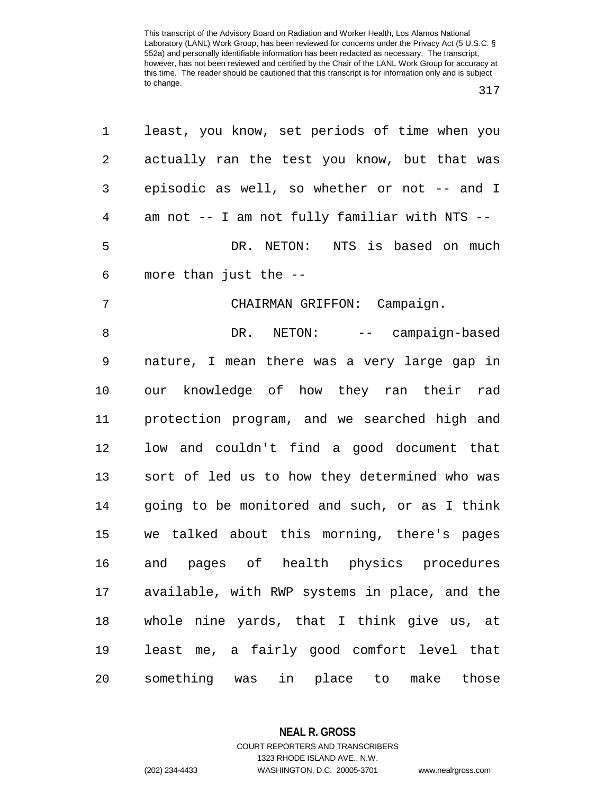| 1              | least, you know, set periods of time when you |
|----------------|-----------------------------------------------|
| $\overline{2}$ | actually ran the test you know, but that was  |
| 3              | episodic as well, so whether or not -- and I  |
| 4              | am not -- I am not fully familiar with NTS -- |
| 5              | DR. NETON: NTS is based on much               |
| 6              | more than just the --                         |
| 7              | CHAIRMAN GRIFFON: Campaign.                   |
| $\,8\,$        | DR. NETON: -- campaign-based                  |
| 9              | nature, I mean there was a very large gap in  |
| 10             | our knowledge of how they ran their rad       |
| 11             | protection program, and we searched high and  |
| 12             | low and couldn't find a good document that    |
| 13             | sort of led us to how they determined who was |
| 14             | going to be monitored and such, or as I think |
| 15             | we talked about this morning, there's pages   |
| 16             | and pages of health physics procedures        |
| 17             | available, with RWP systems in place, and the |
| $18\,$         | whole nine yards, that I think give us, at    |
| 19             | least me, a fairly good comfort level that    |
| 20             | something was<br>in place to make<br>those    |

**NEAL R. GROSS**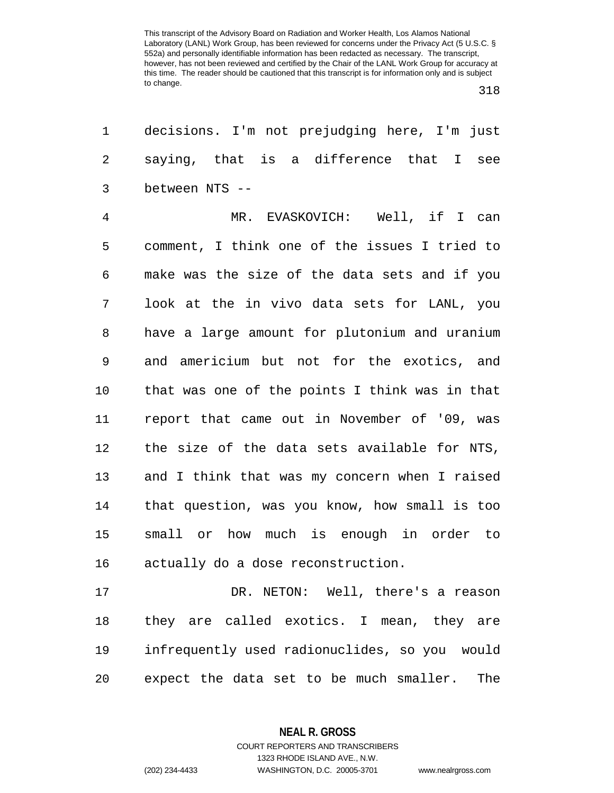1 decisions. I'm not prejudging here, I'm just 2 saying, that is a difference that I see 3 between NTS --

4 MR. EVASKOVICH: Well, if I can 5 comment, I think one of the issues I tried to 6 make was the size of the data sets and if you 7 look at the in vivo data sets for LANL, you 8 have a large amount for plutonium and uranium 9 and americium but not for the exotics, and 10 that was one of the points I think was in that 11 report that came out in November of '09, was 12 the size of the data sets available for NTS, 13 and I think that was my concern when I raised 14 that question, was you know, how small is too 15 small or how much is enough in order to 16 actually do a dose reconstruction.

17 DR. NETON: Well, there's a reason 18 they are called exotics. I mean, they are 19 infrequently used radionuclides, so you would 20 expect the data set to be much smaller. The

**NEAL R. GROSS**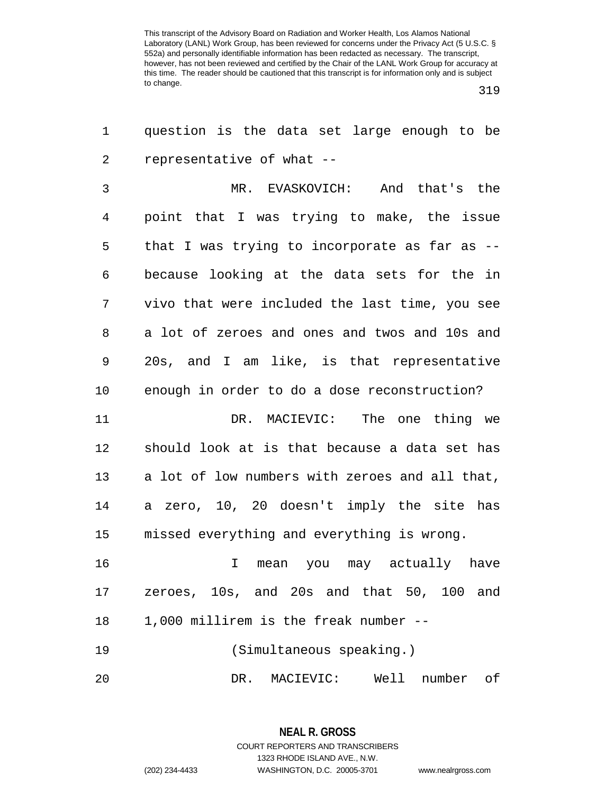319

| 1  | question is the data set large enough to be    |
|----|------------------------------------------------|
| 2  | representative of what --                      |
| 3  | MR. EVASKOVICH: And that's the                 |
| 4  | point that I was trying to make, the issue     |
| 5  | that I was trying to incorporate as far as --  |
| 6  | because looking at the data sets for the in    |
| 7  | vivo that were included the last time, you see |
| 8  | a lot of zeroes and ones and twos and 10s and  |
| 9  | 20s, and I am like, is that representative     |
| 10 | enough in order to do a dose reconstruction?   |
| 11 | DR. MACIEVIC: The one thing we                 |
| 12 | should look at is that because a data set has  |
| 13 | a lot of low numbers with zeroes and all that, |
| 14 | a zero, 10, 20 doesn't imply the site has      |
| 15 | missed everything and everything is wrong.     |
| 16 | mean you may actually have<br>I.               |
| 17 | zeroes, 10s, and 20s and that 50, 100 and      |
| 18 | 1,000 millirem is the freak number --          |
| 19 | (Simultaneous speaking.)                       |
| 20 | Well number of<br>DR.<br>MACIEVIC:             |

**NEAL R. GROSS** COURT REPORTERS AND TRANSCRIBERS 1323 RHODE ISLAND AVE., N.W. (202) 234-4433 WASHINGTON, D.C. 20005-3701 www.nealrgross.com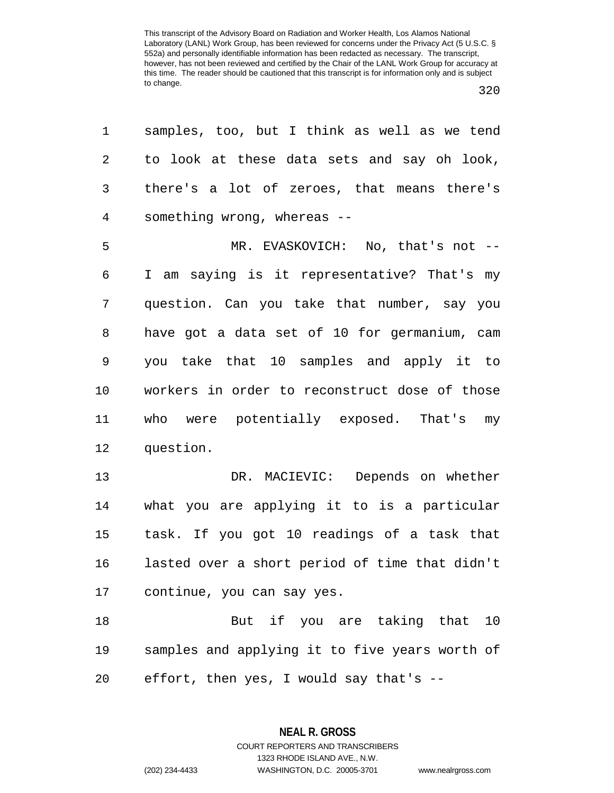| 1              | samples, too, but I think as well as we tend   |
|----------------|------------------------------------------------|
| 2              | to look at these data sets and say oh look,    |
| 3              | there's a lot of zeroes, that means there's    |
| $\overline{4}$ | something wrong, whereas --                    |
| 5              | MR. EVASKOVICH: No, that's not --              |
| 6              | I am saying is it representative? That's my    |
| 7              | question. Can you take that number, say you    |
| 8              | have got a data set of 10 for germanium, cam   |
| $\mathsf 9$    | you take that 10 samples and apply it to       |
| 10             | workers in order to reconstruct dose of those  |
| 11             | who were potentially exposed. That's my        |
| 12             | question.                                      |
| 13             | DR. MACIEVIC: Depends on whether               |
| 14             | what you are applying it to is a particular    |
| 15             | task. If you got 10 readings of a task that    |
| 16             | lasted over a short period of time that didn't |
| 17             | continue, you can say yes.                     |
| 18             | But if you are taking that 10                  |
| 19             | samples and applying it to five years worth of |
| 20             | effort, then yes, I would say that's --        |

**NEAL R. GROSS** COURT REPORTERS AND TRANSCRIBERS

1323 RHODE ISLAND AVE., N.W.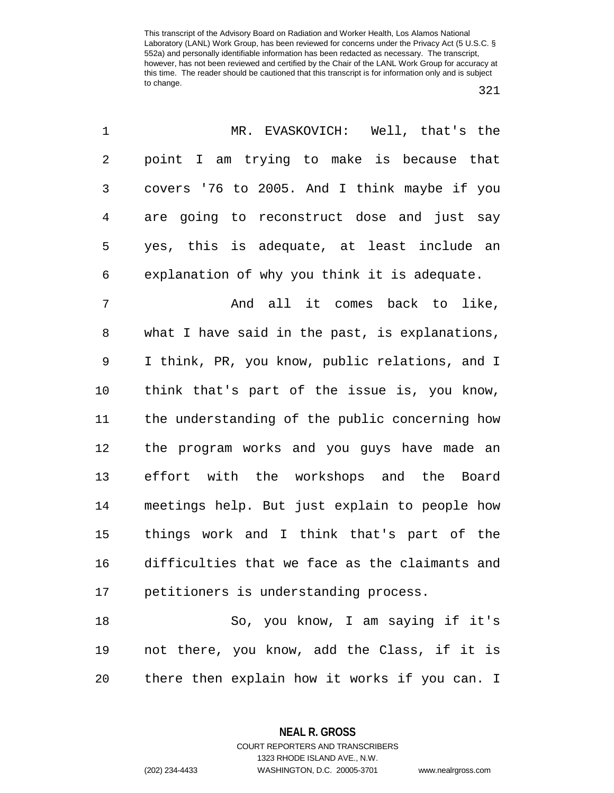321

| 1  | MR. EVASKOVICH: Well, that's the               |
|----|------------------------------------------------|
| 2  | point I am trying to make is because that      |
| 3  | covers '76 to 2005. And I think maybe if you   |
| 4  | are going to reconstruct dose and just say     |
| 5  | yes, this is adequate, at least include an     |
| 6  | explanation of why you think it is adequate.   |
| 7  | And all it comes back to like,                 |
| 8  | what I have said in the past, is explanations, |
| 9  | I think, PR, you know, public relations, and I |
| 10 | think that's part of the issue is, you know,   |
| 11 | the understanding of the public concerning how |
| 12 | the program works and you guys have made an    |
| 13 | effort with the workshops and the Board        |
| 14 | meetings help. But just explain to people how  |
| 15 | things work and I think that's part of the     |
| 16 | difficulties that we face as the claimants and |
| 17 | petitioners is understanding process.          |
| 18 | So, you know, I am saying if it's              |
| 19 | not there, you know, add the Class, if it is   |
| 20 | there then explain how it works if you can. I  |

**NEAL R. GROSS** COURT REPORTERS AND TRANSCRIBERS

1323 RHODE ISLAND AVE., N.W. (202) 234-4433 WASHINGTON, D.C. 20005-3701 www.nealrgross.com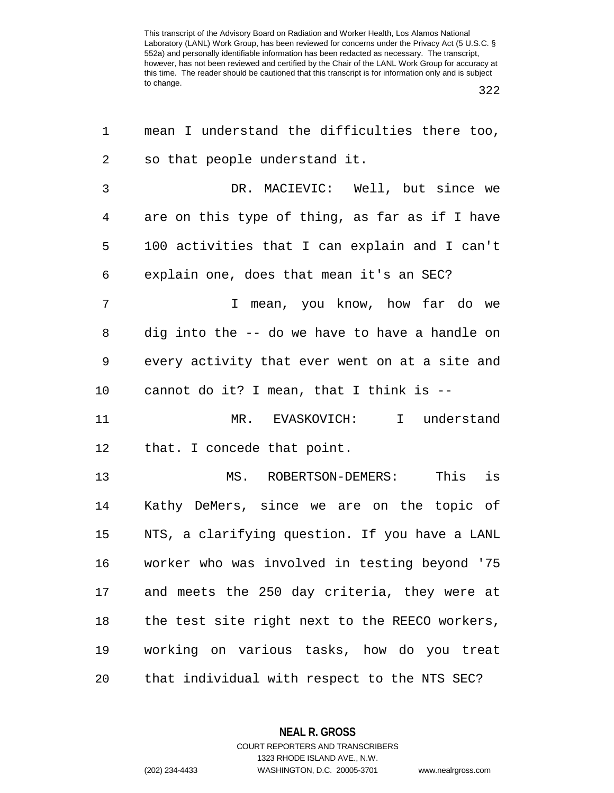322

| 1  | mean I understand the difficulties there too,  |
|----|------------------------------------------------|
| 2  | so that people understand it.                  |
| 3  | DR. MACIEVIC: Well, but since we               |
| 4  | are on this type of thing, as far as if I have |
| 5  | 100 activities that I can explain and I can't  |
| 6  | explain one, does that mean it's an SEC?       |
| 7  | I mean, you know, how far do we                |
| 8  | dig into the -- do we have to have a handle on |
| 9  | every activity that ever went on at a site and |
| 10 | cannot do it? I mean, that I think is --       |
| 11 | MR. EVASKOVICH: I understand                   |
| 12 | that. I concede that point.                    |
| 13 | This is<br>MS. ROBERTSON-DEMERS:               |
| 14 | Kathy DeMers, since we are on the topic of     |
| 15 | NTS, a clarifying question. If you have a LANL |
| 16 | worker who was involved in testing beyond '75  |
| 17 | and meets the 250 day criteria, they were at   |
| 18 | the test site right next to the REECO workers, |
| 19 | working on various tasks, how do you treat     |
| 20 | that individual with respect to the NTS SEC?   |

**NEAL R. GROSS** COURT REPORTERS AND TRANSCRIBERS

1323 RHODE ISLAND AVE., N.W.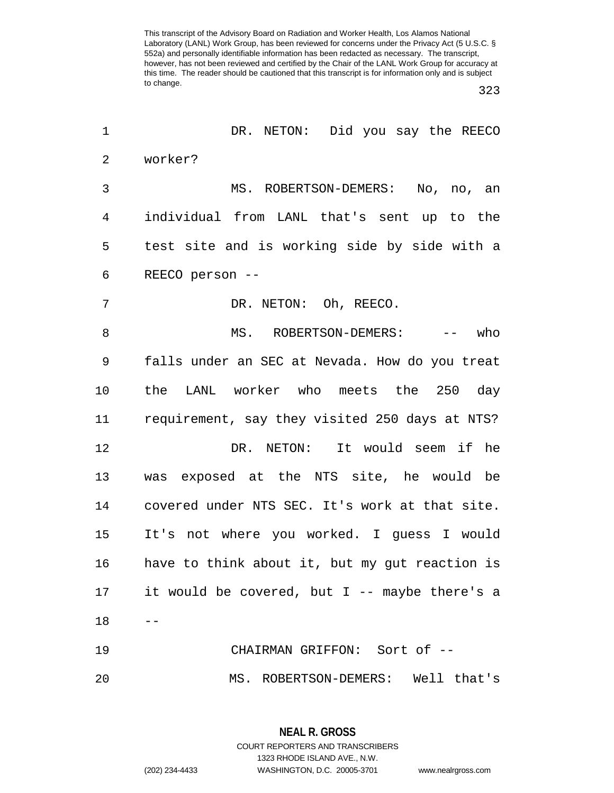323

| 1  | DR. NETON: Did you say the REECO               |
|----|------------------------------------------------|
| 2  | worker?                                        |
| 3  | MS. ROBERTSON-DEMERS: No, no, an               |
| 4  | individual from LANL that's sent up to the     |
| 5  | test site and is working side by side with a   |
| 6  | REECO person --                                |
| 7  | DR. NETON: Oh, REECO.                          |
| 8  | MS. ROBERTSON-DEMERS: --<br>who                |
| 9  | falls under an SEC at Nevada. How do you treat |
| 10 | the LANL worker who meets the 250 day          |
| 11 | requirement, say they visited 250 days at NTS? |
| 12 | DR. NETON: It would seem if he                 |
| 13 | was exposed at the NTS site, he would be       |
| 14 | covered under NTS SEC. It's work at that site. |
| 15 | It's not where you worked. I guess I would     |
| 16 | have to think about it, but my gut reaction is |
| 17 | it would be covered, but I -- maybe there's a  |
| 18 |                                                |
| 19 | CHAIRMAN GRIFFON: Sort of --                   |
| 20 | MS. ROBERTSON-DEMERS: Well that's              |

**NEAL R. GROSS** COURT REPORTERS AND TRANSCRIBERS 1323 RHODE ISLAND AVE., N.W. (202) 234-4433 WASHINGTON, D.C. 20005-3701 www.nealrgross.com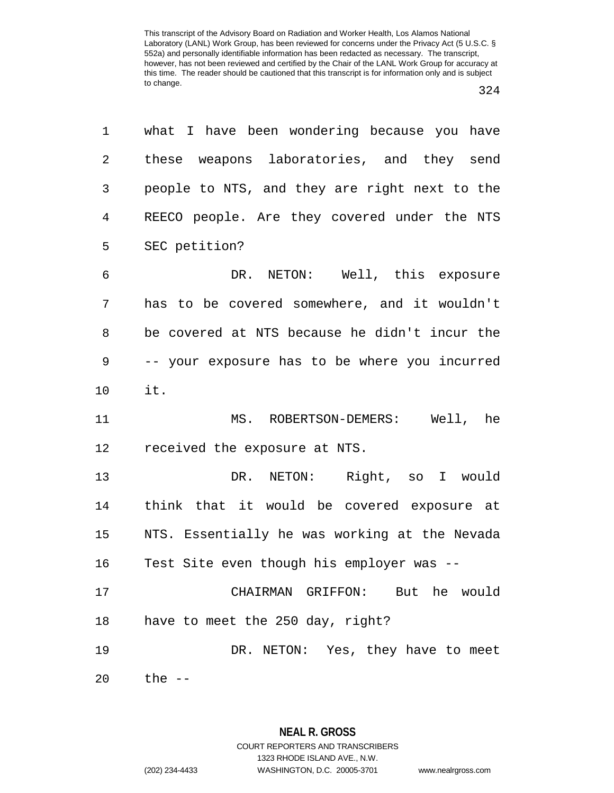| 1              | what I have been wondering because you have   |
|----------------|-----------------------------------------------|
| $\overline{2}$ | these weapons laboratories, and they send     |
| 3              | people to NTS, and they are right next to the |
| $\overline{4}$ | REECO people. Are they covered under the NTS  |
| 5              | SEC petition?                                 |
| 6              | DR. NETON: Well, this exposure                |
| 7              | has to be covered somewhere, and it wouldn't  |
| 8              | be covered at NTS because he didn't incur the |
| 9              | -- your exposure has to be where you incurred |
| 10             | it.                                           |
| 11             | MS. ROBERTSON-DEMERS: Well, he                |
| 12             | received the exposure at NTS.                 |
| 13             | DR. NETON: Right, so I would                  |
| 14             | think that it would be covered exposure at    |
| 15             | NTS. Essentially he was working at the Nevada |
| 16             | Test Site even though his employer was --     |
| 17             | CHAIRMAN GRIFFON: But he would                |
| 18             | have to meet the 250 day, right?              |
| 19             |                                               |
|                | DR. NETON: Yes, they have to meet             |

**NEAL R. GROSS** COURT REPORTERS AND TRANSCRIBERS 1323 RHODE ISLAND AVE., N.W.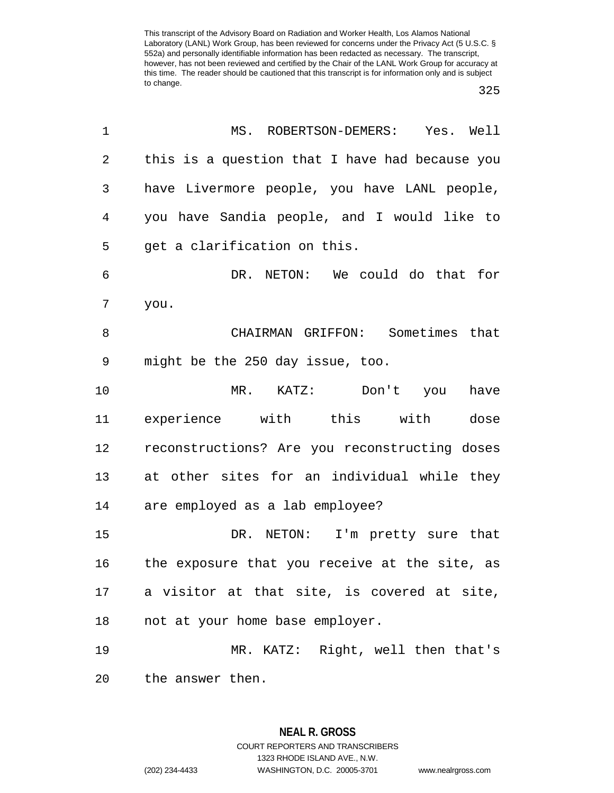| 1  | MS. ROBERTSON-DEMERS: Yes. Well                |  |  |  |  |
|----|------------------------------------------------|--|--|--|--|
| 2  | this is a question that I have had because you |  |  |  |  |
| 3  | have Livermore people, you have LANL people,   |  |  |  |  |
| 4  | you have Sandia people, and I would like to    |  |  |  |  |
| 5  | get a clarification on this.                   |  |  |  |  |
| 6  | DR. NETON: We could do that for                |  |  |  |  |
| 7  | you.                                           |  |  |  |  |
| 8  | CHAIRMAN GRIFFON: Sometimes that               |  |  |  |  |
| 9  | might be the 250 day issue, too.               |  |  |  |  |
| 10 | MR. KATZ: Don't you<br>have                    |  |  |  |  |
| 11 | experience with this with<br>dose              |  |  |  |  |
| 12 | reconstructions? Are you reconstructing doses  |  |  |  |  |
| 13 | at other sites for an individual while they    |  |  |  |  |
| 14 | are employed as a lab employee?                |  |  |  |  |
| 15 | DR. NETON: I'm pretty sure that                |  |  |  |  |
| 16 | the exposure that you receive at the site, as  |  |  |  |  |
|    | 17 a visitor at that site, is covered at site, |  |  |  |  |
| 18 | not at your home base employer.                |  |  |  |  |
| 19 | MR. KATZ: Right, well then that's              |  |  |  |  |
| 20 | the answer then.                               |  |  |  |  |

**NEAL R. GROSS** COURT REPORTERS AND TRANSCRIBERS 1323 RHODE ISLAND AVE., N.W. (202) 234-4433 WASHINGTON, D.C. 20005-3701 www.nealrgross.com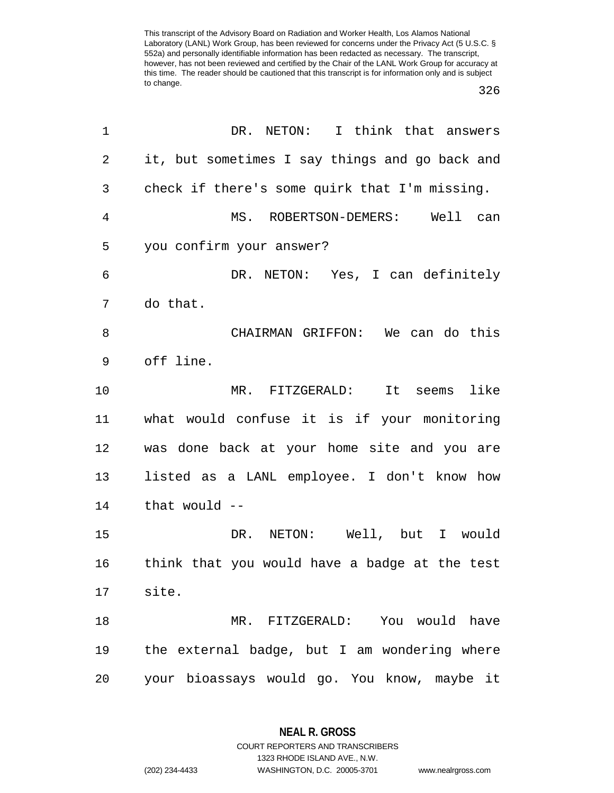326

| $\mathbf 1$    | DR. NETON: I think that answers                |  |  |  |  |
|----------------|------------------------------------------------|--|--|--|--|
| $\overline{2}$ | it, but sometimes I say things and go back and |  |  |  |  |
| 3              | check if there's some quirk that I'm missing.  |  |  |  |  |
| $\overline{4}$ | MS. ROBERTSON-DEMERS: Well can                 |  |  |  |  |
| 5              | you confirm your answer?                       |  |  |  |  |
| 6              | DR. NETON: Yes, I can definitely               |  |  |  |  |
| 7              | do that.                                       |  |  |  |  |
| 8              | CHAIRMAN GRIFFON: We can do this               |  |  |  |  |
| 9              | off line.                                      |  |  |  |  |
| 10             | MR. FITZGERALD: It seems like                  |  |  |  |  |
| 11             | what would confuse it is if your monitoring    |  |  |  |  |
| 12             | was done back at your home site and you are    |  |  |  |  |
| 13             | listed as a LANL employee. I don't know how    |  |  |  |  |
| 14             | that would $--$                                |  |  |  |  |
| 15             | DR. NETON: Well, but I would                   |  |  |  |  |
| 16             | think that you would have a badge at the test  |  |  |  |  |
| 17             | site.                                          |  |  |  |  |
| 18             | MR. FITZGERALD: You would have                 |  |  |  |  |
| 19             | the external badge, but I am wondering where   |  |  |  |  |
| 20             | your bioassays would go. You know, maybe it    |  |  |  |  |

**NEAL R. GROSS** COURT REPORTERS AND TRANSCRIBERS

1323 RHODE ISLAND AVE., N.W.

(202) 234-4433 WASHINGTON, D.C. 20005-3701 www.nealrgross.com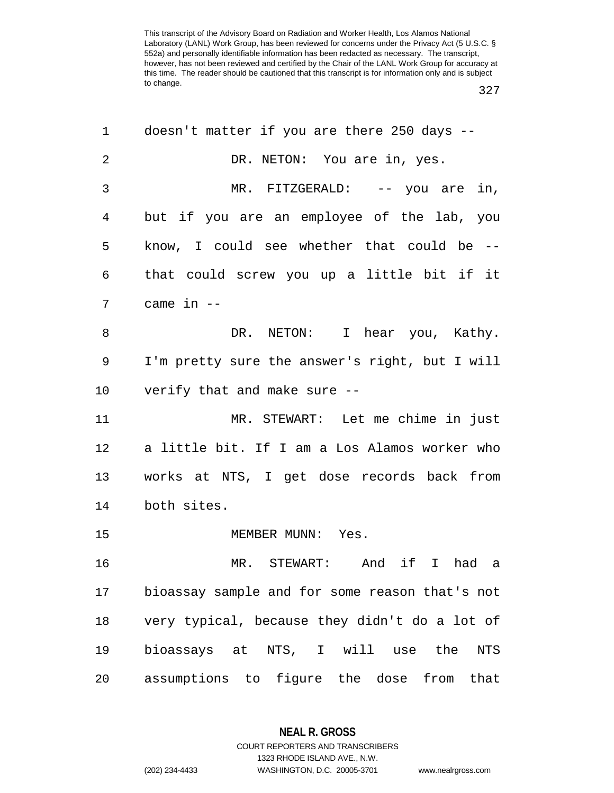327

| 1              | doesn't matter if you are there 250 days --       |  |  |  |  |  |
|----------------|---------------------------------------------------|--|--|--|--|--|
| $\overline{2}$ | DR. NETON: You are in, yes.                       |  |  |  |  |  |
| 3              | MR. FITZGERALD: -- you are in,                    |  |  |  |  |  |
| 4              | but if you are an employee of the lab, you        |  |  |  |  |  |
| 5              | know, I could see whether that could be --        |  |  |  |  |  |
| 6              | that could screw you up a little bit if it        |  |  |  |  |  |
| 7              | came in --                                        |  |  |  |  |  |
| 8              | DR. NETON: I hear you, Kathy.                     |  |  |  |  |  |
| 9              | I'm pretty sure the answer's right, but I will    |  |  |  |  |  |
| 10             | verify that and make sure --                      |  |  |  |  |  |
| 11             | MR. STEWART: Let me chime in just                 |  |  |  |  |  |
| 12             | a little bit. If I am a Los Alamos worker who     |  |  |  |  |  |
| 13             | works at NTS, I get dose records back from        |  |  |  |  |  |
| 14             | both sites.                                       |  |  |  |  |  |
| 15             | MEMBER MUNN: Yes.                                 |  |  |  |  |  |
| 16             | MR. STEWART:<br>And if I<br>had a                 |  |  |  |  |  |
| 17             | bioassay sample and for some reason that's not    |  |  |  |  |  |
| 18             | very typical, because they didn't do a lot of     |  |  |  |  |  |
| 19             | bioassays at NTS, I will use<br>the<br><b>NTS</b> |  |  |  |  |  |
| 20             | assumptions to figure the dose from that          |  |  |  |  |  |
|                |                                                   |  |  |  |  |  |

## **NEAL R. GROSS**

COURT REPORTERS AND TRANSCRIBERS 1323 RHODE ISLAND AVE., N.W. (202) 234-4433 WASHINGTON, D.C. 20005-3701 www.nealrgross.com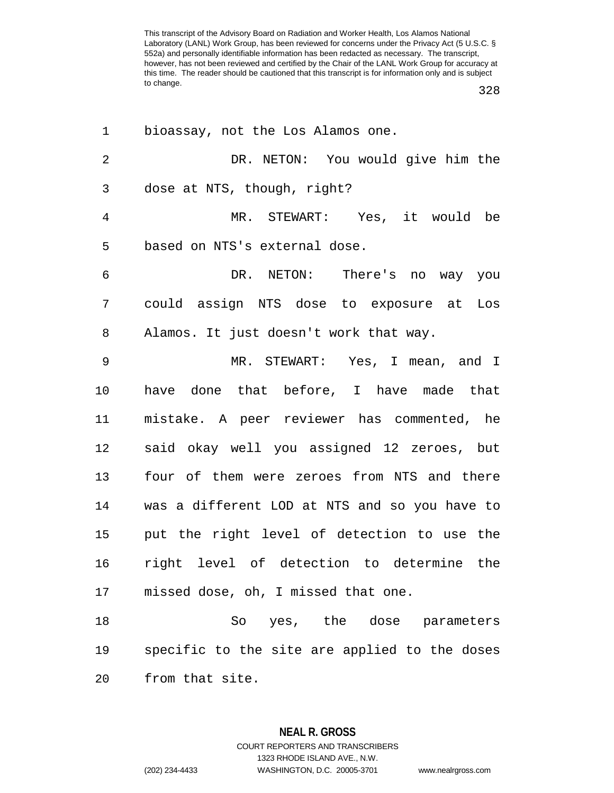328

| 1              | bioassay, not the Los Alamos one.             |  |  |  |  |
|----------------|-----------------------------------------------|--|--|--|--|
| $\overline{2}$ | DR. NETON: You would give him the             |  |  |  |  |
| 3              | dose at NTS, though, right?                   |  |  |  |  |
| $\overline{4}$ | MR. STEWART: Yes, it would be                 |  |  |  |  |
| 5              | based on NTS's external dose.                 |  |  |  |  |
| 6              | DR. NETON: There's no way you                 |  |  |  |  |
| 7              | could assign NTS dose to exposure at Los      |  |  |  |  |
| 8              | Alamos. It just doesn't work that way.        |  |  |  |  |
| $\mathsf 9$    | MR. STEWART: Yes, I mean, and I               |  |  |  |  |
| 10             | have done that before, I have made that       |  |  |  |  |
| 11             | mistake. A peer reviewer has commented, he    |  |  |  |  |
| 12             | said okay well you assigned 12 zeroes, but    |  |  |  |  |
| 13             | four of them were zeroes from NTS and there   |  |  |  |  |
| 14             | was a different LOD at NTS and so you have to |  |  |  |  |
| 15             | put the right level of detection to use the   |  |  |  |  |
| 16             | right level of detection to determine the     |  |  |  |  |
| 17             | missed dose, oh, I missed that one.           |  |  |  |  |
| 18             | So yes, the dose parameters                   |  |  |  |  |
| 19             | specific to the site are applied to the doses |  |  |  |  |
| 20             | from that site.                               |  |  |  |  |

**NEAL R. GROSS** COURT REPORTERS AND TRANSCRIBERS 1323 RHODE ISLAND AVE., N.W. (202) 234-4433 WASHINGTON, D.C. 20005-3701 www.nealrgross.com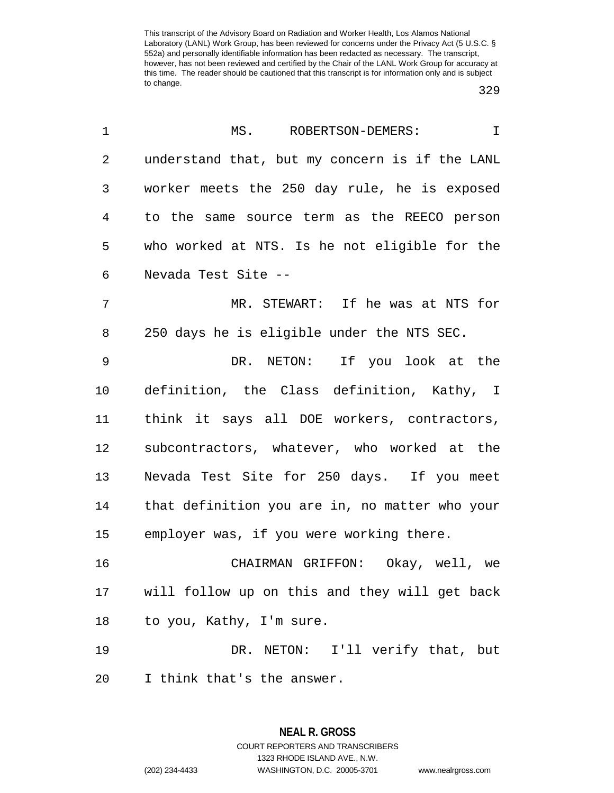329

| 1              | ROBERTSON-DEMERS:<br>MS.<br>$\mathbf I$        |
|----------------|------------------------------------------------|
| $\overline{2}$ | understand that, but my concern is if the LANL |
| 3              | worker meets the 250 day rule, he is exposed   |
| 4              | to the same source term as the REECO person    |
| 5              | who worked at NTS. Is he not eligible for the  |
| 6              | Nevada Test Site --                            |
| 7              | MR. STEWART: If he was at NTS for              |
| 8              | 250 days he is eligible under the NTS SEC.     |
| $\mathsf 9$    | DR. NETON: If you look at the                  |
| 10             | definition, the Class definition, Kathy, I     |
| 11             | think it says all DOE workers, contractors,    |
| 12             | subcontractors, whatever, who worked at the    |
| 13             | Nevada Test Site for 250 days. If you meet     |
| 14             | that definition you are in, no matter who your |
| 15             | employer was, if you were working there.       |
| 16             | CHAIRMAN GRIFFON: Okay, well, we               |
| 17             | will follow up on this and they will get back  |
| 18             | to you, Kathy, I'm sure.                       |
| 19             | DR. NETON: I'll verify that, but               |
| 20             | I think that's the answer.                     |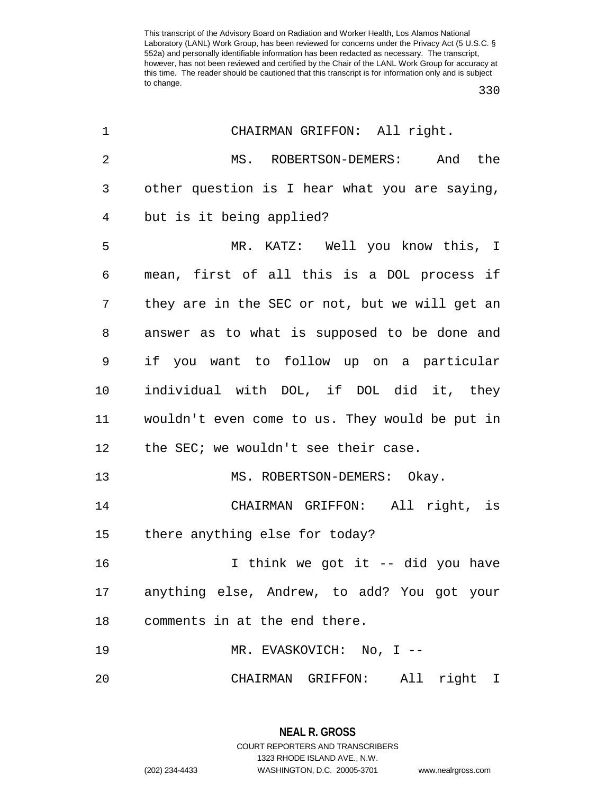330

| 1  | CHAIRMAN GRIFFON: All right.                   |
|----|------------------------------------------------|
| 2  | MS. ROBERTSON-DEMERS: And the                  |
| 3  | other question is I hear what you are saying,  |
| 4  | but is it being applied?                       |
| 5  | MR. KATZ: Well you know this, I                |
| 6  | mean, first of all this is a DOL process if    |
| 7  | they are in the SEC or not, but we will get an |
| 8  | answer as to what is supposed to be done and   |
| 9  | if you want to follow up on a particular       |
| 10 | individual with DOL, if DOL did it, they       |
| 11 | wouldn't even come to us. They would be put in |
| 12 | the SEC; we wouldn't see their case.           |
| 13 | MS. ROBERTSON-DEMERS: Okay.                    |
| 14 | CHAIRMAN GRIFFON: All right, is                |
| 15 | there anything else for today?                 |
| 16 | I think we got it -- did you have              |
|    | 17 anything else, Andrew, to add? You got your |
| 18 | comments in at the end there.                  |
| 19 | MR. EVASKOVICH: No, I --                       |
| 20 | CHAIRMAN GRIFFON: All right I                  |

**NEAL R. GROSS** COURT REPORTERS AND TRANSCRIBERS 1323 RHODE ISLAND AVE., N.W. (202) 234-4433 WASHINGTON, D.C. 20005-3701 www.nealrgross.com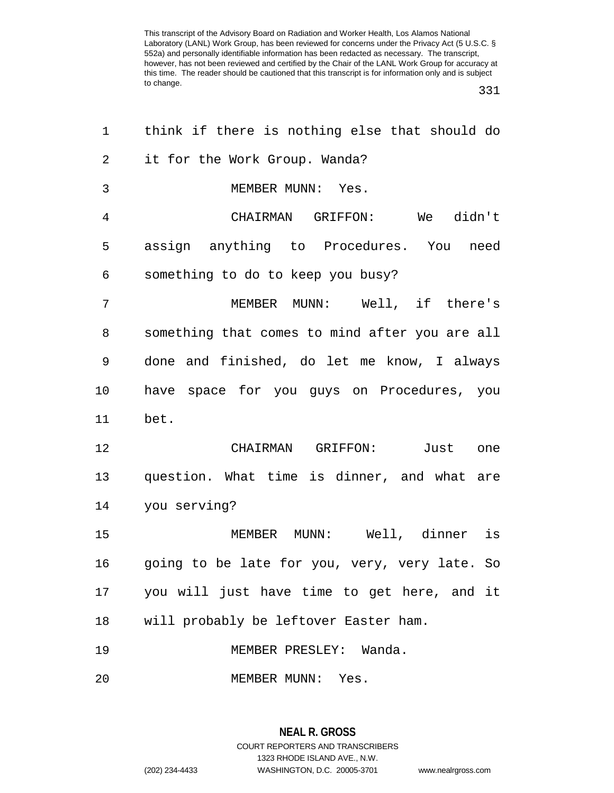331

| 1              | think if there is nothing else that should do  |
|----------------|------------------------------------------------|
| $\overline{a}$ | it for the Work Group. Wanda?                  |
| 3              | MEMBER MUNN: Yes.                              |
| 4              | CHAIRMAN GRIFFON: We didn't                    |
| 5              | assign anything to Procedures. You need        |
| 6              | something to do to keep you busy?              |
| 7              | MEMBER MUNN: Well, if there's                  |
| 8              | something that comes to mind after you are all |
| 9              | done and finished, do let me know, I always    |
| 10             | have space for you guys on Procedures, you     |
| 11             | bet.                                           |
| 12             | CHAIRMAN GRIFFON: Just one                     |
| 13             | question. What time is dinner, and what are    |
| 14             | you serving?                                   |
| 15             | MEMBER MUNN: Well, dinner is                   |
| 16             | going to be late for you, very, very late. So  |
| 17             | you will just have time to get here, and it    |
| 18             | will probably be leftover Easter ham.          |
| 19             | MEMBER PRESLEY: Wanda.                         |
| 20             | MEMBER MUNN: Yes.                              |